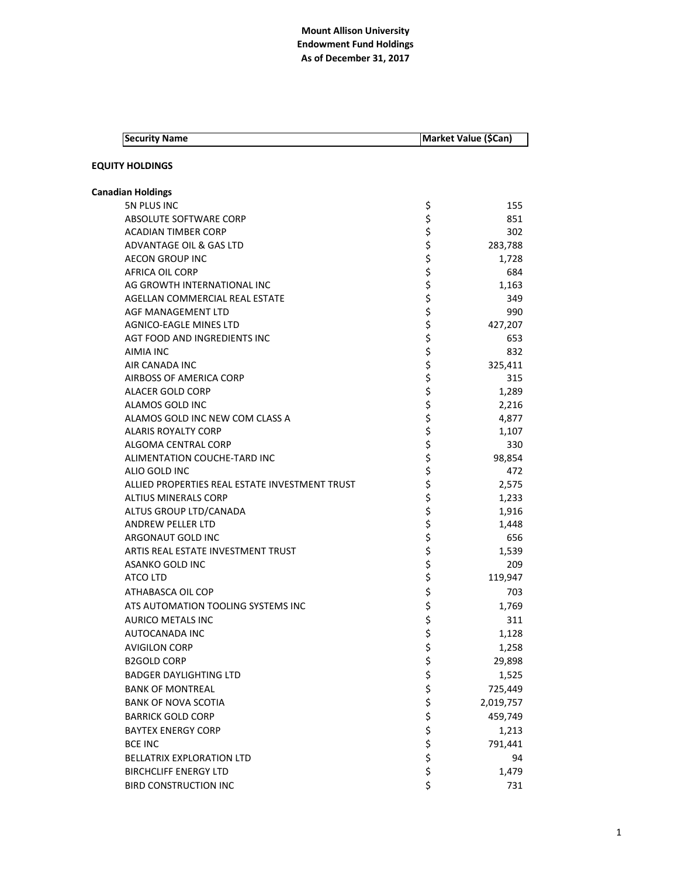| <b>Security Name</b>                           | Market Value (\$Can) |           |
|------------------------------------------------|----------------------|-----------|
| <b>EQUITY HOLDINGS</b>                         |                      |           |
| <b>Canadian Holdings</b>                       |                      |           |
| 5N PLUS INC                                    | \$                   | 155       |
| ABSOLUTE SOFTWARE CORP                         | \$                   | 851       |
| <b>ACADIAN TIMBER CORP</b>                     | \$                   | 302       |
| ADVANTAGE OIL & GAS LTD                        |                      | 283,788   |
| <b>AECON GROUP INC</b>                         |                      | 1,728     |
| <b>AFRICA OIL CORP</b>                         |                      | 684       |
| AG GROWTH INTERNATIONAL INC                    | ちらさら                 | 1,163     |
| AGELLAN COMMERCIAL REAL ESTATE                 |                      | 349       |
| AGF MANAGEMENT LTD                             |                      | 990       |
| AGNICO-EAGLE MINES LTD                         | \$<br>\$             | 427,207   |
| AGT FOOD AND INGREDIENTS INC                   |                      | 653       |
| AIMIA INC                                      | \$                   | 832       |
| AIR CANADA INC                                 | \$\$\$\$\$\$\$       | 325,411   |
| AIRBOSS OF AMERICA CORP                        |                      | 315       |
| <b>ALACER GOLD CORP</b>                        |                      | 1,289     |
| ALAMOS GOLD INC                                |                      | 2,216     |
| ALAMOS GOLD INC NEW COM CLASS A                |                      | 4,877     |
| <b>ALARIS ROYALTY CORP</b>                     |                      | 1,107     |
| ALGOMA CENTRAL CORP                            |                      | 330       |
| ALIMENTATION COUCHE-TARD INC                   |                      | 98,854    |
| ALIO GOLD INC                                  | \$                   | 472       |
| ALLIED PROPERTIES REAL ESTATE INVESTMENT TRUST | \$<br>\$             | 2,575     |
| <b>ALTIUS MINERALS CORP</b>                    |                      | 1,233     |
| ALTUS GROUP LTD/CANADA                         |                      | 1,916     |
| <b>ANDREW PELLER LTD</b>                       | \$\$\$\$             | 1,448     |
| ARGONAUT GOLD INC                              |                      | 656       |
| ARTIS REAL ESTATE INVESTMENT TRUST             |                      | 1,539     |
| ASANKO GOLD INC                                | \$                   | 209       |
| ATCO LTD                                       | \$                   | 119,947   |
| ATHABASCA OIL COP                              | \$                   | 703       |
| ATS AUTOMATION TOOLING SYSTEMS INC             | \$                   | 1,769     |
| AURICO METALS INC                              | \$                   | 311       |
| AUTOCANADA INC                                 | \$                   | 1,128     |
| <b>AVIGILON CORP</b>                           | \$<br>\$             | 1,258     |
| <b>B2GOLD CORP</b>                             |                      | 29,898    |
| <b>BADGER DAYLIGHTING LTD</b>                  | \$                   | 1,525     |
| <b>BANK OF MONTREAL</b>                        | \$                   | 725,449   |
| <b>BANK OF NOVA SCOTIA</b>                     |                      | 2,019,757 |
| <b>BARRICK GOLD CORP</b>                       |                      | 459,749   |
| <b>BAYTEX ENERGY CORP</b>                      |                      | 1,213     |
| <b>BCE INC</b>                                 | \$\$\$\$             | 791,441   |
| BELLATRIX EXPLORATION LTD                      | \$                   | 94        |
| <b>BIRCHCLIFF ENERGY LTD</b>                   | \$                   | 1,479     |
| <b>BIRD CONSTRUCTION INC</b>                   | \$                   | 731       |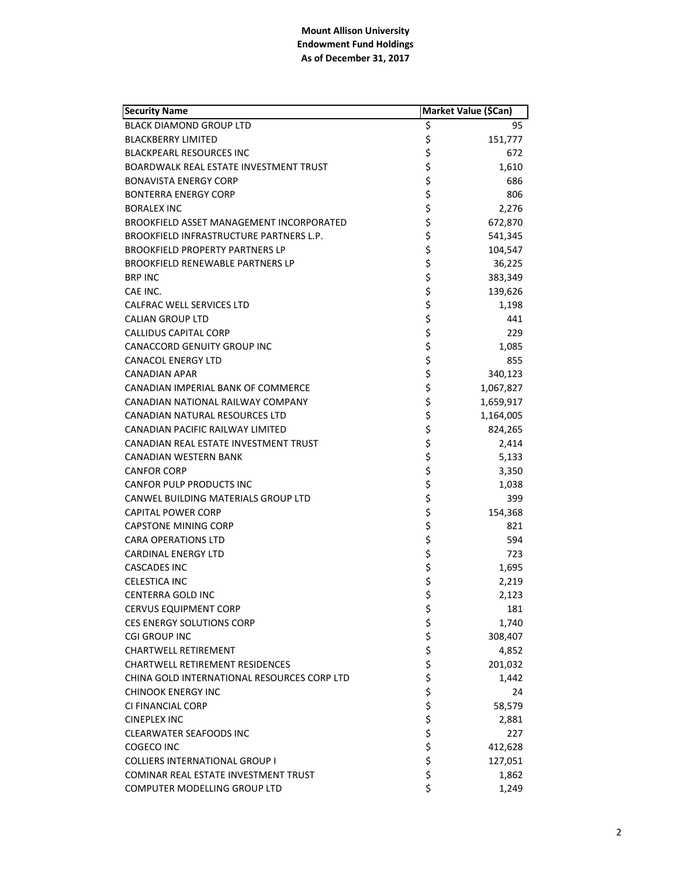| <b>Security Name</b>                          | Market Value (\$Can) |           |
|-----------------------------------------------|----------------------|-----------|
| <b>BLACK DIAMOND GROUP LTD</b>                | \$                   | 95        |
| <b>BLACKBERRY LIMITED</b>                     | \$                   | 151,777   |
| <b>BLACKPEARL RESOURCES INC</b>               | \$                   | 672       |
| <b>BOARDWALK REAL ESTATE INVESTMENT TRUST</b> | \$                   | 1,610     |
| <b>BONAVISTA ENERGY CORP</b>                  | \$                   | 686       |
| <b>BONTERRA ENERGY CORP</b>                   | \$                   | 806       |
| <b>BORALEX INC</b>                            | \$                   | 2,276     |
| BROOKFIELD ASSET MANAGEMENT INCORPORATED      | \$                   | 672,870   |
| BROOKFIELD INFRASTRUCTURE PARTNERS L.P.       | \$                   | 541,345   |
| <b>BROOKFIELD PROPERTY PARTNERS LP</b>        | \$                   | 104,547   |
| <b>BROOKFIELD RENEWABLE PARTNERS LP</b>       | \$                   | 36,225    |
| <b>BRP INC</b>                                | \$                   | 383,349   |
| CAE INC.                                      | \$                   | 139,626   |
| CALFRAC WELL SERVICES LTD                     | \$                   | 1,198     |
| <b>CALIAN GROUP LTD</b>                       | \$                   | 441       |
| <b>CALLIDUS CAPITAL CORP</b>                  | \$                   | 229       |
| CANACCORD GENUITY GROUP INC                   | \$                   | 1,085     |
| <b>CANACOL ENERGY LTD</b>                     | \$                   | 855       |
| CANADIAN APAR                                 | \$                   | 340,123   |
| CANADIAN IMPERIAL BANK OF COMMERCE            | \$                   | 1,067,827 |
| CANADIAN NATIONAL RAILWAY COMPANY             | \$                   | 1,659,917 |
| CANADIAN NATURAL RESOURCES LTD                | \$                   | 1,164,005 |
| CANADIAN PACIFIC RAILWAY LIMITED              | \$                   | 824,265   |
| CANADIAN REAL ESTATE INVESTMENT TRUST         | \$<br>\$             | 2,414     |
| CANADIAN WESTERN BANK                         |                      | 5,133     |
| <b>CANFOR CORP</b>                            | \$                   | 3,350     |
| <b>CANFOR PULP PRODUCTS INC</b>               | \$                   | 1,038     |
| CANWEL BUILDING MATERIALS GROUP LTD           | \$                   | 399       |
| <b>CAPITAL POWER CORP</b>                     | \$                   | 154,368   |
| <b>CAPSTONE MINING CORP</b>                   | \$                   | 821       |
| <b>CARA OPERATIONS LTD</b>                    | \$                   | 594       |
| <b>CARDINAL ENERGY LTD</b>                    | \$                   | 723       |
| CASCADES INC                                  | \$                   | 1,695     |
| <b>CELESTICA INC</b>                          | \$                   | 2,219     |
| <b>CENTERRA GOLD INC</b>                      | \$                   | 2,123     |
| <b>CERVUS EQUIPMENT CORP</b>                  | \$                   | 181       |
| <b>CES ENERGY SOLUTIONS CORP</b>              |                      | 1,740     |
| <b>CGI GROUP INC</b>                          | \$\$\$\$             | 308,407   |
| <b>CHARTWELL RETIREMENT</b>                   |                      | 4,852     |
| <b>CHARTWELL RETIREMENT RESIDENCES</b>        |                      | 201,032   |
| CHINA GOLD INTERNATIONAL RESOURCES CORP LTD   |                      | 1,442     |
| <b>CHINOOK ENERGY INC</b>                     |                      | 24        |
| CI FINANCIAL CORP                             |                      | 58,579    |
| <b>CINEPLEX INC</b>                           |                      | 2,881     |
| <b>CLEARWATER SEAFOODS INC</b>                | \$\$\$\$             | 227       |
| COGECO INC                                    |                      | 412,628   |
| <b>COLLIERS INTERNATIONAL GROUP I</b>         | \$                   | 127,051   |
| COMINAR REAL ESTATE INVESTMENT TRUST          | \$                   | 1,862     |
| COMPUTER MODELLING GROUP LTD                  | \$                   | 1,249     |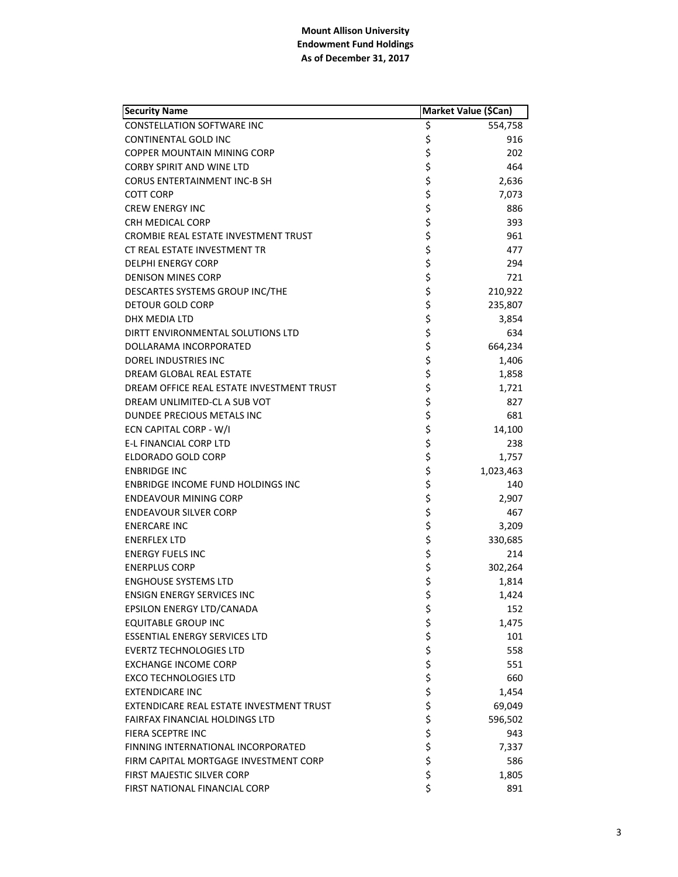| <b>Security Name</b>                      | Market Value (\$Can) |           |
|-------------------------------------------|----------------------|-----------|
| <b>CONSTELLATION SOFTWARE INC</b>         | \$                   | 554,758   |
| <b>CONTINENTAL GOLD INC</b>               | \$                   | 916       |
| COPPER MOUNTAIN MINING CORP               | \$                   | 202       |
| <b>CORBY SPIRIT AND WINE LTD</b>          | \$                   | 464       |
| <b>CORUS ENTERTAINMENT INC-B SH</b>       | \$                   | 2,636     |
| COTT CORP                                 | \$                   | 7,073     |
| <b>CREW ENERGY INC</b>                    | \$                   | 886       |
| <b>CRH MEDICAL CORP</b>                   | \$                   | 393       |
| CROMBIE REAL ESTATE INVESTMENT TRUST      | \$                   | 961       |
| CT REAL ESTATE INVESTMENT TR              | \$                   | 477       |
| <b>DELPHI ENERGY CORP</b>                 | \$                   | 294       |
| <b>DENISON MINES CORP</b>                 | \$                   | 721       |
| DESCARTES SYSTEMS GROUP INC/THE           | \$                   | 210,922   |
| <b>DETOUR GOLD CORP</b>                   | \$                   | 235,807   |
| DHX MEDIA LTD                             | \$                   | 3,854     |
| DIRTT ENVIRONMENTAL SOLUTIONS LTD         | \$                   | 634       |
| DOLLARAMA INCORPORATED                    | \$                   | 664,234   |
| <b>DOREL INDUSTRIES INC</b>               | \$                   | 1,406     |
| DREAM GLOBAL REAL ESTATE                  | \$                   | 1,858     |
| DREAM OFFICE REAL ESTATE INVESTMENT TRUST | \$                   | 1,721     |
| DREAM UNLIMITED-CL A SUB VOT              | \$                   | 827       |
| <b>DUNDEE PRECIOUS METALS INC</b>         | \$                   | 681       |
| ECN CAPITAL CORP - W/I                    | \$                   | 14,100    |
| E-L FINANCIAL CORP LTD                    | \$                   | 238       |
| ELDORADO GOLD CORP                        | \$                   | 1,757     |
| <b>ENBRIDGE INC</b>                       | \$                   | 1,023,463 |
| ENBRIDGE INCOME FUND HOLDINGS INC         | \$                   | 140       |
| ENDEAVOUR MINING CORP                     | \$                   | 2,907     |
| <b>ENDEAVOUR SILVER CORP</b>              | \$                   | 467       |
| <b>ENERCARE INC</b>                       | \$                   | 3,209     |
| <b>ENERFLEX LTD</b>                       | \$                   | 330,685   |
| <b>ENERGY FUELS INC</b>                   | \$                   | 214       |
| <b>ENERPLUS CORP</b>                      | \$                   | 302,264   |
| <b>ENGHOUSE SYSTEMS LTD</b>               | \$                   | 1,814     |
| <b>ENSIGN ENERGY SERVICES INC</b>         | \$                   | 1,424     |
| EPSILON ENERGY LTD/CANADA                 | \$                   | 152       |
| <b>EQUITABLE GROUP INC</b>                |                      | 1,475     |
| <b>ESSENTIAL ENERGY SERVICES LTD</b>      |                      | 101       |
| <b>EVERTZ TECHNOLOGIES LTD</b>            |                      | 558       |
| <b>EXCHANGE INCOME CORP</b>               |                      | 551       |
| <b>EXCO TECHNOLOGIES LTD</b>              |                      | 660       |
| <b>EXTENDICARE INC</b>                    |                      | 1,454     |
| EXTENDICARE REAL ESTATE INVESTMENT TRUST  |                      | 69,049    |
| FAIRFAX FINANCIAL HOLDINGS LTD            |                      | 596,502   |
| FIERA SCEPTRE INC                         |                      | 943       |
| FINNING INTERNATIONAL INCORPORATED        | ぐぐろ こうさ かいこう         | 7,337     |
| FIRM CAPITAL MORTGAGE INVESTMENT CORP     |                      | 586       |
| FIRST MAJESTIC SILVER CORP                | \$                   | 1,805     |
| FIRST NATIONAL FINANCIAL CORP             | \$                   | 891       |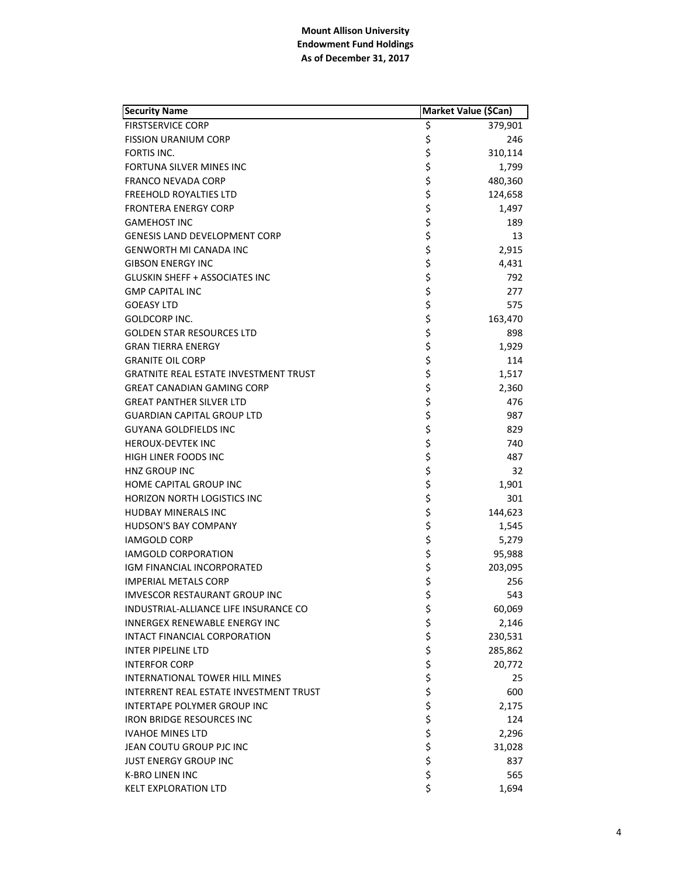|                                               | Market Value (\$Can) |  |
|-----------------------------------------------|----------------------|--|
| <b>FIRSTSERVICE CORP</b><br>\$                | 379,901              |  |
| \$<br><b>FISSION URANIUM CORP</b>             | 246                  |  |
| \$<br>FORTIS INC.                             | 310,114              |  |
| \$<br>FORTUNA SILVER MINES INC                | 1,799                |  |
| <b>FRANCO NEVADA CORP</b>                     | 480,360              |  |
| ちゃくら<br><b>FREEHOLD ROYALTIES LTD</b>         | 124,658              |  |
| <b>FRONTERA ENERGY CORP</b>                   | 1,497                |  |
| <b>GAMEHOST INC</b>                           | 189                  |  |
| <b>GENESIS LAND DEVELOPMENT CORP</b>          | 13                   |  |
| \$<br>\$<br><b>GENWORTH MI CANADA INC</b>     | 2,915                |  |
| <b>GIBSON ENERGY INC</b>                      | 4,431                |  |
| <b>GLUSKIN SHEFF + ASSOCIATES INC</b>         | 792                  |  |
| <b>GMP CAPITAL INC</b>                        | 277                  |  |
| <b>GOEASY LTD</b>                             | 575                  |  |
| GOLDCORP INC.                                 | 163,470              |  |
| <b>GOLDEN STAR RESOURCES LTD</b>              | 898                  |  |
| ぐうさくさい こうさ<br><b>GRAN TIERRA ENERGY</b>       | 1,929                |  |
| <b>GRANITE OIL CORP</b>                       | 114                  |  |
| <b>GRATNITE REAL ESTATE INVESTMENT TRUST</b>  | 1,517                |  |
| <b>GREAT CANADIAN GAMING CORP</b>             | 2,360                |  |
| <b>GREAT PANTHER SILVER LTD</b>               | 476                  |  |
| <b>GUARDIAN CAPITAL GROUP LTD</b>             | 987                  |  |
| \$<br><b>GUYANA GOLDFIELDS INC</b>            | 829                  |  |
| <b>HEROUX-DEVTEK INC</b>                      | 740                  |  |
| ちゃちょう<br>HIGH LINER FOODS INC                 | 487                  |  |
| HNZ GROUP INC                                 | 32                   |  |
| HOME CAPITAL GROUP INC                        | 1,901                |  |
| <b>HORIZON NORTH LOGISTICS INC</b>            | 301                  |  |
| <b>HUDBAY MINERALS INC</b>                    | 144,623              |  |
| <b>HUDSON'S BAY COMPANY</b>                   | 1,545                |  |
| <b>IAMGOLD CORP</b>                           | 5,279                |  |
| \$\$\$<br><b>IAMGOLD CORPORATION</b>          | 95,988               |  |
| IGM FINANCIAL INCORPORATED                    | 203,095              |  |
| <b>IMPERIAL METALS CORP</b>                   | 256                  |  |
| \$<br><b>IMVESCOR RESTAURANT GROUP INC</b>    | 543                  |  |
| \$<br>INDUSTRIAL-ALLIANCE LIFE INSURANCE CO   | 60,069               |  |
| INNERGEX RENEWABLE ENERGY INC                 | 2,146                |  |
| INTACT FINANCIAL CORPORATION                  | 230,531              |  |
| <b>INTER PIPELINE LTD</b>                     | 285,862              |  |
| <b>INTERFOR CORP</b>                          | 20,772               |  |
| INTERNATIONAL TOWER HILL MINES                | 25                   |  |
| <b>INTERRENT REAL ESTATE INVESTMENT TRUST</b> | 600                  |  |
| INTERTAPE POLYMER GROUP INC                   | 2,175                |  |
| <b>IRON BRIDGE RESOURCES INC</b>              | 124                  |  |
| <b>IVAHOE MINES LTD</b>                       | 2,296                |  |
| ぐうさかさかさ<br>JEAN COUTU GROUP PJC INC           | 31,028               |  |
| <b>JUST ENERGY GROUP INC</b>                  | 837                  |  |
| \$<br><b>K-BRO LINEN INC</b>                  | 565                  |  |
| \$<br><b>KELT EXPLORATION LTD</b>             | 1,694                |  |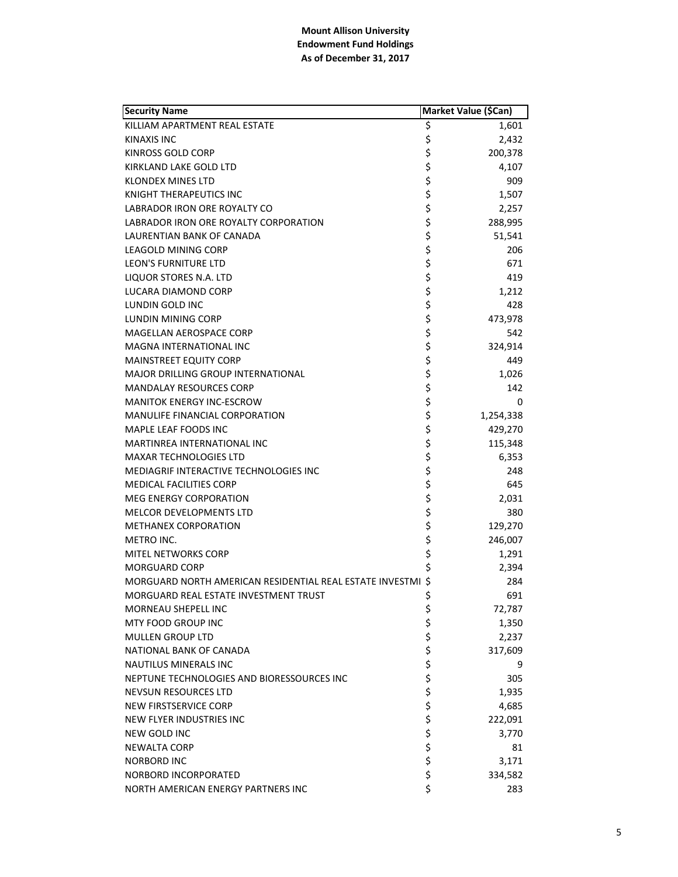| <b>Security Name</b>                                        |            | Market Value (\$Can) |
|-------------------------------------------------------------|------------|----------------------|
| KILLIAM APARTMENT REAL ESTATE                               | \$         | 1,601                |
| KINAXIS INC                                                 | \$         | 2,432                |
| KINROSS GOLD CORP                                           | \$         | 200,378              |
| KIRKLAND LAKE GOLD LTD                                      | \$         | 4,107                |
| KLONDEX MINES LTD                                           | \$         | 909                  |
| <b>KNIGHT THERAPEUTICS INC</b>                              | \$         | 1,507                |
| LABRADOR IRON ORE ROYALTY CO                                | \$         | 2,257                |
| LABRADOR IRON ORE ROYALTY CORPORATION                       | \$         | 288,995              |
| LAURENTIAN BANK OF CANADA                                   | \$         | 51,541               |
| LEAGOLD MINING CORP                                         | \$         | 206                  |
| LEON'S FURNITURE LTD                                        | \$         | 671                  |
| LIQUOR STORES N.A. LTD                                      |            | 419                  |
| LUCARA DIAMOND CORP                                         | \$<br>\$   | 1,212                |
| LUNDIN GOLD INC                                             | \$         | 428                  |
| LUNDIN MINING CORP                                          | \$         | 473,978              |
| <b>MAGELLAN AEROSPACE CORP</b>                              | \$         | 542                  |
| MAGNA INTERNATIONAL INC                                     | \$         | 324,914              |
| <b>MAINSTREET EQUITY CORP</b>                               | \$         | 449                  |
| <b>MAJOR DRILLING GROUP INTERNATIONAL</b>                   | \$         | 1,026                |
| <b>MANDALAY RESOURCES CORP</b>                              | \$         | 142                  |
| <b>MANITOK ENERGY INC-ESCROW</b>                            | \$         | 0                    |
| <b>MANULIFE FINANCIAL CORPORATION</b>                       | \$         | 1,254,338            |
| MAPLE LEAF FOODS INC                                        | \$         | 429,270              |
| MARTINREA INTERNATIONAL INC                                 | \$         | 115,348              |
| MAXAR TECHNOLOGIES LTD                                      | \$         | 6,353                |
| MEDIAGRIF INTERACTIVE TECHNOLOGIES INC                      | \$         | 248                  |
| <b>MEDICAL FACILITIES CORP</b>                              | \$         | 645                  |
| <b>MEG ENERGY CORPORATION</b>                               | \$         | 2,031                |
| MELCOR DEVELOPMENTS LTD                                     | \$         | 380                  |
| <b>METHANEX CORPORATION</b>                                 | \$         | 129,270              |
| METRO INC.                                                  | \$         | 246,007              |
| <b>MITEL NETWORKS CORP</b>                                  | \$         | 1,291                |
| <b>MORGUARD CORP</b>                                        |            | 2,394                |
| MORGUARD NORTH AMERICAN RESIDENTIAL REAL ESTATE INVESTMI \$ |            | 284                  |
| MORGUARD REAL ESTATE INVESTMENT TRUST                       | \$         | 691                  |
| MORNEAU SHEPELL INC                                         | \$         | 72,787               |
| MTY FOOD GROUP INC                                          |            | 1,350                |
| <b>MULLEN GROUP LTD</b>                                     |            | 2,237                |
| NATIONAL BANK OF CANADA                                     |            | 317,609              |
| <b>NAUTILUS MINERALS INC</b>                                |            | 9                    |
| NEPTUNE TECHNOLOGIES AND BIORESSOURCES INC                  |            | 305                  |
| <b>NEVSUN RESOURCES LTD</b>                                 |            | 1,935                |
| NEW FIRSTSERVICE CORP                                       |            | 4,685                |
| NEW FLYER INDUSTRIES INC                                    |            | 222,091              |
| NEW GOLD INC                                                | ぐうさくさい こうさ | 3,770                |
| NEWALTA CORP                                                |            | 81                   |
| NORBORD INC                                                 |            | 3,171                |
| NORBORD INCORPORATED                                        | \$         | 334,582              |
| NORTH AMERICAN ENERGY PARTNERS INC                          | \$         | 283                  |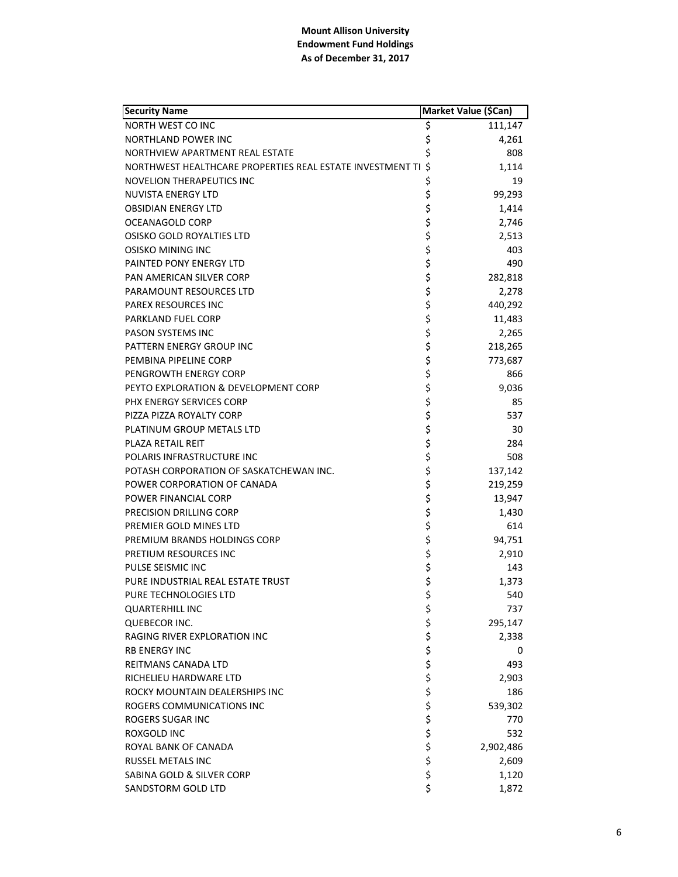| <b>Security Name</b>                                      | Market Value (\$Can) |           |
|-----------------------------------------------------------|----------------------|-----------|
| NORTH WEST CO INC                                         | \$                   | 111,147   |
| <b>NORTHLAND POWER INC</b>                                | \$                   | 4,261     |
| NORTHVIEW APARTMENT REAL ESTATE                           | \$                   | 808       |
| NORTHWEST HEALTHCARE PROPERTIES REAL ESTATE INVESTMENT TI | Ś.                   | 1,114     |
| <b>NOVELION THERAPEUTICS INC</b>                          | \$                   | 19        |
| NUVISTA ENERGY LTD                                        | \$                   | 99,293    |
| <b>OBSIDIAN ENERGY LTD</b>                                | \$                   | 1,414     |
| OCEANAGOLD CORP                                           | \$                   | 2,746     |
| OSISKO GOLD ROYALTIES LTD                                 | \$                   | 2,513     |
| OSISKO MINING INC                                         | \$                   | 403       |
| PAINTED PONY ENERGY LTD                                   | \$                   | 490       |
| PAN AMERICAN SILVER CORP                                  | \$                   | 282,818   |
| PARAMOUNT RESOURCES LTD                                   | \$                   | 2,278     |
| <b>PAREX RESOURCES INC</b>                                | \$                   | 440,292   |
| PARKLAND FUEL CORP                                        | \$                   | 11,483    |
| <b>PASON SYSTEMS INC</b>                                  | \$                   | 2,265     |
| PATTERN ENERGY GROUP INC                                  | \$                   | 218,265   |
| PEMBINA PIPELINE CORP                                     | \$                   | 773,687   |
| PENGROWTH ENERGY CORP                                     | \$                   | 866       |
| PEYTO EXPLORATION & DEVELOPMENT CORP                      | \$                   | 9,036     |
| PHX ENERGY SERVICES CORP                                  | \$                   | 85        |
| PIZZA PIZZA ROYALTY CORP                                  | \$                   | 537       |
| PLATINUM GROUP METALS LTD                                 | \$                   | 30        |
| PLAZA RETAIL REIT                                         | \$                   | 284       |
| POLARIS INFRASTRUCTURE INC                                |                      | 508       |
| POTASH CORPORATION OF SASKATCHEWAN INC.                   | \$<br>\$             | 137,142   |
| POWER CORPORATION OF CANADA                               | \$                   | 219,259   |
| POWER FINANCIAL CORP                                      | \$                   | 13,947    |
| PRECISION DRILLING CORP                                   | \$                   | 1,430     |
| PREMIER GOLD MINES LTD                                    | \$                   | 614       |
| PREMIUM BRANDS HOLDINGS CORP                              | \$                   | 94,751    |
| PRETIUM RESOURCES INC                                     | \$                   | 2,910     |
| PULSE SEISMIC INC                                         | \$                   | 143       |
| PURE INDUSTRIAL REAL ESTATE TRUST                         | \$                   | 1,373     |
| PURE TECHNOLOGIES LTD                                     | \$                   | 540       |
| <b>QUARTERHILL INC</b>                                    | \$                   | 737       |
| QUEBECOR INC.                                             |                      | 295,147   |
| RAGING RIVER EXPLORATION INC                              |                      | 2,338     |
| <b>RB ENERGY INC</b>                                      |                      | 0         |
| REITMANS CANADA LTD                                       |                      | 493       |
| RICHELIEU HARDWARE LTD                                    |                      | 2,903     |
| ROCKY MOUNTAIN DEALERSHIPS INC                            |                      | 186       |
| ROGERS COMMUNICATIONS INC                                 |                      | 539,302   |
| ROGERS SUGAR INC                                          |                      | 770       |
| ROXGOLD INC                                               |                      | 532       |
| ROYAL BANK OF CANADA                                      | ややな ややな ややか          | 2,902,486 |
| RUSSEL METALS INC                                         |                      | 2,609     |
| SABINA GOLD & SILVER CORP                                 | \$                   | 1,120     |
| SANDSTORM GOLD LTD                                        | \$                   | 1,872     |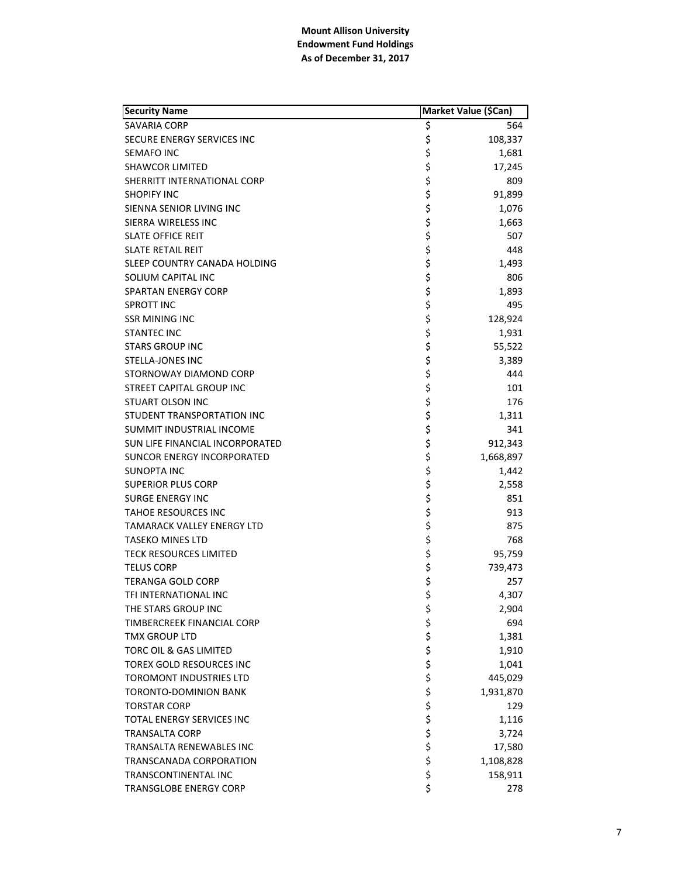| <b>Security Name</b>              | Market Value (\$Can)                 |           |
|-----------------------------------|--------------------------------------|-----------|
| SAVARIA CORP                      | \$                                   | 564       |
| SECURE ENERGY SERVICES INC        | \$                                   | 108,337   |
| SEMAFO INC                        |                                      | 1,681     |
| <b>SHAWCOR LIMITED</b>            |                                      | 17,245    |
| SHERRITT INTERNATIONAL CORP       |                                      | 809       |
| <b>SHOPIFY INC</b>                |                                      | 91,899    |
| SIENNA SENIOR LIVING INC          |                                      | 1,076     |
| SIERRA WIRELESS INC               |                                      | 1,663     |
| <b>SLATE OFFICE REIT</b>          |                                      | 507       |
| <b>SLATE RETAIL REIT</b>          |                                      | 448       |
| SLEEP COUNTRY CANADA HOLDING      |                                      | 1,493     |
| SOLIUM CAPITAL INC                |                                      | 806       |
| SPARTAN ENERGY CORP               |                                      | 1,893     |
| <b>SPROTT INC</b>                 |                                      | 495       |
| <b>SSR MINING INC</b>             |                                      | 128,924   |
| <b>STANTEC INC</b>                |                                      | 1,931     |
| <b>STARS GROUP INC</b>            |                                      | 55,522    |
| <b>STELLA-JONES INC</b>           |                                      | 3,389     |
| STORNOWAY DIAMOND CORP            |                                      | 444       |
| STREET CAPITAL GROUP INC          |                                      | 101       |
| <b>STUART OLSON INC</b>           |                                      | 176       |
| STUDENT TRANSPORTATION INC        |                                      | 1,311     |
| SUMMIT INDUSTRIAL INCOME          |                                      | 341       |
| SUN LIFE FINANCIAL INCORPORATED   |                                      | 912,343   |
| <b>SUNCOR ENERGY INCORPORATED</b> | や そうそう そうそう そうそう そうそう そうそう そうそう そうさん | 1,668,897 |
| SUNOPTA INC                       |                                      | 1,442     |
| <b>SUPERIOR PLUS CORP</b>         |                                      | 2,558     |
| <b>SURGE ENERGY INC</b>           |                                      | 851       |
| <b>TAHOE RESOURCES INC</b>        |                                      | 913       |
| TAMARACK VALLEY ENERGY LTD        |                                      | 875       |
| <b>TASEKO MINES LTD</b>           |                                      | 768       |
| <b>TECK RESOURCES LIMITED</b>     |                                      | 95,759    |
| <b>TELUS CORP</b>                 |                                      | 739,473   |
| TERANGA GOLD CORP                 |                                      | 257       |
| TFI INTERNATIONAL INC             | \$                                   | 4,307     |
| THE STARS GROUP INC               |                                      | 2,904     |
| TIMBERCREEK FINANCIAL CORP        |                                      | 694       |
| <b>TMX GROUP LTD</b>              |                                      | 1,381     |
| <b>TORC OIL &amp; GAS LIMITED</b> |                                      | 1,910     |
| <b>TOREX GOLD RESOURCES INC</b>   |                                      | 1,041     |
| <b>TOROMONT INDUSTRIES LTD</b>    |                                      | 445,029   |
| <b>TORONTO-DOMINION BANK</b>      |                                      | 1,931,870 |
| <b>TORSTAR CORP</b>               |                                      | 129       |
| <b>TOTAL ENERGY SERVICES INC</b>  |                                      | 1,116     |
| <b>TRANSALTA CORP</b>             |                                      | 3,724     |
| TRANSALTA RENEWABLES INC          | さらそう そうそう そうし                        | 17,580    |
| TRANSCANADA CORPORATION           |                                      | 1,108,828 |
| TRANSCONTINENTAL INC              |                                      | 158,911   |
| <b>TRANSGLOBE ENERGY CORP</b>     | \$                                   | 278       |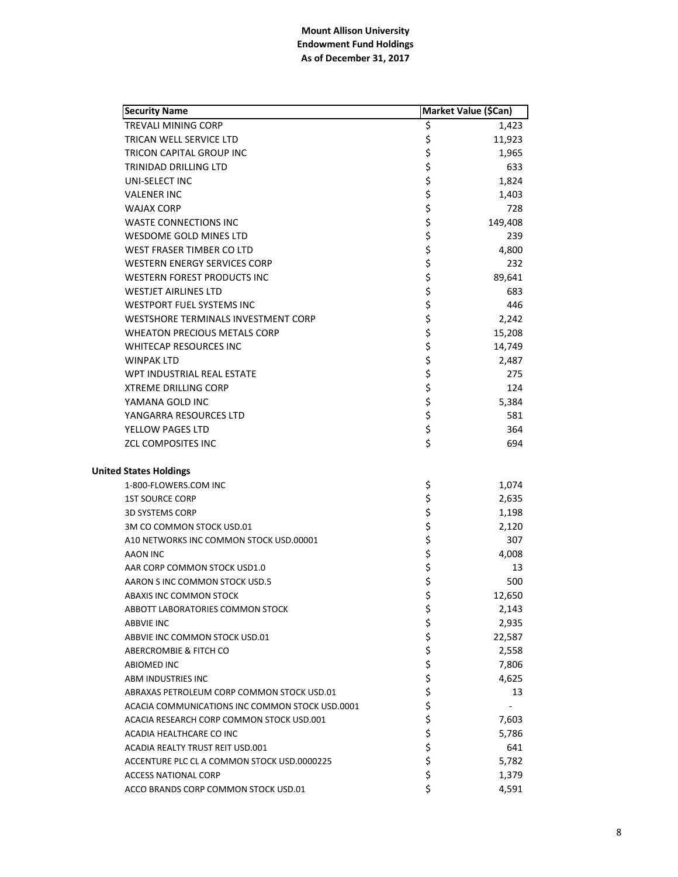| <b>Security Name</b>                            |        | Market Value (\$Can) |
|-------------------------------------------------|--------|----------------------|
| <b>TREVALI MINING CORP</b>                      | \$     | 1,423                |
| <b>TRICAN WELL SERVICE LTD</b>                  | \$     | 11,923               |
| TRICON CAPITAL GROUP INC                        | \$     | 1,965                |
| <b>TRINIDAD DRILLING LTD</b>                    | \$     | 633                  |
| UNI-SELECT INC                                  | \$     | 1,824                |
| <b>VALENER INC</b>                              | \$     | 1,403                |
| <b>WAJAX CORP</b>                               | \$     | 728                  |
| <b>WASTE CONNECTIONS INC</b>                    | \$     | 149,408              |
| WESDOME GOLD MINES LTD                          | \$     | 239                  |
| WEST FRASER TIMBER CO LTD                       | \$     | 4,800                |
| <b>WESTERN ENERGY SERVICES CORP</b>             | \$     | 232                  |
| <b>WESTERN FOREST PRODUCTS INC</b>              | \$     | 89,641               |
| <b>WESTJET AIRLINES LTD</b>                     | \$     | 683                  |
| WESTPORT FUEL SYSTEMS INC                       | \$     | 446                  |
| WESTSHORE TERMINALS INVESTMENT CORP             | \$     | 2,242                |
| <b>WHEATON PRECIOUS METALS CORP</b>             | \$     | 15,208               |
| <b>WHITECAP RESOURCES INC</b>                   | \$     | 14,749               |
| <b>WINPAK LTD</b>                               | \$     | 2,487                |
| WPT INDUSTRIAL REAL ESTATE                      | \$     | 275                  |
| <b>XTREME DRILLING CORP</b>                     | \$     | 124                  |
| YAMANA GOLD INC                                 | \$     | 5,384                |
| YANGARRA RESOURCES LTD                          | \$     | 581                  |
| YELLOW PAGES LTD                                | \$     | 364                  |
| <b>ZCL COMPOSITES INC</b>                       | \$     | 694                  |
| <b>United States Holdings</b>                   |        |                      |
| 1-800-FLOWERS.COM INC                           | \$     | 1,074                |
| <b>1ST SOURCE CORP</b>                          | \$     | 2,635                |
| <b>3D SYSTEMS CORP</b>                          | \$     | 1,198                |
| 3M CO COMMON STOCK USD.01                       | \$     | 2,120                |
| A10 NETWORKS INC COMMON STOCK USD.00001         | \$     | 307                  |
| AAON INC                                        | \$     | 4,008                |
| AAR CORP COMMON STOCK USD1.0                    | \$     | 13                   |
| AARON S INC COMMON STOCK USD.5                  | \$     | 500                  |
| ABAXIS INC COMMON STOCK                         | \$     | 12,650               |
| ABBOTT LABORATORIES COMMON STOCK                | \$     | 2,143                |
| <b>ABBVIE INC</b>                               |        | 2,935                |
| ABBVIE INC COMMON STOCK USD.01                  | \$\$\$ | 22,587               |
| ABERCROMBIE & FITCH CO                          |        | 2,558                |
| <b>ABIOMED INC</b>                              | \$     | 7,806                |
| ABM INDUSTRIES INC                              | \$     | 4,625                |
| ABRAXAS PETROLEUM CORP COMMON STOCK USD.01      | \$     | 13                   |
| ACACIA COMMUNICATIONS INC COMMON STOCK USD.0001 | \$     |                      |
| ACACIA RESEARCH CORP COMMON STOCK USD.001       | \$     | 7,603                |
| ACADIA HEALTHCARE CO INC                        | \$     | 5,786                |
| ACADIA REALTY TRUST REIT USD.001                | \$     | 641                  |
| ACCENTURE PLC CL A COMMON STOCK USD.0000225     | \$     | 5,782                |
| <b>ACCESS NATIONAL CORP</b>                     | \$     | 1,379                |
| ACCO BRANDS CORP COMMON STOCK USD.01            | \$     | 4,591                |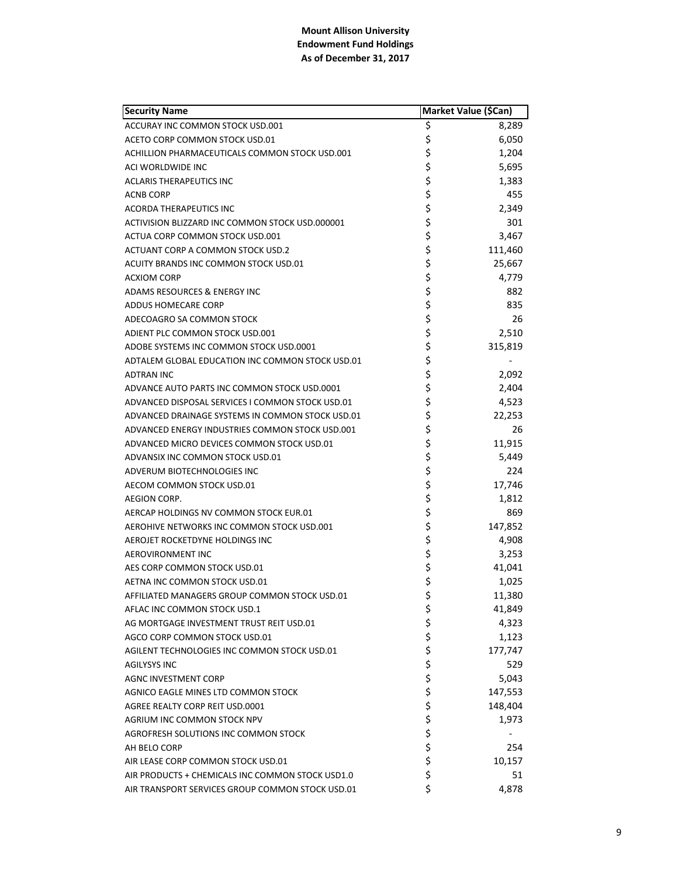| <b>Security Name</b>                             | Market Value (\$Can) |         |
|--------------------------------------------------|----------------------|---------|
| ACCURAY INC COMMON STOCK USD.001                 | \$                   | 8,289   |
| ACETO CORP COMMON STOCK USD.01                   | \$                   | 6,050   |
| ACHILLION PHARMACEUTICALS COMMON STOCK USD.001   | \$                   | 1,204   |
| ACI WORLDWIDE INC                                | \$                   | 5,695   |
| <b>ACLARIS THERAPEUTICS INC</b>                  | \$                   | 1,383   |
| <b>ACNB CORP</b>                                 | \$                   | 455     |
| <b>ACORDA THERAPEUTICS INC</b>                   | \$                   | 2,349   |
| ACTIVISION BLIZZARD INC COMMON STOCK USD.000001  | \$                   | 301     |
| ACTUA CORP COMMON STOCK USD.001                  | \$                   | 3.467   |
| ACTUANT CORP A COMMON STOCK USD.2                | \$                   | 111,460 |
| ACUITY BRANDS INC COMMON STOCK USD.01            | \$                   | 25,667  |
| <b>ACXIOM CORP</b>                               | \$                   | 4,779   |
| ADAMS RESOURCES & ENERGY INC                     | \$                   | 882     |
| ADDUS HOMECARE CORP                              | \$                   | 835     |
| ADECOAGRO SA COMMON STOCK                        | \$                   | 26      |
| ADIENT PLC COMMON STOCK USD.001                  | \$                   | 2,510   |
| ADOBE SYSTEMS INC COMMON STOCK USD.0001          | \$                   | 315,819 |
| ADTALEM GLOBAL EDUCATION INC COMMON STOCK USD.01 | \$                   |         |
| <b>ADTRAN INC</b>                                | \$                   | 2,092   |
| ADVANCE AUTO PARTS INC COMMON STOCK USD.0001     | \$                   | 2,404   |
| ADVANCED DISPOSAL SERVICES I COMMON STOCK USD.01 | \$                   | 4,523   |
| ADVANCED DRAINAGE SYSTEMS IN COMMON STOCK USD.01 | \$                   | 22,253  |
| ADVANCED ENERGY INDUSTRIES COMMON STOCK USD.001  | \$                   | 26      |
| ADVANCED MICRO DEVICES COMMON STOCK USD.01       | \$                   | 11,915  |
| ADVANSIX INC COMMON STOCK USD.01                 | \$                   | 5,449   |
| ADVERUM BIOTECHNOLOGIES INC                      | \$                   | 224     |
| AECOM COMMON STOCK USD.01                        | \$                   | 17,746  |
| AEGION CORP.                                     | \$                   | 1,812   |
| AERCAP HOLDINGS NV COMMON STOCK EUR.01           | \$                   | 869     |
| AEROHIVE NETWORKS INC COMMON STOCK USD.001       | \$                   | 147,852 |
| AEROJET ROCKETDYNE HOLDINGS INC                  | \$                   | 4,908   |
| AEROVIRONMENT INC                                | \$                   | 3,253   |
| AES CORP COMMON STOCK USD.01                     | \$                   | 41,041  |
| AETNA INC COMMON STOCK USD.01                    | \$                   | 1,025   |
| AFFILIATED MANAGERS GROUP COMMON STOCK USD.01    | \$                   | 11,380  |
| AFLAC INC COMMON STOCK USD.1                     | \$                   | 41,849  |
| AG MORTGAGE INVESTMENT TRUST REIT USD.01         | \$                   | 4,323   |
| AGCO CORP COMMON STOCK USD.01                    | \$                   | 1,123   |
| AGILENT TECHNOLOGIES INC COMMON STOCK USD.01     | \$                   | 177,747 |
| <b>AGILYSYS INC</b>                              | \$                   | 529     |
| AGNC INVESTMENT CORP                             | \$                   | 5,043   |
| AGNICO EAGLE MINES LTD COMMON STOCK              | \$                   | 147,553 |
| AGREE REALTY CORP REIT USD.0001                  | \$                   | 148,404 |
| AGRIUM INC COMMON STOCK NPV                      |                      | 1,973   |
| AGROFRESH SOLUTIONS INC COMMON STOCK             | \$\$\$               |         |
| AH BELO CORP                                     |                      | 254     |
| AIR LEASE CORP COMMON STOCK USD.01               | \$                   | 10,157  |
| AIR PRODUCTS + CHEMICALS INC COMMON STOCK USD1.0 | \$                   | 51      |
| AIR TRANSPORT SERVICES GROUP COMMON STOCK USD.01 | \$                   | 4,878   |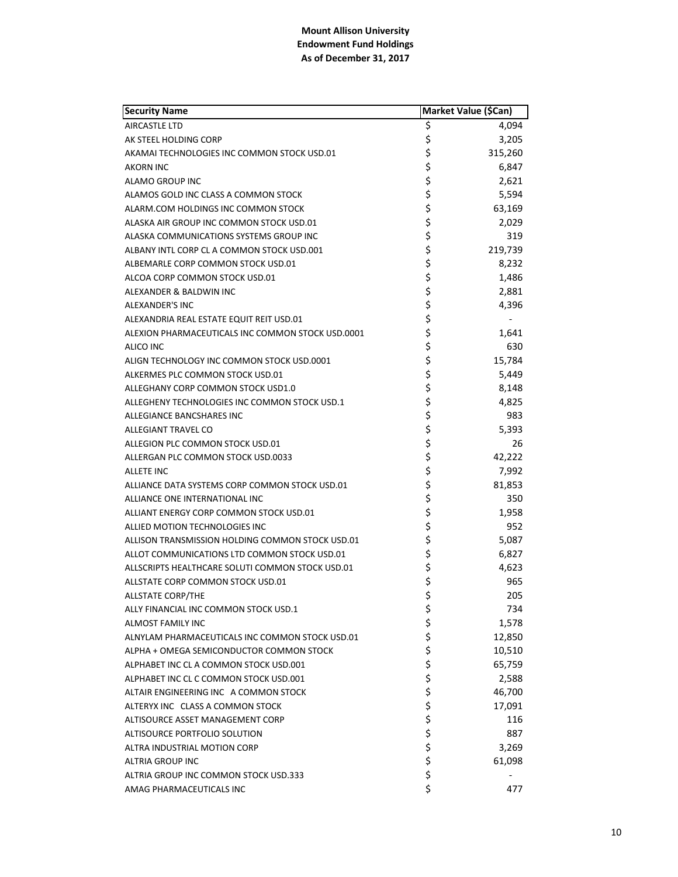| <b>Security Name</b>                              | Market Value (\$Can) |         |
|---------------------------------------------------|----------------------|---------|
| AIRCASTLE LTD                                     | \$                   | 4,094   |
| AK STEEL HOLDING CORP                             | \$                   | 3,205   |
| AKAMAI TECHNOLOGIES INC COMMON STOCK USD.01       | \$                   | 315,260 |
| <b>AKORN INC</b>                                  | \$                   | 6,847   |
| ALAMO GROUP INC                                   | \$                   | 2,621   |
| ALAMOS GOLD INC CLASS A COMMON STOCK              | \$                   | 5,594   |
| ALARM.COM HOLDINGS INC COMMON STOCK               | \$                   | 63,169  |
| ALASKA AIR GROUP INC COMMON STOCK USD.01          | \$                   | 2,029   |
| ALASKA COMMUNICATIONS SYSTEMS GROUP INC           | \$                   | 319     |
| ALBANY INTL CORP CL A COMMON STOCK USD.001        | \$                   | 219,739 |
| ALBEMARLE CORP COMMON STOCK USD.01                | \$                   | 8,232   |
| ALCOA CORP COMMON STOCK USD.01                    | \$                   | 1,486   |
| ALEXANDER & BALDWIN INC                           | \$                   | 2,881   |
| ALEXANDER'S INC                                   | \$                   | 4,396   |
| ALEXANDRIA REAL ESTATE EQUIT REIT USD.01          | \$                   |         |
| ALEXION PHARMACEUTICALS INC COMMON STOCK USD.0001 | \$                   | 1,641   |
| ALICO INC                                         | \$                   | 630     |
| ALIGN TECHNOLOGY INC COMMON STOCK USD.0001        | \$                   | 15,784  |
| ALKERMES PLC COMMON STOCK USD.01                  | \$                   | 5,449   |
| ALLEGHANY CORP COMMON STOCK USD1.0                | \$                   | 8,148   |
| ALLEGHENY TECHNOLOGIES INC COMMON STOCK USD.1     | \$                   | 4,825   |
| ALLEGIANCE BANCSHARES INC                         | \$                   | 983     |
| ALLEGIANT TRAVEL CO                               | \$                   | 5,393   |
| ALLEGION PLC COMMON STOCK USD.01                  | \$                   | 26      |
| ALLERGAN PLC COMMON STOCK USD.0033                | \$                   | 42,222  |
| <b>ALLETE INC</b>                                 | \$                   | 7,992   |
| ALLIANCE DATA SYSTEMS CORP COMMON STOCK USD.01    | \$                   | 81,853  |
| ALLIANCE ONE INTERNATIONAL INC                    | \$                   | 350     |
| ALLIANT ENERGY CORP COMMON STOCK USD.01           | \$                   | 1,958   |
| ALLIED MOTION TECHNOLOGIES INC                    | \$                   | 952     |
| ALLISON TRANSMISSION HOLDING COMMON STOCK USD.01  | \$                   | 5,087   |
| ALLOT COMMUNICATIONS LTD COMMON STOCK USD.01      | \$                   | 6,827   |
| ALLSCRIPTS HEALTHCARE SOLUTI COMMON STOCK USD.01  | \$                   | 4,623   |
| ALLSTATE CORP COMMON STOCK USD.01                 | \$                   | 965     |
| <b>ALLSTATE CORP/THE</b>                          | \$                   | 205     |
| ALLY FINANCIAL INC COMMON STOCK USD.1             | \$                   | 734     |
| ALMOST FAMILY INC                                 | \$                   | 1,578   |
| ALNYLAM PHARMACEUTICALS INC COMMON STOCK USD.01   | \$                   | 12,850  |
| ALPHA + OMEGA SEMICONDUCTOR COMMON STOCK          | \$                   | 10,510  |
| ALPHABET INC CL A COMMON STOCK USD.001            | \$                   | 65,759  |
| ALPHABET INC CL C COMMON STOCK USD.001            | \$                   | 2,588   |
| ALTAIR ENGINEERING INC A COMMON STOCK             | \$                   | 46,700  |
| ALTERYX INC CLASS A COMMON STOCK                  | \$                   | 17,091  |
| ALTISOURCE ASSET MANAGEMENT CORP                  | \$                   | 116     |
| ALTISOURCE PORTFOLIO SOLUTION                     | \$                   | 887     |
| ALTRA INDUSTRIAL MOTION CORP                      | \$                   | 3,269   |
| ALTRIA GROUP INC                                  | \$                   | 61,098  |
| ALTRIA GROUP INC COMMON STOCK USD.333             | \$                   |         |
| AMAG PHARMACEUTICALS INC                          | \$                   | 477     |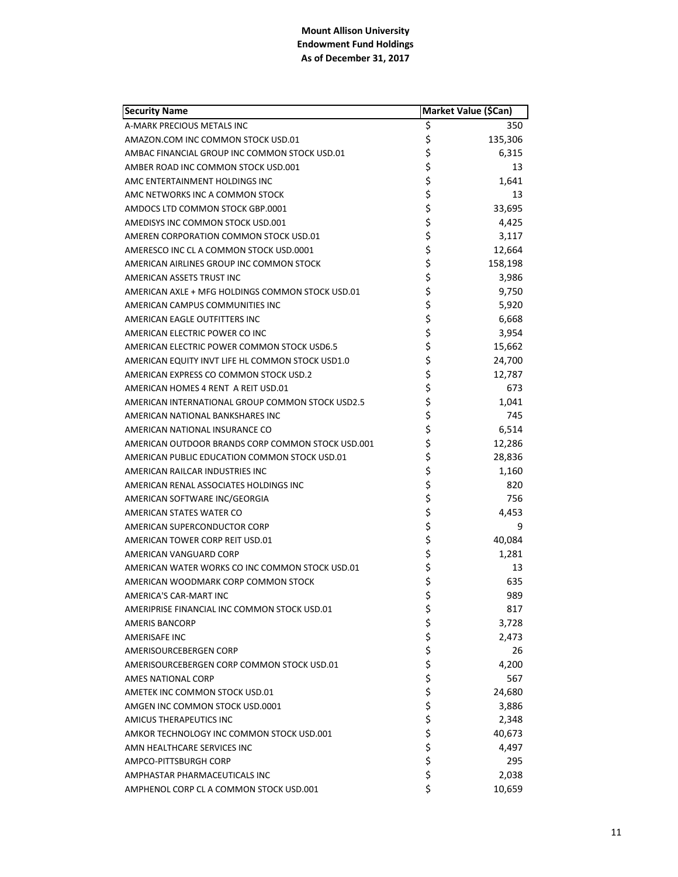| <b>Security Name</b>                              | Market Value (\$Can) |         |
|---------------------------------------------------|----------------------|---------|
| A-MARK PRECIOUS METALS INC                        | \$                   | 350     |
| AMAZON.COM INC COMMON STOCK USD.01                | \$                   | 135,306 |
| AMBAC FINANCIAL GROUP INC COMMON STOCK USD.01     | \$                   | 6,315   |
| AMBER ROAD INC COMMON STOCK USD.001               | \$                   | 13      |
| AMC ENTERTAINMENT HOLDINGS INC                    | \$                   | 1,641   |
| AMC NETWORKS INC A COMMON STOCK                   | \$                   | 13      |
| AMDOCS LTD COMMON STOCK GBP.0001                  | \$                   | 33,695  |
| AMEDISYS INC COMMON STOCK USD.001                 | \$                   | 4,425   |
| AMEREN CORPORATION COMMON STOCK USD.01            | \$                   | 3,117   |
| AMERESCO INC CL A COMMON STOCK USD.0001           | \$                   | 12,664  |
| AMERICAN AIRLINES GROUP INC COMMON STOCK          | \$                   | 158,198 |
| AMERICAN ASSETS TRUST INC                         | \$                   | 3,986   |
| AMERICAN AXLE + MFG HOLDINGS COMMON STOCK USD.01  | \$                   | 9,750   |
| AMERICAN CAMPUS COMMUNITIES INC                   | \$                   | 5,920   |
| AMERICAN EAGLE OUTFITTERS INC                     | \$                   | 6,668   |
| AMERICAN ELECTRIC POWER CO INC                    |                      | 3,954   |
| AMERICAN ELECTRIC POWER COMMON STOCK USD6.5       | \$<br>\$             | 15,662  |
| AMERICAN EQUITY INVT LIFE HL COMMON STOCK USD1.0  | \$                   | 24,700  |
| AMERICAN EXPRESS CO COMMON STOCK USD.2            | \$                   | 12,787  |
| AMERICAN HOMES 4 RENT A REIT USD.01               | \$                   | 673     |
| AMERICAN INTERNATIONAL GROUP COMMON STOCK USD2.5  | \$                   | 1,041   |
| AMERICAN NATIONAL BANKSHARES INC                  | \$                   | 745     |
| AMERICAN NATIONAL INSURANCE CO                    | \$                   | 6,514   |
| AMERICAN OUTDOOR BRANDS CORP COMMON STOCK USD.001 | \$                   | 12,286  |
| AMERICAN PUBLIC EDUCATION COMMON STOCK USD.01     | \$                   | 28,836  |
| AMERICAN RAILCAR INDUSTRIES INC                   | \$                   | 1,160   |
| AMERICAN RENAL ASSOCIATES HOLDINGS INC            | \$                   | 820     |
| AMERICAN SOFTWARE INC/GEORGIA                     | \$                   | 756     |
| AMERICAN STATES WATER CO                          | \$                   | 4,453   |
| AMERICAN SUPERCONDUCTOR CORP                      | \$                   | 9       |
| AMERICAN TOWER CORP REIT USD.01                   | \$                   | 40,084  |
| AMERICAN VANGUARD CORP                            | \$                   | 1,281   |
| AMERICAN WATER WORKS CO INC COMMON STOCK USD.01   | \$                   | 13      |
| AMERICAN WOODMARK CORP COMMON STOCK               | \$                   | 635     |
| AMERICA'S CAR-MART INC                            | \$                   | 989     |
| AMERIPRISE FINANCIAL INC COMMON STOCK USD.01      | \$                   | 817     |
| <b>AMERIS BANCORP</b>                             |                      | 3,728   |
| <b>AMERISAFE INC</b>                              | ちゃややさ                | 2,473   |
| AMERISOURCEBERGEN CORP                            |                      | 26      |
| AMERISOURCEBERGEN CORP COMMON STOCK USD.01        |                      | 4,200   |
| AMES NATIONAL CORP                                |                      | 567     |
| AMETEK INC COMMON STOCK USD.01                    |                      | 24,680  |
| AMGEN INC COMMON STOCK USD.0001                   | \$                   | 3,886   |
| AMICUS THERAPEUTICS INC                           |                      | 2,348   |
| AMKOR TECHNOLOGY INC COMMON STOCK USD.001         | \$\$\$\$             | 40,673  |
| AMN HEALTHCARE SERVICES INC                       |                      | 4,497   |
| AMPCO-PITTSBURGH CORP                             |                      | 295     |
| AMPHASTAR PHARMACEUTICALS INC                     | \$                   | 2,038   |
| AMPHENOL CORP CL A COMMON STOCK USD.001           | \$                   | 10,659  |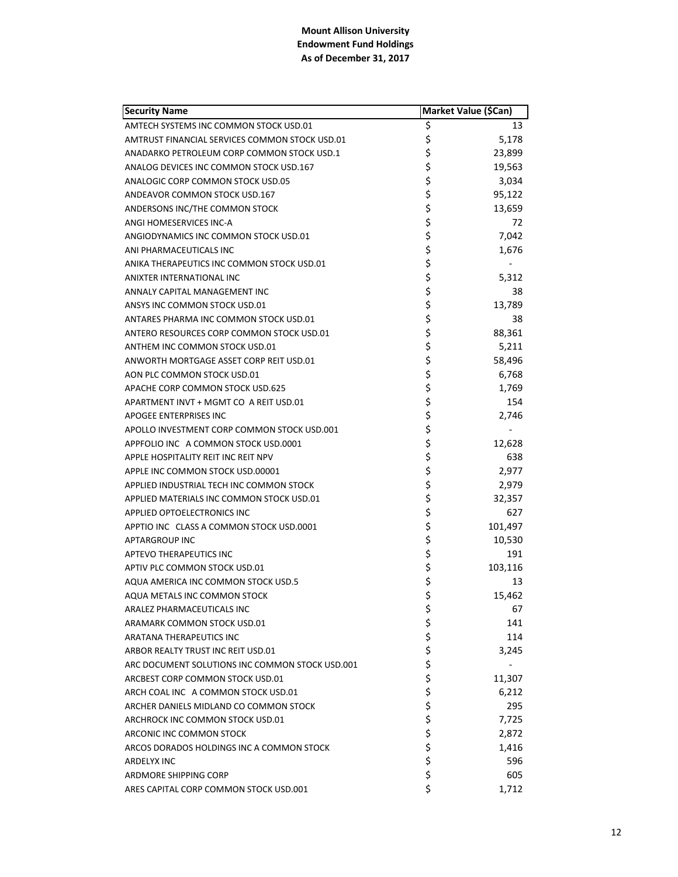| <b>Security Name</b>                            | Market Value (\$Can) |         |
|-------------------------------------------------|----------------------|---------|
| AMTECH SYSTEMS INC COMMON STOCK USD.01          | \$                   | 13      |
| AMTRUST FINANCIAL SERVICES COMMON STOCK USD.01  | \$                   | 5,178   |
| ANADARKO PETROLEUM CORP COMMON STOCK USD.1      | \$                   | 23,899  |
| ANALOG DEVICES INC COMMON STOCK USD.167         | \$                   | 19,563  |
| ANALOGIC CORP COMMON STOCK USD.05               | \$                   | 3,034   |
| ANDEAVOR COMMON STOCK USD.167                   | \$                   | 95,122  |
| ANDERSONS INC/THE COMMON STOCK                  | \$                   | 13,659  |
| ANGI HOMESERVICES INC-A                         | \$                   | 72      |
| ANGIODYNAMICS INC COMMON STOCK USD.01           | \$                   | 7,042   |
| ANI PHARMACEUTICALS INC                         | \$                   | 1,676   |
| ANIKA THERAPEUTICS INC COMMON STOCK USD.01      | \$                   |         |
| ANIXTER INTERNATIONAL INC                       | \$                   | 5,312   |
| ANNALY CAPITAL MANAGEMENT INC                   | \$                   | 38      |
| ANSYS INC COMMON STOCK USD.01                   | \$                   | 13,789  |
| ANTARES PHARMA INC COMMON STOCK USD.01          | \$                   | 38      |
| ANTERO RESOURCES CORP COMMON STOCK USD.01       | \$                   | 88,361  |
| ANTHEM INC COMMON STOCK USD.01                  | \$                   | 5,211   |
| ANWORTH MORTGAGE ASSET CORP REIT USD.01         | \$                   | 58,496  |
| AON PLC COMMON STOCK USD.01                     | \$                   | 6,768   |
| APACHE CORP COMMON STOCK USD.625                | \$                   | 1,769   |
| APARTMENT INVT + MGMT CO A REIT USD.01          | \$                   | 154     |
| <b>APOGEE ENTERPRISES INC</b>                   | \$                   | 2,746   |
| APOLLO INVESTMENT CORP COMMON STOCK USD.001     | \$                   |         |
| APPFOLIO INC A COMMON STOCK USD.0001            | \$                   | 12,628  |
| APPLE HOSPITALITY REIT INC REIT NPV             | \$                   | 638     |
| APPLE INC COMMON STOCK USD.00001                | \$                   | 2,977   |
| APPLIED INDUSTRIAL TECH INC COMMON STOCK        | \$                   | 2,979   |
| APPLIED MATERIALS INC COMMON STOCK USD.01       | \$                   | 32,357  |
| <b>APPLIED OPTOELECTRONICS INC</b>              | \$                   | 627     |
| APPTIO INC CLASS A COMMON STOCK USD.0001        | \$                   | 101,497 |
| <b>APTARGROUP INC</b>                           | \$                   | 10,530  |
| <b>APTEVO THERAPEUTICS INC</b>                  | \$                   | 191     |
| APTIV PLC COMMON STOCK USD.01                   | \$                   | 103,116 |
| AQUA AMERICA INC COMMON STOCK USD.5             | \$                   | 13      |
| AQUA METALS INC COMMON STOCK                    | \$                   | 15,462  |
| ARALEZ PHARMACEUTICALS INC                      | \$                   | 67      |
| ARAMARK COMMON STOCK USD.01                     | \$                   | 141     |
| <b>ARATANA THERAPEUTICS INC</b>                 | \$                   | 114     |
| ARBOR REALTY TRUST INC REIT USD.01              | \$                   | 3,245   |
| ARC DOCUMENT SOLUTIONS INC COMMON STOCK USD.001 | \$                   |         |
| ARCBEST CORP COMMON STOCK USD.01                | \$                   | 11,307  |
| ARCH COAL INC A COMMON STOCK USD.01             | \$                   | 6,212   |
| ARCHER DANIELS MIDLAND CO COMMON STOCK          | \$                   | 295     |
| ARCHROCK INC COMMON STOCK USD.01                | \$                   | 7,725   |
| ARCONIC INC COMMON STOCK                        | \$                   | 2,872   |
| ARCOS DORADOS HOLDINGS INC A COMMON STOCK       | \$                   | 1,416   |
| ARDELYX INC                                     | \$                   | 596     |
| <b>ARDMORE SHIPPING CORP</b>                    | \$                   | 605     |
| ARES CAPITAL CORP COMMON STOCK USD.001          | \$                   | 1,712   |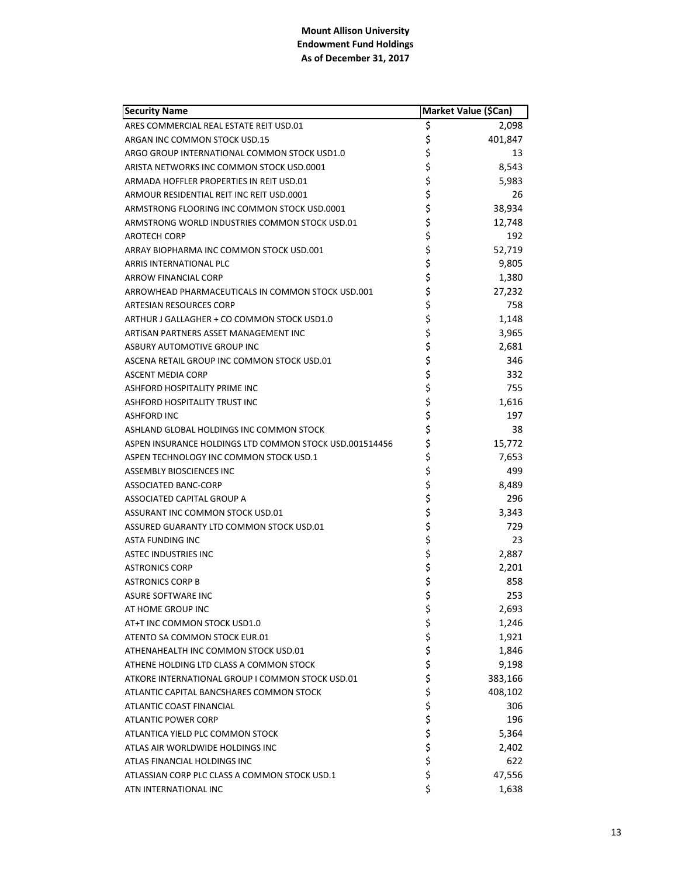| <b>Security Name</b>                                    | Market Value (\$Can) |         |
|---------------------------------------------------------|----------------------|---------|
| ARES COMMERCIAL REAL ESTATE REIT USD.01                 | \$                   | 2,098   |
| ARGAN INC COMMON STOCK USD.15                           | \$                   | 401,847 |
| ARGO GROUP INTERNATIONAL COMMON STOCK USD1.0            | \$                   | 13      |
| ARISTA NETWORKS INC COMMON STOCK USD.0001               | \$                   | 8,543   |
| ARMADA HOFFLER PROPERTIES IN REIT USD.01                | \$                   | 5,983   |
| ARMOUR RESIDENTIAL REIT INC REIT USD.0001               | \$                   | 26      |
| ARMSTRONG FLOORING INC COMMON STOCK USD.0001            | \$                   | 38,934  |
| ARMSTRONG WORLD INDUSTRIES COMMON STOCK USD.01          | \$                   | 12,748  |
| <b>AROTECH CORP</b>                                     | \$                   | 192     |
| ARRAY BIOPHARMA INC COMMON STOCK USD.001                | \$                   | 52,719  |
| ARRIS INTERNATIONAL PLC                                 | \$                   | 9,805   |
| ARROW FINANCIAL CORP                                    | \$                   | 1,380   |
| ARROWHEAD PHARMACEUTICALS IN COMMON STOCK USD.001       | \$                   | 27,232  |
| <b>ARTESIAN RESOURCES CORP</b>                          | \$                   | 758     |
| ARTHUR J GALLAGHER + CO COMMON STOCK USD1.0             | \$                   | 1,148   |
| ARTISAN PARTNERS ASSET MANAGEMENT INC                   | \$                   | 3,965   |
| <b>ASBURY AUTOMOTIVE GROUP INC</b>                      | \$                   | 2,681   |
| ASCENA RETAIL GROUP INC COMMON STOCK USD.01             | \$                   | 346     |
| <b>ASCENT MEDIA CORP</b>                                | \$                   | 332     |
| ASHFORD HOSPITALITY PRIME INC                           | \$                   | 755     |
| ASHFORD HOSPITALITY TRUST INC                           | \$                   | 1,616   |
| <b>ASHFORD INC</b>                                      | \$                   | 197     |
| ASHLAND GLOBAL HOLDINGS INC COMMON STOCK                | \$                   | 38      |
| ASPEN INSURANCE HOLDINGS LTD COMMON STOCK USD.001514456 | \$                   | 15,772  |
| ASPEN TECHNOLOGY INC COMMON STOCK USD.1                 | \$                   | 7,653   |
| <b>ASSEMBLY BIOSCIENCES INC</b>                         | \$                   | 499     |
| <b>ASSOCIATED BANC-CORP</b>                             | \$                   | 8,489   |
| ASSOCIATED CAPITAL GROUP A                              | \$                   | 296     |
| ASSURANT INC COMMON STOCK USD.01                        | \$                   | 3,343   |
| ASSURED GUARANTY LTD COMMON STOCK USD.01                | \$                   | 729     |
| ASTA FUNDING INC                                        | \$                   | 23      |
| <b>ASTEC INDUSTRIES INC</b>                             | \$                   | 2,887   |
| <b>ASTRONICS CORP</b>                                   | \$                   | 2,201   |
| <b>ASTRONICS CORP B</b>                                 | \$                   | 858     |
| ASURE SOFTWARE INC                                      | \$                   | 253     |
| AT HOME GROUP INC                                       | \$                   | 2,693   |
| AT+T INC COMMON STOCK USD1.0                            | \$                   | 1,246   |
| ATENTO SA COMMON STOCK EUR.01                           | \$<br>\$             | 1,921   |
| ATHENAHEALTH INC COMMON STOCK USD.01                    |                      | 1,846   |
| ATHENE HOLDING LTD CLASS A COMMON STOCK                 | \$                   | 9,198   |
| ATKORE INTERNATIONAL GROUP I COMMON STOCK USD.01        | \$                   | 383,166 |
| ATLANTIC CAPITAL BANCSHARES COMMON STOCK                | \$                   | 408,102 |
| ATLANTIC COAST FINANCIAL                                | \$                   | 306     |
| <b>ATLANTIC POWER CORP</b>                              |                      | 196     |
| ATLANTICA YIELD PLC COMMON STOCK                        | \$\$\$               | 5,364   |
| ATLAS AIR WORLDWIDE HOLDINGS INC                        |                      | 2,402   |
| ATLAS FINANCIAL HOLDINGS INC                            | \$                   | 622     |
| ATLASSIAN CORP PLC CLASS A COMMON STOCK USD.1           | \$                   | 47,556  |
| ATN INTERNATIONAL INC                                   | \$                   | 1,638   |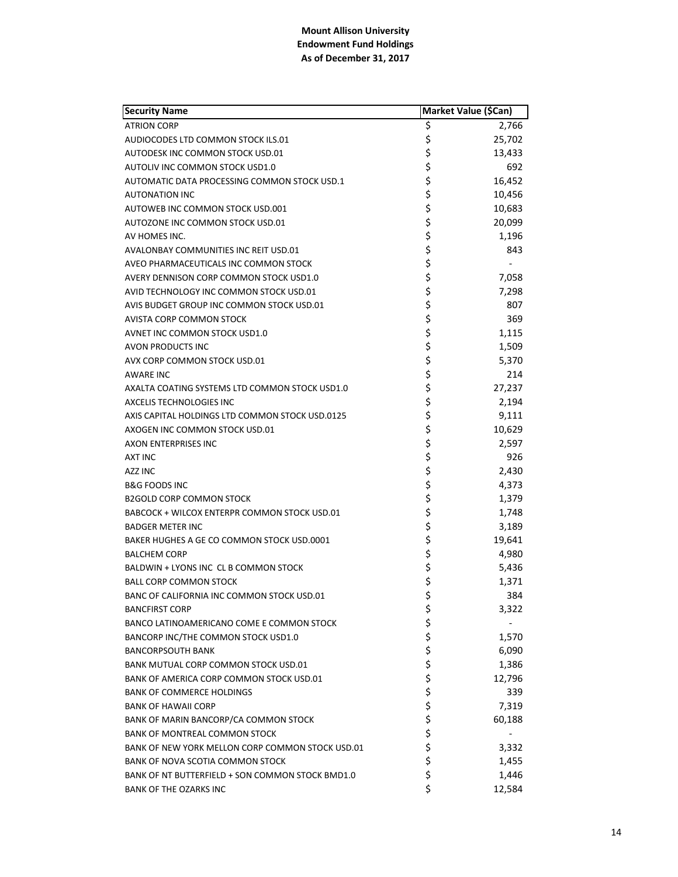| <b>Security Name</b>                             | Market Value (\$Can) |        |
|--------------------------------------------------|----------------------|--------|
| <b>ATRION CORP</b>                               | \$                   | 2,766  |
| AUDIOCODES LTD COMMON STOCK ILS.01               | \$                   | 25,702 |
| AUTODESK INC COMMON STOCK USD.01                 | \$                   | 13,433 |
| AUTOLIV INC COMMON STOCK USD1.0                  | \$                   | 692    |
| AUTOMATIC DATA PROCESSING COMMON STOCK USD.1     | \$                   | 16,452 |
| <b>AUTONATION INC</b>                            | \$                   | 10,456 |
| AUTOWEB INC COMMON STOCK USD.001                 | \$                   | 10,683 |
| AUTOZONE INC COMMON STOCK USD.01                 | \$                   | 20,099 |
| AV HOMES INC.                                    | \$                   | 1,196  |
| AVALONBAY COMMUNITIES INC REIT USD.01            | \$                   | 843    |
| AVEO PHARMACEUTICALS INC COMMON STOCK            | \$                   |        |
| AVERY DENNISON CORP COMMON STOCK USD1.0          |                      | 7,058  |
| AVID TECHNOLOGY INC COMMON STOCK USD.01          | ららら                  | 7,298  |
| AVIS BUDGET GROUP INC COMMON STOCK USD.01        |                      | 807    |
| AVISTA CORP COMMON STOCK                         | \$                   | 369    |
| AVNET INC COMMON STOCK USD1.0                    |                      | 1,115  |
| <b>AVON PRODUCTS INC</b>                         | \$<br>\$             | 1,509  |
| AVX CORP COMMON STOCK USD.01                     | \$                   | 5,370  |
| <b>AWARE INC</b>                                 |                      | 214    |
| AXALTA COATING SYSTEMS LTD COMMON STOCK USD1.0   | \$<br>\$             | 27,237 |
| AXCELIS TECHNOLOGIES INC                         | \$<br>\$             | 2,194  |
| AXIS CAPITAL HOLDINGS LTD COMMON STOCK USD.0125  |                      | 9,111  |
| AXOGEN INC COMMON STOCK USD.01                   | \$                   | 10,629 |
| <b>AXON ENTERPRISES INC</b>                      | \$                   | 2,597  |
| <b>AXT INC</b>                                   | \$                   | 926    |
| AZZ INC                                          | \$                   | 2,430  |
| <b>B&amp;G FOODS INC</b>                         | \$\$\$               | 4,373  |
| <b>B2GOLD CORP COMMON STOCK</b>                  |                      | 1,379  |
| BABCOCK + WILCOX ENTERPR COMMON STOCK USD.01     |                      | 1,748  |
| <b>BADGER METER INC</b>                          | \$                   | 3,189  |
| BAKER HUGHES A GE CO COMMON STOCK USD.0001       | \$                   | 19,641 |
| <b>BALCHEM CORP</b>                              | \$                   | 4,980  |
| BALDWIN + LYONS INC CL B COMMON STOCK            | \$                   | 5,436  |
| <b>BALL CORP COMMON STOCK</b>                    | \$                   | 1,371  |
| BANC OF CALIFORNIA INC COMMON STOCK USD.01       | \$                   | 384    |
| <b>BANCFIRST CORP</b>                            | \$                   | 3,322  |
| BANCO LATINOAMERICANO COME E COMMON STOCK        | \$\$\$               |        |
| BANCORP INC/THE COMMON STOCK USD1.0              |                      | 1,570  |
| <b>BANCORPSOUTH BANK</b>                         |                      | 6,090  |
| BANK MUTUAL CORP COMMON STOCK USD.01             | \$\$\$\$             | 1,386  |
| BANK OF AMERICA CORP COMMON STOCK USD.01         |                      | 12,796 |
| <b>BANK OF COMMERCE HOLDINGS</b>                 |                      | 339    |
| <b>BANK OF HAWAII CORP</b>                       |                      | 7,319  |
| BANK OF MARIN BANCORP/CA COMMON STOCK            | \$<br>\$             | 60,188 |
| <b>BANK OF MONTREAL COMMON STOCK</b>             |                      |        |
| BANK OF NEW YORK MELLON CORP COMMON STOCK USD.01 | \$                   | 3,332  |
| BANK OF NOVA SCOTIA COMMON STOCK                 | \$                   | 1,455  |
| BANK OF NT BUTTERFIELD + SON COMMON STOCK BMD1.0 | \$                   | 1,446  |
| <b>BANK OF THE OZARKS INC</b>                    | \$                   | 12,584 |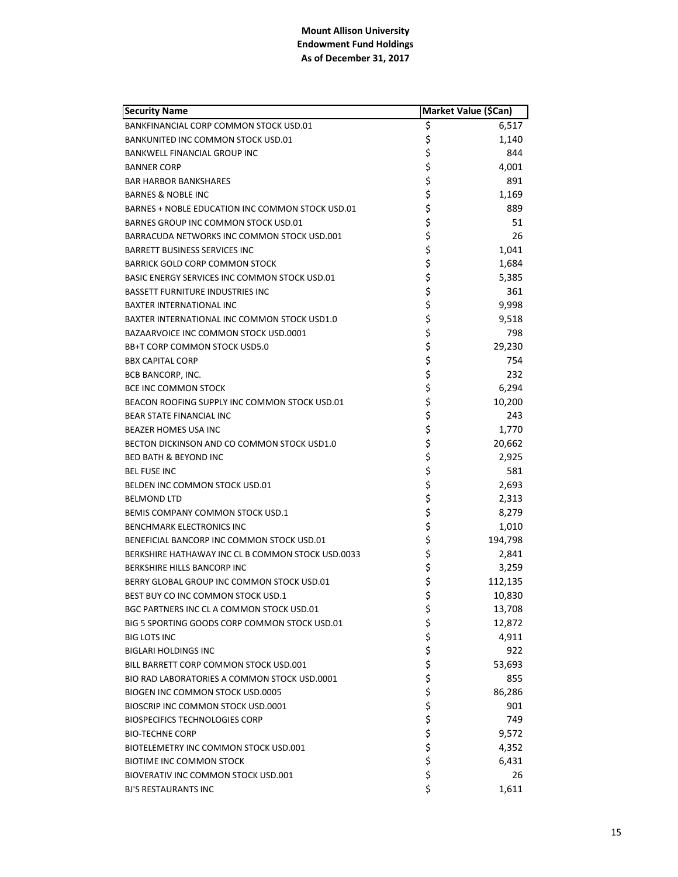| <b>Security Name</b>                              |          | Market Value (\$Can) |
|---------------------------------------------------|----------|----------------------|
| BANKFINANCIAL CORP COMMON STOCK USD.01            | \$       | 6,517                |
| <b>BANKUNITED INC COMMON STOCK USD.01</b>         | \$       | 1,140                |
| BANKWELL FINANCIAL GROUP INC                      | \$       | 844                  |
| <b>BANNER CORP</b>                                | \$       | 4,001                |
| <b>BAR HARBOR BANKSHARES</b>                      | \$       | 891                  |
| <b>BARNES &amp; NOBLE INC</b>                     | \$       | 1,169                |
| BARNES + NOBLE EDUCATION INC COMMON STOCK USD.01  | \$       | 889                  |
| BARNES GROUP INC COMMON STOCK USD.01              | \$       | 51                   |
| BARRACUDA NETWORKS INC COMMON STOCK USD.001       | \$       | 26                   |
| BARRETT BUSINESS SERVICES INC                     | \$       | 1,041                |
| <b>BARRICK GOLD CORP COMMON STOCK</b>             | \$       | 1,684                |
| BASIC ENERGY SERVICES INC COMMON STOCK USD.01     | \$       | 5,385                |
| <b>BASSETT FURNITURE INDUSTRIES INC</b>           | \$       | 361                  |
| <b>BAXTER INTERNATIONAL INC</b>                   | \$       | 9,998                |
| BAXTER INTERNATIONAL INC COMMON STOCK USD1.0      | \$       | 9,518                |
| BAZAARVOICE INC COMMON STOCK USD.0001             | \$       | 798                  |
| BB+T CORP COMMON STOCK USD5.0                     | \$       | 29,230               |
| <b>BBX CAPITAL CORP</b>                           | \$       | 754                  |
| <b>BCB BANCORP, INC.</b>                          | \$       | 232                  |
| BCE INC COMMON STOCK                              | \$       | 6,294                |
| BEACON ROOFING SUPPLY INC COMMON STOCK USD.01     | \$       | 10,200               |
| BEAR STATE FINANCIAL INC                          | \$       | 243                  |
| <b>BEAZER HOMES USA INC</b>                       | \$       | 1,770                |
| BECTON DICKINSON AND CO COMMON STOCK USD1.0       | \$       | 20,662               |
| <b>BED BATH &amp; BEYOND INC</b>                  | \$       | 2,925                |
| <b>BEL FUSE INC</b>                               | \$       | 581                  |
| BELDEN INC COMMON STOCK USD.01                    | \$       | 2,693                |
| <b>BELMOND LTD</b>                                | \$       | 2,313                |
| BEMIS COMPANY COMMON STOCK USD.1                  | \$       | 8,279                |
| <b>BENCHMARK ELECTRONICS INC</b>                  | \$       | 1,010                |
| BENEFICIAL BANCORP INC COMMON STOCK USD.01        | \$       | 194,798              |
| BERKSHIRE HATHAWAY INC CL B COMMON STOCK USD.0033 | \$       | 2,841                |
| <b>BERKSHIRE HILLS BANCORP INC</b>                | \$       | 3,259                |
| BERRY GLOBAL GROUP INC COMMON STOCK USD.01        | \$       | 112,135              |
| BEST BUY CO INC COMMON STOCK USD.1                | \$       | 10,830               |
| BGC PARTNERS INC CL A COMMON STOCK USD.01         | \$       | 13,708               |
| BIG 5 SPORTING GOODS CORP COMMON STOCK USD.01     | \$       | 12,872               |
| <b>BIG LOTS INC</b>                               | \$\$\$\$ | 4,911                |
| <b>BIGLARI HOLDINGS INC</b>                       |          | 922                  |
| BILL BARRETT CORP COMMON STOCK USD.001            |          | 53,693               |
| BIO RAD LABORATORIES A COMMON STOCK USD.0001      |          | 855                  |
| BIOGEN INC COMMON STOCK USD.0005                  | \$       | 86,286               |
| BIOSCRIP INC COMMON STOCK USD.0001                | \$       | 901                  |
| <b>BIOSPECIFICS TECHNOLOGIES CORP</b>             | \$       | 749                  |
| <b>BIO-TECHNE CORP</b>                            | \$       | 9,572                |
| BIOTELEMETRY INC COMMON STOCK USD.001             | \$       | 4,352                |
| BIOTIME INC COMMON STOCK                          | \$       | 6,431                |
| BIOVERATIV INC COMMON STOCK USD.001               | \$       | 26                   |
| <b>BJ'S RESTAURANTS INC</b>                       | \$       | 1,611                |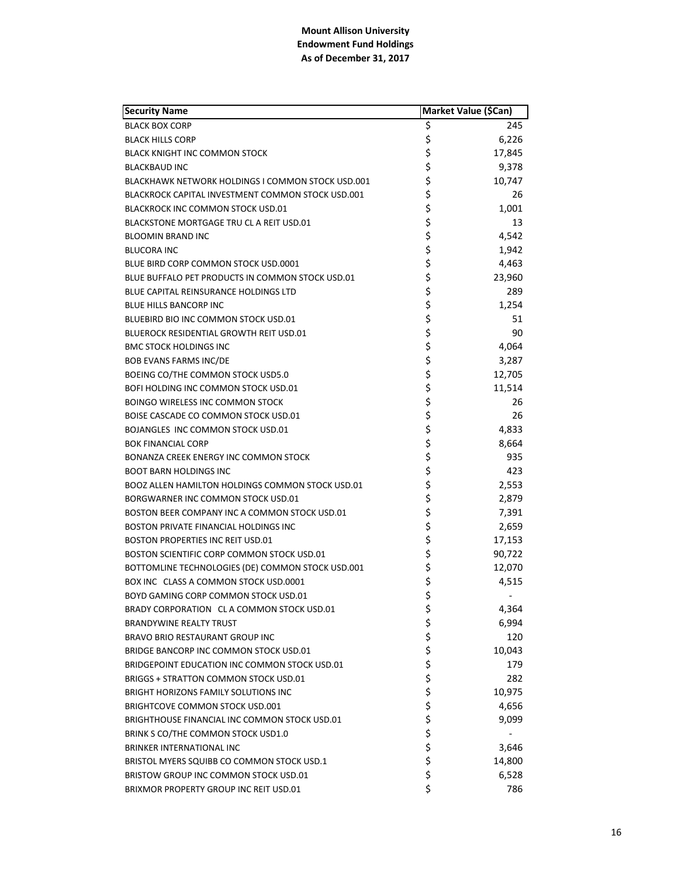| <b>Security Name</b>                              | Market Value (\$Can) |        |
|---------------------------------------------------|----------------------|--------|
| <b>BLACK BOX CORP</b>                             | \$                   | 245    |
| <b>BLACK HILLS CORP</b>                           | \$                   | 6,226  |
| BLACK KNIGHT INC COMMON STOCK                     | \$                   | 17,845 |
| <b>BLACKBAUD INC</b>                              | \$                   | 9,378  |
| BLACKHAWK NETWORK HOLDINGS I COMMON STOCK USD.001 | \$                   | 10,747 |
| BLACKROCK CAPITAL INVESTMENT COMMON STOCK USD.001 | \$                   | 26     |
| BLACKROCK INC COMMON STOCK USD.01                 | \$                   | 1,001  |
| BLACKSTONE MORTGAGE TRU CL A REIT USD.01          | \$                   | 13     |
| <b>BLOOMIN BRAND INC</b>                          | \$                   | 4,542  |
| <b>BLUCORA INC</b>                                | \$                   | 1,942  |
| BLUE BIRD CORP COMMON STOCK USD.0001              | \$                   | 4,463  |
| BLUE BUFFALO PET PRODUCTS IN COMMON STOCK USD.01  | \$<br>\$             | 23,960 |
| BLUE CAPITAL REINSURANCE HOLDINGS LTD             |                      | 289    |
| BLUE HILLS BANCORP INC                            | \$                   | 1,254  |
| BLUEBIRD BIO INC COMMON STOCK USD.01              |                      | 51     |
| BLUEROCK RESIDENTIAL GROWTH REIT USD.01           | \$<br>\$             | 90     |
| <b>BMC STOCK HOLDINGS INC</b>                     | \$                   | 4,064  |
| <b>BOB EVANS FARMS INC/DE</b>                     | \$                   | 3,287  |
| BOEING CO/THE COMMON STOCK USD5.0                 | \$                   | 12,705 |
| BOFI HOLDING INC COMMON STOCK USD.01              | \$                   | 11,514 |
| <b>BOINGO WIRELESS INC COMMON STOCK</b>           | \$                   | 26     |
| BOISE CASCADE CO COMMON STOCK USD.01              | \$                   | 26     |
| BOJANGLES INC COMMON STOCK USD.01                 | \$                   | 4,833  |
| <b>BOK FINANCIAL CORP</b>                         | \$                   | 8,664  |
| BONANZA CREEK ENERGY INC COMMON STOCK             | \$                   | 935    |
| <b>BOOT BARN HOLDINGS INC</b>                     | \$                   | 423    |
| BOOZ ALLEN HAMILTON HOLDINGS COMMON STOCK USD.01  | \$                   | 2,553  |
| BORGWARNER INC COMMON STOCK USD.01                | \$                   | 2,879  |
| BOSTON BEER COMPANY INC A COMMON STOCK USD.01     | \$                   | 7,391  |
| BOSTON PRIVATE FINANCIAL HOLDINGS INC             | \$                   | 2,659  |
| BOSTON PROPERTIES INC REIT USD.01                 | \$                   | 17,153 |
| BOSTON SCIENTIFIC CORP COMMON STOCK USD.01        | \$                   | 90,722 |
| BOTTOMLINE TECHNOLOGIES (DE) COMMON STOCK USD.001 | \$                   | 12,070 |
| BOX INC CLASS A COMMON STOCK USD.0001             | \$                   | 4,515  |
| BOYD GAMING CORP COMMON STOCK USD.01              | \$                   |        |
| BRADY CORPORATION CL A COMMON STOCK USD.01        | \$                   | 4,364  |
| <b>BRANDYWINE REALTY TRUST</b>                    | ちゃくちゃ                | 6,994  |
| BRAVO BRIO RESTAURANT GROUP INC                   |                      | 120    |
| BRIDGE BANCORP INC COMMON STOCK USD.01            |                      | 10,043 |
| BRIDGEPOINT EDUCATION INC COMMON STOCK USD.01     |                      | 179    |
| BRIGGS + STRATTON COMMON STOCK USD.01             |                      | 282    |
| BRIGHT HORIZONS FAMILY SOLUTIONS INC              |                      | 10,975 |
| BRIGHTCOVE COMMON STOCK USD.001                   | \$                   | 4,656  |
| BRIGHTHOUSE FINANCIAL INC COMMON STOCK USD.01     | \$\$\$               | 9,099  |
| BRINK S CO/THE COMMON STOCK USD1.0                |                      |        |
| <b>BRINKER INTERNATIONAL INC</b>                  |                      | 3,646  |
| BRISTOL MYERS SQUIBB CO COMMON STOCK USD.1        | \$                   | 14,800 |
| BRISTOW GROUP INC COMMON STOCK USD.01             | \$                   | 6,528  |
| BRIXMOR PROPERTY GROUP INC REIT USD.01            | \$                   | 786    |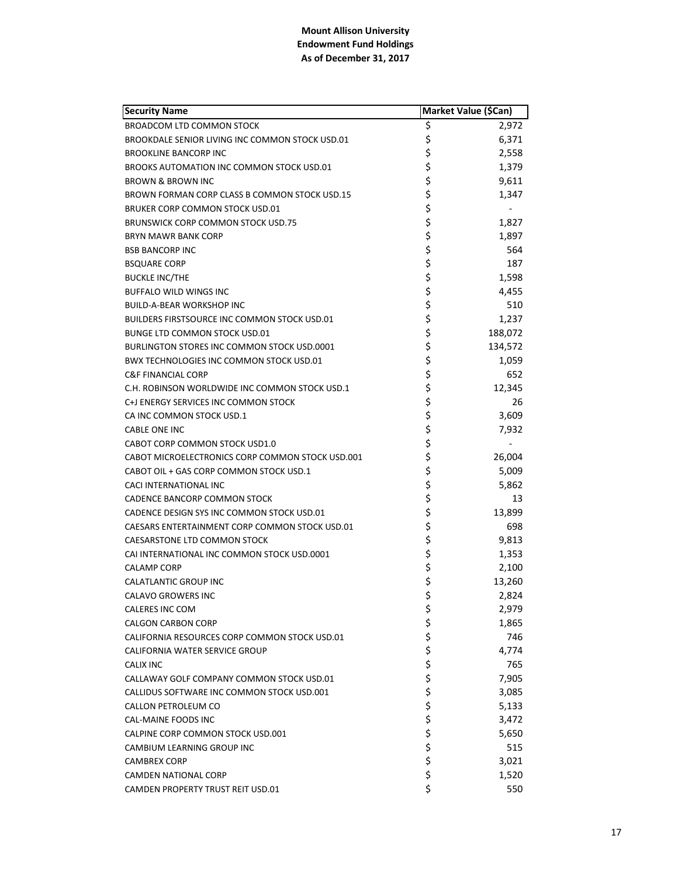| <b>Security Name</b>                             | Market Value (\$Can) |         |
|--------------------------------------------------|----------------------|---------|
| <b>BROADCOM LTD COMMON STOCK</b>                 | \$                   | 2,972   |
| BROOKDALE SENIOR LIVING INC COMMON STOCK USD.01  | \$                   | 6,371   |
| <b>BROOKLINE BANCORP INC</b>                     | \$                   | 2,558   |
| BROOKS AUTOMATION INC COMMON STOCK USD.01        | \$                   | 1,379   |
| <b>BROWN &amp; BROWN INC</b>                     | \$                   | 9,611   |
| BROWN FORMAN CORP CLASS B COMMON STOCK USD.15    | \$                   | 1,347   |
| BRUKER CORP COMMON STOCK USD.01                  | \$                   |         |
| BRUNSWICK CORP COMMON STOCK USD.75               | \$                   | 1,827   |
| <b>BRYN MAWR BANK CORP</b>                       | \$                   | 1,897   |
| <b>BSB BANCORP INC</b>                           | \$                   | 564     |
| <b>BSQUARE CORP</b>                              | \$                   | 187     |
| <b>BUCKLE INC/THE</b>                            | \$                   | 1,598   |
| <b>BUFFALO WILD WINGS INC</b>                    | \$                   | 4,455   |
| <b>BUILD-A-BEAR WORKSHOP INC</b>                 | \$                   | 510     |
| BUILDERS FIRSTSOURCE INC COMMON STOCK USD.01     | \$                   | 1,237   |
| <b>BUNGE LTD COMMON STOCK USD.01</b>             | \$                   | 188,072 |
| BURLINGTON STORES INC COMMON STOCK USD.0001      | \$                   | 134,572 |
| BWX TECHNOLOGIES INC COMMON STOCK USD.01         | \$                   | 1,059   |
| <b>C&amp;F FINANCIAL CORP</b>                    | \$                   | 652     |
| C.H. ROBINSON WORLDWIDE INC COMMON STOCK USD.1   | \$                   | 12,345  |
| C+J ENERGY SERVICES INC COMMON STOCK             | \$                   | 26      |
| CA INC COMMON STOCK USD.1                        | \$                   | 3,609   |
| <b>CABLE ONE INC</b>                             | \$                   | 7,932   |
| CABOT CORP COMMON STOCK USD1.0                   | \$                   |         |
| CABOT MICROELECTRONICS CORP COMMON STOCK USD.001 | \$                   | 26,004  |
| CABOT OIL + GAS CORP COMMON STOCK USD.1          | \$                   | 5,009   |
| CACI INTERNATIONAL INC                           | \$                   | 5,862   |
| <b>CADENCE BANCORP COMMON STOCK</b>              | \$                   | 13      |
| CADENCE DESIGN SYS INC COMMON STOCK USD.01       | \$                   | 13,899  |
| CAESARS ENTERTAINMENT CORP COMMON STOCK USD.01   | \$                   | 698     |
| CAESARSTONE LTD COMMON STOCK                     | \$                   | 9,813   |
| CAI INTERNATIONAL INC COMMON STOCK USD.0001      | \$                   | 1,353   |
| <b>CALAMP CORP</b>                               | \$                   | 2,100   |
| <b>CALATLANTIC GROUP INC</b>                     | \$                   | 13,260  |
| <b>CALAVO GROWERS INC</b>                        | \$                   | 2,824   |
| CALERES INC COM                                  | \$                   | 2,979   |
| <b>CALGON CARBON CORP</b>                        | \$                   | 1,865   |
| CALIFORNIA RESOURCES CORP COMMON STOCK USD.01    | \$<br>\$             | 746     |
| CALIFORNIA WATER SERVICE GROUP                   |                      | 4,774   |
| <b>CALIX INC</b>                                 | \$                   | 765     |
| CALLAWAY GOLF COMPANY COMMON STOCK USD.01        | \$                   | 7,905   |
| CALLIDUS SOFTWARE INC COMMON STOCK USD.001       | \$                   | 3,085   |
| CALLON PETROLEUM CO                              | \$                   | 5,133   |
| CAL-MAINE FOODS INC                              | \$                   | 3,472   |
| CALPINE CORP COMMON STOCK USD.001                | \$                   | 5,650   |
| CAMBIUM LEARNING GROUP INC                       | \$                   | 515     |
| <b>CAMBREX CORP</b>                              | \$                   | 3,021   |
| <b>CAMDEN NATIONAL CORP</b>                      | \$                   | 1,520   |
| CAMDEN PROPERTY TRUST REIT USD.01                | \$                   | 550     |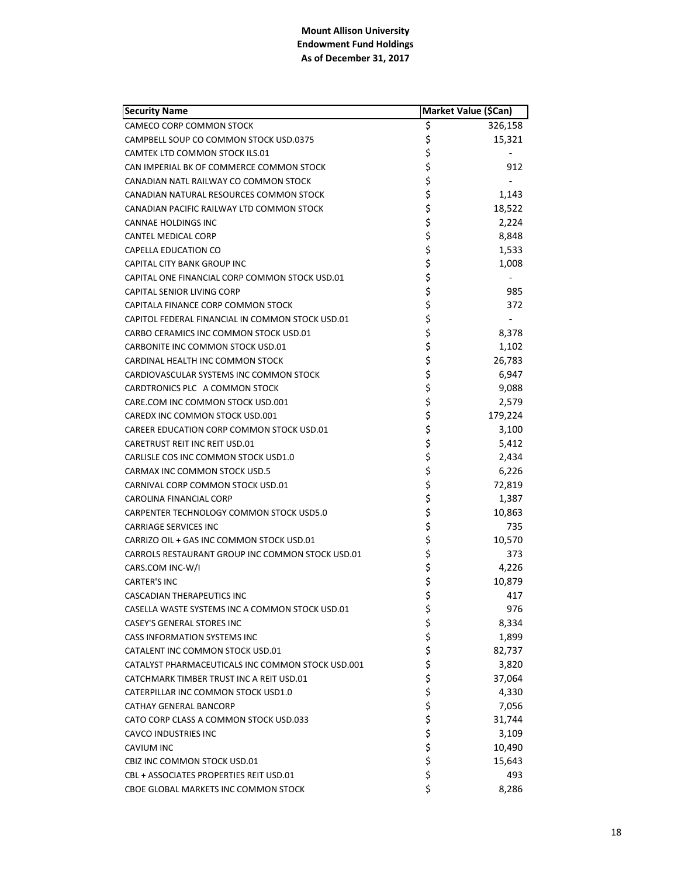| <b>Security Name</b>                              | Market Value (\$Can) |         |
|---------------------------------------------------|----------------------|---------|
| CAMECO CORP COMMON STOCK                          | \$                   | 326,158 |
| CAMPBELL SOUP CO COMMON STOCK USD.0375            | \$                   | 15,321  |
| CAMTEK LTD COMMON STOCK ILS.01                    | \$                   |         |
| CAN IMPERIAL BK OF COMMERCE COMMON STOCK          | \$                   | 912     |
| CANADIAN NATL RAILWAY CO COMMON STOCK             | \$                   |         |
| CANADIAN NATURAL RESOURCES COMMON STOCK           | \$                   | 1,143   |
| CANADIAN PACIFIC RAILWAY LTD COMMON STOCK         | \$                   | 18,522  |
| <b>CANNAE HOLDINGS INC</b>                        | \$                   | 2,224   |
| <b>CANTEL MEDICAL CORP</b>                        | \$                   | 8,848   |
| CAPELLA EDUCATION CO                              | \$                   | 1,533   |
| CAPITAL CITY BANK GROUP INC                       | \$                   | 1,008   |
| CAPITAL ONE FINANCIAL CORP COMMON STOCK USD.01    | \$                   |         |
| CAPITAL SENIOR LIVING CORP                        | \$                   | 985     |
| CAPITALA FINANCE CORP COMMON STOCK                | \$                   | 372     |
| CAPITOL FEDERAL FINANCIAL IN COMMON STOCK USD.01  | \$                   |         |
| CARBO CERAMICS INC COMMON STOCK USD.01            | \$                   | 8,378   |
| CARBONITE INC COMMON STOCK USD.01                 | \$                   | 1,102   |
| CARDINAL HEALTH INC COMMON STOCK                  | \$                   | 26,783  |
| CARDIOVASCULAR SYSTEMS INC COMMON STOCK           | \$                   | 6,947   |
| CARDTRONICS PLC A COMMON STOCK                    | \$                   | 9,088   |
| CARE.COM INC COMMON STOCK USD.001                 | \$                   | 2,579   |
| CAREDX INC COMMON STOCK USD.001                   | \$                   | 179,224 |
| CAREER EDUCATION CORP COMMON STOCK USD.01         | \$                   | 3,100   |
| CARETRUST REIT INC REIT USD.01                    | \$                   | 5,412   |
| CARLISLE COS INC COMMON STOCK USD1.0              | \$                   | 2,434   |
| <b>CARMAX INC COMMON STOCK USD.5</b>              | \$                   | 6,226   |
| CARNIVAL CORP COMMON STOCK USD.01                 | \$                   | 72,819  |
| CAROLINA FINANCIAL CORP                           | \$                   | 1,387   |
| CARPENTER TECHNOLOGY COMMON STOCK USD5.0          | \$                   | 10,863  |
| <b>CARRIAGE SERVICES INC</b>                      | \$                   | 735     |
| CARRIZO OIL + GAS INC COMMON STOCK USD.01         | \$                   | 10,570  |
| CARROLS RESTAURANT GROUP INC COMMON STOCK USD.01  | \$                   | 373     |
| CARS.COM INC-W/I                                  | \$                   | 4,226   |
| <b>CARTER'S INC</b>                               | \$                   | 10,879  |
| CASCADIAN THERAPEUTICS INC                        | \$                   | 417     |
| CASELLA WASTE SYSTEMS INC A COMMON STOCK USD.01   | \$                   | 976     |
| <b>CASEY'S GENERAL STORES INC</b>                 | \$                   | 8,334   |
| <b>CASS INFORMATION SYSTEMS INC</b>               | \$                   | 1,899   |
| CATALENT INC COMMON STOCK USD.01                  | \$                   | 82,737  |
| CATALYST PHARMACEUTICALS INC COMMON STOCK USD.001 | \$                   | 3,820   |
| CATCHMARK TIMBER TRUST INC A REIT USD.01          | \$                   | 37,064  |
| CATERPILLAR INC COMMON STOCK USD1.0               | \$                   | 4,330   |
| CATHAY GENERAL BANCORP                            | \$                   | 7,056   |
| CATO CORP CLASS A COMMON STOCK USD.033            | \$                   | 31,744  |
| <b>CAVCO INDUSTRIES INC</b>                       | \$                   | 3,109   |
| CAVIUM INC                                        | \$                   | 10,490  |
| CBIZ INC COMMON STOCK USD.01                      | \$                   | 15,643  |
| CBL + ASSOCIATES PROPERTIES REIT USD.01           | \$                   | 493     |
| CBOE GLOBAL MARKETS INC COMMON STOCK              | \$                   | 8,286   |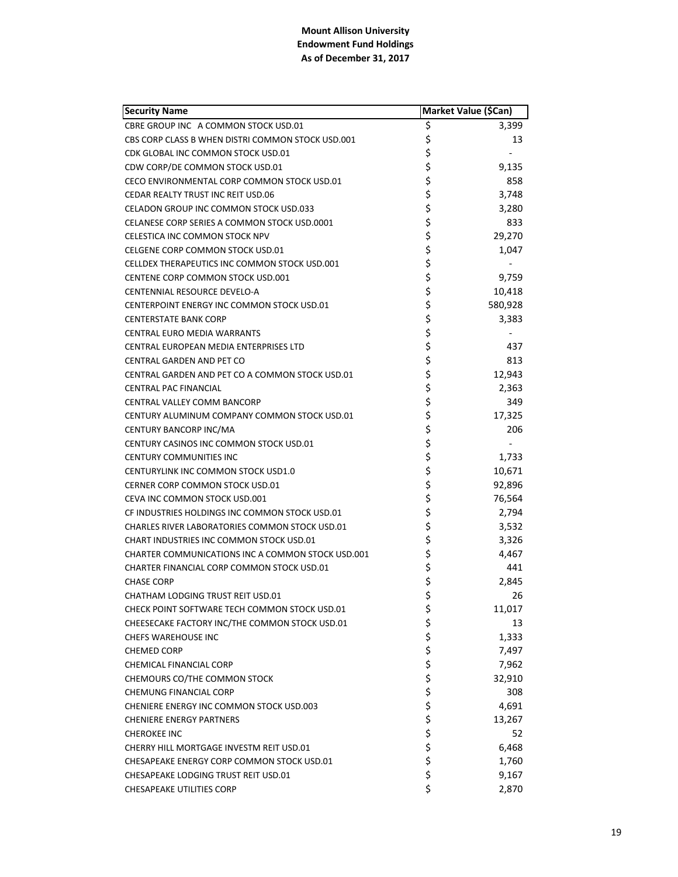| <b>Security Name</b>                                  | Market Value (\$Can) |         |
|-------------------------------------------------------|----------------------|---------|
| CBRE GROUP INC A COMMON STOCK USD.01                  | \$                   | 3,399   |
| CBS CORP CLASS B WHEN DISTRI COMMON STOCK USD.001     | \$                   | 13      |
| CDK GLOBAL INC COMMON STOCK USD.01                    | \$                   |         |
| CDW CORP/DE COMMON STOCK USD.01                       | \$                   | 9,135   |
| CECO ENVIRONMENTAL CORP COMMON STOCK USD.01           | \$                   | 858     |
| <b>CEDAR REALTY TRUST INC REIT USD.06</b>             | \$                   | 3,748   |
| CELADON GROUP INC COMMON STOCK USD.033                | \$                   | 3,280   |
| CELANESE CORP SERIES A COMMON STOCK USD.0001          | \$                   | 833     |
| <b>CELESTICA INC COMMON STOCK NPV</b>                 | \$                   | 29,270  |
| CELGENE CORP COMMON STOCK USD.01                      | \$                   | 1,047   |
| CELLDEX THERAPEUTICS INC COMMON STOCK USD.001         | \$                   |         |
| CENTENE CORP COMMON STOCK USD.001                     | \$                   | 9,759   |
| CENTENNIAL RESOURCE DEVELO-A                          | \$                   | 10,418  |
| CENTERPOINT ENERGY INC COMMON STOCK USD.01            | \$                   | 580,928 |
| <b>CENTERSTATE BANK CORP</b>                          | \$                   | 3,383   |
| CENTRAL EURO MEDIA WARRANTS                           | \$                   |         |
| CENTRAL EUROPEAN MEDIA ENTERPRISES LTD                | \$                   | 437     |
| <b>CENTRAL GARDEN AND PET CO</b>                      | \$                   | 813     |
| CENTRAL GARDEN AND PET CO A COMMON STOCK USD.01       | \$                   | 12,943  |
| CENTRAL PAC FINANCIAL                                 | \$                   | 2,363   |
| CENTRAL VALLEY COMM BANCORP                           | \$                   | 349     |
| CENTURY ALUMINUM COMPANY COMMON STOCK USD.01          | \$                   | 17,325  |
| CENTURY BANCORP INC/MA                                | \$                   | 206     |
| CENTURY CASINOS INC COMMON STOCK USD.01               | \$                   |         |
| <b>CENTURY COMMUNITIES INC</b>                        | \$                   | 1,733   |
| CENTURYLINK INC COMMON STOCK USD1.0                   | \$                   | 10,671  |
| CERNER CORP COMMON STOCK USD.01                       | \$                   | 92,896  |
| CEVA INC COMMON STOCK USD.001                         | \$                   | 76,564  |
| CF INDUSTRIES HOLDINGS INC COMMON STOCK USD.01        | \$                   | 2,794   |
| <b>CHARLES RIVER LABORATORIES COMMON STOCK USD.01</b> | \$                   | 3,532   |
| CHART INDUSTRIES INC COMMON STOCK USD.01              | \$                   | 3,326   |
| CHARTER COMMUNICATIONS INC A COMMON STOCK USD.001     | \$                   | 4,467   |
| CHARTER FINANCIAL CORP COMMON STOCK USD.01            | \$                   | 441     |
| <b>CHASE CORP</b>                                     | \$                   | 2,845   |
| <b>CHATHAM LODGING TRUST REIT USD.01</b>              | \$                   | 26      |
| CHECK POINT SOFTWARE TECH COMMON STOCK USD.01         | \$                   | 11,017  |
| CHEESECAKE FACTORY INC/THE COMMON STOCK USD.01        | \$                   | 13      |
| <b>CHEFS WAREHOUSE INC</b>                            | \$                   | 1,333   |
| <b>CHEMED CORP</b>                                    | \$                   | 7,497   |
| CHEMICAL FINANCIAL CORP                               | \$                   | 7,962   |
| CHEMOURS CO/THE COMMON STOCK                          | \$\$\$               | 32,910  |
| CHEMUNG FINANCIAL CORP                                |                      | 308     |
| CHENIERE ENERGY INC COMMON STOCK USD.003              |                      | 4,691   |
| <b>CHENIERE ENERGY PARTNERS</b>                       |                      | 13,267  |
| <b>CHEROKEE INC</b>                                   |                      | 52      |
| CHERRY HILL MORTGAGE INVESTM REIT USD.01              | \$\$\$\$             | 6,468   |
| CHESAPEAKE ENERGY CORP COMMON STOCK USD.01            |                      | 1,760   |
| CHESAPEAKE LODGING TRUST REIT USD.01                  | \$                   | 9,167   |
| <b>CHESAPEAKE UTILITIES CORP</b>                      | \$                   | 2,870   |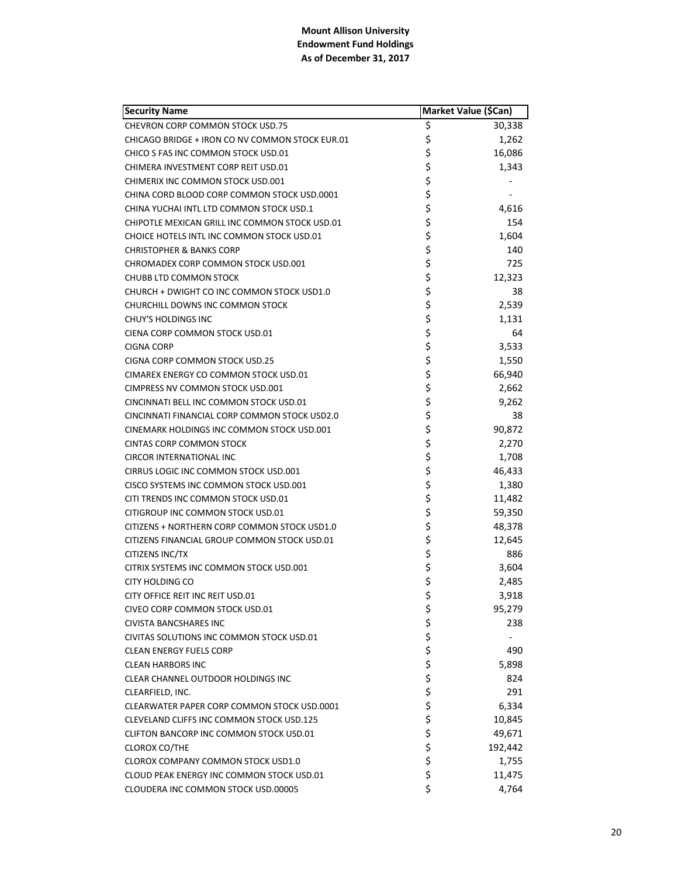| <b>Security Name</b>                            | Market Value (\$Can) |         |
|-------------------------------------------------|----------------------|---------|
| CHEVRON CORP COMMON STOCK USD.75                | \$                   | 30,338  |
| CHICAGO BRIDGE + IRON CO NV COMMON STOCK EUR.01 | \$                   | 1,262   |
| CHICO S FAS INC COMMON STOCK USD.01             | \$                   | 16,086  |
| CHIMERA INVESTMENT CORP REIT USD.01             | \$                   | 1,343   |
| CHIMERIX INC COMMON STOCK USD.001               | \$                   |         |
| CHINA CORD BLOOD CORP COMMON STOCK USD.0001     | \$                   |         |
| CHINA YUCHAI INTL LTD COMMON STOCK USD.1        | \$                   | 4,616   |
| CHIPOTLE MEXICAN GRILL INC COMMON STOCK USD.01  | \$                   | 154     |
| CHOICE HOTELS INTL INC COMMON STOCK USD.01      | \$                   | 1,604   |
| <b>CHRISTOPHER &amp; BANKS CORP</b>             | \$                   | 140     |
| CHROMADEX CORP COMMON STOCK USD.001             | \$                   | 725     |
| <b>CHUBB LTD COMMON STOCK</b>                   | \$                   | 12,323  |
| CHURCH + DWIGHT CO INC COMMON STOCK USD1.0      | \$                   | 38      |
| CHURCHILL DOWNS INC COMMON STOCK                | \$                   | 2,539   |
| <b>CHUY'S HOLDINGS INC</b>                      | \$                   | 1,131   |
| CIENA CORP COMMON STOCK USD.01                  | \$                   | 64      |
| <b>CIGNA CORP</b>                               | \$                   | 3,533   |
| CIGNA CORP COMMON STOCK USD.25                  | \$                   | 1,550   |
| CIMAREX ENERGY CO COMMON STOCK USD.01           | \$                   | 66,940  |
| CIMPRESS NV COMMON STOCK USD.001                | \$                   | 2,662   |
| CINCINNATI BELL INC COMMON STOCK USD.01         | \$                   | 9,262   |
| CINCINNATI FINANCIAL CORP COMMON STOCK USD2.0   | \$                   | 38      |
| CINEMARK HOLDINGS INC COMMON STOCK USD.001      | \$                   | 90,872  |
| <b>CINTAS CORP COMMON STOCK</b>                 | \$                   | 2,270   |
| <b>CIRCOR INTERNATIONAL INC</b>                 | \$                   | 1,708   |
| CIRRUS LOGIC INC COMMON STOCK USD.001           | \$                   | 46,433  |
| CISCO SYSTEMS INC COMMON STOCK USD.001          | \$                   | 1,380   |
| CITI TRENDS INC COMMON STOCK USD.01             | \$                   | 11,482  |
| CITIGROUP INC COMMON STOCK USD.01               | \$                   | 59,350  |
| CITIZENS + NORTHERN CORP COMMON STOCK USD1.0    | \$                   | 48,378  |
| CITIZENS FINANCIAL GROUP COMMON STOCK USD.01    | \$                   | 12,645  |
| CITIZENS INC/TX                                 | \$                   | 886     |
| CITRIX SYSTEMS INC COMMON STOCK USD.001         | \$                   | 3,604   |
| <b>CITY HOLDING CO</b>                          | \$                   | 2,485   |
| <b>CITY OFFICE REIT INC REIT USD.01</b>         | \$                   | 3,918   |
| <b>CIVEO CORP COMMON STOCK USD.01</b>           | \$                   | 95,279  |
| <b>CIVISTA BANCSHARES INC</b>                   |                      | 238     |
| CIVITAS SOLUTIONS INC COMMON STOCK USD.01       | さささささ                |         |
| <b>CLEAN ENERGY FUELS CORP</b>                  |                      | 490     |
| <b>CLEAN HARBORS INC</b>                        |                      | 5,898   |
| CLEAR CHANNEL OUTDOOR HOLDINGS INC              |                      | 824     |
| CLEARFIELD, INC.                                |                      | 291     |
| CLEARWATER PAPER CORP COMMON STOCK USD.0001     |                      | 6,334   |
| CLEVELAND CLIFFS INC COMMON STOCK USD.125       | \$                   | 10,845  |
| CLIFTON BANCORP INC COMMON STOCK USD.01         | \$                   | 49,671  |
| <b>CLOROX CO/THE</b>                            | \$                   | 192,442 |
| CLOROX COMPANY COMMON STOCK USD1.0              | \$                   | 1,755   |
| CLOUD PEAK ENERGY INC COMMON STOCK USD.01       | \$                   | 11,475  |
| CLOUDERA INC COMMON STOCK USD.00005             | \$                   | 4,764   |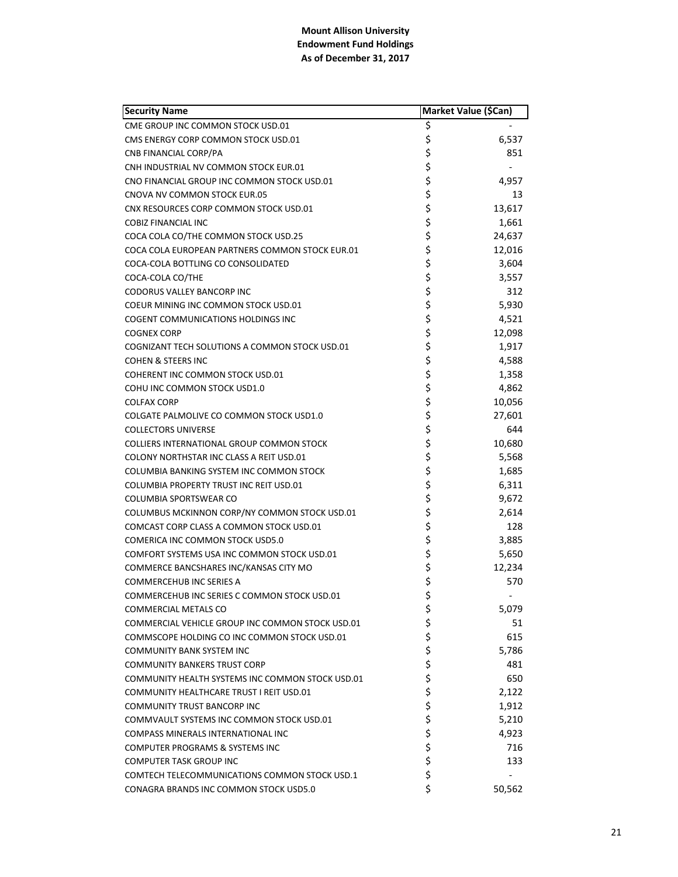| <b>Security Name</b>                             | Market Value (\$Can) |        |
|--------------------------------------------------|----------------------|--------|
| CME GROUP INC COMMON STOCK USD.01                | \$                   |        |
| CMS ENERGY CORP COMMON STOCK USD.01              | \$                   | 6,537  |
| CNB FINANCIAL CORP/PA                            | \$                   | 851    |
| CNH INDUSTRIAL NV COMMON STOCK EUR.01            | \$                   |        |
| CNO FINANCIAL GROUP INC COMMON STOCK USD.01      | \$                   | 4,957  |
| CNOVA NV COMMON STOCK EUR.05                     | \$                   | 13     |
| CNX RESOURCES CORP COMMON STOCK USD.01           | \$                   | 13,617 |
| <b>COBIZ FINANCIAL INC</b>                       | \$                   | 1,661  |
| COCA COLA CO/THE COMMON STOCK USD.25             | \$                   | 24,637 |
| COCA COLA EUROPEAN PARTNERS COMMON STOCK EUR.01  | \$                   | 12,016 |
| COCA-COLA BOTTLING CO CONSOLIDATED               | \$                   | 3,604  |
| COCA-COLA CO/THE                                 | \$                   | 3,557  |
| CODORUS VALLEY BANCORP INC                       | \$                   | 312    |
| COEUR MINING INC COMMON STOCK USD.01             | \$                   | 5,930  |
| COGENT COMMUNICATIONS HOLDINGS INC               | \$                   | 4,521  |
| <b>COGNEX CORP</b>                               | \$                   | 12,098 |
| COGNIZANT TECH SOLUTIONS A COMMON STOCK USD.01   | \$                   | 1,917  |
| <b>COHEN &amp; STEERS INC</b>                    | \$                   | 4,588  |
| COHERENT INC COMMON STOCK USD.01                 | \$                   | 1,358  |
| COHU INC COMMON STOCK USD1.0                     | \$                   | 4,862  |
| <b>COLFAX CORP</b>                               | \$                   | 10,056 |
| COLGATE PALMOLIVE CO COMMON STOCK USD1.0         | \$                   | 27,601 |
| <b>COLLECTORS UNIVERSE</b>                       | \$                   | 644    |
| COLLIERS INTERNATIONAL GROUP COMMON STOCK        | \$                   | 10,680 |
| COLONY NORTHSTAR INC CLASS A REIT USD.01         | \$                   | 5,568  |
| COLUMBIA BANKING SYSTEM INC COMMON STOCK         | \$                   | 1,685  |
| COLUMBIA PROPERTY TRUST INC REIT USD.01          | \$                   | 6,311  |
| <b>COLUMBIA SPORTSWEAR CO</b>                    | \$                   | 9,672  |
| COLUMBUS MCKINNON CORP/NY COMMON STOCK USD.01    | \$                   | 2,614  |
| COMCAST CORP CLASS A COMMON STOCK USD.01         | \$                   | 128    |
| COMERICA INC COMMON STOCK USD5.0                 | \$                   | 3,885  |
| COMFORT SYSTEMS USA INC COMMON STOCK USD.01      | \$                   | 5,650  |
| COMMERCE BANCSHARES INC/KANSAS CITY MO           | \$                   | 12,234 |
| <b>COMMERCEHUB INC SERIES A</b>                  | \$                   | 570    |
| COMMERCEHUB INC SERIES C COMMON STOCK USD.01     | \$                   |        |
| COMMERCIAL METALS CO                             | \$                   | 5,079  |
| COMMERCIAL VEHICLE GROUP INC COMMON STOCK USD.01 | \$                   | 51     |
| COMMSCOPE HOLDING CO INC COMMON STOCK USD.01     | \$                   | 615    |
| <b>COMMUNITY BANK SYSTEM INC</b>                 | \$                   | 5,786  |
| <b>COMMUNITY BANKERS TRUST CORP</b>              | \$                   | 481    |
| COMMUNITY HEALTH SYSTEMS INC COMMON STOCK USD.01 | \$                   | 650    |
| COMMUNITY HEALTHCARE TRUST I REIT USD.01         | \$                   | 2,122  |
| COMMUNITY TRUST BANCORP INC                      | \$                   | 1,912  |
| COMMVAULT SYSTEMS INC COMMON STOCK USD.01        | \$                   | 5,210  |
| COMPASS MINERALS INTERNATIONAL INC               | \$                   | 4,923  |
| <b>COMPUTER PROGRAMS &amp; SYSTEMS INC</b>       | \$                   | 716    |
| <b>COMPUTER TASK GROUP INC</b>                   | \$                   | 133    |
| COMTECH TELECOMMUNICATIONS COMMON STOCK USD.1    | \$                   |        |
| CONAGRA BRANDS INC COMMON STOCK USD5.0           | \$                   | 50,562 |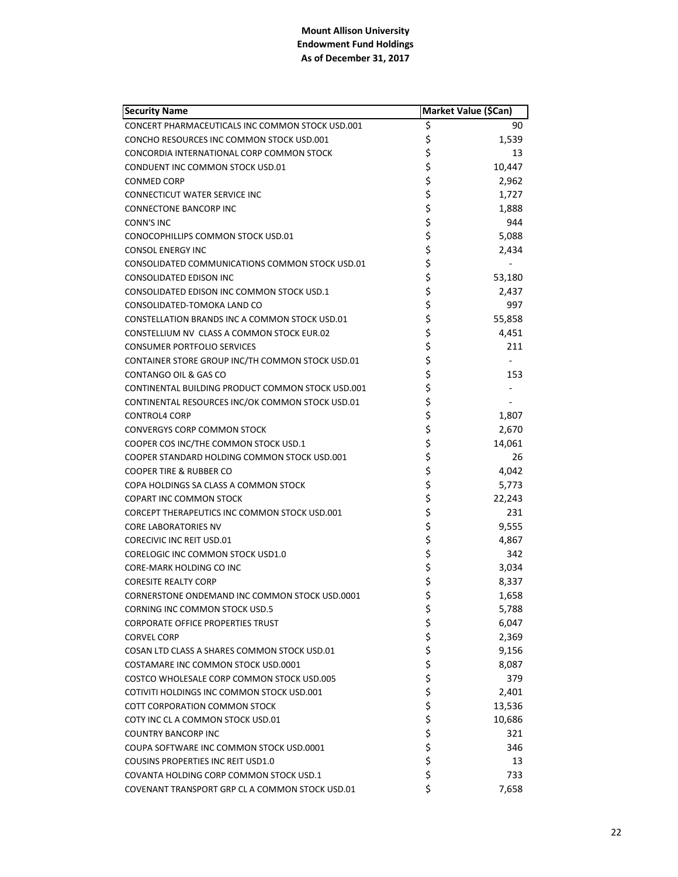| <b>Security Name</b>                              |          | Market Value (\$Can) |
|---------------------------------------------------|----------|----------------------|
| CONCERT PHARMACEUTICALS INC COMMON STOCK USD.001  | \$       | 90                   |
| CONCHO RESOURCES INC COMMON STOCK USD.001         | \$       | 1,539                |
| CONCORDIA INTERNATIONAL CORP COMMON STOCK         | \$       | 13                   |
| CONDUENT INC COMMON STOCK USD.01                  | \$       | 10,447               |
| <b>CONMED CORP</b>                                | \$       | 2,962                |
| CONNECTICUT WATER SERVICE INC                     | \$       | 1,727                |
| <b>CONNECTONE BANCORP INC</b>                     | \$       | 1,888                |
| CONN'S INC                                        | \$       | 944                  |
| CONOCOPHILLIPS COMMON STOCK USD.01                | \$       | 5,088                |
| <b>CONSOL ENERGY INC</b>                          | \$       | 2,434                |
| CONSOLIDATED COMMUNICATIONS COMMON STOCK USD.01   | \$       |                      |
| CONSOLIDATED EDISON INC                           | \$       | 53,180               |
| CONSOLIDATED EDISON INC COMMON STOCK USD.1        | \$       | 2,437                |
| CONSOLIDATED-TOMOKA LAND CO                       | \$       | 997                  |
| CONSTELLATION BRANDS INC A COMMON STOCK USD.01    | \$       | 55,858               |
| CONSTELLIUM NV CLASS A COMMON STOCK EUR.02        | \$       | 4,451                |
| <b>CONSUMER PORTFOLIO SERVICES</b>                | \$       | 211                  |
| CONTAINER STORE GROUP INC/TH COMMON STOCK USD.01  | \$       |                      |
| CONTANGO OIL & GAS CO                             | \$       | 153                  |
| CONTINENTAL BUILDING PRODUCT COMMON STOCK USD.001 | \$       |                      |
| CONTINENTAL RESOURCES INC/OK COMMON STOCK USD.01  | \$       |                      |
| <b>CONTROL4 CORP</b>                              | \$       | 1,807                |
| <b>CONVERGYS CORP COMMON STOCK</b>                | \$       | 2,670                |
| COOPER COS INC/THE COMMON STOCK USD.1             | \$       | 14,061               |
| COOPER STANDARD HOLDING COMMON STOCK USD.001      | \$       | 26                   |
| <b>COOPER TIRE &amp; RUBBER CO</b>                | \$       | 4,042                |
| COPA HOLDINGS SA CLASS A COMMON STOCK             | \$       | 5,773                |
| <b>COPART INC COMMON STOCK</b>                    | \$       | 22,243               |
| CORCEPT THERAPEUTICS INC COMMON STOCK USD.001     | \$       | 231                  |
| <b>CORE LABORATORIES NV</b>                       | \$       | 9,555                |
| <b>CORECIVIC INC REIT USD.01</b>                  | \$       | 4,867                |
| CORELOGIC INC COMMON STOCK USD1.0                 | \$       | 342                  |
| <b>CORE-MARK HOLDING CO INC</b>                   | \$       | 3,034                |
| <b>CORESITE REALTY CORP</b>                       | \$       | 8,337                |
| CORNERSTONE ONDEMAND INC COMMON STOCK USD.0001    | \$       | 1,658                |
| <b>CORNING INC COMMON STOCK USD.5</b>             | \$       | 5,788                |
| <b>CORPORATE OFFICE PROPERTIES TRUST</b>          | \$       | 6,047                |
| <b>CORVEL CORP</b>                                | \$<br>\$ | 2,369                |
| COSAN LTD CLASS A SHARES COMMON STOCK USD.01      |          | 9,156                |
| COSTAMARE INC COMMON STOCK USD.0001               | \$       | 8,087                |
| COSTCO WHOLESALE CORP COMMON STOCK USD.005        | \$       | 379                  |
| COTIVITI HOLDINGS INC COMMON STOCK USD.001        | \$       | 2,401                |
| <b>COTT CORPORATION COMMON STOCK</b>              | \$       | 13,536               |
| COTY INC CL A COMMON STOCK USD.01                 | \$       | 10,686               |
| <b>COUNTRY BANCORP INC</b>                        | \$       | 321                  |
| COUPA SOFTWARE INC COMMON STOCK USD.0001          | \$       | 346                  |
| <b>COUSINS PROPERTIES INC REIT USD1.0</b>         | \$       | 13                   |
| COVANTA HOLDING CORP COMMON STOCK USD.1           | \$       | 733                  |
| COVENANT TRANSPORT GRP CL A COMMON STOCK USD.01   | \$       | 7,658                |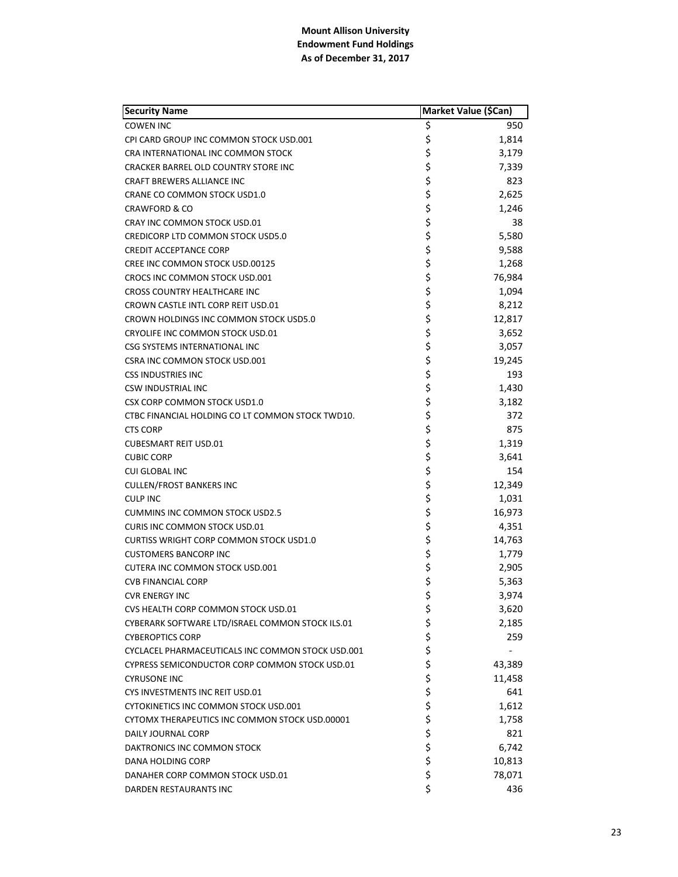| <b>Security Name</b>                              | Market Value (\$Can) |        |
|---------------------------------------------------|----------------------|--------|
| <b>COWEN INC</b>                                  | \$                   | 950    |
| CPI CARD GROUP INC COMMON STOCK USD.001           | \$                   | 1,814  |
| CRA INTERNATIONAL INC COMMON STOCK                | \$                   | 3,179  |
| CRACKER BARREL OLD COUNTRY STORE INC              | \$                   | 7,339  |
| <b>CRAFT BREWERS ALLIANCE INC</b>                 | \$                   | 823    |
| CRANE CO COMMON STOCK USD1.0                      | \$                   | 2,625  |
| <b>CRAWFORD &amp; CO</b>                          | \$                   | 1,246  |
| CRAY INC COMMON STOCK USD.01                      | \$                   | 38     |
| CREDICORP LTD COMMON STOCK USD5.0                 | \$                   | 5,580  |
| <b>CREDIT ACCEPTANCE CORP</b>                     | \$                   | 9,588  |
| CREE INC COMMON STOCK USD.00125                   | \$                   | 1,268  |
| CROCS INC COMMON STOCK USD.001                    | \$                   | 76,984 |
| CROSS COUNTRY HEALTHCARE INC                      | \$                   | 1,094  |
| CROWN CASTLE INTL CORP REIT USD.01                | \$                   | 8,212  |
| CROWN HOLDINGS INC COMMON STOCK USD5.0            | \$                   | 12,817 |
| CRYOLIFE INC COMMON STOCK USD.01                  | \$                   | 3,652  |
| CSG SYSTEMS INTERNATIONAL INC                     | \$                   | 3,057  |
| <b>CSRA INC COMMON STOCK USD.001</b>              | \$                   | 19,245 |
| <b>CSS INDUSTRIES INC</b>                         | \$                   | 193    |
| <b>CSW INDUSTRIAL INC</b>                         | \$                   | 1,430  |
| <b>CSX CORP COMMON STOCK USD1.0</b>               | \$                   | 3,182  |
| CTBC FINANCIAL HOLDING CO LT COMMON STOCK TWD10.  | \$                   | 372    |
| <b>CTS CORP</b>                                   | \$                   | 875    |
| <b>CUBESMART REIT USD.01</b>                      | \$                   | 1,319  |
| <b>CUBIC CORP</b>                                 | \$                   | 3,641  |
| <b>CUI GLOBAL INC</b>                             | \$                   | 154    |
| <b>CULLEN/FROST BANKERS INC</b>                   | \$                   | 12,349 |
| <b>CULP INC</b>                                   | \$                   | 1,031  |
| <b>CUMMINS INC COMMON STOCK USD2.5</b>            | \$                   | 16,973 |
| <b>CURIS INC COMMON STOCK USD.01</b>              | \$                   | 4,351  |
| <b>CURTISS WRIGHT CORP COMMON STOCK USD1.0</b>    | \$                   | 14,763 |
| <b>CUSTOMERS BANCORP INC</b>                      | \$                   | 1,779  |
| <b>CUTERA INC COMMON STOCK USD.001</b>            | \$                   | 2,905  |
| <b>CVB FINANCIAL CORP</b>                         | \$                   | 5,363  |
| <b>CVR ENERGY INC</b>                             | \$                   | 3,974  |
| CVS HEALTH CORP COMMON STOCK USD.01               | \$                   | 3,620  |
| CYBERARK SOFTWARE LTD/ISRAEL COMMON STOCK ILS.01  | \$                   | 2,185  |
| <b>CYBEROPTICS CORP</b>                           | \$                   | 259    |
| CYCLACEL PHARMACEUTICALS INC COMMON STOCK USD.001 | \$                   |        |
| CYPRESS SEMICONDUCTOR CORP COMMON STOCK USD.01    | \$                   | 43,389 |
| <b>CYRUSONE INC</b>                               | \$                   | 11,458 |
| CYS INVESTMENTS INC REIT USD.01                   | \$                   | 641    |
| CYTOKINETICS INC COMMON STOCK USD.001             | \$                   | 1,612  |
| CYTOMX THERAPEUTICS INC COMMON STOCK USD.00001    | \$                   | 1,758  |
| DAILY JOURNAL CORP                                | \$                   | 821    |
| DAKTRONICS INC COMMON STOCK                       | \$                   | 6,742  |
| DANA HOLDING CORP                                 | \$                   | 10,813 |
| DANAHER CORP COMMON STOCK USD.01                  | \$                   | 78,071 |
| DARDEN RESTAURANTS INC                            | \$                   | 436    |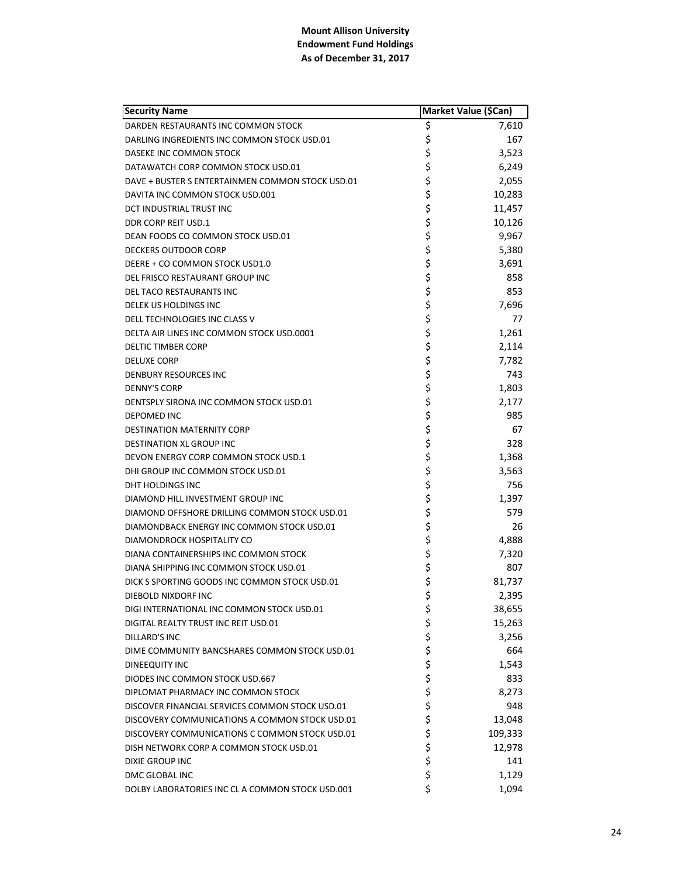| <b>Security Name</b>                             | Market Value (\$Can) |         |
|--------------------------------------------------|----------------------|---------|
| DARDEN RESTAURANTS INC COMMON STOCK              | \$                   | 7,610   |
| DARLING INGREDIENTS INC COMMON STOCK USD.01      | \$                   | 167     |
| DASEKE INC COMMON STOCK                          | \$                   | 3,523   |
| DATAWATCH CORP COMMON STOCK USD.01               | \$                   | 6,249   |
| DAVE + BUSTER S ENTERTAINMEN COMMON STOCK USD.01 | \$                   | 2,055   |
| DAVITA INC COMMON STOCK USD.001                  | \$                   | 10,283  |
| DCT INDUSTRIAL TRUST INC                         | \$                   | 11,457  |
| DDR CORP REIT USD.1                              | \$                   | 10,126  |
| DEAN FOODS CO COMMON STOCK USD.01                | \$                   | 9,967   |
| <b>DECKERS OUTDOOR CORP</b>                      | \$                   | 5,380   |
| DEERE + CO COMMON STOCK USD1.0                   | \$                   | 3,691   |
| DEL FRISCO RESTAURANT GROUP INC                  | \$                   | 858     |
| DEL TACO RESTAURANTS INC                         | \$                   | 853     |
| <b>DELEK US HOLDINGS INC</b>                     | \$                   | 7,696   |
| DELL TECHNOLOGIES INC CLASS V                    | \$                   | 77      |
| DELTA AIR LINES INC COMMON STOCK USD.0001        | \$                   | 1,261   |
| <b>DELTIC TIMBER CORP</b>                        | \$                   | 2,114   |
| <b>DELUXE CORP</b>                               | \$                   | 7,782   |
| DENBURY RESOURCES INC                            |                      | 743     |
| <b>DENNY'S CORP</b>                              | \$<br>\$             | 1,803   |
| DENTSPLY SIRONA INC COMMON STOCK USD.01          | \$                   | 2,177   |
| <b>DEPOMED INC</b>                               | \$                   | 985     |
| <b>DESTINATION MATERNITY CORP</b>                | \$                   | 67      |
| DESTINATION XL GROUP INC                         | \$                   | 328     |
| DEVON ENERGY CORP COMMON STOCK USD.1             | \$                   | 1,368   |
| DHI GROUP INC COMMON STOCK USD.01                | \$                   | 3,563   |
| DHT HOLDINGS INC                                 | \$                   | 756     |
| DIAMOND HILL INVESTMENT GROUP INC                | \$                   | 1,397   |
| DIAMOND OFFSHORE DRILLING COMMON STOCK USD.01    | \$                   | 579     |
| DIAMONDBACK ENERGY INC COMMON STOCK USD.01       | \$                   | 26      |
| DIAMONDROCK HOSPITALITY CO                       | \$                   | 4,888   |
| DIANA CONTAINERSHIPS INC COMMON STOCK            | \$                   | 7,320   |
| DIANA SHIPPING INC COMMON STOCK USD.01           | \$                   | 807     |
| DICK S SPORTING GOODS INC COMMON STOCK USD.01    | \$                   | 81,737  |
| DIEBOLD NIXDORF INC                              | \$                   | 2,395   |
| DIGI INTERNATIONAL INC COMMON STOCK USD.01       | \$                   | 38,655  |
| DIGITAL REALTY TRUST INC REIT USD.01             |                      | 15,263  |
| <b>DILLARD'S INC</b>                             | ややや ややや              | 3,256   |
| DIME COMMUNITY BANCSHARES COMMON STOCK USD.01    |                      | 664     |
| DINEEQUITY INC                                   |                      | 1,543   |
| DIODES INC COMMON STOCK USD.667                  |                      | 833     |
| DIPLOMAT PHARMACY INC COMMON STOCK               |                      | 8,273   |
| DISCOVER FINANCIAL SERVICES COMMON STOCK USD.01  |                      | 948     |
| DISCOVERY COMMUNICATIONS A COMMON STOCK USD.01   | \$<br>\$             | 13,048  |
| DISCOVERY COMMUNICATIONS C COMMON STOCK USD.01   |                      | 109,333 |
| DISH NETWORK CORP A COMMON STOCK USD.01          | \$<br>\$             | 12,978  |
| DIXIE GROUP INC                                  |                      | 141     |
| DMC GLOBAL INC                                   | \$                   | 1,129   |
| DOLBY LABORATORIES INC CL A COMMON STOCK USD.001 | \$                   | 1,094   |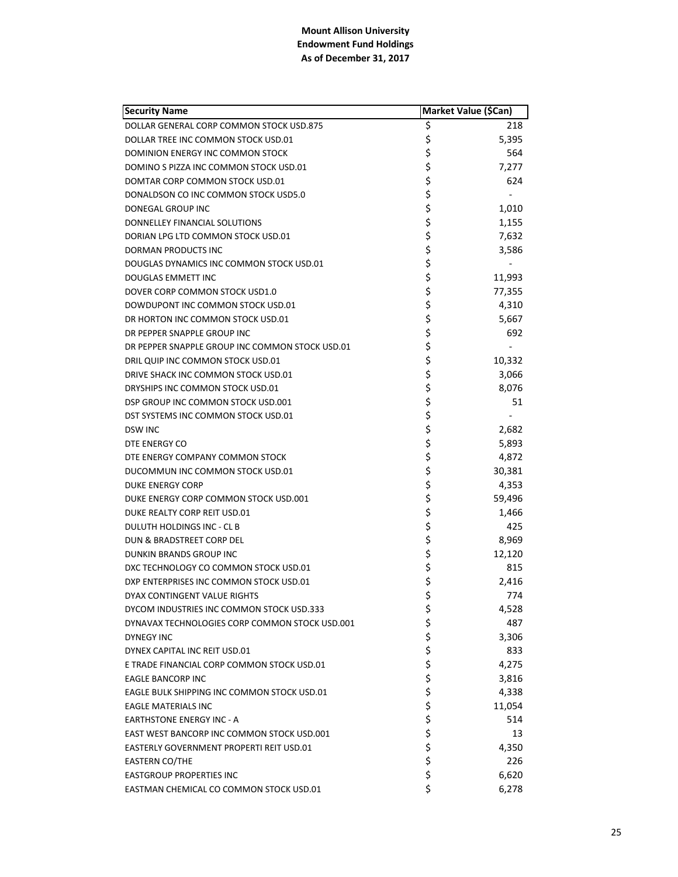| <b>Security Name</b>                            | Market Value (\$Can) |
|-------------------------------------------------|----------------------|
| DOLLAR GENERAL CORP COMMON STOCK USD.875        | \$<br>218            |
| DOLLAR TREE INC COMMON STOCK USD.01             | \$<br>5,395          |
| DOMINION ENERGY INC COMMON STOCK                | \$<br>564            |
| DOMINO S PIZZA INC COMMON STOCK USD.01          | \$<br>7,277          |
| DOMTAR CORP COMMON STOCK USD.01                 | \$<br>624            |
| DONALDSON CO INC COMMON STOCK USD5.0            | \$                   |
| DONEGAL GROUP INC                               | \$<br>1,010          |
| DONNELLEY FINANCIAL SOLUTIONS                   | \$<br>1,155          |
| DORIAN LPG LTD COMMON STOCK USD.01              | \$<br>7,632          |
| DORMAN PRODUCTS INC                             | \$<br>3,586          |
| DOUGLAS DYNAMICS INC COMMON STOCK USD.01        | \$                   |
| <b>DOUGLAS EMMETT INC</b>                       | \$<br>11,993         |
| DOVER CORP COMMON STOCK USD1.0                  | \$<br>77,355         |
| DOWDUPONT INC COMMON STOCK USD.01               | \$<br>4,310          |
| DR HORTON INC COMMON STOCK USD.01               | \$<br>5,667          |
| DR PEPPER SNAPPLE GROUP INC                     | \$<br>692            |
| DR PEPPER SNAPPLE GROUP INC COMMON STOCK USD.01 | \$                   |
| DRIL QUIP INC COMMON STOCK USD.01               | \$<br>10,332         |
| DRIVE SHACK INC COMMON STOCK USD.01             | \$<br>3,066          |
| DRYSHIPS INC COMMON STOCK USD.01                | \$<br>8,076          |
| DSP GROUP INC COMMON STOCK USD.001              | \$<br>51             |
| DST SYSTEMS INC COMMON STOCK USD.01             | \$                   |
| <b>DSW INC</b>                                  | \$<br>2,682          |
| DTE ENERGY CO                                   | \$<br>5,893          |
| DTE ENERGY COMPANY COMMON STOCK                 | \$<br>4,872          |
| DUCOMMUN INC COMMON STOCK USD.01                | \$<br>30,381         |
| DUKE ENERGY CORP                                | \$<br>4,353          |
| DUKE ENERGY CORP COMMON STOCK USD.001           | \$<br>59,496         |
| DUKE REALTY CORP REIT USD.01                    | \$<br>1,466          |
| DULUTH HOLDINGS INC - CL B                      | \$<br>425            |
| DUN & BRADSTREET CORP DEL                       | \$<br>8,969          |
| DUNKIN BRANDS GROUP INC                         | \$<br>12,120         |
| DXC TECHNOLOGY CO COMMON STOCK USD.01           | \$<br>815            |
| DXP ENTERPRISES INC COMMON STOCK USD.01         | \$<br>2,416          |
| DYAX CONTINGENT VALUE RIGHTS                    | \$<br>774            |
| DYCOM INDUSTRIES INC COMMON STOCK USD.333       | \$<br>4,528          |
| DYNAVAX TECHNOLOGIES CORP COMMON STOCK USD.001  | \$<br>487            |
| <b>DYNEGY INC</b>                               | \$<br>3,306          |
| DYNEX CAPITAL INC REIT USD.01                   | \$<br>833            |
| E TRADE FINANCIAL CORP COMMON STOCK USD.01      | \$<br>4,275          |
| <b>EAGLE BANCORP INC</b>                        | \$<br>3,816          |
| EAGLE BULK SHIPPING INC COMMON STOCK USD.01     | \$<br>4,338          |
| <b>EAGLE MATERIALS INC</b>                      | \$<br>11,054         |
| <b>EARTHSTONE ENERGY INC - A</b>                | \$<br>514            |
| EAST WEST BANCORP INC COMMON STOCK USD.001      | \$<br>13             |
| EASTERLY GOVERNMENT PROPERTI REIT USD.01        | \$<br>4,350          |
| <b>EASTERN CO/THE</b>                           | \$<br>226            |
| <b>EASTGROUP PROPERTIES INC</b>                 | \$<br>6,620          |
| EASTMAN CHEMICAL CO COMMON STOCK USD.01         | \$<br>6,278          |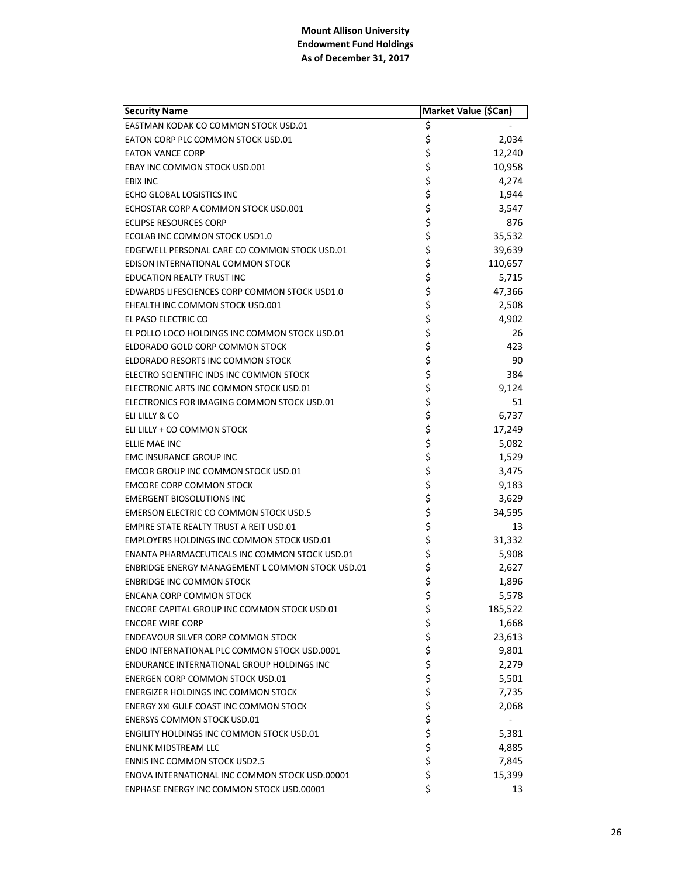| <b>Security Name</b>                                | Market Value (\$Can) |
|-----------------------------------------------------|----------------------|
| EASTMAN KODAK CO COMMON STOCK USD.01                | \$                   |
| EATON CORP PLC COMMON STOCK USD.01                  | \$<br>2,034          |
| <b>EATON VANCE CORP</b>                             | \$<br>12,240         |
| <b>EBAY INC COMMON STOCK USD.001</b>                | \$<br>10,958         |
| <b>EBIX INC</b>                                     | \$<br>4,274          |
| ECHO GLOBAL LOGISTICS INC                           | \$<br>1,944          |
| ECHOSTAR CORP A COMMON STOCK USD.001                | \$<br>3,547          |
| ECLIPSE RESOURCES CORP                              | \$<br>876            |
| ECOLAB INC COMMON STOCK USD1.0                      | \$<br>35,532         |
| EDGEWELL PERSONAL CARE CO COMMON STOCK USD.01       | \$<br>39,639         |
| EDISON INTERNATIONAL COMMON STOCK                   | \$<br>110,657        |
| EDUCATION REALTY TRUST INC                          | \$<br>5,715          |
| EDWARDS LIFESCIENCES CORP COMMON STOCK USD1.0       | \$<br>47,366         |
| EHEALTH INC COMMON STOCK USD.001                    | \$<br>2,508          |
| EL PASO ELECTRIC CO                                 | \$<br>4,902          |
| EL POLLO LOCO HOLDINGS INC COMMON STOCK USD.01      | \$<br>26             |
| ELDORADO GOLD CORP COMMON STOCK                     | \$<br>423            |
| ELDORADO RESORTS INC COMMON STOCK                   | \$<br>90             |
| ELECTRO SCIENTIFIC INDS INC COMMON STOCK            | \$<br>384            |
| ELECTRONIC ARTS INC COMMON STOCK USD.01             | \$<br>9,124          |
| ELECTRONICS FOR IMAGING COMMON STOCK USD.01         | \$<br>51             |
| ELI LILLY & CO                                      | \$<br>6,737          |
| ELI LILLY + CO COMMON STOCK                         | \$<br>17,249         |
| ELLIE MAE INC                                       | \$<br>5,082          |
| EMC INSURANCE GROUP INC                             | \$<br>1,529          |
| <b>EMCOR GROUP INC COMMON STOCK USD.01</b>          | \$<br>3,475          |
| <b>EMCORE CORP COMMON STOCK</b>                     | \$<br>9,183          |
| <b>EMERGENT BIOSOLUTIONS INC</b>                    | \$<br>3,629          |
| <b>EMERSON ELECTRIC CO COMMON STOCK USD.5</b>       | \$<br>34,595         |
| <b>EMPIRE STATE REALTY TRUST A REIT USD.01</b>      | \$<br>13             |
| <b>EMPLOYERS HOLDINGS INC COMMON STOCK USD.01</b>   | \$<br>31,332         |
| ENANTA PHARMACEUTICALS INC COMMON STOCK USD.01      | \$<br>5,908          |
| ENBRIDGE ENERGY MANAGEMENT L COMMON STOCK USD.01    | \$<br>2,627          |
| <b>ENBRIDGE INC COMMON STOCK</b>                    | \$<br>1,896          |
| <b>ENCANA CORP COMMON STOCK</b>                     | \$<br>5,578          |
| <b>ENCORE CAPITAL GROUP INC COMMON STOCK USD.01</b> | \$<br>185,522        |
| <b>ENCORE WIRE CORP</b>                             | \$<br>1,668          |
| <b>ENDEAVOUR SILVER CORP COMMON STOCK</b>           | \$<br>23,613         |
| ENDO INTERNATIONAL PLC COMMON STOCK USD.0001        | \$<br>9,801          |
| ENDURANCE INTERNATIONAL GROUP HOLDINGS INC          | \$<br>2,279          |
| <b>ENERGEN CORP COMMON STOCK USD.01</b>             | \$<br>5,501          |
| <b>ENERGIZER HOLDINGS INC COMMON STOCK</b>          | \$<br>7,735          |
| ENERGY XXI GULF COAST INC COMMON STOCK              | \$<br>2,068          |
| <b>ENERSYS COMMON STOCK USD.01</b>                  | \$                   |
| <b>ENGILITY HOLDINGS INC COMMON STOCK USD.01</b>    | \$<br>5,381          |
| ENLINK MIDSTREAM LLC                                | \$<br>4,885          |
| <b>ENNIS INC COMMON STOCK USD2.5</b>                | \$<br>7,845          |
| ENOVA INTERNATIONAL INC COMMON STOCK USD.00001      | \$<br>15,399         |
| ENPHASE ENERGY INC COMMON STOCK USD.00001           | \$<br>13             |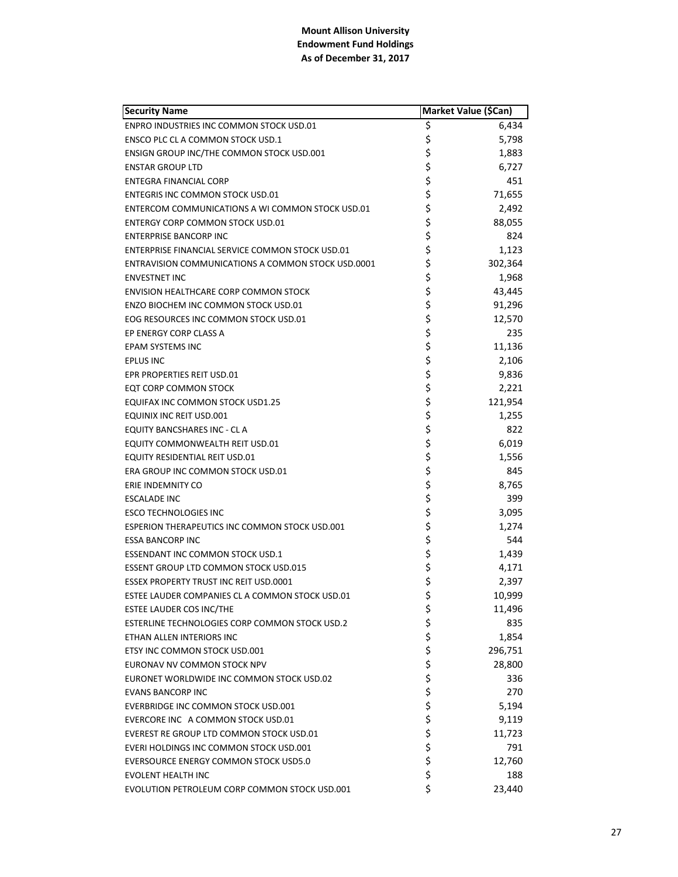| <b>Security Name</b>                               | Market Value (\$Can) |         |
|----------------------------------------------------|----------------------|---------|
| ENPRO INDUSTRIES INC COMMON STOCK USD.01           | \$                   | 6,434   |
| ENSCO PLC CL A COMMON STOCK USD.1                  | \$                   | 5,798   |
| ENSIGN GROUP INC/THE COMMON STOCK USD.001          | \$                   | 1,883   |
| <b>ENSTAR GROUP LTD</b>                            | \$                   | 6,727   |
| <b>ENTEGRA FINANCIAL CORP</b>                      | \$                   | 451     |
| ENTEGRIS INC COMMON STOCK USD.01                   | \$                   | 71,655  |
| ENTERCOM COMMUNICATIONS A WI COMMON STOCK USD.01   | \$                   | 2,492   |
| ENTERGY CORP COMMON STOCK USD.01                   | \$                   | 88,055  |
| <b>ENTERPRISE BANCORP INC</b>                      | \$                   | 824     |
| ENTERPRISE FINANCIAL SERVICE COMMON STOCK USD.01   | \$                   | 1,123   |
| ENTRAVISION COMMUNICATIONS A COMMON STOCK USD.0001 | \$                   | 302,364 |
| <b>ENVESTNET INC</b>                               | \$                   | 1,968   |
| <b>ENVISION HEALTHCARE CORP COMMON STOCK</b>       | \$                   | 43,445  |
| ENZO BIOCHEM INC COMMON STOCK USD.01               | \$                   | 91,296  |
| EOG RESOURCES INC COMMON STOCK USD.01              | \$                   | 12,570  |
| EP ENERGY CORP CLASS A                             | \$                   | 235     |
| EPAM SYSTEMS INC                                   | \$                   | 11,136  |
| <b>EPLUS INC</b>                                   | \$                   | 2,106   |
| EPR PROPERTIES REIT USD.01                         | \$                   | 9,836   |
| EQT CORP COMMON STOCK                              | \$                   | 2,221   |
| EQUIFAX INC COMMON STOCK USD1.25                   | \$                   | 121,954 |
| EQUINIX INC REIT USD.001                           | \$                   | 1,255   |
| EQUITY BANCSHARES INC - CL A                       | \$                   | 822     |
| EQUITY COMMONWEALTH REIT USD.01                    | \$                   | 6,019   |
| EQUITY RESIDENTIAL REIT USD.01                     | \$                   | 1,556   |
| ERA GROUP INC COMMON STOCK USD.01                  | \$                   | 845     |
| ERIE INDEMNITY CO                                  | \$                   | 8,765   |
| <b>ESCALADE INC</b>                                | \$                   | 399     |
| <b>ESCO TECHNOLOGIES INC</b>                       | \$                   | 3,095   |
| ESPERION THERAPEUTICS INC COMMON STOCK USD.001     | \$                   | 1,274   |
| <b>ESSA BANCORP INC</b>                            | \$                   | 544     |
| ESSENDANT INC COMMON STOCK USD.1                   | \$                   | 1,439   |
| <b>ESSENT GROUP LTD COMMON STOCK USD.015</b>       | \$                   | 4,171   |
| <b>ESSEX PROPERTY TRUST INC REIT USD.0001</b>      | \$                   | 2,397   |
| ESTEE LAUDER COMPANIES CL A COMMON STOCK USD.01    | \$                   | 10,999  |
| ESTEE LAUDER COS INC/THE                           | \$                   | 11,496  |
| ESTERLINE TECHNOLOGIES CORP COMMON STOCK USD.2     | \$                   | 835     |
| ETHAN ALLEN INTERIORS INC                          | \$<br>\$             | 1,854   |
| ETSY INC COMMON STOCK USD.001                      |                      | 296,751 |
| EURONAV NV COMMON STOCK NPV                        | \$                   | 28,800  |
| EURONET WORLDWIDE INC COMMON STOCK USD.02          |                      | 336     |
| <b>EVANS BANCORP INC</b>                           |                      | 270     |
| EVERBRIDGE INC COMMON STOCK USD.001                | ちらら                  | 5,194   |
| EVERCORE INC A COMMON STOCK USD.01                 |                      | 9,119   |
| EVEREST RE GROUP LTD COMMON STOCK USD.01           | \$                   | 11,723  |
| EVERI HOLDINGS INC COMMON STOCK USD.001            | \$                   | 791     |
| EVERSOURCE ENERGY COMMON STOCK USD5.0              | \$                   | 12,760  |
| <b>EVOLENT HEALTH INC</b>                          | \$                   | 188     |
| EVOLUTION PETROLEUM CORP COMMON STOCK USD.001      | \$                   | 23,440  |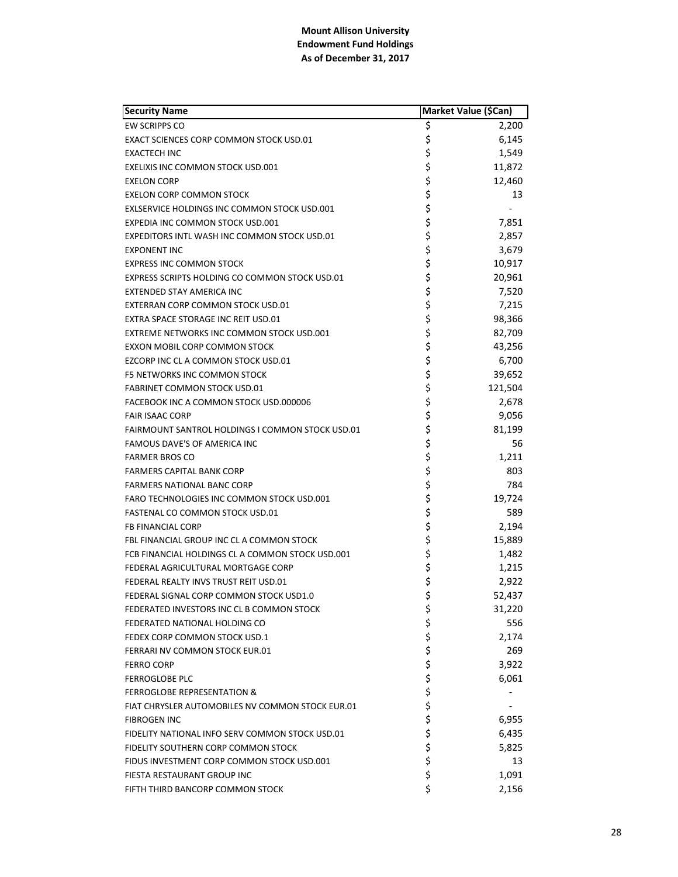| <b>Security Name</b>                                    | Market Value (\$Can) |         |
|---------------------------------------------------------|----------------------|---------|
| <b>EW SCRIPPS CO</b>                                    | \$                   | 2,200   |
| EXACT SCIENCES CORP COMMON STOCK USD.01                 | \$                   | 6,145   |
| <b>EXACTECH INC</b>                                     | \$                   | 1,549   |
| EXELIXIS INC COMMON STOCK USD.001                       | \$                   | 11,872  |
| <b>EXELON CORP</b>                                      | \$                   | 12,460  |
| <b>EXELON CORP COMMON STOCK</b>                         | \$                   | 13      |
| EXLSERVICE HOLDINGS INC COMMON STOCK USD.001            | \$                   |         |
| EXPEDIA INC COMMON STOCK USD.001                        | \$                   | 7,851   |
| EXPEDITORS INTL WASH INC COMMON STOCK USD.01            | \$                   | 2,857   |
| <b>EXPONENT INC</b>                                     | \$                   | 3,679   |
| <b>EXPRESS INC COMMON STOCK</b>                         | \$                   | 10,917  |
| EXPRESS SCRIPTS HOLDING CO COMMON STOCK USD.01          | \$                   | 20,961  |
| EXTENDED STAY AMERICA INC                               | \$                   | 7,520   |
| EXTERRAN CORP COMMON STOCK USD.01                       | \$                   | 7,215   |
| EXTRA SPACE STORAGE INC REIT USD.01                     | \$                   | 98,366  |
| EXTREME NETWORKS INC COMMON STOCK USD.001               | \$                   | 82,709  |
| EXXON MOBIL CORP COMMON STOCK                           | \$                   | 43,256  |
| EZCORP INC CL A COMMON STOCK USD.01                     | \$                   | 6,700   |
| F5 NETWORKS INC COMMON STOCK                            | \$                   | 39,652  |
| <b>FABRINET COMMON STOCK USD.01</b>                     | \$                   | 121,504 |
| FACEBOOK INC A COMMON STOCK USD.000006                  | \$                   | 2,678   |
| <b>FAIR ISAAC CORP</b>                                  | \$                   | 9,056   |
| <b>FAIRMOUNT SANTROL HOLDINGS I COMMON STOCK USD.01</b> | \$                   | 81,199  |
| FAMOUS DAVE'S OF AMERICA INC                            | \$                   | 56      |
| <b>FARMER BROS CO</b>                                   | \$                   | 1,211   |
| FARMERS CAPITAL BANK CORP                               | \$                   | 803     |
| <b>FARMERS NATIONAL BANC CORP</b>                       | \$                   | 784     |
| FARO TECHNOLOGIES INC COMMON STOCK USD.001              | \$                   | 19,724  |
| FASTENAL CO COMMON STOCK USD.01                         | \$                   | 589     |
| FB FINANCIAL CORP                                       | \$                   | 2,194   |
| FBL FINANCIAL GROUP INC CL A COMMON STOCK               | \$                   | 15,889  |
| FCB FINANCIAL HOLDINGS CL A COMMON STOCK USD.001        | \$                   | 1,482   |
| FEDERAL AGRICULTURAL MORTGAGE CORP                      | \$                   | 1,215   |
| FEDERAL REALTY INVS TRUST REIT USD.01                   | \$                   | 2,922   |
| FEDERAL SIGNAL CORP COMMON STOCK USD1.0                 | \$                   | 52,437  |
| FEDERATED INVESTORS INC CL B COMMON STOCK               | \$                   | 31,220  |
| FEDERATED NATIONAL HOLDING CO                           | \$                   | 556     |
| FEDEX CORP COMMON STOCK USD.1                           | \$                   | 2,174   |
| FERRARI NV COMMON STOCK EUR.01                          | \$                   | 269     |
| <b>FERRO CORP</b>                                       | \$                   | 3,922   |
| <b>FERROGLOBE PLC</b>                                   | \$                   | 6,061   |
| <b>FERROGLOBE REPRESENTATION &amp;</b>                  | \$\$\$               |         |
| FIAT CHRYSLER AUTOMOBILES NV COMMON STOCK EUR.01        |                      |         |
| <b>FIBROGEN INC</b>                                     |                      | 6,955   |
| FIDELITY NATIONAL INFO SERV COMMON STOCK USD.01         | \$                   | 6,435   |
| FIDELITY SOUTHERN CORP COMMON STOCK                     | \$                   | 5,825   |
| FIDUS INVESTMENT CORP COMMON STOCK USD.001              | \$                   | 13      |
| FIESTA RESTAURANT GROUP INC                             | \$                   | 1,091   |
| FIFTH THIRD BANCORP COMMON STOCK                        | \$                   | 2,156   |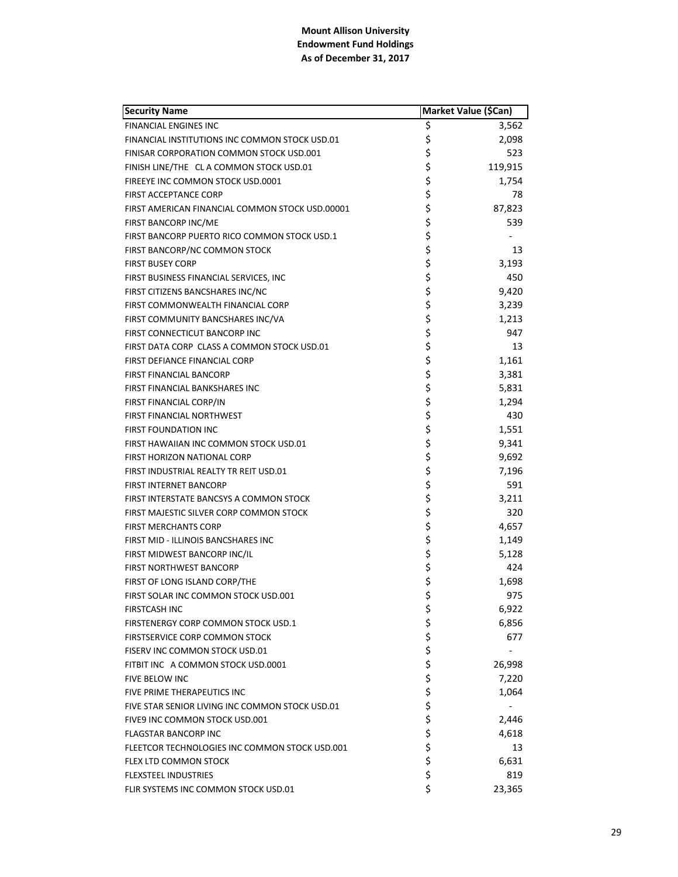| <b>Security Name</b>                            | Market Value (\$Can) |         |
|-------------------------------------------------|----------------------|---------|
| <b>FINANCIAL ENGINES INC</b>                    | \$                   | 3,562   |
| FINANCIAL INSTITUTIONS INC COMMON STOCK USD.01  | \$                   | 2,098   |
| FINISAR CORPORATION COMMON STOCK USD.001        | \$                   | 523     |
| FINISH LINE/THE CL A COMMON STOCK USD.01        | \$                   | 119,915 |
| FIREEYE INC COMMON STOCK USD.0001               | \$                   | 1,754   |
| <b>FIRST ACCEPTANCE CORP</b>                    | \$                   | 78      |
| FIRST AMERICAN FINANCIAL COMMON STOCK USD.00001 | \$                   | 87,823  |
| FIRST BANCORP INC/ME                            | \$                   | 539     |
| FIRST BANCORP PUERTO RICO COMMON STOCK USD.1    | \$                   |         |
| FIRST BANCORP/NC COMMON STOCK                   | \$                   | 13      |
| <b>FIRST BUSEY CORP</b>                         | \$                   | 3,193   |
| FIRST BUSINESS FINANCIAL SERVICES, INC.         | \$                   | 450     |
| FIRST CITIZENS BANCSHARES INC/NC                | \$                   | 9,420   |
| FIRST COMMONWEALTH FINANCIAL CORP               | \$                   | 3,239   |
| FIRST COMMUNITY BANCSHARES INC/VA               | \$                   | 1,213   |
| FIRST CONNECTICUT BANCORP INC                   | \$                   | 947     |
| FIRST DATA CORP CLASS A COMMON STOCK USD.01     | \$                   | 13      |
| FIRST DEFIANCE FINANCIAL CORP                   | \$                   | 1,161   |
| FIRST FINANCIAL BANCORP                         | \$                   | 3,381   |
| FIRST FINANCIAL BANKSHARES INC                  | \$                   | 5,831   |
| FIRST FINANCIAL CORP/IN                         | \$                   | 1,294   |
| <b>FIRST FINANCIAL NORTHWEST</b>                | \$                   | 430     |
| <b>FIRST FOUNDATION INC</b>                     | \$                   | 1,551   |
| FIRST HAWAIIAN INC COMMON STOCK USD.01          | \$                   | 9,341   |
| FIRST HORIZON NATIONAL CORP                     | \$                   | 9,692   |
| FIRST INDUSTRIAL REALTY TR REIT USD.01          | \$                   | 7,196   |
| <b>FIRST INTERNET BANCORP</b>                   | \$                   | 591     |
| FIRST INTERSTATE BANCSYS A COMMON STOCK         | \$                   | 3,211   |
| FIRST MAJESTIC SILVER CORP COMMON STOCK         | \$                   | 320     |
| <b>FIRST MERCHANTS CORP</b>                     | \$                   | 4,657   |
| FIRST MID - ILLINOIS BANCSHARES INC             | \$                   | 1,149   |
| FIRST MIDWEST BANCORP INC/IL                    | \$                   | 5,128   |
| <b>FIRST NORTHWEST BANCORP</b>                  | \$                   | 424     |
| FIRST OF LONG ISLAND CORP/THE                   | \$                   | 1,698   |
| FIRST SOLAR INC COMMON STOCK USD.001            | \$                   | 975     |
| <b>FIRSTCASH INC</b>                            | \$                   | 6,922   |
| FIRSTENERGY CORP COMMON STOCK USD.1             |                      | 6,856   |
| <b>FIRSTSERVICE CORP COMMON STOCK</b>           | \$\$\$               | 677     |
| FISERV INC COMMON STOCK USD.01                  |                      |         |
| FITBIT INC A COMMON STOCK USD.0001              | \$<br>\$             | 26,998  |
| <b>FIVE BELOW INC</b>                           |                      | 7,220   |
| FIVE PRIME THERAPEUTICS INC                     | \$                   | 1,064   |
| FIVE STAR SENIOR LIVING INC COMMON STOCK USD.01 | \$                   |         |
| FIVE9 INC COMMON STOCK USD.001                  | \$                   | 2,446   |
| <b>FLAGSTAR BANCORP INC</b>                     |                      | 4,618   |
| FLEETCOR TECHNOLOGIES INC COMMON STOCK USD.001  | \$\$\$               | 13      |
| FLEX LTD COMMON STOCK                           |                      | 6,631   |
| <b>FLEXSTEEL INDUSTRIES</b>                     | \$                   | 819     |
| FLIR SYSTEMS INC COMMON STOCK USD.01            | \$                   | 23,365  |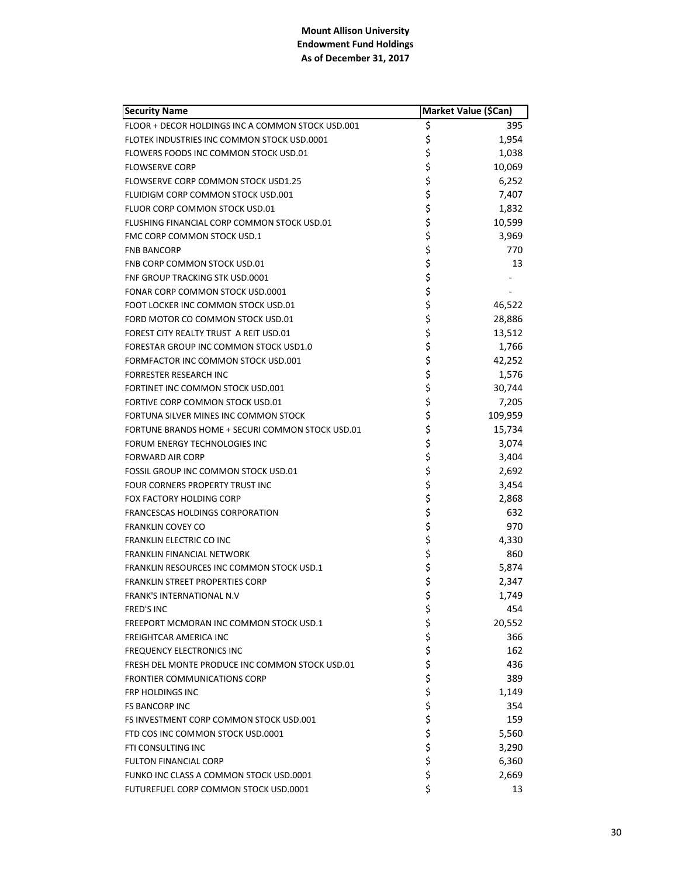| <b>Security Name</b>                              |          | Market Value (\$Can) |
|---------------------------------------------------|----------|----------------------|
| FLOOR + DECOR HOLDINGS INC A COMMON STOCK USD.001 | \$       | 395                  |
| FLOTEK INDUSTRIES INC COMMON STOCK USD.0001       | \$       | 1,954                |
| FLOWERS FOODS INC COMMON STOCK USD.01             | \$       | 1,038                |
| <b>FLOWSERVE CORP</b>                             | \$       | 10,069               |
| FLOWSERVE CORP COMMON STOCK USD1.25               | \$       | 6,252                |
| FLUIDIGM CORP COMMON STOCK USD.001                | \$       | 7,407                |
| FLUOR CORP COMMON STOCK USD.01                    | \$       | 1,832                |
| FLUSHING FINANCIAL CORP COMMON STOCK USD.01       | \$       | 10,599               |
| FMC CORP COMMON STOCK USD.1                       | \$       | 3,969                |
| <b>FNB BANCORP</b>                                | \$       | 770                  |
| FNB CORP COMMON STOCK USD.01                      | \$       | 13                   |
| FNF GROUP TRACKING STK USD.0001                   | \$       |                      |
| FONAR CORP COMMON STOCK USD.0001                  | \$       |                      |
| FOOT LOCKER INC COMMON STOCK USD.01               | \$       | 46,522               |
| FORD MOTOR CO COMMON STOCK USD.01                 | \$       | 28,886               |
| FOREST CITY REALTY TRUST A REIT USD.01            | \$       | 13,512               |
| FORESTAR GROUP INC COMMON STOCK USD1.0            | \$       | 1,766                |
| FORMFACTOR INC COMMON STOCK USD.001               | \$       | 42,252               |
| <b>FORRESTER RESEARCH INC</b>                     | \$       | 1,576                |
| FORTINET INC COMMON STOCK USD.001                 | \$       | 30,744               |
| FORTIVE CORP COMMON STOCK USD.01                  | \$       | 7,205                |
| FORTUNA SILVER MINES INC COMMON STOCK             | \$       | 109,959              |
| FORTUNE BRANDS HOME + SECURI COMMON STOCK USD.01  | \$       | 15,734               |
| FORUM ENERGY TECHNOLOGIES INC                     | \$       | 3,074                |
| <b>FORWARD AIR CORP</b>                           | \$       | 3,404                |
| FOSSIL GROUP INC COMMON STOCK USD.01              | \$       | 2,692                |
| FOUR CORNERS PROPERTY TRUST INC                   | \$       | 3,454                |
| FOX FACTORY HOLDING CORP                          | \$       | 2,868                |
| FRANCESCAS HOLDINGS CORPORATION                   | \$       | 632                  |
| <b>FRANKLIN COVEY CO</b>                          | \$       | 970                  |
| FRANKLIN ELECTRIC CO INC                          | \$       | 4,330                |
| FRANKLIN FINANCIAL NETWORK                        | \$       | 860                  |
| FRANKLIN RESOURCES INC COMMON STOCK USD.1         | \$       | 5,874                |
| <b>FRANKLIN STREET PROPERTIES CORP</b>            | \$       | 2,347                |
| <b>FRANK'S INTERNATIONAL N.V</b>                  | \$       | 1,749                |
| <b>FRED'S INC</b>                                 | \$       | 454                  |
| FREEPORT MCMORAN INC COMMON STOCK USD.1           | \$       | 20,552               |
| <b>FREIGHTCAR AMERICA INC</b>                     |          | 366                  |
| <b>FREQUENCY ELECTRONICS INC</b>                  |          | 162                  |
| FRESH DEL MONTE PRODUCE INC COMMON STOCK USD.01   | \$\$\$\$ | 436                  |
| <b>FRONTIER COMMUNICATIONS CORP</b>               |          | 389                  |
| <b>FRP HOLDINGS INC</b>                           | \$<br>\$ | 1,149                |
| <b>FS BANCORP INC</b>                             |          | 354                  |
| FS INVESTMENT CORP COMMON STOCK USD.001           | \$       | 159                  |
| FTD COS INC COMMON STOCK USD.0001                 | \$       | 5,560                |
| FTI CONSULTING INC                                | \$       | 3,290                |
| <b>FULTON FINANCIAL CORP</b>                      | \$       | 6,360                |
| FUNKO INC CLASS A COMMON STOCK USD.0001           | \$       | 2,669                |
| FUTUREFUEL CORP COMMON STOCK USD.0001             | \$       | 13                   |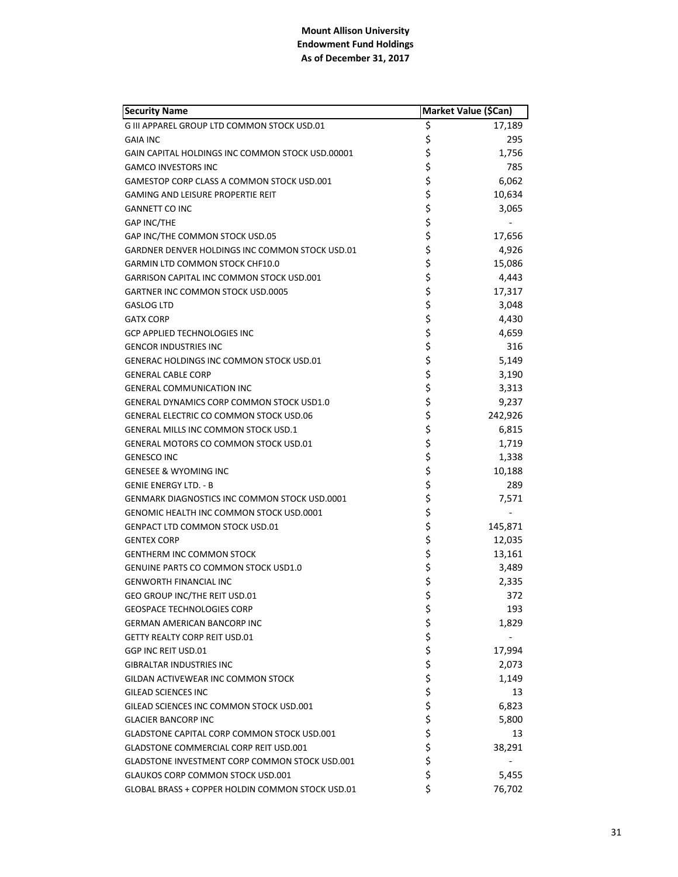| <b>Security Name</b>                                 | Market Value (\$Can) |         |
|------------------------------------------------------|----------------------|---------|
| G III APPAREL GROUP LTD COMMON STOCK USD.01          | \$                   | 17,189  |
| GAIA INC                                             | \$                   | 295     |
| GAIN CAPITAL HOLDINGS INC COMMON STOCK USD.00001     | \$                   | 1,756   |
| <b>GAMCO INVESTORS INC</b>                           | \$                   | 785     |
| GAMESTOP CORP CLASS A COMMON STOCK USD.001           | \$                   | 6,062   |
| <b>GAMING AND LEISURE PROPERTIE REIT</b>             | \$                   | 10,634  |
| <b>GANNETT CO INC</b>                                | \$                   | 3,065   |
| <b>GAP INC/THE</b>                                   | \$                   |         |
| GAP INC/THE COMMON STOCK USD.05                      | \$                   | 17,656  |
| GARDNER DENVER HOLDINGS INC COMMON STOCK USD.01      | \$                   | 4,926   |
| GARMIN LTD COMMON STOCK CHF10.0                      | \$                   | 15,086  |
| GARRISON CAPITAL INC COMMON STOCK USD.001            | \$                   | 4,443   |
| GARTNER INC COMMON STOCK USD.0005                    | \$                   | 17,317  |
| <b>GASLOG LTD</b>                                    | \$                   | 3,048   |
| <b>GATX CORP</b>                                     | \$                   | 4,430   |
| <b>GCP APPLIED TECHNOLOGIES INC</b>                  | \$                   | 4,659   |
| <b>GENCOR INDUSTRIES INC</b>                         | \$                   | 316     |
| <b>GENERAC HOLDINGS INC COMMON STOCK USD.01</b>      | \$                   | 5,149   |
| <b>GENERAL CABLE CORP</b>                            | \$                   | 3,190   |
| <b>GENERAL COMMUNICATION INC</b>                     | \$                   | 3,313   |
| <b>GENERAL DYNAMICS CORP COMMON STOCK USD1.0</b>     | \$                   | 9,237   |
| <b>GENERAL ELECTRIC CO COMMON STOCK USD.06</b>       | \$                   | 242,926 |
| GENERAL MILLS INC COMMON STOCK USD.1                 | \$                   | 6,815   |
| GENERAL MOTORS CO COMMON STOCK USD.01                | \$                   | 1,719   |
| <b>GENESCO INC</b>                                   | \$                   | 1,338   |
| <b>GENESEE &amp; WYOMING INC</b>                     | \$                   | 10,188  |
| GENIE ENERGY LTD. - B                                | \$                   | 289     |
| <b>GENMARK DIAGNOSTICS INC COMMON STOCK USD.0001</b> | \$                   | 7,571   |
| GENOMIC HEALTH INC COMMON STOCK USD.0001             | \$                   |         |
| <b>GENPACT LTD COMMON STOCK USD.01</b>               | \$                   | 145,871 |
| <b>GENTEX CORP</b>                                   | \$                   | 12,035  |
| <b>GENTHERM INC COMMON STOCK</b>                     | \$                   | 13,161  |
| <b>GENUINE PARTS CO COMMON STOCK USD1.0</b>          | \$                   | 3,489   |
| <b>GENWORTH FINANCIAL INC</b>                        | \$                   | 2,335   |
| GEO GROUP INC/THE REIT USD.01                        | \$                   | 372     |
| <b>GEOSPACE TECHNOLOGIES CORP</b>                    | \$                   | 193     |
| <b>GERMAN AMERICAN BANCORP INC</b>                   | \$                   | 1,829   |
| <b>GETTY REALTY CORP REIT USD.01</b>                 | \$<br>\$             |         |
| GGP INC REIT USD.01                                  |                      | 17,994  |
| <b>GIBRALTAR INDUSTRIES INC</b>                      | \$                   | 2,073   |
| GILDAN ACTIVEWEAR INC COMMON STOCK                   |                      | 1,149   |
| <b>GILEAD SCIENCES INC</b>                           | \$<br>\$             | 13      |
| GILEAD SCIENCES INC COMMON STOCK USD.001             | \$                   | 6,823   |
| <b>GLACIER BANCORP INC</b>                           |                      | 5,800   |
| GLADSTONE CAPITAL CORP COMMON STOCK USD.001          | \$<br>\$             | 13      |
| GLADSTONE COMMERCIAL CORP REIT USD.001               | \$                   | 38,291  |
| GLADSTONE INVESTMENT CORP COMMON STOCK USD.001       | \$                   |         |
| <b>GLAUKOS CORP COMMON STOCK USD.001</b>             | \$                   | 5,455   |
| GLOBAL BRASS + COPPER HOLDIN COMMON STOCK USD.01     | \$                   | 76,702  |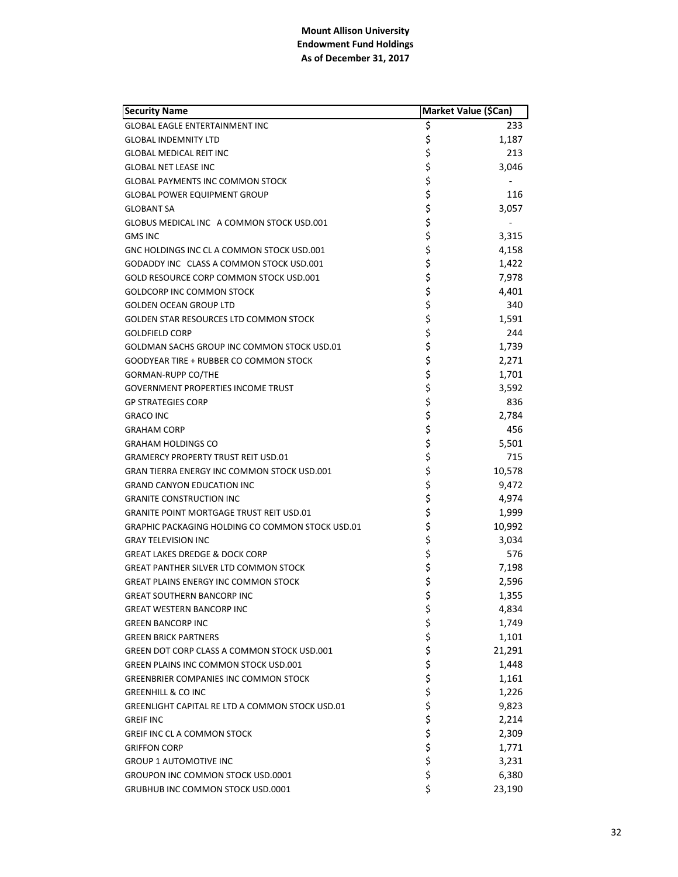| <b>Security Name</b>                                    | Market Value (\$Can) |        |
|---------------------------------------------------------|----------------------|--------|
| <b>GLOBAL EAGLE ENTERTAINMENT INC</b>                   | \$                   | 233    |
| <b>GLOBAL INDEMNITY LTD</b>                             | \$                   | 1,187  |
| <b>GLOBAL MEDICAL REIT INC</b>                          | \$                   | 213    |
| <b>GLOBAL NET LEASE INC</b>                             | \$                   | 3,046  |
| <b>GLOBAL PAYMENTS INC COMMON STOCK</b>                 | \$                   |        |
| <b>GLOBAL POWER EQUIPMENT GROUP</b>                     | \$                   | 116    |
| <b>GLOBANT SA</b>                                       | \$                   | 3,057  |
| GLOBUS MEDICAL INC A COMMON STOCK USD.001               | \$                   |        |
| <b>GMS INC</b>                                          | \$                   | 3,315  |
| GNC HOLDINGS INC CL A COMMON STOCK USD.001              | \$                   | 4,158  |
| GODADDY INC CLASS A COMMON STOCK USD.001                | \$                   | 1,422  |
| GOLD RESOURCE CORP COMMON STOCK USD.001                 | \$                   | 7,978  |
| <b>GOLDCORP INC COMMON STOCK</b>                        | \$                   | 4,401  |
| <b>GOLDEN OCEAN GROUP LTD</b>                           | \$                   | 340    |
| <b>GOLDEN STAR RESOURCES LTD COMMON STOCK</b>           | \$                   | 1,591  |
| <b>GOLDFIELD CORP</b>                                   | \$                   | 244    |
| GOLDMAN SACHS GROUP INC COMMON STOCK USD.01             | \$                   | 1,739  |
| GOODYEAR TIRE + RUBBER CO COMMON STOCK                  | \$                   | 2,271  |
| <b>GORMAN-RUPP CO/THE</b>                               | \$                   | 1,701  |
| <b>GOVERNMENT PROPERTIES INCOME TRUST</b>               | \$                   | 3,592  |
| <b>GP STRATEGIES CORP</b>                               | \$                   | 836    |
| <b>GRACO INC</b>                                        | \$                   | 2,784  |
| <b>GRAHAM CORP</b>                                      | \$                   | 456    |
| <b>GRAHAM HOLDINGS CO</b>                               | \$                   | 5,501  |
| <b>GRAMERCY PROPERTY TRUST REIT USD.01</b>              | \$                   | 715    |
| <b>GRAN TIERRA ENERGY INC COMMON STOCK USD.001</b>      | \$                   | 10,578 |
| <b>GRAND CANYON EDUCATION INC</b>                       | \$                   | 9,472  |
| <b>GRANITE CONSTRUCTION INC</b>                         | \$                   | 4,974  |
| <b>GRANITE POINT MORTGAGE TRUST REIT USD.01</b>         | \$                   | 1,999  |
| <b>GRAPHIC PACKAGING HOLDING CO COMMON STOCK USD.01</b> | \$                   | 10,992 |
| <b>GRAY TELEVISION INC</b>                              | \$                   | 3,034  |
| <b>GREAT LAKES DREDGE &amp; DOCK CORP</b>               | \$                   | 576    |
| <b>GREAT PANTHER SILVER LTD COMMON STOCK</b>            | \$                   | 7,198  |
| <b>GREAT PLAINS ENERGY INC COMMON STOCK</b>             | \$                   | 2,596  |
| <b>GREAT SOUTHERN BANCORP INC</b>                       | \$                   | 1,355  |
| <b>GREAT WESTERN BANCORP INC</b>                        | \$                   | 4,834  |
| <b>GREEN BANCORP INC</b>                                | \$<br>\$             | 1,749  |
| <b>GREEN BRICK PARTNERS</b>                             |                      | 1,101  |
| GREEN DOT CORP CLASS A COMMON STOCK USD.001             | \$                   | 21,291 |
| GREEN PLAINS INC COMMON STOCK USD.001                   | \$                   | 1,448  |
| <b>GREENBRIER COMPANIES INC COMMON STOCK</b>            | \$                   | 1,161  |
| <b>GREENHILL &amp; CO INC</b>                           | \$<br>\$             | 1,226  |
| <b>GREENLIGHT CAPITAL RE LTD A COMMON STOCK USD.01</b>  |                      | 9,823  |
| <b>GREIF INC</b>                                        | \$                   | 2,214  |
| <b>GREIF INC CL A COMMON STOCK</b>                      | \$                   | 2,309  |
| <b>GRIFFON CORP</b>                                     | \$                   | 1,771  |
| <b>GROUP 1 AUTOMOTIVE INC</b>                           | \$                   | 3,231  |
| <b>GROUPON INC COMMON STOCK USD.0001</b>                | \$                   | 6,380  |
| GRUBHUB INC COMMON STOCK USD.0001                       | \$                   | 23,190 |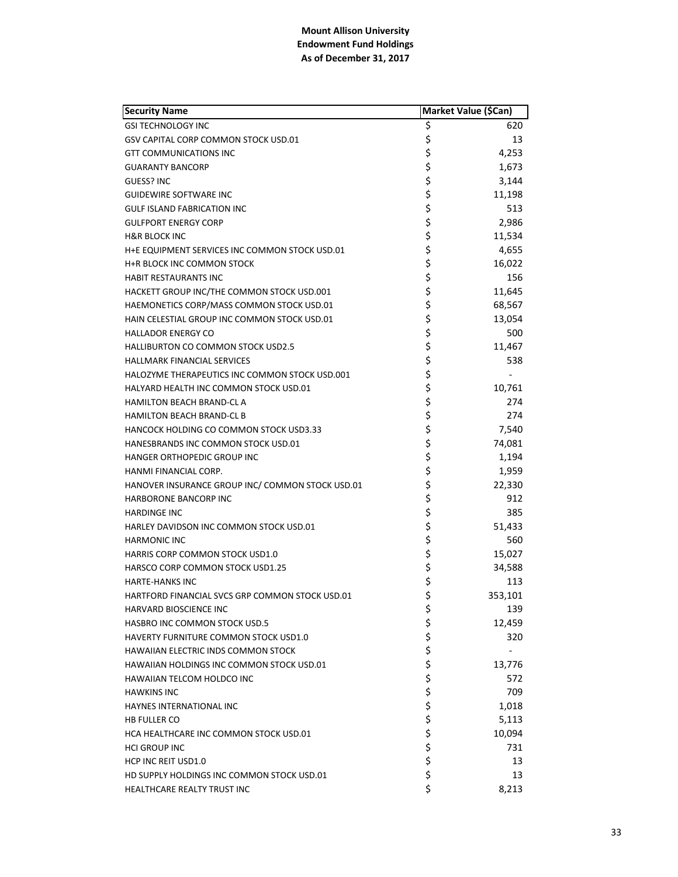| <b>Security Name</b>                             |        | Market Value (\$Can) |
|--------------------------------------------------|--------|----------------------|
| <b>GSI TECHNOLOGY INC</b>                        | \$     | 620                  |
| GSV CAPITAL CORP COMMON STOCK USD.01             | \$     | 13                   |
| <b>GTT COMMUNICATIONS INC</b>                    | \$     | 4,253                |
| <b>GUARANTY BANCORP</b>                          | \$     | 1,673                |
| <b>GUESS? INC</b>                                | \$     | 3,144                |
| <b>GUIDEWIRE SOFTWARE INC</b>                    | \$     | 11,198               |
| <b>GULF ISLAND FABRICATION INC</b>               | \$     | 513                  |
| <b>GULFPORT ENERGY CORP</b>                      | \$     | 2,986                |
| <b>H&amp;R BLOCK INC</b>                         | \$     | 11,534               |
| H+E EQUIPMENT SERVICES INC COMMON STOCK USD.01   | \$     | 4,655                |
| H+R BLOCK INC COMMON STOCK                       | \$     | 16,022               |
| HABIT RESTAURANTS INC                            | \$     | 156                  |
| HACKETT GROUP INC/THE COMMON STOCK USD.001       | \$     | 11,645               |
| HAEMONETICS CORP/MASS COMMON STOCK USD.01        | \$     | 68,567               |
| HAIN CELESTIAL GROUP INC COMMON STOCK USD.01     | \$     | 13,054               |
| <b>HALLADOR ENERGY CO</b>                        | \$     | 500                  |
| <b>HALLIBURTON CO COMMON STOCK USD2.5</b>        | \$     | 11,467               |
| <b>HALLMARK FINANCIAL SERVICES</b>               | \$     | 538                  |
| HALOZYME THERAPEUTICS INC COMMON STOCK USD.001   | \$     |                      |
| HALYARD HEALTH INC COMMON STOCK USD.01           | \$     | 10,761               |
| HAMILTON BEACH BRAND-CL A                        | \$     | 274                  |
| <b>HAMILTON BEACH BRAND-CL B</b>                 | \$     | 274                  |
| <b>HANCOCK HOLDING CO COMMON STOCK USD3.33</b>   | \$     | 7,540                |
| HANESBRANDS INC COMMON STOCK USD.01              | \$     | 74,081               |
| HANGER ORTHOPEDIC GROUP INC                      | \$     | 1,194                |
| HANMI FINANCIAL CORP.                            | \$     | 1,959                |
| HANOVER INSURANCE GROUP INC/ COMMON STOCK USD.01 | \$     | 22,330               |
| <b>HARBORONE BANCORP INC</b>                     | \$     | 912                  |
| <b>HARDINGE INC</b>                              | \$     | 385                  |
| HARLEY DAVIDSON INC COMMON STOCK USD.01          | \$     | 51,433               |
| <b>HARMONIC INC</b>                              | \$     | 560                  |
| <b>HARRIS CORP COMMON STOCK USD1.0</b>           | \$     | 15,027               |
| HARSCO CORP COMMON STOCK USD1.25                 | \$     | 34,588               |
| <b>HARTE-HANKS INC</b>                           | \$     | 113                  |
| HARTFORD FINANCIAL SVCS GRP COMMON STOCK USD.01  | \$     | 353,101              |
| <b>HARVARD BIOSCIENCE INC</b>                    | \$     | 139                  |
| HASBRO INC COMMON STOCK USD.5                    |        | 12,459               |
| HAVERTY FURNITURE COMMON STOCK USD1.0            |        | 320                  |
| HAWAIIAN ELECTRIC INDS COMMON STOCK              | ちちちち   |                      |
| HAWAIIAN HOLDINGS INC COMMON STOCK USD.01        |        | 13,776               |
| <b>HAWAIIAN TELCOM HOLDCO INC</b>                |        | 572                  |
| <b>HAWKINS INC</b>                               |        | 709                  |
| <b>HAYNES INTERNATIONAL INC</b>                  | \$     | 1,018                |
| <b>HB FULLER CO</b>                              | \$     | 5,113                |
| HCA HEALTHCARE INC COMMON STOCK USD.01           |        | 10,094               |
| <b>HCI GROUP INC</b>                             | \$\$\$ | 731                  |
| HCP INC REIT USD1.0                              |        | 13                   |
| HD SUPPLY HOLDINGS INC COMMON STOCK USD.01       | \$     | 13                   |
| HEALTHCARE REALTY TRUST INC                      | \$     | 8,213                |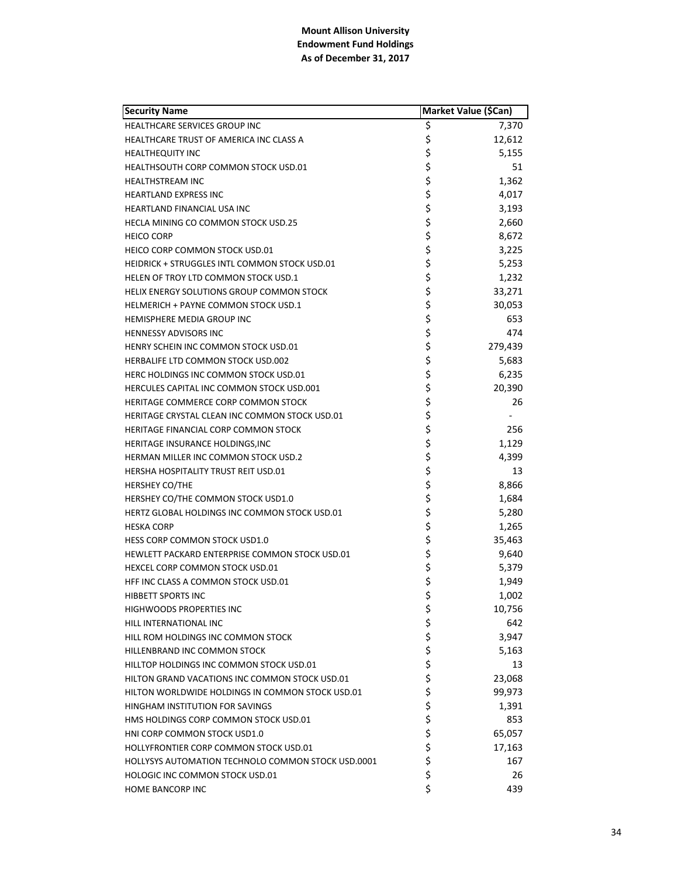| <b>Security Name</b>                                      |          | Market Value (\$Can) |
|-----------------------------------------------------------|----------|----------------------|
| HEALTHCARE SERVICES GROUP INC                             | \$       | 7,370                |
| HEALTHCARE TRUST OF AMERICA INC CLASS A                   | \$       | 12,612               |
| <b>HEALTHEQUITY INC</b>                                   | \$       | 5,155                |
| <b>HEALTHSOUTH CORP COMMON STOCK USD.01</b>               | \$       | 51                   |
| <b>HEALTHSTREAM INC</b>                                   | \$       | 1,362                |
| <b>HEARTLAND EXPRESS INC</b>                              | \$       | 4,017                |
| HEARTLAND FINANCIAL USA INC                               | \$       | 3,193                |
| HECLA MINING CO COMMON STOCK USD.25                       | \$       | 2,660                |
| <b>HEICO CORP</b>                                         | \$       | 8,672                |
| HEICO CORP COMMON STOCK USD.01                            | \$       | 3,225                |
| <b>HEIDRICK + STRUGGLES INTL COMMON STOCK USD.01</b>      | \$       | 5,253                |
| HELEN OF TROY LTD COMMON STOCK USD.1                      | \$       | 1,232                |
| HELIX ENERGY SOLUTIONS GROUP COMMON STOCK                 | \$       | 33,271               |
| HELMERICH + PAYNE COMMON STOCK USD.1                      | \$       | 30,053               |
| <b>HEMISPHERE MEDIA GROUP INC</b>                         | \$       | 653                  |
| <b>HENNESSY ADVISORS INC</b>                              | \$       | 474                  |
| HENRY SCHEIN INC COMMON STOCK USD.01                      | \$       | 279,439              |
| HERBALIFE LTD COMMON STOCK USD.002                        | \$       | 5,683                |
| HERC HOLDINGS INC COMMON STOCK USD.01                     | \$       | 6,235                |
| HERCULES CAPITAL INC COMMON STOCK USD.001                 | \$       | 20,390               |
| HERITAGE COMMERCE CORP COMMON STOCK                       | \$       | 26                   |
| HERITAGE CRYSTAL CLEAN INC COMMON STOCK USD.01            | \$       |                      |
| HERITAGE FINANCIAL CORP COMMON STOCK                      | \$       | 256                  |
| HERITAGE INSURANCE HOLDINGS, INC                          | \$       | 1,129                |
| HERMAN MILLER INC COMMON STOCK USD.2                      | \$       | 4,399                |
| HERSHA HOSPITALITY TRUST REIT USD.01                      | \$       | 13                   |
| HERSHEY CO/THE                                            | \$       | 8,866                |
| HERSHEY CO/THE COMMON STOCK USD1.0                        | \$       | 1,684                |
| HERTZ GLOBAL HOLDINGS INC COMMON STOCK USD.01             | \$       | 5,280                |
| <b>HESKA CORP</b>                                         | \$       | 1,265                |
| <b>HESS CORP COMMON STOCK USD1.0</b>                      | \$       | 35,463               |
| HEWLETT PACKARD ENTERPRISE COMMON STOCK USD.01            | \$       | 9,640                |
| HEXCEL CORP COMMON STOCK USD.01                           | \$       | 5,379                |
| HFF INC CLASS A COMMON STOCK USD.01                       | \$       | 1,949                |
| HIBBETT SPORTS INC                                        | \$       | 1,002                |
| <b>HIGHWOODS PROPERTIES INC</b>                           | \$       | 10,756               |
| HILL INTERNATIONAL INC                                    | \$       | 642                  |
| HILL ROM HOLDINGS INC COMMON STOCK                        | \$<br>\$ | 3,947                |
| HILLENBRAND INC COMMON STOCK                              |          | 5,163                |
| HILLTOP HOLDINGS INC COMMON STOCK USD.01                  |          | 13                   |
| HILTON GRAND VACATIONS INC COMMON STOCK USD.01            | \$<br>\$ | 23,068               |
| HILTON WORLDWIDE HOLDINGS IN COMMON STOCK USD.01          | \$       | 99,973               |
| HINGHAM INSTITUTION FOR SAVINGS                           | \$       | 1,391                |
| HMS HOLDINGS CORP COMMON STOCK USD.01                     | \$       | 853                  |
| HNI CORP COMMON STOCK USD1.0                              | \$       | 65,057               |
| HOLLYFRONTIER CORP COMMON STOCK USD.01                    | \$       | 17,163               |
| <b>HOLLYSYS AUTOMATION TECHNOLO COMMON STOCK USD.0001</b> | \$       | 167                  |
| <b>HOLOGIC INC COMMON STOCK USD.01</b>                    | \$       | 26                   |
| HOME BANCORP INC                                          | \$       | 439                  |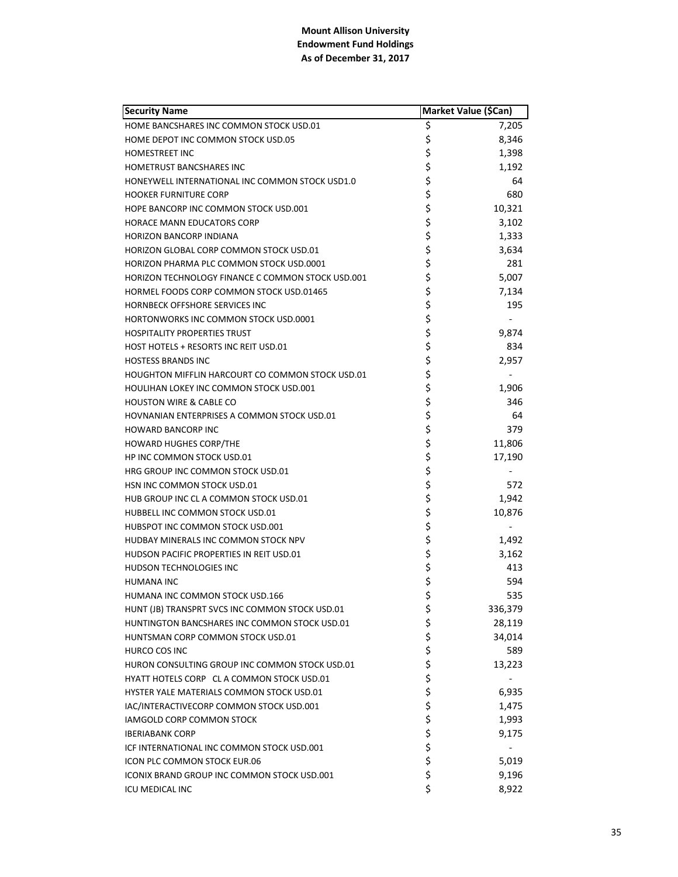| <b>Security Name</b>                                    | Market Value (\$Can) |         |
|---------------------------------------------------------|----------------------|---------|
| HOME BANCSHARES INC COMMON STOCK USD.01                 | \$                   | 7,205   |
| HOME DEPOT INC COMMON STOCK USD.05                      | \$                   | 8,346   |
| <b>HOMESTREET INC</b>                                   |                      | 1,398   |
| <b>HOMETRUST BANCSHARES INC</b>                         | \$<br>\$             | 1,192   |
| HONEYWELL INTERNATIONAL INC COMMON STOCK USD1.0         |                      | 64      |
| <b>HOOKER FURNITURE CORP</b>                            | \$\$\$               | 680     |
| HOPE BANCORP INC COMMON STOCK USD.001                   |                      | 10,321  |
| <b>HORACE MANN EDUCATORS CORP</b>                       | \$                   | 3,102   |
| <b>HORIZON BANCORP INDIANA</b>                          | \$                   | 1,333   |
| <b>HORIZON GLOBAL CORP COMMON STOCK USD.01</b>          | \$                   | 3,634   |
| HORIZON PHARMA PLC COMMON STOCK USD.0001                | \$                   | 281     |
| HORIZON TECHNOLOGY FINANCE C COMMON STOCK USD.001       |                      | 5,007   |
| HORMEL FOODS CORP COMMON STOCK USD.01465                | \$\$\$               | 7,134   |
| HORNBECK OFFSHORE SERVICES INC                          |                      | 195     |
| HORTONWORKS INC COMMON STOCK USD.0001                   |                      |         |
| <b>HOSPITALITY PROPERTIES TRUST</b>                     |                      | 9,874   |
| HOST HOTELS + RESORTS INC REIT USD.01                   | \$\$\$\$             | 834     |
| <b>HOSTESS BRANDS INC</b>                               |                      | 2,957   |
| <b>HOUGHTON MIFFLIN HARCOURT CO COMMON STOCK USD.01</b> |                      |         |
| <b>HOULIHAN LOKEY INC COMMON STOCK USD.001</b>          | \$<br>\$             | 1,906   |
| <b>HOUSTON WIRE &amp; CABLE CO</b>                      | \$                   | 346     |
| <b>HOVNANIAN ENTERPRISES A COMMON STOCK USD.01</b>      | \$                   | 64      |
| <b>HOWARD BANCORP INC</b>                               | \$                   | 379     |
| <b>HOWARD HUGHES CORP/THE</b>                           |                      | 11,806  |
| HP INC COMMON STOCK USD.01                              | \$\$\$\$             | 17,190  |
| HRG GROUP INC COMMON STOCK USD.01                       |                      |         |
| HSN INC COMMON STOCK USD.01                             |                      | 572     |
| HUB GROUP INC CL A COMMON STOCK USD.01                  |                      | 1,942   |
| HUBBELL INC COMMON STOCK USD.01                         | \$<br>\$             | 10,876  |
| HUBSPOT INC COMMON STOCK USD.001                        | \$                   |         |
| HUDBAY MINERALS INC COMMON STOCK NPV                    | \$<br>\$             | 1,492   |
| HUDSON PACIFIC PROPERTIES IN REIT USD.01                |                      | 3,162   |
| HUDSON TECHNOLOGIES INC                                 | \$                   | 413     |
| <b>HUMANA INC</b>                                       | \$                   | 594     |
| HUMANA INC COMMON STOCK USD.166                         | \$                   | 535     |
| HUNT (JB) TRANSPRT SVCS INC COMMON STOCK USD.01         | \$                   | 336,379 |
| HUNTINGTON BANCSHARES INC COMMON STOCK USD.01           |                      | 28,119  |
| HUNTSMAN CORP COMMON STOCK USD.01                       |                      | 34,014  |
| HURCO COS INC                                           |                      | 589     |
| HURON CONSULTING GROUP INC COMMON STOCK USD.01          |                      | 13,223  |
| HYATT HOTELS CORP CL A COMMON STOCK USD.01              |                      |         |
| HYSTER YALE MATERIALS COMMON STOCK USD.01               |                      | 6,935   |
| IAC/INTERACTIVECORP COMMON STOCK USD.001                |                      | 1,475   |
| IAMGOLD CORP COMMON STOCK                               |                      | 1,993   |
| <b>IBERIABANK CORP</b>                                  |                      | 9,175   |
| ICF INTERNATIONAL INC COMMON STOCK USD.001              | やぐそ やな やみや           |         |
| ICON PLC COMMON STOCK EUR.06                            | \$                   | 5,019   |
| ICONIX BRAND GROUP INC COMMON STOCK USD.001             | \$                   | 9,196   |
| <b>ICU MEDICAL INC</b>                                  | \$                   | 8,922   |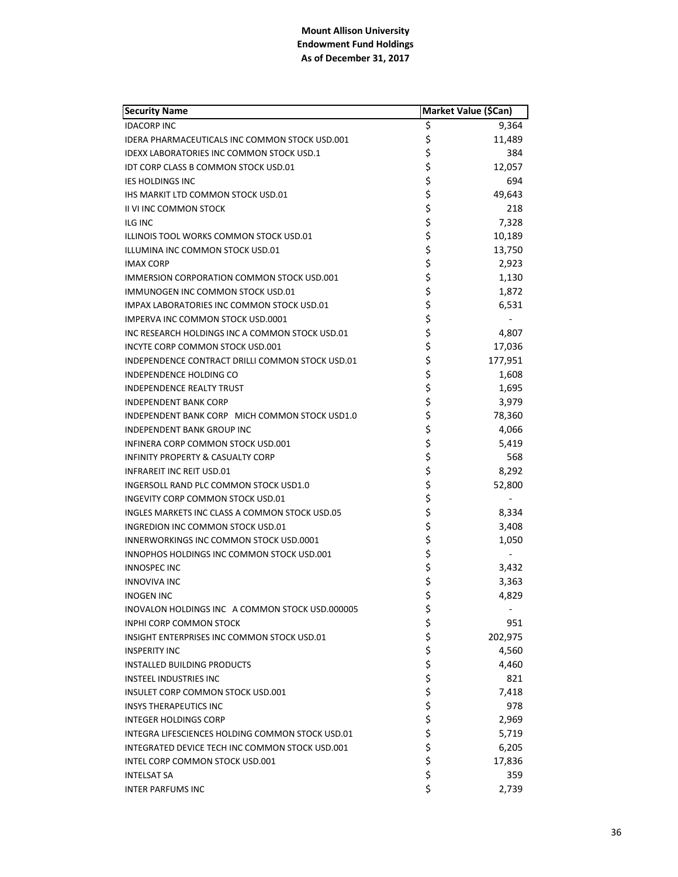| <b>Security Name</b>                              | Market Value (\$Can) |         |
|---------------------------------------------------|----------------------|---------|
| <b>IDACORP INC</b>                                | \$                   | 9,364   |
| IDERA PHARMACEUTICALS INC COMMON STOCK USD.001    | \$                   | 11,489  |
| <b>IDEXX LABORATORIES INC COMMON STOCK USD.1</b>  | \$                   | 384     |
| IDT CORP CLASS B COMMON STOCK USD.01              | \$                   | 12,057  |
| <b>IES HOLDINGS INC</b>                           | \$                   | 694     |
| IHS MARKIT LTD COMMON STOCK USD.01                | \$                   | 49,643  |
| II VI INC COMMON STOCK                            | \$                   | 218     |
| ILG INC                                           | \$                   | 7,328   |
| ILLINOIS TOOL WORKS COMMON STOCK USD.01           | \$                   | 10,189  |
| ILLUMINA INC COMMON STOCK USD.01                  | \$                   | 13,750  |
| <b>IMAX CORP</b>                                  | \$                   | 2,923   |
| <b>IMMERSION CORPORATION COMMON STOCK USD.001</b> | \$                   | 1,130   |
| IMMUNOGEN INC COMMON STOCK USD.01                 | \$                   | 1,872   |
| <b>IMPAX LABORATORIES INC COMMON STOCK USD.01</b> | \$                   | 6,531   |
| IMPERVA INC COMMON STOCK USD.0001                 | \$                   |         |
| INC RESEARCH HOLDINGS INC A COMMON STOCK USD.01   | \$                   | 4,807   |
| INCYTE CORP COMMON STOCK USD.001                  | \$                   | 17,036  |
| INDEPENDENCE CONTRACT DRILLI COMMON STOCK USD.01  | \$                   | 177,951 |
| INDEPENDENCE HOLDING CO                           | \$                   | 1,608   |
| <b>INDEPENDENCE REALTY TRUST</b>                  | \$                   | 1,695   |
| <b>INDEPENDENT BANK CORP</b>                      | \$                   | 3,979   |
| INDEPENDENT BANK CORP MICH COMMON STOCK USD1.0    | \$                   | 78,360  |
| <b>INDEPENDENT BANK GROUP INC</b>                 | \$                   | 4,066   |
| INFINERA CORP COMMON STOCK USD.001                | \$                   | 5,419   |
| <b>INFINITY PROPERTY &amp; CASUALTY CORP</b>      | \$                   | 568     |
| <b>INFRAREIT INC REIT USD.01</b>                  | \$                   | 8,292   |
| INGERSOLL RAND PLC COMMON STOCK USD1.0            | \$                   | 52,800  |
| INGEVITY CORP COMMON STOCK USD.01                 | \$                   |         |
| INGLES MARKETS INC CLASS A COMMON STOCK USD.05    | \$                   | 8,334   |
| INGREDION INC COMMON STOCK USD.01                 | \$                   | 3,408   |
| <b>INNERWORKINGS INC COMMON STOCK USD.0001</b>    | \$                   | 1,050   |
| INNOPHOS HOLDINGS INC COMMON STOCK USD.001        | \$                   |         |
| <b>INNOSPEC INC</b>                               | \$                   | 3,432   |
| <b>INNOVIVA INC</b>                               | \$                   | 3,363   |
| <b>INOGEN INC</b>                                 | \$                   | 4,829   |
| INOVALON HOLDINGS INC A COMMON STOCK USD.000005   | \$                   |         |
| <b>INPHI CORP COMMON STOCK</b>                    | \$                   | 951     |
| INSIGHT ENTERPRISES INC COMMON STOCK USD.01       | \$                   | 202,975 |
| <b>INSPERITY INC</b>                              | \$                   | 4,560   |
| <b>INSTALLED BUILDING PRODUCTS</b>                | \$                   | 4,460   |
| <b>INSTEEL INDUSTRIES INC</b>                     | \$                   | 821     |
| INSULET CORP COMMON STOCK USD.001                 | \$                   | 7,418   |
| <b>INSYS THERAPEUTICS INC</b>                     | \$                   | 978     |
| <b>INTEGER HOLDINGS CORP</b>                      | \$                   | 2,969   |
| INTEGRA LIFESCIENCES HOLDING COMMON STOCK USD.01  | \$                   | 5,719   |
| INTEGRATED DEVICE TECH INC COMMON STOCK USD.001   | \$                   | 6,205   |
| INTEL CORP COMMON STOCK USD.001                   | \$                   | 17,836  |
| <b>INTELSAT SA</b>                                | \$                   | 359     |
| <b>INTER PARFUMS INC</b>                          | \$                   | 2,739   |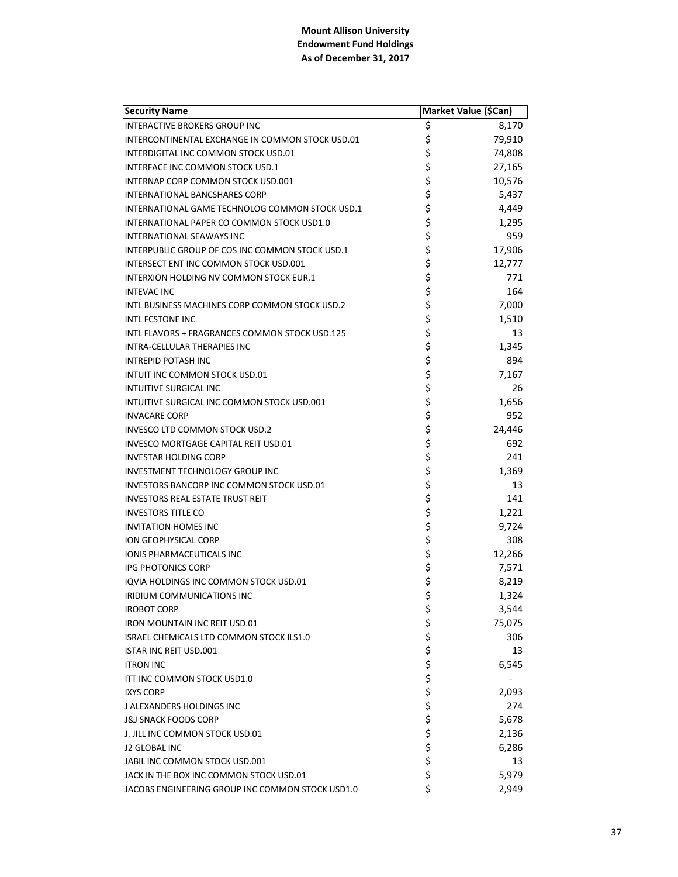| <b>Security Name</b>                             |          | Market Value (\$Can) |
|--------------------------------------------------|----------|----------------------|
| <b>INTERACTIVE BROKERS GROUP INC</b>             | \$       | 8,170                |
| INTERCONTINENTAL EXCHANGE IN COMMON STOCK USD.01 | \$       | 79,910               |
| INTERDIGITAL INC COMMON STOCK USD.01             | \$       | 74,808               |
| <b>INTERFACE INC COMMON STOCK USD.1</b>          | \$       | 27,165               |
| INTERNAP CORP COMMON STOCK USD.001               | \$       | 10,576               |
| INTERNATIONAL BANCSHARES CORP                    | \$       | 5,437                |
| INTERNATIONAL GAME TECHNOLOG COMMON STOCK USD.1  | \$       | 4,449                |
| INTERNATIONAL PAPER CO COMMON STOCK USD1.0       | \$       | 1,295                |
| <b>INTERNATIONAL SEAWAYS INC</b>                 | \$       | 959                  |
| INTERPUBLIC GROUP OF COS INC COMMON STOCK USD.1  | \$       | 17,906               |
| INTERSECT ENT INC COMMON STOCK USD.001           | \$       | 12,777               |
| INTERXION HOLDING NV COMMON STOCK EUR.1          | \$       | 771                  |
| <b>INTEVAC INC</b>                               | \$       | 164                  |
| INTL BUSINESS MACHINES CORP COMMON STOCK USD.2   | \$       | 7,000                |
| <b>INTL FCSTONE INC</b>                          | \$       | 1,510                |
| INTL FLAVORS + FRAGRANCES COMMON STOCK USD.125   | \$       | 13                   |
| INTRA-CELLULAR THERAPIES INC                     | \$       | 1,345                |
| <b>INTREPID POTASH INC</b>                       | \$       | 894                  |
| INTUIT INC COMMON STOCK USD.01                   | \$       | 7,167                |
| <b>INTUITIVE SURGICAL INC</b>                    | \$       | 26                   |
| INTUITIVE SURGICAL INC COMMON STOCK USD.001      | \$       | 1,656                |
| <b>INVACARE CORP</b>                             | \$       | 952                  |
| INVESCO LTD COMMON STOCK USD.2                   | \$       | 24,446               |
| INVESCO MORTGAGE CAPITAL REIT USD.01             | \$       | 692                  |
| <b>INVESTAR HOLDING CORP</b>                     | \$       | 241                  |
| <b>INVESTMENT TECHNOLOGY GROUP INC</b>           | \$       | 1,369                |
| INVESTORS BANCORP INC COMMON STOCK USD.01        | \$       | 13                   |
| <b>INVESTORS REAL ESTATE TRUST REIT</b>          | \$       | 141                  |
| <b>INVESTORS TITLE CO</b>                        | \$       | 1,221                |
| <b>INVITATION HOMES INC</b>                      | \$       | 9,724                |
| <b>ION GEOPHYSICAL CORP</b>                      | \$       | 308                  |
| <b>IONIS PHARMACEUTICALS INC</b>                 | \$       | 12,266               |
| <b>IPG PHOTONICS CORP</b>                        | \$       | 7,571                |
| IQVIA HOLDINGS INC COMMON STOCK USD.01           | \$       | 8,219                |
| IRIDIUM COMMUNICATIONS INC                       | \$       | 1,324                |
| <b>IROBOT CORP</b>                               | \$       | 3,544                |
| <b>IRON MOUNTAIN INC REIT USD.01</b>             | \$       | 75,075               |
| ISRAEL CHEMICALS LTD COMMON STOCK ILS1.0         |          | 306                  |
| <b>ISTAR INC REIT USD.001</b>                    |          | 13                   |
| <b>ITRON INC</b>                                 | ちちちちち    | 6,545                |
| ITT INC COMMON STOCK USD1.0                      |          |                      |
| <b>IXYS CORP</b>                                 |          | 2,093                |
| J ALEXANDERS HOLDINGS INC                        |          | 274                  |
| <b>J&amp;J SNACK FOODS CORP</b>                  | \$       | 5,678                |
| J. JILL INC COMMON STOCK USD.01                  |          | 2,136                |
| J2 GLOBAL INC                                    | \$<br>\$ | 6,286                |
| JABIL INC COMMON STOCK USD.001                   | \$       | 13                   |
| JACK IN THE BOX INC COMMON STOCK USD.01          | \$       | 5,979                |
| JACOBS ENGINEERING GROUP INC COMMON STOCK USD1.0 | \$       | 2,949                |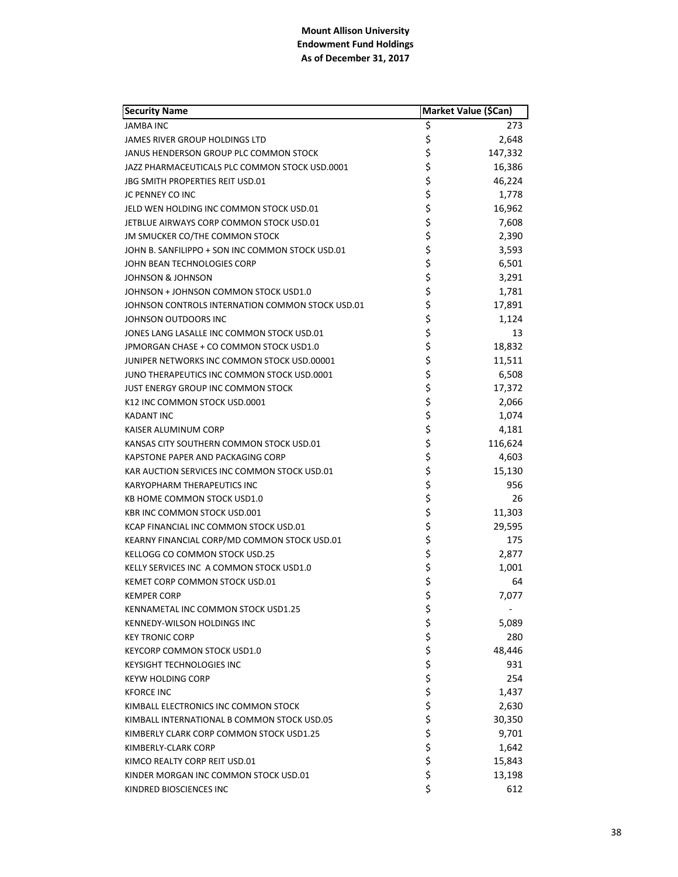| <b>Security Name</b>                             | Market Value (\$Can) |         |
|--------------------------------------------------|----------------------|---------|
| <b>JAMBA INC</b>                                 | \$                   | 273     |
| <b>JAMES RIVER GROUP HOLDINGS LTD</b>            | \$                   | 2,648   |
| JANUS HENDERSON GROUP PLC COMMON STOCK           | \$                   | 147,332 |
| JAZZ PHARMACEUTICALS PLC COMMON STOCK USD.0001   | \$                   | 16,386  |
| JBG SMITH PROPERTIES REIT USD.01                 | \$                   | 46,224  |
| JC PENNEY CO INC                                 | \$                   | 1,778   |
| JELD WEN HOLDING INC COMMON STOCK USD.01         | \$                   | 16,962  |
| JETBLUE AIRWAYS CORP COMMON STOCK USD.01         | \$                   | 7,608   |
| JM SMUCKER CO/THE COMMON STOCK                   | \$                   | 2,390   |
| JOHN B. SANFILIPPO + SON INC COMMON STOCK USD.01 | \$                   | 3,593   |
| JOHN BEAN TECHNOLOGIES CORP                      | \$                   | 6,501   |
| JOHNSON & JOHNSON                                | \$                   | 3,291   |
| JOHNSON + JOHNSON COMMON STOCK USD1.0            | \$<br>\$             | 1,781   |
| JOHNSON CONTROLS INTERNATION COMMON STOCK USD.01 |                      | 17,891  |
| JOHNSON OUTDOORS INC                             | \$                   | 1,124   |
| JONES LANG LASALLE INC COMMON STOCK USD.01       |                      | 13      |
| JPMORGAN CHASE + CO COMMON STOCK USD1.0          | \$<br>\$             | 18,832  |
| JUNIPER NETWORKS INC COMMON STOCK USD.00001      | \$                   | 11,511  |
| JUNO THERAPEUTICS INC COMMON STOCK USD.0001      | \$                   | 6,508   |
| JUST ENERGY GROUP INC COMMON STOCK               | \$                   | 17,372  |
| K12 INC COMMON STOCK USD.0001                    | \$                   | 2,066   |
| <b>KADANT INC</b>                                | \$                   | 1,074   |
| KAISER ALUMINUM CORP                             |                      | 4,181   |
| KANSAS CITY SOUTHERN COMMON STOCK USD.01         | \$\$\$               | 116,624 |
| KAPSTONE PAPER AND PACKAGING CORP                |                      | 4,603   |
| KAR AUCTION SERVICES INC COMMON STOCK USD.01     | \$                   | 15,130  |
| <b>KARYOPHARM THERAPEUTICS INC</b>               | \$                   | 956     |
| KB HOME COMMON STOCK USD1.0                      | \$                   | 26      |
| KBR INC COMMON STOCK USD.001                     | \$                   | 11,303  |
| KCAP FINANCIAL INC COMMON STOCK USD.01           | \$                   | 29,595  |
| KEARNY FINANCIAL CORP/MD COMMON STOCK USD.01     | \$                   | 175     |
| KELLOGG CO COMMON STOCK USD.25                   | \$                   | 2,877   |
| KELLY SERVICES INC A COMMON STOCK USD1.0         | \$                   | 1,001   |
| KEMET CORP COMMON STOCK USD.01                   | \$                   | 64      |
| <b>KEMPER CORP</b>                               | \$                   | 7,077   |
| KENNAMETAL INC COMMON STOCK USD1.25              | \$                   |         |
| KENNEDY-WILSON HOLDINGS INC                      |                      | 5,089   |
| <b>KEY TRONIC CORP</b>                           | \$\$\$               | 280     |
| KEYCORP COMMON STOCK USD1.0                      |                      | 48,446  |
| <b>KEYSIGHT TECHNOLOGIES INC</b>                 | \$\$\$\$             | 931     |
| <b>KEYW HOLDING CORP</b>                         |                      | 254     |
| <b>KFORCE INC</b>                                |                      | 1,437   |
| KIMBALL ELECTRONICS INC COMMON STOCK             |                      | 2,630   |
| KIMBALL INTERNATIONAL B COMMON STOCK USD.05      | \$<br>\$             | 30,350  |
| KIMBERLY CLARK CORP COMMON STOCK USD1.25         |                      | 9,701   |
| KIMBERLY-CLARK CORP                              | \$                   | 1,642   |
| KIMCO REALTY CORP REIT USD.01                    | \$                   | 15,843  |
| KINDER MORGAN INC COMMON STOCK USD.01            | \$                   | 13,198  |
| KINDRED BIOSCIENCES INC                          | \$                   | 612     |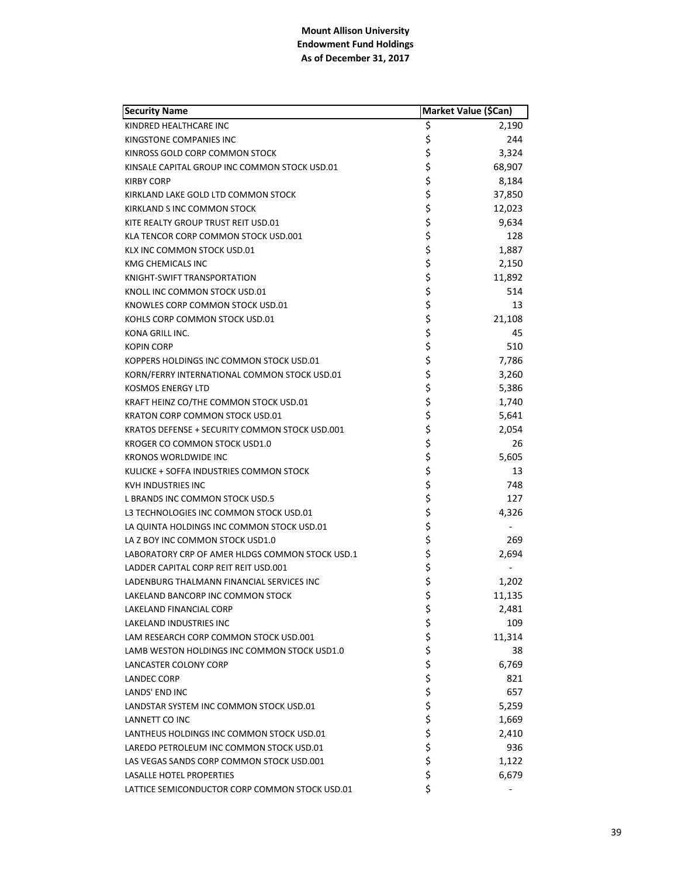| <b>Security Name</b>                            | Market Value (\$Can) |        |
|-------------------------------------------------|----------------------|--------|
| KINDRED HEALTHCARE INC                          | \$                   | 2,190  |
| KINGSTONE COMPANIES INC                         | \$                   | 244    |
| KINROSS GOLD CORP COMMON STOCK                  | \$                   | 3,324  |
| KINSALE CAPITAL GROUP INC COMMON STOCK USD.01   | \$                   | 68,907 |
| <b>KIRBY CORP</b>                               | \$                   | 8,184  |
| KIRKLAND LAKE GOLD LTD COMMON STOCK             | \$                   | 37,850 |
| KIRKLAND S INC COMMON STOCK                     | \$                   | 12,023 |
| KITE REALTY GROUP TRUST REIT USD.01             | \$                   | 9,634  |
| KLA TENCOR CORP COMMON STOCK USD.001            | \$                   | 128    |
| KLX INC COMMON STOCK USD.01                     | \$                   | 1,887  |
| KMG CHEMICALS INC                               | \$                   | 2,150  |
| KNIGHT-SWIFT TRANSPORTATION                     | \$                   | 11,892 |
| KNOLL INC COMMON STOCK USD.01                   | \$                   | 514    |
| KNOWLES CORP COMMON STOCK USD.01                | \$                   | 13     |
| KOHLS CORP COMMON STOCK USD.01                  | \$                   | 21,108 |
| KONA GRILL INC.                                 | \$                   | 45     |
| <b>KOPIN CORP</b>                               | \$                   | 510    |
| KOPPERS HOLDINGS INC COMMON STOCK USD.01        | \$                   | 7,786  |
| KORN/FERRY INTERNATIONAL COMMON STOCK USD.01    | \$                   | 3,260  |
| <b>KOSMOS ENERGY LTD</b>                        | \$                   | 5,386  |
| KRAFT HEINZ CO/THE COMMON STOCK USD.01          | \$                   | 1,740  |
| KRATON CORP COMMON STOCK USD.01                 | \$                   | 5,641  |
| KRATOS DEFENSE + SECURITY COMMON STOCK USD.001  | \$                   | 2,054  |
| KROGER CO COMMON STOCK USD1.0                   | \$                   | 26     |
| <b>KRONOS WORLDWIDE INC</b>                     | \$                   | 5,605  |
| KULICKE + SOFFA INDUSTRIES COMMON STOCK         | \$                   | 13     |
| KVH INDUSTRIES INC                              | \$                   | 748    |
| L BRANDS INC COMMON STOCK USD.5                 | \$                   | 127    |
| L3 TECHNOLOGIES INC COMMON STOCK USD.01         | \$                   | 4,326  |
| LA QUINTA HOLDINGS INC COMMON STOCK USD.01      | \$                   |        |
| LA Z BOY INC COMMON STOCK USD1.0                | \$                   | 269    |
| LABORATORY CRP OF AMER HLDGS COMMON STOCK USD.1 | \$                   | 2,694  |
| LADDER CAPITAL CORP REIT REIT USD.001           | \$                   |        |
| LADENBURG THALMANN FINANCIAL SERVICES INC       | \$                   | 1,202  |
| LAKELAND BANCORP INC COMMON STOCK               | \$                   | 11,135 |
| LAKELAND FINANCIAL CORP                         | \$                   | 2,481  |
| <b>LAKELAND INDUSTRIES INC</b>                  | \$                   | 109    |
| LAM RESEARCH CORP COMMON STOCK USD.001          | \$                   | 11,314 |
| LAMB WESTON HOLDINGS INC COMMON STOCK USD1.0    | \$                   | 38     |
| <b>LANCASTER COLONY CORP</b>                    | \$                   | 6,769  |
| <b>LANDEC CORP</b>                              | \$                   | 821    |
| <b>LANDS' END INC</b>                           | \$                   | 657    |
| LANDSTAR SYSTEM INC COMMON STOCK USD.01         | \$                   | 5,259  |
| LANNETT CO INC                                  | \$                   | 1,669  |
| LANTHEUS HOLDINGS INC COMMON STOCK USD.01       | \$                   | 2,410  |
| LAREDO PETROLEUM INC COMMON STOCK USD.01        | \$                   | 936    |
| LAS VEGAS SANDS CORP COMMON STOCK USD.001       | \$                   | 1,122  |
| <b>LASALLE HOTEL PROPERTIES</b>                 | \$                   | 6,679  |
| LATTICE SEMICONDUCTOR CORP COMMON STOCK USD.01  | \$                   |        |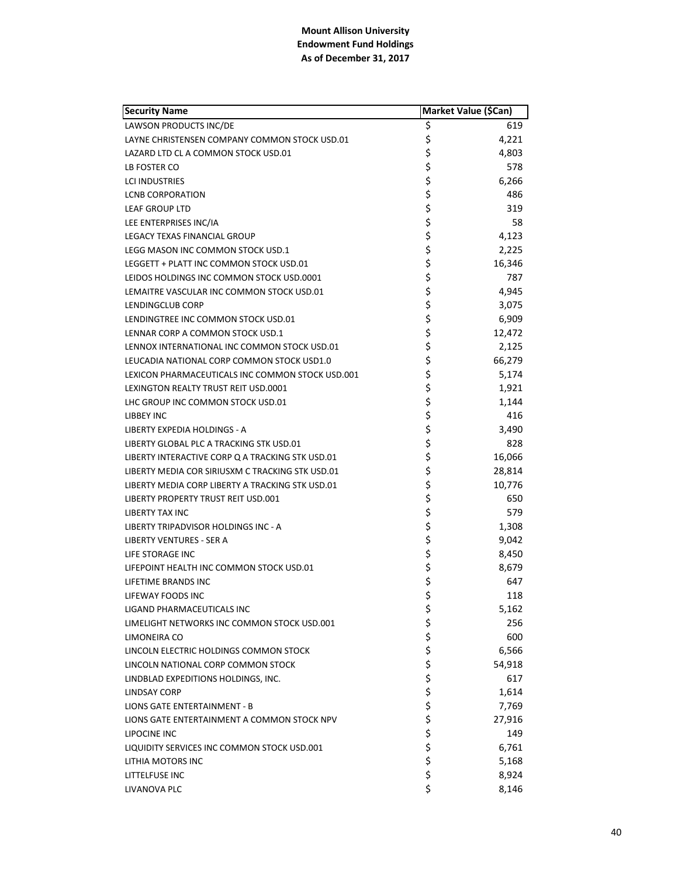| <b>Security Name</b>                             | Market Value (\$Can) |        |
|--------------------------------------------------|----------------------|--------|
| LAWSON PRODUCTS INC/DE                           | \$                   | 619    |
| LAYNE CHRISTENSEN COMPANY COMMON STOCK USD.01    | \$                   | 4,221  |
| LAZARD LTD CL A COMMON STOCK USD.01              | \$                   | 4,803  |
| LB FOSTER CO                                     | \$                   | 578    |
| <b>LCI INDUSTRIES</b>                            | \$                   | 6,266  |
| <b>LCNB CORPORATION</b>                          | \$                   | 486    |
| LEAF GROUP LTD                                   | \$                   | 319    |
| LEE ENTERPRISES INC/IA                           | \$                   | 58     |
| LEGACY TEXAS FINANCIAL GROUP                     | \$                   | 4,123  |
| LEGG MASON INC COMMON STOCK USD.1                | \$                   | 2,225  |
| LEGGETT + PLATT INC COMMON STOCK USD.01          | \$                   | 16,346 |
| LEIDOS HOLDINGS INC COMMON STOCK USD.0001        | \$                   | 787    |
| LEMAITRE VASCULAR INC COMMON STOCK USD.01        | \$                   | 4,945  |
| <b>LENDINGCLUB CORP</b>                          | \$                   | 3,075  |
| LENDINGTREE INC COMMON STOCK USD.01              | \$                   | 6,909  |
| LENNAR CORP A COMMON STOCK USD.1                 | \$                   | 12,472 |
| LENNOX INTERNATIONAL INC COMMON STOCK USD.01     | \$                   | 2,125  |
| LEUCADIA NATIONAL CORP COMMON STOCK USD1.0       | \$                   | 66,279 |
| LEXICON PHARMACEUTICALS INC COMMON STOCK USD.001 | \$                   | 5,174  |
| LEXINGTON REALTY TRUST REIT USD.0001             | \$                   | 1,921  |
| LHC GROUP INC COMMON STOCK USD.01                | \$                   | 1,144  |
| LIBBEY INC                                       | \$                   | 416    |
| LIBERTY EXPEDIA HOLDINGS - A                     | \$                   | 3,490  |
| LIBERTY GLOBAL PLC A TRACKING STK USD.01         | \$                   | 828    |
| LIBERTY INTERACTIVE CORP Q A TRACKING STK USD.01 | \$                   | 16,066 |
| LIBERTY MEDIA COR SIRIUSXM C TRACKING STK USD.01 | \$                   | 28,814 |
| LIBERTY MEDIA CORP LIBERTY A TRACKING STK USD.01 | \$                   | 10,776 |
| LIBERTY PROPERTY TRUST REIT USD.001              | \$                   | 650    |
| LIBERTY TAX INC                                  | \$                   | 579    |
| LIBERTY TRIPADVISOR HOLDINGS INC - A             | \$                   | 1,308  |
| LIBERTY VENTURES - SER A                         | \$                   | 9,042  |
| LIFE STORAGE INC                                 | \$                   | 8,450  |
| LIFEPOINT HEALTH INC COMMON STOCK USD.01         | \$                   | 8,679  |
| LIFETIME BRANDS INC                              | \$                   | 647    |
| LIFEWAY FOODS INC                                | \$                   | 118    |
| LIGAND PHARMACEUTICALS INC                       | \$                   | 5,162  |
| LIMELIGHT NETWORKS INC COMMON STOCK USD.001      |                      | 256    |
| LIMONEIRA CO                                     |                      | 600    |
| LINCOLN ELECTRIC HOLDINGS COMMON STOCK           | ららら                  | 6,566  |
| LINCOLN NATIONAL CORP COMMON STOCK               | \$                   | 54,918 |
| LINDBLAD EXPEDITIONS HOLDINGS, INC.              | \$                   | 617    |
| LINDSAY CORP                                     | \$                   | 1,614  |
| LIONS GATE ENTERTAINMENT - B                     | \$                   | 7,769  |
| LIONS GATE ENTERTAINMENT A COMMON STOCK NPV      | \$                   | 27,916 |
| LIPOCINE INC                                     | \$                   | 149    |
| LIQUIDITY SERVICES INC COMMON STOCK USD.001      | \$                   | 6,761  |
| LITHIA MOTORS INC                                | \$                   | 5,168  |
| LITTELFUSE INC                                   | \$                   | 8,924  |
| LIVANOVA PLC                                     | \$                   | 8,146  |
|                                                  |                      |        |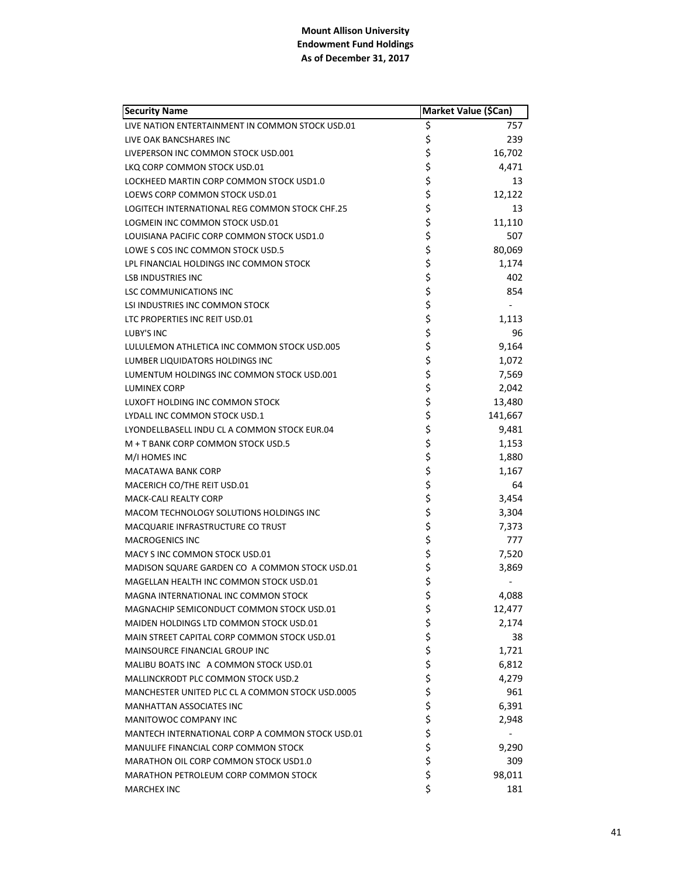| <b>Security Name</b>                             | Market Value (\$Can) |         |
|--------------------------------------------------|----------------------|---------|
| LIVE NATION ENTERTAINMENT IN COMMON STOCK USD.01 | \$                   | 757     |
| LIVE OAK BANCSHARES INC                          | \$                   | 239     |
| LIVEPERSON INC COMMON STOCK USD.001              | \$                   | 16,702  |
| LKO CORP COMMON STOCK USD.01                     | \$                   | 4,471   |
| LOCKHEED MARTIN CORP COMMON STOCK USD1.0         | \$                   | 13      |
| LOEWS CORP COMMON STOCK USD.01                   | \$                   | 12,122  |
| LOGITECH INTERNATIONAL REG COMMON STOCK CHF.25   | \$                   | 13      |
| LOGMEIN INC COMMON STOCK USD.01                  | \$                   | 11,110  |
| LOUISIANA PACIFIC CORP COMMON STOCK USD1.0       | \$                   | 507     |
| LOWE S COS INC COMMON STOCK USD.5                | \$                   | 80,069  |
| LPL FINANCIAL HOLDINGS INC COMMON STOCK          | \$                   | 1,174   |
| <b>LSB INDUSTRIES INC</b>                        | \$                   | 402     |
| <b>LSC COMMUNICATIONS INC</b>                    | \$                   | 854     |
| LSI INDUSTRIES INC COMMON STOCK                  | \$                   |         |
| LTC PROPERTIES INC REIT USD.01                   | \$                   | 1,113   |
| LUBY'S INC                                       | \$                   | 96      |
| LULULEMON ATHLETICA INC COMMON STOCK USD.005     | \$                   | 9,164   |
| LUMBER LIQUIDATORS HOLDINGS INC                  | \$                   | 1,072   |
| LUMENTUM HOLDINGS INC COMMON STOCK USD.001       | \$                   | 7,569   |
| <b>LUMINEX CORP</b>                              | \$                   | 2,042   |
| LUXOFT HOLDING INC COMMON STOCK                  | \$                   | 13,480  |
| LYDALL INC COMMON STOCK USD.1                    | \$                   | 141,667 |
| LYONDELLBASELL INDU CL A COMMON STOCK EUR.04     | \$                   | 9,481   |
| M + T BANK CORP COMMON STOCK USD.5               | \$                   | 1,153   |
| M/I HOMES INC                                    | \$                   | 1,880   |
| MACATAWA BANK CORP                               | \$                   | 1,167   |
| MACERICH CO/THE REIT USD.01                      | \$                   | 64      |
| <b>MACK-CALI REALTY CORP</b>                     | \$                   | 3,454   |
| MACOM TECHNOLOGY SOLUTIONS HOLDINGS INC          | \$                   | 3,304   |
| MACQUARIE INFRASTRUCTURE CO TRUST                | \$                   | 7,373   |
| <b>MACROGENICS INC</b>                           | \$                   | 777     |
| MACY SINC COMMON STOCK USD.01                    | \$                   | 7,520   |
| MADISON SQUARE GARDEN CO A COMMON STOCK USD.01   | \$                   | 3,869   |
| MAGELLAN HEALTH INC COMMON STOCK USD.01          | \$                   |         |
| MAGNA INTERNATIONAL INC COMMON STOCK             | \$                   | 4,088   |
| MAGNACHIP SEMICONDUCT COMMON STOCK USD.01        | \$                   | 12,477  |
| MAIDEN HOLDINGS LTD COMMON STOCK USD.01          | \$                   | 2,174   |
| MAIN STREET CAPITAL CORP COMMON STOCK USD.01     | \$                   | 38      |
| <b>MAINSOURCE FINANCIAL GROUP INC</b>            | \$                   | 1,721   |
| MALIBU BOATS INC A COMMON STOCK USD.01           | \$                   | 6,812   |
| MALLINCKRODT PLC COMMON STOCK USD.2              | \$                   | 4,279   |
| MANCHESTER UNITED PLC CL A COMMON STOCK USD.0005 | \$                   | 961     |
| <b>MANHATTAN ASSOCIATES INC</b>                  | \$                   | 6,391   |
| MANITOWOC COMPANY INC                            | \$                   | 2,948   |
| MANTECH INTERNATIONAL CORP A COMMON STOCK USD.01 | \$                   |         |
| MANULIFE FINANCIAL CORP COMMON STOCK             | \$                   | 9,290   |
| MARATHON OIL CORP COMMON STOCK USD1.0            | \$                   | 309     |
| MARATHON PETROLEUM CORP COMMON STOCK             | \$                   | 98,011  |
| <b>MARCHEX INC</b>                               | \$                   | 181     |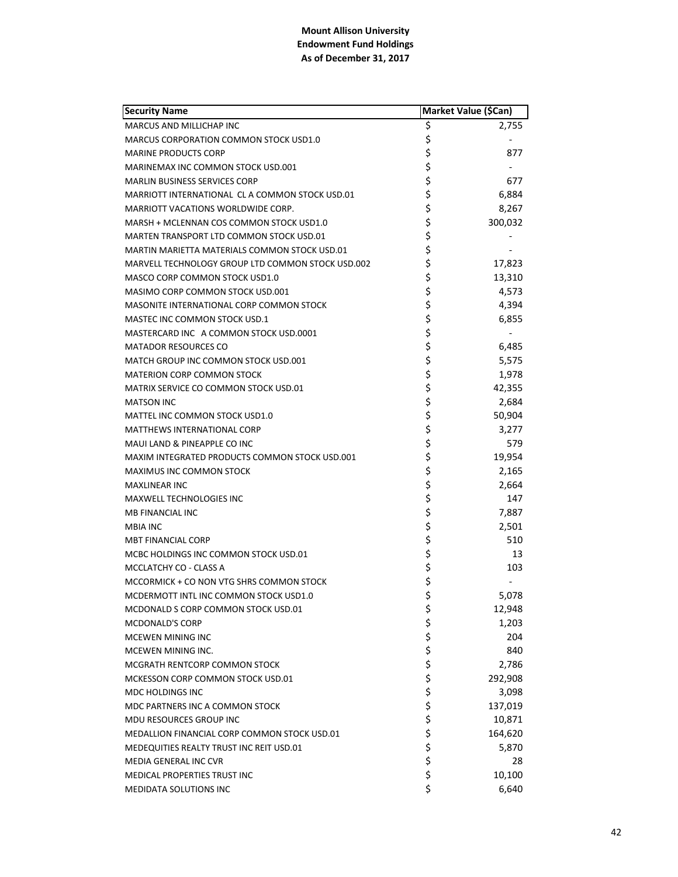| \$<br>MARCUS AND MILLICHAP INC<br>2,755<br>\$<br><b>MARCUS CORPORATION COMMON STOCK USD1.0</b><br>\$<br>877<br><b>MARINE PRODUCTS CORP</b><br>\$<br><b>MARINEMAX INC COMMON STOCK USD.001</b><br>\$\$\$<br>677<br><b>MARLIN BUSINESS SERVICES CORP</b><br>6,884<br>MARRIOTT INTERNATIONAL CLA COMMON STOCK USD.01<br>8,267<br>MARRIOTT VACATIONS WORLDWIDE CORP.<br>\$<br>300,032<br>MARSH + MCLENNAN COS COMMON STOCK USD1.0<br>\$<br>MARTEN TRANSPORT LTD COMMON STOCK USD.01<br>\$<br>MARTIN MARIETTA MATERIALS COMMON STOCK USD.01<br>\$<br>17,823<br>MARVELL TECHNOLOGY GROUP LTD COMMON STOCK USD.002<br>\$<br>13,310<br>MASCO CORP COMMON STOCK USD1.0<br>\$<br>4,573<br>MASIMO CORP COMMON STOCK USD.001<br>\$<br>4,394<br>MASONITE INTERNATIONAL CORP COMMON STOCK<br>\$<br>MASTEC INC COMMON STOCK USD.1<br>6,855<br>\$<br>\$<br>MASTERCARD INC A COMMON STOCK USD.0001<br>6,485<br><b>MATADOR RESOURCES CO</b><br>\$<br>5,575<br>MATCH GROUP INC COMMON STOCK USD.001<br>\$<br>\$<br>1,978<br>MATERION CORP COMMON STOCK<br>42,355<br>MATRIX SERVICE CO COMMON STOCK USD.01<br>\$<br>2,684<br><b>MATSON INC</b><br>\$<br>50,904<br>MATTEL INC COMMON STOCK USD1.0<br>\$<br>3,277<br><b>MATTHEWS INTERNATIONAL CORP</b><br>\$<br>579<br>MAUI LAND & PINEAPPLE CO INC<br>\$<br>19,954<br>MAXIM INTEGRATED PRODUCTS COMMON STOCK USD.001<br>\$<br>2,165<br>MAXIMUS INC COMMON STOCK<br>\$<br>2,664<br><b>MAXLINEAR INC</b><br>\$<br>147<br>MAXWELL TECHNOLOGIES INC<br>\$<br>7,887<br>MB FINANCIAL INC<br>\$<br>2,501<br><b>MBIA INC</b><br>\$<br>\$<br>510<br><b>MBT FINANCIAL CORP</b><br>13<br>MCBC HOLDINGS INC COMMON STOCK USD.01<br>\$<br>103<br>MCCLATCHY CO - CLASS A<br>\$<br>MCCORMICK + CO NON VTG SHRS COMMON STOCK<br>\$<br>MCDERMOTT INTL INC COMMON STOCK USD1.0<br>5,078<br>\$<br>12,948<br>MCDONALD S CORP COMMON STOCK USD.01<br>ぐうぐ ぐっかい<br>1,203<br><b>MCDONALD'S CORP</b><br>204<br><b>MCEWEN MINING INC</b><br>MCEWEN MINING INC.<br>840<br>2,786<br>MCGRATH RENTCORP COMMON STOCK<br>292,908<br>MCKESSON CORP COMMON STOCK USD.01<br>MDC HOLDINGS INC<br>3,098<br>137,019<br>MDC PARTNERS INC A COMMON STOCK<br>MDU RESOURCES GROUP INC<br>10,871<br>164,620<br>MEDALLION FINANCIAL CORP COMMON STOCK USD.01<br>5,870<br>MEDEQUITIES REALTY TRUST INC REIT USD.01<br>28<br>MEDIA GENERAL INC CVR<br>\$<br>10,100<br>MEDICAL PROPERTIES TRUST INC | <b>Security Name</b>   | Market Value (\$Can) |       |
|----------------------------------------------------------------------------------------------------------------------------------------------------------------------------------------------------------------------------------------------------------------------------------------------------------------------------------------------------------------------------------------------------------------------------------------------------------------------------------------------------------------------------------------------------------------------------------------------------------------------------------------------------------------------------------------------------------------------------------------------------------------------------------------------------------------------------------------------------------------------------------------------------------------------------------------------------------------------------------------------------------------------------------------------------------------------------------------------------------------------------------------------------------------------------------------------------------------------------------------------------------------------------------------------------------------------------------------------------------------------------------------------------------------------------------------------------------------------------------------------------------------------------------------------------------------------------------------------------------------------------------------------------------------------------------------------------------------------------------------------------------------------------------------------------------------------------------------------------------------------------------------------------------------------------------------------------------------------------------------------------------------------------------------------------------------------------------------------------------------------------------------------------------------------------------------------------------------------------------------------------------------------------------------------------------------------------------------------------------------------------------|------------------------|----------------------|-------|
|                                                                                                                                                                                                                                                                                                                                                                                                                                                                                                                                                                                                                                                                                                                                                                                                                                                                                                                                                                                                                                                                                                                                                                                                                                                                                                                                                                                                                                                                                                                                                                                                                                                                                                                                                                                                                                                                                                                                                                                                                                                                                                                                                                                                                                                                                                                                                                                  |                        |                      |       |
|                                                                                                                                                                                                                                                                                                                                                                                                                                                                                                                                                                                                                                                                                                                                                                                                                                                                                                                                                                                                                                                                                                                                                                                                                                                                                                                                                                                                                                                                                                                                                                                                                                                                                                                                                                                                                                                                                                                                                                                                                                                                                                                                                                                                                                                                                                                                                                                  |                        |                      |       |
|                                                                                                                                                                                                                                                                                                                                                                                                                                                                                                                                                                                                                                                                                                                                                                                                                                                                                                                                                                                                                                                                                                                                                                                                                                                                                                                                                                                                                                                                                                                                                                                                                                                                                                                                                                                                                                                                                                                                                                                                                                                                                                                                                                                                                                                                                                                                                                                  |                        |                      |       |
|                                                                                                                                                                                                                                                                                                                                                                                                                                                                                                                                                                                                                                                                                                                                                                                                                                                                                                                                                                                                                                                                                                                                                                                                                                                                                                                                                                                                                                                                                                                                                                                                                                                                                                                                                                                                                                                                                                                                                                                                                                                                                                                                                                                                                                                                                                                                                                                  |                        |                      |       |
|                                                                                                                                                                                                                                                                                                                                                                                                                                                                                                                                                                                                                                                                                                                                                                                                                                                                                                                                                                                                                                                                                                                                                                                                                                                                                                                                                                                                                                                                                                                                                                                                                                                                                                                                                                                                                                                                                                                                                                                                                                                                                                                                                                                                                                                                                                                                                                                  |                        |                      |       |
|                                                                                                                                                                                                                                                                                                                                                                                                                                                                                                                                                                                                                                                                                                                                                                                                                                                                                                                                                                                                                                                                                                                                                                                                                                                                                                                                                                                                                                                                                                                                                                                                                                                                                                                                                                                                                                                                                                                                                                                                                                                                                                                                                                                                                                                                                                                                                                                  |                        |                      |       |
|                                                                                                                                                                                                                                                                                                                                                                                                                                                                                                                                                                                                                                                                                                                                                                                                                                                                                                                                                                                                                                                                                                                                                                                                                                                                                                                                                                                                                                                                                                                                                                                                                                                                                                                                                                                                                                                                                                                                                                                                                                                                                                                                                                                                                                                                                                                                                                                  |                        |                      |       |
|                                                                                                                                                                                                                                                                                                                                                                                                                                                                                                                                                                                                                                                                                                                                                                                                                                                                                                                                                                                                                                                                                                                                                                                                                                                                                                                                                                                                                                                                                                                                                                                                                                                                                                                                                                                                                                                                                                                                                                                                                                                                                                                                                                                                                                                                                                                                                                                  |                        |                      |       |
|                                                                                                                                                                                                                                                                                                                                                                                                                                                                                                                                                                                                                                                                                                                                                                                                                                                                                                                                                                                                                                                                                                                                                                                                                                                                                                                                                                                                                                                                                                                                                                                                                                                                                                                                                                                                                                                                                                                                                                                                                                                                                                                                                                                                                                                                                                                                                                                  |                        |                      |       |
|                                                                                                                                                                                                                                                                                                                                                                                                                                                                                                                                                                                                                                                                                                                                                                                                                                                                                                                                                                                                                                                                                                                                                                                                                                                                                                                                                                                                                                                                                                                                                                                                                                                                                                                                                                                                                                                                                                                                                                                                                                                                                                                                                                                                                                                                                                                                                                                  |                        |                      |       |
|                                                                                                                                                                                                                                                                                                                                                                                                                                                                                                                                                                                                                                                                                                                                                                                                                                                                                                                                                                                                                                                                                                                                                                                                                                                                                                                                                                                                                                                                                                                                                                                                                                                                                                                                                                                                                                                                                                                                                                                                                                                                                                                                                                                                                                                                                                                                                                                  |                        |                      |       |
|                                                                                                                                                                                                                                                                                                                                                                                                                                                                                                                                                                                                                                                                                                                                                                                                                                                                                                                                                                                                                                                                                                                                                                                                                                                                                                                                                                                                                                                                                                                                                                                                                                                                                                                                                                                                                                                                                                                                                                                                                                                                                                                                                                                                                                                                                                                                                                                  |                        |                      |       |
|                                                                                                                                                                                                                                                                                                                                                                                                                                                                                                                                                                                                                                                                                                                                                                                                                                                                                                                                                                                                                                                                                                                                                                                                                                                                                                                                                                                                                                                                                                                                                                                                                                                                                                                                                                                                                                                                                                                                                                                                                                                                                                                                                                                                                                                                                                                                                                                  |                        |                      |       |
|                                                                                                                                                                                                                                                                                                                                                                                                                                                                                                                                                                                                                                                                                                                                                                                                                                                                                                                                                                                                                                                                                                                                                                                                                                                                                                                                                                                                                                                                                                                                                                                                                                                                                                                                                                                                                                                                                                                                                                                                                                                                                                                                                                                                                                                                                                                                                                                  |                        |                      |       |
|                                                                                                                                                                                                                                                                                                                                                                                                                                                                                                                                                                                                                                                                                                                                                                                                                                                                                                                                                                                                                                                                                                                                                                                                                                                                                                                                                                                                                                                                                                                                                                                                                                                                                                                                                                                                                                                                                                                                                                                                                                                                                                                                                                                                                                                                                                                                                                                  |                        |                      |       |
|                                                                                                                                                                                                                                                                                                                                                                                                                                                                                                                                                                                                                                                                                                                                                                                                                                                                                                                                                                                                                                                                                                                                                                                                                                                                                                                                                                                                                                                                                                                                                                                                                                                                                                                                                                                                                                                                                                                                                                                                                                                                                                                                                                                                                                                                                                                                                                                  |                        |                      |       |
|                                                                                                                                                                                                                                                                                                                                                                                                                                                                                                                                                                                                                                                                                                                                                                                                                                                                                                                                                                                                                                                                                                                                                                                                                                                                                                                                                                                                                                                                                                                                                                                                                                                                                                                                                                                                                                                                                                                                                                                                                                                                                                                                                                                                                                                                                                                                                                                  |                        |                      |       |
|                                                                                                                                                                                                                                                                                                                                                                                                                                                                                                                                                                                                                                                                                                                                                                                                                                                                                                                                                                                                                                                                                                                                                                                                                                                                                                                                                                                                                                                                                                                                                                                                                                                                                                                                                                                                                                                                                                                                                                                                                                                                                                                                                                                                                                                                                                                                                                                  |                        |                      |       |
|                                                                                                                                                                                                                                                                                                                                                                                                                                                                                                                                                                                                                                                                                                                                                                                                                                                                                                                                                                                                                                                                                                                                                                                                                                                                                                                                                                                                                                                                                                                                                                                                                                                                                                                                                                                                                                                                                                                                                                                                                                                                                                                                                                                                                                                                                                                                                                                  |                        |                      |       |
|                                                                                                                                                                                                                                                                                                                                                                                                                                                                                                                                                                                                                                                                                                                                                                                                                                                                                                                                                                                                                                                                                                                                                                                                                                                                                                                                                                                                                                                                                                                                                                                                                                                                                                                                                                                                                                                                                                                                                                                                                                                                                                                                                                                                                                                                                                                                                                                  |                        |                      |       |
|                                                                                                                                                                                                                                                                                                                                                                                                                                                                                                                                                                                                                                                                                                                                                                                                                                                                                                                                                                                                                                                                                                                                                                                                                                                                                                                                                                                                                                                                                                                                                                                                                                                                                                                                                                                                                                                                                                                                                                                                                                                                                                                                                                                                                                                                                                                                                                                  |                        |                      |       |
|                                                                                                                                                                                                                                                                                                                                                                                                                                                                                                                                                                                                                                                                                                                                                                                                                                                                                                                                                                                                                                                                                                                                                                                                                                                                                                                                                                                                                                                                                                                                                                                                                                                                                                                                                                                                                                                                                                                                                                                                                                                                                                                                                                                                                                                                                                                                                                                  |                        |                      |       |
|                                                                                                                                                                                                                                                                                                                                                                                                                                                                                                                                                                                                                                                                                                                                                                                                                                                                                                                                                                                                                                                                                                                                                                                                                                                                                                                                                                                                                                                                                                                                                                                                                                                                                                                                                                                                                                                                                                                                                                                                                                                                                                                                                                                                                                                                                                                                                                                  |                        |                      |       |
|                                                                                                                                                                                                                                                                                                                                                                                                                                                                                                                                                                                                                                                                                                                                                                                                                                                                                                                                                                                                                                                                                                                                                                                                                                                                                                                                                                                                                                                                                                                                                                                                                                                                                                                                                                                                                                                                                                                                                                                                                                                                                                                                                                                                                                                                                                                                                                                  |                        |                      |       |
|                                                                                                                                                                                                                                                                                                                                                                                                                                                                                                                                                                                                                                                                                                                                                                                                                                                                                                                                                                                                                                                                                                                                                                                                                                                                                                                                                                                                                                                                                                                                                                                                                                                                                                                                                                                                                                                                                                                                                                                                                                                                                                                                                                                                                                                                                                                                                                                  |                        |                      |       |
|                                                                                                                                                                                                                                                                                                                                                                                                                                                                                                                                                                                                                                                                                                                                                                                                                                                                                                                                                                                                                                                                                                                                                                                                                                                                                                                                                                                                                                                                                                                                                                                                                                                                                                                                                                                                                                                                                                                                                                                                                                                                                                                                                                                                                                                                                                                                                                                  |                        |                      |       |
|                                                                                                                                                                                                                                                                                                                                                                                                                                                                                                                                                                                                                                                                                                                                                                                                                                                                                                                                                                                                                                                                                                                                                                                                                                                                                                                                                                                                                                                                                                                                                                                                                                                                                                                                                                                                                                                                                                                                                                                                                                                                                                                                                                                                                                                                                                                                                                                  |                        |                      |       |
|                                                                                                                                                                                                                                                                                                                                                                                                                                                                                                                                                                                                                                                                                                                                                                                                                                                                                                                                                                                                                                                                                                                                                                                                                                                                                                                                                                                                                                                                                                                                                                                                                                                                                                                                                                                                                                                                                                                                                                                                                                                                                                                                                                                                                                                                                                                                                                                  |                        |                      |       |
|                                                                                                                                                                                                                                                                                                                                                                                                                                                                                                                                                                                                                                                                                                                                                                                                                                                                                                                                                                                                                                                                                                                                                                                                                                                                                                                                                                                                                                                                                                                                                                                                                                                                                                                                                                                                                                                                                                                                                                                                                                                                                                                                                                                                                                                                                                                                                                                  |                        |                      |       |
|                                                                                                                                                                                                                                                                                                                                                                                                                                                                                                                                                                                                                                                                                                                                                                                                                                                                                                                                                                                                                                                                                                                                                                                                                                                                                                                                                                                                                                                                                                                                                                                                                                                                                                                                                                                                                                                                                                                                                                                                                                                                                                                                                                                                                                                                                                                                                                                  |                        |                      |       |
|                                                                                                                                                                                                                                                                                                                                                                                                                                                                                                                                                                                                                                                                                                                                                                                                                                                                                                                                                                                                                                                                                                                                                                                                                                                                                                                                                                                                                                                                                                                                                                                                                                                                                                                                                                                                                                                                                                                                                                                                                                                                                                                                                                                                                                                                                                                                                                                  |                        |                      |       |
|                                                                                                                                                                                                                                                                                                                                                                                                                                                                                                                                                                                                                                                                                                                                                                                                                                                                                                                                                                                                                                                                                                                                                                                                                                                                                                                                                                                                                                                                                                                                                                                                                                                                                                                                                                                                                                                                                                                                                                                                                                                                                                                                                                                                                                                                                                                                                                                  |                        |                      |       |
|                                                                                                                                                                                                                                                                                                                                                                                                                                                                                                                                                                                                                                                                                                                                                                                                                                                                                                                                                                                                                                                                                                                                                                                                                                                                                                                                                                                                                                                                                                                                                                                                                                                                                                                                                                                                                                                                                                                                                                                                                                                                                                                                                                                                                                                                                                                                                                                  |                        |                      |       |
|                                                                                                                                                                                                                                                                                                                                                                                                                                                                                                                                                                                                                                                                                                                                                                                                                                                                                                                                                                                                                                                                                                                                                                                                                                                                                                                                                                                                                                                                                                                                                                                                                                                                                                                                                                                                                                                                                                                                                                                                                                                                                                                                                                                                                                                                                                                                                                                  |                        |                      |       |
|                                                                                                                                                                                                                                                                                                                                                                                                                                                                                                                                                                                                                                                                                                                                                                                                                                                                                                                                                                                                                                                                                                                                                                                                                                                                                                                                                                                                                                                                                                                                                                                                                                                                                                                                                                                                                                                                                                                                                                                                                                                                                                                                                                                                                                                                                                                                                                                  |                        |                      |       |
|                                                                                                                                                                                                                                                                                                                                                                                                                                                                                                                                                                                                                                                                                                                                                                                                                                                                                                                                                                                                                                                                                                                                                                                                                                                                                                                                                                                                                                                                                                                                                                                                                                                                                                                                                                                                                                                                                                                                                                                                                                                                                                                                                                                                                                                                                                                                                                                  |                        |                      |       |
|                                                                                                                                                                                                                                                                                                                                                                                                                                                                                                                                                                                                                                                                                                                                                                                                                                                                                                                                                                                                                                                                                                                                                                                                                                                                                                                                                                                                                                                                                                                                                                                                                                                                                                                                                                                                                                                                                                                                                                                                                                                                                                                                                                                                                                                                                                                                                                                  |                        |                      |       |
|                                                                                                                                                                                                                                                                                                                                                                                                                                                                                                                                                                                                                                                                                                                                                                                                                                                                                                                                                                                                                                                                                                                                                                                                                                                                                                                                                                                                                                                                                                                                                                                                                                                                                                                                                                                                                                                                                                                                                                                                                                                                                                                                                                                                                                                                                                                                                                                  |                        |                      |       |
|                                                                                                                                                                                                                                                                                                                                                                                                                                                                                                                                                                                                                                                                                                                                                                                                                                                                                                                                                                                                                                                                                                                                                                                                                                                                                                                                                                                                                                                                                                                                                                                                                                                                                                                                                                                                                                                                                                                                                                                                                                                                                                                                                                                                                                                                                                                                                                                  |                        |                      |       |
|                                                                                                                                                                                                                                                                                                                                                                                                                                                                                                                                                                                                                                                                                                                                                                                                                                                                                                                                                                                                                                                                                                                                                                                                                                                                                                                                                                                                                                                                                                                                                                                                                                                                                                                                                                                                                                                                                                                                                                                                                                                                                                                                                                                                                                                                                                                                                                                  |                        |                      |       |
|                                                                                                                                                                                                                                                                                                                                                                                                                                                                                                                                                                                                                                                                                                                                                                                                                                                                                                                                                                                                                                                                                                                                                                                                                                                                                                                                                                                                                                                                                                                                                                                                                                                                                                                                                                                                                                                                                                                                                                                                                                                                                                                                                                                                                                                                                                                                                                                  |                        |                      |       |
|                                                                                                                                                                                                                                                                                                                                                                                                                                                                                                                                                                                                                                                                                                                                                                                                                                                                                                                                                                                                                                                                                                                                                                                                                                                                                                                                                                                                                                                                                                                                                                                                                                                                                                                                                                                                                                                                                                                                                                                                                                                                                                                                                                                                                                                                                                                                                                                  |                        |                      |       |
|                                                                                                                                                                                                                                                                                                                                                                                                                                                                                                                                                                                                                                                                                                                                                                                                                                                                                                                                                                                                                                                                                                                                                                                                                                                                                                                                                                                                                                                                                                                                                                                                                                                                                                                                                                                                                                                                                                                                                                                                                                                                                                                                                                                                                                                                                                                                                                                  |                        |                      |       |
|                                                                                                                                                                                                                                                                                                                                                                                                                                                                                                                                                                                                                                                                                                                                                                                                                                                                                                                                                                                                                                                                                                                                                                                                                                                                                                                                                                                                                                                                                                                                                                                                                                                                                                                                                                                                                                                                                                                                                                                                                                                                                                                                                                                                                                                                                                                                                                                  |                        |                      |       |
|                                                                                                                                                                                                                                                                                                                                                                                                                                                                                                                                                                                                                                                                                                                                                                                                                                                                                                                                                                                                                                                                                                                                                                                                                                                                                                                                                                                                                                                                                                                                                                                                                                                                                                                                                                                                                                                                                                                                                                                                                                                                                                                                                                                                                                                                                                                                                                                  |                        |                      |       |
|                                                                                                                                                                                                                                                                                                                                                                                                                                                                                                                                                                                                                                                                                                                                                                                                                                                                                                                                                                                                                                                                                                                                                                                                                                                                                                                                                                                                                                                                                                                                                                                                                                                                                                                                                                                                                                                                                                                                                                                                                                                                                                                                                                                                                                                                                                                                                                                  |                        |                      |       |
|                                                                                                                                                                                                                                                                                                                                                                                                                                                                                                                                                                                                                                                                                                                                                                                                                                                                                                                                                                                                                                                                                                                                                                                                                                                                                                                                                                                                                                                                                                                                                                                                                                                                                                                                                                                                                                                                                                                                                                                                                                                                                                                                                                                                                                                                                                                                                                                  |                        |                      |       |
|                                                                                                                                                                                                                                                                                                                                                                                                                                                                                                                                                                                                                                                                                                                                                                                                                                                                                                                                                                                                                                                                                                                                                                                                                                                                                                                                                                                                                                                                                                                                                                                                                                                                                                                                                                                                                                                                                                                                                                                                                                                                                                                                                                                                                                                                                                                                                                                  |                        |                      |       |
|                                                                                                                                                                                                                                                                                                                                                                                                                                                                                                                                                                                                                                                                                                                                                                                                                                                                                                                                                                                                                                                                                                                                                                                                                                                                                                                                                                                                                                                                                                                                                                                                                                                                                                                                                                                                                                                                                                                                                                                                                                                                                                                                                                                                                                                                                                                                                                                  | MEDIDATA SOLUTIONS INC | \$                   | 6,640 |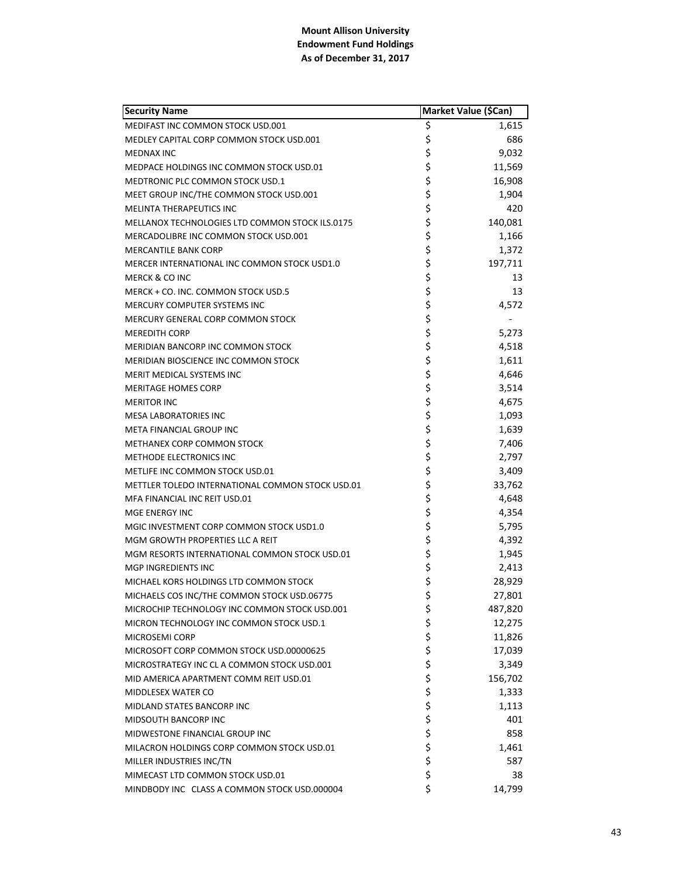| <b>Security Name</b>                             | Market Value (\$Can) |         |
|--------------------------------------------------|----------------------|---------|
| MEDIFAST INC COMMON STOCK USD.001                | \$                   | 1,615   |
| MEDLEY CAPITAL CORP COMMON STOCK USD.001         | \$                   | 686     |
| <b>MEDNAX INC</b>                                |                      | 9,032   |
| MEDPACE HOLDINGS INC COMMON STOCK USD.01         | \$<br>\$             | 11,569  |
| <b>MEDTRONIC PLC COMMON STOCK USD.1</b>          |                      | 16,908  |
| MEET GROUP INC/THE COMMON STOCK USD.001          | \$\$\$               | 1,904   |
| MELINTA THERAPEUTICS INC                         |                      | 420     |
| MELLANOX TECHNOLOGIES LTD COMMON STOCK ILS.0175  |                      | 140,081 |
| MERCADOLIBRE INC COMMON STOCK USD.001            | \$<br>\$             | 1,166   |
| <b>MERCANTILE BANK CORP</b>                      | \$                   | 1,372   |
| MERCER INTERNATIONAL INC COMMON STOCK USD1.0     | \$                   | 197,711 |
| <b>MERCK &amp; CO INC</b>                        | \$                   | 13      |
| MERCK + CO. INC. COMMON STOCK USD.5              | \$                   | 13      |
| MERCURY COMPUTER SYSTEMS INC                     |                      | 4,572   |
| MERCURY GENERAL CORP COMMON STOCK                |                      |         |
| <b>MEREDITH CORP</b>                             | \$\$\$\$             | 5,273   |
| MERIDIAN BANCORP INC COMMON STOCK                |                      | 4,518   |
| MERIDIAN BIOSCIENCE INC COMMON STOCK             |                      | 1,611   |
| MERIT MEDICAL SYSTEMS INC                        |                      | 4,646   |
| <b>MERITAGE HOMES CORP</b>                       |                      | 3,514   |
| <b>MERITOR INC</b>                               |                      | 4,675   |
| MESA LABORATORIES INC                            | ちらら                  | 1,093   |
| META FINANCIAL GROUP INC                         |                      | 1,639   |
| METHANEX CORP COMMON STOCK                       |                      | 7,406   |
| METHODE ELECTRONICS INC                          | ややみ やや               | 2,797   |
| METLIFE INC COMMON STOCK USD.01                  |                      | 3,409   |
| METTLER TOLEDO INTERNATIONAL COMMON STOCK USD.01 |                      | 33,762  |
| MFA FINANCIAL INC REIT USD.01                    |                      | 4,648   |
| MGE ENERGY INC                                   | ちらさら                 | 4,354   |
| MGIC INVESTMENT CORP COMMON STOCK USD1.0         |                      | 5,795   |
| MGM GROWTH PROPERTIES LLC A REIT                 |                      | 4,392   |
| MGM RESORTS INTERNATIONAL COMMON STOCK USD.01    |                      | 1,945   |
| MGP INGREDIENTS INC                              |                      | 2,413   |
| MICHAEL KORS HOLDINGS LTD COMMON STOCK           | \$                   | 28,929  |
| MICHAELS COS INC/THE COMMON STOCK USD.06775      | \$                   | 27,801  |
| MICROCHIP TECHNOLOGY INC COMMON STOCK USD.001    | \$                   | 487,820 |
| MICRON TECHNOLOGY INC COMMON STOCK USD.1         |                      | 12,275  |
| MICROSEMI CORP                                   |                      | 11,826  |
| MICROSOFT CORP COMMON STOCK USD.00000625         |                      | 17,039  |
| MICROSTRATEGY INC CL A COMMON STOCK USD.001      |                      | 3,349   |
| MID AMERICA APARTMENT COMM REIT USD.01           |                      | 156,702 |
| MIDDLESEX WATER CO                               |                      | 1,333   |
| MIDLAND STATES BANCORP INC                       |                      | 1,113   |
| MIDSOUTH BANCORP INC                             |                      | 401     |
| MIDWESTONE FINANCIAL GROUP INC                   |                      | 858     |
| MILACRON HOLDINGS CORP COMMON STOCK USD.01       | ぐぐぐぐぐぐ               | 1,461   |
| MILLER INDUSTRIES INC/TN                         |                      | 587     |
| MIMECAST LTD COMMON STOCK USD.01                 | \$                   | 38      |
| MINDBODY INC CLASS A COMMON STOCK USD.000004     | \$                   | 14,799  |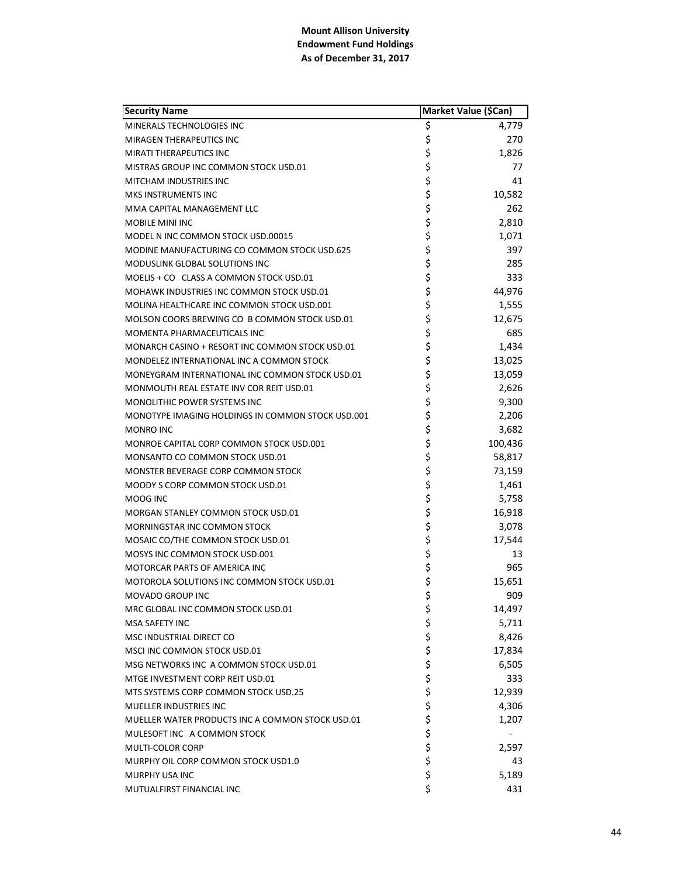| <b>Security Name</b>                              | Market Value (\$Can) |         |
|---------------------------------------------------|----------------------|---------|
| MINERALS TECHNOLOGIES INC                         | \$                   | 4,779   |
| <b>MIRAGEN THERAPEUTICS INC</b>                   | \$                   | 270     |
| <b>MIRATI THERAPEUTICS INC</b>                    | \$                   | 1,826   |
| MISTRAS GROUP INC COMMON STOCK USD.01             | \$                   | 77      |
| <b>MITCHAM INDUSTRIES INC</b>                     | \$                   | 41      |
| MKS INSTRUMENTS INC                               | \$                   | 10,582  |
| MMA CAPITAL MANAGEMENT LLC                        | \$                   | 262     |
| MOBILE MINI INC                                   | \$                   | 2,810   |
| MODEL N INC COMMON STOCK USD.00015                | \$                   | 1,071   |
| MODINE MANUFACTURING CO COMMON STOCK USD.625      | \$                   | 397     |
| MODUSLINK GLOBAL SOLUTIONS INC                    | \$                   | 285     |
| MOELIS + CO CLASS A COMMON STOCK USD.01           | \$                   | 333     |
| MOHAWK INDUSTRIES INC COMMON STOCK USD.01         | \$                   | 44,976  |
| MOLINA HEALTHCARE INC COMMON STOCK USD.001        | \$                   | 1,555   |
| MOLSON COORS BREWING CO B COMMON STOCK USD.01     | \$                   | 12,675  |
| MOMENTA PHARMACEUTICALS INC                       | \$                   | 685     |
| MONARCH CASINO + RESORT INC COMMON STOCK USD.01   | \$                   | 1,434   |
| MONDELEZ INTERNATIONAL INC A COMMON STOCK         | \$                   | 13,025  |
| MONEYGRAM INTERNATIONAL INC COMMON STOCK USD.01   | \$                   | 13,059  |
| MONMOUTH REAL ESTATE INV COR REIT USD.01          | \$                   | 2,626   |
| MONOLITHIC POWER SYSTEMS INC                      | \$                   | 9,300   |
| MONOTYPE IMAGING HOLDINGS IN COMMON STOCK USD.001 | \$                   | 2,206   |
| MONRO INC                                         | \$                   | 3,682   |
| MONROE CAPITAL CORP COMMON STOCK USD.001          | \$                   | 100,436 |
| MONSANTO CO COMMON STOCK USD.01                   | \$                   | 58,817  |
| MONSTER BEVERAGE CORP COMMON STOCK                | \$                   | 73,159  |
| MOODY S CORP COMMON STOCK USD.01                  | \$                   | 1,461   |
| MOOG INC                                          | \$                   | 5,758   |
| MORGAN STANLEY COMMON STOCK USD.01                | \$                   | 16,918  |
| MORNINGSTAR INC COMMON STOCK                      | \$                   | 3,078   |
| MOSAIC CO/THE COMMON STOCK USD.01                 | \$                   | 17,544  |
| MOSYS INC COMMON STOCK USD.001                    | \$                   | 13      |
| <b>MOTORCAR PARTS OF AMERICA INC</b>              | \$                   | 965     |
| MOTOROLA SOLUTIONS INC COMMON STOCK USD.01        | \$                   | 15,651  |
| MOVADO GROUP INC                                  | \$                   | 909     |
| MRC GLOBAL INC COMMON STOCK USD.01                | \$                   | 14,497  |
| <b>MSA SAFETY INC</b>                             | \$<br>\$             | 5,711   |
| MSC INDUSTRIAL DIRECT CO                          |                      | 8,426   |
| MSCI INC COMMON STOCK USD.01                      | \$                   | 17,834  |
| MSG NETWORKS INC A COMMON STOCK USD.01            | $\ddot{\varsigma}$   | 6,505   |
| MTGE INVESTMENT CORP REIT USD.01                  | \$                   | 333     |
| MTS SYSTEMS CORP COMMON STOCK USD.25              | \$                   | 12,939  |
| <b>MUELLER INDUSTRIES INC</b>                     | \$                   | 4,306   |
| MUELLER WATER PRODUCTS INC A COMMON STOCK USD.01  | \$                   | 1,207   |
| MULESOFT INC A COMMON STOCK                       | \$                   |         |
| MULTI-COLOR CORP                                  | \$                   | 2,597   |
| MURPHY OIL CORP COMMON STOCK USD1.0               | \$                   | 43      |
| MURPHY USA INC                                    | \$                   | 5,189   |
| MUTUALFIRST FINANCIAL INC                         | \$                   | 431     |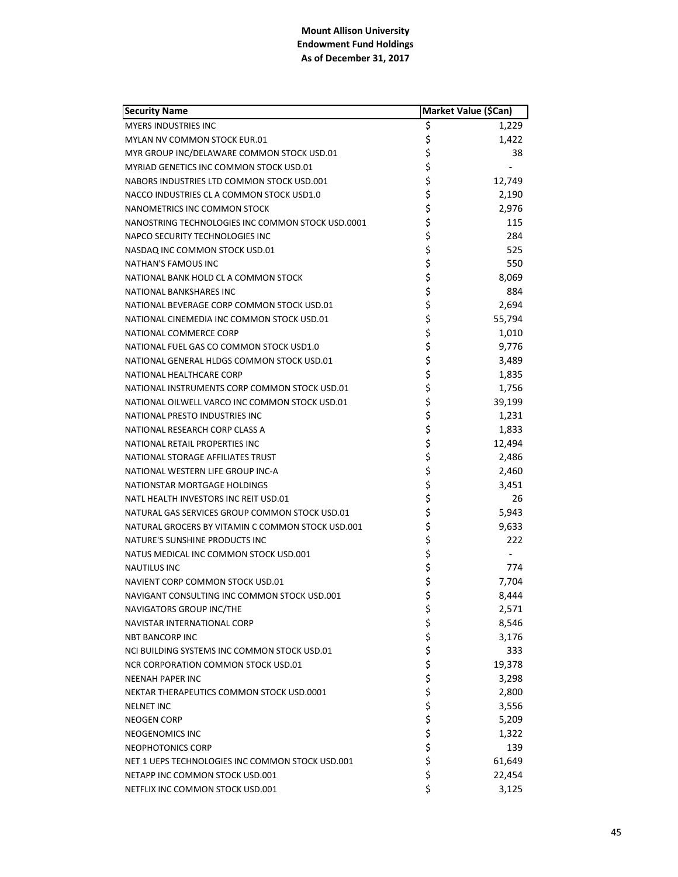| <b>Security Name</b>                              | Market Value (\$Can) |        |
|---------------------------------------------------|----------------------|--------|
| <b>MYERS INDUSTRIES INC</b>                       | \$                   | 1,229  |
| MYLAN NV COMMON STOCK EUR.01                      | \$                   | 1,422  |
| MYR GROUP INC/DELAWARE COMMON STOCK USD.01        | \$                   | 38     |
| MYRIAD GENETICS INC COMMON STOCK USD.01           | \$                   |        |
| NABORS INDUSTRIES LTD COMMON STOCK USD.001        | \$                   | 12,749 |
| NACCO INDUSTRIES CL A COMMON STOCK USD1.0         | \$                   | 2,190  |
| NANOMETRICS INC COMMON STOCK                      | \$                   | 2,976  |
| NANOSTRING TECHNOLOGIES INC COMMON STOCK USD.0001 | \$                   | 115    |
| NAPCO SECURITY TECHNOLOGIES INC                   | \$                   | 284    |
| NASDAQ INC COMMON STOCK USD.01                    | \$                   | 525    |
| NATHAN'S FAMOUS INC                               | \$                   | 550    |
| NATIONAL BANK HOLD CL A COMMON STOCK              | \$                   | 8,069  |
| <b>NATIONAL BANKSHARES INC</b>                    | \$<br>\$             | 884    |
| NATIONAL BEVERAGE CORP COMMON STOCK USD.01        |                      | 2,694  |
| NATIONAL CINEMEDIA INC COMMON STOCK USD.01        | \$                   | 55,794 |
| NATIONAL COMMERCE CORP                            | \$                   | 1,010  |
| NATIONAL FUEL GAS CO COMMON STOCK USD1.0          |                      | 9,776  |
| NATIONAL GENERAL HLDGS COMMON STOCK USD.01        | \$<br>\$             | 3,489  |
| NATIONAL HEALTHCARE CORP                          |                      | 1,835  |
| NATIONAL INSTRUMENTS CORP COMMON STOCK USD.01     | \$\$\$               | 1,756  |
| NATIONAL OILWELL VARCO INC COMMON STOCK USD.01    |                      | 39,199 |
| NATIONAL PRESTO INDUSTRIES INC                    | \$                   | 1,231  |
| NATIONAL RESEARCH CORP CLASS A                    | \$                   | 1,833  |
| NATIONAL RETAIL PROPERTIES INC                    | \$                   | 12,494 |
| NATIONAL STORAGE AFFILIATES TRUST                 | \$                   | 2,486  |
| NATIONAL WESTERN LIFE GROUP INC-A                 | \$                   | 2,460  |
| NATIONSTAR MORTGAGE HOLDINGS                      | \$<br>\$             | 3,451  |
| NATL HEALTH INVESTORS INC REIT USD.01             |                      | 26     |
| NATURAL GAS SERVICES GROUP COMMON STOCK USD.01    | \$                   | 5,943  |
| NATURAL GROCERS BY VITAMIN C COMMON STOCK USD.001 | \$                   | 9,633  |
| NATURE'S SUNSHINE PRODUCTS INC                    | \$                   | 222    |
| NATUS MEDICAL INC COMMON STOCK USD.001            | \$                   |        |
| <b>NAUTILUS INC</b>                               | \$                   | 774    |
| NAVIENT CORP COMMON STOCK USD.01                  | \$                   | 7,704  |
| NAVIGANT CONSULTING INC COMMON STOCK USD.001      | \$                   | 8,444  |
| NAVIGATORS GROUP INC/THE                          | \$                   | 2,571  |
| NAVISTAR INTERNATIONAL CORP                       |                      | 8,546  |
| <b>NBT BANCORP INC</b>                            |                      | 3,176  |
| NCI BUILDING SYSTEMS INC COMMON STOCK USD.01      |                      | 333    |
| NCR CORPORATION COMMON STOCK USD.01               |                      | 19,378 |
| <b>NEENAH PAPER INC</b>                           |                      | 3,298  |
| NEKTAR THERAPEUTICS COMMON STOCK USD.0001         |                      | 2,800  |
| <b>NELNET INC</b>                                 |                      | 3,556  |
| <b>NEOGEN CORP</b>                                |                      | 5,209  |
| NEOGENOMICS INC                                   | ぐぐろうさかい              | 1,322  |
| NEOPHOTONICS CORP                                 |                      | 139    |
| NET 1 UEPS TECHNOLOGIES INC COMMON STOCK USD.001  |                      | 61,649 |
| NETAPP INC COMMON STOCK USD.001                   | \$                   | 22,454 |
| NETFLIX INC COMMON STOCK USD.001                  | \$                   | 3,125  |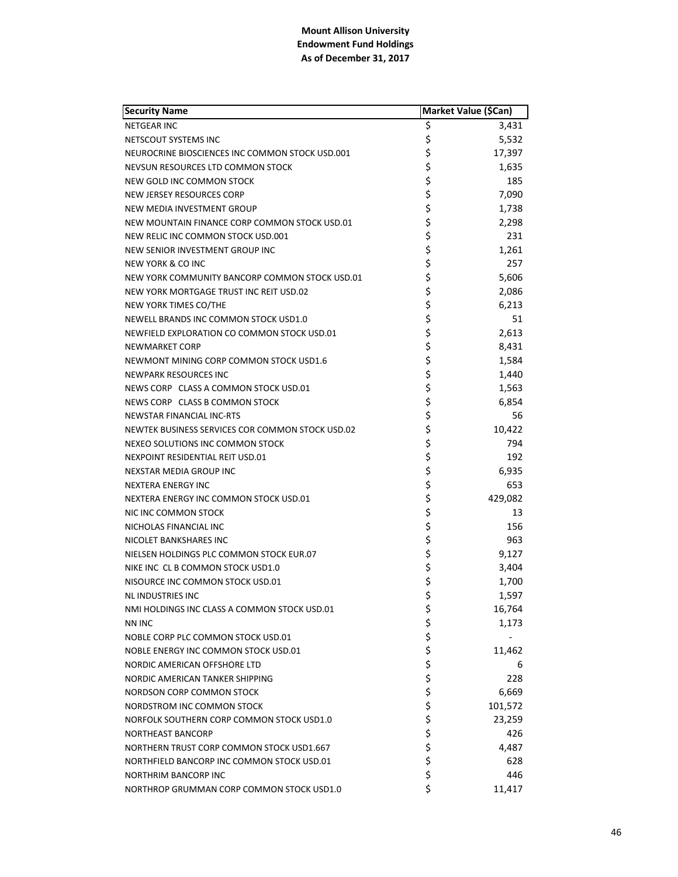| <b>Security Name</b>                             | Market Value (\$Can) |         |
|--------------------------------------------------|----------------------|---------|
| <b>NETGEAR INC</b>                               | \$                   | 3,431   |
| NETSCOUT SYSTEMS INC                             | \$                   | 5,532   |
| NEUROCRINE BIOSCIENCES INC COMMON STOCK USD.001  | \$                   | 17,397  |
| NEVSUN RESOURCES LTD COMMON STOCK                | \$                   | 1,635   |
| NEW GOLD INC COMMON STOCK                        | \$                   | 185     |
| NEW JERSEY RESOURCES CORP                        | \$                   | 7,090   |
| NEW MEDIA INVESTMENT GROUP                       | \$                   | 1,738   |
| NEW MOUNTAIN FINANCE CORP COMMON STOCK USD.01    | \$                   | 2,298   |
| NEW RELIC INC COMMON STOCK USD.001               | \$                   | 231     |
| NEW SENIOR INVESTMENT GROUP INC                  | \$                   | 1,261   |
| <b>NEW YORK &amp; CO INC</b>                     | \$                   | 257     |
| NEW YORK COMMUNITY BANCORP COMMON STOCK USD.01   | \$                   | 5,606   |
| NEW YORK MORTGAGE TRUST INC REIT USD.02          | \$                   | 2,086   |
| NEW YORK TIMES CO/THE                            | \$                   | 6,213   |
| NEWELL BRANDS INC COMMON STOCK USD1.0            | \$                   | 51      |
| NEWFIELD EXPLORATION CO COMMON STOCK USD.01      | \$                   | 2,613   |
| NEWMARKET CORP                                   | \$                   | 8,431   |
| NEWMONT MINING CORP COMMON STOCK USD1.6          | \$                   | 1,584   |
| <b>NEWPARK RESOURCES INC</b>                     | \$                   | 1,440   |
| NEWS CORP CLASS A COMMON STOCK USD.01            | \$                   | 1,563   |
| NEWS CORP CLASS B COMMON STOCK                   | \$                   | 6,854   |
| <b>NEWSTAR FINANCIAL INC-RTS</b>                 | \$                   | 56      |
| NEWTEK BUSINESS SERVICES COR COMMON STOCK USD.02 | \$                   | 10,422  |
| NEXEO SOLUTIONS INC COMMON STOCK                 | \$                   | 794     |
| NEXPOINT RESIDENTIAL REIT USD.01                 | \$                   | 192     |
| <b>NEXSTAR MEDIA GROUP INC</b>                   | \$                   | 6,935   |
| NEXTERA ENERGY INC                               | \$                   | 653     |
| NEXTERA ENERGY INC COMMON STOCK USD.01           | \$                   | 429,082 |
| NIC INC COMMON STOCK                             | \$                   | 13      |
| NICHOLAS FINANCIAL INC                           | \$                   | 156     |
| NICOLET BANKSHARES INC                           | \$                   | 963     |
| NIELSEN HOLDINGS PLC COMMON STOCK EUR.07         | \$                   | 9,127   |
| NIKE INC CL B COMMON STOCK USD1.0                | \$                   | 3,404   |
| NISOURCE INC COMMON STOCK USD.01                 | \$                   | 1,700   |
| NL INDUSTRIES INC                                | \$                   | 1,597   |
| NMI HOLDINGS INC CLASS A COMMON STOCK USD.01     | \$                   | 16,764  |
| <b>NN INC</b>                                    | \$                   | 1,173   |
| NOBLE CORP PLC COMMON STOCK USD.01               | \$<br>\$             |         |
| NOBLE ENERGY INC COMMON STOCK USD.01             |                      | 11,462  |
| NORDIC AMERICAN OFFSHORE LTD                     | \$                   | 6       |
| NORDIC AMERICAN TANKER SHIPPING                  | \$                   | 228     |
| NORDSON CORP COMMON STOCK                        | \$                   | 6,669   |
| NORDSTROM INC COMMON STOCK                       | \$                   | 101,572 |
| NORFOLK SOUTHERN CORP COMMON STOCK USD1.0        | \$                   | 23,259  |
| <b>NORTHEAST BANCORP</b>                         | \$                   | 426     |
| NORTHERN TRUST CORP COMMON STOCK USD1.667        | \$                   | 4,487   |
| NORTHFIELD BANCORP INC COMMON STOCK USD.01       | \$                   | 628     |
| <b>NORTHRIM BANCORP INC</b>                      | \$                   | 446     |
| NORTHROP GRUMMAN CORP COMMON STOCK USD1.0        | \$                   | 11,417  |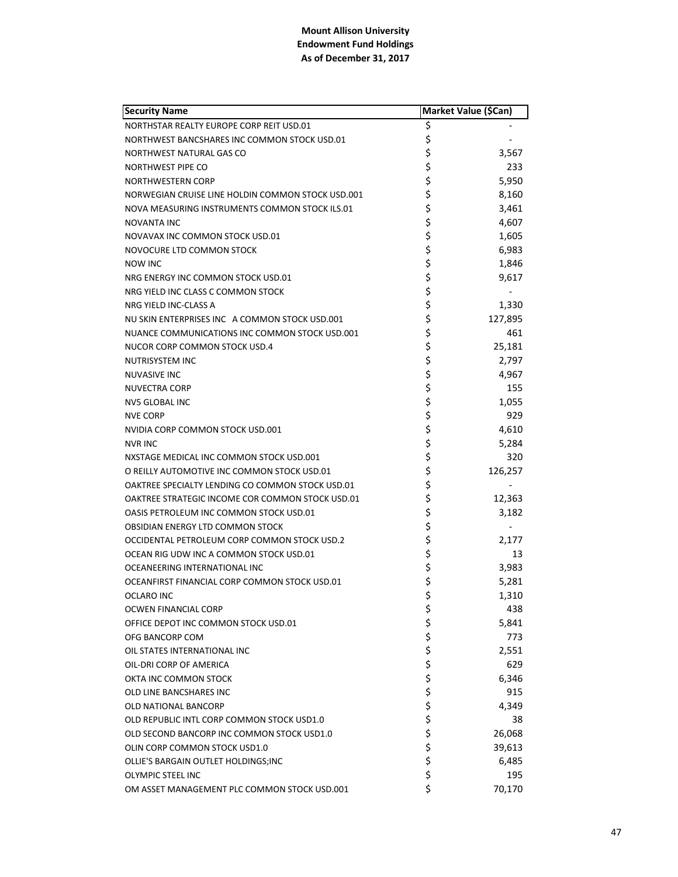| <b>Security Name</b>                              |          | Market Value (\$Can) |
|---------------------------------------------------|----------|----------------------|
| NORTHSTAR REALTY EUROPE CORP REIT USD.01          | \$       |                      |
| NORTHWEST BANCSHARES INC COMMON STOCK USD.01      | \$       |                      |
| NORTHWEST NATURAL GAS CO                          | \$       | 3,567                |
| NORTHWEST PIPE CO                                 | \$       | 233                  |
| NORTHWESTERN CORP                                 | \$       | 5,950                |
| NORWEGIAN CRUISE LINE HOLDIN COMMON STOCK USD.001 | \$       | 8,160                |
| NOVA MEASURING INSTRUMENTS COMMON STOCK ILS.01    | \$       | 3,461                |
| <b>NOVANTA INC</b>                                | \$       | 4,607                |
| NOVAVAX INC COMMON STOCK USD.01                   | \$       | 1,605                |
| NOVOCURE LTD COMMON STOCK                         | \$       | 6,983                |
| <b>NOW INC</b>                                    | \$       | 1,846                |
| NRG ENERGY INC COMMON STOCK USD.01                | \$       | 9,617                |
| NRG YIELD INC CLASS C COMMON STOCK                | \$       |                      |
| NRG YIELD INC-CLASS A                             | \$       | 1,330                |
| NU SKIN ENTERPRISES INC A COMMON STOCK USD.001    | \$       | 127,895              |
| NUANCE COMMUNICATIONS INC COMMON STOCK USD.001    | \$       | 461                  |
| NUCOR CORP COMMON STOCK USD.4                     | \$       | 25,181               |
| NUTRISYSTEM INC                                   | \$       | 2,797                |
| <b>NUVASIVE INC</b>                               | \$       | 4,967                |
| NUVECTRA CORP                                     | \$       | 155                  |
| <b>NV5 GLOBAL INC</b>                             | \$       | 1,055                |
| <b>NVE CORP</b>                                   | \$       | 929                  |
| NVIDIA CORP COMMON STOCK USD.001                  | \$       | 4,610                |
| <b>NVR INC</b>                                    | \$       | 5,284                |
| NXSTAGE MEDICAL INC COMMON STOCK USD.001          | \$       | 320                  |
| O REILLY AUTOMOTIVE INC COMMON STOCK USD.01       | \$       | 126,257              |
| OAKTREE SPECIALTY LENDING CO COMMON STOCK USD.01  | \$       |                      |
| OAKTREE STRATEGIC INCOME COR COMMON STOCK USD.01  | \$       | 12,363               |
| OASIS PETROLEUM INC COMMON STOCK USD.01           | \$       | 3,182                |
| OBSIDIAN ENERGY LTD COMMON STOCK                  | \$       |                      |
| OCCIDENTAL PETROLEUM CORP COMMON STOCK USD.2      | \$       | 2,177                |
| OCEAN RIG UDW INC A COMMON STOCK USD.01           | \$       | 13                   |
| OCEANEERING INTERNATIONAL INC                     | \$       | 3,983                |
| OCEANFIRST FINANCIAL CORP COMMON STOCK USD.01     | \$       | 5,281                |
| <b>OCLARO INC</b>                                 | \$       | 1,310                |
| OCWEN FINANCIAL CORP                              | \$       | 438                  |
| OFFICE DEPOT INC COMMON STOCK USD.01              |          | 5,841                |
| OFG BANCORP COM                                   | ささささ     | 773                  |
| OIL STATES INTERNATIONAL INC                      |          | 2,551                |
| OIL-DRI CORP OF AMERICA                           |          | 629                  |
| OKTA INC COMMON STOCK                             |          | 6,346                |
| OLD LINE BANCSHARES INC                           |          | 915                  |
| <b>OLD NATIONAL BANCORP</b>                       |          | 4,349                |
| OLD REPUBLIC INTL CORP COMMON STOCK USD1.0        |          | 38                   |
| OLD SECOND BANCORP INC COMMON STOCK USD1.0        | \$<br>\$ | 26,068               |
| OLIN CORP COMMON STOCK USD1.0                     | \$       | 39,613               |
| OLLIE'S BARGAIN OUTLET HOLDINGS;INC               | \$       | 6,485                |
| <b>OLYMPIC STEEL INC</b>                          | \$       | 195                  |
| OM ASSET MANAGEMENT PLC COMMON STOCK USD.001      | \$       | 70,170               |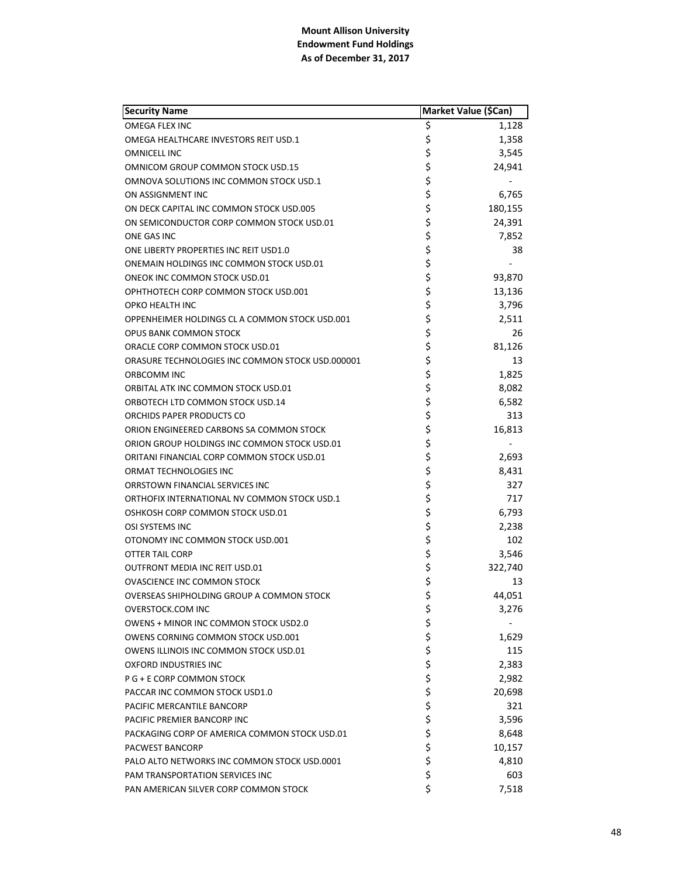| <b>Security Name</b>                             | Market Value (\$Can) |         |
|--------------------------------------------------|----------------------|---------|
| OMEGA FLEX INC                                   | \$                   | 1,128   |
| OMEGA HEALTHCARE INVESTORS REIT USD.1            | \$                   | 1,358   |
| <b>OMNICELL INC</b>                              | \$                   | 3,545   |
| OMNICOM GROUP COMMON STOCK USD.15                | \$                   | 24,941  |
| OMNOVA SOLUTIONS INC COMMON STOCK USD.1          | \$                   |         |
| ON ASSIGNMENT INC                                | \$                   | 6,765   |
| ON DECK CAPITAL INC COMMON STOCK USD.005         | \$                   | 180,155 |
| ON SEMICONDUCTOR CORP COMMON STOCK USD.01        | \$                   | 24,391  |
| ONE GAS INC                                      | \$                   | 7,852   |
| ONE LIBERTY PROPERTIES INC REIT USD1.0           | \$                   | 38      |
| ONEMAIN HOLDINGS INC COMMON STOCK USD.01         | \$                   |         |
| ONEOK INC COMMON STOCK USD.01                    | \$                   | 93,870  |
| OPHTHOTECH CORP COMMON STOCK USD.001             | \$                   | 13,136  |
| <b>OPKO HEALTH INC</b>                           | \$                   | 3,796   |
| OPPENHEIMER HOLDINGS CL A COMMON STOCK USD.001   | \$                   | 2,511   |
| <b>OPUS BANK COMMON STOCK</b>                    | \$                   | 26      |
| ORACLE CORP COMMON STOCK USD.01                  |                      | 81,126  |
| ORASURE TECHNOLOGIES INC COMMON STOCK USD.000001 | \$<br>\$             | 13      |
| ORBCOMM INC                                      |                      | 1,825   |
| ORBITAL ATK INC COMMON STOCK USD.01              |                      | 8,082   |
| ORBOTECH LTD COMMON STOCK USD.14                 | \$\$\$               | 6,582   |
| ORCHIDS PAPER PRODUCTS CO                        | \$                   | 313     |
| ORION ENGINEERED CARBONS SA COMMON STOCK         | \$                   | 16,813  |
| ORION GROUP HOLDINGS INC COMMON STOCK USD.01     | \$                   |         |
| ORITANI FINANCIAL CORP COMMON STOCK USD.01       | \$                   | 2,693   |
| ORMAT TECHNOLOGIES INC                           | \$                   | 8,431   |
| ORRSTOWN FINANCIAL SERVICES INC                  |                      | 327     |
| ORTHOFIX INTERNATIONAL NV COMMON STOCK USD.1     | \$\$\$               | 717     |
| OSHKOSH CORP COMMON STOCK USD.01                 |                      | 6,793   |
| OSI SYSTEMS INC                                  | \$                   | 2,238   |
| OTONOMY INC COMMON STOCK USD.001                 | \$                   | 102     |
| OTTER TAIL CORP                                  | \$                   | 3,546   |
| <b>OUTFRONT MEDIA INC REIT USD.01</b>            | \$                   | 322,740 |
| <b>OVASCIENCE INC COMMON STOCK</b>               | \$                   | 13      |
| OVERSEAS SHIPHOLDING GROUP A COMMON STOCK        | \$                   | 44,051  |
| <b>OVERSTOCK.COM INC</b>                         | \$                   | 3,276   |
| <b>OWENS + MINOR INC COMMON STOCK USD2.0</b>     |                      |         |
| OWENS CORNING COMMON STOCK USD.001               |                      | 1,629   |
| OWENS ILLINOIS INC COMMON STOCK USD.01           |                      | 115     |
| <b>OXFORD INDUSTRIES INC</b>                     |                      | 2,383   |
| P G + E CORP COMMON STOCK                        |                      | 2,982   |
| PACCAR INC COMMON STOCK USD1.0                   |                      | 20,698  |
| PACIFIC MERCANTILE BANCORP                       |                      | 321     |
| PACIFIC PREMIER BANCORP INC                      |                      | 3,596   |
| PACKAGING CORP OF AMERICA COMMON STOCK USD.01    | ややや ややや ややや          | 8,648   |
| PACWEST BANCORP                                  |                      | 10,157  |
| PALO ALTO NETWORKS INC COMMON STOCK USD.0001     | \$                   | 4,810   |
| PAM TRANSPORTATION SERVICES INC                  | \$                   | 603     |
| PAN AMERICAN SILVER CORP COMMON STOCK            | \$                   | 7,518   |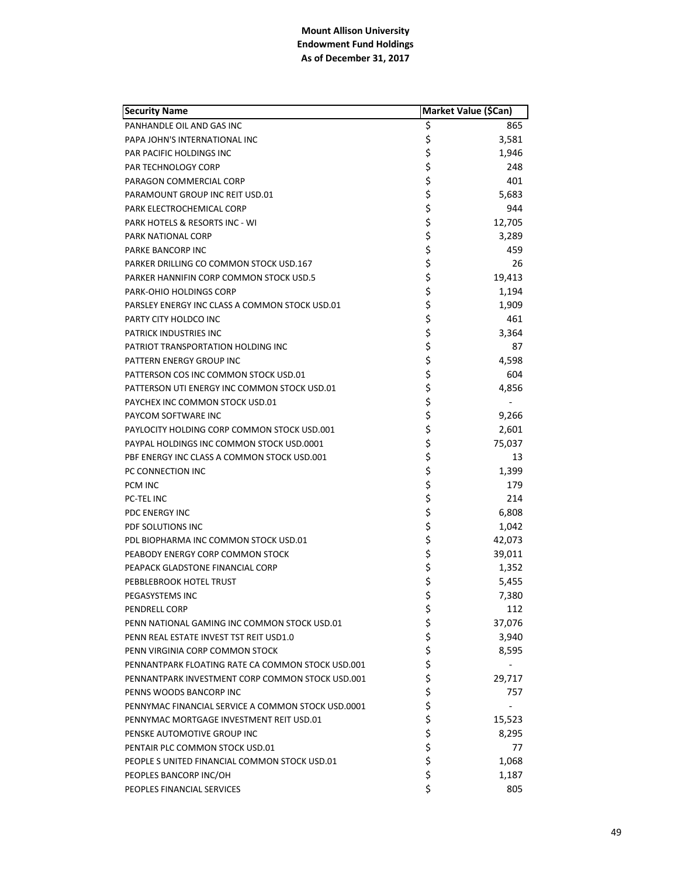| <b>Security Name</b>                               | Market Value (\$Can) |        |
|----------------------------------------------------|----------------------|--------|
| PANHANDLE OIL AND GAS INC                          | \$                   | 865    |
| PAPA JOHN'S INTERNATIONAL INC                      | \$                   | 3,581  |
| PAR PACIFIC HOLDINGS INC                           | \$                   | 1,946  |
| <b>PAR TECHNOLOGY CORP</b>                         | \$                   | 248    |
| PARAGON COMMERCIAL CORP                            | \$                   | 401    |
| PARAMOUNT GROUP INC REIT USD.01                    | \$                   | 5,683  |
| PARK ELECTROCHEMICAL CORP                          | \$                   | 944    |
| <b>PARK HOTELS &amp; RESORTS INC - WI</b>          | \$                   | 12,705 |
| PARK NATIONAL CORP                                 | \$                   | 3,289  |
| PARKE BANCORP INC                                  | \$                   | 459    |
| PARKER DRILLING CO COMMON STOCK USD.167            | \$                   | 26     |
| PARKER HANNIFIN CORP COMMON STOCK USD.5            | \$                   | 19,413 |
| PARK-OHIO HOLDINGS CORP                            | \$                   | 1,194  |
| PARSLEY ENERGY INC CLASS A COMMON STOCK USD.01     | \$                   | 1,909  |
| PARTY CITY HOLDCO INC                              | \$                   | 461    |
| <b>PATRICK INDUSTRIES INC</b>                      | \$                   | 3,364  |
| PATRIOT TRANSPORTATION HOLDING INC                 | \$                   | 87     |
| PATTERN ENERGY GROUP INC                           | \$                   | 4,598  |
| PATTERSON COS INC COMMON STOCK USD.01              | \$                   | 604    |
| PATTERSON UTI ENERGY INC COMMON STOCK USD.01       | \$                   | 4,856  |
| PAYCHEX INC COMMON STOCK USD.01                    | \$                   |        |
| PAYCOM SOFTWARE INC                                | \$                   | 9,266  |
| PAYLOCITY HOLDING CORP COMMON STOCK USD.001        | \$                   | 2,601  |
| PAYPAL HOLDINGS INC COMMON STOCK USD.0001          | \$                   | 75,037 |
| PBF ENERGY INC CLASS A COMMON STOCK USD.001        | \$                   | 13     |
| PC CONNECTION INC                                  | \$                   | 1,399  |
| PCM INC                                            | \$                   | 179    |
| <b>PC-TEL INC</b>                                  | \$                   | 214    |
| PDC ENERGY INC                                     | \$                   | 6,808  |
| PDF SOLUTIONS INC                                  | \$                   | 1,042  |
| PDL BIOPHARMA INC COMMON STOCK USD.01              | \$                   | 42,073 |
| PEABODY ENERGY CORP COMMON STOCK                   | \$                   | 39,011 |
| PEAPACK GLADSTONE FINANCIAL CORP                   | \$                   | 1,352  |
| PEBBLEBROOK HOTEL TRUST                            | \$                   | 5,455  |
| PEGASYSTEMS INC                                    | \$                   | 7,380  |
| <b>PENDRELL CORP</b>                               | \$                   | 112    |
| PENN NATIONAL GAMING INC COMMON STOCK USD.01       |                      | 37,076 |
| PENN REAL ESTATE INVEST TST REIT USD1.0            | \$\$\$               | 3,940  |
| PENN VIRGINIA CORP COMMON STOCK                    |                      | 8,595  |
| PENNANTPARK FLOATING RATE CA COMMON STOCK USD.001  | \$                   |        |
| PENNANTPARK INVESTMENT CORP COMMON STOCK USD.001   | \$                   | 29,717 |
| PENNS WOODS BANCORP INC                            | \$                   | 757    |
| PENNYMAC FINANCIAL SERVICE A COMMON STOCK USD.0001 | \$                   |        |
| PENNYMAC MORTGAGE INVESTMENT REIT USD.01           | \$                   | 15,523 |
| PENSKE AUTOMOTIVE GROUP INC                        | \$                   | 8,295  |
| PENTAIR PLC COMMON STOCK USD.01                    | \$                   | 77     |
| PEOPLE SUNITED FINANCIAL COMMON STOCK USD.01       | \$                   | 1,068  |
| PEOPLES BANCORP INC/OH                             | \$                   | 1,187  |
| PEOPLES FINANCIAL SERVICES                         | \$                   | 805    |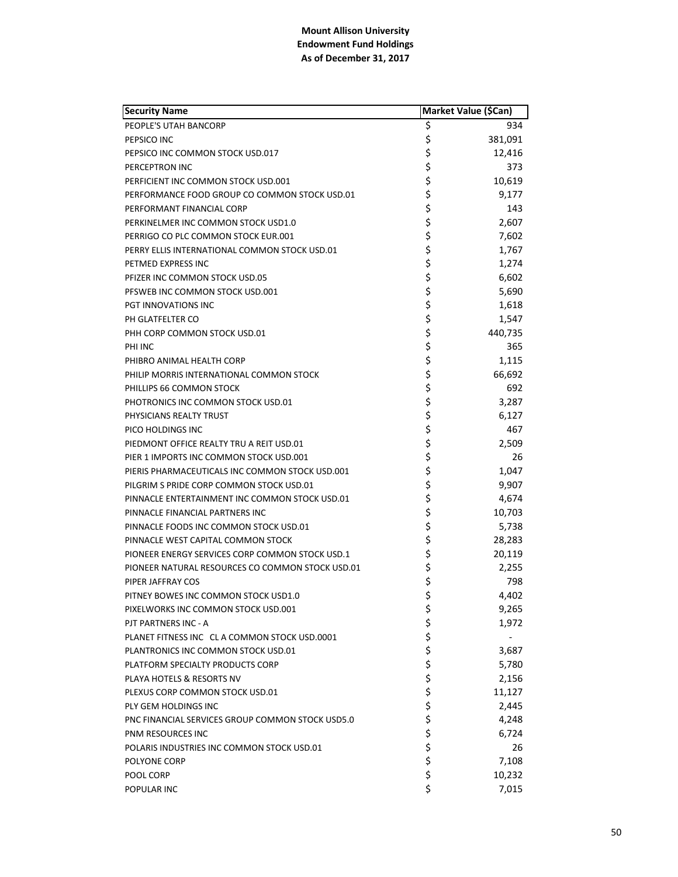| <b>Security Name</b>                             | Market Value (\$Can) |         |
|--------------------------------------------------|----------------------|---------|
| PEOPLE'S UTAH BANCORP                            | \$                   | 934     |
| PEPSICO INC                                      | \$                   | 381,091 |
| PEPSICO INC COMMON STOCK USD.017                 | \$                   | 12,416  |
| PERCEPTRON INC                                   | \$                   | 373     |
| PERFICIENT INC COMMON STOCK USD.001              | \$                   | 10,619  |
| PERFORMANCE FOOD GROUP CO COMMON STOCK USD.01    | \$                   | 9,177   |
| PERFORMANT FINANCIAL CORP                        | \$                   | 143     |
| PERKINELMER INC COMMON STOCK USD1.0              | \$                   | 2,607   |
| PERRIGO CO PLC COMMON STOCK EUR.001              | \$                   | 7,602   |
| PERRY ELLIS INTERNATIONAL COMMON STOCK USD.01    | \$                   | 1,767   |
| PETMED EXPRESS INC                               | \$                   | 1,274   |
| PFIZER INC COMMON STOCK USD.05                   | \$                   | 6,602   |
| PFSWEB INC COMMON STOCK USD.001                  | \$                   | 5,690   |
| PGT INNOVATIONS INC                              | \$                   | 1,618   |
| PH GLATFELTER CO                                 | \$                   | 1,547   |
| PHH CORP COMMON STOCK USD.01                     | \$                   | 440,735 |
| PHI INC                                          | \$                   | 365     |
| PHIBRO ANIMAL HEALTH CORP                        | \$                   | 1,115   |
| PHILIP MORRIS INTERNATIONAL COMMON STOCK         | \$                   | 66,692  |
| PHILLIPS 66 COMMON STOCK                         | \$                   | 692     |
| PHOTRONICS INC COMMON STOCK USD.01               | \$                   | 3,287   |
| PHYSICIANS REALTY TRUST                          | \$                   | 6,127   |
| PICO HOLDINGS INC                                | \$                   | 467     |
| PIEDMONT OFFICE REALTY TRU A REIT USD.01         | \$                   | 2,509   |
| PIER 1 IMPORTS INC COMMON STOCK USD.001          | \$                   | 26      |
| PIERIS PHARMACEUTICALS INC COMMON STOCK USD.001  | \$                   | 1,047   |
| PILGRIM S PRIDE CORP COMMON STOCK USD.01         | \$                   | 9,907   |
| PINNACLE ENTERTAINMENT INC COMMON STOCK USD.01   | \$                   | 4,674   |
| PINNACLE FINANCIAL PARTNERS INC                  | \$                   | 10,703  |
| PINNACLE FOODS INC COMMON STOCK USD.01           | \$                   | 5,738   |
| PINNACLE WEST CAPITAL COMMON STOCK               | \$                   | 28,283  |
| PIONEER ENERGY SERVICES CORP COMMON STOCK USD.1  | \$                   | 20,119  |
| PIONEER NATURAL RESOURCES CO COMMON STOCK USD.01 | \$                   | 2,255   |
| PIPER JAFFRAY COS                                | \$                   | 798     |
| PITNEY BOWES INC COMMON STOCK USD1.0             | \$                   | 4,402   |
| PIXELWORKS INC COMMON STOCK USD.001              | \$                   | 9,265   |
| PJT PARTNERS INC - A                             |                      | 1,972   |
| PLANET FITNESS INC CL A COMMON STOCK USD.0001    | \$\$\$               |         |
| PLANTRONICS INC COMMON STOCK USD.01              |                      | 3,687   |
| PLATFORM SPECIALTY PRODUCTS CORP                 | \$                   | 5,780   |
| PLAYA HOTELS & RESORTS NV                        | \$                   | 2,156   |
| PLEXUS CORP COMMON STOCK USD.01                  | \$                   | 11,127  |
| PLY GEM HOLDINGS INC                             | \$                   | 2,445   |
| PNC FINANCIAL SERVICES GROUP COMMON STOCK USD5.0 | \$                   | 4,248   |
| PNM RESOURCES INC                                | \$                   | 6,724   |
| POLARIS INDUSTRIES INC COMMON STOCK USD.01       | \$                   | 26      |
| POLYONE CORP                                     | \$                   | 7,108   |
| POOL CORP                                        | \$                   | 10,232  |
| POPULAR INC                                      | \$                   | 7,015   |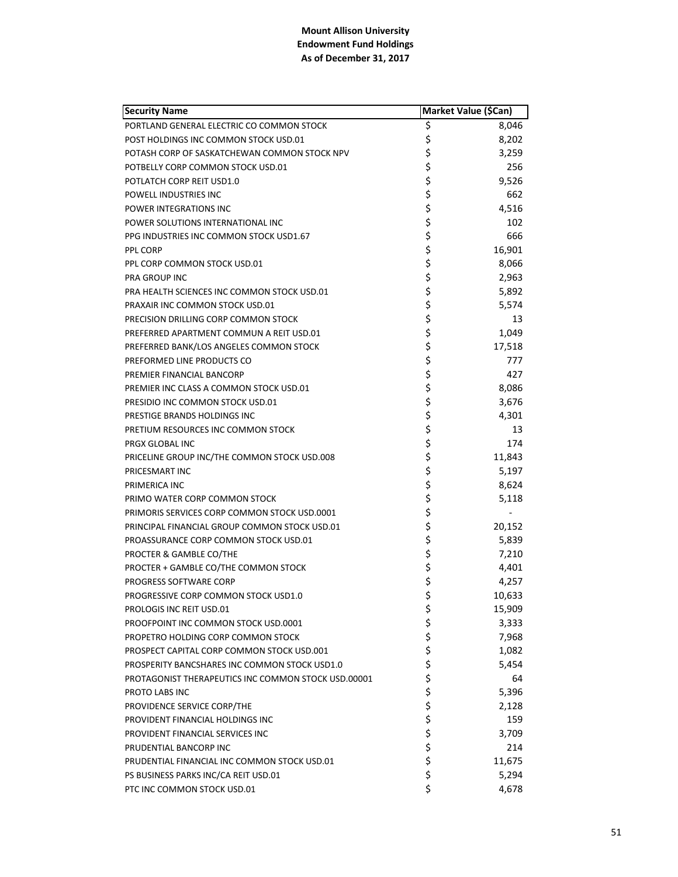| <b>Security Name</b>                                |        | Market Value (\$Can) |
|-----------------------------------------------------|--------|----------------------|
| PORTLAND GENERAL ELECTRIC CO COMMON STOCK           | \$     | 8,046                |
| POST HOLDINGS INC COMMON STOCK USD.01               | \$     | 8,202                |
| POTASH CORP OF SASKATCHEWAN COMMON STOCK NPV        | \$     | 3,259                |
| POTBELLY CORP COMMON STOCK USD.01                   | \$     | 256                  |
| POTLATCH CORP REIT USD1.0                           | \$     | 9,526                |
| POWELL INDUSTRIES INC                               | \$     | 662                  |
| POWER INTEGRATIONS INC                              | \$     | 4,516                |
| POWER SOLUTIONS INTERNATIONAL INC                   | \$     | 102                  |
| PPG INDUSTRIES INC COMMON STOCK USD1.67             | \$     | 666                  |
| PPL CORP                                            | \$     | 16,901               |
| PPL CORP COMMON STOCK USD.01                        | \$     | 8,066                |
| PRA GROUP INC                                       | \$     | 2,963                |
| PRA HEALTH SCIENCES INC COMMON STOCK USD.01         | \$     | 5,892                |
| PRAXAIR INC COMMON STOCK USD.01                     | \$     | 5,574                |
| PRECISION DRILLING CORP COMMON STOCK                | \$     | 13                   |
| PREFERRED APARTMENT COMMUN A REIT USD.01            | \$     | 1,049                |
| PREFERRED BANK/LOS ANGELES COMMON STOCK             | \$     | 17,518               |
| PREFORMED LINE PRODUCTS CO                          | \$     | 777                  |
| PREMIER FINANCIAL BANCORP                           | \$     | 427                  |
| PREMIER INC CLASS A COMMON STOCK USD.01             | \$     | 8,086                |
| PRESIDIO INC COMMON STOCK USD.01                    | \$     | 3,676                |
| PRESTIGE BRANDS HOLDINGS INC                        | \$     | 4,301                |
| PRETIUM RESOURCES INC COMMON STOCK                  | \$     | 13                   |
| PRGX GLOBAL INC                                     | \$     | 174                  |
| PRICELINE GROUP INC/THE COMMON STOCK USD.008        | \$     | 11,843               |
| PRICESMART INC                                      | \$     | 5,197                |
| PRIMERICA INC                                       | \$     | 8,624                |
| PRIMO WATER CORP COMMON STOCK                       | \$     | 5,118                |
| PRIMORIS SERVICES CORP COMMON STOCK USD.0001        | \$     |                      |
| PRINCIPAL FINANCIAL GROUP COMMON STOCK USD.01       | \$     | 20,152               |
| PROASSURANCE CORP COMMON STOCK USD.01               | \$     | 5,839                |
| PROCTER & GAMBLE CO/THE                             | \$     | 7,210                |
| PROCTER + GAMBLE CO/THE COMMON STOCK                | \$     | 4,401                |
| PROGRESS SOFTWARE CORP                              | \$     | 4,257                |
| PROGRESSIVE CORP COMMON STOCK USD1.0                | \$     | 10,633               |
| PROLOGIS INC REIT USD.01                            | \$     | 15,909               |
| PROOFPOINT INC COMMON STOCK USD.0001                | \$     | 3,333                |
| PROPETRO HOLDING CORP COMMON STOCK                  | \$     | 7,968                |
| PROSPECT CAPITAL CORP COMMON STOCK USD.001          | \$     | 1,082                |
| PROSPERITY BANCSHARES INC COMMON STOCK USD1.0       | \$     | 5,454                |
| PROTAGONIST THERAPEUTICS INC COMMON STOCK USD.00001 | \$     | 64                   |
| PROTO LABS INC                                      | \$     | 5,396                |
| PROVIDENCE SERVICE CORP/THE                         | \$\$\$ | 2,128                |
| PROVIDENT FINANCIAL HOLDINGS INC                    |        | 159                  |
| PROVIDENT FINANCIAL SERVICES INC                    |        | 3,709                |
| PRUDENTIAL BANCORP INC                              | \$     | 214                  |
| PRUDENTIAL FINANCIAL INC COMMON STOCK USD.01        | \$     | 11,675               |
| PS BUSINESS PARKS INC/CA REIT USD.01                | \$     | 5,294                |
| PTC INC COMMON STOCK USD.01                         | \$     | 4,678                |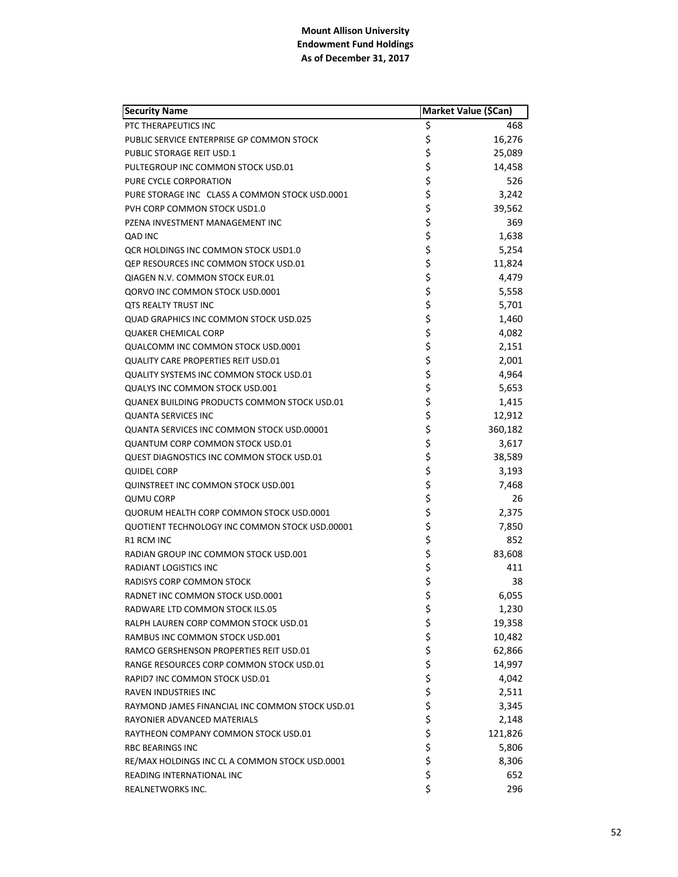| <b>Security Name</b>                              | Market Value (\$Can) |         |
|---------------------------------------------------|----------------------|---------|
| PTC THERAPEUTICS INC                              | \$                   | 468     |
| PUBLIC SERVICE ENTERPRISE GP COMMON STOCK         | \$                   | 16,276  |
| <b>PUBLIC STORAGE REIT USD.1</b>                  | \$                   | 25,089  |
| PULTEGROUP INC COMMON STOCK USD.01                | \$                   | 14,458  |
| PURE CYCLE CORPORATION                            | \$                   | 526     |
| PURE STORAGE INC CLASS A COMMON STOCK USD.0001    | \$                   | 3,242   |
| PVH CORP COMMON STOCK USD1.0                      | \$                   | 39,562  |
| PZENA INVESTMENT MANAGEMENT INC                   | \$                   | 369     |
| QAD INC                                           | \$                   | 1,638   |
| OCR HOLDINGS INC COMMON STOCK USD1.0              | \$                   | 5,254   |
| QEP RESOURCES INC COMMON STOCK USD.01             | \$\$\$               | 11,824  |
| QIAGEN N.V. COMMON STOCK EUR.01                   |                      | 4,479   |
| QORVO INC COMMON STOCK USD.0001                   |                      | 5,558   |
| <b>QTS REALTY TRUST INC</b>                       |                      | 5,701   |
| <b>QUAD GRAPHICS INC COMMON STOCK USD.025</b>     |                      | 1,460   |
| <b>QUAKER CHEMICAL CORP</b>                       | \$\$\$               | 4,082   |
| QUALCOMM INC COMMON STOCK USD.0001                |                      | 2,151   |
| <b>QUALITY CARE PROPERTIES REIT USD.01</b>        | \$<br>\$             | 2,001   |
| <b>QUALITY SYSTEMS INC COMMON STOCK USD.01</b>    | \$                   | 4,964   |
| <b>QUALYS INC COMMON STOCK USD.001</b>            | \$                   | 5,653   |
| QUANEX BUILDING PRODUCTS COMMON STOCK USD.01      | \$                   | 1,415   |
| <b>QUANTA SERVICES INC</b>                        | \$                   | 12,912  |
| <b>QUANTA SERVICES INC COMMON STOCK USD.00001</b> | \$                   | 360,182 |
| <b>QUANTUM CORP COMMON STOCK USD.01</b>           |                      | 3,617   |
| <b>QUEST DIAGNOSTICS INC COMMON STOCK USD.01</b>  | \$<br>\$             | 38,589  |
| <b>QUIDEL CORP</b>                                |                      | 3,193   |
| <b>QUINSTREET INC COMMON STOCK USD.001</b>        |                      | 7,468   |
| <b>QUMU CORP</b>                                  |                      | 26      |
| QUORUM HEALTH CORP COMMON STOCK USD.0001          | \$\$\$\$             | 2,375   |
| QUOTIENT TECHNOLOGY INC COMMON STOCK USD.00001    | \$                   | 7,850   |
| <b>R1 RCM INC</b>                                 | \$                   | 852     |
| RADIAN GROUP INC COMMON STOCK USD.001             | \$                   | 83,608  |
| RADIANT LOGISTICS INC                             | \$                   | 411     |
| RADISYS CORP COMMON STOCK                         | \$                   | 38      |
| RADNET INC COMMON STOCK USD.0001                  | \$                   | 6,055   |
| RADWARE LTD COMMON STOCK ILS.05                   | \$                   | 1,230   |
| RALPH LAUREN CORP COMMON STOCK USD.01             |                      | 19,358  |
| RAMBUS INC COMMON STOCK USD.001                   |                      | 10,482  |
| RAMCO GERSHENSON PROPERTIES REIT USD.01           |                      | 62,866  |
| RANGE RESOURCES CORP COMMON STOCK USD.01          |                      | 14,997  |
| RAPID7 INC COMMON STOCK USD.01                    |                      | 4,042   |
| <b>RAVEN INDUSTRIES INC</b>                       |                      | 2,511   |
| RAYMOND JAMES FINANCIAL INC COMMON STOCK USD.01   |                      | 3,345   |
| RAYONIER ADVANCED MATERIALS                       |                      | 2,148   |
| RAYTHEON COMPANY COMMON STOCK USD.01              | やややや やややや            | 121,826 |
| <b>RBC BEARINGS INC</b>                           |                      | 5,806   |
| RE/MAX HOLDINGS INC CL A COMMON STOCK USD.0001    | \$                   | 8,306   |
| READING INTERNATIONAL INC                         | \$                   | 652     |
| REALNETWORKS INC.                                 | \$                   | 296     |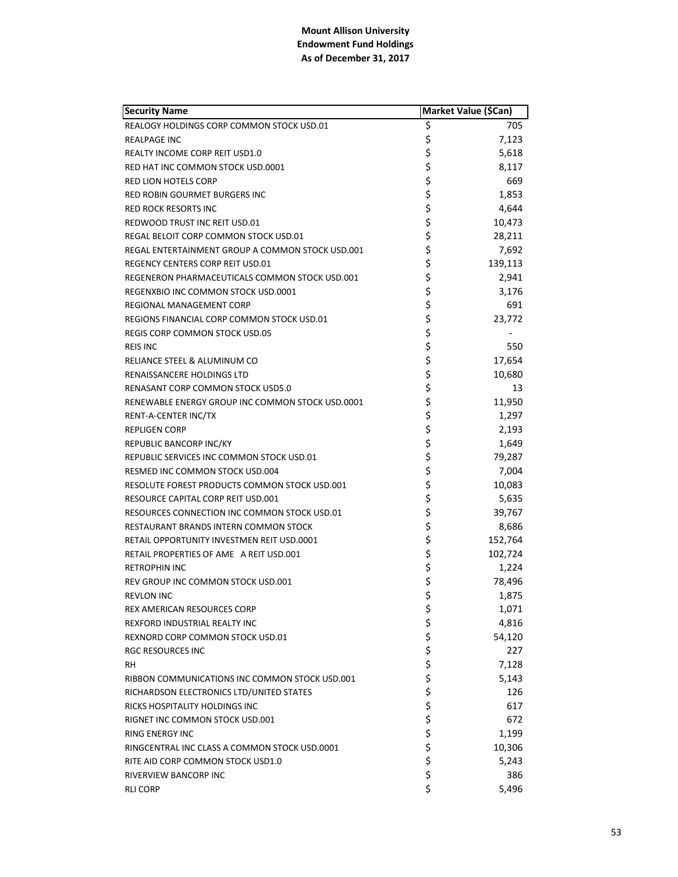| <b>Security Name</b>                             | Market Value (\$Can) |         |
|--------------------------------------------------|----------------------|---------|
| REALOGY HOLDINGS CORP COMMON STOCK USD.01        | \$                   | 705     |
| <b>REALPAGE INC</b>                              | \$                   | 7,123   |
| REALTY INCOME CORP REIT USD1.0                   | \$                   | 5,618   |
| RED HAT INC COMMON STOCK USD.0001                | \$                   | 8,117   |
| <b>RED LION HOTELS CORP</b>                      | \$                   | 669     |
| RED ROBIN GOURMET BURGERS INC                    | \$                   | 1,853   |
| RED ROCK RESORTS INC                             | \$                   | 4,644   |
| REDWOOD TRUST INC REIT USD.01                    | \$                   | 10,473  |
| REGAL BELOIT CORP COMMON STOCK USD.01            | \$                   | 28,211  |
| REGAL ENTERTAINMENT GROUP A COMMON STOCK USD.001 | \$                   | 7,692   |
| REGENCY CENTERS CORP REIT USD.01                 | \$                   | 139,113 |
| REGENERON PHARMACEUTICALS COMMON STOCK USD.001   | \$                   | 2,941   |
| REGENXBIO INC COMMON STOCK USD.0001              | \$                   | 3,176   |
| REGIONAL MANAGEMENT CORP                         | \$                   | 691     |
| REGIONS FINANCIAL CORP COMMON STOCK USD.01       | \$                   | 23,772  |
| REGIS CORP COMMON STOCK USD.05                   | \$                   |         |
| <b>REIS INC</b>                                  | \$                   | 550     |
| RELIANCE STEEL & ALUMINUM CO                     | \$                   | 17,654  |
| RENAISSANCERE HOLDINGS LTD                       | \$                   | 10,680  |
| RENASANT CORP COMMON STOCK USD5.0                | \$                   | 13      |
| RENEWABLE ENERGY GROUP INC COMMON STOCK USD.0001 | \$                   | 11,950  |
| RENT-A-CENTER INC/TX                             | \$                   | 1,297   |
| <b>REPLIGEN CORP</b>                             | \$                   | 2,193   |
| REPUBLIC BANCORP INC/KY                          | \$                   | 1,649   |
| REPUBLIC SERVICES INC COMMON STOCK USD.01        | \$                   | 79,287  |
| RESMED INC COMMON STOCK USD.004                  | \$                   | 7,004   |
| RESOLUTE FOREST PRODUCTS COMMON STOCK USD.001    | \$                   | 10,083  |
| RESOURCE CAPITAL CORP REIT USD.001               | \$                   | 5,635   |
| RESOURCES CONNECTION INC COMMON STOCK USD.01     | \$                   | 39,767  |
| RESTAURANT BRANDS INTERN COMMON STOCK            | \$                   | 8,686   |
| RETAIL OPPORTUNITY INVESTMEN REIT USD.0001       | \$                   | 152,764 |
| RETAIL PROPERTIES OF AME A REIT USD.001          | \$                   | 102,724 |
| <b>RETROPHIN INC</b>                             | \$                   | 1,224   |
| REV GROUP INC COMMON STOCK USD.001               | \$                   | 78,496  |
| <b>REVLON INC</b>                                | \$                   | 1,875   |
| <b>REX AMERICAN RESOURCES CORP</b>               | \$                   | 1,071   |
| REXFORD INDUSTRIAL REALTY INC                    | \$<br>\$             | 4,816   |
| REXNORD CORP COMMON STOCK USD.01                 |                      | 54,120  |
| RGC RESOURCES INC                                | \$\$\$               | 227     |
| RH.                                              |                      | 7,128   |
| RIBBON COMMUNICATIONS INC COMMON STOCK USD.001   |                      | 5,143   |
| RICHARDSON ELECTRONICS LTD/UNITED STATES         | \$<br>\$             | 126     |
| RICKS HOSPITALITY HOLDINGS INC                   |                      | 617     |
| RIGNET INC COMMON STOCK USD.001                  | \$                   | 672     |
| <b>RING ENERGY INC</b>                           | \$                   | 1,199   |
| RINGCENTRAL INC CLASS A COMMON STOCK USD.0001    | \$                   | 10,306  |
| RITE AID CORP COMMON STOCK USD1.0                | \$                   | 5,243   |
| RIVERVIEW BANCORP INC                            | \$                   | 386     |
| <b>RLI CORP</b>                                  | \$                   | 5,496   |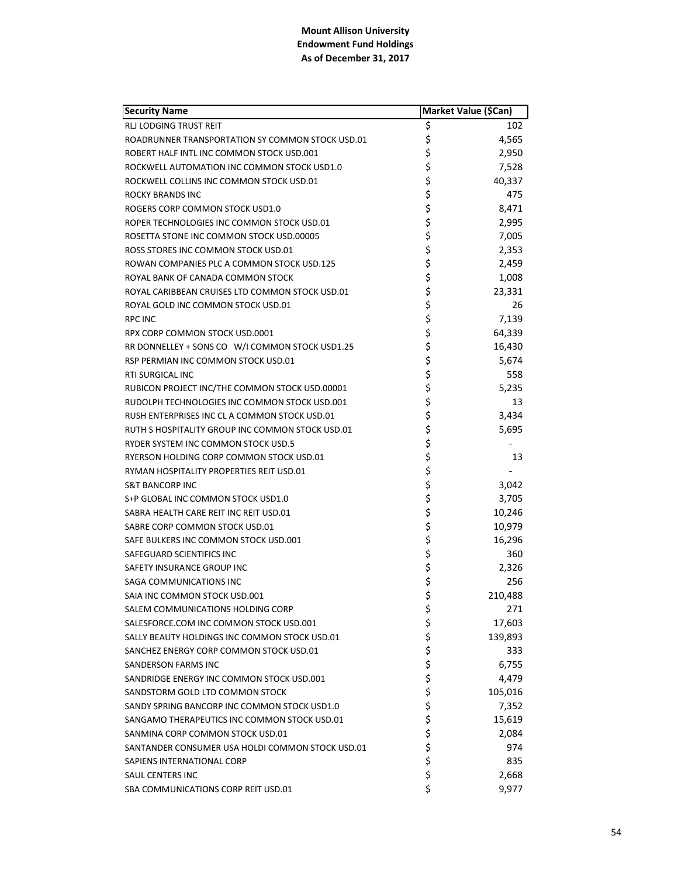| <b>Security Name</b>                             | Market Value (\$Can) |
|--------------------------------------------------|----------------------|
| RLJ LODGING TRUST REIT                           | \$<br>102            |
| ROADRUNNER TRANSPORTATION SY COMMON STOCK USD.01 | \$<br>4,565          |
| ROBERT HALF INTL INC COMMON STOCK USD.001        | \$<br>2,950          |
| ROCKWELL AUTOMATION INC COMMON STOCK USD1.0      | \$<br>7,528          |
| ROCKWELL COLLINS INC COMMON STOCK USD.01         | \$<br>40,337         |
| <b>ROCKY BRANDS INC</b>                          | \$<br>475            |
| ROGERS CORP COMMON STOCK USD1.0                  | \$<br>8,471          |
| ROPER TECHNOLOGIES INC COMMON STOCK USD.01       | \$<br>2,995          |
| ROSETTA STONE INC COMMON STOCK USD.00005         | \$<br>7,005          |
| ROSS STORES INC COMMON STOCK USD.01              | \$<br>2,353          |
| ROWAN COMPANIES PLC A COMMON STOCK USD.125       | \$<br>2,459          |
| ROYAL BANK OF CANADA COMMON STOCK                | \$<br>1,008          |
| ROYAL CARIBBEAN CRUISES LTD COMMON STOCK USD.01  | \$<br>23,331         |
| ROYAL GOLD INC COMMON STOCK USD.01               | \$<br>26             |
| <b>RPC INC</b>                                   | \$<br>7,139          |
| RPX CORP COMMON STOCK USD.0001                   | \$<br>64,339         |
| RR DONNELLEY + SONS CO W/I COMMON STOCK USD1.25  | \$<br>16,430         |
| RSP PERMIAN INC COMMON STOCK USD.01              | \$<br>5,674          |
| RTI SURGICAL INC                                 | \$<br>558            |
| RUBICON PROJECT INC/THE COMMON STOCK USD.00001   | \$<br>5,235          |
| RUDOLPH TECHNOLOGIES INC COMMON STOCK USD.001    | \$<br>13             |
| RUSH ENTERPRISES INC CL A COMMON STOCK USD.01    | \$<br>3,434          |
| RUTH S HOSPITALITY GROUP INC COMMON STOCK USD.01 | \$<br>5,695          |
| RYDER SYSTEM INC COMMON STOCK USD.5              | \$                   |
| RYERSON HOLDING CORP COMMON STOCK USD.01         | \$<br>13             |
| RYMAN HOSPITALITY PROPERTIES REIT USD.01         | \$                   |
| <b>S&amp;T BANCORP INC</b>                       | \$<br>3,042          |
| S+P GLOBAL INC COMMON STOCK USD1.0               | \$<br>3,705          |
| SABRA HEALTH CARE REIT INC REIT USD.01           | \$<br>10,246         |
| SABRE CORP COMMON STOCK USD.01                   | \$<br>10,979         |
| SAFE BULKERS INC COMMON STOCK USD.001            | \$<br>16,296         |
| SAFEGUARD SCIENTIFICS INC                        | \$<br>360            |
| SAFETY INSURANCE GROUP INC                       | \$<br>2,326          |
| SAGA COMMUNICATIONS INC                          | \$<br>256            |
| SAIA INC COMMON STOCK USD.001                    | \$<br>210,488        |
| SALEM COMMUNICATIONS HOLDING CORP                | \$<br>271            |
| SALESFORCE.COM INC COMMON STOCK USD.001          | \$<br>17,603         |
| SALLY BEAUTY HOLDINGS INC COMMON STOCK USD.01    | \$<br>139,893        |
| SANCHEZ ENERGY CORP COMMON STOCK USD.01          | \$<br>333            |
| <b>SANDERSON FARMS INC</b>                       | \$<br>6,755          |
| SANDRIDGE ENERGY INC COMMON STOCK USD.001        | \$<br>4,479          |
| SANDSTORM GOLD LTD COMMON STOCK                  | \$<br>105,016        |
| SANDY SPRING BANCORP INC COMMON STOCK USD1.0     | \$<br>7,352          |
| SANGAMO THERAPEUTICS INC COMMON STOCK USD.01     | \$<br>15,619         |
| SANMINA CORP COMMON STOCK USD.01                 | \$<br>2,084          |
| SANTANDER CONSUMER USA HOLDI COMMON STOCK USD.01 | \$<br>974            |
| SAPIENS INTERNATIONAL CORP                       | \$<br>835            |
| SAUL CENTERS INC                                 | \$<br>2,668          |
| SBA COMMUNICATIONS CORP REIT USD.01              | \$<br>9,977          |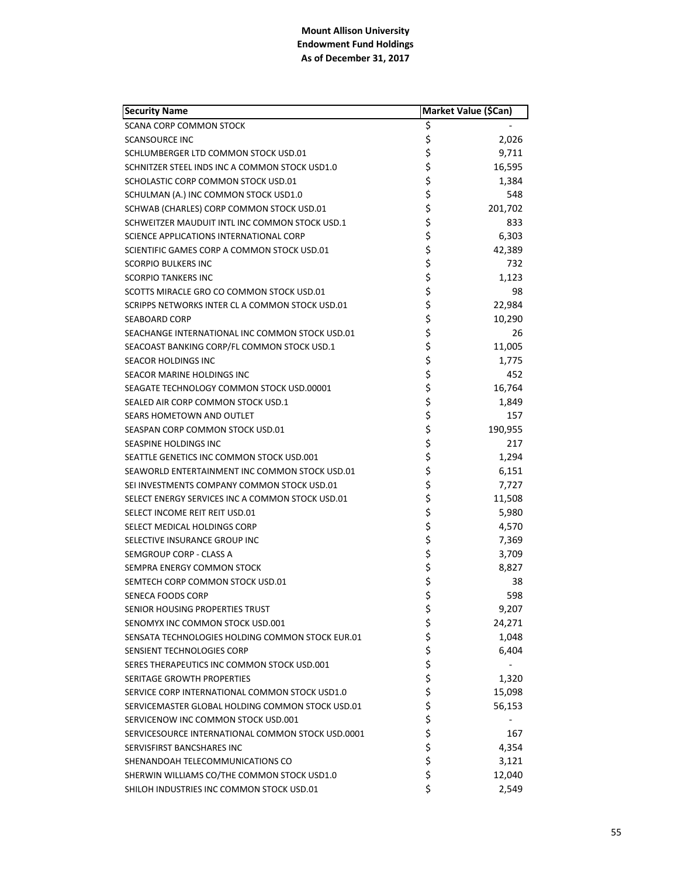| <b>Security Name</b>                              | Market Value (\$Can) |         |
|---------------------------------------------------|----------------------|---------|
| <b>SCANA CORP COMMON STOCK</b>                    | \$                   |         |
| <b>SCANSOURCE INC</b>                             | \$                   | 2,026   |
| SCHLUMBERGER LTD COMMON STOCK USD.01              | \$                   | 9,711   |
| SCHNITZER STEEL INDS INC A COMMON STOCK USD1.0    | \$                   | 16,595  |
| SCHOLASTIC CORP COMMON STOCK USD.01               | \$                   | 1,384   |
| SCHULMAN (A.) INC COMMON STOCK USD1.0             | \$                   | 548     |
| SCHWAB (CHARLES) CORP COMMON STOCK USD.01         | \$                   | 201,702 |
| SCHWEITZER MAUDUIT INTL INC COMMON STOCK USD.1    | \$                   | 833     |
| SCIENCE APPLICATIONS INTERNATIONAL CORP           | \$                   | 6,303   |
| SCIENTIFIC GAMES CORP A COMMON STOCK USD.01       | \$                   | 42,389  |
| <b>SCORPIO BULKERS INC</b>                        | \$                   | 732     |
| <b>SCORPIO TANKERS INC</b>                        | \$                   | 1,123   |
| SCOTTS MIRACLE GRO CO COMMON STOCK USD.01         | \$                   | 98      |
| SCRIPPS NETWORKS INTER CL A COMMON STOCK USD.01   | \$                   | 22,984  |
| <b>SEABOARD CORP</b>                              | \$                   | 10,290  |
| SEACHANGE INTERNATIONAL INC COMMON STOCK USD.01   | \$                   | 26      |
| SEACOAST BANKING CORP/FL COMMON STOCK USD.1       | \$                   | 11,005  |
| SEACOR HOLDINGS INC                               | \$                   | 1,775   |
| SEACOR MARINE HOLDINGS INC                        | \$                   | 452     |
| SEAGATE TECHNOLOGY COMMON STOCK USD.00001         | \$                   | 16,764  |
| SEALED AIR CORP COMMON STOCK USD.1                | \$                   | 1,849   |
| SEARS HOMETOWN AND OUTLET                         | \$                   | 157     |
| SEASPAN CORP COMMON STOCK USD.01                  | \$                   | 190,955 |
| SEASPINE HOLDINGS INC                             | \$                   | 217     |
| SEATTLE GENETICS INC COMMON STOCK USD.001         | \$                   | 1,294   |
| SEAWORLD ENTERTAINMENT INC COMMON STOCK USD.01    | \$                   | 6,151   |
| SEI INVESTMENTS COMPANY COMMON STOCK USD.01       | \$                   | 7,727   |
| SELECT ENERGY SERVICES INC A COMMON STOCK USD.01  | \$                   | 11,508  |
| SELECT INCOME REIT REIT USD.01                    | \$                   | 5,980   |
| SELECT MEDICAL HOLDINGS CORP                      | \$                   | 4,570   |
| SELECTIVE INSURANCE GROUP INC                     | \$                   | 7,369   |
| SEMGROUP CORP - CLASS A                           | \$                   | 3,709   |
| SEMPRA ENERGY COMMON STOCK                        | \$                   | 8,827   |
| SEMTECH CORP COMMON STOCK USD.01                  | \$                   | 38      |
| SENECA FOODS CORP                                 | \$                   | 598     |
| SENIOR HOUSING PROPERTIES TRUST                   | \$                   | 9,207   |
| SENOMYX INC COMMON STOCK USD.001                  | \$                   | 24,271  |
| SENSATA TECHNOLOGIES HOLDING COMMON STOCK EUR.01  | \$                   | 1,048   |
| SENSIENT TECHNOLOGIES CORP                        | \$                   | 6,404   |
| SERES THERAPEUTICS INC COMMON STOCK USD.001       | \$                   |         |
| <b>SERITAGE GROWTH PROPERTIES</b>                 | \$                   | 1,320   |
| SERVICE CORP INTERNATIONAL COMMON STOCK USD1.0    | \$                   | 15,098  |
| SERVICEMASTER GLOBAL HOLDING COMMON STOCK USD.01  | \$                   | 56,153  |
| SERVICENOW INC COMMON STOCK USD.001               | \$                   |         |
| SERVICESOURCE INTERNATIONAL COMMON STOCK USD.0001 | \$                   | 167     |
| SERVISFIRST BANCSHARES INC                        | \$                   | 4,354   |
| SHENANDOAH TELECOMMUNICATIONS CO                  | \$                   | 3,121   |
| SHERWIN WILLIAMS CO/THE COMMON STOCK USD1.0       | \$                   | 12,040  |
| SHILOH INDUSTRIES INC COMMON STOCK USD.01         | \$                   | 2,549   |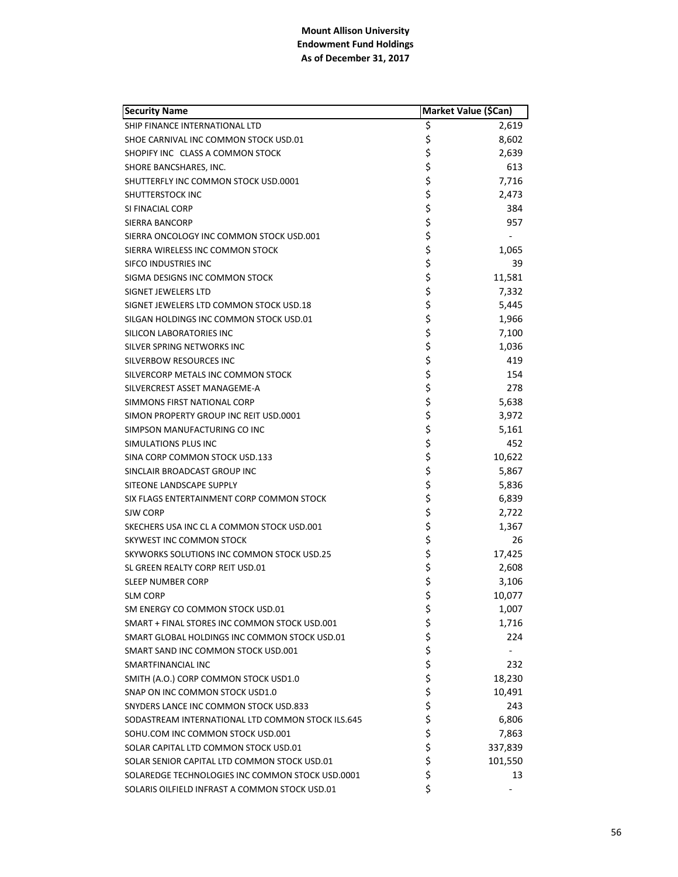| <b>Security Name</b>                              | Market Value (\$Can) |         |
|---------------------------------------------------|----------------------|---------|
| SHIP FINANCE INTERNATIONAL LTD                    | \$                   | 2,619   |
| SHOE CARNIVAL INC COMMON STOCK USD.01             | \$                   | 8,602   |
| SHOPIFY INC CLASS A COMMON STOCK                  | \$                   | 2,639   |
| SHORE BANCSHARES, INC.                            | \$                   | 613     |
| SHUTTERFLY INC COMMON STOCK USD.0001              | \$                   | 7,716   |
| SHUTTERSTOCK INC                                  | \$                   | 2,473   |
| SI FINACIAL CORP                                  | \$                   | 384     |
| <b>SIERRA BANCORP</b>                             | \$                   | 957     |
| SIERRA ONCOLOGY INC COMMON STOCK USD.001          | \$                   |         |
| SIERRA WIRELESS INC COMMON STOCK                  | \$                   | 1,065   |
| SIFCO INDUSTRIES INC                              | \$                   | 39      |
| SIGMA DESIGNS INC COMMON STOCK                    | \$                   | 11,581  |
| SIGNET JEWELERS LTD                               | \$                   | 7,332   |
| SIGNET JEWELERS LTD COMMON STOCK USD.18           | \$                   | 5,445   |
| SILGAN HOLDINGS INC COMMON STOCK USD.01           | \$                   | 1,966   |
| <b>SILICON LABORATORIES INC</b>                   | \$                   | 7,100   |
| SILVER SPRING NETWORKS INC                        | \$                   | 1,036   |
| SILVERBOW RESOURCES INC                           | \$                   | 419     |
| SILVERCORP METALS INC COMMON STOCK                | \$                   | 154     |
| SILVERCREST ASSET MANAGEME-A                      | \$                   | 278     |
| SIMMONS FIRST NATIONAL CORP                       | \$                   | 5,638   |
| SIMON PROPERTY GROUP INC REIT USD.0001            | \$                   | 3,972   |
| SIMPSON MANUFACTURING CO INC                      | \$                   | 5,161   |
| SIMULATIONS PLUS INC                              | \$                   | 452     |
| SINA CORP COMMON STOCK USD.133                    | \$                   | 10,622  |
| SINCLAIR BROADCAST GROUP INC                      | \$                   | 5,867   |
| SITEONE LANDSCAPE SUPPLY                          | \$                   | 5,836   |
| SIX FLAGS ENTERTAINMENT CORP COMMON STOCK         | \$                   | 6,839   |
| SJW CORP                                          | \$                   | 2,722   |
| SKECHERS USA INC CL A COMMON STOCK USD.001        | \$                   | 1,367   |
| SKYWEST INC COMMON STOCK                          | \$                   | 26      |
| SKYWORKS SOLUTIONS INC COMMON STOCK USD.25        | \$                   | 17,425  |
| SL GREEN REALTY CORP REIT USD.01                  | \$                   | 2,608   |
| <b>SLEEP NUMBER CORP</b>                          | \$                   | 3,106   |
| <b>SLM CORP</b>                                   | \$                   | 10,077  |
| SM ENERGY CO COMMON STOCK USD.01                  | \$                   | 1,007   |
| SMART + FINAL STORES INC COMMON STOCK USD.001     | \$                   | 1,716   |
| SMART GLOBAL HOLDINGS INC COMMON STOCK USD.01     | \$<br>\$             | 224     |
| SMART SAND INC COMMON STOCK USD.001               |                      |         |
| SMARTFINANCIAL INC                                | \$                   | 232     |
| SMITH (A.O.) CORP COMMON STOCK USD1.0             | \$                   | 18,230  |
| SNAP ON INC COMMON STOCK USD1.0                   | \$                   | 10,491  |
| SNYDERS LANCE INC COMMON STOCK USD.833            | \$                   | 243     |
| SODASTREAM INTERNATIONAL LTD COMMON STOCK ILS.645 | \$                   | 6,806   |
| SOHU.COM INC COMMON STOCK USD.001                 | \$                   | 7,863   |
| SOLAR CAPITAL LTD COMMON STOCK USD.01             | \$                   | 337,839 |
| SOLAR SENIOR CAPITAL LTD COMMON STOCK USD.01      | \$                   | 101,550 |
| SOLAREDGE TECHNOLOGIES INC COMMON STOCK USD.0001  | \$                   | 13      |
| SOLARIS OILFIELD INFRAST A COMMON STOCK USD.01    | \$                   |         |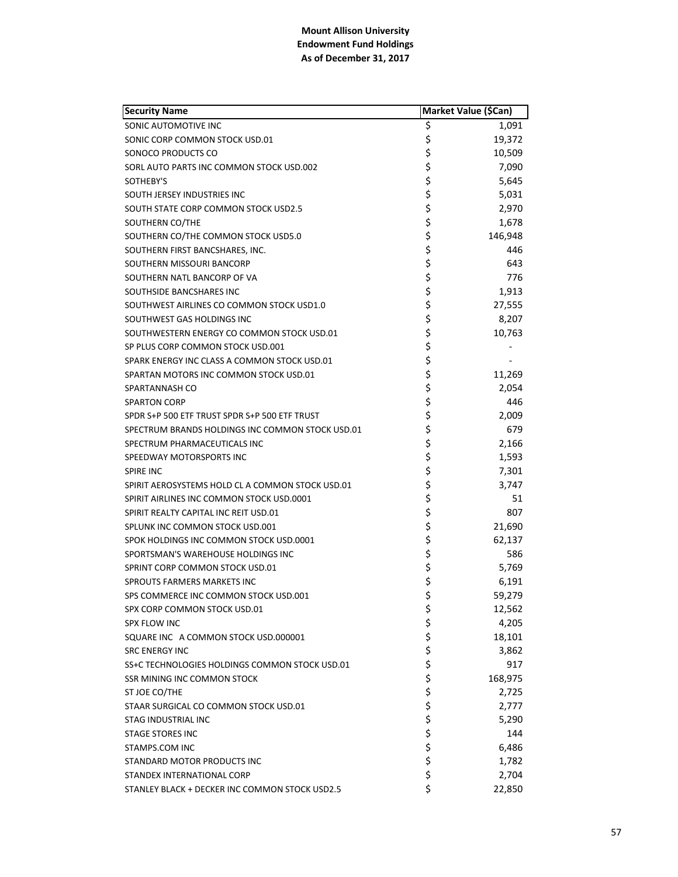| <b>Security Name</b>                             |          | Market Value (\$Can) |
|--------------------------------------------------|----------|----------------------|
| SONIC AUTOMOTIVE INC                             | \$       | 1,091                |
| SONIC CORP COMMON STOCK USD.01                   | \$       | 19,372               |
| SONOCO PRODUCTS CO                               | \$       | 10,509               |
| SORL AUTO PARTS INC COMMON STOCK USD.002         | \$       | 7,090                |
| SOTHEBY'S                                        | \$       | 5,645                |
| SOUTH JERSEY INDUSTRIES INC                      | \$       | 5,031                |
| SOUTH STATE CORP COMMON STOCK USD2.5             | \$       | 2,970                |
| SOUTHERN CO/THE                                  | \$       | 1,678                |
| SOUTHERN CO/THE COMMON STOCK USD5.0              | \$       | 146,948              |
| SOUTHERN FIRST BANCSHARES, INC.                  | \$       | 446                  |
| SOUTHERN MISSOURI BANCORP                        | \$       | 643                  |
| SOUTHERN NATL BANCORP OF VA                      | \$       | 776                  |
| SOUTHSIDE BANCSHARES INC                         | \$       | 1,913                |
| SOUTHWEST AIRLINES CO COMMON STOCK USD1.0        | \$       | 27,555               |
| SOUTHWEST GAS HOLDINGS INC                       | \$       | 8,207                |
| SOUTHWESTERN ENERGY CO COMMON STOCK USD.01       | \$       | 10,763               |
| SP PLUS CORP COMMON STOCK USD.001                | \$       |                      |
| SPARK ENERGY INC CLASS A COMMON STOCK USD.01     | \$       |                      |
| SPARTAN MOTORS INC COMMON STOCK USD.01           | \$       | 11,269               |
| SPARTANNASH CO                                   | \$       | 2,054                |
| <b>SPARTON CORP</b>                              | \$       | 446                  |
| SPDR S+P 500 ETF TRUST SPDR S+P 500 ETF TRUST    | \$       | 2,009                |
| SPECTRUM BRANDS HOLDINGS INC COMMON STOCK USD.01 | \$       | 679                  |
| SPECTRUM PHARMACEUTICALS INC                     | \$       | 2,166                |
| SPEEDWAY MOTORSPORTS INC                         | \$       | 1,593                |
| <b>SPIRE INC</b>                                 | \$       | 7,301                |
| SPIRIT AEROSYSTEMS HOLD CL A COMMON STOCK USD.01 | \$       | 3,747                |
| SPIRIT AIRLINES INC COMMON STOCK USD.0001        | \$       | 51                   |
| SPIRIT REALTY CAPITAL INC REIT USD.01            | \$       | 807                  |
| SPLUNK INC COMMON STOCK USD.001                  | \$       | 21,690               |
| SPOK HOLDINGS INC COMMON STOCK USD.0001          | \$       | 62,137               |
| SPORTSMAN'S WAREHOUSE HOLDINGS INC               | \$       | 586                  |
| SPRINT CORP COMMON STOCK USD.01                  | \$       | 5,769                |
| <b>SPROUTS FARMERS MARKETS INC</b>               | \$       | 6,191                |
| SPS COMMERCE INC COMMON STOCK USD.001            | \$       | 59,279               |
| SPX CORP COMMON STOCK USD.01                     | \$       | 12,562               |
| SPX FLOW INC                                     |          | 4,205                |
| SQUARE INC A COMMON STOCK USD.000001             | ちららら     | 18,101               |
| <b>SRC ENERGY INC</b>                            |          | 3,862                |
| SS+C TECHNOLOGIES HOLDINGS COMMON STOCK USD.01   |          | 917                  |
| <b>SSR MINING INC COMMON STOCK</b>               |          | 168,975              |
| ST JOE CO/THE                                    | \$       | 2,725                |
| STAAR SURGICAL CO COMMON STOCK USD.01            | \$       | 2,777                |
| STAG INDUSTRIAL INC                              | \$       | 5,290                |
| <b>STAGE STORES INC</b>                          | \$<br>\$ | 144                  |
| STAMPS.COM INC                                   |          | 6,486                |
| STANDARD MOTOR PRODUCTS INC                      | \$       | 1,782                |
| STANDEX INTERNATIONAL CORP                       | \$       | 2,704                |
| STANLEY BLACK + DECKER INC COMMON STOCK USD2.5   | \$       | 22,850               |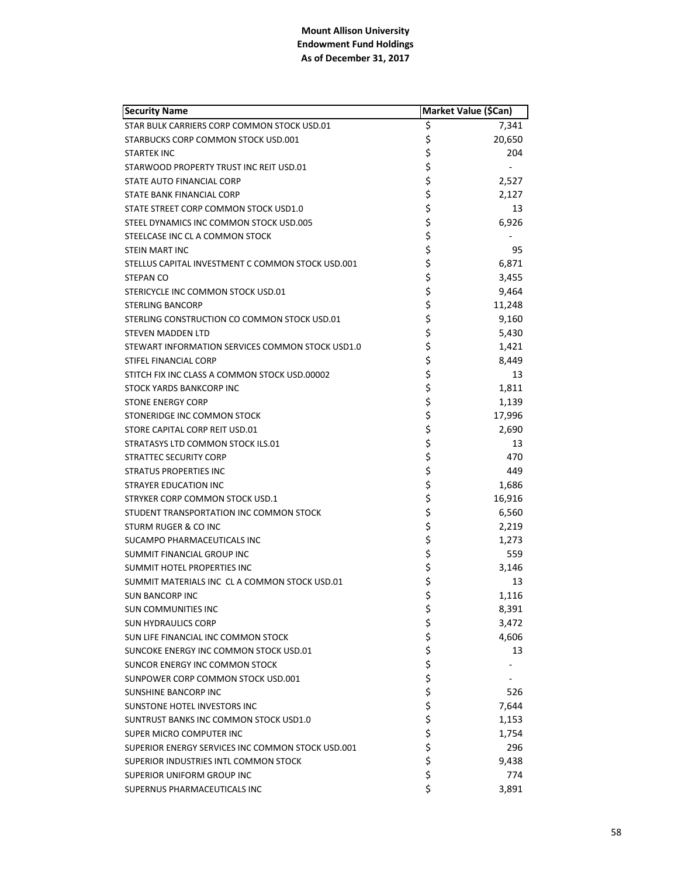| <b>Security Name</b>                              | Market Value (\$Can) |        |
|---------------------------------------------------|----------------------|--------|
| STAR BULK CARRIERS CORP COMMON STOCK USD.01       | \$                   | 7,341  |
| STARBUCKS CORP COMMON STOCK USD.001               | \$                   | 20,650 |
| <b>STARTEK INC</b>                                | \$                   | 204    |
| STARWOOD PROPERTY TRUST INC REIT USD.01           | \$                   |        |
| STATE AUTO FINANCIAL CORP                         | \$                   | 2,527  |
| STATE BANK FINANCIAL CORP                         | \$                   | 2,127  |
| STATE STREET CORP COMMON STOCK USD1.0             | \$                   | 13     |
| STEEL DYNAMICS INC COMMON STOCK USD.005           | \$                   | 6,926  |
| STEELCASE INC CL A COMMON STOCK                   | \$                   |        |
| <b>STEIN MART INC</b>                             | \$                   | 95     |
| STELLUS CAPITAL INVESTMENT C COMMON STOCK USD.001 | \$                   | 6,871  |
| STEPAN CO                                         | \$                   | 3,455  |
| STERICYCLE INC COMMON STOCK USD.01                | \$                   | 9,464  |
| <b>STERLING BANCORP</b>                           | \$                   | 11,248 |
| STERLING CONSTRUCTION CO COMMON STOCK USD.01      | \$                   | 9,160  |
| <b>STEVEN MADDEN LTD</b>                          | \$                   | 5,430  |
| STEWART INFORMATION SERVICES COMMON STOCK USD1.0  | \$                   | 1,421  |
| STIFEL FINANCIAL CORP                             | \$                   | 8,449  |
| STITCH FIX INC CLASS A COMMON STOCK USD.00002     | \$                   | 13     |
| <b>STOCK YARDS BANKCORP INC</b>                   | \$                   | 1,811  |
| <b>STONE ENERGY CORP</b>                          | \$                   | 1,139  |
| STONERIDGE INC COMMON STOCK                       | \$                   | 17,996 |
| STORE CAPITAL CORP REIT USD.01                    | \$                   | 2,690  |
| STRATASYS LTD COMMON STOCK ILS.01                 | \$                   | 13     |
| <b>STRATTEC SECURITY CORP</b>                     | \$                   | 470    |
| <b>STRATUS PROPERTIES INC</b>                     | \$                   | 449    |
| <b>STRAYER EDUCATION INC</b>                      | \$                   | 1,686  |
| STRYKER CORP COMMON STOCK USD.1                   | \$                   | 16,916 |
| STUDENT TRANSPORTATION INC COMMON STOCK           | \$                   | 6,560  |
| STURM RUGER & CO INC                              | \$                   | 2,219  |
| SUCAMPO PHARMACEUTICALS INC                       | \$                   | 1,273  |
| SUMMIT FINANCIAL GROUP INC                        | \$                   | 559    |
| SUMMIT HOTEL PROPERTIES INC                       | \$                   | 3,146  |
| SUMMIT MATERIALS INC CL A COMMON STOCK USD.01     | \$                   | 13     |
| <b>SUN BANCORP INC</b>                            | \$                   | 1,116  |
| <b>SUN COMMUNITIES INC</b>                        | \$                   | 8,391  |
| <b>SUN HYDRAULICS CORP</b>                        | \$                   | 3,472  |
| SUN LIFE FINANCIAL INC COMMON STOCK               | \$                   | 4,606  |
| SUNCOKE ENERGY INC COMMON STOCK USD.01            | \$                   | 13     |
| SUNCOR ENERGY INC COMMON STOCK                    | \$\$\$               |        |
| SUNPOWER CORP COMMON STOCK USD.001                |                      |        |
| <b>SUNSHINE BANCORP INC</b>                       |                      | 526    |
| SUNSTONE HOTEL INVESTORS INC                      | \$                   | 7,644  |
| SUNTRUST BANKS INC COMMON STOCK USD1.0            | \$<br>\$             | 1,153  |
| SUPER MICRO COMPUTER INC                          |                      | 1,754  |
| SUPERIOR ENERGY SERVICES INC COMMON STOCK USD.001 | \$                   | 296    |
| SUPERIOR INDUSTRIES INTL COMMON STOCK             | \$                   | 9,438  |
| SUPERIOR UNIFORM GROUP INC                        | \$                   | 774    |
| SUPERNUS PHARMACEUTICALS INC                      | \$                   | 3,891  |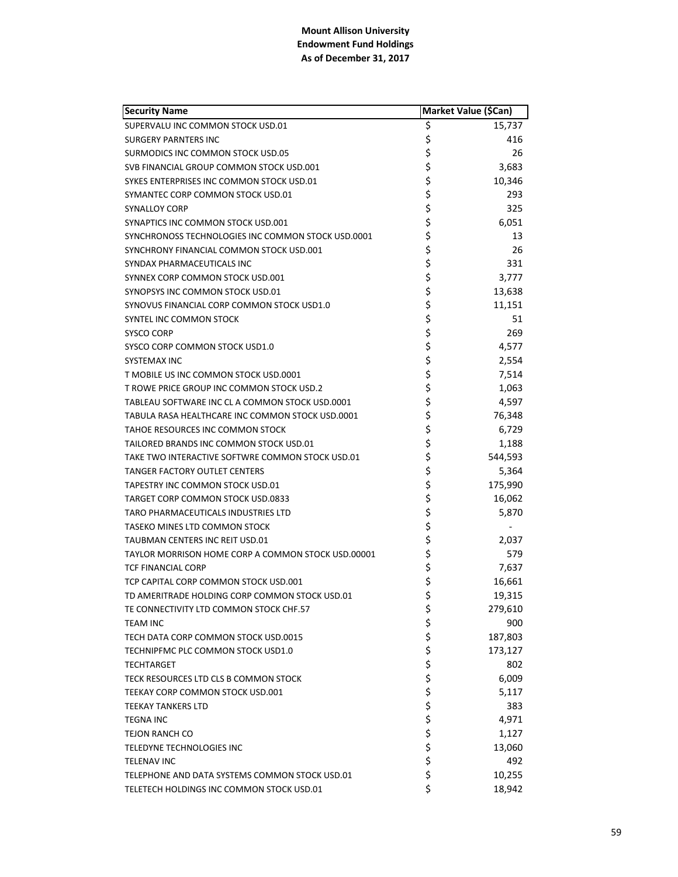| <b>Security Name</b>                               | Market Value (\$Can) |         |
|----------------------------------------------------|----------------------|---------|
| SUPERVALU INC COMMON STOCK USD.01                  | \$                   | 15,737  |
| <b>SURGERY PARNTERS INC</b>                        | \$                   | 416     |
| SURMODICS INC COMMON STOCK USD.05                  | \$                   | 26      |
| SVB FINANCIAL GROUP COMMON STOCK USD.001           | \$                   | 3,683   |
| SYKES ENTERPRISES INC COMMON STOCK USD.01          | \$                   | 10,346  |
| SYMANTEC CORP COMMON STOCK USD.01                  | \$                   | 293     |
| <b>SYNALLOY CORP</b>                               | \$                   | 325     |
| SYNAPTICS INC COMMON STOCK USD.001                 | \$                   | 6,051   |
| SYNCHRONOSS TECHNOLOGIES INC COMMON STOCK USD.0001 | \$                   | 13      |
| SYNCHRONY FINANCIAL COMMON STOCK USD.001           | \$                   | 26      |
| SYNDAX PHARMACEUTICALS INC                         | \$                   | 331     |
| SYNNEX CORP COMMON STOCK USD.001                   | \$                   | 3,777   |
| SYNOPSYS INC COMMON STOCK USD.01                   | \$                   | 13,638  |
| SYNOVUS FINANCIAL CORP COMMON STOCK USD1.0         | \$                   | 11,151  |
| SYNTEL INC COMMON STOCK                            | \$                   | 51      |
| <b>SYSCO CORP</b>                                  | \$                   | 269     |
| SYSCO CORP COMMON STOCK USD1.0                     | \$                   | 4,577   |
| SYSTEMAX INC                                       | \$                   | 2,554   |
| T MOBILE US INC COMMON STOCK USD.0001              | \$                   | 7,514   |
| T ROWE PRICE GROUP INC COMMON STOCK USD.2          | \$                   | 1,063   |
| TABLEAU SOFTWARE INC CL A COMMON STOCK USD.0001    | \$                   | 4,597   |
| TABULA RASA HEALTHCARE INC COMMON STOCK USD.0001   | \$                   | 76,348  |
| TAHOE RESOURCES INC COMMON STOCK                   | \$                   | 6,729   |
| TAILORED BRANDS INC COMMON STOCK USD.01            | \$                   | 1,188   |
| TAKE TWO INTERACTIVE SOFTWRE COMMON STOCK USD.01   | \$                   | 544,593 |
| <b>TANGER FACTORY OUTLET CENTERS</b>               | \$                   | 5,364   |
| TAPESTRY INC COMMON STOCK USD.01                   | \$                   | 175,990 |
| TARGET CORP COMMON STOCK USD.0833                  | \$                   | 16,062  |
| TARO PHARMACEUTICALS INDUSTRIES LTD                | \$                   | 5,870   |
| TASEKO MINES LTD COMMON STOCK                      | \$                   |         |
| TAUBMAN CENTERS INC REIT USD.01                    | \$                   | 2.037   |
| TAYLOR MORRISON HOME CORP A COMMON STOCK USD.00001 | \$                   | 579     |
| <b>TCF FINANCIAL CORP</b>                          | \$                   | 7,637   |
| TCP CAPITAL CORP COMMON STOCK USD.001              | \$                   | 16,661  |
| TD AMERITRADE HOLDING CORP COMMON STOCK USD.01     | \$                   | 19,315  |
| TE CONNECTIVITY LTD COMMON STOCK CHF.57            | \$                   | 279,610 |
| <b>TEAM INC</b>                                    | \$                   | 900     |
| TECH DATA CORP COMMON STOCK USD.0015               | \$                   | 187,803 |
| TECHNIPFMC PLC COMMON STOCK USD1.0                 | \$                   | 173,127 |
| <b>TECHTARGET</b>                                  | \$                   | 802     |
| TECK RESOURCES LTD CLS B COMMON STOCK              | \$                   | 6,009   |
| TEEKAY CORP COMMON STOCK USD.001                   | \$                   | 5,117   |
| TEEKAY TANKERS LTD                                 |                      | 383     |
| <b>TEGNA INC</b>                                   | \$\$\$               | 4,971   |
| <b>TEJON RANCH CO</b>                              |                      | 1,127   |
| TELEDYNE TECHNOLOGIES INC                          | \$                   | 13,060  |
| TELENAV INC                                        | \$                   | 492     |
| TELEPHONE AND DATA SYSTEMS COMMON STOCK USD.01     | \$                   | 10,255  |
| TELETECH HOLDINGS INC COMMON STOCK USD.01          | \$                   | 18,942  |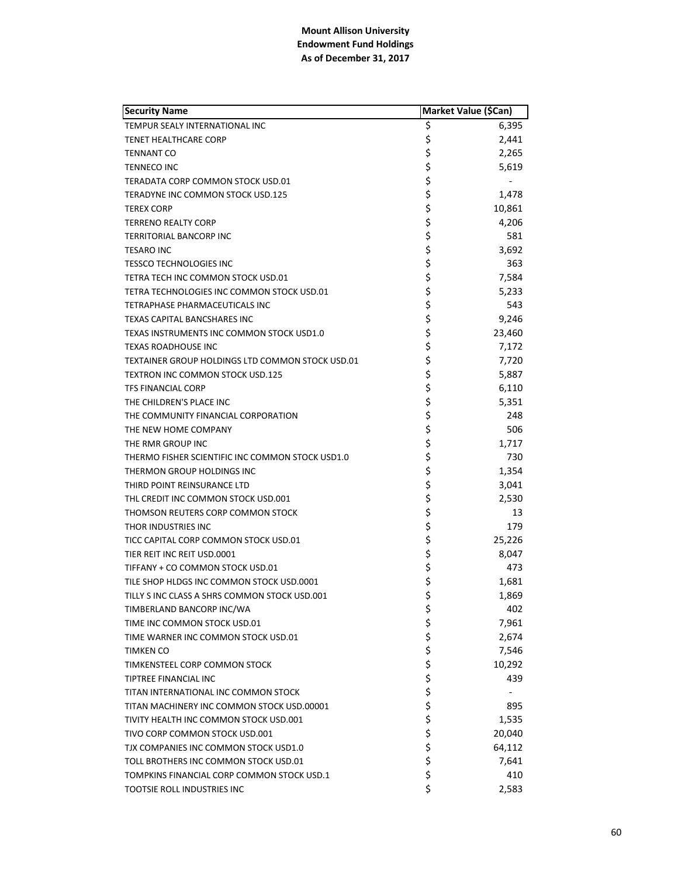| <b>Security Name</b>                             | Market Value (\$Can) |        |
|--------------------------------------------------|----------------------|--------|
| TEMPUR SEALY INTERNATIONAL INC                   | \$                   | 6,395  |
| <b>TENET HEALTHCARE CORP</b>                     | \$                   | 2,441  |
| <b>TENNANT CO</b>                                | \$                   | 2,265  |
| <b>TENNECO INC</b>                               | \$                   | 5,619  |
| TERADATA CORP COMMON STOCK USD.01                | \$                   |        |
| TERADYNE INC COMMON STOCK USD.125                | \$                   | 1,478  |
| <b>TEREX CORP</b>                                | \$                   | 10,861 |
| <b>TERRENO REALTY CORP</b>                       | \$                   | 4,206  |
| TERRITORIAL BANCORP INC                          | \$                   | 581    |
| <b>TESARO INC</b>                                | \$                   | 3,692  |
| <b>TESSCO TECHNOLOGIES INC</b>                   | \$                   | 363    |
| TETRA TECH INC COMMON STOCK USD.01               | \$                   | 7,584  |
| TETRA TECHNOLOGIES INC COMMON STOCK USD.01       | \$                   | 5,233  |
| TETRAPHASE PHARMACEUTICALS INC                   | \$                   | 543    |
| <b>TEXAS CAPITAL BANCSHARES INC</b>              | \$                   | 9,246  |
| TEXAS INSTRUMENTS INC COMMON STOCK USD1.0        | \$                   | 23,460 |
| <b>TEXAS ROADHOUSE INC</b>                       | \$                   | 7,172  |
| TEXTAINER GROUP HOLDINGS LTD COMMON STOCK USD.01 | \$                   | 7,720  |
| TEXTRON INC COMMON STOCK USD.125                 | \$                   | 5,887  |
| <b>TFS FINANCIAL CORP</b>                        | \$                   | 6,110  |
| THE CHILDREN'S PLACE INC                         | \$                   | 5,351  |
| THE COMMUNITY FINANCIAL CORPORATION              | \$                   | 248    |
| THE NEW HOME COMPANY                             | \$                   | 506    |
| THE RMR GROUP INC                                | \$                   | 1,717  |
| THERMO FISHER SCIENTIFIC INC COMMON STOCK USD1.0 | \$                   | 730    |
| THERMON GROUP HOLDINGS INC                       | \$                   | 1,354  |
| THIRD POINT REINSURANCE LTD                      | \$                   | 3,041  |
| THL CREDIT INC COMMON STOCK USD.001              | \$                   | 2,530  |
| THOMSON REUTERS CORP COMMON STOCK                | \$                   | 13     |
| THOR INDUSTRIES INC                              | \$                   | 179    |
| TICC CAPITAL CORP COMMON STOCK USD.01            | \$                   | 25,226 |
| TIER REIT INC REIT USD.0001                      | \$                   | 8,047  |
| TIFFANY + CO COMMON STOCK USD.01                 | \$                   | 473    |
| TILE SHOP HLDGS INC COMMON STOCK USD.0001        | \$                   | 1,681  |
| TILLY S INC CLASS A SHRS COMMON STOCK USD.001    | \$                   | 1,869  |
| TIMBERLAND BANCORP INC/WA                        | \$                   | 402    |
| TIME INC COMMON STOCK USD.01                     |                      | 7,961  |
| TIME WARNER INC COMMON STOCK USD.01              | \$\$\$               | 2,674  |
| <b>TIMKEN CO</b>                                 |                      | 7,546  |
| TIMKENSTEEL CORP COMMON STOCK                    | \$                   | 10,292 |
| <b>TIPTREE FINANCIAL INC</b>                     | \$<br>\$             | 439    |
| TITAN INTERNATIONAL INC COMMON STOCK             |                      |        |
| TITAN MACHINERY INC COMMON STOCK USD.00001       | \$                   | 895    |
| TIVITY HEALTH INC COMMON STOCK USD.001           | \$                   | 1,535  |
| TIVO CORP COMMON STOCK USD.001                   | \$                   | 20,040 |
| TJX COMPANIES INC COMMON STOCK USD1.0            | \$                   | 64,112 |
| TOLL BROTHERS INC COMMON STOCK USD.01            | \$                   | 7,641  |
| TOMPKINS FINANCIAL CORP COMMON STOCK USD.1       | \$                   | 410    |
| TOOTSIE ROLL INDUSTRIES INC                      | \$                   | 2,583  |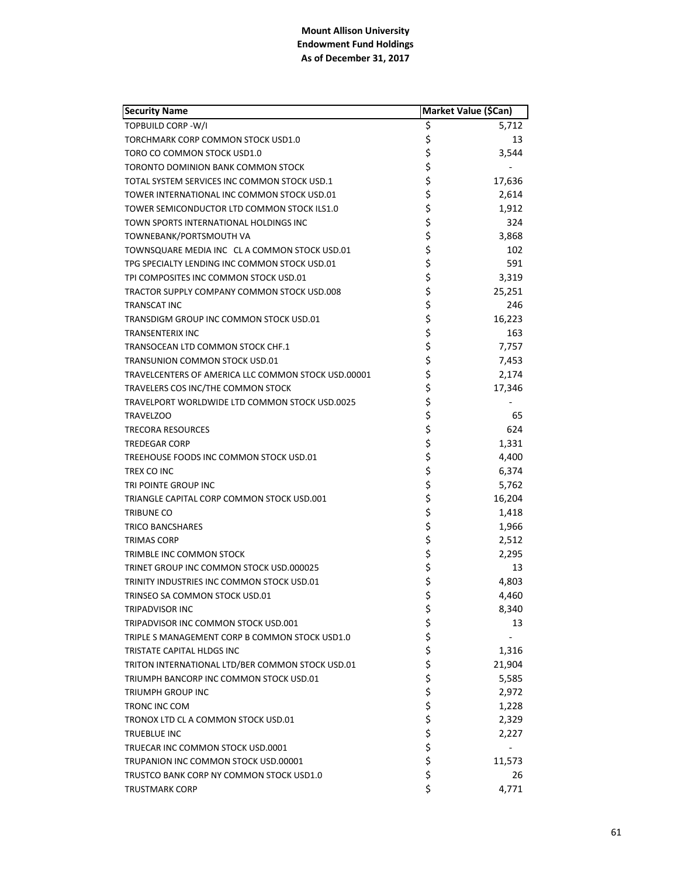| <b>Security Name</b>                                | Market Value (\$Can) |        |
|-----------------------------------------------------|----------------------|--------|
| <b>TOPBUILD CORP - W/I</b>                          | \$                   | 5,712  |
| TORCHMARK CORP COMMON STOCK USD1.0                  | \$                   | 13     |
| TORO CO COMMON STOCK USD1.0                         | \$                   | 3,544  |
| TORONTO DOMINION BANK COMMON STOCK                  | \$                   |        |
| TOTAL SYSTEM SERVICES INC COMMON STOCK USD.1        | \$                   | 17,636 |
| TOWER INTERNATIONAL INC COMMON STOCK USD.01         | \$                   | 2,614  |
| TOWER SEMICONDUCTOR LTD COMMON STOCK ILS1.0         | \$                   | 1,912  |
| TOWN SPORTS INTERNATIONAL HOLDINGS INC              | \$                   | 324    |
| TOWNEBANK/PORTSMOUTH VA                             | \$                   | 3,868  |
| TOWNSQUARE MEDIA INC CLA COMMON STOCK USD.01        | \$                   | 102    |
| TPG SPECIALTY LENDING INC COMMON STOCK USD.01       | \$                   | 591    |
| TPI COMPOSITES INC COMMON STOCK USD.01              | \$                   | 3,319  |
| TRACTOR SUPPLY COMPANY COMMON STOCK USD.008         | \$                   | 25,251 |
| <b>TRANSCAT INC</b>                                 | \$                   | 246    |
| TRANSDIGM GROUP INC COMMON STOCK USD.01             | \$                   | 16,223 |
| <b>TRANSENTERIX INC</b>                             | \$                   | 163    |
| TRANSOCEAN LTD COMMON STOCK CHF.1                   | \$                   | 7,757  |
| TRANSUNION COMMON STOCK USD.01                      | \$                   | 7,453  |
| TRAVELCENTERS OF AMERICA LLC COMMON STOCK USD.00001 | \$                   | 2,174  |
| TRAVELERS COS INC/THE COMMON STOCK                  | \$                   | 17,346 |
| TRAVELPORT WORLDWIDE LTD COMMON STOCK USD.0025      | \$                   |        |
| <b>TRAVELZOO</b>                                    | \$                   | 65     |
| <b>TRECORA RESOURCES</b>                            | \$                   | 624    |
| <b>TREDEGAR CORP</b>                                | \$                   | 1,331  |
| TREEHOUSE FOODS INC COMMON STOCK USD.01             | \$                   | 4,400  |
| TREX CO INC                                         | \$                   | 6,374  |
| TRI POINTE GROUP INC                                | \$                   | 5,762  |
| TRIANGLE CAPITAL CORP COMMON STOCK USD.001          | \$                   | 16,204 |
| TRIBUNE CO                                          | \$                   | 1,418  |
| TRICO BANCSHARES                                    | \$                   | 1,966  |
| TRIMAS CORP                                         | \$                   | 2,512  |
| TRIMBLE INC COMMON STOCK                            | \$                   | 2,295  |
| TRINET GROUP INC COMMON STOCK USD.000025            | \$                   | 13     |
| TRINITY INDUSTRIES INC COMMON STOCK USD.01          | \$                   | 4,803  |
| TRINSEO SA COMMON STOCK USD.01                      | \$                   | 4,460  |
| TRIPADVISOR INC                                     | \$                   | 8,340  |
| TRIPADVISOR INC COMMON STOCK USD.001                | \$                   | 13     |
| TRIPLE S MANAGEMENT CORP B COMMON STOCK USD1.0      | \$                   |        |
| TRISTATE CAPITAL HLDGS INC                          | \$                   | 1,316  |
| TRITON INTERNATIONAL LTD/BER COMMON STOCK USD.01    | \$                   | 21,904 |
| TRIUMPH BANCORP INC COMMON STOCK USD.01             | \$                   | 5,585  |
| TRIUMPH GROUP INC                                   | \$                   | 2,972  |
| TRONC INC COM                                       |                      | 1,228  |
| TRONOX LTD CL A COMMON STOCK USD.01                 | \$\$\$               | 2,329  |
| TRUEBLUE INC                                        |                      | 2,227  |
| TRUECAR INC COMMON STOCK USD.0001                   | \$                   |        |
| TRUPANION INC COMMON STOCK USD.00001                | \$                   | 11,573 |
| TRUSTCO BANK CORP NY COMMON STOCK USD1.0            | \$                   | 26     |
| <b>TRUSTMARK CORP</b>                               | \$                   | 4,771  |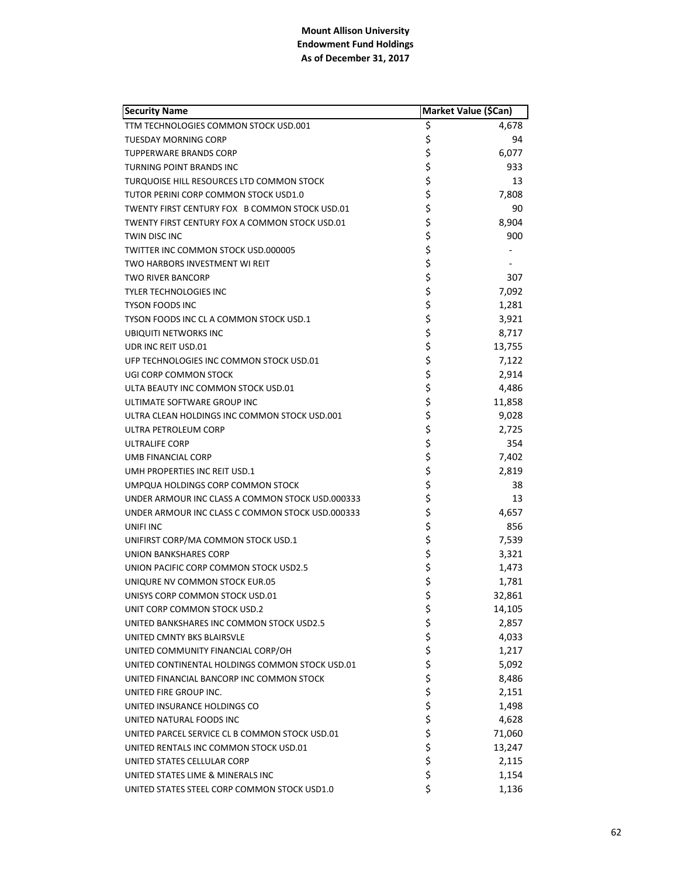| <b>Security Name</b>                             |             | Market Value (\$Can) |
|--------------------------------------------------|-------------|----------------------|
| TTM TECHNOLOGIES COMMON STOCK USD.001            | \$          | 4,678                |
| <b>TUESDAY MORNING CORP</b>                      | \$          | 94                   |
| <b>TUPPERWARE BRANDS CORP</b>                    | \$          | 6,077                |
| TURNING POINT BRANDS INC                         | \$          | 933                  |
| TURQUOISE HILL RESOURCES LTD COMMON STOCK        | \$          | 13                   |
| TUTOR PERINI CORP COMMON STOCK USD1.0            | \$          | 7,808                |
| TWENTY FIRST CENTURY FOX B COMMON STOCK USD.01   | \$          | 90                   |
| TWENTY FIRST CENTURY FOX A COMMON STOCK USD.01   | \$          | 8,904                |
| TWIN DISC INC                                    | \$          | 900                  |
| TWITTER INC COMMON STOCK USD.000005              | \$          |                      |
| TWO HARBORS INVESTMENT WI REIT                   | \$          |                      |
| <b>TWO RIVER BANCORP</b>                         | \$          | 307                  |
| <b>TYLER TECHNOLOGIES INC</b>                    | \$<br>\$    | 7,092                |
| <b>TYSON FOODS INC</b>                           |             | 1,281                |
| TYSON FOODS INC CL A COMMON STOCK USD.1          | \$          | 3,921                |
| <b>UBIQUITI NETWORKS INC</b>                     | \$          | 8,717                |
| UDR INC REIT USD.01                              | \$          | 13,755               |
| UFP TECHNOLOGIES INC COMMON STOCK USD.01         | \$          | 7,122                |
| UGI CORP COMMON STOCK                            |             | 2,914                |
| ULTA BEAUTY INC COMMON STOCK USD.01              | \$<br>\$    | 4,486                |
| ULTIMATE SOFTWARE GROUP INC                      | \$          | 11,858               |
| ULTRA CLEAN HOLDINGS INC COMMON STOCK USD.001    | \$          | 9,028                |
| ULTRA PETROLEUM CORP                             | \$          | 2,725                |
| ULTRALIFE CORP                                   | \$          | 354                  |
| UMB FINANCIAL CORP                               | \$          | 7,402                |
| UMH PROPERTIES INC REIT USD.1                    | \$          | 2,819                |
| UMPQUA HOLDINGS CORP COMMON STOCK                | \$          | 38                   |
| UNDER ARMOUR INC CLASS A COMMON STOCK USD.000333 | \$          | 13                   |
| UNDER ARMOUR INC CLASS C COMMON STOCK USD.000333 | \$          | 4,657                |
| UNIFI INC                                        | \$          | 856                  |
| UNIFIRST CORP/MA COMMON STOCK USD.1              | \$          | 7,539                |
| UNION BANKSHARES CORP                            | \$          | 3,321                |
| UNION PACIFIC CORP COMMON STOCK USD2.5           | \$          | 1,473                |
| UNIQURE NV COMMON STOCK EUR.05                   | \$          | 1,781                |
| UNISYS CORP COMMON STOCK USD.01                  | \$          | 32,861               |
| UNIT CORP COMMON STOCK USD.2                     | \$          | 14,105               |
| UNITED BANKSHARES INC COMMON STOCK USD2.5        |             | 2,857                |
| UNITED CMNTY BKS BLAIRSVLE                       |             | 4,033                |
| UNITED COMMUNITY FINANCIAL CORP/OH               |             | 1,217                |
| UNITED CONTINENTAL HOLDINGS COMMON STOCK USD.01  |             | 5,092                |
| UNITED FINANCIAL BANCORP INC COMMON STOCK        |             | 8,486                |
| UNITED FIRE GROUP INC.                           |             | 2,151                |
| UNITED INSURANCE HOLDINGS CO                     |             | 1,498                |
| UNITED NATURAL FOODS INC                         |             | 4,628                |
| UNITED PARCEL SERVICE CL B COMMON STOCK USD.01   | ぐうさくさい こうさく | 71,060               |
| UNITED RENTALS INC COMMON STOCK USD.01           |             | 13,247               |
| UNITED STATES CELLULAR CORP                      |             | 2,115                |
| UNITED STATES LIME & MINERALS INC                | \$          | 1,154                |
| UNITED STATES STEEL CORP COMMON STOCK USD1.0     | \$          | 1,136                |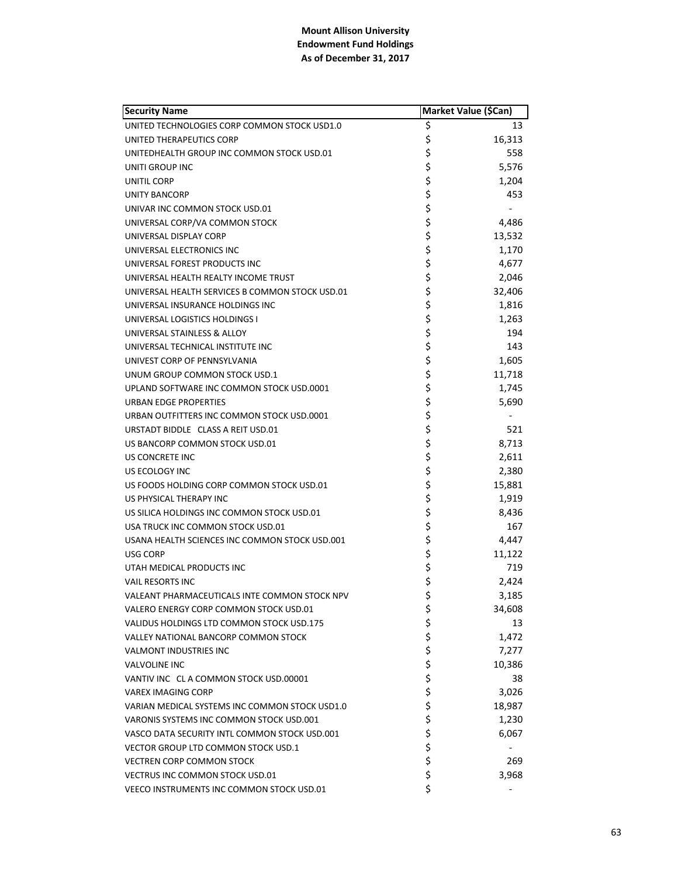| <b>Security Name</b>                            |          | <b>Market Value (\$Can)</b> |
|-------------------------------------------------|----------|-----------------------------|
| UNITED TECHNOLOGIES CORP COMMON STOCK USD1.0    | \$       | 13                          |
| UNITED THERAPEUTICS CORP                        | \$       | 16,313                      |
| UNITEDHEALTH GROUP INC COMMON STOCK USD.01      | \$       | 558                         |
| UNITI GROUP INC                                 | \$       | 5,576                       |
| UNITIL CORP                                     | \$       | 1,204                       |
| <b>UNITY BANCORP</b>                            | \$       | 453                         |
| UNIVAR INC COMMON STOCK USD.01                  | \$       |                             |
| UNIVERSAL CORP/VA COMMON STOCK                  | \$       | 4,486                       |
| UNIVERSAL DISPLAY CORP                          | \$       | 13,532                      |
| UNIVERSAL ELECTRONICS INC                       | \$       | 1,170                       |
| UNIVERSAL FOREST PRODUCTS INC                   | \$       | 4,677                       |
| UNIVERSAL HEALTH REALTY INCOME TRUST            | \$       | 2,046                       |
| UNIVERSAL HEALTH SERVICES B COMMON STOCK USD.01 | \$       | 32,406                      |
| UNIVERSAL INSURANCE HOLDINGS INC                | \$       | 1,816                       |
| UNIVERSAL LOGISTICS HOLDINGS I                  | \$       | 1,263                       |
| UNIVERSAL STAINLESS & ALLOY                     | \$       | 194                         |
| UNIVERSAL TECHNICAL INSTITUTE INC               | \$       | 143                         |
| UNIVEST CORP OF PENNSYLVANIA                    | \$       | 1,605                       |
| UNUM GROUP COMMON STOCK USD.1                   | \$       | 11,718                      |
| UPLAND SOFTWARE INC COMMON STOCK USD.0001       | \$       | 1,745                       |
| URBAN EDGE PROPERTIES                           | \$       | 5,690                       |
| URBAN OUTFITTERS INC COMMON STOCK USD.0001      | \$       |                             |
| URSTADT BIDDLE CLASS A REIT USD.01              | \$       | 521                         |
| US BANCORP COMMON STOCK USD.01                  | \$       | 8,713                       |
| US CONCRETE INC                                 | \$       | 2,611                       |
| US ECOLOGY INC                                  | \$       | 2,380                       |
| US FOODS HOLDING CORP COMMON STOCK USD.01       | \$       | 15,881                      |
| US PHYSICAL THERAPY INC                         | \$       | 1,919                       |
| US SILICA HOLDINGS INC COMMON STOCK USD.01      | \$       | 8,436                       |
| USA TRUCK INC COMMON STOCK USD.01               | \$       | 167                         |
| USANA HEALTH SCIENCES INC COMMON STOCK USD.001  | \$       | 4,447                       |
| <b>USG CORP</b>                                 | \$       | 11,122                      |
| UTAH MEDICAL PRODUCTS INC                       | \$       | 719                         |
| <b>VAIL RESORTS INC</b>                         | \$       | 2,424                       |
| VALEANT PHARMACEUTICALS INTE COMMON STOCK NPV   | \$       | 3,185                       |
| VALERO ENERGY CORP COMMON STOCK USD.01          | \$       | 34,608                      |
| VALIDUS HOLDINGS LTD COMMON STOCK USD.175       | \$       | 13                          |
| VALLEY NATIONAL BANCORP COMMON STOCK            | \$       | 1,472                       |
| <b>VALMONT INDUSTRIES INC</b>                   | \$       | 7,277                       |
| <b>VALVOLINE INC</b>                            |          | 10,386                      |
| VANTIV INC CLA COMMON STOCK USD.00001           | \$<br>\$ | 38                          |
| VAREX IMAGING CORP                              | \$       | 3,026                       |
|                                                 | \$       |                             |
| VARIAN MEDICAL SYSTEMS INC COMMON STOCK USD1.0  |          | 18,987                      |
| VARONIS SYSTEMS INC COMMON STOCK USD.001        | \$       | 1,230                       |
| VASCO DATA SECURITY INTL COMMON STOCK USD.001   | \$<br>\$ | 6,067                       |
| VECTOR GROUP LTD COMMON STOCK USD.1             |          |                             |
| <b>VECTREN CORP COMMON STOCK</b>                | \$       | 269                         |
| <b>VECTRUS INC COMMON STOCK USD.01</b>          | \$       | 3,968                       |
| VEECO INSTRUMENTS INC COMMON STOCK USD.01       | \$       |                             |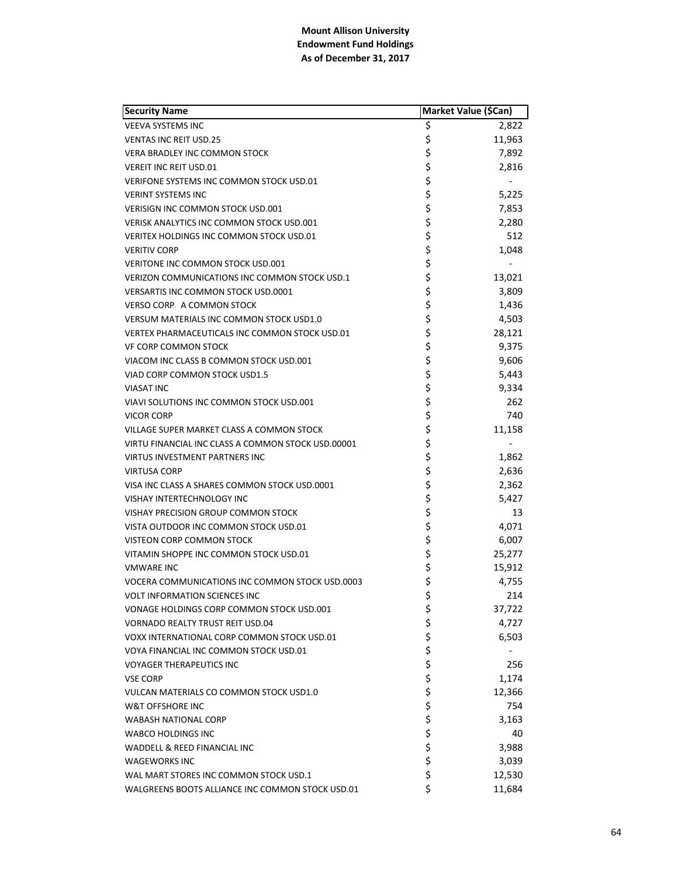| <b>Security Name</b>                               | Market Value (\$Can) |        |
|----------------------------------------------------|----------------------|--------|
| <b>VEEVA SYSTEMS INC</b>                           | \$                   | 2,822  |
| <b>VENTAS INC REIT USD.25</b>                      | \$                   | 11,963 |
| <b>VERA BRADLEY INC COMMON STOCK</b>               | \$                   | 7,892  |
| <b>VEREIT INC REIT USD.01</b>                      | \$                   | 2,816  |
| VERIFONE SYSTEMS INC COMMON STOCK USD.01           | \$                   |        |
| <b>VERINT SYSTEMS INC</b>                          | \$                   | 5,225  |
| <b>VERISIGN INC COMMON STOCK USD.001</b>           | \$                   | 7,853  |
| VERISK ANALYTICS INC COMMON STOCK USD.001          | \$                   | 2,280  |
| <b>VERITEX HOLDINGS INC COMMON STOCK USD.01</b>    | \$                   | 512    |
| <b>VERITIV CORP</b>                                | \$                   | 1,048  |
| VERITONE INC COMMON STOCK USD.001                  | \$                   |        |
| VERIZON COMMUNICATIONS INC COMMON STOCK USD.1      | \$                   | 13,021 |
| <b>VERSARTIS INC COMMON STOCK USD.0001</b>         | \$                   | 3,809  |
| VERSO CORP A COMMON STOCK                          | \$                   | 1,436  |
| <b>VERSUM MATERIALS INC COMMON STOCK USD1.0</b>    | \$                   | 4,503  |
| VERTEX PHARMACEUTICALS INC COMMON STOCK USD.01     | \$                   | 28,121 |
| <b>VF CORP COMMON STOCK</b>                        | \$                   | 9,375  |
| VIACOM INC CLASS B COMMON STOCK USD.001            | \$                   | 9,606  |
| VIAD CORP COMMON STOCK USD1.5                      | \$                   | 5,443  |
| <b>VIASAT INC</b>                                  | \$                   | 9,334  |
| VIAVI SOLUTIONS INC COMMON STOCK USD.001           | \$                   | 262    |
| VICOR CORP                                         | \$                   | 740    |
| VILLAGE SUPER MARKET CLASS A COMMON STOCK          | \$                   | 11,158 |
| VIRTU FINANCIAL INC CLASS A COMMON STOCK USD.00001 | \$                   |        |
| <b>VIRTUS INVESTMENT PARTNERS INC</b>              | \$                   | 1,862  |
| <b>VIRTUSA CORP</b>                                | \$                   | 2,636  |
| VISA INC CLASS A SHARES COMMON STOCK USD.0001      | \$                   | 2,362  |
| VISHAY INTERTECHNOLOGY INC                         | \$                   | 5,427  |
| VISHAY PRECISION GROUP COMMON STOCK                | \$                   | 13     |
| VISTA OUTDOOR INC COMMON STOCK USD.01              | \$                   | 4,071  |
| <b>VISTEON CORP COMMON STOCK</b>                   | \$                   | 6,007  |
| VITAMIN SHOPPE INC COMMON STOCK USD.01             | \$                   | 25,277 |
| <b>VMWARE INC</b>                                  | \$                   | 15,912 |
| VOCERA COMMUNICATIONS INC COMMON STOCK USD.0003    | \$                   | 4,755  |
| <b>VOLT INFORMATION SCIENCES INC</b>               | \$                   | 214    |
| VONAGE HOLDINGS CORP COMMON STOCK USD.001          | \$                   | 37,722 |
| <b>VORNADO REALTY TRUST REIT USD.04</b>            | \$                   | 4,727  |
| VOXX INTERNATIONAL CORP COMMON STOCK USD.01        | \$                   | 6,503  |
| VOYA FINANCIAL INC COMMON STOCK USD.01             | \$                   |        |
| <b>VOYAGER THERAPEUTICS INC</b>                    | \$                   | 256    |
| <b>VSE CORP</b>                                    | \$                   | 1,174  |
| VULCAN MATERIALS CO COMMON STOCK USD1.0            | \$                   | 12,366 |
| W&T OFFSHORE INC                                   | \$                   | 754    |
| <b>WABASH NATIONAL CORP</b>                        | \$                   | 3,163  |
| WABCO HOLDINGS INC                                 | \$                   | 40     |
| WADDELL & REED FINANCIAL INC                       | \$                   | 3,988  |
| <b>WAGEWORKS INC</b>                               | \$                   | 3,039  |
| WAL MART STORES INC COMMON STOCK USD.1             | \$                   | 12,530 |
| WALGREENS BOOTS ALLIANCE INC COMMON STOCK USD.01   | \$                   | 11,684 |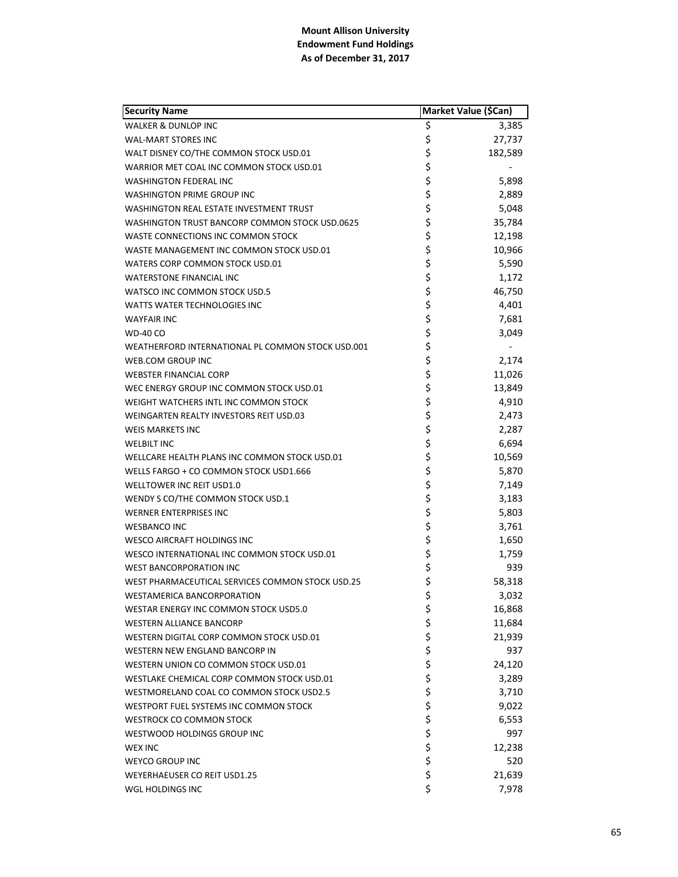| <b>Security Name</b>                              | Market Value (\$Can) |         |
|---------------------------------------------------|----------------------|---------|
| <b>WALKER &amp; DUNLOP INC</b>                    | \$                   | 3,385   |
| <b>WAL-MART STORES INC</b>                        | \$                   | 27,737  |
| WALT DISNEY CO/THE COMMON STOCK USD.01            | \$                   | 182,589 |
| WARRIOR MET COAL INC COMMON STOCK USD.01          | \$                   |         |
| <b>WASHINGTON FEDERAL INC</b>                     | \$                   | 5,898   |
| WASHINGTON PRIME GROUP INC                        | \$                   | 2,889   |
| WASHINGTON REAL ESTATE INVESTMENT TRUST           | \$                   | 5,048   |
| WASHINGTON TRUST BANCORP COMMON STOCK USD.0625    | \$                   | 35,784  |
| WASTE CONNECTIONS INC COMMON STOCK                | \$                   | 12,198  |
| WASTE MANAGEMENT INC COMMON STOCK USD.01          | \$                   | 10,966  |
| WATERS CORP COMMON STOCK USD.01                   | \$                   | 5,590   |
| <b>WATERSTONE FINANCIAL INC</b>                   | \$                   | 1,172   |
| WATSCO INC COMMON STOCK USD.5                     | \$                   | 46,750  |
| <b>WATTS WATER TECHNOLOGIES INC</b>               | \$                   | 4,401   |
| <b>WAYFAIR INC</b>                                | \$                   | 7,681   |
| <b>WD-40 CO</b>                                   | \$                   | 3,049   |
| WEATHERFORD INTERNATIONAL PL COMMON STOCK USD.001 | \$                   |         |
| <b>WEB.COM GROUP INC</b>                          | \$                   | 2,174   |
| <b>WEBSTER FINANCIAL CORP</b>                     | \$                   | 11,026  |
| WEC ENERGY GROUP INC COMMON STOCK USD.01          | \$                   | 13,849  |
| WEIGHT WATCHERS INTL INC COMMON STOCK             | \$                   | 4,910   |
| WEINGARTEN REALTY INVESTORS REIT USD.03           | \$                   | 2,473   |
| <b>WEIS MARKETS INC</b>                           | \$                   | 2,287   |
| <b>WELBILT INC</b>                                | \$                   | 6,694   |
| WELLCARE HEALTH PLANS INC COMMON STOCK USD.01     | \$                   | 10,569  |
| WELLS FARGO + CO COMMON STOCK USD1.666            | \$                   | 5,870   |
| WELLTOWER INC REIT USD1.0                         | \$                   | 7,149   |
| WENDY S CO/THE COMMON STOCK USD.1                 | \$                   | 3,183   |
| WERNER ENTERPRISES INC                            | \$                   | 5,803   |
| <b>WESBANCO INC</b>                               | \$                   | 3,761   |
| WESCO AIRCRAFT HOLDINGS INC                       | \$                   | 1,650   |
| WESCO INTERNATIONAL INC COMMON STOCK USD.01       | \$                   | 1,759   |
| <b>WEST BANCORPORATION INC</b>                    | \$                   | 939     |
| WEST PHARMACEUTICAL SERVICES COMMON STOCK USD.25  | \$                   | 58,318  |
| <b>WESTAMERICA BANCORPORATION</b>                 | \$                   | 3,032   |
| WESTAR ENERGY INC COMMON STOCK USD5.0             | \$                   | 16,868  |
| <b>WESTERN ALLIANCE BANCORP</b>                   | \$                   | 11,684  |
| WESTERN DIGITAL CORP COMMON STOCK USD.01          | \$                   | 21,939  |
| <b>WESTERN NEW ENGLAND BANCORP IN</b>             | \$                   | 937     |
| WESTERN UNION CO COMMON STOCK USD.01              | \$<br>\$             | 24,120  |
| WESTLAKE CHEMICAL CORP COMMON STOCK USD.01        |                      | 3,289   |
| WESTMORELAND COAL CO COMMON STOCK USD2.5          | \$<br>\$             | 3,710   |
| WESTPORT FUEL SYSTEMS INC COMMON STOCK            |                      | 9,022   |
| <b>WESTROCK CO COMMON STOCK</b>                   | \$                   | 6,553   |
| WESTWOOD HOLDINGS GROUP INC                       | \$<br>\$             | 997     |
| <b>WEX INC</b>                                    |                      | 12,238  |
| <b>WEYCO GROUP INC</b>                            | \$                   | 520     |
| <b>WEYERHAEUSER CO REIT USD1.25</b>               | \$                   | 21,639  |
| WGL HOLDINGS INC                                  | \$                   | 7,978   |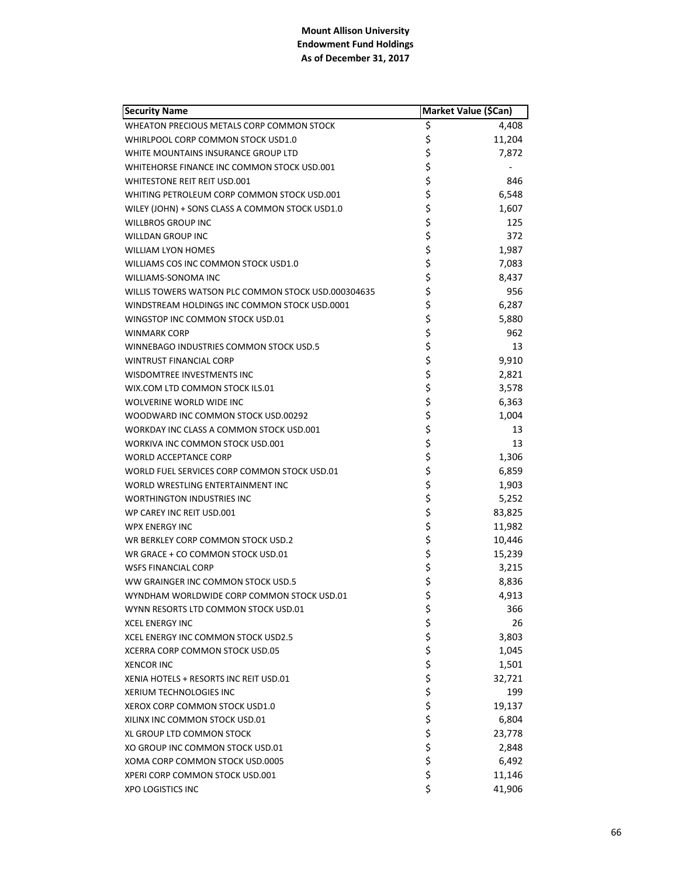| <b>Security Name</b>                                |          | Market Value (\$Can) |
|-----------------------------------------------------|----------|----------------------|
| WHEATON PRECIOUS METALS CORP COMMON STOCK           | \$       | 4,408                |
| WHIRLPOOL CORP COMMON STOCK USD1.0                  | \$       | 11,204               |
| WHITE MOUNTAINS INSURANCE GROUP LTD                 | \$       | 7,872                |
| WHITEHORSE FINANCE INC COMMON STOCK USD.001         | \$       |                      |
| <b>WHITESTONE REIT REIT USD.001</b>                 | \$       | 846                  |
| WHITING PETROLEUM CORP COMMON STOCK USD.001         | \$       | 6,548                |
| WILEY (JOHN) + SONS CLASS A COMMON STOCK USD1.0     | \$       | 1,607                |
| <b>WILLBROS GROUP INC</b>                           | \$       | 125                  |
| <b>WILLDAN GROUP INC</b>                            | \$       | 372                  |
| <b>WILLIAM LYON HOMES</b>                           | \$       | 1,987                |
| WILLIAMS COS INC COMMON STOCK USD1.0                | \$       | 7,083                |
| WILLIAMS-SONOMA INC                                 | \$       | 8,437                |
| WILLIS TOWERS WATSON PLC COMMON STOCK USD.000304635 | \$       | 956                  |
| WINDSTREAM HOLDINGS INC COMMON STOCK USD.0001       | \$       | 6,287                |
| WINGSTOP INC COMMON STOCK USD.01                    | \$       | 5,880                |
| <b>WINMARK CORP</b>                                 | \$       | 962                  |
| WINNEBAGO INDUSTRIES COMMON STOCK USD.5             | \$       | 13                   |
| <b>WINTRUST FINANCIAL CORP</b>                      | \$       | 9,910                |
| WISDOMTREE INVESTMENTS INC                          | \$       | 2,821                |
| WIX.COM LTD COMMON STOCK ILS.01                     | \$       | 3,578                |
| WOLVERINE WORLD WIDE INC                            | \$       | 6,363                |
| WOODWARD INC COMMON STOCK USD.00292                 | \$       | 1,004                |
| WORKDAY INC CLASS A COMMON STOCK USD.001            | \$       | 13                   |
| WORKIVA INC COMMON STOCK USD.001                    | \$       | 13                   |
| <b>WORLD ACCEPTANCE CORP</b>                        | \$       | 1,306                |
| WORLD FUEL SERVICES CORP COMMON STOCK USD.01        | \$       | 6,859                |
| WORLD WRESTLING ENTERTAINMENT INC                   | \$       | 1,903                |
| <b>WORTHINGTON INDUSTRIES INC</b>                   | \$       | 5,252                |
| WP CAREY INC REIT USD.001                           | \$       | 83,825               |
| <b>WPX ENERGY INC</b>                               | \$       | 11,982               |
| WR BERKLEY CORP COMMON STOCK USD.2                  | \$       | 10,446               |
| WR GRACE + CO COMMON STOCK USD.01                   | \$       | 15,239               |
| <b>WSFS FINANCIAL CORP</b>                          | \$       | 3,215                |
| WW GRAINGER INC COMMON STOCK USD.5                  | \$       | 8,836                |
| WYNDHAM WORLDWIDE CORP COMMON STOCK USD.01          | \$       | 4,913                |
| WYNN RESORTS LTD COMMON STOCK USD.01                | \$       | 366                  |
| <b>XCEL ENERGY INC</b>                              |          | 26                   |
| <b>XCEL ENERGY INC COMMON STOCK USD2.5</b>          | \$<br>\$ | 3,803                |
| <b>XCERRA CORP COMMON STOCK USD.05</b>              | \$       | 1,045                |
| <b>XENCOR INC</b>                                   | \$       | 1,501                |
| XENIA HOTELS + RESORTS INC REIT USD.01              | \$       | 32,721               |
| <b>XERIUM TECHNOLOGIES INC</b>                      | \$       | 199                  |
| XEROX CORP COMMON STOCK USD1.0                      | \$       | 19,137               |
| XILINX INC COMMON STOCK USD.01                      | \$       | 6,804                |
| XL GROUP LTD COMMON STOCK                           | \$       | 23,778               |
| XO GROUP INC COMMON STOCK USD.01                    | \$       | 2,848                |
| XOMA CORP COMMON STOCK USD.0005                     | \$       | 6,492                |
|                                                     | \$       |                      |
| XPERI CORP COMMON STOCK USD.001                     |          | 11,146               |
| <b>XPO LOGISTICS INC</b>                            | \$       | 41,906               |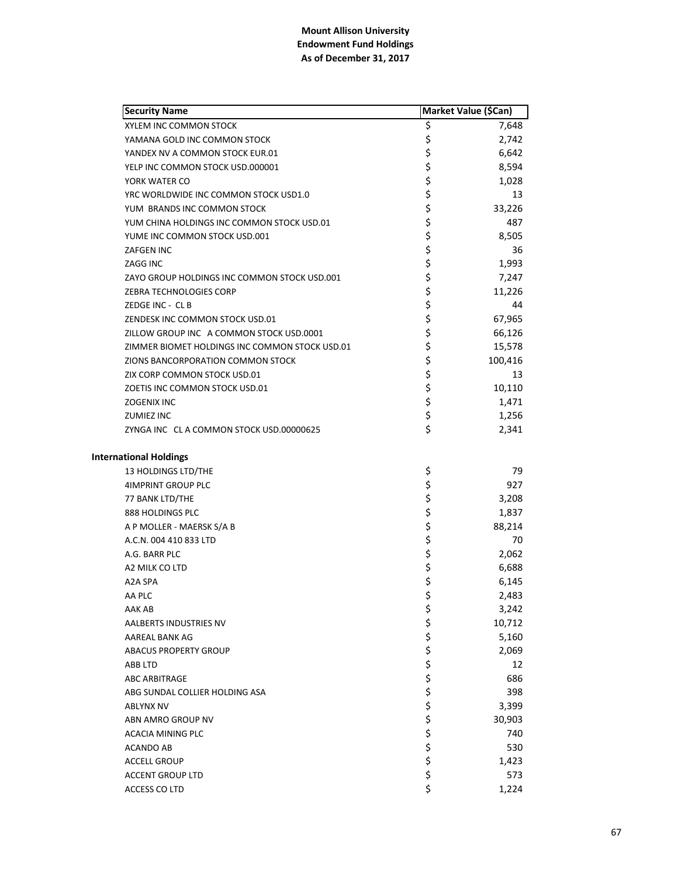| <b>Security Name</b>                           |                | Market Value (\$Can) |
|------------------------------------------------|----------------|----------------------|
| XYLEM INC COMMON STOCK                         | \$             | 7,648                |
| YAMANA GOLD INC COMMON STOCK                   | \$             | 2,742                |
| YANDEX NV A COMMON STOCK EUR.01                | \$             | 6,642                |
| YELP INC COMMON STOCK USD.000001               | \$             | 8,594                |
| YORK WATER CO                                  | \$             | 1,028                |
| YRC WORLDWIDE INC COMMON STOCK USD1.0          | \$             | 13                   |
| YUM BRANDS INC COMMON STOCK                    | \$             | 33,226               |
| YUM CHINA HOLDINGS INC COMMON STOCK USD.01     | \$             | 487                  |
| YUME INC COMMON STOCK USD.001                  | \$             | 8,505                |
| <b>ZAFGEN INC</b>                              | \$             | 36                   |
| ZAGG INC                                       | \$             | 1,993                |
| ZAYO GROUP HOLDINGS INC COMMON STOCK USD.001   | \$             | 7,247                |
| ZEBRA TECHNOLOGIES CORP                        | \$             | 11,226               |
| ZEDGE INC - CL B                               | \$             | 44                   |
| ZENDESK INC COMMON STOCK USD.01                | \$             | 67,965               |
| ZILLOW GROUP INC A COMMON STOCK USD.0001       | \$             | 66,126               |
| ZIMMER BIOMET HOLDINGS INC COMMON STOCK USD.01 | \$             | 15,578               |
| ZIONS BANCORPORATION COMMON STOCK              | \$             | 100,416              |
| ZIX CORP COMMON STOCK USD.01                   | \$             | 13                   |
| ZOETIS INC COMMON STOCK USD.01                 | \$             | 10,110               |
| <b>ZOGENIX INC</b>                             | \$             | 1,471                |
| <b>ZUMIEZ INC</b>                              | \$             | 1,256                |
| ZYNGA INC CLA COMMON STOCK USD.00000625        | \$             | 2,341                |
| <b>International Holdings</b>                  |                |                      |
| 13 HOLDINGS LTD/THE                            | \$             | 79                   |
| <b>4IMPRINT GROUP PLC</b>                      | \$             | 927                  |
| 77 BANK LTD/THE                                | \$<br>\$       | 3,208                |
| 888 HOLDINGS PLC                               |                | 1,837                |
| A P MOLLER - MAERSK S/A B                      | \$             | 88,214               |
| A.C.N. 004 410 833 LTD                         | \$             | 70                   |
| A.G. BARR PLC                                  | \$             | 2,062                |
| A2 MILK CO LTD                                 | \$             | 6,688                |
| A2A SPA                                        | \$             | 6,145                |
| AA PLC                                         | \$             | 2,483                |
| AAK AB                                         | \$             | 3,242                |
| AALBERTS INDUSTRIES NV                         |                | 10,712               |
| AAREAL BANK AG                                 | \$\$\$\$\$\$\$ | 5,160                |
| <b>ABACUS PROPERTY GROUP</b>                   |                | 2,069                |
| ABB LTD                                        |                | 12                   |
| <b>ABC ARBITRAGE</b>                           |                | 686                  |
| ABG SUNDAL COLLIER HOLDING ASA                 |                | 398                  |
| <b>ABLYNX NV</b>                               |                | 3,399                |
| ABN AMRO GROUP NV                              | \$             | 30,903               |
| ACACIA MINING PLC                              | \$             | 740                  |
| ACANDO AB                                      | \$             | 530                  |
| <b>ACCELL GROUP</b>                            | \$             | 1,423                |
| <b>ACCENT GROUP LTD</b>                        | \$             | 573                  |
| ACCESS CO LTD                                  | \$             | 1,224                |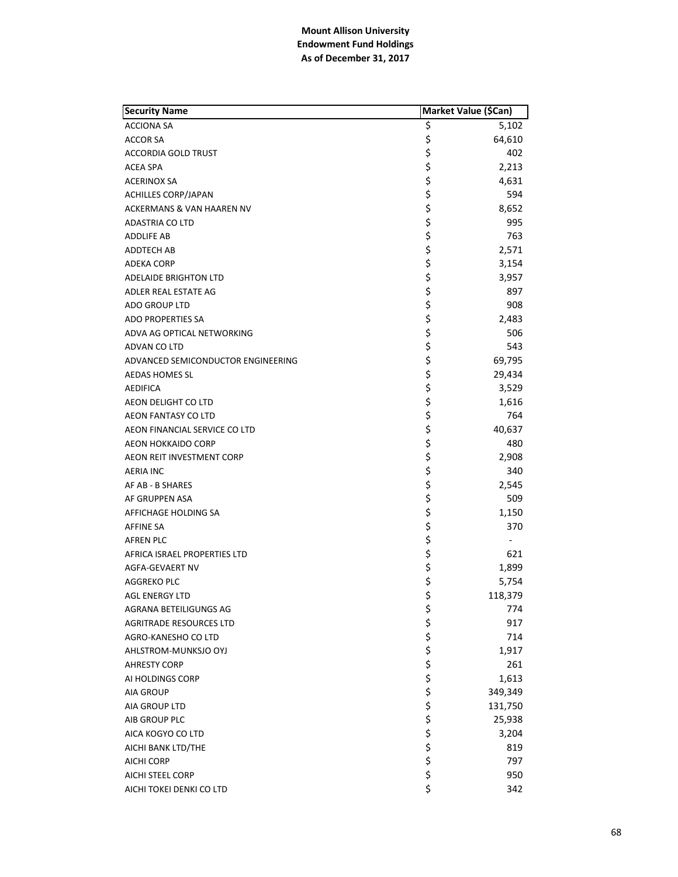| <b>Security Name</b>               | Market Value (\$Can) |                          |
|------------------------------------|----------------------|--------------------------|
| <b>ACCIONA SA</b>                  | \$                   | 5,102                    |
| <b>ACCOR SA</b>                    | \$                   | 64,610                   |
| <b>ACCORDIA GOLD TRUST</b>         | \$                   | 402                      |
| <b>ACEA SPA</b>                    | \$                   | 2,213                    |
| <b>ACERINOX SA</b>                 | \$                   | 4,631                    |
| <b>ACHILLES CORP/JAPAN</b>         | \$                   | 594                      |
| ACKERMANS & VAN HAAREN NV          | \$                   | 8,652                    |
| ADASTRIA CO LTD                    | \$                   | 995                      |
| <b>ADDLIFE AB</b>                  | \$                   | 763                      |
| ADDTECH AB                         | \$                   | 2,571                    |
| <b>ADEKA CORP</b>                  | \$                   | 3,154                    |
| <b>ADELAIDE BRIGHTON LTD</b>       | \$                   | 3,957                    |
| ADLER REAL ESTATE AG               | \$                   | 897                      |
| ADO GROUP LTD                      | \$                   | 908                      |
| <b>ADO PROPERTIES SA</b>           | \$                   | 2,483                    |
| ADVA AG OPTICAL NETWORKING         | \$                   | 506                      |
| ADVAN CO LTD                       | \$                   | 543                      |
| ADVANCED SEMICONDUCTOR ENGINEERING | \$                   | 69,795                   |
| <b>AEDAS HOMES SL</b>              | \$                   | 29,434                   |
| AEDIFICA                           | \$                   | 3,529                    |
| AEON DELIGHT CO LTD                | \$                   | 1,616                    |
| AEON FANTASY CO LTD                | \$                   | 764                      |
| AEON FINANCIAL SERVICE CO LTD      | \$                   | 40,637                   |
| <b>AEON HOKKAIDO CORP</b>          | \$                   | 480                      |
| AEON REIT INVESTMENT CORP          | \$                   | 2,908                    |
| <b>AERIA INC</b>                   | \$                   | 340                      |
| AF AB - B SHARES                   | \$                   | 2,545                    |
| AF GRUPPEN ASA                     | \$                   | 509                      |
| AFFICHAGE HOLDING SA               | \$                   | 1,150                    |
| <b>AFFINE SA</b>                   |                      | 370                      |
| <b>AFREN PLC</b>                   | \$<br>\$             | $\overline{\phantom{a}}$ |
| AFRICA ISRAEL PROPERTIES LTD       | \$                   | 621                      |
| <b>AGFA-GEVAERT NV</b>             |                      | 1,899                    |
| <b>AGGREKO PLC</b>                 | \$<br>\$             | 5,754                    |
| <b>AGL ENERGY LTD</b>              | \$                   | 118,379                  |
| AGRANA BETEILIGUNGS AG             | \$                   | 774                      |
| <b>AGRITRADE RESOURCES LTD</b>     |                      | 917                      |
| AGRO-KANESHO CO LTD                |                      | 714                      |
| AHLSTROM-MUNKSJO OYJ               |                      | 1,917                    |
| <b>AHRESTY CORP</b>                |                      | 261                      |
| AI HOLDINGS CORP                   |                      | 1,613                    |
| <b>AIA GROUP</b>                   |                      | 349,349                  |
| AIA GROUP LTD                      |                      | 131,750                  |
| AIB GROUP PLC                      |                      | 25,938                   |
| AICA KOGYO CO LTD                  |                      | 3,204                    |
| AICHI BANK LTD/THE                 | ぐうさくさい こうさく          | 819                      |
| <b>AICHI CORP</b>                  |                      | 797                      |
| <b>AICHI STEEL CORP</b>            | \$                   | 950                      |
| AICHI TOKEI DENKI CO LTD           | \$                   | 342                      |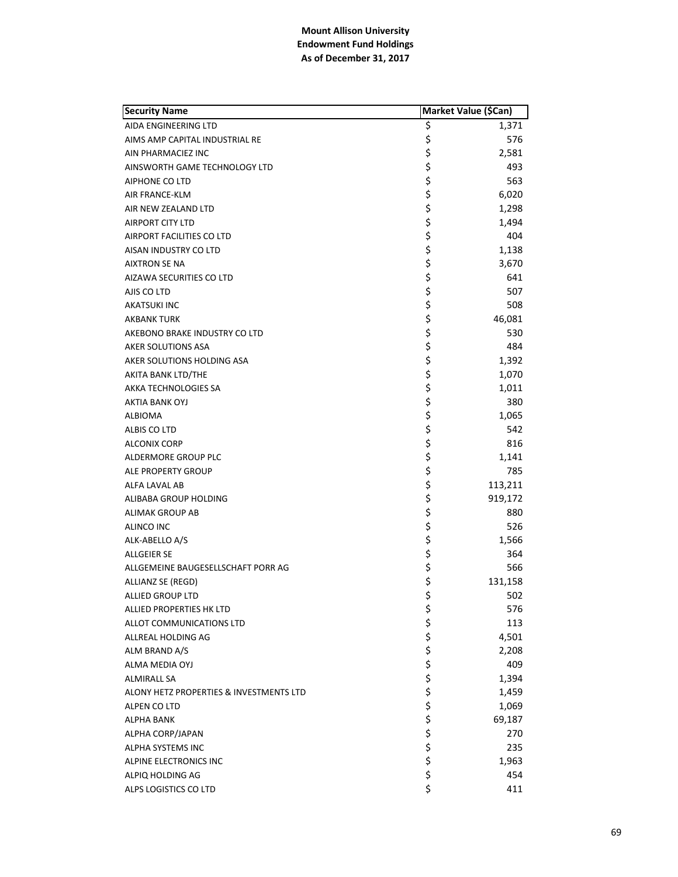| <b>Security Name</b>                    |          | Market Value (\$Can) |
|-----------------------------------------|----------|----------------------|
| AIDA ENGINEERING LTD                    | \$       | 1,371                |
| AIMS AMP CAPITAL INDUSTRIAL RE          | \$       | 576                  |
| AIN PHARMACIEZ INC                      | \$       | 2,581                |
| AINSWORTH GAME TECHNOLOGY LTD           | \$       | 493                  |
| AIPHONE CO LTD                          | \$       | 563                  |
| AIR FRANCE-KLM                          | \$       | 6,020                |
| AIR NEW ZEALAND LTD                     | \$       | 1,298                |
| <b>AIRPORT CITY LTD</b>                 | \$       | 1,494                |
| AIRPORT FACILITIES CO LTD               | \$       | 404                  |
| AISAN INDUSTRY CO LTD                   | \$       | 1,138                |
| <b>AIXTRON SE NA</b>                    | \$       | 3,670                |
| AIZAWA SECURITIES CO LTD                | \$       | 641                  |
| AJIS CO LTD                             | \$       | 507                  |
| AKATSUKI INC                            | \$       | 508                  |
| <b>AKBANK TURK</b>                      | \$       | 46,081               |
| AKEBONO BRAKE INDUSTRY CO LTD           | \$       | 530                  |
| AKER SOLUTIONS ASA                      | \$       | 484                  |
| AKER SOLUTIONS HOLDING ASA              | \$       | 1,392                |
| AKITA BANK LTD/THE                      | \$       | 1,070                |
| AKKA TECHNOLOGIES SA                    | \$       | 1,011                |
| AKTIA BANK OYJ                          | \$       | 380                  |
| ALBIOMA                                 | \$       | 1,065                |
| ALBIS CO LTD                            | \$       | 542                  |
| <b>ALCONIX CORP</b>                     | \$       | 816                  |
| ALDERMORE GROUP PLC                     | \$       | 1,141                |
| ALE PROPERTY GROUP                      | \$       | 785                  |
| ALFA LAVAL AB                           | \$       | 113,211              |
| ALIBABA GROUP HOLDING                   | \$       | 919,172              |
| <b>ALIMAK GROUP AB</b>                  | \$       | 880                  |
| ALINCO INC                              | \$       | 526                  |
| ALK-ABELLO A/S                          | \$       | 1,566                |
| <b>ALLGEIER SE</b>                      | \$       | 364                  |
| ALLGEMEINE BAUGESELLSCHAFT PORR AG      | \$       | 566                  |
| ALLIANZ SE (REGD)                       | \$       | 131,158              |
| ALLIED GROUP LTD                        | \$       | 502                  |
| ALLIED PROPERTIES HK LTD                | \$       | 576                  |
| ALLOT COMMUNICATIONS LTD                | \$       | 113                  |
| ALLREAL HOLDING AG                      | \$       | 4,501                |
| ALM BRAND A/S                           | \$       | 2,208                |
| ALMA MEDIA OYJ                          |          | 409                  |
| <b>ALMIRALL SA</b>                      |          | 1,394                |
| ALONY HETZ PROPERTIES & INVESTMENTS LTD | \$\$\$\$ | 1,459                |
| ALPEN CO LTD                            |          | 1,069                |
| <b>ALPHA BANK</b>                       | \$       | 69,187               |
| ALPHA CORP/JAPAN                        | \$       | 270                  |
| ALPHA SYSTEMS INC                       | \$       | 235                  |
| ALPINE ELECTRONICS INC                  | \$       | 1,963                |
| ALPIQ HOLDING AG                        | \$       | 454                  |
| ALPS LOGISTICS CO LTD                   | \$       | 411                  |
|                                         |          |                      |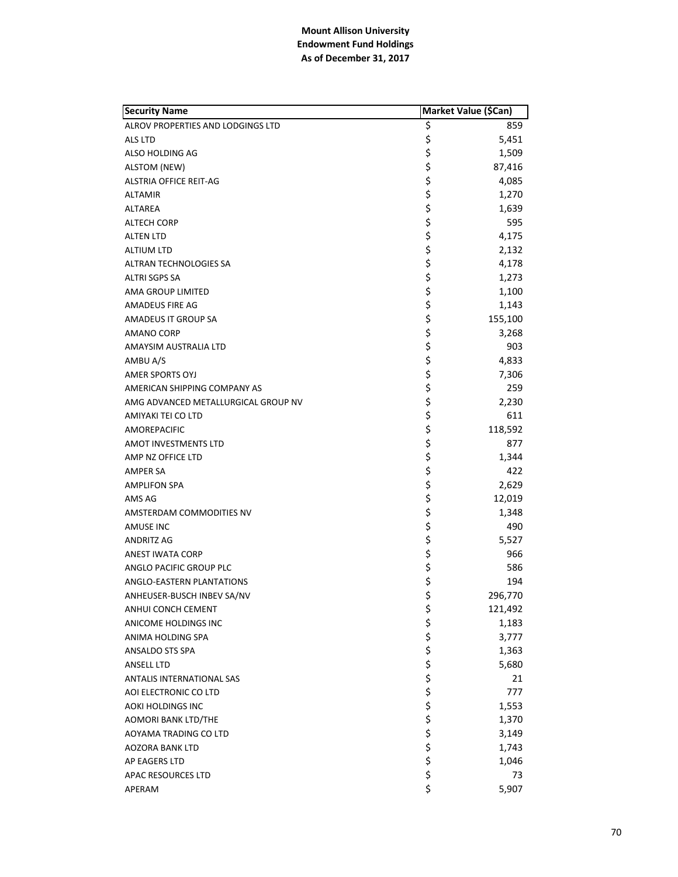| <b>Security Name</b>                | Market Value (\$Can) |         |
|-------------------------------------|----------------------|---------|
| ALROV PROPERTIES AND LODGINGS LTD   | \$                   | 859     |
| <b>ALS LTD</b>                      | \$                   | 5,451   |
| ALSO HOLDING AG                     | \$                   | 1,509   |
| <b>ALSTOM (NEW)</b>                 | \$                   | 87,416  |
| <b>ALSTRIA OFFICE REIT-AG</b>       | \$                   | 4,085   |
| <b>ALTAMIR</b>                      | \$                   | 1,270   |
| ALTAREA                             | \$                   | 1,639   |
| <b>ALTECH CORP</b>                  | \$<br>\$             | 595     |
| <b>ALTEN LTD</b>                    |                      | 4,175   |
| <b>ALTIUM LTD</b>                   | \$                   | 2,132   |
| ALTRAN TECHNOLOGIES SA              | \$                   | 4,178   |
| ALTRI SGPS SA                       | \$                   | 1,273   |
| AMA GROUP LIMITED                   | \$                   | 1,100   |
| AMADEUS FIRE AG                     | \$                   | 1,143   |
| AMADEUS IT GROUP SA                 | \$                   | 155,100 |
| <b>AMANO CORP</b>                   | \$<br>\$             | 3,268   |
| AMAYSIM AUSTRALIA LTD               |                      | 903     |
| AMBU A/S                            | \$                   | 4,833   |
| <b>AMER SPORTS OYJ</b>              | \$                   | 7,306   |
| AMERICAN SHIPPING COMPANY AS        | \$\$\$               | 259     |
| AMG ADVANCED METALLURGICAL GROUP NV |                      | 2,230   |
| AMIYAKI TEI CO LTD                  |                      | 611     |
| AMOREPACIFIC                        | \$                   | 118,592 |
| AMOT INVESTMENTS LTD                | \$                   | 877     |
| AMP NZ OFFICE LTD                   | \$                   | 1,344   |
| AMPER SA                            | \$\$\$               | 422     |
| <b>AMPLIFON SPA</b>                 |                      | 2,629   |
| AMS AG                              |                      | 12,019  |
| AMSTERDAM COMMODITIES NV            | \$\$\$               | 1,348   |
| AMUSE INC                           |                      | 490     |
| ANDRITZ AG                          |                      | 5,527   |
| <b>ANEST IWATA CORP</b>             | \$\$\$               | 966     |
| ANGLO PACIFIC GROUP PLC             |                      | 586     |
| ANGLO-EASTERN PLANTATIONS           |                      | 194     |
| ANHEUSER-BUSCH INBEV SA/NV          | \$                   | 296,770 |
| ANHUI CONCH CEMENT                  | \$                   | 121,492 |
| ANICOME HOLDINGS INC                |                      | 1,183   |
| ANIMA HOLDING SPA                   |                      | 3,777   |
| <b>ANSALDO STS SPA</b>              |                      | 1,363   |
| <b>ANSELL LTD</b>                   |                      | 5,680   |
| ANTALIS INTERNATIONAL SAS           |                      | 21      |
| AOI ELECTRONIC CO LTD               |                      | 777     |
| <b>AOKI HOLDINGS INC</b>            |                      | 1,553   |
| <b>AOMORI BANK LTD/THE</b>          |                      | 1,370   |
| AOYAMA TRADING CO LTD               | やややや そうそうかん          | 3,149   |
| <b>AOZORA BANK LTD</b>              |                      | 1,743   |
| AP EAGERS LTD                       |                      | 1,046   |
| APAC RESOURCES LTD                  |                      | 73      |
| APERAM                              | \$                   | 5,907   |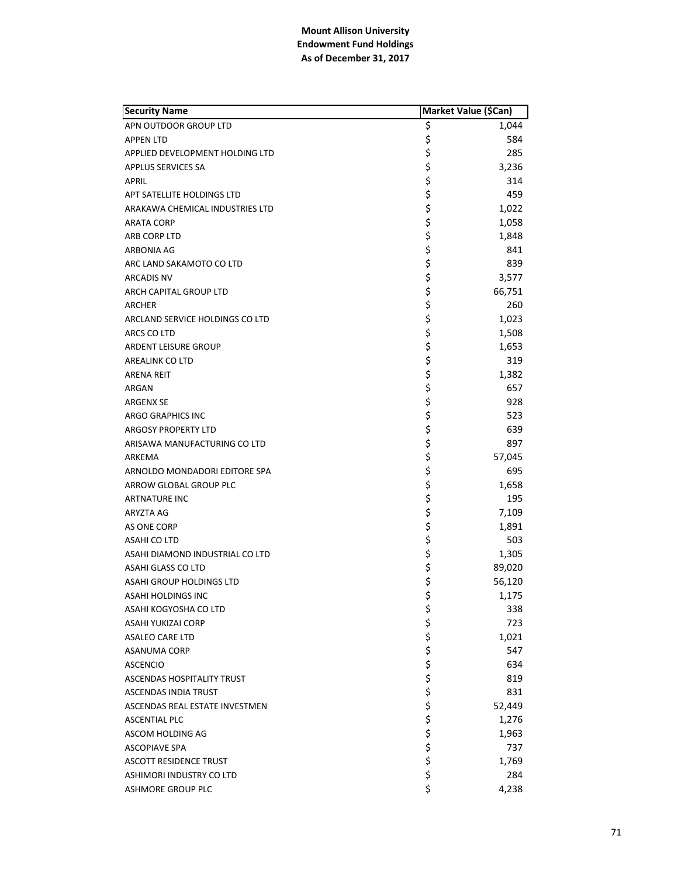| <b>Security Name</b>              | Market Value (\$Can) |        |
|-----------------------------------|----------------------|--------|
| APN OUTDOOR GROUP LTD             | \$                   | 1,044  |
| <b>APPEN LTD</b>                  | \$                   | 584    |
| APPLIED DEVELOPMENT HOLDING LTD   | \$                   | 285    |
| <b>APPLUS SERVICES SA</b>         | \$                   | 3,236  |
| <b>APRIL</b>                      | \$                   | 314    |
| APT SATELLITE HOLDINGS LTD        | \$                   | 459    |
| ARAKAWA CHEMICAL INDUSTRIES LTD   | \$                   | 1,022  |
| <b>ARATA CORP</b>                 | \$                   | 1,058  |
| ARB CORP LTD                      | \$                   | 1,848  |
| ARBONIA AG                        | \$                   | 841    |
| ARC LAND SAKAMOTO CO LTD          | \$                   | 839    |
| <b>ARCADIS NV</b>                 | \$                   | 3,577  |
| ARCH CAPITAL GROUP LTD            | \$                   | 66,751 |
| ARCHER                            | \$                   | 260    |
| ARCLAND SERVICE HOLDINGS CO LTD   | \$                   | 1,023  |
| <b>ARCS CO LTD</b>                | \$                   | 1,508  |
| ARDENT LEISURE GROUP              | \$                   | 1,653  |
| <b>AREALINK CO LTD</b>            | \$                   | 319    |
| <b>ARENA REIT</b>                 | \$                   | 1,382  |
| ARGAN                             | \$                   | 657    |
| <b>ARGENX SE</b>                  | \$                   | 928    |
| <b>ARGO GRAPHICS INC</b>          | \$                   | 523    |
| <b>ARGOSY PROPERTY LTD</b>        | \$                   | 639    |
| ARISAWA MANUFACTURING CO LTD      | \$                   | 897    |
| ARKEMA                            | \$                   | 57,045 |
| ARNOLDO MONDADORI EDITORE SPA     | \$                   | 695    |
| ARROW GLOBAL GROUP PLC            | \$                   | 1,658  |
| <b>ARTNATURE INC</b>              | \$                   | 195    |
| ARYZTA AG                         | \$                   | 7,109  |
| AS ONE CORP                       | \$                   | 1,891  |
| <b>ASAHI CO LTD</b>               | \$                   | 503    |
| ASAHI DIAMOND INDUSTRIAL CO LTD   | \$                   | 1,305  |
| ASAHI GLASS CO LTD                | \$                   | 89,020 |
| <b>ASAHI GROUP HOLDINGS LTD</b>   | \$                   | 56,120 |
| <b>ASAHI HOLDINGS INC</b>         | \$                   | 1,175  |
| ASAHI KOGYOSHA CO LTD             | \$                   | 338    |
| <b>ASAHI YUKIZAI CORP</b>         | \$<br>\$             | 723    |
| <b>ASALEO CARE LTD</b>            |                      | 1,021  |
| <b>ASANUMA CORP</b>               |                      | 547    |
| <b>ASCENCIO</b>                   |                      | 634    |
| <b>ASCENDAS HOSPITALITY TRUST</b> |                      | 819    |
| <b>ASCENDAS INDIA TRUST</b>       |                      | 831    |
| ASCENDAS REAL ESTATE INVESTMEN    |                      | 52,449 |
| <b>ASCENTIAL PLC</b>              |                      | 1,276  |
| ASCOM HOLDING AG                  | やみやみ ややや             | 1,963  |
| <b>ASCOPIAVE SPA</b>              |                      | 737    |
| <b>ASCOTT RESIDENCE TRUST</b>     |                      | 1,769  |
| ASHIMORI INDUSTRY CO LTD          | \$                   | 284    |
| <b>ASHMORE GROUP PLC</b>          | \$                   | 4,238  |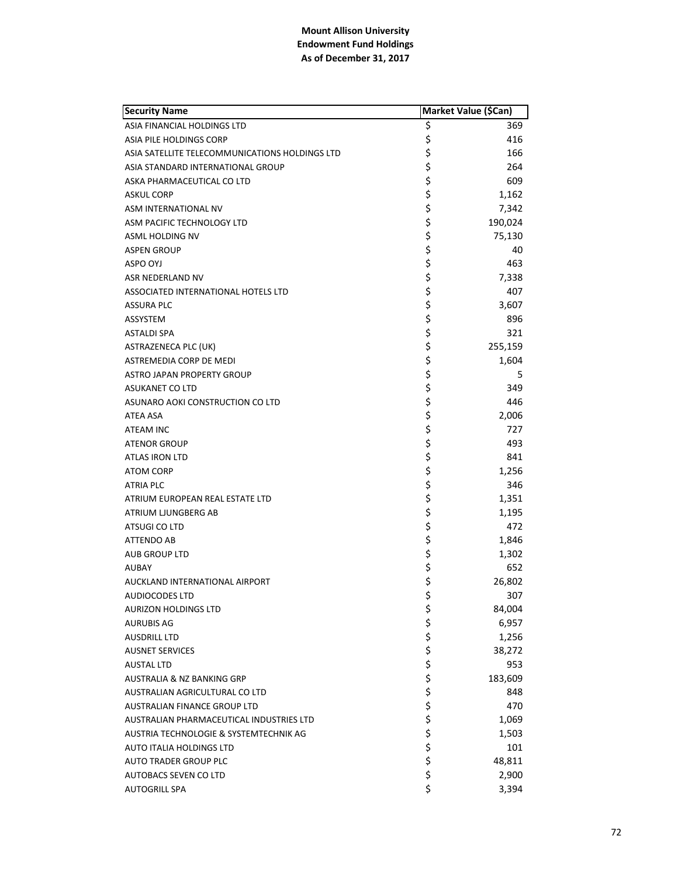| <b>Security Name</b>                           |            | Market Value (\$Can) |
|------------------------------------------------|------------|----------------------|
| ASIA FINANCIAL HOLDINGS LTD                    | \$         | 369                  |
| ASIA PILE HOLDINGS CORP                        | \$         | 416                  |
| ASIA SATELLITE TELECOMMUNICATIONS HOLDINGS LTD | \$         | 166                  |
| ASIA STANDARD INTERNATIONAL GROUP              | \$         | 264                  |
| ASKA PHARMACEUTICAL CO LTD                     | \$         | 609                  |
| <b>ASKUL CORP</b>                              | \$         | 1,162                |
| ASM INTERNATIONAL NV                           | \$         | 7,342                |
| ASM PACIFIC TECHNOLOGY LTD                     | \$         | 190,024              |
| ASML HOLDING NV                                | \$         | 75,130               |
| <b>ASPEN GROUP</b>                             | \$         | 40                   |
| ASPO OYJ                                       | \$         | 463                  |
| ASR NEDERLAND NV                               | \$         | 7,338                |
| ASSOCIATED INTERNATIONAL HOTELS LTD            | \$         | 407                  |
| <b>ASSURA PLC</b>                              | \$         | 3,607                |
| ASSYSTEM                                       | \$         | 896                  |
| ASTALDI SPA                                    | \$         | 321                  |
| <b>ASTRAZENECA PLC (UK)</b>                    | \$         | 255,159              |
| ASTREMEDIA CORP DE MEDI                        | \$         | 1,604                |
| ASTRO JAPAN PROPERTY GROUP                     | \$         | 5                    |
| <b>ASUKANET CO LTD</b>                         | \$         | 349                  |
| ASUNARO AOKI CONSTRUCTION CO LTD               | \$         | 446                  |
| ATEA ASA                                       | \$         | 2,006                |
| ATEAM INC                                      | \$         | 727                  |
| <b>ATENOR GROUP</b>                            | \$         | 493                  |
| ATLAS IRON LTD                                 | \$         | 841                  |
| <b>ATOM CORP</b>                               | \$         | 1,256                |
| ATRIA PLC                                      | \$         | 346                  |
| ATRIUM EUROPEAN REAL ESTATE LTD                | \$         | 1,351                |
| ATRIUM LJUNGBERG AB                            | \$         | 1,195                |
| ATSUGI CO LTD                                  | \$         | 472                  |
| <b>ATTENDO AB</b>                              | \$         | 1,846                |
| <b>AUB GROUP LTD</b>                           | \$         | 1,302                |
| <b>AUBAY</b>                                   | \$         | 652                  |
| AUCKLAND INTERNATIONAL AIRPORT                 | \$         | 26,802               |
| <b>AUDIOCODES LTD</b>                          | \$         | 307                  |
| <b>AURIZON HOLDINGS LTD</b>                    | \$         | 84,004               |
| <b>AURUBIS AG</b>                              |            | 6,957                |
| <b>AUSDRILL LTD</b>                            | \$\$\$     | 1,256                |
| <b>AUSNET SERVICES</b>                         |            | 38,272               |
| <b>AUSTAL LTD</b>                              |            | 953                  |
| AUSTRALIA & NZ BANKING GRP                     |            | 183,609              |
| AUSTRALIAN AGRICULTURAL CO LTD                 |            | 848                  |
| AUSTRALIAN FINANCE GROUP LTD                   |            | 470                  |
| AUSTRALIAN PHARMACEUTICAL INDUSTRIES LTD       |            | 1,069                |
| AUSTRIA TECHNOLOGIE & SYSTEMTECHNIK AG         |            | 1,503                |
| AUTO ITALIA HOLDINGS LTD                       | ぐろくさん こうこう | 101                  |
| <b>AUTO TRADER GROUP PLC</b>                   |            | 48,811               |
| <b>AUTOBACS SEVEN CO LTD</b>                   | \$         | 2,900                |
| <b>AUTOGRILL SPA</b>                           | \$         | 3,394                |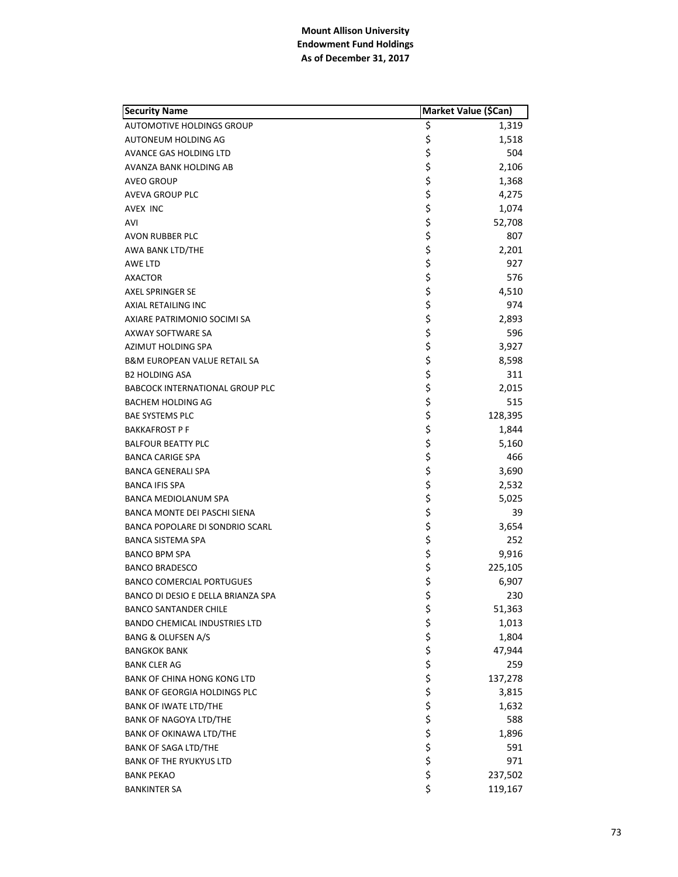| <b>Security Name</b>                    | Market Value (\$Can) |         |
|-----------------------------------------|----------------------|---------|
| <b>AUTOMOTIVE HOLDINGS GROUP</b>        | \$                   | 1,319   |
| AUTONEUM HOLDING AG                     | \$                   | 1,518   |
| AVANCE GAS HOLDING LTD                  | \$                   | 504     |
| AVANZA BANK HOLDING AB                  | \$                   | 2,106   |
| <b>AVEO GROUP</b>                       |                      | 1,368   |
| AVEVA GROUP PLC                         | \$<br>\$             | 4,275   |
| AVEX INC                                | \$                   | 1,074   |
| AVI                                     | \$                   | 52,708  |
| AVON RUBBER PLC                         | \$                   | 807     |
| AWA BANK LTD/THE                        | \$                   | 2,201   |
| AWE LTD                                 | \$                   | 927     |
| <b>AXACTOR</b>                          | \$                   | 576     |
| <b>AXEL SPRINGER SE</b>                 | \$                   | 4,510   |
| AXIAL RETAILING INC                     | \$                   | 974     |
| AXIARE PATRIMONIO SOCIMI SA             | \$                   | 2,893   |
| AXWAY SOFTWARE SA                       | \$                   | 596     |
| AZIMUT HOLDING SPA                      | \$                   | 3,927   |
| <b>B&amp;M EUROPEAN VALUE RETAIL SA</b> | \$                   | 8,598   |
| <b>B2 HOLDING ASA</b>                   | \$                   | 311     |
| <b>BABCOCK INTERNATIONAL GROUP PLC</b>  | \$                   | 2,015   |
| <b>BACHEM HOLDING AG</b>                | \$                   | 515     |
| <b>BAE SYSTEMS PLC</b>                  | \$                   | 128,395 |
| <b>BAKKAFROST P F</b>                   | \$                   | 1,844   |
| <b>BALFOUR BEATTY PLC</b>               | \$                   | 5,160   |
| <b>BANCA CARIGE SPA</b>                 | \$                   | 466     |
| <b>BANCA GENERALI SPA</b>               |                      | 3,690   |
| <b>BANCA IFIS SPA</b>                   |                      | 2,532   |
| BANCA MEDIOLANUM SPA                    |                      | 5,025   |
| BANCA MONTE DEI PASCHI SIENA            | ちゃくちゃ                | 39      |
| BANCA POPOLARE DI SONDRIO SCARL         |                      | 3,654   |
| <b>BANCA SISTEMA SPA</b>                |                      | 252     |
| <b>BANCO BPM SPA</b>                    | \$                   | 9,916   |
| <b>BANCO BRADESCO</b>                   | \$<br>\$             | 225,105 |
| <b>BANCO COMERCIAL PORTUGUES</b>        |                      | 6,907   |
| BANCO DI DESIO E DELLA BRIANZA SPA      | \$                   | 230     |
| <b>BANCO SANTANDER CHILE</b>            | \$                   | 51,363  |
| <b>BANDO CHEMICAL INDUSTRIES LTD</b>    |                      | 1,013   |
| <b>BANG &amp; OLUFSEN A/S</b>           |                      | 1,804   |
| <b>BANGKOK BANK</b>                     |                      | 47,944  |
| <b>BANK CLER AG</b>                     |                      | 259     |
| <b>BANK OF CHINA HONG KONG LTD</b>      |                      | 137,278 |
| <b>BANK OF GEORGIA HOLDINGS PLC</b>     |                      | 3,815   |
| <b>BANK OF IWATE LTD/THE</b>            |                      | 1,632   |
| <b>BANK OF NAGOYA LTD/THE</b>           |                      | 588     |
| <b>BANK OF OKINAWA LTD/THE</b>          | ぐうさかさかい              | 1,896   |
| <b>BANK OF SAGA LTD/THE</b>             |                      | 591     |
| <b>BANK OF THE RYUKYUS LTD</b>          |                      | 971     |
| <b>BANK PEKAO</b>                       | \$                   | 237,502 |
| <b>BANKINTER SA</b>                     | \$                   | 119,167 |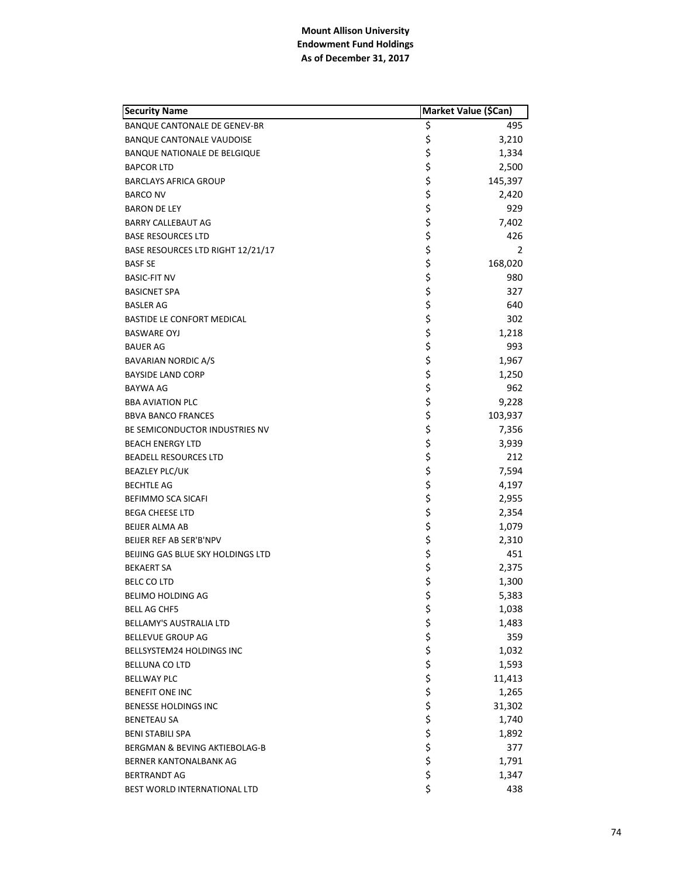| <b>Security Name</b>                | Market Value (\$Can) |         |
|-------------------------------------|----------------------|---------|
| BANQUE CANTONALE DE GENEV-BR        | \$                   | 495     |
| <b>BANQUE CANTONALE VAUDOISE</b>    | \$                   | 3,210   |
| <b>BANQUE NATIONALE DE BELGIQUE</b> | \$                   | 1,334   |
| <b>BAPCOR LTD</b>                   | \$                   | 2,500   |
| <b>BARCLAYS AFRICA GROUP</b>        | \$                   | 145,397 |
| <b>BARCO NV</b>                     | \$                   | 2,420   |
| <b>BARON DE LEY</b>                 | \$                   | 929     |
| BARRY CALLEBAUT AG                  | \$                   | 7,402   |
| <b>BASE RESOURCES LTD</b>           | \$                   | 426     |
| BASE RESOURCES LTD RIGHT 12/21/17   | \$                   | 2       |
| <b>BASF SE</b>                      | \$                   | 168,020 |
| <b>BASIC-FIT NV</b>                 | \$                   | 980     |
| <b>BASICNET SPA</b>                 | \$                   | 327     |
| <b>BASLER AG</b>                    | \$                   | 640     |
| <b>BASTIDE LE CONFORT MEDICAL</b>   | \$                   | 302     |
| <b>BASWARE OYJ</b>                  | \$                   | 1,218   |
| <b>BAUER AG</b>                     | \$                   | 993     |
| <b>BAVARIAN NORDIC A/S</b>          | \$                   | 1,967   |
| <b>BAYSIDE LAND CORP</b>            | \$                   | 1,250   |
| BAYWA AG                            | \$                   | 962     |
| <b>BBA AVIATION PLC</b>             | \$                   | 9,228   |
| <b>BBVA BANCO FRANCES</b>           | \$                   | 103,937 |
| BE SEMICONDUCTOR INDUSTRIES NV      | \$                   | 7,356   |
| <b>BEACH ENERGY LTD</b>             | \$                   | 3,939   |
| <b>BEADELL RESOURCES LTD</b>        | \$                   | 212     |
| <b>BEAZLEY PLC/UK</b>               | \$                   | 7,594   |
| <b>BECHTLE AG</b>                   | \$                   | 4,197   |
| BEFIMMO SCA SICAFI                  | \$                   | 2,955   |
| <b>BEGA CHEESE LTD</b>              | \$                   | 2,354   |
| <b>BEIJER ALMA AB</b>               | \$                   | 1,079   |
| BEIJER REF AB SER'B'NPV             | \$                   | 2,310   |
| BEIJING GAS BLUE SKY HOLDINGS LTD   | \$                   | 451     |
| <b>BEKAERT SA</b>                   | \$                   | 2,375   |
| <b>BELC CO LTD</b>                  | \$                   | 1,300   |
| BELIMO HOLDING AG                   | \$                   | 5,383   |
| <b>BELL AG CHF5</b>                 | \$                   | 1,038   |
| <b>BELLAMY'S AUSTRALIA LTD</b>      | \$                   | 1,483   |
| BELLEVUE GROUP AG                   | \$                   | 359     |
| BELLSYSTEM24 HOLDINGS INC           | \$                   | 1,032   |
| BELLUNA CO LTD                      |                      | 1,593   |
| <b>BELLWAY PLC</b>                  | \$ \$ \$ \$          | 11,413  |
| <b>BENEFIT ONE INC</b>              |                      | 1,265   |
| <b>BENESSE HOLDINGS INC</b>         |                      | 31,302  |
| <b>BENETEAU SA</b>                  | \$                   | 1,740   |
| <b>BENI STABILI SPA</b>             | \$                   | 1,892   |
| BERGMAN & BEVING AKTIEBOLAG-B       | \$                   | 377     |
| BERNER KANTONALBANK AG              | \$                   | 1,791   |
| <b>BERTRANDT AG</b>                 | \$                   | 1,347   |
| BEST WORLD INTERNATIONAL LTD        | \$                   | 438     |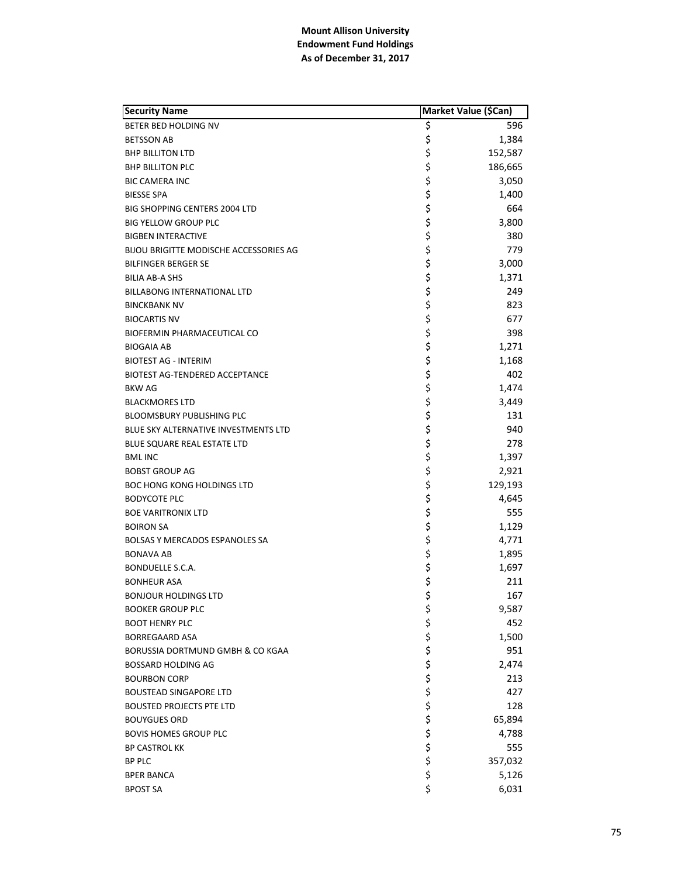| <b>Security Name</b>                          | Market Value (\$Can) |         |
|-----------------------------------------------|----------------------|---------|
| BETER BED HOLDING NV                          | Ş                    | 596     |
| <b>BETSSON AB</b>                             | \$                   | 1,384   |
| <b>BHP BILLITON LTD</b>                       | \$                   | 152,587 |
| <b>BHP BILLITON PLC</b>                       | \$                   | 186,665 |
| <b>BIC CAMERA INC</b>                         | \$                   | 3,050   |
| <b>BIESSE SPA</b>                             | \$                   | 1,400   |
| BIG SHOPPING CENTERS 2004 LTD                 | \$                   | 664     |
| <b>BIG YELLOW GROUP PLC</b>                   | \$                   | 3,800   |
| <b>BIGBEN INTERACTIVE</b>                     | \$                   | 380     |
| <b>BIJOU BRIGITTE MODISCHE ACCESSORIES AG</b> | \$                   | 779     |
| <b>BILFINGER BERGER SE</b>                    | \$                   | 3,000   |
| <b>BILIA AB-A SHS</b>                         | \$                   | 1,371   |
| BILLABONG INTERNATIONAL LTD                   | \$                   | 249     |
| <b>BINCKBANK NV</b>                           | \$                   | 823     |
| <b>BIOCARTIS NV</b>                           | \$                   | 677     |
| <b>BIOFERMIN PHARMACEUTICAL CO</b>            | \$                   | 398     |
| <b>BIOGAIA AB</b>                             | \$                   | 1,271   |
| <b>BIOTEST AG - INTERIM</b>                   | \$                   | 1,168   |
| <b>BIOTEST AG-TENDERED ACCEPTANCE</b>         | \$                   | 402     |
| <b>BKW AG</b>                                 | \$                   | 1,474   |
| <b>BLACKMORES LTD</b>                         | \$                   | 3,449   |
| <b>BLOOMSBURY PUBLISHING PLC</b>              | \$                   | 131     |
| BLUE SKY ALTERNATIVE INVESTMENTS LTD          | \$                   | 940     |
| <b>BLUE SQUARE REAL ESTATE LTD</b>            | \$                   | 278     |
| <b>BMLINC</b>                                 | \$                   | 1,397   |
| <b>BOBST GROUP AG</b>                         | \$                   | 2,921   |
| BOC HONG KONG HOLDINGS LTD                    | \$                   | 129,193 |
| <b>BODYCOTE PLC</b>                           | \$                   | 4,645   |
| <b>BOE VARITRONIX LTD</b>                     | \$                   | 555     |
| <b>BOIRON SA</b>                              | \$                   | 1,129   |
| <b>BOLSAS Y MERCADOS ESPANOLES SA</b>         | \$                   | 4,771   |
| <b>BONAVA AB</b>                              | \$                   | 1,895   |
| BONDUELLE S.C.A.                              | \$                   | 1,697   |
| <b>BONHEUR ASA</b>                            | \$                   | 211     |
| <b>BONJOUR HOLDINGS LTD</b>                   | \$                   | 167     |
| <b>BOOKER GROUP PLC</b>                       | \$                   | 9,587   |
| <b>BOOT HENRY PLC</b>                         |                      | 452     |
| <b>BORREGAARD ASA</b>                         |                      | 1,500   |
| BORUSSIA DORTMUND GMBH & CO KGAA              |                      | 951     |
| <b>BOSSARD HOLDING AG</b>                     |                      | 2,474   |
| <b>BOURBON CORP</b>                           |                      | 213     |
| <b>BOUSTEAD SINGAPORE LTD</b>                 |                      | 427     |
| <b>BOUSTED PROJECTS PTE LTD</b>               |                      | 128     |
| <b>BOUYGUES ORD</b>                           |                      | 65,894  |
| <b>BOVIS HOMES GROUP PLC</b>                  |                      | 4,788   |
| <b>BP CASTROL KK</b>                          | ぐうさくさい こうさく          | 555     |
| <b>BP PLC</b>                                 |                      | 357,032 |
| <b>BPER BANCA</b>                             | \$                   | 5,126   |
| <b>BPOST SA</b>                               | \$                   | 6,031   |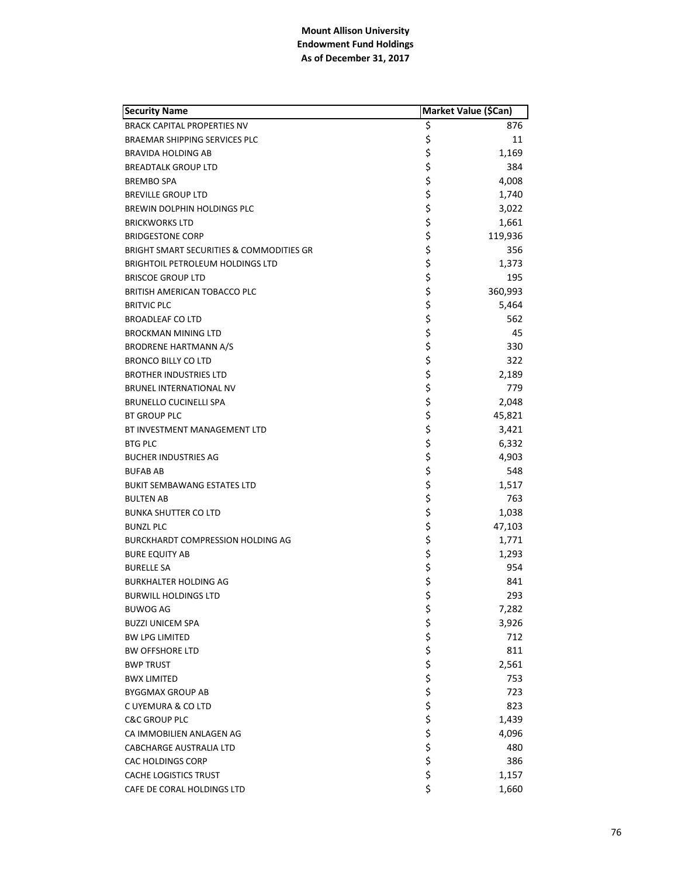| <b>Security Name</b>                                | Market Value (\$Can) |         |
|-----------------------------------------------------|----------------------|---------|
| <b>BRACK CAPITAL PROPERTIES NV</b>                  | \$                   | 876     |
| <b>BRAEMAR SHIPPING SERVICES PLC</b>                | \$<br>\$             | 11      |
| BRAVIDA HOLDING AB                                  |                      | 1,169   |
| <b>BREADTALK GROUP LTD</b>                          | \$                   | 384     |
| <b>BREMBO SPA</b>                                   | \$<br>\$             | 4,008   |
| <b>BREVILLE GROUP LTD</b>                           |                      | 1,740   |
| BREWIN DOLPHIN HOLDINGS PLC                         | \$                   | 3,022   |
| <b>BRICKWORKS LTD</b>                               |                      | 1,661   |
| <b>BRIDGESTONE CORP</b>                             | \$<br>\$             | 119,936 |
| <b>BRIGHT SMART SECURITIES &amp; COMMODITIES GR</b> | \$                   | 356     |
| <b>BRIGHTOIL PETROLEUM HOLDINGS LTD</b>             | \$                   | 1,373   |
| <b>BRISCOE GROUP LTD</b>                            | \$                   | 195     |
| BRITISH AMERICAN TOBACCO PLC                        | \$                   | 360,993 |
| <b>BRITVIC PLC</b>                                  | \$                   | 5,464   |
| <b>BROADLEAF CO LTD</b>                             | \$                   | 562     |
| <b>BROCKMAN MINING LTD</b>                          |                      | 45      |
| <b>BRODRENE HARTMANN A/S</b>                        |                      | 330     |
| <b>BRONCO BILLY CO LTD</b>                          | \$\$\$               | 322     |
| <b>BROTHER INDUSTRIES LTD</b>                       |                      | 2,189   |
| BRUNEL INTERNATIONAL NV                             | \$\$\$               | 779     |
| <b>BRUNELLO CUCINELLI SPA</b>                       |                      | 2,048   |
| <b>BT GROUP PLC</b>                                 |                      | 45,821  |
| BT INVESTMENT MANAGEMENT LTD                        | \$                   | 3,421   |
| <b>BTG PLC</b>                                      | \$                   | 6,332   |
| <b>BUCHER INDUSTRIES AG</b>                         | \$                   | 4,903   |
| <b>BUFAB AB</b>                                     |                      | 548     |
| <b>BUKIT SEMBAWANG ESTATES LTD</b>                  | ややな やなか やや           | 1,517   |
| <b>BULTEN AB</b>                                    |                      | 763     |
| <b>BUNKA SHUTTER CO LTD</b>                         |                      | 1,038   |
| <b>BUNZL PLC</b>                                    |                      | 47,103  |
| <b>BURCKHARDT COMPRESSION HOLDING AG</b>            |                      | 1,771   |
| <b>BURE EQUITY AB</b>                               |                      | 1,293   |
| <b>BURELLE SA</b>                                   |                      | 954     |
| <b>BURKHALTER HOLDING AG</b>                        |                      | 841     |
| <b>BURWILL HOLDINGS LTD</b>                         | \$                   | 293     |
| BUWOG AG                                            | \$                   | 7,282   |
| <b>BUZZI UNICEM SPA</b>                             |                      | 3,926   |
| <b>BW LPG LIMITED</b>                               |                      | 712     |
| <b>BW OFFSHORE LTD</b>                              |                      | 811     |
| <b>BWP TRUST</b>                                    |                      | 2,561   |
| <b>BWX LIMITED</b>                                  |                      | 753     |
| <b>BYGGMAX GROUP AB</b>                             |                      | 723     |
| C UYEMURA & CO LTD                                  |                      | 823     |
| <b>C&amp;C GROUP PLC</b>                            |                      | 1,439   |
| CA IMMOBILIEN ANLAGEN AG                            |                      | 4,096   |
| <b>CABCHARGE AUSTRALIA LTD</b>                      | ややややけ やややか           | 480     |
| CAC HOLDINGS CORP                                   |                      | 386     |
| <b>CACHE LOGISTICS TRUST</b>                        |                      | 1,157   |
| CAFE DE CORAL HOLDINGS LTD                          | \$                   | 1,660   |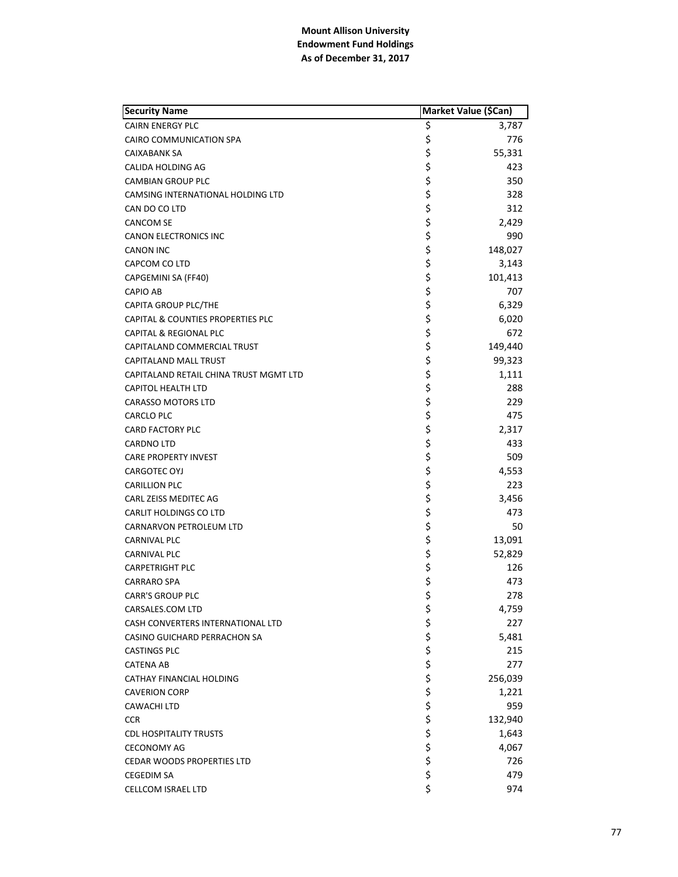| <b>Security Name</b>                         | Market Value (\$Can) |         |
|----------------------------------------------|----------------------|---------|
| <b>CAIRN ENERGY PLC</b>                      | \$                   | 3,787   |
| CAIRO COMMUNICATION SPA                      | \$                   | 776     |
| CAIXABANK SA                                 | \$                   | 55,331  |
| CALIDA HOLDING AG                            | \$                   | 423     |
| <b>CAMBIAN GROUP PLC</b>                     | \$                   | 350     |
| CAMSING INTERNATIONAL HOLDING LTD            | \$                   | 328     |
| CAN DO CO LTD                                | \$                   | 312     |
| <b>CANCOM SE</b>                             | \$                   | 2,429   |
| <b>CANON ELECTRONICS INC</b>                 | \$                   | 990     |
| <b>CANON INC</b>                             | \$                   | 148,027 |
| CAPCOM CO LTD                                | \$                   | 3,143   |
| CAPGEMINI SA (FF40)                          | \$                   | 101,413 |
| <b>CAPIO AB</b>                              | \$                   | 707     |
| CAPITA GROUP PLC/THE                         | \$                   | 6,329   |
| <b>CAPITAL &amp; COUNTIES PROPERTIES PLC</b> | \$                   | 6,020   |
| <b>CAPITAL &amp; REGIONAL PLC</b>            | \$                   | 672     |
| CAPITALAND COMMERCIAL TRUST                  | \$                   | 149,440 |
| CAPITALAND MALL TRUST                        | \$                   | 99,323  |
| CAPITALAND RETAIL CHINA TRUST MGMT LTD       | \$                   | 1,111   |
| <b>CAPITOL HEALTH LTD</b>                    | \$                   | 288     |
| <b>CARASSO MOTORS LTD</b>                    | \$                   | 229     |
| CARCLO PLC                                   | \$                   | 475     |
| <b>CARD FACTORY PLC</b>                      | \$                   | 2,317   |
| <b>CARDNO LTD</b>                            | \$                   | 433     |
| <b>CARE PROPERTY INVEST</b>                  | \$                   | 509     |
| CARGOTEC OYJ                                 | \$                   | 4,553   |
| <b>CARILLION PLC</b>                         | \$                   | 223     |
| CARL ZEISS MEDITEC AG                        | \$                   | 3,456   |
| CARLIT HOLDINGS CO LTD                       | \$                   | 473     |
| CARNARVON PETROLEUM LTD                      | \$                   | 50      |
| <b>CARNIVAL PLC</b>                          | \$                   | 13,091  |
| <b>CARNIVAL PLC</b>                          | \$                   | 52,829  |
| <b>CARPETRIGHT PLC</b>                       | \$                   | 126     |
| <b>CARRARO SPA</b>                           | \$                   | 473     |
| <b>CARR'S GROUP PLC</b>                      | \$                   | 278     |
| CARSALES.COM LTD                             | \$                   | 4,759   |
| CASH CONVERTERS INTERNATIONAL LTD            |                      | 227     |
| CASINO GUICHARD PERRACHON SA                 |                      | 5,481   |
| <b>CASTINGS PLC</b>                          | ややみ ややや              | 215     |
| <b>CATENA AB</b>                             |                      | 277     |
| CATHAY FINANCIAL HOLDING                     |                      | 256,039 |
| <b>CAVERION CORP</b>                         |                      | 1,221   |
| <b>CAWACHI LTD</b>                           |                      | 959     |
| <b>CCR</b>                                   | \$                   | 132,940 |
| <b>CDL HOSPITALITY TRUSTS</b>                | \$                   | 1,643   |
| <b>CECONOMY AG</b>                           |                      | 4,067   |
| <b>CEDAR WOODS PROPERTIES LTD</b>            | \$<br>\$             | 726     |
| <b>CEGEDIM SA</b>                            | $\frac{1}{2}$        | 479     |
| CELLCOM ISRAEL LTD                           | \$                   | 974     |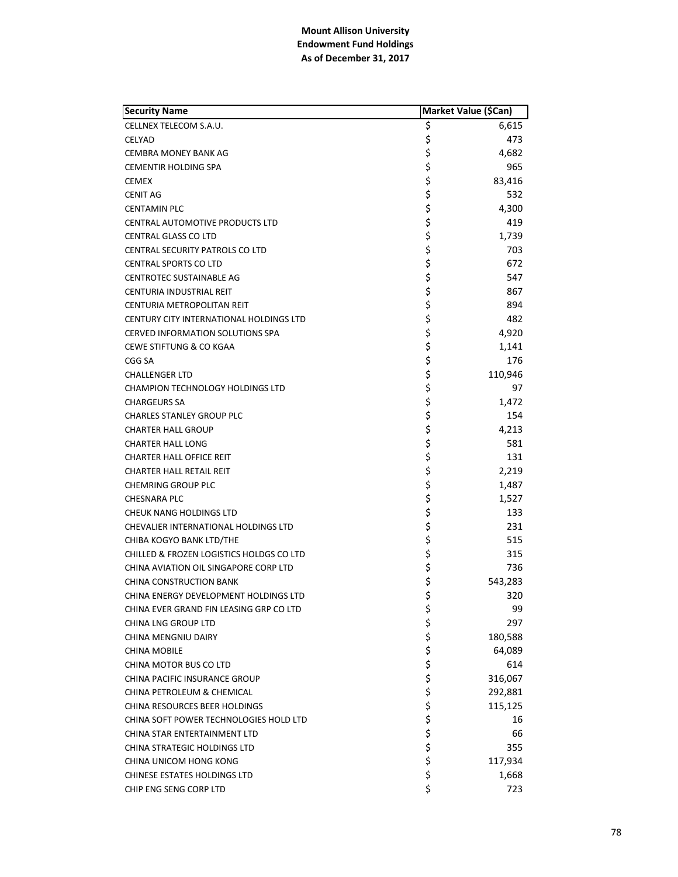| <b>Security Name</b>                     | Market Value (\$Can) |         |
|------------------------------------------|----------------------|---------|
| CELLNEX TELECOM S.A.U.                   | Ş                    | 6,615   |
| <b>CELYAD</b>                            | \$                   | 473     |
| <b>CEMBRA MONEY BANK AG</b>              | \$                   | 4,682   |
| <b>CEMENTIR HOLDING SPA</b>              | \$                   | 965     |
| <b>CEMEX</b>                             | \$                   | 83,416  |
| <b>CENIT AG</b>                          | \$                   | 532     |
| <b>CENTAMIN PLC</b>                      | \$                   | 4,300   |
| <b>CENTRAL AUTOMOTIVE PRODUCTS LTD</b>   |                      | 419     |
| <b>CENTRAL GLASS CO LTD</b>              | \$<br>\$             | 1,739   |
| <b>CENTRAL SECURITY PATROLS CO LTD</b>   | \$                   | 703     |
| <b>CENTRAL SPORTS CO LTD</b>             | \$                   | 672     |
| <b>CENTROTEC SUSTAINABLE AG</b>          | \$                   | 547     |
| CENTURIA INDUSTRIAL REIT                 | \$                   | 867     |
| CENTURIA METROPOLITAN REIT               | \$                   | 894     |
| CENTURY CITY INTERNATIONAL HOLDINGS LTD  | \$                   | 482     |
| CERVED INFORMATION SOLUTIONS SPA         | \$<br>\$             | 4,920   |
| <b>CEWE STIFTUNG &amp; CO KGAA</b>       |                      | 1,141   |
| CGG SA                                   | \$                   | 176     |
| <b>CHALLENGER LTD</b>                    | \$                   | 110,946 |
| <b>CHAMPION TECHNOLOGY HOLDINGS LTD</b>  | \$                   | 97      |
| <b>CHARGEURS SA</b>                      | \$<br>\$             | 1,472   |
| <b>CHARLES STANLEY GROUP PLC</b>         |                      | 154     |
| <b>CHARTER HALL GROUP</b>                | \$                   | 4,213   |
| <b>CHARTER HALL LONG</b>                 | \$                   | 581     |
| <b>CHARTER HALL OFFICE REIT</b>          | \$                   | 131     |
| CHARTER HALL RETAIL REIT                 | \$                   | 2,219   |
| <b>CHEMRING GROUP PLC</b>                | \$<br>\$             | 1,487   |
| <b>CHESNARA PLC</b>                      |                      | 1,527   |
| CHEUK NANG HOLDINGS LTD                  | \$\$\$               | 133     |
| CHEVALIER INTERNATIONAL HOLDINGS LTD     |                      | 231     |
| CHIBA KOGYO BANK LTD/THE                 |                      | 515     |
| CHILLED & FROZEN LOGISTICS HOLDGS CO LTD | \$                   | 315     |
| CHINA AVIATION OIL SINGAPORE CORP LTD    | \$<br>\$             | 736     |
| <b>CHINA CONSTRUCTION BANK</b>           |                      | 543,283 |
| CHINA ENERGY DEVELOPMENT HOLDINGS LTD    | \$                   | 320     |
| CHINA EVER GRAND FIN LEASING GRP CO LTD  | \$                   | 99      |
| <b>CHINA LNG GROUP LTD</b>               |                      | 297     |
| CHINA MENGNIU DAIRY                      |                      | 180,588 |
| <b>CHINA MOBILE</b>                      |                      | 64,089  |
| CHINA MOTOR BUS CO LTD                   |                      | 614     |
| CHINA PACIFIC INSURANCE GROUP            |                      | 316,067 |
| CHINA PETROLEUM & CHEMICAL               |                      | 292,881 |
| CHINA RESOURCES BEER HOLDINGS            |                      | 115,125 |
| CHINA SOFT POWER TECHNOLOGIES HOLD LTD   | ぐぐろうこうかん             | 16      |
| CHINA STAR ENTERTAINMENT LTD             |                      | 66      |
| <b>CHINA STRATEGIC HOLDINGS LTD</b>      |                      | 355     |
| CHINA UNICOM HONG KONG                   |                      | 117,934 |
| <b>CHINESE ESTATES HOLDINGS LTD</b>      | \$                   | 1,668   |
| CHIP ENG SENG CORP LTD                   | \$                   | 723     |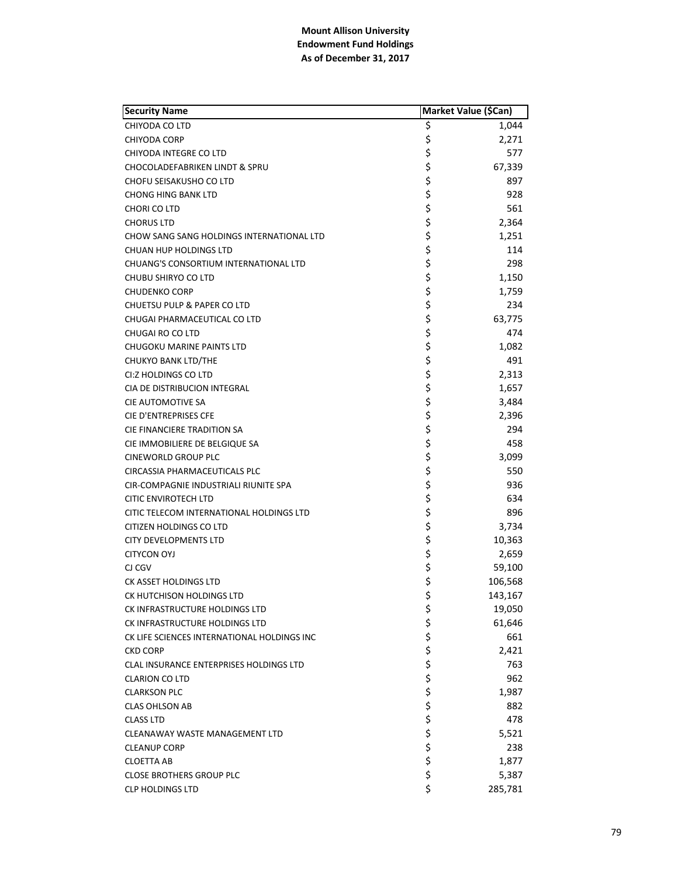| <b>Security Name</b>                        | Market Value (\$Can) |         |
|---------------------------------------------|----------------------|---------|
| CHIYODA CO LTD                              | \$                   | 1,044   |
| CHIYODA CORP                                | \$                   | 2,271   |
| CHIYODA INTEGRE CO LTD                      | \$                   | 577     |
| CHOCOLADEFABRIKEN LINDT & SPRU              | \$                   | 67,339  |
| CHOFU SEISAKUSHO CO LTD                     | \$                   | 897     |
| <b>CHONG HING BANK LTD</b>                  | \$                   | 928     |
| CHORI CO LTD                                | \$                   | 561     |
| <b>CHORUS LTD</b>                           | \$                   | 2,364   |
| CHOW SANG SANG HOLDINGS INTERNATIONAL LTD   | \$                   | 1,251   |
| CHUAN HUP HOLDINGS LTD                      | \$                   | 114     |
| CHUANG'S CONSORTIUM INTERNATIONAL LTD       | \$                   | 298     |
| CHUBU SHIRYO CO LTD                         | \$                   | 1,150   |
| <b>CHUDENKO CORP</b>                        | \$                   | 1,759   |
| CHUETSU PULP & PAPER CO LTD                 | \$                   | 234     |
| CHUGAI PHARMACEUTICAL CO LTD                | \$                   | 63,775  |
| CHUGAI RO CO LTD                            | \$                   | 474     |
| CHUGOKU MARINE PAINTS LTD                   | \$                   | 1,082   |
| <b>CHUKYO BANK LTD/THE</b>                  | \$                   | 491     |
| CI:Z HOLDINGS CO LTD                        | \$                   | 2,313   |
| CIA DE DISTRIBUCION INTEGRAL                | \$                   | 1,657   |
| <b>CIE AUTOMOTIVE SA</b>                    | \$                   | 3,484   |
| CIE D'ENTREPRISES CFE                       | \$                   | 2,396   |
| CIE FINANCIERE TRADITION SA                 | \$                   | 294     |
| CIE IMMOBILIERE DE BELGIQUE SA              | \$                   | 458     |
| <b>CINEWORLD GROUP PLC</b>                  | \$                   | 3,099   |
| CIRCASSIA PHARMACEUTICALS PLC               | \$                   | 550     |
| CIR-COMPAGNIE INDUSTRIALI RIUNITE SPA       | \$                   | 936     |
| CITIC ENVIROTECH LTD                        | \$                   | 634     |
| CITIC TELECOM INTERNATIONAL HOLDINGS LTD    | \$                   | 896     |
| CITIZEN HOLDINGS CO LTD                     | \$                   | 3,734   |
| <b>CITY DEVELOPMENTS LTD</b>                | \$                   | 10,363  |
| <b>CITYCON OYJ</b>                          | \$                   | 2,659   |
| CJ CGV                                      | \$                   | 59,100  |
| CK ASSET HOLDINGS LTD                       | \$                   | 106,568 |
| CK HUTCHISON HOLDINGS LTD                   | \$                   | 143,167 |
| CK INFRASTRUCTURE HOLDINGS LTD              | \$                   | 19,050  |
| CK INFRASTRUCTURE HOLDINGS LTD              | \$                   | 61,646  |
| CK LIFE SCIENCES INTERNATIONAL HOLDINGS INC | \$<br>\$             | 661     |
| <b>CKD CORP</b>                             |                      | 2,421   |
| CLAL INSURANCE ENTERPRISES HOLDINGS LTD     |                      | 763     |
| <b>CLARION CO LTD</b>                       | \$\$\$\$\$           | 962     |
| <b>CLARKSON PLC</b>                         |                      | 1,987   |
| <b>CLAS OHLSON AB</b>                       |                      | 882     |
| <b>CLASS LTD</b>                            |                      | 478     |
| CLEANAWAY WASTE MANAGEMENT LTD              |                      | 5,521   |
| <b>CLEANUP CORP</b>                         | \$                   | 238     |
| <b>CLOETTA AB</b>                           | \$                   | 1,877   |
| <b>CLOSE BROTHERS GROUP PLC</b>             | \$                   | 5,387   |
| <b>CLP HOLDINGS LTD</b>                     | \$                   | 285,781 |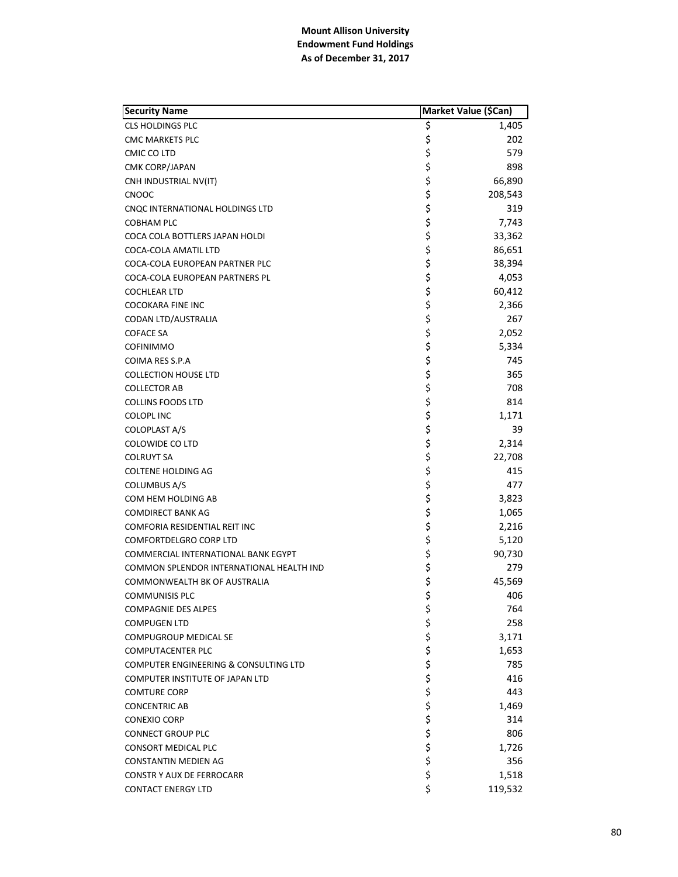| <b>Security Name</b>                     |           | Market Value (\$Can) |
|------------------------------------------|-----------|----------------------|
| <b>CLS HOLDINGS PLC</b>                  | Ş         | 1,405                |
| <b>CMC MARKETS PLC</b>                   | \$        | 202                  |
| CMIC CO LTD                              | \$        | 579                  |
| <b>CMK CORP/JAPAN</b>                    | \$        | 898                  |
| CNH INDUSTRIAL NV(IT)                    | \$        | 66,890               |
| CNOOC                                    | \$        | 208,543              |
| CNQC INTERNATIONAL HOLDINGS LTD          | \$        | 319                  |
| <b>COBHAM PLC</b>                        | \$        | 7,743                |
| COCA COLA BOTTLERS JAPAN HOLDI           | \$        | 33,362               |
| COCA-COLA AMATIL LTD                     | \$        | 86,651               |
| COCA-COLA EUROPEAN PARTNER PLC           | \$        | 38,394               |
| COCA-COLA EUROPEAN PARTNERS PL           | \$        | 4,053                |
| COCHLEAR LTD                             | \$        | 60,412               |
| COCOKARA FINE INC                        | \$        | 2,366                |
| CODAN LTD/AUSTRALIA                      | \$        | 267                  |
| <b>COFACE SA</b>                         | \$        | 2,052                |
| <b>COFINIMMO</b>                         | \$        | 5,334                |
| COIMA RES S.P.A                          | \$        | 745                  |
| <b>COLLECTION HOUSE LTD</b>              | \$        | 365                  |
| <b>COLLECTOR AB</b>                      | \$        | 708                  |
| <b>COLLINS FOODS LTD</b>                 | \$        | 814                  |
| <b>COLOPL INC</b>                        | \$        | 1,171                |
| <b>COLOPLAST A/S</b>                     | \$        | 39                   |
| COLOWIDE CO LTD                          | \$        | 2,314                |
| <b>COLRUYT SA</b>                        | \$        | 22,708               |
| <b>COLTENE HOLDING AG</b>                | \$        | 415                  |
| <b>COLUMBUS A/S</b>                      | \$        | 477                  |
| COM HEM HOLDING AB                       | \$        | 3,823                |
| <b>COMDIRECT BANK AG</b>                 | \$        | 1,065                |
| COMFORIA RESIDENTIAL REIT INC            | \$        | 2,216                |
| <b>COMFORTDELGRO CORP LTD</b>            | \$        | 5,120                |
| COMMERCIAL INTERNATIONAL BANK EGYPT      | \$        | 90,730               |
| COMMON SPLENDOR INTERNATIONAL HEALTH IND | \$        | 279                  |
| COMMONWEALTH BK OF AUSTRALIA             | \$        | 45,569               |
| <b>COMMUNISIS PLC</b>                    | \$        | 406                  |
| <b>COMPAGNIE DES ALPES</b>               | \$        | 764                  |
| <b>COMPUGEN LTD</b>                      |           | 258                  |
| COMPUGROUP MEDICAL SE                    |           | 3,171                |
| <b>COMPUTACENTER PLC</b>                 |           | 1,653                |
| COMPUTER ENGINEERING & CONSULTING LTD    |           | 785                  |
| COMPUTER INSTITUTE OF JAPAN LTD          |           | 416                  |
| <b>COMTURE CORP</b>                      |           | 443                  |
| <b>CONCENTRIC AB</b>                     |           | 1,469                |
| <b>CONEXIO CORP</b>                      |           | 314                  |
| <b>CONNECT GROUP PLC</b>                 |           | 806                  |
| <b>CONSORT MEDICAL PLC</b>               | ややややややややや | 1,726                |
| <b>CONSTANTIN MEDIEN AG</b>              |           | 356                  |
| <b>CONSTR Y AUX DE FERROCARR</b>         | \$        | 1,518                |
| <b>CONTACT ENERGY LTD</b>                | \$        | 119,532              |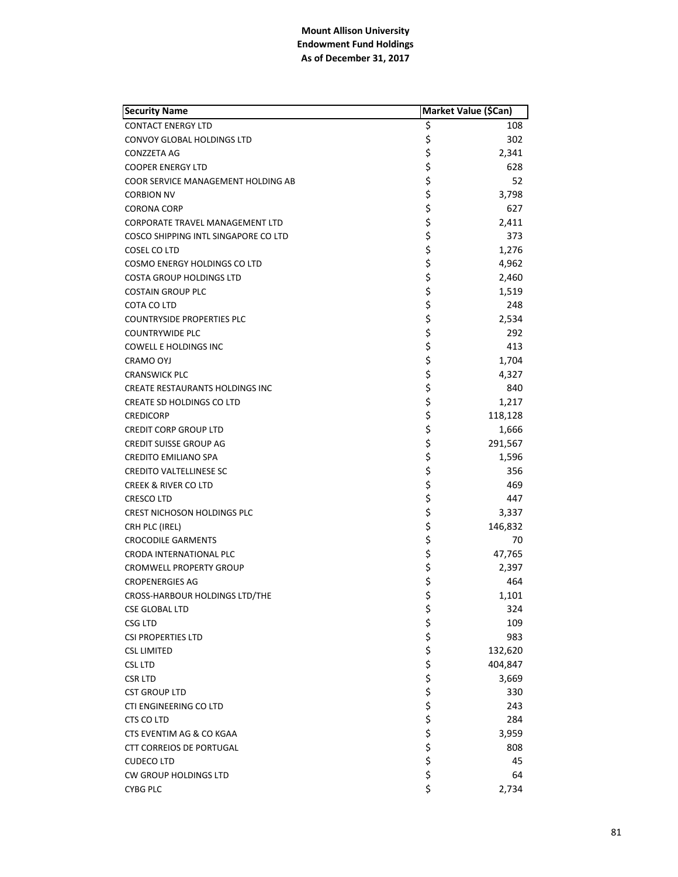| <b>Security Name</b>                   | Market Value (\$Can) |         |
|----------------------------------------|----------------------|---------|
| <b>CONTACT ENERGY LTD</b>              | \$                   | 108     |
| CONVOY GLOBAL HOLDINGS LTD             | \$                   | 302     |
| <b>CONZZETA AG</b>                     | \$                   | 2,341   |
| <b>COOPER ENERGY LTD</b>               | \$                   | 628     |
| COOR SERVICE MANAGEMENT HOLDING AB     | \$                   | 52      |
| <b>CORBION NV</b>                      | \$                   | 3,798   |
| <b>CORONA CORP</b>                     | \$                   | 627     |
| <b>CORPORATE TRAVEL MANAGEMENT LTD</b> | \$                   | 2,411   |
| COSCO SHIPPING INTL SINGAPORE CO LTD   | \$                   | 373     |
| COSEL CO LTD                           | \$                   | 1,276   |
| <b>COSMO ENERGY HOLDINGS CO LTD</b>    | \$                   | 4,962   |
| <b>COSTA GROUP HOLDINGS LTD</b>        | \$                   | 2,460   |
| <b>COSTAIN GROUP PLC</b>               | \$                   | 1,519   |
| COTA CO LTD                            | \$                   | 248     |
| <b>COUNTRYSIDE PROPERTIES PLC</b>      | \$                   | 2,534   |
| <b>COUNTRYWIDE PLC</b>                 | \$                   | 292     |
| <b>COWELL E HOLDINGS INC</b>           | \$                   | 413     |
| <b>CRAMO OYJ</b>                       | \$                   | 1,704   |
| <b>CRANSWICK PLC</b>                   | \$                   | 4,327   |
| <b>CREATE RESTAURANTS HOLDINGS INC</b> | \$                   | 840     |
| CREATE SD HOLDINGS CO LTD              | \$                   | 1,217   |
| <b>CREDICORP</b>                       | \$                   | 118,128 |
| <b>CREDIT CORP GROUP LTD</b>           | \$                   | 1,666   |
| <b>CREDIT SUISSE GROUP AG</b>          | \$                   | 291,567 |
| <b>CREDITO EMILIANO SPA</b>            | \$                   | 1,596   |
| <b>CREDITO VALTELLINESE SC</b>         | \$                   | 356     |
| <b>CREEK &amp; RIVER CO LTD</b>        | \$                   | 469     |
| <b>CRESCO LTD</b>                      | \$                   | 447     |
| <b>CREST NICHOSON HOLDINGS PLC</b>     | \$                   | 3,337   |
| CRH PLC (IREL)                         | \$                   | 146,832 |
| <b>CROCODILE GARMENTS</b>              | \$                   | 70      |
| CRODA INTERNATIONAL PLC                | \$                   | 47,765  |
| <b>CROMWELL PROPERTY GROUP</b>         | \$                   | 2,397   |
| <b>CROPENERGIES AG</b>                 | \$                   | 464     |
| CROSS-HARBOUR HOLDINGS LTD/THE         | \$                   | 1,101   |
| <b>CSE GLOBAL LTD</b>                  | \$                   | 324     |
| <b>CSG LTD</b>                         |                      | 109     |
| <b>CSI PROPERTIES LTD</b>              |                      | 983     |
| <b>CSL LIMITED</b>                     |                      | 132,620 |
| <b>CSL LTD</b>                         |                      | 404,847 |
| <b>CSR LTD</b>                         |                      | 3,669   |
| <b>CST GROUP LTD</b>                   |                      | 330     |
| CTI ENGINEERING CO LTD                 |                      | 243     |
| CTS CO LTD                             |                      | 284     |
| CTS EVENTIM AG & CO KGAA               | やみそそみそう やみ           | 3,959   |
| <b>CTT CORREIOS DE PORTUGAL</b>        |                      | 808     |
| <b>CUDECO LTD</b>                      |                      | 45      |
| <b>CW GROUP HOLDINGS LTD</b>           | \$                   | 64      |
| <b>CYBG PLC</b>                        | \$                   | 2,734   |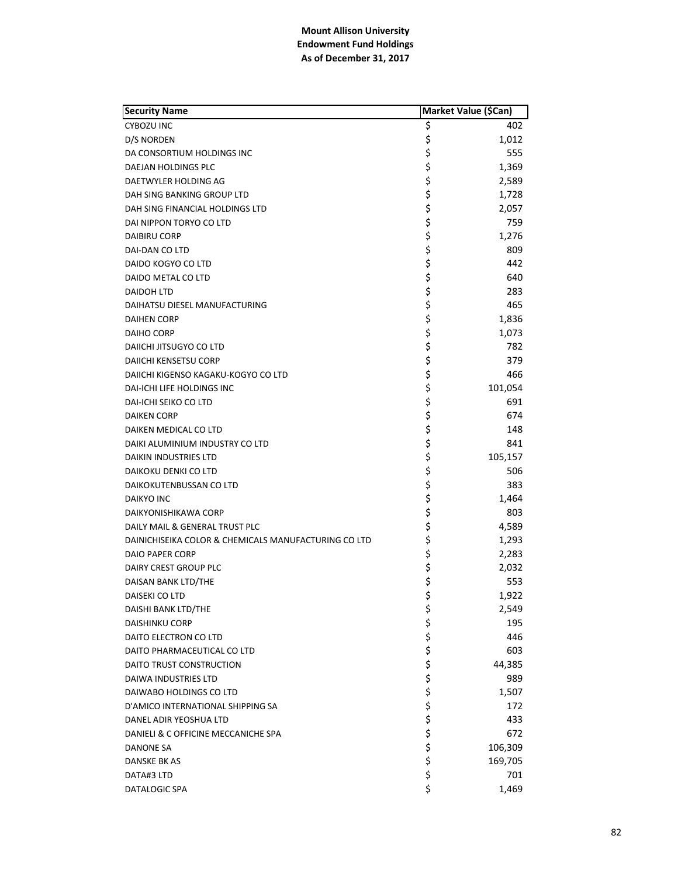| <b>Security Name</b>                                 | Market Value (\$Can) |         |
|------------------------------------------------------|----------------------|---------|
| <b>CYBOZU INC</b>                                    | \$                   | 402     |
| D/S NORDEN                                           | \$                   | 1,012   |
| DA CONSORTIUM HOLDINGS INC                           | \$                   | 555     |
| DAEJAN HOLDINGS PLC                                  | \$                   | 1,369   |
| DAETWYLER HOLDING AG                                 | \$                   | 2,589   |
| DAH SING BANKING GROUP LTD                           | \$                   | 1,728   |
| DAH SING FINANCIAL HOLDINGS LTD                      | \$                   | 2,057   |
| DAI NIPPON TORYO CO LTD                              | \$                   | 759     |
| DAIBIRU CORP                                         | \$                   | 1,276   |
| DAI-DAN CO LTD                                       | \$                   | 809     |
| DAIDO KOGYO CO LTD                                   | \$                   | 442     |
| DAIDO METAL CO LTD                                   | \$                   | 640     |
| DAIDOH LTD                                           | \$                   | 283     |
| DAIHATSU DIESEL MANUFACTURING                        | \$                   | 465     |
| <b>DAIHEN CORP</b>                                   | \$                   | 1,836   |
| DAIHO CORP                                           | \$                   | 1,073   |
| DAIICHI JITSUGYO CO LTD                              | \$                   | 782     |
| DAIICHI KENSETSU CORP                                | \$                   | 379     |
| DAIICHI KIGENSO KAGAKU-KOGYO CO LTD                  | \$                   | 466     |
| <b>DAI-ICHI LIFE HOLDINGS INC</b>                    | \$                   | 101,054 |
| DAI-ICHI SEIKO CO LTD                                | \$                   | 691     |
| <b>DAIKEN CORP</b>                                   | \$                   | 674     |
| DAIKEN MEDICAL CO LTD                                | \$                   | 148     |
| DAIKI ALUMINIUM INDUSTRY CO LTD                      | \$                   | 841     |
| DAIKIN INDUSTRIES LTD                                | \$                   | 105,157 |
| DAIKOKU DENKI CO LTD                                 | \$                   | 506     |
| DAIKOKUTENBUSSAN CO LTD                              | \$                   | 383     |
| <b>DAIKYO INC</b>                                    | \$                   | 1,464   |
| DAIKYONISHIKAWA CORP                                 | \$                   | 803     |
| DAILY MAIL & GENERAL TRUST PLC                       | \$                   | 4,589   |
| DAINICHISEIKA COLOR & CHEMICALS MANUFACTURING CO LTD | \$                   | 1,293   |
| <b>DAIO PAPER CORP</b>                               | \$                   | 2,283   |
| DAIRY CREST GROUP PLC                                | \$                   | 2,032   |
| DAISAN BANK LTD/THE                                  | \$                   | 553     |
| DAISEKI CO LTD                                       | \$                   | 1,922   |
| DAISHI BANK LTD/THE                                  | \$                   | 2,549   |
| <b>DAISHINKU CORP</b>                                |                      | 195     |
| DAITO ELECTRON CO LTD                                | ややや ややや              | 446     |
| DAITO PHARMACEUTICAL CO LTD                          |                      | 603     |
| DAITO TRUST CONSTRUCTION                             |                      | 44,385  |
| DAIWA INDUSTRIES LTD                                 |                      | 989     |
| DAIWABO HOLDINGS CO LTD                              |                      | 1,507   |
| D'AMICO INTERNATIONAL SHIPPING SA                    |                      | 172     |
| DANEL ADIR YEOSHUA LTD                               |                      | 433     |
| DANIELI & C OFFICINE MECCANICHE SPA                  |                      | 672     |
| DANONE SA                                            | \$\$\$               | 106,309 |
| DANSKE BK AS                                         | \$                   | 169,705 |
| DATA#3 LTD                                           | \$                   | 701     |
| <b>DATALOGIC SPA</b>                                 | \$                   | 1,469   |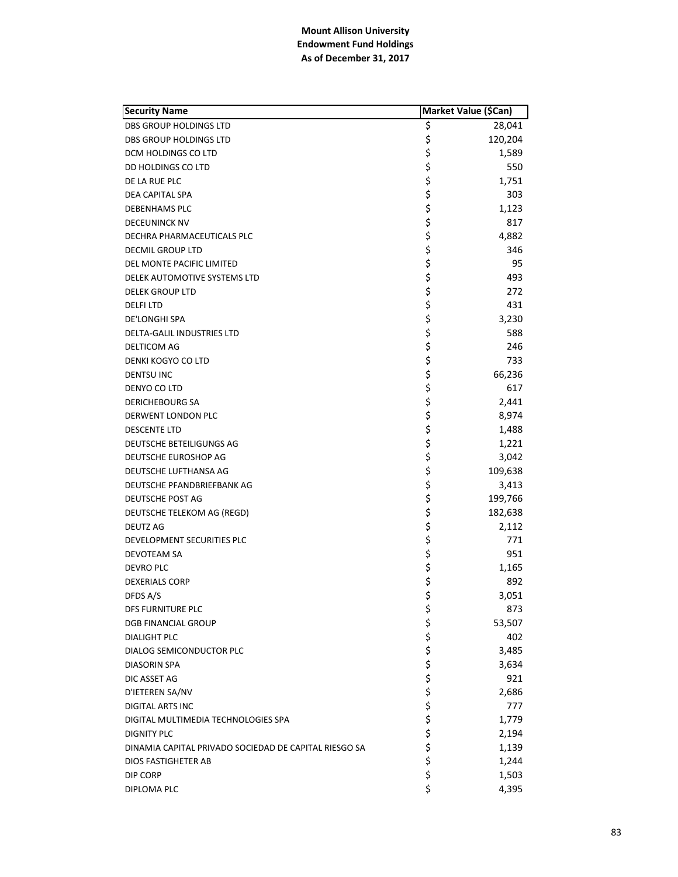| <b>Security Name</b>                                  | Market Value (\$Can) |         |
|-------------------------------------------------------|----------------------|---------|
| DBS GROUP HOLDINGS LTD                                | \$                   | 28,041  |
| <b>DBS GROUP HOLDINGS LTD</b>                         | \$                   | 120,204 |
| DCM HOLDINGS CO LTD                                   | \$                   | 1,589   |
| DD HOLDINGS CO LTD                                    | \$                   | 550     |
| DE LA RUE PLC                                         |                      | 1,751   |
| DEA CAPITAL SPA                                       | \$<br>\$             | 303     |
| <b>DEBENHAMS PLC</b>                                  | \$                   | 1,123   |
| <b>DECEUNINCK NV</b>                                  |                      | 817     |
| DECHRA PHARMACEUTICALS PLC                            | \$<br>\$             | 4,882   |
| DECMIL GROUP LTD                                      | \$                   | 346     |
| DEL MONTE PACIFIC LIMITED                             | \$                   | 95      |
| DELEK AUTOMOTIVE SYSTEMS LTD                          | \$                   | 493     |
| <b>DELEK GROUP LTD</b>                                | \$                   | 272     |
| <b>DELFILTD</b>                                       | \$                   | 431     |
| DE'LONGHI SPA                                         | \$                   | 3,230   |
| <b>DELTA-GALIL INDUSTRIES LTD</b>                     |                      | 588     |
| DELTICOM AG                                           | \$<br>\$             | 246     |
| DENKI KOGYO CO LTD                                    | \$                   | 733     |
| <b>DENTSU INC</b>                                     | \$                   | 66,236  |
| DENYO CO LTD                                          | \$                   | 617     |
| DERICHEBOURG SA                                       | \$                   | 2,441   |
| DERWENT LONDON PLC                                    | \$                   | 8,974   |
|                                                       | \$                   |         |
| <b>DESCENTE LTD</b>                                   | \$                   | 1,488   |
| DEUTSCHE BETEILIGUNGS AG                              | \$                   | 1,221   |
| DEUTSCHE EUROSHOP AG                                  |                      | 3,042   |
| DEUTSCHE LUFTHANSA AG                                 | \$                   | 109,638 |
| DEUTSCHE PFANDBRIEFBANK AG                            | \$                   | 3,413   |
| DEUTSCHE POST AG                                      | \$                   | 199,766 |
| DEUTSCHE TELEKOM AG (REGD)                            | \$                   | 182,638 |
| <b>DEUTZ AG</b>                                       | \$<br>\$             | 2,112   |
| DEVELOPMENT SECURITIES PLC                            |                      | 771     |
| DEVOTEAM SA                                           | \$                   | 951     |
| <b>DEVRO PLC</b>                                      | \$<br>\$             | 1,165   |
| <b>DEXERIALS CORP</b>                                 |                      | 892     |
| DFDS A/S                                              | \$                   | 3,051   |
| DFS FURNITURE PLC                                     | \$                   | 873     |
| <b>DGB FINANCIAL GROUP</b>                            | \$                   | 53,507  |
| <b>DIALIGHT PLC</b>                                   | \$<br>\$             | 402     |
| <b>DIALOG SEMICONDUCTOR PLC</b>                       |                      | 3,485   |
| <b>DIASORIN SPA</b>                                   |                      | 3,634   |
| DIC ASSET AG                                          | ちゃくちょ                | 921     |
| D'IETEREN SA/NV                                       |                      | 2,686   |
| DIGITAL ARTS INC                                      |                      | 777     |
| DIGITAL MULTIMEDIA TECHNOLOGIES SPA                   |                      | 1,779   |
| <b>DIGNITY PLC</b>                                    |                      | 2,194   |
| DINAMIA CAPITAL PRIVADO SOCIEDAD DE CAPITAL RIESGO SA |                      | 1,139   |
| DIOS FASTIGHETER AB                                   | \$<br>\$             | 1,244   |
| DIP CORP                                              | \$                   | 1,503   |
| DIPLOMA PLC                                           | \$                   | 4,395   |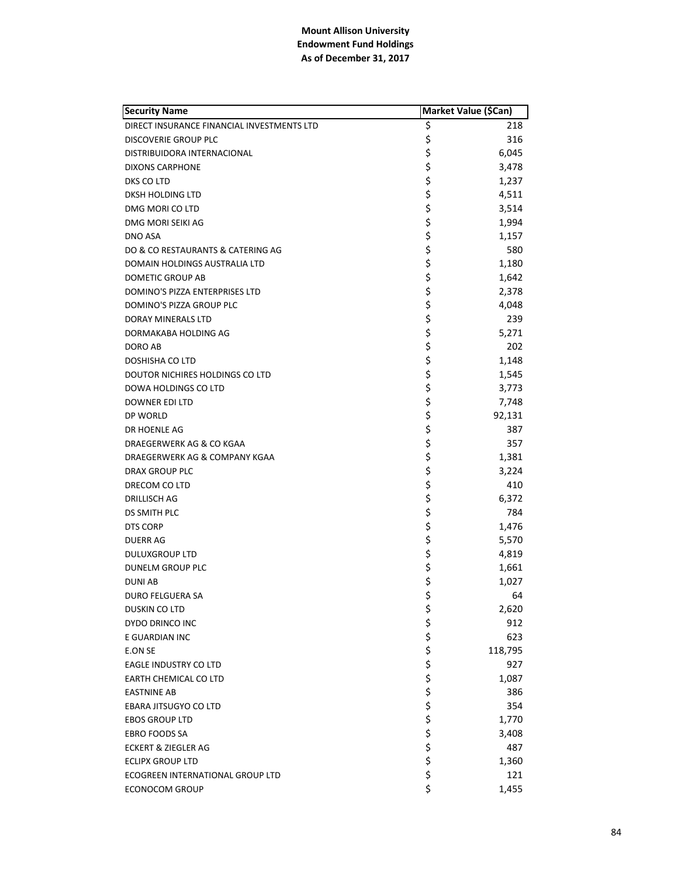| <b>Security Name</b>                       |               | Market Value (\$Can) |
|--------------------------------------------|---------------|----------------------|
| DIRECT INSURANCE FINANCIAL INVESTMENTS LTD | \$            | 218                  |
| <b>DISCOVERIE GROUP PLC</b>                | \$            | 316                  |
| DISTRIBUIDORA INTERNACIONAL                | \$            | 6,045                |
| DIXONS CARPHONE                            | \$            | 3,478                |
| DKS CO LTD                                 | \$            | 1,237                |
| DKSH HOLDING LTD                           | \$            | 4,511                |
| DMG MORI CO LTD                            | \$            | 3,514                |
| DMG MORI SEIKI AG                          | \$            | 1,994                |
| <b>DNO ASA</b>                             | \$            | 1,157                |
| DO & CO RESTAURANTS & CATERING AG          | \$            | 580                  |
| DOMAIN HOLDINGS AUSTRALIA LTD              | \$            | 1,180                |
| DOMETIC GROUP AB                           | \$            | 1,642                |
| DOMINO'S PIZZA ENTERPRISES LTD             | \$            | 2,378                |
| DOMINO'S PIZZA GROUP PLC                   | \$            | 4,048                |
| <b>DORAY MINERALS LTD</b>                  | \$            | 239                  |
| DORMAKABA HOLDING AG                       | \$            | 5,271                |
| DORO AB                                    | \$            | 202                  |
| <b>DOSHISHA CO LTD</b>                     | \$            | 1,148                |
| DOUTOR NICHIRES HOLDINGS CO LTD            | \$            | 1,545                |
| DOWA HOLDINGS CO LTD                       | \$            | 3,773                |
| <b>DOWNER EDI LTD</b>                      | \$            | 7,748                |
| DP WORLD                                   | \$            | 92,131               |
| DR HOENLE AG                               | \$            | 387                  |
| DRAEGERWERK AG & CO KGAA                   | \$            | 357                  |
| DRAEGERWERK AG & COMPANY KGAA              | \$            | 1,381                |
| <b>DRAX GROUP PLC</b>                      | \$            | 3,224                |
| DRECOM CO LTD                              | \$            | 410                  |
| DRILLISCH AG                               | \$            | 6,372                |
| DS SMITH PLC                               | \$            | 784                  |
| <b>DTS CORP</b>                            | \$            | 1,476                |
| <b>DUERR AG</b>                            | \$            | 5,570                |
| <b>DULUXGROUP LTD</b>                      | \$            | 4,819                |
| DUNELM GROUP PLC                           | \$            | 1,661                |
| <b>DUNIAB</b>                              | \$            | 1,027                |
| DURO FELGUERA SA                           | \$            | 64                   |
| DUSKIN CO LTD                              | \$            | 2,620                |
| DYDO DRINCO INC                            |               | 912                  |
| E GUARDIAN INC                             |               | 623                  |
| E.ON SE                                    |               | 118,795              |
| <b>EAGLE INDUSTRY CO LTD</b>               |               | 927                  |
| <b>EARTH CHEMICAL CO LTD</b>               |               | 1,087                |
| <b>EASTNINE AB</b>                         |               | 386                  |
| EBARA JITSUGYO CO LTD                      |               | 354                  |
| <b>EBOS GROUP LTD</b>                      |               | 1,770                |
| <b>EBRO FOODS SA</b>                       |               | 3,408                |
| <b>ECKERT &amp; ZIEGLER AG</b>             | ぐうさくさいこう さいこう | 487                  |
| <b>ECLIPX GROUP LTD</b>                    |               | 1,360                |
| ECOGREEN INTERNATIONAL GROUP LTD           |               | 121                  |
| <b>ECONOCOM GROUP</b>                      | \$            | 1,455                |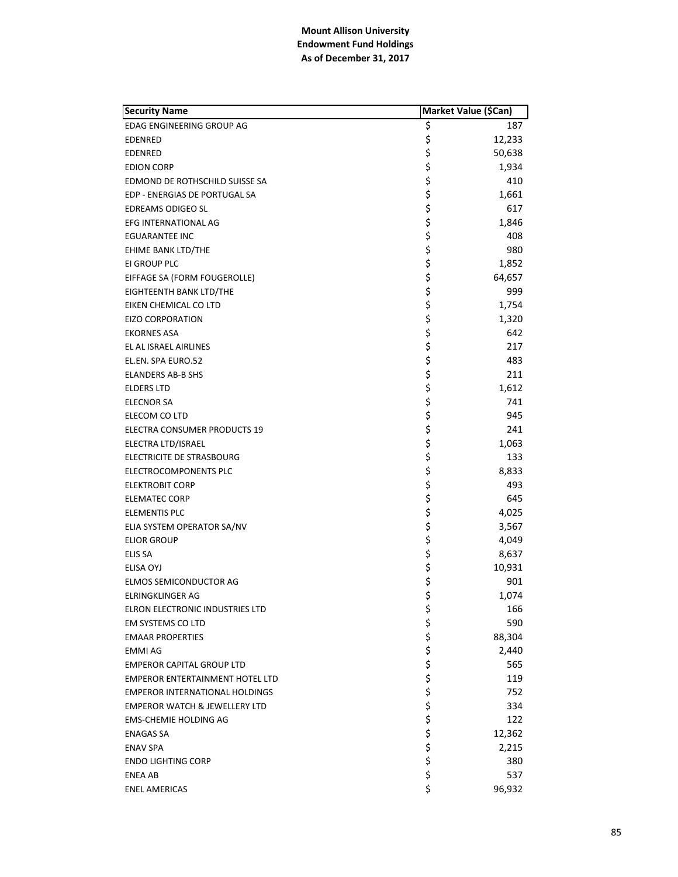| <b>Security Name</b>                     | Market Value (\$Can) |        |
|------------------------------------------|----------------------|--------|
| EDAG ENGINEERING GROUP AG                | \$                   | 187    |
| <b>EDENRED</b>                           | \$                   | 12,233 |
| <b>EDENRED</b>                           | \$                   | 50,638 |
| <b>EDION CORP</b>                        | \$                   | 1,934  |
| EDMOND DE ROTHSCHILD SUISSE SA           | \$                   | 410    |
| EDP - ENERGIAS DE PORTUGAL SA            | \$                   | 1,661  |
| <b>EDREAMS ODIGEO SL</b>                 | \$                   | 617    |
| <b>EFG INTERNATIONAL AG</b>              |                      | 1,846  |
| <b>EGUARANTEE INC</b>                    | \$<br>\$             | 408    |
| EHIME BANK LTD/THE                       | \$                   | 980    |
| EI GROUP PLC                             | \$                   | 1,852  |
| EIFFAGE SA (FORM FOUGEROLLE)             | \$                   | 64,657 |
| EIGHTEENTH BANK LTD/THE                  | \$                   | 999    |
| EIKEN CHEMICAL CO LTD                    | \$                   | 1,754  |
| <b>EIZO CORPORATION</b>                  | \$                   | 1,320  |
| <b>EKORNES ASA</b>                       |                      | 642    |
| EL AL ISRAEL AIRLINES                    | \$<br>\$             | 217    |
| EL.EN. SPA EURO.52                       | \$                   | 483    |
| <b>ELANDERS AB-B SHS</b>                 | \$                   | 211    |
| <b>ELDERS LTD</b>                        | \$                   | 1,612  |
| <b>ELECNOR SA</b>                        | \$                   | 741    |
| ELECOM CO LTD                            | \$                   | 945    |
| ELECTRA CONSUMER PRODUCTS 19             | \$                   | 241    |
| ELECTRA LTD/ISRAEL                       | \$                   | 1,063  |
| ELECTRICITE DE STRASBOURG                | \$                   | 133    |
| ELECTROCOMPONENTS PLC                    | \$                   | 8,833  |
| <b>ELEKTROBIT CORP</b>                   | \$                   | 493    |
| <b>ELEMATEC CORP</b>                     | \$                   | 645    |
| ELEMENTIS PLC                            | \$                   | 4,025  |
| ELIA SYSTEM OPERATOR SA/NV               | \$                   | 3,567  |
| <b>ELIOR GROUP</b>                       | \$                   | 4,049  |
| <b>ELIS SA</b>                           | \$                   | 8,637  |
| ELISA OYJ                                | \$<br>\$             | 10,931 |
| ELMOS SEMICONDUCTOR AG                   |                      | 901    |
| <b>ELRINGKLINGER AG</b>                  | \$                   | 1,074  |
| ELRON ELECTRONIC INDUSTRIES LTD          | \$                   | 166    |
| EM SYSTEMS CO LTD                        | \$                   | 590    |
| <b>EMAAR PROPERTIES</b>                  | \$<br>\$             | 88,304 |
| EMMI AG                                  |                      | 2,440  |
| <b>EMPEROR CAPITAL GROUP LTD</b>         |                      | 565    |
| <b>EMPEROR ENTERTAINMENT HOTEL LTD</b>   |                      | 119    |
| <b>EMPEROR INTERNATIONAL HOLDINGS</b>    |                      | 752    |
| <b>EMPEROR WATCH &amp; JEWELLERY LTD</b> |                      | 334    |
| <b>EMS-CHEMIE HOLDING AG</b>             |                      | 122    |
| <b>ENAGAS SA</b>                         | ぐうさ こうさ              | 12,362 |
| <b>ENAV SPA</b>                          |                      | 2,215  |
| <b>ENDO LIGHTING CORP</b>                |                      | 380    |
| <b>ENEA AB</b>                           | \$                   | 537    |
| <b>ENEL AMERICAS</b>                     | \$                   | 96,932 |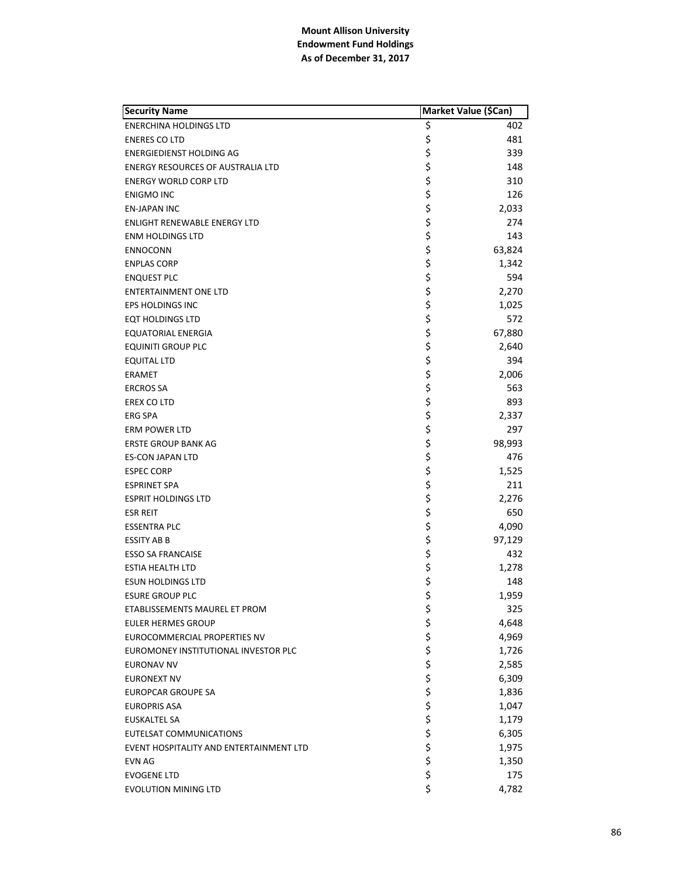| <b>Security Name</b>                     | Market Value (\$Can) |        |
|------------------------------------------|----------------------|--------|
| <b>ENERCHINA HOLDINGS LTD</b>            | \$                   | 402    |
| <b>ENERES CO LTD</b>                     | \$                   | 481    |
| ENERGIEDIENST HOLDING AG                 | \$                   | 339    |
| <b>ENERGY RESOURCES OF AUSTRALIA LTD</b> | \$                   | 148    |
| <b>ENERGY WORLD CORP LTD</b>             | \$                   | 310    |
| <b>ENIGMO INC</b>                        | \$                   | 126    |
| EN-JAPAN INC                             | \$                   | 2,033  |
| <b>ENLIGHT RENEWABLE ENERGY LTD</b>      | \$                   | 274    |
| <b>ENM HOLDINGS LTD</b>                  | \$                   | 143    |
| <b>ENNOCONN</b>                          | \$                   | 63,824 |
| <b>ENPLAS CORP</b>                       | \$                   | 1,342  |
| <b>ENQUEST PLC</b>                       | \$                   | 594    |
| <b>ENTERTAINMENT ONE LTD</b>             | \$                   | 2,270  |
| <b>EPS HOLDINGS INC</b>                  | \$                   | 1,025  |
| <b>EQT HOLDINGS LTD</b>                  | \$                   | 572    |
| <b>EQUATORIAL ENERGIA</b>                | \$                   | 67,880 |
| EQUINITI GROUP PLC                       | \$                   | 2,640  |
| <b>EQUITAL LTD</b>                       | \$                   | 394    |
| <b>ERAMET</b>                            | \$                   | 2,006  |
| <b>ERCROS SA</b>                         | \$                   | 563    |
| EREX CO LTD                              | \$                   | 893    |
| <b>ERG SPA</b>                           | \$                   | 2,337  |
| ERM POWER LTD                            | \$                   | 297    |
| <b>ERSTE GROUP BANK AG</b>               | \$                   | 98,993 |
| <b>ES-CON JAPAN LTD</b>                  | \$                   | 476    |
| <b>ESPEC CORP</b>                        | \$                   | 1,525  |
| <b>ESPRINET SPA</b>                      | \$                   | 211    |
| <b>ESPRIT HOLDINGS LTD</b>               | \$                   | 2,276  |
| <b>ESR REIT</b>                          | \$                   | 650    |
| <b>ESSENTRA PLC</b>                      | \$                   | 4,090  |
| <b>ESSITY AB B</b>                       | \$                   | 97,129 |
| <b>ESSO SA FRANCAISE</b>                 | \$                   | 432    |
| <b>ESTIA HEALTH LTD</b>                  | \$                   | 1,278  |
| <b>ESUN HOLDINGS LTD</b>                 | \$                   | 148    |
| <b>ESURE GROUP PLC</b>                   | \$                   | 1,959  |
| ETABLISSEMENTS MAUREL ET PROM            | \$                   | 325    |
| <b>EULER HERMES GROUP</b>                | \$                   | 4,648  |
| EUROCOMMERCIAL PROPERTIES NV             | \$<br>\$             | 4,969  |
| EUROMONEY INSTITUTIONAL INVESTOR PLC     |                      | 1,726  |
| <b>EURONAV NV</b>                        | \$                   | 2,585  |
| <b>EURONEXT NV</b>                       |                      | 6,309  |
| EUROPCAR GROUPE SA                       | \$\$\$               | 1,836  |
| <b>EUROPRIS ASA</b>                      |                      | 1,047  |
| EUSKALTEL SA                             | \$<br>\$             | 1,179  |
| EUTELSAT COMMUNICATIONS                  |                      | 6,305  |
| EVENT HOSPITALITY AND ENTERTAINMENT LTD  | \$                   | 1,975  |
| <b>EVN AG</b>                            | \$                   | 1,350  |
| <b>EVOGENE LTD</b>                       | \$                   | 175    |
| <b>EVOLUTION MINING LTD</b>              | \$                   | 4,782  |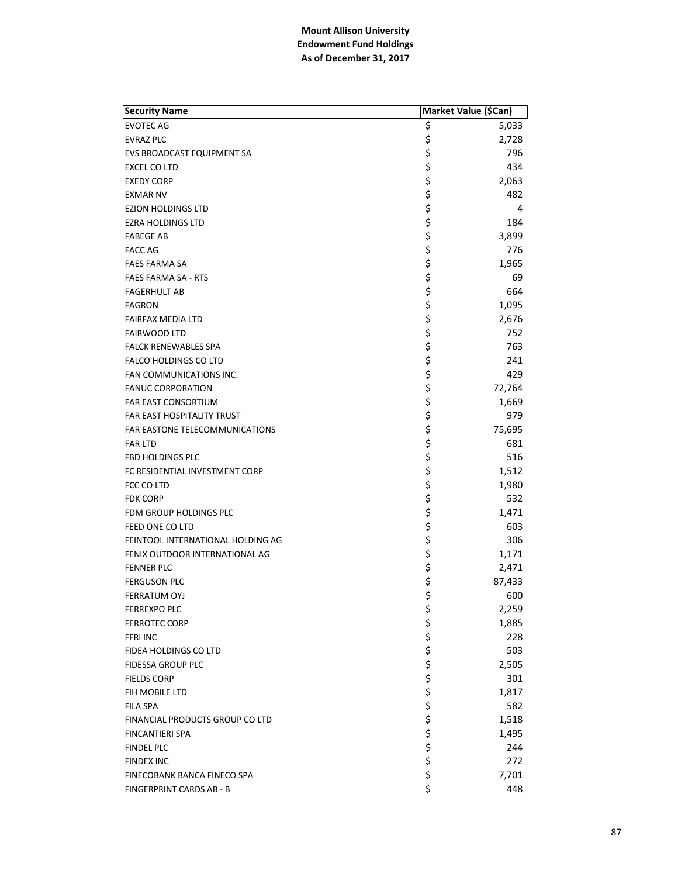| <b>Security Name</b>              | Market Value (\$Can) |        |
|-----------------------------------|----------------------|--------|
| <b>EVOTEC AG</b>                  | \$                   | 5,033  |
| <b>EVRAZ PLC</b>                  | \$                   | 2,728  |
| EVS BROADCAST EQUIPMENT SA        | \$                   | 796    |
| EXCEL CO LTD                      | \$                   | 434    |
| <b>EXEDY CORP</b>                 | \$                   | 2,063  |
| <b>EXMAR NV</b>                   | \$                   | 482    |
| EZION HOLDINGS LTD                | \$                   | 4      |
| <b>EZRA HOLDINGS LTD</b>          | \$                   | 184    |
| <b>FABEGE AB</b>                  | \$                   | 3,899  |
| <b>FACC AG</b>                    | \$                   | 776    |
| <b>FAES FARMA SA</b>              | \$                   | 1,965  |
| <b>FAES FARMA SA - RTS</b>        | \$                   | 69     |
| <b>FAGERHULT AB</b>               | \$                   | 664    |
| <b>FAGRON</b>                     | \$                   | 1,095  |
| <b>FAIRFAX MEDIA LTD</b>          | \$                   | 2,676  |
| <b>FAIRWOOD LTD</b>               | \$                   | 752    |
| <b>FALCK RENEWABLES SPA</b>       | \$                   | 763    |
| <b>FALCO HOLDINGS CO LTD</b>      | \$                   | 241    |
| FAN COMMUNICATIONS INC.           | \$                   | 429    |
| <b>FANUC CORPORATION</b>          | \$                   | 72,764 |
| <b>FAR EAST CONSORTIUM</b>        | \$                   | 1,669  |
| FAR EAST HOSPITALITY TRUST        | \$                   | 979    |
| FAR EASTONE TELECOMMUNICATIONS    | \$                   | 75,695 |
| <b>FAR LTD</b>                    | \$                   | 681    |
| FBD HOLDINGS PLC                  | \$                   | 516    |
| FC RESIDENTIAL INVESTMENT CORP    | \$                   | 1,512  |
| FCC CO LTD                        | \$                   | 1,980  |
| <b>FDK CORP</b>                   | \$                   | 532    |
| FDM GROUP HOLDINGS PLC            | \$                   | 1,471  |
| FEED ONE CO LTD                   | \$                   | 603    |
| FEINTOOL INTERNATIONAL HOLDING AG | \$                   | 306    |
| FENIX OUTDOOR INTERNATIONAL AG    | \$                   | 1,171  |
| <b>FENNER PLC</b>                 | \$                   | 2,471  |
| <b>FERGUSON PLC</b>               | \$                   | 87,433 |
| FERRATUM OYJ                      | \$                   | 600    |
| <b>FERREXPO PLC</b>               | \$                   | 2,259  |
| <b>FERROTEC CORP</b>              | \$                   | 1,885  |
| <b>FFRI INC</b>                   |                      | 228    |
| FIDEA HOLDINGS CO LTD             | \$<br>\$             | 503    |
| FIDESSA GROUP PLC                 |                      | 2,505  |
| <b>FIELDS CORP</b>                | \$\$\$\$             | 301    |
| FIH MOBILE LTD                    |                      | 1,817  |
| <b>FILA SPA</b>                   |                      | 582    |
| FINANCIAL PRODUCTS GROUP CO LTD   | \$                   |        |
|                                   | \$                   | 1,518  |
| <b>FINCANTIERI SPA</b>            | \$                   | 1,495  |
| <b>FINDEL PLC</b>                 | \$                   | 244    |
| <b>FINDEX INC</b>                 | \$                   | 272    |
| FINECOBANK BANCA FINECO SPA       | \$                   | 7,701  |
| FINGERPRINT CARDS AB - B          |                      | 448    |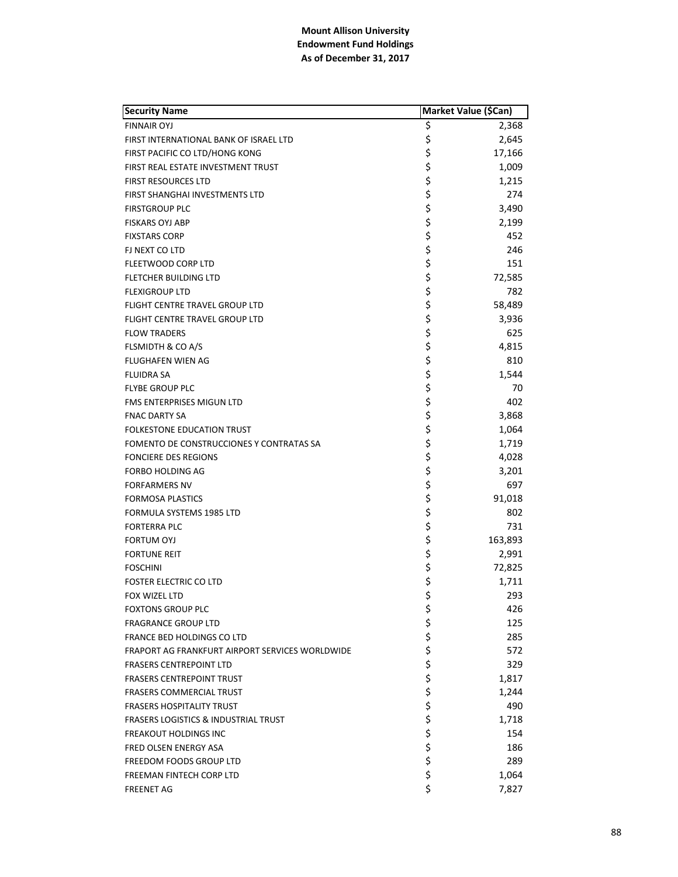| <b>Security Name</b>                            | Market Value (\$Can) |                 |
|-------------------------------------------------|----------------------|-----------------|
| <b>FINNAIR OYJ</b>                              | Ş                    | 2,368           |
| FIRST INTERNATIONAL BANK OF ISRAEL LTD          | \$                   | 2,645           |
| FIRST PACIFIC CO LTD/HONG KONG                  | \$                   | 17,166          |
| FIRST REAL ESTATE INVESTMENT TRUST              | \$                   | 1,009           |
| <b>FIRST RESOURCES LTD</b>                      | \$                   | 1,215           |
| FIRST SHANGHAI INVESTMENTS LTD                  | \$                   | 274             |
| <b>FIRSTGROUP PLC</b>                           | \$                   | 3,490           |
| <b>FISKARS OYJ ABP</b>                          | \$                   | 2,199           |
| <b>FIXSTARS CORP</b>                            | \$                   | 452             |
| FJ NEXT CO LTD                                  | \$                   | 246             |
| FLEETWOOD CORP LTD                              | \$                   | 151             |
| FLETCHER BUILDING LTD                           | \$                   | 72,585          |
| <b>FLEXIGROUP LTD</b>                           | \$                   | 782             |
| FLIGHT CENTRE TRAVEL GROUP LTD                  | \$                   | 58,489          |
| FLIGHT CENTRE TRAVEL GROUP LTD                  | \$                   | 3,936           |
| <b>FLOW TRADERS</b>                             | \$                   | 625             |
| FLSMIDTH & CO A/S                               | \$                   | 4,815           |
| <b>FLUGHAFEN WIEN AG</b>                        | \$                   | 810             |
| <b>FLUIDRA SA</b>                               | \$                   | 1,544           |
| <b>FLYBE GROUP PLC</b>                          | \$                   | 70              |
| <b>FMS ENTERPRISES MIGUN LTD</b>                | \$                   | 402             |
| <b>FNAC DARTY SA</b>                            | \$                   | 3,868           |
| <b>FOLKESTONE EDUCATION TRUST</b>               | \$                   | 1,064           |
| FOMENTO DE CONSTRUCCIONES Y CONTRATAS SA        | \$                   | 1,719           |
| <b>FONCIERE DES REGIONS</b>                     | \$                   | 4,028           |
| <b>FORBO HOLDING AG</b>                         | \$                   | 3,201           |
| <b>FORFARMERS NV</b>                            | \$                   | 697             |
| <b>FORMOSA PLASTICS</b>                         | \$                   | 91,018          |
| FORMULA SYSTEMS 1985 LTD                        | \$                   | 802             |
| <b>FORTERRA PLC</b>                             | \$                   | 731             |
| <b>FORTUM OYJ</b>                               | \$                   | 163,893         |
| <b>FORTUNE REIT</b>                             | \$                   | 2,991           |
| <b>FOSCHINI</b>                                 |                      |                 |
|                                                 | \$<br>\$             | 72,825<br>1,711 |
| FOSTER ELECTRIC CO LTD                          | \$                   | 293             |
| FOX WIZEL LTD                                   |                      |                 |
| <b>FOXTONS GROUP PLC</b>                        | \$                   | 426<br>125      |
| <b>FRAGRANCE GROUP LTD</b>                      | \$                   |                 |
| FRANCE BED HOLDINGS CO LTD                      | \$<br>\$             | 285             |
| FRAPORT AG FRANKFURT AIRPORT SERVICES WORLDWIDE |                      | 572             |
| <b>FRASERS CENTREPOINT LTD</b>                  |                      | 329             |
| <b>FRASERS CENTREPOINT TRUST</b>                |                      | 1,817           |
| <b>FRASERS COMMERCIAL TRUST</b>                 |                      | 1,244           |
| <b>FRASERS HOSPITALITY TRUST</b>                |                      | 490             |
| <b>FRASERS LOGISTICS &amp; INDUSTRIAL TRUST</b> |                      | 1,718           |
| <b>FREAKOUT HOLDINGS INC</b>                    | やややや ややや             | 154             |
| <b>FRED OLSEN ENERGY ASA</b>                    |                      | 186             |
| FREEDOM FOODS GROUP LTD                         |                      | 289             |
| FREEMAN FINTECH CORP LTD                        | \$                   | 1,064           |
| <b>FREENET AG</b>                               | \$                   | 7,827           |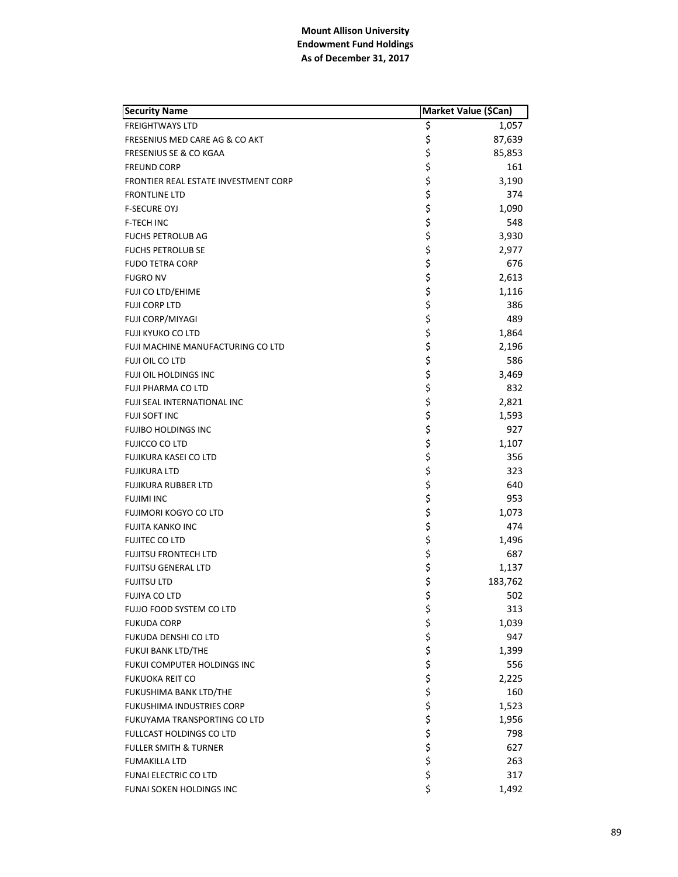| <b>Security Name</b>                     | Market Value (\$Can) |         |
|------------------------------------------|----------------------|---------|
| <b>FREIGHTWAYS LTD</b>                   | \$                   | 1,057   |
| FRESENIUS MED CARE AG & CO AKT           | \$                   | 87,639  |
| <b>FRESENIUS SE &amp; CO KGAA</b>        | \$                   | 85,853  |
| <b>FREUND CORP</b>                       | \$                   | 161     |
| FRONTIER REAL ESTATE INVESTMENT CORP     | \$                   | 3,190   |
| <b>FRONTLINE LTD</b>                     | \$                   | 374     |
| <b>F-SECURE OYJ</b>                      | \$                   | 1,090   |
| <b>F-TECH INC</b>                        | \$                   | 548     |
| <b>FUCHS PETROLUB AG</b>                 | \$                   | 3,930   |
| <b>FUCHS PETROLUB SE</b>                 | \$                   | 2,977   |
| <b>FUDO TETRA CORP</b>                   | \$                   | 676     |
| <b>FUGRO NV</b>                          | \$                   | 2,613   |
| FUJI CO LTD/EHIME                        | \$                   | 1,116   |
| <b>FUJI CORP LTD</b>                     | \$                   | 386     |
| FUJI CORP/MIYAGI                         | \$                   | 489     |
| FUJI KYUKO CO LTD                        | \$                   | 1,864   |
| <b>FUJI MACHINE MANUFACTURING CO LTD</b> | \$                   | 2,196   |
| FUJI OIL CO LTD                          | \$                   | 586     |
| FUJI OIL HOLDINGS INC                    | \$                   | 3,469   |
| FUJI PHARMA CO LTD                       | \$                   | 832     |
| <b>FUJI SEAL INTERNATIONAL INC</b>       | \$                   | 2,821   |
| FUJI SOFT INC                            | \$                   | 1,593   |
| <b>FUJIBO HOLDINGS INC</b>               | \$                   | 927     |
| FUJICCO CO LTD                           | \$                   | 1,107   |
| FUJIKURA KASEI CO LTD                    | \$                   | 356     |
| <b>FUJIKURA LTD</b>                      |                      | 323     |
| <b>FUJIKURA RUBBER LTD</b>               | \$<br>\$             | 640     |
| <b>FUJIMI INC</b>                        | \$                   | 953     |
| FUJIMORI KOGYO CO LTD                    | \$                   | 1,073   |
| <b>FUJITA KANKO INC</b>                  | \$                   | 474     |
| <b>FUJITEC CO LTD</b>                    | \$                   | 1,496   |
| <b>FUJITSU FRONTECH LTD</b>              | \$                   | 687     |
| <b>FUJITSU GENERAL LTD</b>               | \$                   | 1,137   |
| <b>FUJITSU LTD</b>                       | \$                   | 183,762 |
| FUJIYA CO LTD                            | \$                   | 502     |
| FUJJO FOOD SYSTEM CO LTD                 | \$                   | 313     |
| <b>FUKUDA CORP</b>                       |                      | 1,039   |
| FUKUDA DENSHI CO LTD                     |                      | 947     |
| FUKUI BANK LTD/THE                       |                      | 1,399   |
| FUKUI COMPUTER HOLDINGS INC              |                      | 556     |
| <b>FUKUOKA REIT CO</b>                   |                      | 2,225   |
| FUKUSHIMA BANK LTD/THE                   |                      | 160     |
| FUKUSHIMA INDUSTRIES CORP                |                      | 1,523   |
| FUKUYAMA TRANSPORTING CO LTD             |                      | 1,956   |
| <b>FULLCAST HOLDINGS CO LTD</b>          | やややややややややや           | 798     |
| <b>FULLER SMITH &amp; TURNER</b>         |                      | 627     |
| <b>FUMAKILLA LTD</b>                     |                      | 263     |
| <b>FUNAI ELECTRIC CO LTD</b>             | \$                   | 317     |
| FUNAI SOKEN HOLDINGS INC                 | \$                   | 1,492   |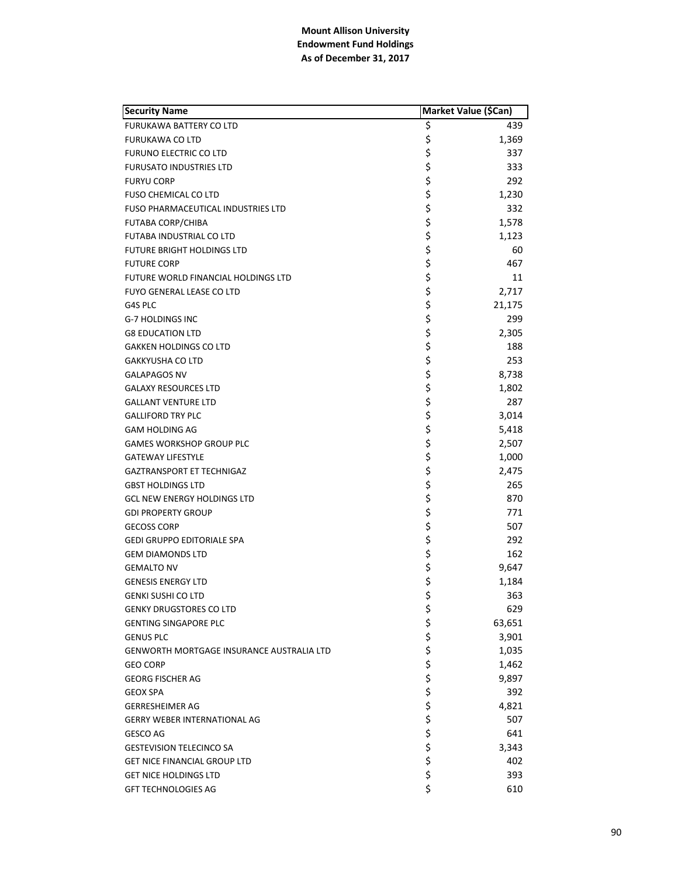| <b>Security Name</b>                      |          | Market Value (\$Can) |
|-------------------------------------------|----------|----------------------|
| FURUKAWA BATTERY CO LTD                   | \$       | 439                  |
| <b>FURUKAWA CO LTD</b>                    | \$       | 1,369                |
| <b>FURUNO ELECTRIC CO LTD</b>             | \$       | 337                  |
| <b>FURUSATO INDUSTRIES LTD</b>            | \$       | 333                  |
| <b>FURYU CORP</b>                         | \$       | 292                  |
| <b>FUSO CHEMICAL CO LTD</b>               | \$       | 1,230                |
| <b>FUSO PHARMACEUTICAL INDUSTRIES LTD</b> | \$       | 332                  |
| <b>FUTABA CORP/CHIBA</b>                  | \$       | 1,578                |
| FUTABA INDUSTRIAL CO LTD                  | \$       | 1,123                |
| <b>FUTURE BRIGHT HOLDINGS LTD</b>         | \$       | 60                   |
| <b>FUTURE CORP</b>                        | \$       | 467                  |
| FUTURE WORLD FINANCIAL HOLDINGS LTD       | \$       | 11                   |
| <b>FUYO GENERAL LEASE CO LTD</b>          | \$       | 2,717                |
| G4S PLC                                   | \$       | 21,175               |
| <b>G-7 HOLDINGS INC</b>                   | \$       | 299                  |
| <b>G8 EDUCATION LTD</b>                   | \$       | 2,305                |
| <b>GAKKEN HOLDINGS CO LTD</b>             | \$       | 188                  |
| <b>GAKKYUSHA CO LTD</b>                   | \$       | 253                  |
| <b>GALAPAGOS NV</b>                       | \$       | 8,738                |
| <b>GALAXY RESOURCES LTD</b>               | \$       | 1,802                |
| <b>GALLANT VENTURE LTD</b>                | \$       | 287                  |
| <b>GALLIFORD TRY PLC</b>                  | \$       | 3,014                |
| GAM HOLDING AG                            | \$       | 5,418                |
| <b>GAMES WORKSHOP GROUP PLC</b>           | \$       | 2,507                |
| <b>GATEWAY LIFESTYLE</b>                  | \$       | 1,000                |
| <b>GAZTRANSPORT ET TECHNIGAZ</b>          | \$       | 2,475                |
| <b>GBST HOLDINGS LTD</b>                  | \$       | 265                  |
| <b>GCL NEW ENERGY HOLDINGS LTD</b>        | \$       | 870                  |
| <b>GDI PROPERTY GROUP</b>                 | \$       | 771                  |
| <b>GECOSS CORP</b>                        | \$       | 507                  |
| <b>GEDI GRUPPO EDITORIALE SPA</b>         | \$       | 292                  |
| <b>GEM DIAMONDS LTD</b>                   | \$       | 162                  |
| <b>GEMALTO NV</b>                         | \$       | 9,647                |
| <b>GENESIS ENERGY LTD</b>                 | \$       | 1,184                |
| <b>GENKI SUSHI CO LTD</b>                 | \$       | 363                  |
| <b>GENKY DRUGSTORES CO LTD</b>            | \$       | 629                  |
| <b>GENTING SINGAPORE PLC</b>              | \$       | 63,651               |
| <b>GENUS PLC</b>                          | \$\$\$\$ | 3,901                |
| GENWORTH MORTGAGE INSURANCE AUSTRALIA LTD |          | 1,035                |
| <b>GEO CORP</b>                           |          | 1,462                |
| <b>GEORG FISCHER AG</b>                   |          | 9,897                |
| <b>GEOX SPA</b>                           |          | 392                  |
| <b>GERRESHEIMER AG</b>                    | \$       | 4,821                |
| <b>GERRY WEBER INTERNATIONAL AG</b>       |          | 507                  |
| GESCO AG                                  | \$<br>\$ | 641                  |
| <b>GESTEVISION TELECINCO SA</b>           | \$       | 3,343                |
| <b>GET NICE FINANCIAL GROUP LTD</b>       | \$       | 402                  |
| GET NICE HOLDINGS LTD                     | \$       | 393                  |
| <b>GFT TECHNOLOGIES AG</b>                | \$       | 610                  |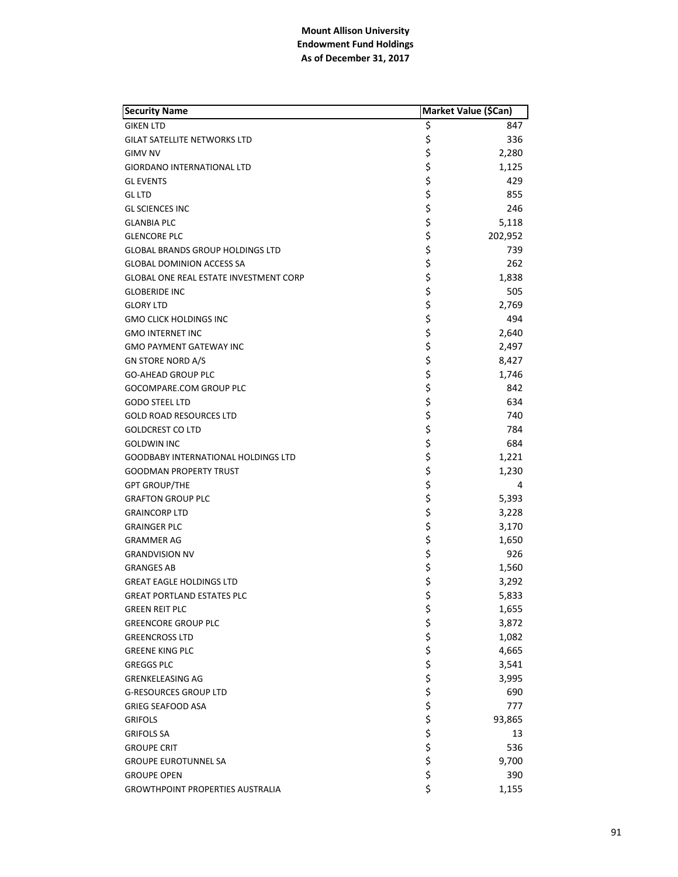| <b>Security Name</b>                          | Market Value (\$Can) |         |
|-----------------------------------------------|----------------------|---------|
| <b>GIKEN LTD</b>                              | \$                   | 847     |
| <b>GILAT SATELLITE NETWORKS LTD</b>           | \$                   | 336     |
| <b>GIMV NV</b>                                | \$                   | 2,280   |
| <b>GIORDANO INTERNATIONAL LTD</b>             | \$                   | 1,125   |
| <b>GL EVENTS</b>                              |                      | 429     |
| <b>GL LTD</b>                                 | \$<br>\$             | 855     |
| <b>GL SCIENCES INC</b>                        | \$                   | 246     |
| <b>GLANBIA PLC</b>                            | \$                   | 5,118   |
| <b>GLENCORE PLC</b>                           | \$                   | 202,952 |
| <b>GLOBAL BRANDS GROUP HOLDINGS LTD</b>       | \$                   | 739     |
| <b>GLOBAL DOMINION ACCESS SA</b>              | \$                   | 262     |
| <b>GLOBAL ONE REAL ESTATE INVESTMENT CORP</b> | \$                   | 1,838   |
| <b>GLOBERIDE INC</b>                          | \$                   | 505     |
| <b>GLORY LTD</b>                              | \$                   | 2,769   |
| <b>GMO CLICK HOLDINGS INC</b>                 | \$                   | 494     |
| <b>GMO INTERNET INC</b>                       | \$                   | 2,640   |
| <b>GMO PAYMENT GATEWAY INC</b>                | \$                   | 2,497   |
| <b>GN STORE NORD A/S</b>                      | \$                   | 8,427   |
| <b>GO-AHEAD GROUP PLC</b>                     | \$                   | 1,746   |
| GOCOMPARE.COM GROUP PLC                       | \$                   | 842     |
| <b>GODO STEEL LTD</b>                         | \$                   | 634     |
| <b>GOLD ROAD RESOURCES LTD</b>                | \$                   | 740     |
| <b>GOLDCREST CO LTD</b>                       | \$                   | 784     |
| <b>GOLDWIN INC</b>                            | \$                   | 684     |
| <b>GOODBABY INTERNATIONAL HOLDINGS LTD</b>    | \$                   | 1,221   |
| <b>GOODMAN PROPERTY TRUST</b>                 | \$                   | 1,230   |
| <b>GPT GROUP/THE</b>                          |                      | 4       |
| <b>GRAFTON GROUP PLC</b>                      | \$<br>\$             | 5,393   |
| <b>GRAINCORP LTD</b>                          | \$                   | 3,228   |
| <b>GRAINGER PLC</b>                           | \$                   | 3,170   |
| <b>GRAMMER AG</b>                             | \$                   | 1,650   |
| <b>GRANDVISION NV</b>                         | \$                   | 926     |
| <b>GRANGES AB</b>                             | \$<br>\$             | 1,560   |
| <b>GREAT EAGLE HOLDINGS LTD</b>               |                      | 3,292   |
| <b>GREAT PORTLAND ESTATES PLC</b>             | \$                   | 5,833   |
| <b>GREEN REIT PLC</b>                         | \$                   | 1,655   |
| <b>GREENCORE GROUP PLC</b>                    | \$                   | 3,872   |
| <b>GREENCROSS LTD</b>                         | \$<br>\$             | 1,082   |
| <b>GREENE KING PLC</b>                        |                      | 4,665   |
| <b>GREGGS PLC</b>                             |                      | 3,541   |
| <b>GRENKELEASING AG</b>                       |                      | 3,995   |
| <b>G-RESOURCES GROUP LTD</b>                  |                      | 690     |
| <b>GRIEG SEAFOOD ASA</b>                      |                      | 777     |
| <b>GRIFOLS</b>                                |                      | 93,865  |
| <b>GRIFOLS SA</b>                             | ややや ややや やや           | 13      |
| <b>GROUPE CRIT</b>                            |                      | 536     |
| <b>GROUPE EUROTUNNEL SA</b>                   |                      | 9,700   |
| <b>GROUPE OPEN</b>                            | \$                   | 390     |
| <b>GROWTHPOINT PROPERTIES AUSTRALIA</b>       | \$                   | 1,155   |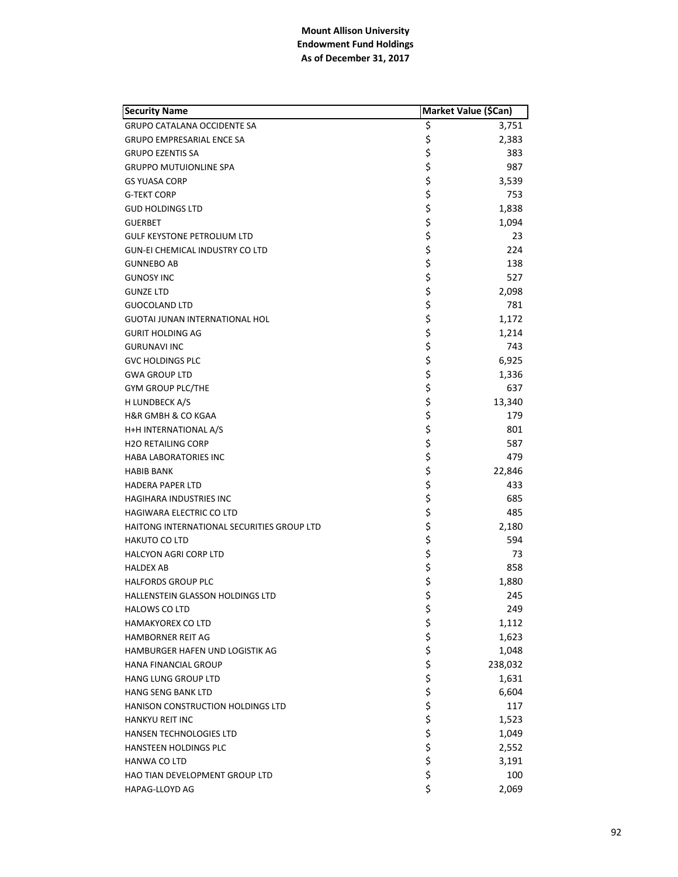| <b>Security Name</b>                       | Market Value (\$Can) |         |
|--------------------------------------------|----------------------|---------|
| <b>GRUPO CATALANA OCCIDENTE SA</b>         | \$                   | 3,751   |
| GRUPO EMPRESARIAL ENCE SA                  | \$                   | 2,383   |
| <b>GRUPO EZENTIS SA</b>                    | \$                   | 383     |
| <b>GRUPPO MUTUIONLINE SPA</b>              | \$                   | 987     |
| <b>GS YUASA CORP</b>                       | \$                   | 3,539   |
| <b>G-TEKT CORP</b>                         | \$                   | 753     |
| <b>GUD HOLDINGS LTD</b>                    | \$                   | 1,838   |
| <b>GUERBET</b>                             |                      | 1,094   |
| <b>GULF KEYSTONE PETROLIUM LTD</b>         | \$<br>\$             | 23      |
| <b>GUN-EI CHEMICAL INDUSTRY CO LTD</b>     | \$                   | 224     |
| <b>GUNNEBO AB</b>                          | \$                   | 138     |
| <b>GUNOSY INC</b>                          | \$                   | 527     |
| <b>GUNZE LTD</b>                           | \$                   | 2,098   |
| <b>GUOCOLAND LTD</b>                       | \$                   | 781     |
| <b>GUOTAI JUNAN INTERNATIONAL HOL</b>      | \$                   | 1,172   |
| <b>GURIT HOLDING AG</b>                    | \$                   | 1,214   |
| <b>GURUNAVI INC</b>                        | \$                   | 743     |
| <b>GVC HOLDINGS PLC</b>                    | \$                   | 6,925   |
| <b>GWA GROUP LTD</b>                       | \$                   | 1,336   |
| <b>GYM GROUP PLC/THE</b>                   | \$                   | 637     |
| H LUNDBECK A/S                             | \$                   | 13,340  |
| H&R GMBH & CO KGAA                         | \$                   | 179     |
| H+H INTERNATIONAL A/S                      | \$                   | 801     |
| <b>H2O RETAILING CORP</b>                  | \$                   | 587     |
| <b>HABA LABORATORIES INC</b>               | \$                   | 479     |
| <b>HABIB BANK</b>                          | \$                   | 22,846  |
| <b>HADERA PAPER LTD</b>                    | \$                   | 433     |
| HAGIHARA INDUSTRIES INC                    | \$                   | 685     |
| HAGIWARA ELECTRIC CO LTD                   | \$\$\$               | 485     |
| HAITONG INTERNATIONAL SECURITIES GROUP LTD |                      | 2,180   |
| <b>HAKUTO CO LTD</b>                       |                      | 594     |
| <b>HALCYON AGRI CORP LTD</b>               |                      | 73      |
| <b>HALDEX AB</b>                           | \$\$\$               | 858     |
| <b>HALFORDS GROUP PLC</b>                  |                      | 1,880   |
| HALLENSTEIN GLASSON HOLDINGS LTD           | \$                   | 245     |
| <b>HALOWS CO LTD</b>                       | \$                   | 249     |
| <b>HAMAKYOREX CO LTD</b>                   | \$                   | 1,112   |
| <b>HAMBORNER REIT AG</b>                   | \$<br>\$             | 1,623   |
| HAMBURGER HAFEN UND LOGISTIK AG            |                      | 1,048   |
| HANA FINANCIAL GROUP                       | \$                   | 238,032 |
| HANG LUNG GROUP LTD                        |                      | 1,631   |
| HANG SENG BANK LTD                         |                      | 6,604   |
| <b>HANISON CONSTRUCTION HOLDINGS LTD</b>   |                      | 117     |
| <b>HANKYU REIT INC</b>                     |                      | 1,523   |
| <b>HANSEN TECHNOLOGIES LTD</b>             | ややややや                | 1,049   |
| HANSTEEN HOLDINGS PLC                      |                      | 2,552   |
| HANWA CO LTD                               |                      | 3,191   |
| HAO TIAN DEVELOPMENT GROUP LTD             | \$                   | 100     |
| HAPAG-LLOYD AG                             | \$                   | 2,069   |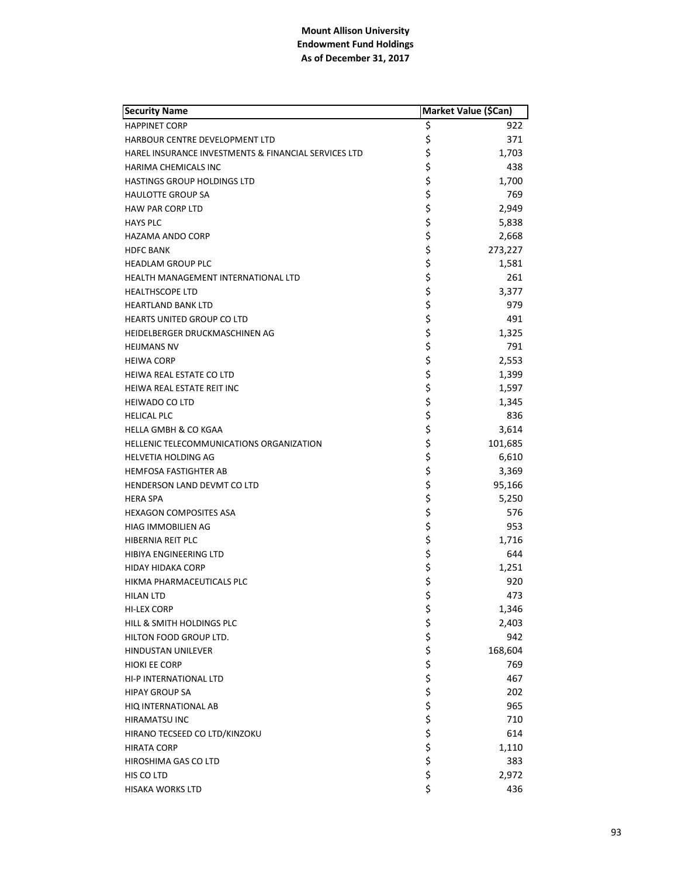| <b>Security Name</b>                                 | Market Value (\$Can) |         |
|------------------------------------------------------|----------------------|---------|
| <b>HAPPINET CORP</b>                                 | \$                   | 922     |
| HARBOUR CENTRE DEVELOPMENT LTD                       | \$                   | 371     |
| HAREL INSURANCE INVESTMENTS & FINANCIAL SERVICES LTD | \$                   | 1,703   |
| <b>HARIMA CHEMICALS INC</b>                          | \$                   | 438     |
| <b>HASTINGS GROUP HOLDINGS LTD</b>                   | \$                   | 1,700   |
| <b>HAULOTTE GROUP SA</b>                             | \$                   | 769     |
| <b>HAW PAR CORP LTD</b>                              | \$                   | 2,949   |
| <b>HAYS PLC</b>                                      | \$                   | 5,838   |
| <b>HAZAMA ANDO CORP</b>                              | \$                   | 2,668   |
| <b>HDFC BANK</b>                                     | \$                   | 273,227 |
| <b>HEADLAM GROUP PLC</b>                             | \$                   | 1,581   |
| HEALTH MANAGEMENT INTERNATIONAL LTD                  | \$                   | 261     |
| <b>HEALTHSCOPE LTD</b>                               | \$                   | 3,377   |
| <b>HEARTLAND BANK LTD</b>                            | \$                   | 979     |
| HEARTS UNITED GROUP CO LTD                           | \$                   | 491     |
| HEIDELBERGER DRUCKMASCHINEN AG                       | \$                   | 1,325   |
| <b>HEIJMANS NV</b>                                   | \$                   | 791     |
| <b>HEIWA CORP</b>                                    | \$                   | 2,553   |
| HEIWA REAL ESTATE CO LTD                             | \$                   | 1,399   |
| HEIWA REAL ESTATE REIT INC                           | \$                   | 1,597   |
| <b>HEIWADO CO LTD</b>                                | \$                   | 1,345   |
| <b>HELICAL PLC</b>                                   | \$                   | 836     |
| <b>HELLA GMBH &amp; CO KGAA</b>                      | \$                   | 3,614   |
| HELLENIC TELECOMMUNICATIONS ORGANIZATION             | \$                   | 101,685 |
| HELVETIA HOLDING AG                                  | \$                   | 6,610   |
| <b>HEMFOSA FASTIGHTER AB</b>                         | \$                   | 3,369   |
| HENDERSON LAND DEVMT CO LTD                          | \$                   | 95,166  |
| <b>HERA SPA</b>                                      | \$                   | 5,250   |
| <b>HEXAGON COMPOSITES ASA</b>                        | \$                   | 576     |
| HIAG IMMOBILIEN AG                                   | \$                   | 953     |
| HIBERNIA REIT PLC                                    | \$                   | 1,716   |
| HIBIYA ENGINEERING LTD                               | \$                   | 644     |
| <b>HIDAY HIDAKA CORP</b>                             | \$                   | 1,251   |
| HIKMA PHARMACEUTICALS PLC                            | \$                   | 920     |
| <b>HILAN LTD</b>                                     | \$                   | 473     |
| HI-LEX CORP                                          | \$                   | 1,346   |
| HILL & SMITH HOLDINGS PLC                            |                      | 2,403   |
| HILTON FOOD GROUP LTD.                               |                      | 942     |
| HINDUSTAN UNILEVER                                   |                      | 168,604 |
| <b>HIOKI EE CORP</b>                                 |                      | 769     |
| HI-P INTERNATIONAL LTD                               |                      | 467     |
| <b>HIPAY GROUP SA</b>                                |                      | 202     |
| HIQ INTERNATIONAL AB                                 |                      | 965     |
| HIRAMATSU INC                                        |                      | 710     |
| HIRANO TECSEED CO LTD/KINZOKU                        | ややややややややや            | 614     |
| <b>HIRATA CORP</b>                                   |                      | 1,110   |
| HIROSHIMA GAS CO LTD                                 |                      | 383     |
| HIS CO LTD                                           | \$                   | 2,972   |
| HISAKA WORKS LTD                                     | \$                   | 436     |
|                                                      |                      |         |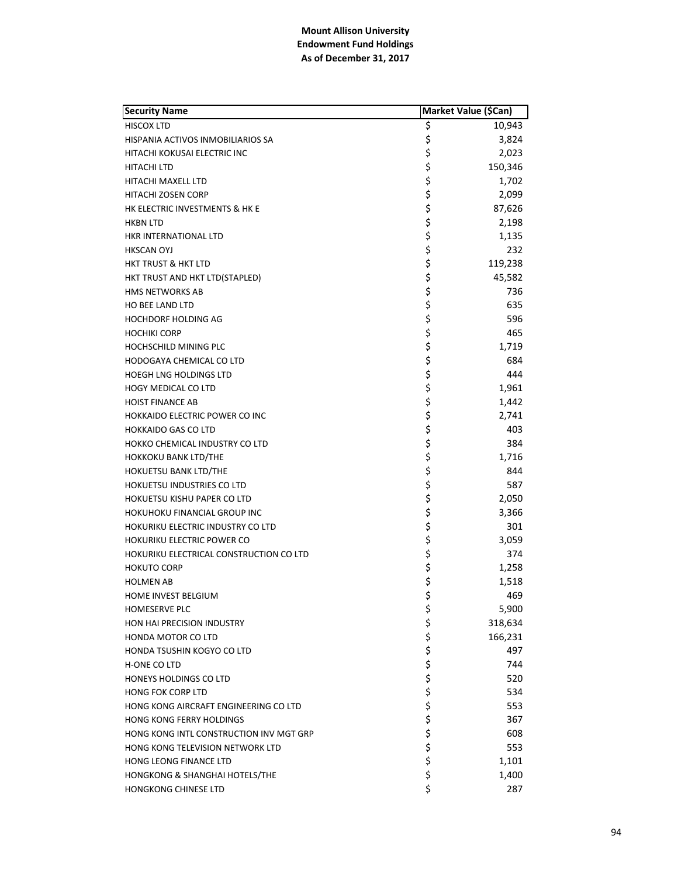| <b>Security Name</b>                    |          | Market Value (\$Can) |
|-----------------------------------------|----------|----------------------|
| <b>HISCOX LTD</b>                       | \$       | 10,943               |
| HISPANIA ACTIVOS INMOBILIARIOS SA       | \$       | 3,824                |
| HITACHI KOKUSAI ELECTRIC INC            | \$       | 2,023                |
| <b>HITACHI LTD</b>                      | \$       | 150,346              |
| HITACHI MAXELL LTD                      | \$       | 1,702                |
| <b>HITACHI ZOSEN CORP</b>               | \$       | 2,099                |
| HK ELECTRIC INVESTMENTS & HK E          | \$       | 87,626               |
| <b>HKBN LTD</b>                         | \$       | 2,198                |
| HKR INTERNATIONAL LTD                   | \$       | 1,135                |
| <b>HKSCAN OYJ</b>                       | \$       | 232                  |
| <b>HKT TRUST &amp; HKT LTD</b>          | \$       | 119,238              |
| HKT TRUST AND HKT LTD(STAPLED)          | \$       | 45,582               |
| <b>HMS NETWORKS AB</b>                  | \$       | 736                  |
| <b>HO BEE LAND LTD</b>                  | \$       | 635                  |
| <b>HOCHDORF HOLDING AG</b>              | \$       | 596                  |
| <b>HOCHIKI CORP</b>                     | \$       | 465                  |
| <b>HOCHSCHILD MINING PLC</b>            | \$       | 1,719                |
| HODOGAYA CHEMICAL CO LTD                | \$       | 684                  |
| <b>HOEGH LNG HOLDINGS LTD</b>           | \$       | 444                  |
| <b>HOGY MEDICAL CO LTD</b>              | \$       | 1,961                |
| <b>HOIST FINANCE AB</b>                 | \$       | 1,442                |
| <b>HOKKAIDO ELECTRIC POWER CO INC</b>   | \$       | 2,741                |
| <b>HOKKAIDO GAS CO LTD</b>              | \$       | 403                  |
| HOKKO CHEMICAL INDUSTRY CO LTD          | \$       | 384                  |
| <b>HOKKOKU BANK LTD/THE</b>             | \$       | 1,716                |
| HOKUETSU BANK LTD/THE                   | \$       | 844                  |
| HOKUETSU INDUSTRIES CO LTD              | \$       | 587                  |
| <b>HOKUETSU KISHU PAPER CO LTD</b>      | \$       | 2,050                |
| HOKUHOKU FINANCIAL GROUP INC            | \$       | 3,366                |
| HOKURIKU ELECTRIC INDUSTRY CO LTD       | \$       | 301                  |
| <b>HOKURIKU ELECTRIC POWER CO</b>       | \$       | 3,059                |
| HOKURIKU ELECTRICAL CONSTRUCTION CO LTD | \$       | 374                  |
| <b>HOKUTO CORP</b>                      | \$       | 1,258                |
| <b>HOLMEN AB</b>                        | \$       | 1,518                |
| <b>HOME INVEST BELGIUM</b>              | \$       | 469                  |
| <b>HOMESERVE PLC</b>                    | \$       | 5,900                |
| HON HAI PRECISION INDUSTRY              |          | 318,634              |
| HONDA MOTOR CO LTD                      |          | 166,231              |
| HONDA TSUSHIN KOGYO CO LTD              |          | 497                  |
| <b>H-ONE CO LTD</b>                     |          | 744                  |
| <b>HONEYS HOLDINGS CO LTD</b>           |          | 520                  |
| <b>HONG FOK CORP LTD</b>                |          | 534                  |
| HONG KONG AIRCRAFT ENGINEERING CO LTD   |          | 553                  |
| HONG KONG FERRY HOLDINGS                |          | 367                  |
| HONG KONG INTL CONSTRUCTION INV MGT GRP |          | 608                  |
| HONG KONG TELEVISION NETWORK LTD        | ぐそうさかさかい | 553                  |
| HONG LEONG FINANCE LTD                  |          | 1,101                |
| HONGKONG & SHANGHAI HOTELS/THE          | \$       | 1,400                |
| <b>HONGKONG CHINESE LTD</b>             | \$       | 287                  |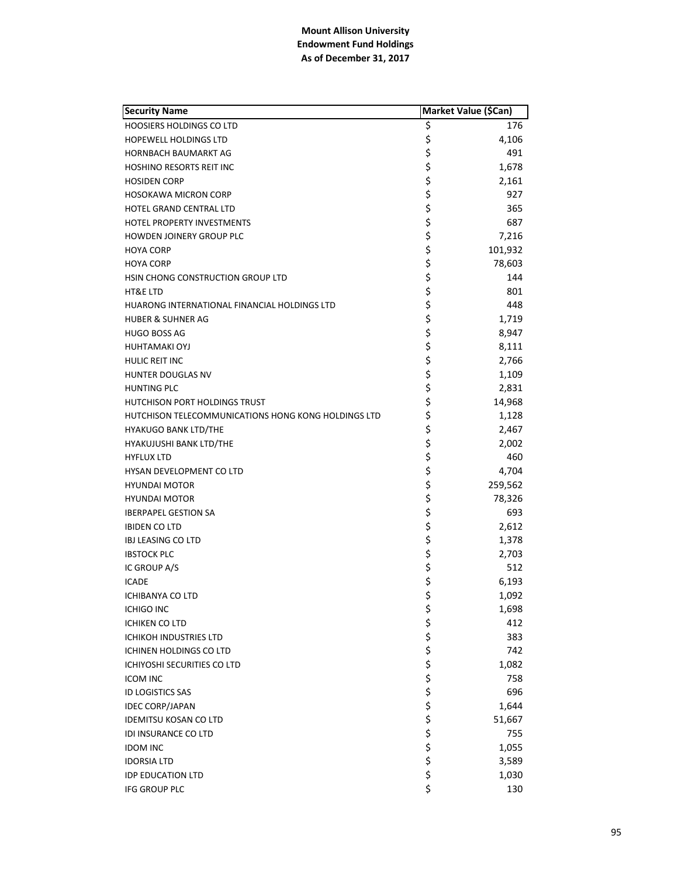| <b>Security Name</b>                                | Market Value (\$Can) |         |
|-----------------------------------------------------|----------------------|---------|
| <b>HOOSIERS HOLDINGS CO LTD</b>                     | \$                   | 176     |
| <b>HOPEWELL HOLDINGS LTD</b>                        | \$                   | 4,106   |
| HORNBACH BAUMARKT AG                                | \$                   | 491     |
| <b>HOSHINO RESORTS REIT INC</b>                     | \$                   | 1,678   |
| <b>HOSIDEN CORP</b>                                 |                      | 2,161   |
| <b>HOSOKAWA MICRON CORP</b>                         | \$<br>\$             | 927     |
| HOTEL GRAND CENTRAL LTD                             | \$                   | 365     |
| HOTEL PROPERTY INVESTMENTS                          | \$<br>\$             | 687     |
| HOWDEN JOINERY GROUP PLC                            |                      | 7,216   |
| <b>HOYA CORP</b>                                    | \$                   | 101,932 |
| <b>HOYA CORP</b>                                    | \$                   | 78,603  |
| HSIN CHONG CONSTRUCTION GROUP LTD                   | \$                   | 144     |
| <b>HT&amp;E LTD</b>                                 | \$                   | 801     |
| HUARONG INTERNATIONAL FINANCIAL HOLDINGS LTD        | \$                   | 448     |
| <b>HUBER &amp; SUHNER AG</b>                        | \$                   | 1,719   |
| <b>HUGO BOSS AG</b>                                 | \$                   | 8,947   |
| <b>HUHTAMAKI OYJ</b>                                | \$                   | 8,111   |
| HULIC REIT INC                                      | \$                   | 2,766   |
| HUNTER DOUGLAS NV                                   | \$                   | 1,109   |
| <b>HUNTING PLC</b>                                  | \$                   | 2,831   |
| HUTCHISON PORT HOLDINGS TRUST                       | \$                   | 14,968  |
| HUTCHISON TELECOMMUNICATIONS HONG KONG HOLDINGS LTD | \$                   | 1,128   |
| <b>HYAKUGO BANK LTD/THE</b>                         | \$                   | 2,467   |
| HYAKUJUSHI BANK LTD/THE                             | \$                   | 2,002   |
| <b>HYFLUX LTD</b>                                   | \$                   | 460     |
| HYSAN DEVELOPMENT CO LTD                            | \$                   | 4,704   |
| <b>HYUNDAI MOTOR</b>                                | \$                   | 259,562 |
| <b>HYUNDAI MOTOR</b>                                | \$                   | 78,326  |
| <b>IBERPAPEL GESTION SA</b>                         | \$                   | 693     |
| <b>IBIDEN CO LTD</b>                                | \$<br>\$             | 2,612   |
| <b>IBJ LEASING CO LTD</b>                           |                      | 1,378   |
| <b>IBSTOCK PLC</b>                                  | \$                   | 2,703   |
| IC GROUP A/S                                        | \$<br>\$             | 512     |
| <b>ICADE</b>                                        |                      | 6,193   |
| <b>ICHIBANYA CO LTD</b>                             | \$                   | 1,092   |
| <b>ICHIGO INC</b>                                   | \$                   | 1,698   |
| <b>ICHIKEN CO LTD</b>                               |                      | 412     |
| <b>ICHIKOH INDUSTRIES LTD</b>                       |                      | 383     |
| <b>ICHINEN HOLDINGS CO LTD</b>                      |                      | 742     |
| ICHIYOSHI SECURITIES CO LTD                         |                      | 1,082   |
| <b>ICOM INC</b>                                     |                      | 758     |
| <b>ID LOGISTICS SAS</b>                             |                      | 696     |
| <b>IDEC CORP/JAPAN</b>                              |                      | 1,644   |
| <b>IDEMITSU KOSAN CO LTD</b>                        |                      | 51,667  |
| <b>IDI INSURANCE CO LTD</b>                         | ぐぐぐぐぐぐ               | 755     |
| <b>IDOM INC</b>                                     |                      | 1,055   |
| <b>IDORSIA LTD</b>                                  |                      | 3,589   |
| <b>IDP EDUCATION LTD</b>                            | \$                   | 1,030   |
| IFG GROUP PLC                                       | \$                   | 130     |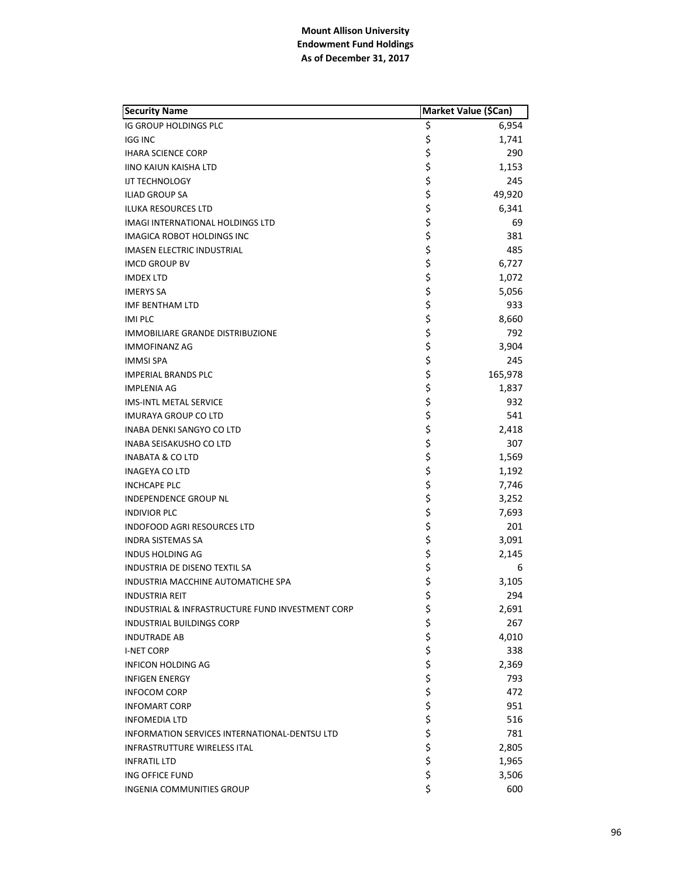| <b>Security Name</b>                             | Market Value (\$Can) |         |
|--------------------------------------------------|----------------------|---------|
| IG GROUP HOLDINGS PLC                            | \$                   | 6,954   |
| <b>IGG INC</b>                                   | \$                   | 1,741   |
| <b>IHARA SCIENCE CORP</b>                        | \$                   | 290     |
| <b>IINO KAIUN KAISHA LTD</b>                     | \$                   | 1,153   |
| <b>IJT TECHNOLOGY</b>                            | \$                   | 245     |
| <b>ILIAD GROUP SA</b>                            | \$                   | 49,920  |
| <b>ILUKA RESOURCES LTD</b>                       | \$                   | 6,341   |
| IMAGI INTERNATIONAL HOLDINGS LTD                 | \$                   | 69      |
| IMAGICA ROBOT HOLDINGS INC                       | \$                   | 381     |
| <b>IMASEN ELECTRIC INDUSTRIAL</b>                | \$                   | 485     |
| <b>IMCD GROUP BV</b>                             | \$                   | 6,727   |
| <b>IMDEX LTD</b>                                 | \$                   | 1,072   |
| <b>IMERYS SA</b>                                 | \$                   | 5,056   |
| <b>IMF BENTHAM LTD</b>                           | \$                   | 933     |
| <b>IMI PLC</b>                                   | \$                   | 8,660   |
| <b>IMMOBILIARE GRANDE DISTRIBUZIONE</b>          | \$                   | 792     |
| <b>IMMOFINANZ AG</b>                             | \$                   | 3,904   |
| <b>IMMSI SPA</b>                                 | \$                   | 245     |
| <b>IMPERIAL BRANDS PLC</b>                       | \$                   | 165,978 |
| <b>IMPLENIA AG</b>                               | \$                   | 1,837   |
| <b>IMS-INTL METAL SERVICE</b>                    | \$                   | 932     |
| <b>IMURAYA GROUP CO LTD</b>                      | \$                   | 541     |
| INABA DENKI SANGYO CO LTD                        | \$                   | 2,418   |
| INABA SEISAKUSHO CO LTD                          | \$                   | 307     |
| <b>INABATA &amp; CO LTD</b>                      | \$                   | 1,569   |
| <b>INAGEYA CO LTD</b>                            | \$                   | 1,192   |
| <b>INCHCAPE PLC</b>                              | \$                   | 7,746   |
| INDEPENDENCE GROUP NL                            | \$                   | 3,252   |
| <b>INDIVIOR PLC</b>                              | \$                   | 7,693   |
| INDOFOOD AGRI RESOURCES LTD                      | \$                   | 201     |
| <b>INDRA SISTEMAS SA</b>                         | \$                   | 3,091   |
| <b>INDUS HOLDING AG</b>                          | \$                   | 2,145   |
| <b>INDUSTRIA DE DISENO TEXTIL SA</b>             | \$                   | 6       |
| INDUSTRIA MACCHINE AUTOMATICHE SPA               | \$                   | 3,105   |
| <b>INDUSTRIA REIT</b>                            | \$                   | 294     |
| INDUSTRIAL & INFRASTRUCTURE FUND INVESTMENT CORP | \$                   | 2,691   |
| <b>INDUSTRIAL BUILDINGS CORP</b>                 | \$                   | 267     |
| <b>INDUTRADE AB</b>                              | \$<br>\$             | 4,010   |
| <b>I-NET CORP</b>                                |                      | 338     |
| INFICON HOLDING AG                               |                      | 2,369   |
| <b>INFIGEN ENERGY</b>                            |                      | 793     |
| <b>INFOCOM CORP</b>                              |                      | 472     |
| <b>INFOMART CORP</b>                             |                      | 951     |
| <b>INFOMEDIA LTD</b>                             |                      | 516     |
| INFORMATION SERVICES INTERNATIONAL-DENTSU LTD    | やややや ややや             | 781     |
| <b>INFRASTRUTTURE WIRELESS ITAL</b>              |                      | 2,805   |
| <b>INFRATIL LTD</b>                              |                      | 1,965   |
| ING OFFICE FUND                                  | \$                   | 3,506   |
| <b>INGENIA COMMUNITIES GROUP</b>                 | \$                   | 600     |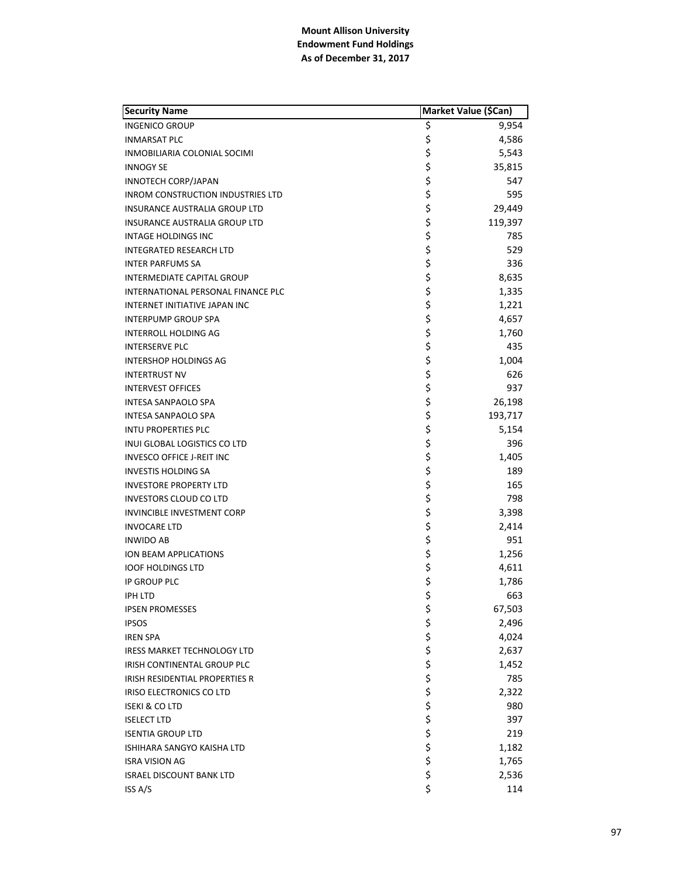| <b>Security Name</b>                     | Market Value (\$Can) |         |
|------------------------------------------|----------------------|---------|
| <b>INGENICO GROUP</b>                    | \$                   | 9,954   |
| <b>INMARSAT PLC</b>                      | \$                   | 4,586   |
| INMOBILIARIA COLONIAL SOCIMI             | \$                   | 5,543   |
| <b>INNOGY SE</b>                         | \$                   | 35,815  |
| <b>INNOTECH CORP/JAPAN</b>               | \$                   | 547     |
| <b>INROM CONSTRUCTION INDUSTRIES LTD</b> | \$                   | 595     |
| INSURANCE AUSTRALIA GROUP LTD            | \$                   | 29,449  |
| INSURANCE AUSTRALIA GROUP LTD            | \$                   | 119,397 |
| INTAGE HOLDINGS INC                      | \$                   | 785     |
| <b>INTEGRATED RESEARCH LTD</b>           | \$                   | 529     |
| <b>INTER PARFUMS SA</b>                  | \$                   | 336     |
| INTERMEDIATE CAPITAL GROUP               | \$                   | 8,635   |
| INTERNATIONAL PERSONAL FINANCE PLC       | \$                   | 1,335   |
| <b>INTERNET INITIATIVE JAPAN INC</b>     | \$                   | 1,221   |
| <b>INTERPUMP GROUP SPA</b>               | \$                   | 4,657   |
| <b>INTERROLL HOLDING AG</b>              | \$                   | 1,760   |
| <b>INTERSERVE PLC</b>                    | \$                   | 435     |
| <b>INTERSHOP HOLDINGS AG</b>             | \$                   | 1,004   |
| <b>INTERTRUST NV</b>                     | \$                   | 626     |
| <b>INTERVEST OFFICES</b>                 | \$                   | 937     |
| <b>INTESA SANPAOLO SPA</b>               | \$                   | 26,198  |
| <b>INTESA SANPAOLO SPA</b>               | \$                   | 193,717 |
| <b>INTU PROPERTIES PLC</b>               | \$                   | 5,154   |
| INUI GLOBAL LOGISTICS CO LTD             | \$                   | 396     |
| <b>INVESCO OFFICE J-REIT INC</b>         | \$                   | 1,405   |
| <b>INVESTIS HOLDING SA</b>               | \$                   | 189     |
| <b>INVESTORE PROPERTY LTD</b>            | \$                   | 165     |
| <b>INVESTORS CLOUD CO LTD</b>            | \$                   | 798     |
| <b>INVINCIBLE INVESTMENT CORP</b>        | \$                   | 3,398   |
| <b>INVOCARE LTD</b>                      | \$                   | 2,414   |
| <b>INWIDO AB</b>                         | \$                   | 951     |
| <b>ION BEAM APPLICATIONS</b>             | \$                   | 1,256   |
| <b>IOOF HOLDINGS LTD</b>                 | \$                   | 4,611   |
| IP GROUP PLC                             | \$                   | 1,786   |
| <b>IPH LTD</b>                           | \$                   | 663     |
| <b>IPSEN PROMESSES</b>                   | \$                   | 67,503  |
| <b>IPSOS</b>                             |                      | 2,496   |
| <b>IREN SPA</b>                          |                      | 4,024   |
| <b>IRESS MARKET TECHNOLOGY LTD</b>       |                      | 2,637   |
| IRISH CONTINENTAL GROUP PLC              |                      | 1,452   |
| IRISH RESIDENTIAL PROPERTIES R           |                      | 785     |
| IRISO ELECTRONICS CO LTD                 |                      | 2,322   |
| <b>ISEKI &amp; CO LTD</b>                |                      | 980     |
| <b>ISELECT LTD</b>                       |                      | 397     |
| <b>ISENTIA GROUP LTD</b>                 |                      | 219     |
| ISHIHARA SANGYO KAISHA LTD               | ぐうさくさい こうさく          | 1,182   |
| <b>ISRA VISION AG</b>                    |                      | 1,765   |
| <b>ISRAEL DISCOUNT BANK LTD</b>          | \$                   | 2,536   |
| ISS A/S                                  | \$                   | 114     |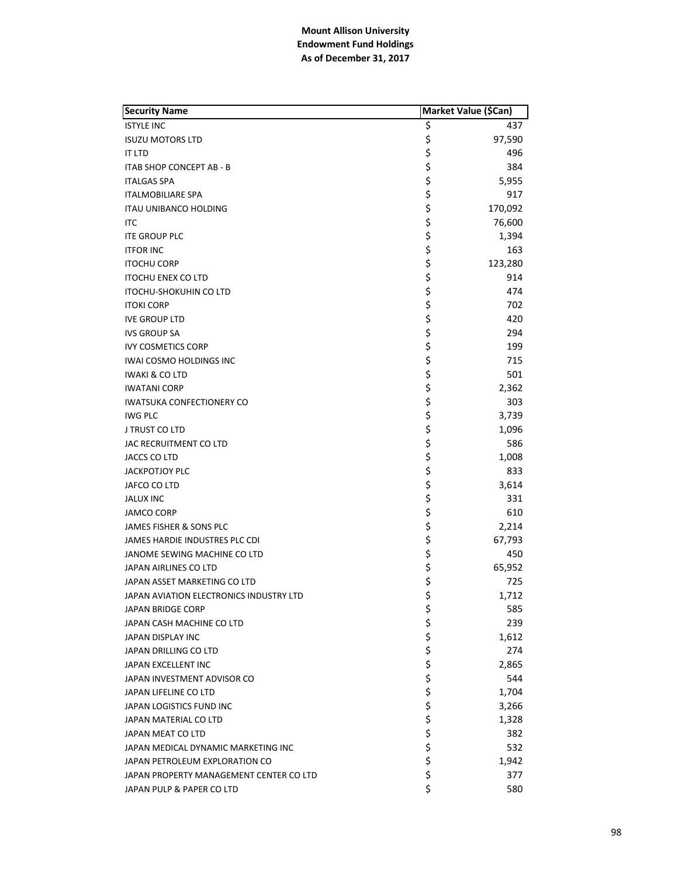| <b>Security Name</b>                    |          | Market Value (\$Can) |
|-----------------------------------------|----------|----------------------|
| <b>ISTYLE INC</b>                       | \$       | 437                  |
| <b>ISUZU MOTORS LTD</b>                 | \$       | 97,590               |
| IT LTD                                  | \$       | 496                  |
| ITAB SHOP CONCEPT AB - B                | \$       | 384                  |
| <b>ITALGAS SPA</b>                      | \$       | 5,955                |
| <b>ITALMOBILIARE SPA</b>                | \$       | 917                  |
| <b>ITAU UNIBANCO HOLDING</b>            | \$       | 170,092              |
| ITC                                     | \$       | 76,600               |
| <b>ITE GROUP PLC</b>                    | \$       | 1,394                |
| <b>ITFOR INC</b>                        | \$       | 163                  |
| <b>ITOCHU CORP</b>                      | \$       | 123,280              |
| <b>ITOCHU ENEX CO LTD</b>               | \$       | 914                  |
| <b>ITOCHU-SHOKUHIN CO LTD</b>           | \$       | 474                  |
| <b>ITOKI CORP</b>                       | \$       | 702                  |
| <b>IVE GROUP LTD</b>                    | \$       | 420                  |
| <b>IVS GROUP SA</b>                     |          | 294                  |
| <b>IVY COSMETICS CORP</b>               | \$<br>\$ | 199                  |
| <b>IWAI COSMO HOLDINGS INC</b>          | \$       | 715                  |
| <b>IWAKI &amp; CO LTD</b>               | \$       | 501                  |
| <b>IWATANI CORP</b>                     | \$       | 2,362                |
| <b>IWATSUKA CONFECTIONERY CO</b>        | \$       | 303                  |
| <b>IWG PLC</b>                          | \$       | 3,739                |
| J TRUST CO LTD                          | \$       | 1,096                |
| JAC RECRUITMENT CO LTD                  | \$       | 586                  |
| JACCS CO LTD                            | \$       | 1,008                |
| <b>JACKPOTJOY PLC</b>                   | \$       | 833                  |
| JAFCO CO LTD                            | \$       | 3,614                |
| <b>JALUX INC</b>                        |          | 331                  |
| <b>JAMCO CORP</b>                       | \$<br>\$ | 610                  |
| JAMES FISHER & SONS PLC                 | \$       | 2,214                |
| JAMES HARDIE INDUSTRES PLC CDI          | \$       | 67,793               |
| JANOME SEWING MACHINE CO LTD            | \$       | 450                  |
| JAPAN AIRLINES CO LTD                   | \$       | 65,952               |
| JAPAN ASSET MARKETING CO LTD            | \$       | 725                  |
| JAPAN AVIATION ELECTRONICS INDUSTRY LTD | \$       | 1,712                |
| <b>JAPAN BRIDGE CORP</b>                | \$       | 585                  |
| JAPAN CASH MACHINE CO LTD               | \$       | 239                  |
| <b>JAPAN DISPLAY INC</b>                | \$       | 1,612                |
| JAPAN DRILLING CO LTD                   | \$       | 274                  |
| JAPAN EXCELLENT INC                     |          | 2,865                |
| JAPAN INVESTMENT ADVISOR CO             | \$\$\$   | 544                  |
| JAPAN LIFELINE CO LTD                   |          | 1,704                |
| JAPAN LOGISTICS FUND INC                | \$       | 3,266                |
| JAPAN MATERIAL CO LTD                   | \$       | 1,328                |
| JAPAN MEAT CO LTD                       | \$       | 382                  |
| JAPAN MEDICAL DYNAMIC MARKETING INC     | \$       | 532                  |
| JAPAN PETROLEUM EXPLORATION CO          | \$       | 1,942                |
| JAPAN PROPERTY MANAGEMENT CENTER CO LTD | \$       | 377                  |
| JAPAN PULP & PAPER CO LTD               | \$       | 580                  |
|                                         |          |                      |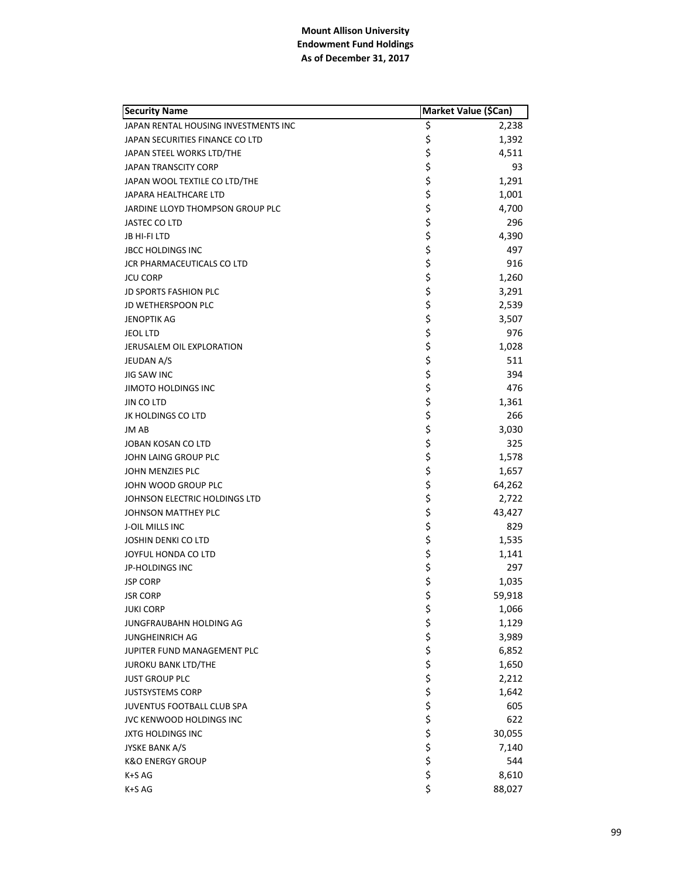| <b>Security Name</b>                 | Market Value (\$Can) |        |
|--------------------------------------|----------------------|--------|
| JAPAN RENTAL HOUSING INVESTMENTS INC | \$                   | 2,238  |
| JAPAN SECURITIES FINANCE CO LTD      | \$                   | 1,392  |
| JAPAN STEEL WORKS LTD/THE            | \$                   | 4,511  |
| <b>JAPAN TRANSCITY CORP</b>          | \$                   | 93     |
| JAPAN WOOL TEXTILE CO LTD/THE        | \$                   | 1,291  |
| JAPARA HEALTHCARE LTD                | \$                   | 1,001  |
| JARDINE LLOYD THOMPSON GROUP PLC     | \$                   | 4,700  |
| JASTEC CO LTD                        | \$                   | 296    |
| JB HI-FI LTD                         | \$                   | 4,390  |
| <b>JBCC HOLDINGS INC</b>             | \$                   | 497    |
| JCR PHARMACEUTICALS CO LTD           | \$                   | 916    |
| <b>JCU CORP</b>                      | \$                   | 1,260  |
| <b>JD SPORTS FASHION PLC</b>         | \$                   | 3,291  |
| JD WETHERSPOON PLC                   | \$                   | 2,539  |
| <b>JENOPTIK AG</b>                   |                      | 3,507  |
| <b>JEOL LTD</b>                      |                      | 976    |
| JERUSALEM OIL EXPLORATION            |                      | 1,028  |
| <b>JEUDAN A/S</b>                    | \$\$\$               | 511    |
| JIG SAW INC                          | \$                   | 394    |
| <b>JIMOTO HOLDINGS INC</b>           | \$                   | 476    |
| JIN CO LTD                           | \$                   | 1,361  |
| JK HOLDINGS CO LTD                   | \$                   | 266    |
| <b>JM AB</b>                         | \$                   | 3,030  |
| JOBAN KOSAN CO LTD                   | \$                   | 325    |
| JOHN LAING GROUP PLC                 | \$                   | 1,578  |
| JOHN MENZIES PLC                     | \$                   | 1,657  |
| JOHN WOOD GROUP PLC                  | \$                   | 64,262 |
| JOHNSON ELECTRIC HOLDINGS LTD        | \$                   | 2,722  |
| JOHNSON MATTHEY PLC                  | \$                   | 43,427 |
| <b>J-OIL MILLS INC</b>               | \$                   | 829    |
| <b>JOSHIN DENKI CO LTD</b>           | \$                   | 1,535  |
| JOYFUL HONDA CO LTD                  | \$                   | 1,141  |
| JP-HOLDINGS INC                      | \$                   | 297    |
| <b>JSP CORP</b>                      | \$                   | 1,035  |
| <b>JSR CORP</b>                      | \$                   | 59,918 |
| <b>JUKI CORP</b>                     | \$                   | 1,066  |
| JUNGFRAUBAHN HOLDING AG              |                      | 1,129  |
| <b>JUNGHEINRICH AG</b>               |                      | 3,989  |
| JUPITER FUND MANAGEMENT PLC          |                      | 6,852  |
| <b>JUROKU BANK LTD/THE</b>           |                      | 1,650  |
| <b>JUST GROUP PLC</b>                |                      | 2,212  |
| <b>JUSTSYSTEMS CORP</b>              |                      | 1,642  |
| JUVENTUS FOOTBALL CLUB SPA           |                      | 605    |
| JVC KENWOOD HOLDINGS INC             |                      | 622    |
| <b>JXTG HOLDINGS INC</b>             |                      | 30,055 |
| JYSKE BANK A/S                       | ぐうさくさい こうさく          | 7,140  |
| <b>K&amp;O ENERGY GROUP</b>          |                      | 544    |
| K+S AG                               |                      | 8,610  |
| K+S AG                               | \$                   | 88,027 |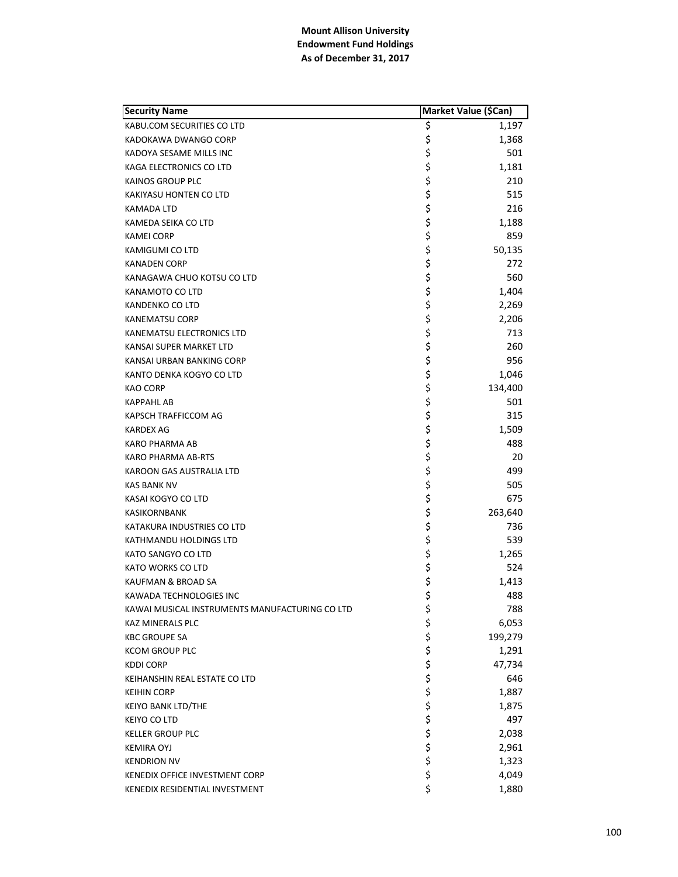| <b>Security Name</b>                           | Market Value (\$Can) |         |
|------------------------------------------------|----------------------|---------|
| KABU.COM SECURITIES CO LTD                     | \$                   | 1,197   |
| KADOKAWA DWANGO CORP                           | \$                   | 1,368   |
| KADOYA SESAME MILLS INC                        | \$                   | 501     |
| KAGA ELECTRONICS CO LTD                        | \$                   | 1,181   |
| <b>KAINOS GROUP PLC</b>                        | \$                   | 210     |
| KAKIYASU HONTEN CO LTD                         | \$                   | 515     |
| KAMADA LTD                                     | \$                   | 216     |
| KAMEDA SEIKA CO LTD                            | \$                   | 1,188   |
| <b>KAMEI CORP</b>                              | \$                   | 859     |
| KAMIGUMI CO LTD                                | \$                   | 50,135  |
| <b>KANADEN CORP</b>                            | \$                   | 272     |
| KANAGAWA CHUO KOTSU CO LTD                     | \$                   | 560     |
| KANAMOTO CO LTD                                | \$                   | 1,404   |
| KANDENKO CO LTD                                | \$                   | 2,269   |
| <b>KANEMATSU CORP</b>                          | \$                   | 2,206   |
| KANEMATSU ELECTRONICS LTD                      | \$                   | 713     |
| KANSAI SUPER MARKET LTD                        | \$                   | 260     |
| KANSAI URBAN BANKING CORP                      | \$                   | 956     |
| KANTO DENKA KOGYO CO LTD                       | \$                   | 1,046   |
| KAO CORP                                       | \$                   | 134,400 |
| <b>KAPPAHL AB</b>                              | \$                   | 501     |
| KAPSCH TRAFFICCOM AG                           | \$                   | 315     |
| <b>KARDEX AG</b>                               | \$                   | 1,509   |
| KARO PHARMA AB                                 | \$                   | 488     |
| KARO PHARMA AB-RTS                             | \$                   | 20      |
| KAROON GAS AUSTRALIA LTD                       | \$                   | 499     |
| <b>KAS BANK NV</b>                             | \$                   | 505     |
| KASAI KOGYO CO LTD                             | \$                   | 675     |
| <b>KASIKORNBANK</b>                            | \$                   | 263,640 |
| KATAKURA INDUSTRIES CO LTD                     | \$                   | 736     |
| KATHMANDU HOLDINGS LTD                         | \$                   | 539     |
| KATO SANGYO CO LTD                             | \$                   | 1,265   |
| <b>KATO WORKS CO LTD</b>                       | \$<br>\$             | 524     |
| KAUFMAN & BROAD SA                             |                      | 1,413   |
| KAWADA TECHNOLOGIES INC                        | \$                   | 488     |
| KAWAI MUSICAL INSTRUMENTS MANUFACTURING CO LTD | \$                   | 788     |
| <b>KAZ MINERALS PLC</b>                        | \$                   | 6,053   |
| <b>KBC GROUPE SA</b>                           | \$                   | 199,279 |
| <b>KCOM GROUP PLC</b>                          | \$                   | 1,291   |
| <b>KDDI CORP</b>                               | \$                   | 47,734  |
| KEIHANSHIN REAL ESTATE CO LTD                  |                      | 646     |
| <b>KEIHIN CORP</b>                             |                      | 1,887   |
| KEIYO BANK LTD/THE                             |                      | 1,875   |
| <b>KEIYO CO LTD</b>                            |                      | 497     |
| <b>KELLER GROUP PLC</b>                        |                      | 2,038   |
| <b>KEMIRA OYJ</b>                              | ややや ややや              | 2,961   |
| <b>KENDRION NV</b>                             |                      | 1,323   |
| KENEDIX OFFICE INVESTMENT CORP                 | \$                   | 4,049   |
| KENEDIX RESIDENTIAL INVESTMENT                 | \$                   | 1,880   |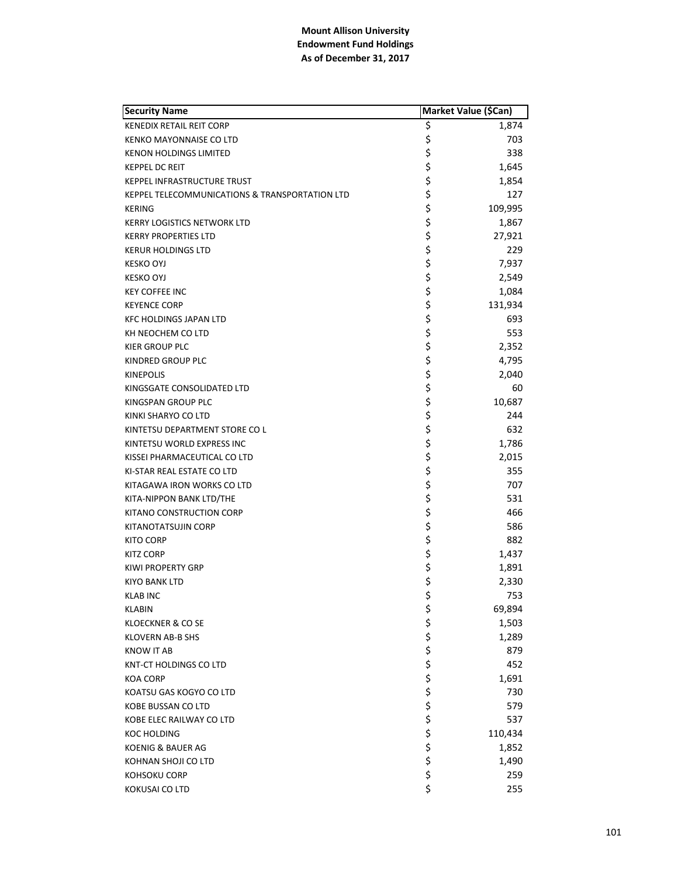| <b>Security Name</b>                           | Market Value (\$Can) |         |
|------------------------------------------------|----------------------|---------|
| <b>KENEDIX RETAIL REIT CORP</b>                | \$                   | 1,874   |
| <b>KENKO MAYONNAISE CO LTD</b>                 | \$                   | 703     |
| <b>KENON HOLDINGS LIMITED</b>                  | \$                   | 338     |
| <b>KEPPEL DC REIT</b>                          | \$                   | 1,645   |
| <b>KEPPEL INFRASTRUCTURE TRUST</b>             | \$                   | 1,854   |
| KEPPEL TELECOMMUNICATIONS & TRANSPORTATION LTD | \$                   | 127     |
| <b>KERING</b>                                  | \$                   | 109,995 |
| <b>KERRY LOGISTICS NETWORK LTD</b>             | \$                   | 1,867   |
| <b>KERRY PROPERTIES LTD</b>                    | \$                   | 27,921  |
| <b>KERUR HOLDINGS LTD</b>                      | \$                   | 229     |
| <b>KESKO OYJ</b>                               | \$                   | 7,937   |
| <b>KESKO OYJ</b>                               | \$                   | 2,549   |
| <b>KEY COFFEE INC</b>                          | \$                   | 1,084   |
| <b>KEYENCE CORP</b>                            | \$                   | 131,934 |
| <b>KFC HOLDINGS JAPAN LTD</b>                  | \$                   | 693     |
| KH NEOCHEM CO LTD                              | \$                   | 553     |
| KIER GROUP PLC                                 | \$                   | 2,352   |
| KINDRED GROUP PLC                              | \$                   | 4,795   |
| <b>KINEPOLIS</b>                               | \$                   | 2,040   |
| KINGSGATE CONSOLIDATED LTD                     | \$                   | 60      |
| KINGSPAN GROUP PLC                             | \$                   | 10,687  |
| KINKI SHARYO CO LTD                            | \$                   | 244     |
| KINTETSU DEPARTMENT STORE CO L                 | \$                   | 632     |
| KINTETSU WORLD EXPRESS INC                     | \$                   | 1,786   |
| KISSEI PHARMACEUTICAL CO LTD                   | \$                   | 2,015   |
| KI-STAR REAL ESTATE CO LTD                     | \$                   | 355     |
| KITAGAWA IRON WORKS CO LTD                     | \$                   | 707     |
| KITA-NIPPON BANK LTD/THE                       | \$                   | 531     |
| KITANO CONSTRUCTION CORP                       | \$                   | 466     |
| KITANOTATSUJIN CORP                            | \$                   | 586     |
| <b>KITO CORP</b>                               | \$                   | 882     |
| <b>KITZ CORP</b>                               | \$                   | 1,437   |
| KIWI PROPERTY GRP                              | \$                   | 1,891   |
| KIYO BANK LTD                                  | \$                   | 2,330   |
| <b>KLAB INC</b>                                | \$                   | 753     |
| <b>KLABIN</b>                                  |                      | 69,894  |
| <b>KLOECKNER &amp; CO SE</b>                   |                      | 1,503   |
| <b>KLOVERN AB-B SHS</b>                        |                      | 1,289   |
| <b>KNOW IT AB</b>                              |                      | 879     |
| KNT-CT HOLDINGS CO LTD                         |                      | 452     |
| <b>KOA CORP</b>                                |                      | 1,691   |
| KOATSU GAS KOGYO CO LTD                        |                      | 730     |
| KOBE BUSSAN CO LTD                             |                      | 579     |
| KOBE ELEC RAILWAY CO LTD                       | さらそう そうそう そう         | 537     |
| KOC HOLDING                                    |                      | 110,434 |
| KOENIG & BAUER AG                              |                      | 1,852   |
| KOHNAN SHOJI CO LTD                            |                      | 1,490   |
| <b>KOHSOKU CORP</b>                            | \$                   | 259     |
| KOKUSAI CO LTD                                 | \$                   | 255     |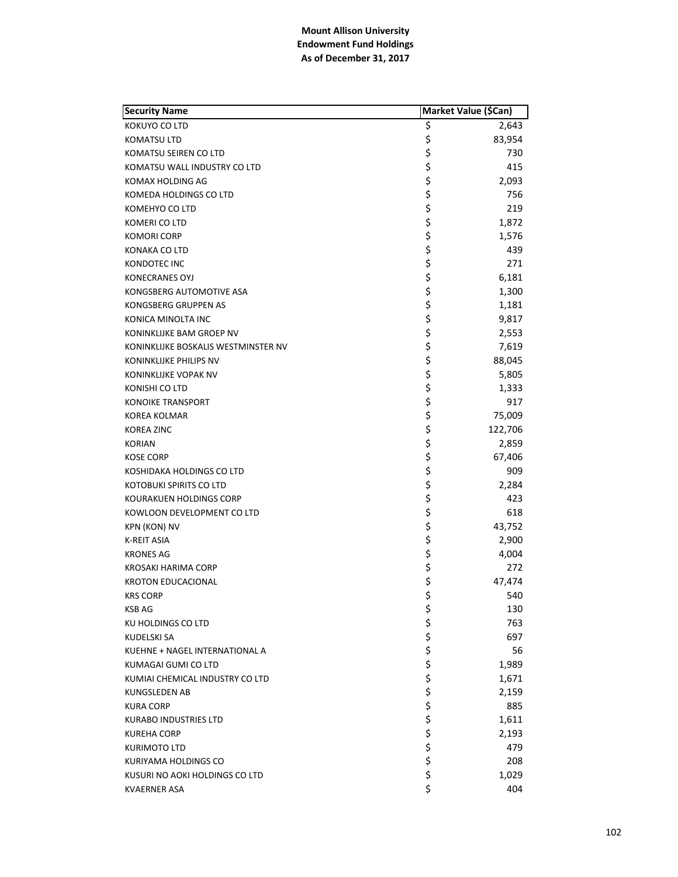| <b>Security Name</b>                | Market Value (\$Can) |         |
|-------------------------------------|----------------------|---------|
| KOKUYO CO LTD                       | Ş                    | 2,643   |
| KOMATSU LTD                         | \$                   | 83,954  |
| KOMATSU SEIREN CO LTD               | \$                   | 730     |
| KOMATSU WALL INDUSTRY CO LTD        | \$                   | 415     |
| KOMAX HOLDING AG                    | \$                   | 2,093   |
| KOMEDA HOLDINGS CO LTD              | \$                   | 756     |
| KOMEHYO CO LTD                      | \$                   | 219     |
| KOMERI CO LTD                       | \$                   | 1,872   |
| <b>KOMORI CORP</b>                  | \$                   | 1,576   |
| KONAKA CO LTD                       | \$                   | 439     |
| <b>KONDOTEC INC</b>                 | \$                   | 271     |
| <b>KONECRANES OYJ</b>               | \$                   | 6,181   |
| KONGSBERG AUTOMOTIVE ASA            | \$                   | 1,300   |
| KONGSBERG GRUPPEN AS                | \$                   | 1,181   |
| KONICA MINOLTA INC                  | \$                   | 9,817   |
| KONINKLIJKE BAM GROEP NV            | \$                   | 2,553   |
| KONINKLIJKE BOSKALIS WESTMINSTER NV | \$                   | 7,619   |
| KONINKLIJKE PHILIPS NV              | \$                   | 88,045  |
| KONINKLIJKE VOPAK NV                | \$                   | 5,805   |
| KONISHI CO LTD                      | \$                   | 1,333   |
| <b>KONOIKE TRANSPORT</b>            | \$                   | 917     |
| KOREA KOLMAR                        | \$                   | 75,009  |
| <b>KOREA ZINC</b>                   | \$                   | 122,706 |
| <b>KORIAN</b>                       | \$                   | 2,859   |
| <b>KOSE CORP</b>                    | \$                   | 67,406  |
| KOSHIDAKA HOLDINGS CO LTD           | \$                   | 909     |
| KOTOBUKI SPIRITS CO LTD             | \$                   | 2,284   |
| KOURAKUEN HOLDINGS CORP             | \$                   | 423     |
| KOWLOON DEVELOPMENT CO LTD          | \$                   | 618     |
| <b>KPN (KON) NV</b>                 | \$                   | 43,752  |
| <b>K-REIT ASIA</b>                  | \$                   | 2,900   |
| <b>KRONES AG</b>                    | \$                   | 4,004   |
| KROSAKI HARIMA CORP                 |                      | 272     |
| <b>KROTON EDUCACIONAL</b>           | \$<br>\$             | 47,474  |
| <b>KRS CORP</b>                     | \$                   | 540     |
| <b>KSB AG</b>                       | \$                   | 130     |
| KU HOLDINGS CO LTD                  |                      | 763     |
| KUDELSKI SA                         |                      | 697     |
| KUEHNE + NAGEL INTERNATIONAL A      |                      | 56      |
| KUMAGAI GUMI CO LTD                 |                      | 1,989   |
| KUMIAI CHEMICAL INDUSTRY CO LTD     |                      | 1,671   |
| KUNGSLEDEN AB                       |                      | 2,159   |
| <b>KURA CORP</b>                    |                      | 885     |
| <b>KURABO INDUSTRIES LTD</b>        |                      | 1,611   |
| <b>KUREHA CORP</b>                  |                      | 2,193   |
| <b>KURIMOTO LTD</b>                 | やややや やややや ややや        | 479     |
| KURIYAMA HOLDINGS CO                |                      | 208     |
| KUSURI NO AOKI HOLDINGS CO LTD      | \$                   | 1,029   |
| <b>KVAERNER ASA</b>                 | \$                   | 404     |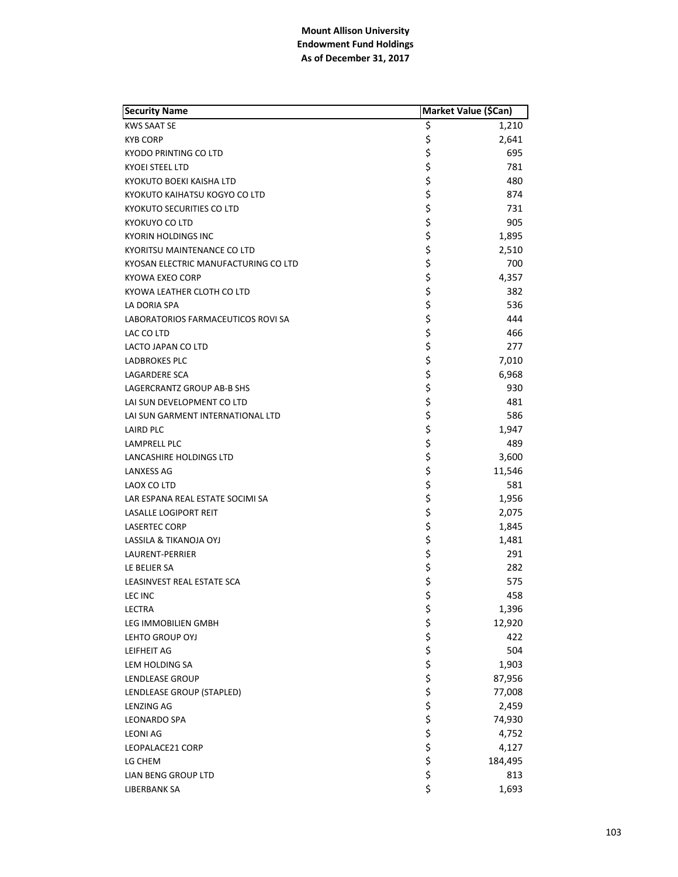| <b>Security Name</b>                 | Market Value (\$Can) |         |
|--------------------------------------|----------------------|---------|
| <b>KWS SAAT SE</b>                   | \$                   | 1,210   |
| <b>KYB CORP</b>                      | \$                   | 2,641   |
| KYODO PRINTING CO LTD                | \$                   | 695     |
| <b>KYOEI STEEL LTD</b>               | \$                   | 781     |
| KYOKUTO BOEKI KAISHA LTD             | \$                   | 480     |
| KYOKUTO KAIHATSU KOGYO CO LTD        | \$                   | 874     |
| <b>KYOKUTO SECURITIES CO LTD</b>     | \$                   | 731     |
| KYOKUYO CO LTD                       | \$                   | 905     |
| KYORIN HOLDINGS INC                  | \$                   | 1,895   |
| KYORITSU MAINTENANCE CO LTD          | \$                   | 2,510   |
| KYOSAN ELECTRIC MANUFACTURING CO LTD | \$                   | 700     |
| KYOWA EXEO CORP                      | \$                   | 4,357   |
| KYOWA LEATHER CLOTH CO LTD           | \$                   | 382     |
| LA DORIA SPA                         | \$                   | 536     |
| LABORATORIOS FARMACEUTICOS ROVI SA   | \$                   | 444     |
| LAC CO LTD                           | \$                   | 466     |
| LACTO JAPAN CO LTD                   | \$                   | 277     |
| LADBROKES PLC                        | \$                   | 7,010   |
| LAGARDERE SCA                        | \$                   | 6,968   |
| LAGERCRANTZ GROUP AB-B SHS           | \$                   | 930     |
| LAI SUN DEVELOPMENT CO LTD           | \$                   | 481     |
| LAI SUN GARMENT INTERNATIONAL LTD    | \$                   | 586     |
| LAIRD PLC                            | \$                   | 1,947   |
| LAMPRELL PLC                         | \$                   | 489     |
| LANCASHIRE HOLDINGS LTD              | \$                   | 3,600   |
| LANXESS AG                           | \$                   | 11,546  |
| LAOX CO LTD                          | \$                   | 581     |
| LAR ESPANA REAL ESTATE SOCIMI SA     | \$                   | 1,956   |
| <b>LASALLE LOGIPORT REIT</b>         | \$                   | 2,075   |
| <b>LASERTEC CORP</b>                 | \$                   | 1,845   |
| LASSILA & TIKANOJA OYJ               | \$                   | 1,481   |
| LAURENT-PERRIER                      | \$                   | 291     |
| LE BELIER SA                         | \$                   | 282     |
| LEASINVEST REAL ESTATE SCA           | \$                   | 575     |
| LEC INC                              | \$                   | 458     |
| LECTRA                               | \$                   | 1,396   |
| LEG IMMOBILIEN GMBH                  |                      | 12,920  |
| LEHTO GROUP OYJ                      |                      | 422     |
| LEIFHEIT AG                          |                      | 504     |
| LEM HOLDING SA                       |                      | 1,903   |
| LENDLEASE GROUP                      |                      | 87,956  |
| LENDLEASE GROUP (STAPLED)            |                      | 77,008  |
| <b>LENZING AG</b>                    |                      | 2,459   |
| <b>LEONARDO SPA</b>                  |                      | 74,930  |
| <b>LEONI AG</b>                      | こうそうけい こうこう          | 4,752   |
| LEOPALACE21 CORP                     |                      | 4,127   |
| LG CHEM                              |                      | 184,495 |
| LIAN BENG GROUP LTD                  |                      | 813     |
| LIBERBANK SA                         | \$                   | 1,693   |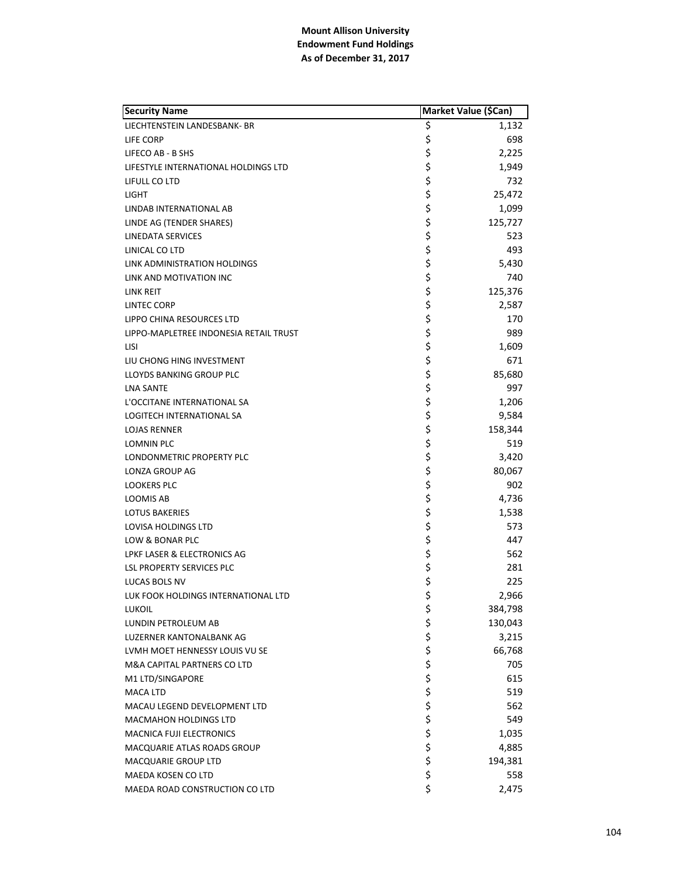| <b>Security Name</b>                   |          | Market Value (\$Can) |
|----------------------------------------|----------|----------------------|
| LIECHTENSTEIN LANDESBANK- BR           | \$       | 1,132                |
| LIFE CORP                              | \$       | 698                  |
| LIFECO AB - B SHS                      | \$       | 2,225                |
| LIFESTYLE INTERNATIONAL HOLDINGS LTD   | \$       | 1,949                |
| LIFULL CO LTD                          | \$       | 732                  |
| <b>LIGHT</b>                           | \$       | 25,472               |
| LINDAB INTERNATIONAL AB                | \$       | 1,099                |
| LINDE AG (TENDER SHARES)               | \$       | 125,727              |
| LINEDATA SERVICES                      | \$       | 523                  |
| LINICAL CO LTD                         | \$       | 493                  |
| LINK ADMINISTRATION HOLDINGS           | \$       | 5,430                |
| LINK AND MOTIVATION INC                | \$       | 740                  |
| LINK REIT                              | \$       | 125,376              |
| LINTEC CORP                            | \$       | 2,587                |
| LIPPO CHINA RESOURCES LTD              | \$       | 170                  |
| LIPPO-MAPLETREE INDONESIA RETAIL TRUST | \$       | 989                  |
| LISI                                   | \$       | 1,609                |
| LIU CHONG HING INVESTMENT              | \$       | 671                  |
| LLOYDS BANKING GROUP PLC               | \$       | 85,680               |
| <b>LNA SANTE</b>                       | \$       | 997                  |
| L'OCCITANE INTERNATIONAL SA            | \$       | 1,206                |
| LOGITECH INTERNATIONAL SA              | \$       | 9,584                |
| <b>LOJAS RENNER</b>                    | \$       | 158,344              |
| LOMNIN PLC                             | \$       | 519                  |
| LONDONMETRIC PROPERTY PLC              | \$       | 3,420                |
| <b>LONZA GROUP AG</b>                  | \$       | 80,067               |
| <b>LOOKERS PLC</b>                     | \$       | 902                  |
| LOOMIS AB                              | \$       | 4,736                |
| <b>LOTUS BAKERIES</b>                  | \$       | 1,538                |
| LOVISA HOLDINGS LTD                    | \$       | 573                  |
| LOW & BONAR PLC                        | \$       | 447                  |
| LPKF LASER & ELECTRONICS AG            | \$       | 562                  |
| LSL PROPERTY SERVICES PLC              | \$       | 281                  |
| LUCAS BOLS NV                          | \$       | 225                  |
| LUK FOOK HOLDINGS INTERNATIONAL LTD    | \$       | 2,966                |
| <b>LUKOIL</b>                          | \$       | 384,798              |
| LUNDIN PETROLEUM AB                    |          | 130,043              |
| LUZERNER KANTONALBANK AG               | ややや ややや  | 3,215                |
| LVMH MOET HENNESSY LOUIS VU SE         |          | 66,768               |
| M&A CAPITAL PARTNERS CO LTD            |          | 705                  |
| M1 LTD/SINGAPORE                       |          | 615                  |
| <b>MACA LTD</b>                        |          | 519                  |
| MACAU LEGEND DEVELOPMENT LTD           |          | 562                  |
| <b>MACMAHON HOLDINGS LTD</b>           | \$       | 549                  |
| <b>MACNICA FUJI ELECTRONICS</b>        |          | 1,035                |
| MACQUARIE ATLAS ROADS GROUP            | \$<br>\$ | 4,885                |
| <b>MACQUARIE GROUP LTD</b>             | \$       | 194,381              |
| MAEDA KOSEN CO LTD                     | \$       | 558                  |
| MAEDA ROAD CONSTRUCTION CO LTD         | \$       | 2,475                |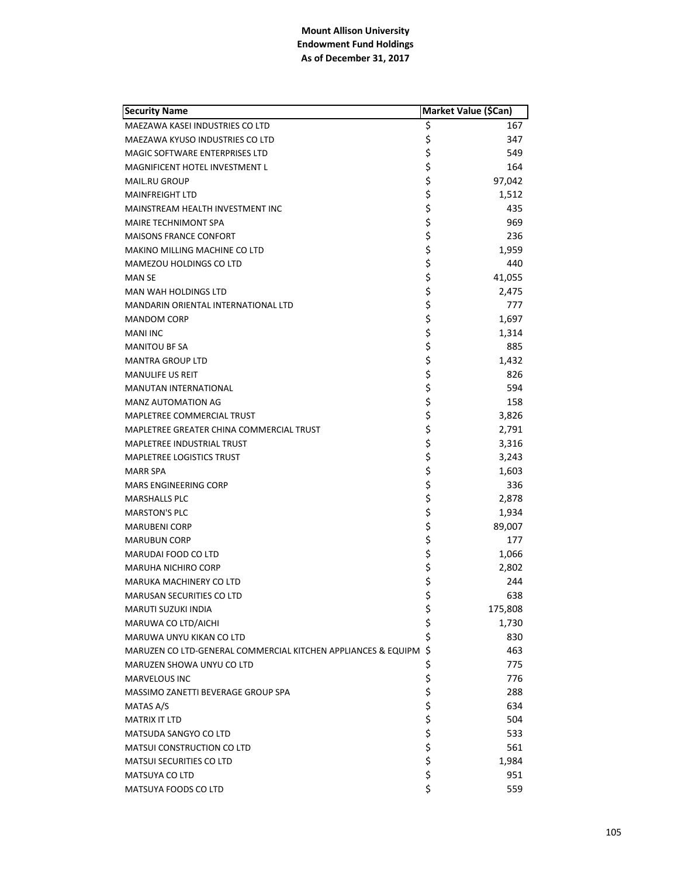| <b>Security Name</b>                                          |       | Market Value (\$Can) |
|---------------------------------------------------------------|-------|----------------------|
| MAEZAWA KASEI INDUSTRIES CO LTD                               | \$    | 167                  |
| MAEZAWA KYUSO INDUSTRIES CO LTD                               | \$    | 347                  |
| MAGIC SOFTWARE ENTERPRISES LTD                                | \$    | 549                  |
| <b>MAGNIFICENT HOTEL INVESTMENT L</b>                         | \$    | 164                  |
| <b>MAIL.RU GROUP</b>                                          | \$    | 97,042               |
| <b>MAINFREIGHT LTD</b>                                        | \$    | 1,512                |
| MAINSTREAM HEALTH INVESTMENT INC                              | \$    | 435                  |
| MAIRE TECHNIMONT SPA                                          | \$    | 969                  |
| <b>MAISONS FRANCE CONFORT</b>                                 | \$    | 236                  |
| MAKINO MILLING MACHINE CO LTD                                 | \$    | 1,959                |
| <b>MAMEZOU HOLDINGS CO LTD</b>                                | \$    | 440                  |
| <b>MAN SE</b>                                                 | \$    | 41,055               |
| <b>MAN WAH HOLDINGS LTD</b>                                   | \$    | 2,475                |
| MANDARIN ORIENTAL INTERNATIONAL LTD                           | \$    | 777                  |
| <b>MANDOM CORP</b>                                            | \$    | 1,697                |
| <b>MANI INC</b>                                               | \$    | 1,314                |
| <b>MANITOU BF SA</b>                                          | \$    | 885                  |
| <b>MANTRA GROUP LTD</b>                                       | \$    | 1,432                |
| <b>MANULIFE US REIT</b>                                       | \$    | 826                  |
| <b>MANUTAN INTERNATIONAL</b>                                  | \$    | 594                  |
| MANZ AUTOMATION AG                                            | \$    | 158                  |
| MAPLETREE COMMERCIAL TRUST                                    | \$    | 3,826                |
| MAPLETREE GREATER CHINA COMMERCIAL TRUST                      | \$    | 2,791                |
| MAPLETREE INDUSTRIAL TRUST                                    | \$    | 3,316                |
| <b>MAPLETREE LOGISTICS TRUST</b>                              | \$    | 3,243                |
| <b>MARR SPA</b>                                               | \$    | 1,603                |
| <b>MARS ENGINEERING CORP</b>                                  | \$    | 336                  |
| <b>MARSHALLS PLC</b>                                          | \$    | 2,878                |
| <b>MARSTON'S PLC</b>                                          | \$    | 1,934                |
| <b>MARUBENI CORP</b>                                          | \$    | 89,007               |
| <b>MARUBUN CORP</b>                                           | \$    | 177                  |
| MARUDAI FOOD CO LTD                                           | \$    | 1,066                |
| <b>MARUHA NICHIRO CORP</b>                                    | \$    | 2,802                |
| MARUKA MACHINERY CO LTD                                       | \$    | 244                  |
| <b>MARUSAN SECURITIES CO LTD</b>                              | \$    | 638                  |
| MARUTI SUZUKI INDIA                                           | \$    | 175,808              |
| MARUWA CO LTD/AICHI                                           | \$    | 1,730                |
| MARUWA UNYU KIKAN CO LTD                                      | \$    | 830                  |
| MARUZEN CO LTD-GENERAL COMMERCIAL KITCHEN APPLIANCES & EQUIPM | \$    | 463                  |
| MARUZEN SHOWA UNYU CO LTD                                     | \$    | 775                  |
| <b>MARVELOUS INC</b>                                          |       | 776                  |
| MASSIMO ZANETTI BEVERAGE GROUP SPA                            |       | 288                  |
| MATAS A/S                                                     |       | 634                  |
| <b>MATRIX IT LTD</b>                                          |       | 504                  |
| MATSUDA SANGYO CO LTD                                         |       | 533                  |
| <b>MATSUI CONSTRUCTION CO LTD</b>                             | ちゃちちち | 561                  |
| <b>MATSUI SECURITIES CO LTD</b>                               |       | 1,984                |
| MATSUYA CO LTD                                                | \$    | 951                  |
| MATSUYA FOODS CO LTD                                          | \$    | 559                  |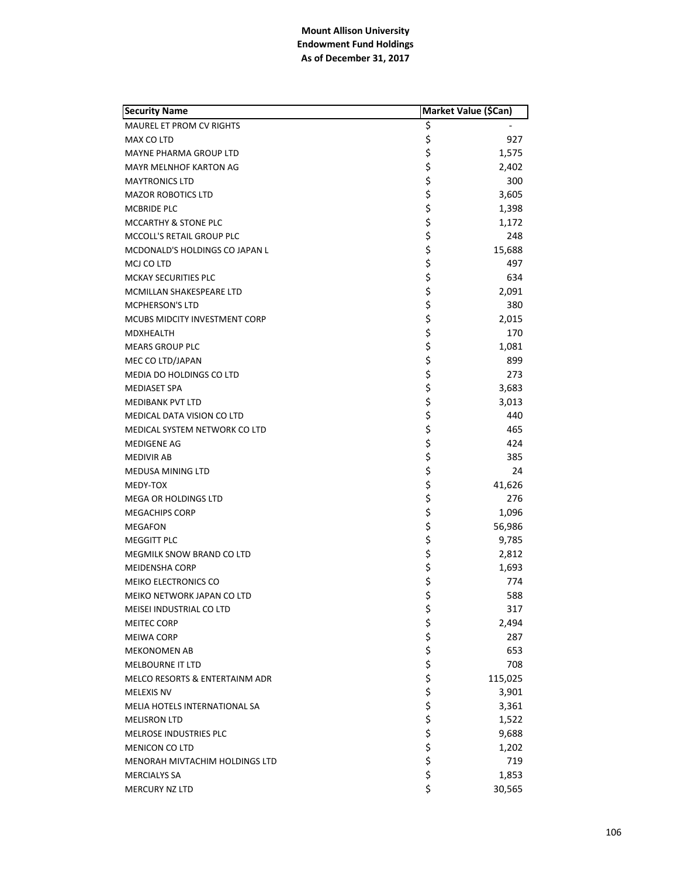| <b>Security Name</b>                 |         | Market Value (\$Can) |  |
|--------------------------------------|---------|----------------------|--|
| MAUREL ET PROM CV RIGHTS             | \$      |                      |  |
| MAX CO LTD                           | \$      | 927                  |  |
| MAYNE PHARMA GROUP LTD               | \$      | 1,575                |  |
| <b>MAYR MELNHOF KARTON AG</b>        | \$      | 2,402                |  |
| <b>MAYTRONICS LTD</b>                | \$      | 300                  |  |
| <b>MAZOR ROBOTICS LTD</b>            | \$      | 3,605                |  |
| MCBRIDE PLC                          | \$      | 1,398                |  |
| MCCARTHY & STONE PLC                 | \$      | 1,172                |  |
| MCCOLL'S RETAIL GROUP PLC            | \$      | 248                  |  |
| MCDONALD'S HOLDINGS CO JAPAN L       | \$      | 15,688               |  |
| MCJ CO LTD                           | \$      | 497                  |  |
| <b>MCKAY SECURITIES PLC</b>          | \$      | 634                  |  |
| MCMILLAN SHAKESPEARE LTD             | \$      | 2,091                |  |
| <b>MCPHERSON'S LTD</b>               | \$      | 380                  |  |
| <b>MCUBS MIDCITY INVESTMENT CORP</b> | \$      | 2,015                |  |
| <b>MDXHEALTH</b>                     | \$      | 170                  |  |
| <b>MEARS GROUP PLC</b>               | \$      | 1,081                |  |
| MEC CO LTD/JAPAN                     | \$      | 899                  |  |
| MEDIA DO HOLDINGS CO LTD             | \$      | 273                  |  |
| <b>MEDIASET SPA</b>                  | \$      | 3,683                |  |
| <b>MEDIBANK PVT LTD</b>              | \$      | 3,013                |  |
| MEDICAL DATA VISION CO LTD           | \$      | 440                  |  |
| MEDICAL SYSTEM NETWORK CO LTD        | \$      | 465                  |  |
| MEDIGENE AG                          | \$      | 424                  |  |
| <b>MEDIVIR AB</b>                    | \$      | 385                  |  |
| <b>MEDUSA MINING LTD</b>             | \$      | 24                   |  |
| MEDY-TOX                             | \$      | 41,626               |  |
| <b>MEGA OR HOLDINGS LTD</b>          | \$      | 276                  |  |
| <b>MEGACHIPS CORP</b>                | \$      | 1,096                |  |
| <b>MEGAFON</b>                       | \$      | 56,986               |  |
| <b>MEGGITT PLC</b>                   | \$      | 9,785                |  |
| MEGMILK SNOW BRAND CO LTD            | \$      | 2,812                |  |
| <b>MEIDENSHA CORP</b>                | \$      | 1,693                |  |
| MEIKO ELECTRONICS CO                 | \$      | 774                  |  |
| MEIKO NETWORK JAPAN CO LTD           | \$      | 588                  |  |
| MEISEI INDUSTRIAL CO LTD             | \$      | 317                  |  |
| <b>MEITEC CORP</b>                   |         | 2,494                |  |
| <b>MEIWA CORP</b>                    |         | 287                  |  |
| <b>MEKONOMEN AB</b>                  | ややみ ややや | 653                  |  |
| <b>MELBOURNE IT LTD</b>              |         | 708                  |  |
| MELCO RESORTS & ENTERTAINM ADR       |         | 115,025              |  |
| <b>MELEXIS NV</b>                    |         | 3,901                |  |
| MELIA HOTELS INTERNATIONAL SA        |         | 3,361                |  |
| <b>MELISRON LTD</b>                  | \$      | 1,522                |  |
| MELROSE INDUSTRIES PLC               | \$      | 9,688                |  |
| <b>MENICON CO LTD</b>                | \$      | 1,202                |  |
| MENORAH MIVTACHIM HOLDINGS LTD       | \$      | 719                  |  |
| <b>MERCIALYS SA</b>                  | \$      | 1,853                |  |
| MERCURY NZ LTD                       | \$      | 30,565               |  |
|                                      |         |                      |  |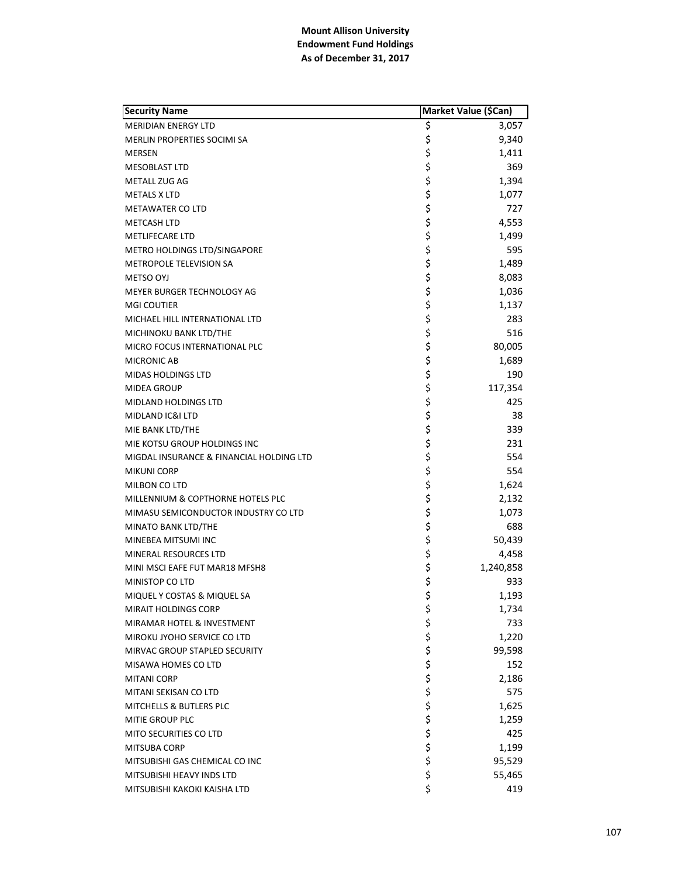| <b>Security Name</b>                     | Market Value (\$Can) |           |
|------------------------------------------|----------------------|-----------|
| <b>MERIDIAN ENERGY LTD</b>               | \$                   | 3,057     |
| MERLIN PROPERTIES SOCIMI SA              | \$                   | 9,340     |
| MERSEN                                   | \$                   | 1,411     |
| <b>MESOBLAST LTD</b>                     | \$                   | 369       |
| METALL ZUG AG                            | \$                   | 1,394     |
| <b>METALS X LTD</b>                      | \$                   | 1,077     |
| <b>METAWATER CO LTD</b>                  | \$                   | 727       |
| <b>METCASH LTD</b>                       | \$                   | 4,553     |
| <b>METLIFECARE LTD</b>                   | \$                   | 1,499     |
| METRO HOLDINGS LTD/SINGAPORE             | \$                   | 595       |
| METROPOLE TELEVISION SA                  | \$                   | 1,489     |
| METSO OYJ                                | \$                   | 8,083     |
| MEYER BURGER TECHNOLOGY AG               | \$                   | 1,036     |
| <b>MGI COUTIER</b>                       | \$                   | 1,137     |
| MICHAEL HILL INTERNATIONAL LTD           | \$                   | 283       |
| MICHINOKU BANK LTD/THE                   | \$                   | 516       |
| MICRO FOCUS INTERNATIONAL PLC            | \$                   | 80,005    |
| <b>MICRONIC AB</b>                       | \$                   | 1,689     |
| <b>MIDAS HOLDINGS LTD</b>                | \$                   | 190       |
| <b>MIDEA GROUP</b>                       | \$                   | 117,354   |
| <b>MIDLAND HOLDINGS LTD</b>              | \$                   | 425       |
| MIDLAND IC&I LTD                         | \$                   | 38        |
| MIE BANK LTD/THE                         | \$                   | 339       |
| MIE KOTSU GROUP HOLDINGS INC             | \$                   | 231       |
| MIGDAL INSURANCE & FINANCIAL HOLDING LTD | \$                   | 554       |
| <b>MIKUNI CORP</b>                       | \$                   | 554       |
| MILBON CO LTD                            | \$                   | 1,624     |
| MILLENNIUM & COPTHORNE HOTELS PLC        | \$                   | 2,132     |
| MIMASU SEMICONDUCTOR INDUSTRY CO LTD     | \$                   | 1,073     |
| MINATO BANK LTD/THE                      | \$                   | 688       |
| MINEBEA MITSUMI INC                      | \$                   | 50,439    |
| MINERAL RESOURCES LTD                    | \$                   | 4,458     |
| MINI MSCI EAFE FUT MAR18 MFSH8           | \$                   | 1,240,858 |
| MINISTOP CO LTD                          | \$                   | 933       |
| MIQUEL Y COSTAS & MIQUEL SA              | \$                   | 1,193     |
| <b>MIRAIT HOLDINGS CORP</b>              | \$                   | 1,734     |
| MIRAMAR HOTEL & INVESTMENT               |                      | 733       |
| MIROKU JYOHO SERVICE CO LTD              |                      | 1,220     |
| MIRVAC GROUP STAPLED SECURITY            |                      | 99,598    |
| MISAWA HOMES CO LTD                      | ややや ややや              | 152       |
| <b>MITANI CORP</b>                       |                      | 2,186     |
| MITANI SEKISAN CO LTD                    |                      | 575       |
| MITCHELLS & BUTLERS PLC                  |                      | 1,625     |
| MITIE GROUP PLC                          |                      | 1,259     |
| <b>MITO SECURITIES CO LTD</b>            |                      | 425       |
| <b>MITSUBA CORP</b>                      | \$ \$ \$ \$          | 1,199     |
| MITSUBISHI GAS CHEMICAL CO INC           |                      | 95,529    |
| MITSUBISHI HEAVY INDS LTD                | \$                   | 55,465    |
| MITSUBISHI KAKOKI KAISHA LTD             | \$                   | 419       |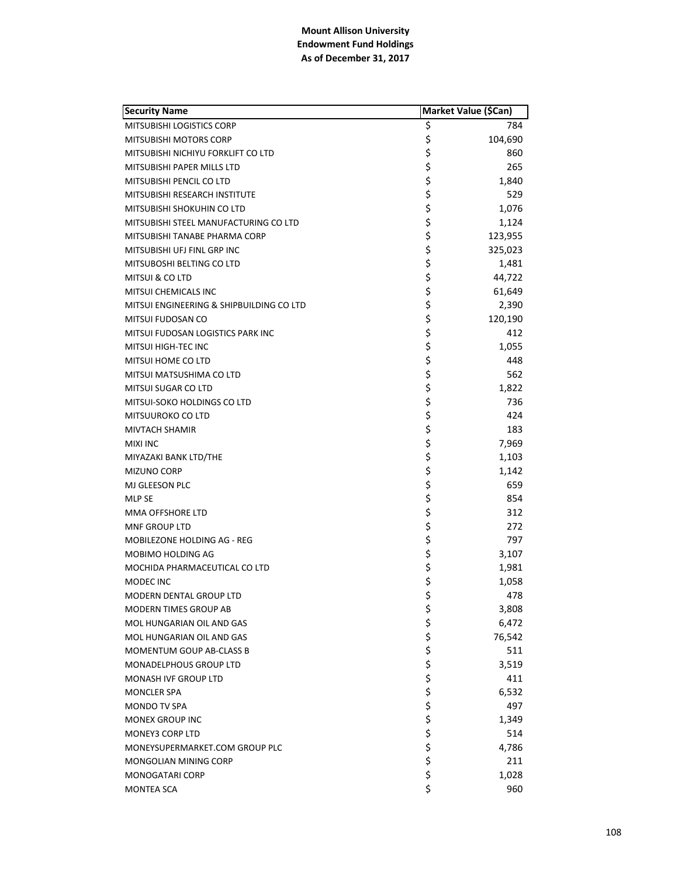| <b>Security Name</b>                     | Market Value (\$Can) |         |
|------------------------------------------|----------------------|---------|
| MITSUBISHI LOGISTICS CORP                | \$                   | 784     |
| MITSUBISHI MOTORS CORP                   | \$                   | 104,690 |
| MITSUBISHI NICHIYU FORKLIFT CO LTD       | \$                   | 860     |
| MITSUBISHI PAPER MILLS LTD               | \$                   | 265     |
| MITSUBISHI PENCIL CO LTD                 | \$                   | 1,840   |
| MITSUBISHI RESEARCH INSTITUTE            | \$                   | 529     |
| MITSUBISHI SHOKUHIN CO LTD               | \$                   | 1,076   |
| MITSUBISHI STEEL MANUFACTURING CO LTD    | \$                   | 1,124   |
| MITSUBISHI TANABE PHARMA CORP            | \$                   | 123,955 |
| MITSUBISHI UFJ FINL GRP INC              | \$                   | 325,023 |
| MITSUBOSHI BELTING CO LTD                | \$                   | 1,481   |
| MITSUI & CO LTD                          | \$                   | 44,722  |
| <b>MITSUI CHEMICALS INC</b>              | \$                   | 61,649  |
| MITSUI ENGINEERING & SHIPBUILDING CO LTD | \$                   | 2,390   |
| MITSUI FUDOSAN CO                        | \$                   | 120,190 |
| MITSUI FUDOSAN LOGISTICS PARK INC        | \$                   | 412     |
| MITSUI HIGH-TEC INC                      | \$                   | 1,055   |
| MITSUI HOME CO LTD                       | \$                   | 448     |
| MITSUI MATSUSHIMA CO LTD                 | \$                   | 562     |
| MITSUI SUGAR CO LTD                      | \$                   | 1,822   |
| MITSUI-SOKO HOLDINGS CO LTD              | \$                   | 736     |
| MITSUUROKO CO LTD                        | \$                   | 424     |
| <b>MIVTACH SHAMIR</b>                    | \$                   | 183     |
| <b>MIXI INC</b>                          | \$                   | 7,969   |
| MIYAZAKI BANK LTD/THE                    | \$                   | 1,103   |
| <b>MIZUNO CORP</b>                       | \$                   | 1,142   |
| MJ GLEESON PLC                           | \$                   | 659     |
| MLP SE                                   | \$                   | 854     |
| MMA OFFSHORE LTD                         | \$                   | 312     |
| <b>MNF GROUP LTD</b>                     | \$                   | 272     |
| MOBILEZONE HOLDING AG - REG              | \$                   | 797     |
| MOBIMO HOLDING AG                        | \$                   | 3,107   |
| MOCHIDA PHARMACEUTICAL CO LTD            | \$                   | 1,981   |
| MODEC INC                                | \$                   | 1,058   |
| <b>MODERN DENTAL GROUP LTD</b>           | \$                   | 478     |
| MODERN TIMES GROUP AB                    | \$                   | 3,808   |
| MOL HUNGARIAN OIL AND GAS                | \$                   | 6,472   |
| MOL HUNGARIAN OIL AND GAS                | \$                   | 76,542  |
| MOMENTUM GOUP AB-CLASS B                 | \$                   | 511     |
| <b>MONADELPHOUS GROUP LTD</b>            |                      | 3,519   |
| <b>MONASH IVF GROUP LTD</b>              |                      | 411     |
| <b>MONCLER SPA</b>                       |                      | 6,532   |
| MONDO TV SPA                             |                      | 497     |
| <b>MONEX GROUP INC</b>                   |                      | 1,349   |
| <b>MONEY3 CORP LTD</b>                   |                      | 514     |
| MONEYSUPERMARKET.COM GROUP PLC           | やややみ ややや             | 4,786   |
| MONGOLIAN MINING CORP                    |                      | 211     |
| <b>MONOGATARI CORP</b>                   | \$                   | 1,028   |
| <b>MONTEA SCA</b>                        | \$                   | 960     |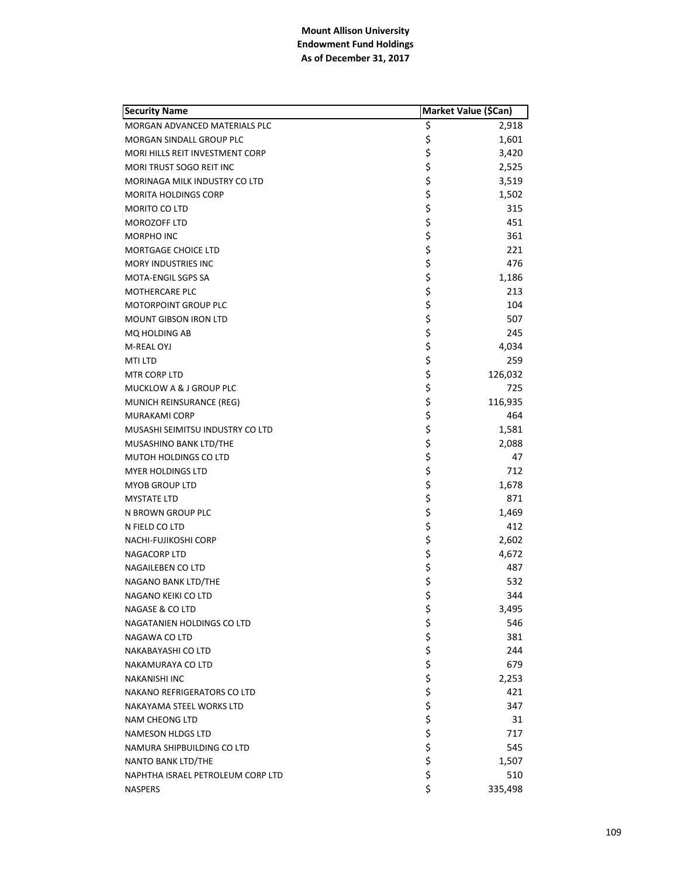| <b>Security Name</b>              | Market Value (\$Can) |         |
|-----------------------------------|----------------------|---------|
| MORGAN ADVANCED MATERIALS PLC     | \$                   | 2,918   |
| <b>MORGAN SINDALL GROUP PLC</b>   | \$                   | 1,601   |
| MORI HILLS REIT INVESTMENT CORP   | \$                   | 3,420   |
| MORI TRUST SOGO REIT INC          | \$                   | 2,525   |
| MORINAGA MILK INDUSTRY CO LTD     | \$                   | 3,519   |
| <b>MORITA HOLDINGS CORP</b>       | \$                   | 1,502   |
| MORITO CO LTD                     | \$                   | 315     |
| <b>MOROZOFF LTD</b>               | \$                   | 451     |
| MORPHO INC                        | \$                   | 361     |
| <b>MORTGAGE CHOICE LTD</b>        | \$                   | 221     |
| <b>MORY INDUSTRIES INC</b>        | \$                   | 476     |
| MOTA-ENGIL SGPS SA                | \$                   | 1,186   |
| MOTHERCARE PLC                    | \$                   | 213     |
| <b>MOTORPOINT GROUP PLC</b>       | \$                   | 104     |
| MOUNT GIBSON IRON LTD             | \$                   | 507     |
| <b>MQ HOLDING AB</b>              | \$                   | 245     |
| M-REAL OYJ                        | \$                   | 4,034   |
| <b>MTI LTD</b>                    | \$                   | 259     |
| MTR CORP LTD                      | \$                   | 126,032 |
| MUCKLOW A & J GROUP PLC           | \$                   | 725     |
| MUNICH REINSURANCE (REG)          | \$                   | 116,935 |
| <b>MURAKAMI CORP</b>              | \$                   | 464     |
| MUSASHI SEIMITSU INDUSTRY CO LTD  | \$                   | 1,581   |
| MUSASHINO BANK LTD/THE            | \$                   | 2,088   |
| MUTOH HOLDINGS CO LTD             | \$                   | 47      |
| <b>MYER HOLDINGS LTD</b>          | \$<br>\$             | 712     |
| <b>MYOB GROUP LTD</b>             |                      | 1,678   |
| <b>MYSTATE LTD</b>                | \$                   | 871     |
| N BROWN GROUP PLC                 | \$                   | 1,469   |
| N FIELD CO LTD                    | \$                   | 412     |
| NACHI-FUJIKOSHI CORP              | \$                   | 2,602   |
| NAGACORP LTD                      | \$                   | 4,672   |
| NAGAILEBEN CO LTD                 | \$<br>\$             | 487     |
| NAGANO BANK LTD/THE               |                      | 532     |
| NAGANO KEIKI CO LTD               | \$                   | 344     |
| <b>NAGASE &amp; CO LTD</b>        | \$                   | 3,495   |
| NAGATANIEN HOLDINGS CO LTD        | ちらさささ                | 546     |
| NAGAWA CO LTD                     |                      | 381     |
| NAKABAYASHI CO LTD                |                      | 244     |
| NAKAMURAYA CO LTD                 |                      | 679     |
| <b>NAKANISHI INC</b>              |                      | 2,253   |
| NAKANO REFRIGERATORS CO LTD       |                      | 421     |
| NAKAYAMA STEEL WORKS LTD          |                      | 347     |
| <b>NAM CHEONG LTD</b>             |                      | 31      |
| <b>NAMESON HLDGS LTD</b>          |                      | 717     |
| NAMURA SHIPBUILDING CO LTD        | \$\$\$\$             | 545     |
| NANTO BANK LTD/THE                |                      | 1,507   |
| NAPHTHA ISRAEL PETROLEUM CORP LTD | \$                   | 510     |
| <b>NASPERS</b>                    | \$                   | 335,498 |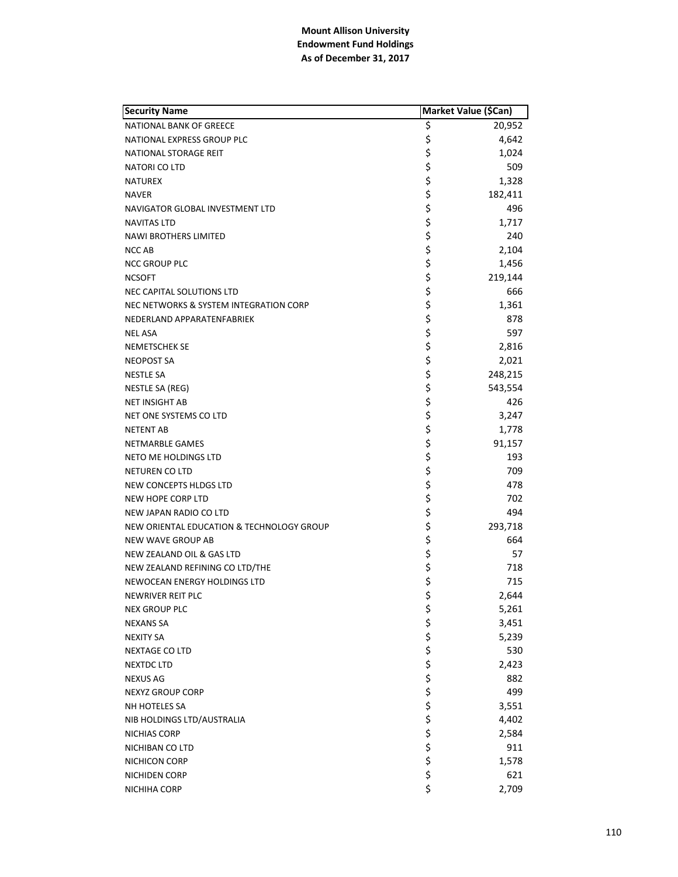| <b>Security Name</b>                      | Market Value (\$Can) |         |
|-------------------------------------------|----------------------|---------|
| <b>NATIONAL BANK OF GREECE</b>            | \$                   | 20,952  |
| NATIONAL EXPRESS GROUP PLC                | \$                   | 4,642   |
| NATIONAL STORAGE REIT                     | \$                   | 1,024   |
| NATORI CO LTD                             | \$                   | 509     |
| <b>NATUREX</b>                            | \$                   | 1,328   |
| <b>NAVER</b>                              | \$                   | 182,411 |
| NAVIGATOR GLOBAL INVESTMENT LTD           | \$                   | 496     |
| <b>NAVITAS LTD</b>                        | \$                   | 1,717   |
| <b>NAWI BROTHERS LIMITED</b>              | \$                   | 240     |
| <b>NCC AB</b>                             | \$                   | 2,104   |
| <b>NCC GROUP PLC</b>                      | \$                   | 1,456   |
| <b>NCSOFT</b>                             | \$                   | 219,144 |
| NEC CAPITAL SOLUTIONS LTD                 | \$                   | 666     |
| NEC NETWORKS & SYSTEM INTEGRATION CORP    | \$                   | 1,361   |
| NEDERLAND APPARATENFABRIEK                | \$                   | 878     |
| <b>NEL ASA</b>                            | \$                   | 597     |
| <b>NEMETSCHEK SE</b>                      | \$                   | 2,816   |
| <b>NEOPOST SA</b>                         | \$                   | 2,021   |
| <b>NESTLE SA</b>                          | \$                   | 248,215 |
| NESTLE SA (REG)                           | \$                   | 543,554 |
| <b>NET INSIGHT AB</b>                     | \$                   | 426     |
| NET ONE SYSTEMS CO LTD                    | \$                   | 3,247   |
| <b>NETENT AB</b>                          | \$                   | 1,778   |
| NETMARBLE GAMES                           | \$                   | 91,157  |
| NETO ME HOLDINGS LTD                      | \$                   | 193     |
| <b>NETUREN CO LTD</b>                     | \$                   | 709     |
| NEW CONCEPTS HLDGS LTD                    | \$                   | 478     |
| NEW HOPE CORP LTD                         | \$                   | 702     |
| NEW JAPAN RADIO CO LTD                    | \$                   | 494     |
| NEW ORIENTAL EDUCATION & TECHNOLOGY GROUP | \$                   | 293,718 |
| <b>NEW WAVE GROUP AB</b>                  | \$                   | 664     |
| NEW ZEALAND OIL & GAS LTD                 | \$                   | 57      |
| NEW ZEALAND REFINING CO LTD/THE           | \$                   | 718     |
| NEWOCEAN ENERGY HOLDINGS LTD              | \$                   | 715     |
| NEWRIVER REIT PLC                         | \$                   | 2,644   |
| <b>NEX GROUP PLC</b>                      |                      | 5,261   |
| <b>NEXANS SA</b>                          |                      | 3,451   |
| <b>NEXITY SA</b>                          |                      | 5,239   |
| <b>NEXTAGE CO LTD</b>                     |                      | 530     |
| <b>NEXTDC LTD</b>                         |                      | 2,423   |
| <b>NEXUS AG</b>                           |                      | 882     |
| NEXYZ GROUP CORP                          |                      | 499     |
| NH HOTELES SA                             |                      | 3,551   |
| NIB HOLDINGS LTD/AUSTRALIA                |                      | 4,402   |
| NICHIAS CORP                              |                      | 2,584   |
| NICHIBAN CO LTD                           |                      | 911     |
| NICHICON CORP                             |                      | 1,578   |
| NICHIDEN CORP                             | さらそうな そうそうそう         | 621     |
| NICHIHA CORP                              | $\ddot{\varsigma}$   | 2,709   |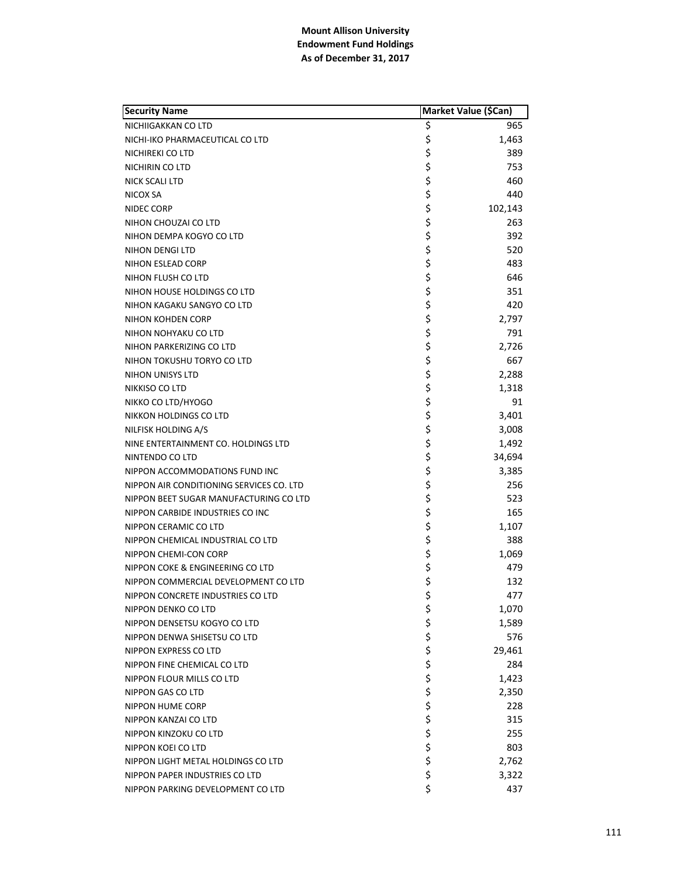| <b>Security Name</b>                     | Market Value (\$Can) |         |
|------------------------------------------|----------------------|---------|
| NICHIIGAKKAN CO LTD                      | \$                   | 965     |
| NICHI-IKO PHARMACEUTICAL CO LTD          | \$                   | 1,463   |
| NICHIREKI CO LTD                         | \$                   | 389     |
| NICHIRIN CO LTD                          | \$                   | 753     |
| <b>NICK SCALI LTD</b>                    | \$                   | 460     |
| NICOX SA                                 | \$                   | 440     |
| NIDEC CORP                               | \$                   | 102,143 |
| NIHON CHOUZAI CO LTD                     | \$                   | 263     |
| NIHON DEMPA KOGYO CO LTD                 | \$                   | 392     |
| NIHON DENGI LTD                          | \$                   | 520     |
| NIHON ESLEAD CORP                        | \$                   | 483     |
| NIHON FLUSH CO LTD                       | \$                   | 646     |
| NIHON HOUSE HOLDINGS CO LTD              | \$                   | 351     |
| NIHON KAGAKU SANGYO CO LTD               | \$                   | 420     |
| NIHON KOHDEN CORP                        | \$                   | 2,797   |
| NIHON NOHYAKU CO LTD                     | \$                   | 791     |
| NIHON PARKERIZING CO LTD                 | \$                   | 2,726   |
| NIHON TOKUSHU TORYO CO LTD               | \$                   | 667     |
| NIHON UNISYS LTD                         | \$                   | 2,288   |
| NIKKISO CO LTD                           | \$                   | 1,318   |
| NIKKO CO LTD/HYOGO                       | \$                   | 91      |
| NIKKON HOLDINGS CO LTD                   | \$                   | 3,401   |
| NILFISK HOLDING A/S                      | \$                   | 3,008   |
| NINE ENTERTAINMENT CO. HOLDINGS LTD      | \$                   | 1,492   |
| NINTENDO CO LTD                          | \$                   | 34,694  |
| NIPPON ACCOMMODATIONS FUND INC           | \$                   | 3,385   |
| NIPPON AIR CONDITIONING SERVICES CO. LTD | \$                   | 256     |
| NIPPON BEET SUGAR MANUFACTURING CO LTD   | \$                   | 523     |
| NIPPON CARBIDE INDUSTRIES CO INC         | \$                   | 165     |
| NIPPON CERAMIC CO LTD                    | \$                   | 1,107   |
| NIPPON CHEMICAL INDUSTRIAL CO LTD        | \$                   | 388     |
| NIPPON CHEMI-CON CORP                    | \$                   | 1,069   |
| NIPPON COKE & ENGINEERING CO LTD         | \$                   | 479     |
| NIPPON COMMERCIAL DEVELOPMENT CO LTD     | \$                   | 132     |
| NIPPON CONCRETE INDUSTRIES CO LTD        | \$                   | 477     |
| NIPPON DENKO CO LTD                      | \$                   | 1,070   |
| NIPPON DENSETSU KOGYO CO LTD             |                      | 1,589   |
| NIPPON DENWA SHISETSU CO LTD             | さやや ややや              | 576     |
| NIPPON EXPRESS CO LTD                    |                      | 29,461  |
| NIPPON FINE CHEMICAL CO LTD              |                      | 284     |
| NIPPON FLOUR MILLS CO LTD                |                      | 1,423   |
| NIPPON GAS CO LTD                        |                      | 2,350   |
| <b>NIPPON HUME CORP</b>                  |                      | 228     |
| NIPPON KANZAI CO LTD                     |                      | 315     |
| NIPPON KINZOKU CO LTD                    |                      | 255     |
| NIPPON KOEI CO LTD                       | \$ \$ \$ \$          | 803     |
| NIPPON LIGHT METAL HOLDINGS CO LTD       |                      | 2,762   |
| NIPPON PAPER INDUSTRIES CO LTD           | \$                   | 3,322   |
| NIPPON PARKING DEVELOPMENT CO LTD        | \$                   | 437     |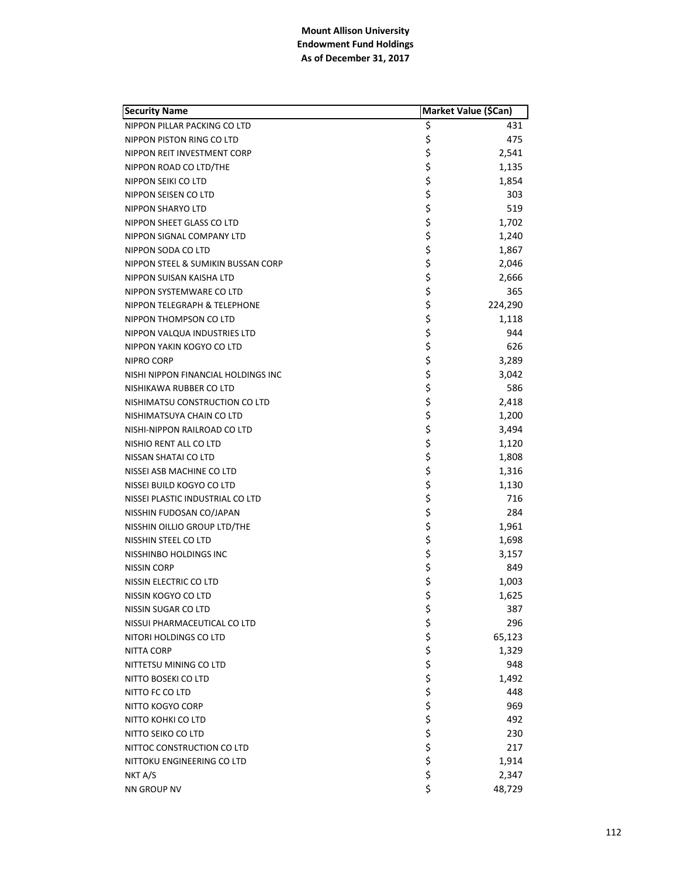| <b>Security Name</b>                | Market Value (\$Can) |         |
|-------------------------------------|----------------------|---------|
| NIPPON PILLAR PACKING CO LTD        | \$                   | 431     |
| NIPPON PISTON RING CO LTD           | \$                   | 475     |
| NIPPON REIT INVESTMENT CORP         | \$                   | 2,541   |
| NIPPON ROAD CO LTD/THE              | \$                   | 1,135   |
| NIPPON SEIKI CO LTD                 | \$                   | 1,854   |
| NIPPON SEISEN CO LTD                | \$                   | 303     |
| NIPPON SHARYO LTD                   | \$                   | 519     |
| NIPPON SHEET GLASS CO LTD           | \$                   | 1,702   |
| NIPPON SIGNAL COMPANY LTD           | \$                   | 1,240   |
| NIPPON SODA CO LTD                  | \$                   | 1,867   |
| NIPPON STEEL & SUMIKIN BUSSAN CORP  | \$                   | 2,046   |
| NIPPON SUISAN KAISHA LTD            | \$                   | 2,666   |
| NIPPON SYSTEMWARE CO LTD            | \$                   | 365     |
| NIPPON TELEGRAPH & TELEPHONE        | \$                   | 224,290 |
| NIPPON THOMPSON CO LTD              | \$                   | 1,118   |
| NIPPON VALQUA INDUSTRIES LTD        | \$                   | 944     |
| NIPPON YAKIN KOGYO CO LTD           | \$                   | 626     |
| NIPRO CORP                          | \$                   | 3,289   |
| NISHI NIPPON FINANCIAL HOLDINGS INC | \$                   | 3,042   |
| NISHIKAWA RUBBER CO LTD             | \$                   | 586     |
| NISHIMATSU CONSTRUCTION CO LTD      | \$                   | 2,418   |
| NISHIMATSUYA CHAIN CO LTD           | \$                   | 1,200   |
| NISHI-NIPPON RAILROAD CO LTD        | \$                   | 3,494   |
| NISHIO RENT ALL CO LTD              | \$                   | 1,120   |
| NISSAN SHATAI CO LTD                | \$                   | 1,808   |
| NISSEI ASB MACHINE CO LTD           | \$                   | 1,316   |
| NISSEI BUILD KOGYO CO LTD           | \$                   | 1,130   |
| NISSEI PLASTIC INDUSTRIAL CO LTD    | \$                   | 716     |
| NISSHIN FUDOSAN CO/JAPAN            | \$                   | 284     |
| NISSHIN OILLIO GROUP LTD/THE        | \$                   | 1,961   |
| NISSHIN STEEL CO LTD                | \$                   | 1,698   |
| NISSHINBO HOLDINGS INC              | \$                   | 3,157   |
| NISSIN CORP                         | \$                   | 849     |
| NISSIN ELECTRIC CO LTD              | \$                   | 1,003   |
| NISSIN KOGYO CO LTD                 | \$                   | 1,625   |
| NISSIN SUGAR CO LTD                 | \$                   | 387     |
| NISSUI PHARMACEUTICAL CO LTD        |                      | 296     |
| NITORI HOLDINGS CO LTD              |                      | 65,123  |
| NITTA CORP                          |                      | 1,329   |
| NITTETSU MINING CO LTD              |                      | 948     |
| NITTO BOSEKI CO LTD                 |                      | 1,492   |
| NITTO FC CO LTD                     |                      | 448     |
| NITTO KOGYO CORP                    |                      | 969     |
| NITTO KOHKI CO LTD                  |                      | 492     |
| NITTO SEIKO CO LTD                  |                      | 230     |
| NITTOC CONSTRUCTION CO LTD          | ぐぐぐぐぐぐ               | 217     |
| NITTOKU ENGINEERING CO LTD          |                      | 1,914   |
| NKT A/S                             | \$                   | 2,347   |
| NN GROUP NV                         | \$                   | 48,729  |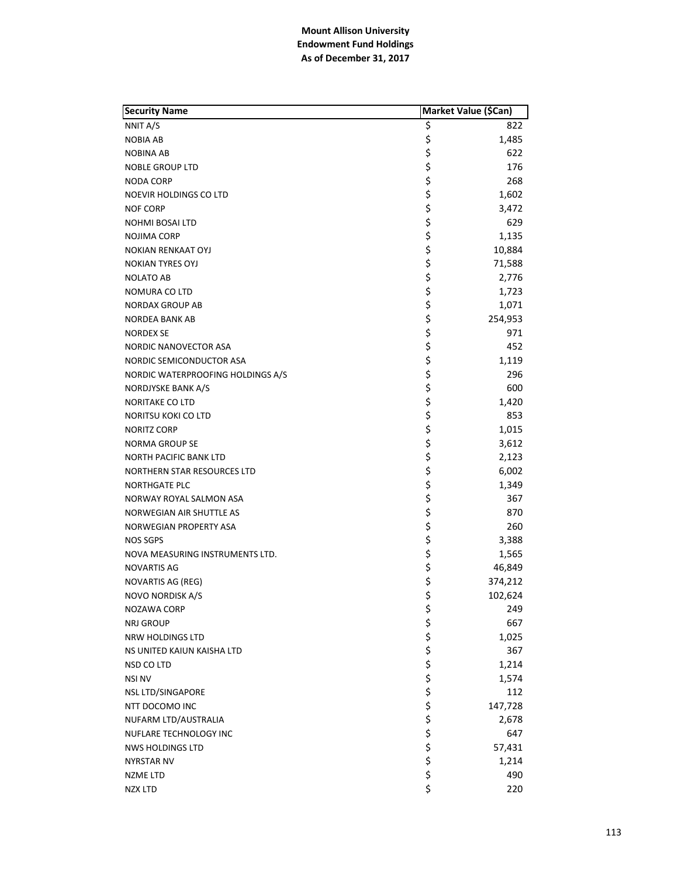| <b>Security Name</b>              | Market Value (\$Can) |         |
|-----------------------------------|----------------------|---------|
| NNIT A/S                          | \$                   | 822     |
| <b>NOBIA AB</b>                   | \$                   | 1,485   |
| <b>NOBINA AB</b>                  | \$                   | 622     |
| <b>NOBLE GROUP LTD</b>            | \$                   | 176     |
| <b>NODA CORP</b>                  | \$                   | 268     |
| NOEVIR HOLDINGS CO LTD            | \$                   | 1,602   |
| <b>NOF CORP</b>                   | \$                   | 3,472   |
| <b>NOHMI BOSAI LTD</b>            | \$                   | 629     |
| <b>NOJIMA CORP</b>                | \$                   | 1,135   |
| <b>NOKIAN RENKAAT OYJ</b>         | \$                   | 10,884  |
| <b>NOKIAN TYRES OYJ</b>           | \$                   | 71,588  |
| <b>NOLATO AB</b>                  | \$                   | 2,776   |
| NOMURA CO LTD                     | \$                   | 1,723   |
| <b>NORDAX GROUP AB</b>            | \$                   | 1,071   |
| <b>NORDEA BANK AB</b>             | \$                   | 254,953 |
| <b>NORDEX SE</b>                  | \$                   | 971     |
| <b>NORDIC NANOVECTOR ASA</b>      | \$                   | 452     |
| NORDIC SEMICONDUCTOR ASA          | \$                   | 1,119   |
| NORDIC WATERPROOFING HOLDINGS A/S | \$                   | 296     |
| NORDJYSKE BANK A/S                | \$                   | 600     |
| <b>NORITAKE CO LTD</b>            | \$                   | 1,420   |
| NORITSU KOKI CO LTD               | \$                   | 853     |
| <b>NORITZ CORP</b>                | \$                   | 1,015   |
| NORMA GROUP SE                    | \$                   | 3,612   |
| <b>NORTH PACIFIC BANK LTD</b>     | \$                   | 2,123   |
| NORTHERN STAR RESOURCES LTD       | \$                   | 6,002   |
| <b>NORTHGATE PLC</b>              | \$<br>\$             | 1,349   |
| NORWAY ROYAL SALMON ASA           |                      | 367     |
| NORWEGIAN AIR SHUTTLE AS          | \$                   | 870     |
| NORWEGIAN PROPERTY ASA            | \$<br>\$             | 260     |
| NOS SGPS                          |                      | 3,388   |
| NOVA MEASURING INSTRUMENTS LTD.   | \$                   | 1,565   |
| NOVARTIS AG                       | \$                   | 46,849  |
| NOVARTIS AG (REG)                 | \$                   | 374,212 |
| <b>NOVO NORDISK A/S</b>           | \$                   | 102,624 |
| <b>NOZAWA CORP</b>                | \$                   | 249     |
| <b>NRJ GROUP</b>                  |                      | 667     |
| NRW HOLDINGS LTD                  |                      | 1,025   |
| NS UNITED KAIUN KAISHA LTD        |                      | 367     |
| NSD CO LTD                        |                      | 1,214   |
| <b>NSI NV</b>                     |                      | 1,574   |
| NSL LTD/SINGAPORE                 |                      | 112     |
| NTT DOCOMO INC                    |                      | 147,728 |
| NUFARM LTD/AUSTRALIA              |                      | 2,678   |
| NUFLARE TECHNOLOGY INC            |                      | 647     |
| <b>NWS HOLDINGS LTD</b>           | ぐぐぐぐぐぐ               | 57,431  |
| NYRSTAR NV                        |                      | 1,214   |
| NZME LTD                          | \$                   | 490     |
| <b>NZX LTD</b>                    | \$                   | 220     |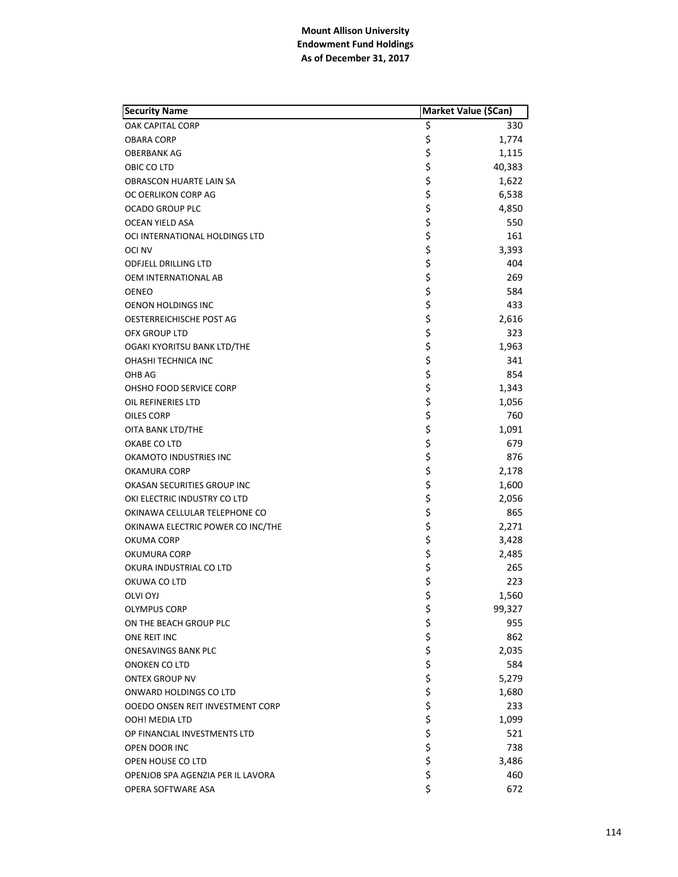| <b>Security Name</b>              | Market Value (\$Can) |        |
|-----------------------------------|----------------------|--------|
| <b>OAK CAPITAL CORP</b>           | \$                   | 330    |
| OBARA CORP                        | \$                   | 1,774  |
| OBERBANK AG                       | \$                   | 1,115  |
| OBIC CO LTD                       | \$                   | 40,383 |
| OBRASCON HUARTE LAIN SA           | \$                   | 1,622  |
| OC OERLIKON CORP AG               | \$                   | 6,538  |
| <b>OCADO GROUP PLC</b>            | \$                   | 4,850  |
| <b>OCEAN YIELD ASA</b>            | \$                   | 550    |
| OCI INTERNATIONAL HOLDINGS LTD    | \$                   | 161    |
| OCI NV                            | \$                   | 3,393  |
| <b>ODFJELL DRILLING LTD</b>       | \$                   | 404    |
| OEM INTERNATIONAL AB              | \$                   | 269    |
| <b>OENEO</b>                      | \$                   | 584    |
| <b>OENON HOLDINGS INC</b>         | \$                   | 433    |
| OESTERREICHISCHE POST AG          | \$                   | 2,616  |
| <b>OFX GROUP LTD</b>              | \$                   | 323    |
| OGAKI KYORITSU BANK LTD/THE       | \$                   | 1,963  |
| OHASHI TECHNICA INC               | \$                   | 341    |
| OHB AG                            | \$                   | 854    |
| OHSHO FOOD SERVICE CORP           | \$                   | 1,343  |
| OIL REFINERIES LTD                | \$                   | 1,056  |
| OILES CORP                        | \$                   | 760    |
| OITA BANK LTD/THE                 | \$                   | 1,091  |
| OKABE CO LTD                      | \$                   | 679    |
| OKAMOTO INDUSTRIES INC            | \$                   | 876    |
| OKAMURA CORP                      | \$                   | 2,178  |
| OKASAN SECURITIES GROUP INC       | \$                   | 1,600  |
| OKI ELECTRIC INDUSTRY CO LTD      | \$                   | 2,056  |
| OKINAWA CELLULAR TELEPHONE CO     | \$                   | 865    |
| OKINAWA ELECTRIC POWER CO INC/THE | \$                   | 2,271  |
| OKUMA CORP                        | \$                   | 3,428  |
| OKUMURA CORP                      | \$                   | 2,485  |
| OKURA INDUSTRIAL CO LTD           | \$<br>\$             | 265    |
| OKUWA CO LTD                      |                      | 223    |
| <b>OLVI OYJ</b>                   | \$                   | 1,560  |
| <b>OLYMPUS CORP</b>               | \$                   | 99,327 |
| ON THE BEACH GROUP PLC            | \$                   | 955    |
| ONE REIT INC                      | \$<br>\$             | 862    |
| ONESAVINGS BANK PLC               |                      | 2,035  |
| ONOKEN CO LTD                     | \$                   | 584    |
| <b>ONTEX GROUP NV</b>             |                      | 5,279  |
| ONWARD HOLDINGS CO LTD            |                      | 1,680  |
| OOEDO ONSEN REIT INVESTMENT CORP  |                      | 233    |
| OOH! MEDIA LTD                    |                      | 1,099  |
| OP FINANCIAL INVESTMENTS LTD      |                      | 521    |
| OPEN DOOR INC                     | ややややや                | 738    |
| OPEN HOUSE CO LTD                 |                      | 3,486  |
| OPENJOB SPA AGENZIA PER IL LAVORA | \$                   | 460    |
| OPERA SOFTWARE ASA                | \$                   | 672    |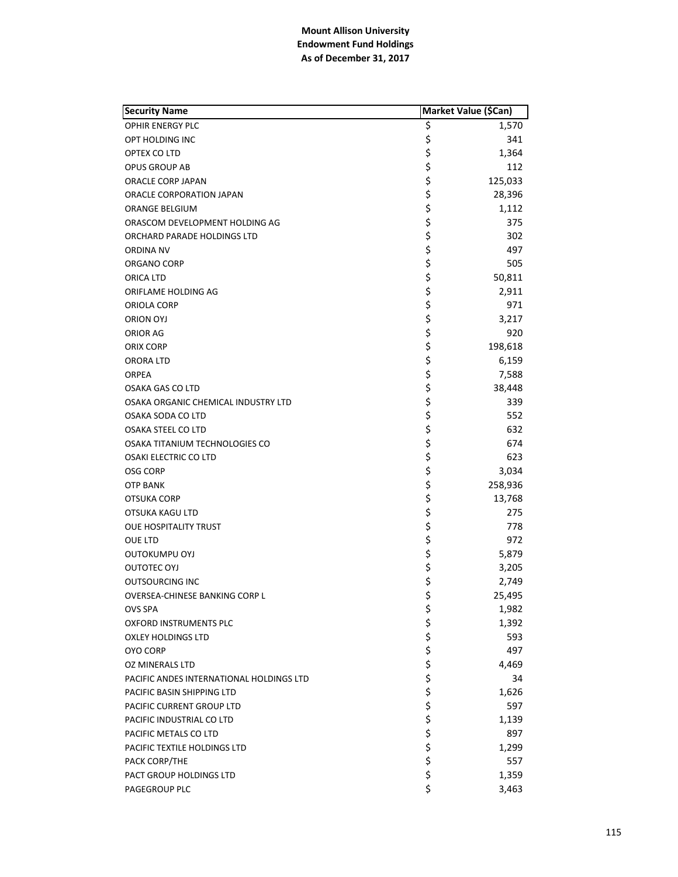| <b>Security Name</b>                     | Market Value (\$Can) |              |
|------------------------------------------|----------------------|--------------|
| <b>OPHIR ENERGY PLC</b>                  | \$                   | 1,570        |
| OPT HOLDING INC                          | \$                   | 341          |
| OPTEX CO LTD                             | \$                   | 1,364        |
| OPUS GROUP AB                            | \$                   | 112          |
| ORACLE CORP JAPAN                        | \$                   | 125,033      |
| ORACLE CORPORATION JAPAN                 | \$                   | 28,396       |
| ORANGE BELGIUM                           | \$                   | 1,112        |
| ORASCOM DEVELOPMENT HOLDING AG           | \$                   | 375          |
| ORCHARD PARADE HOLDINGS LTD              | \$                   | 302          |
| ORDINA NV                                | \$                   | 497          |
| ORGANO CORP                              | \$                   | 505          |
| ORICA LTD                                | \$                   | 50,811       |
| ORIFLAME HOLDING AG                      | \$                   | 2,911        |
| ORIOLA CORP                              | \$                   | 971          |
| ORION OYJ                                | \$                   | 3,217        |
| ORIOR AG                                 | \$                   | 920          |
| ORIX CORP                                | \$                   | 198,618      |
| ORORA LTD                                | \$                   | 6,159        |
| <b>ORPEA</b>                             | \$                   | 7,588        |
| <b>OSAKA GAS CO LTD</b>                  | \$                   | 38,448       |
| OSAKA ORGANIC CHEMICAL INDUSTRY LTD      | \$                   | 339          |
| OSAKA SODA CO LTD                        | \$                   | 552          |
| <b>OSAKA STEEL CO LTD</b>                | \$                   | 632          |
| OSAKA TITANIUM TECHNOLOGIES CO           | \$                   | 674          |
| <b>OSAKI ELECTRIC CO LTD</b>             | \$                   | 623          |
| <b>OSG CORP</b>                          | \$                   | 3,034        |
| <b>OTP BANK</b>                          | \$                   | 258,936      |
| OTSUKA CORP                              |                      | 13,768       |
| OTSUKA KAGU LTD                          | \$<br>\$             | 275          |
| <b>OUE HOSPITALITY TRUST</b>             | \$                   | 778          |
| OUE LTD                                  | \$                   | 972          |
| <b>OUTOKUMPU OYJ</b>                     | \$                   | 5,879        |
| OUTOTEC OYJ                              | \$                   | 3,205        |
| <b>OUTSOURCING INC</b>                   | \$                   | 2,749        |
| OVERSEA-CHINESE BANKING CORP L           | \$                   | 25,495       |
| <b>OVS SPA</b>                           | \$                   | 1,982        |
| OXFORD INSTRUMENTS PLC                   |                      | 1,392        |
| <b>OXLEY HOLDINGS LTD</b>                |                      | 593          |
| <b>OYO CORP</b>                          |                      | 497          |
| <b>OZ MINERALS LTD</b>                   | ちゃちょう                | 4,469        |
| PACIFIC ANDES INTERNATIONAL HOLDINGS LTD |                      | 34           |
| PACIFIC BASIN SHIPPING LTD               |                      | 1,626        |
| PACIFIC CURRENT GROUP LTD                |                      | 597          |
| PACIFIC INDUSTRIAL CO LTD                |                      | 1,139        |
|                                          |                      | 897          |
| PACIFIC METALS CO LTD                    | \$\$\$\$             |              |
| PACIFIC TEXTILE HOLDINGS LTD             |                      | 1,299<br>557 |
| PACK CORP/THE                            | \$                   |              |
| PACT GROUP HOLDINGS LTD                  |                      | 1,359        |
| PAGEGROUP PLC                            | \$                   | 3,463        |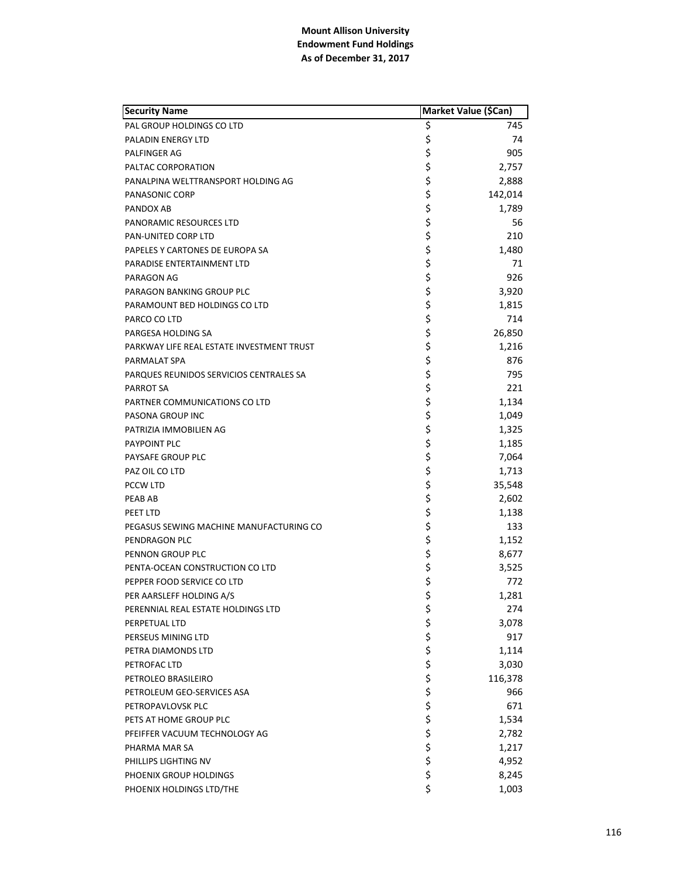| <b>Security Name</b>                      | Market Value (\$Can) |         |
|-------------------------------------------|----------------------|---------|
| PAL GROUP HOLDINGS CO LTD                 | \$                   | 745     |
| PALADIN ENERGY LTD                        | \$                   | 74      |
| <b>PALFINGER AG</b>                       | \$                   | 905     |
| PALTAC CORPORATION                        | \$                   | 2,757   |
| PANALPINA WELTTRANSPORT HOLDING AG        | \$                   | 2,888   |
| PANASONIC CORP                            | \$                   | 142,014 |
| PANDOX AB                                 | \$                   | 1,789   |
| PANORAMIC RESOURCES LTD                   | \$                   | 56      |
| <b>PAN-UNITED CORP LTD</b>                | \$                   | 210     |
| PAPELES Y CARTONES DE EUROPA SA           | \$                   | 1,480   |
| PARADISE ENTERTAINMENT LTD                | \$                   | 71      |
| PARAGON AG                                | \$                   | 926     |
| PARAGON BANKING GROUP PLC                 | \$                   | 3,920   |
| PARAMOUNT BED HOLDINGS CO LTD             | \$                   | 1,815   |
| PARCO CO LTD                              | \$                   | 714     |
| PARGESA HOLDING SA                        | \$                   | 26,850  |
| PARKWAY LIFE REAL ESTATE INVESTMENT TRUST | \$                   | 1,216   |
| PARMALAT SPA                              | \$                   | 876     |
| PARQUES REUNIDOS SERVICIOS CENTRALES SA   | \$                   | 795     |
| PARROT SA                                 | \$                   | 221     |
| PARTNER COMMUNICATIONS CO LTD             | \$                   | 1,134   |
| PASONA GROUP INC                          | \$                   | 1,049   |
| PATRIZIA IMMOBILIEN AG                    | \$                   | 1,325   |
| PAYPOINT PLC                              | \$                   | 1,185   |
| PAYSAFE GROUP PLC                         | \$                   | 7,064   |
| PAZ OIL CO LTD                            | \$                   | 1,713   |
| PCCW LTD                                  | \$                   | 35,548  |
| <b>PEAB AB</b>                            | \$                   | 2,602   |
| PEET LTD                                  | \$                   | 1,138   |
| PEGASUS SEWING MACHINE MANUFACTURING CO   | \$                   | 133     |
| PENDRAGON PLC                             | \$                   | 1,152   |
| PENNON GROUP PLC                          | \$                   | 8,677   |
| PENTA-OCEAN CONSTRUCTION CO LTD           | \$                   | 3,525   |
| PEPPER FOOD SERVICE CO LTD                | \$                   | 772     |
| PER AARSLEFF HOLDING A/S                  | \$                   | 1.281   |
| PERENNIAL REAL ESTATE HOLDINGS LTD        | \$                   | 274     |
| PERPETUAL LTD                             |                      | 3,078   |
| PERSEUS MINING LTD                        |                      | 917     |
| PETRA DIAMONDS LTD                        |                      | 1,114   |
| PETROFAC LTD                              |                      | 3,030   |
| PETROLEO BRASILEIRO                       |                      | 116,378 |
| PETROLEUM GEO-SERVICES ASA                |                      | 966     |
| PETROPAVLOVSK PLC                         |                      | 671     |
| PETS AT HOME GROUP PLC                    |                      | 1,534   |
| PFEIFFER VACUUM TECHNOLOGY AG             |                      | 2,782   |
| PHARMA MAR SA                             | やややややややや             | 1,217   |
| PHILLIPS LIGHTING NV                      | \$                   | 4,952   |
| PHOENIX GROUP HOLDINGS                    | \$                   | 8,245   |
| PHOENIX HOLDINGS LTD/THE                  | \$                   | 1,003   |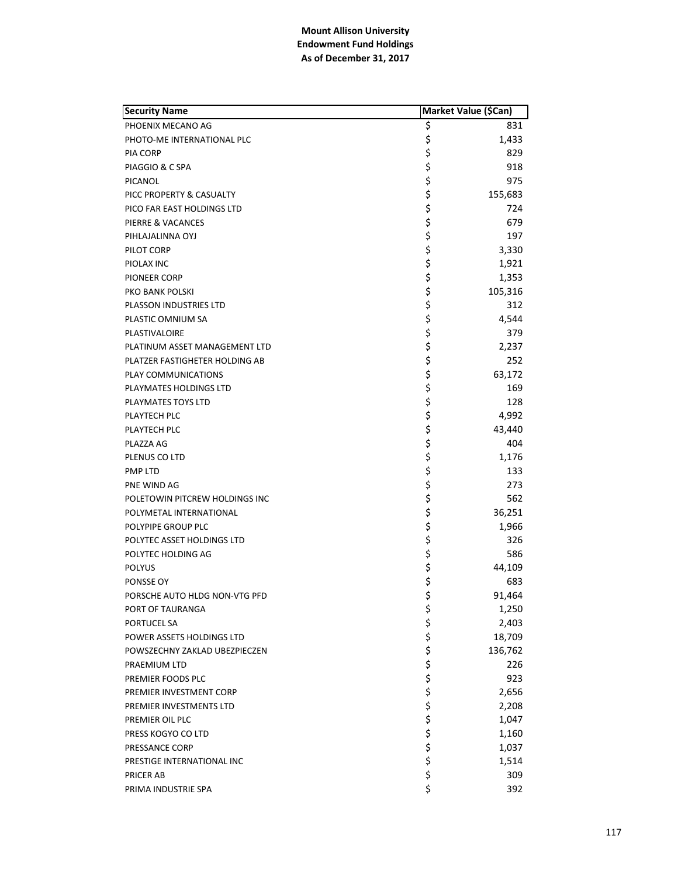| <b>Security Name</b>           | Market Value (\$Can) |         |
|--------------------------------|----------------------|---------|
| PHOENIX MECANO AG              | \$                   | 831     |
| PHOTO-ME INTERNATIONAL PLC     | \$                   | 1,433   |
| PIA CORP                       | \$                   | 829     |
| PIAGGIO & C SPA                | \$                   | 918     |
| PICANOL                        | \$                   | 975     |
| PICC PROPERTY & CASUALTY       | \$                   | 155,683 |
| PICO FAR EAST HOLDINGS LTD     | \$                   | 724     |
| PIERRE & VACANCES              | \$                   | 679     |
| PIHLAJALINNA OYJ               | \$                   | 197     |
| PILOT CORP                     | \$                   | 3,330   |
| PIOLAX INC                     | \$                   | 1,921   |
| PIONEER CORP                   | \$                   | 1,353   |
| PKO BANK POLSKI                | \$                   | 105,316 |
| PLASSON INDUSTRIES LTD         | \$                   | 312     |
| PLASTIC OMNIUM SA              | \$                   | 4,544   |
| PLASTIVALOIRE                  | \$                   | 379     |
| PLATINUM ASSET MANAGEMENT LTD  | \$                   | 2,237   |
| PLATZER FASTIGHETER HOLDING AB | \$                   | 252     |
| PLAY COMMUNICATIONS            | \$                   | 63,172  |
| PLAYMATES HOLDINGS LTD         | \$                   | 169     |
| PLAYMATES TOYS LTD             | \$                   | 128     |
| PLAYTECH PLC                   | \$                   | 4,992   |
| PLAYTECH PLC                   | \$                   | 43,440  |
| PLAZZA AG                      | \$                   | 404     |
| PLENUS CO LTD                  | \$                   | 1,176   |
| <b>PMP LTD</b>                 | \$                   | 133     |
| PNE WIND AG                    | \$                   | 273     |
| POLETOWIN PITCREW HOLDINGS INC | \$                   | 562     |
| POLYMETAL INTERNATIONAL        | \$                   | 36,251  |
| POLYPIPE GROUP PLC             | \$                   | 1,966   |
| POLYTEC ASSET HOLDINGS LTD     | \$                   | 326     |
| POLYTEC HOLDING AG             | \$                   | 586     |
| <b>POLYUS</b>                  | \$                   | 44,109  |
| PONSSE OY                      | \$                   | 683     |
| PORSCHE AUTO HLDG NON-VTG PFD  | \$                   | 91,464  |
| PORT OF TAURANGA               | \$                   | 1,250   |
| PORTUCEL SA                    | \$                   | 2,403   |
| POWER ASSETS HOLDINGS LTD      | \$                   | 18,709  |
| POWSZECHNY ZAKLAD UBEZPIECZEN  | \$                   | 136,762 |
| PRAEMIUM LTD                   |                      | 226     |
| PREMIER FOODS PLC              | \$\$\$\$             | 923     |
| PREMIER INVESTMENT CORP        |                      | 2,656   |
| PREMIER INVESTMENTS LTD        |                      | 2,208   |
| PREMIER OIL PLC                | \$                   | 1,047   |
| PRESS KOGYO CO LTD             | \$                   | 1,160   |
| PRESSANCE CORP                 | \$                   | 1,037   |
| PRESTIGE INTERNATIONAL INC     | \$                   | 1,514   |
| PRICER AB                      | \$                   | 309     |
| PRIMA INDUSTRIE SPA            | \$                   | 392     |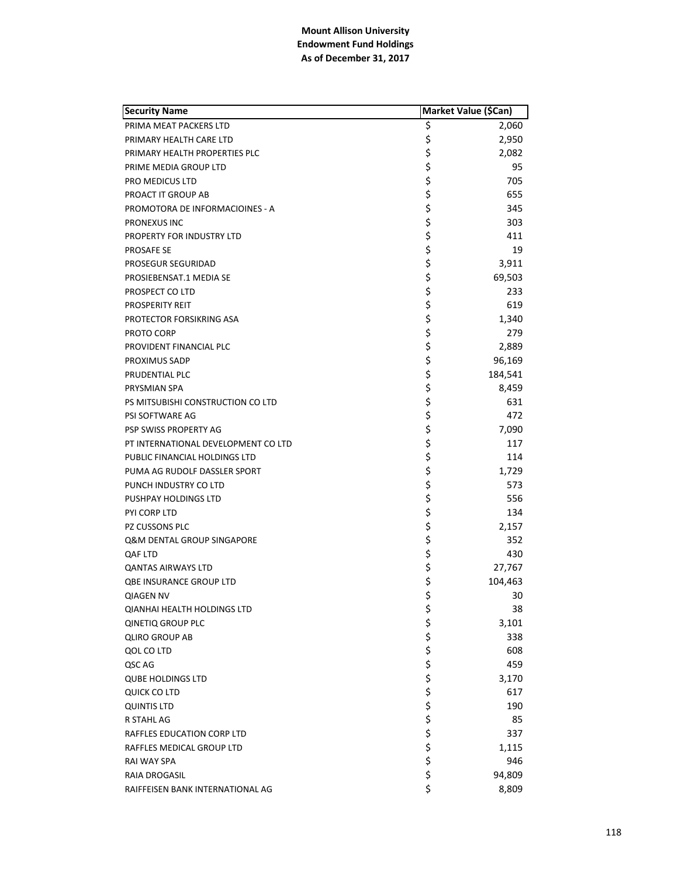| <b>Security Name</b>                |             | Market Value (\$Can) |
|-------------------------------------|-------------|----------------------|
| PRIMA MEAT PACKERS LTD              | \$          | 2,060                |
| PRIMARY HEALTH CARE LTD             | \$          | 2,950                |
| PRIMARY HEALTH PROPERTIES PLC       | \$          | 2,082                |
| PRIME MEDIA GROUP LTD               | \$          | 95                   |
| PRO MEDICUS LTD                     | \$          | 705                  |
| PROACT IT GROUP AB                  | \$          | 655                  |
| PROMOTORA DE INFORMACIOINES - A     | \$          | 345                  |
| PRONEXUS INC                        | \$          | 303                  |
| PROPERTY FOR INDUSTRY LTD           | \$          | 411                  |
| <b>PROSAFE SE</b>                   | \$          | 19                   |
| PROSEGUR SEGURIDAD                  | \$          | 3,911                |
| PROSIEBENSAT.1 MEDIA SE             | \$          | 69,503               |
| PROSPECT CO LTD                     | \$          | 233                  |
| <b>PROSPERITY REIT</b>              | \$          | 619                  |
| PROTECTOR FORSIKRING ASA            | \$          | 1,340                |
| PROTO CORP                          | \$          | 279                  |
| PROVIDENT FINANCIAL PLC             | \$          | 2,889                |
| <b>PROXIMUS SADP</b>                | \$          | 96,169               |
| PRUDENTIAL PLC                      | \$          | 184,541              |
| PRYSMIAN SPA                        | \$          | 8,459                |
| PS MITSUBISHI CONSTRUCTION CO LTD   | \$          | 631                  |
| PSI SOFTWARE AG                     | \$          | 472                  |
| PSP SWISS PROPERTY AG               | \$          | 7,090                |
| PT INTERNATIONAL DEVELOPMENT CO LTD | \$          | 117                  |
| PUBLIC FINANCIAL HOLDINGS LTD       | \$          | 114                  |
| PUMA AG RUDOLF DASSLER SPORT        | \$          | 1,729                |
| PUNCH INDUSTRY CO LTD               | \$          | 573                  |
| PUSHPAY HOLDINGS LTD                | \$          | 556                  |
| PYI CORP LTD                        | \$          | 134                  |
| PZ CUSSONS PLC                      | \$          | 2,157                |
| Q&M DENTAL GROUP SINGAPORE          | \$          | 352                  |
| QAF LTD                             | \$          | 430                  |
| <b>QANTAS AIRWAYS LTD</b>           | \$          | 27,767               |
| <b>QBE INSURANCE GROUP LTD</b>      | \$          | 104,463              |
| <b>QIAGEN NV</b>                    | \$          | 30                   |
| <b>QIANHAI HEALTH HOLDINGS LTD</b>  | \$          | 38                   |
| <b>QINETIQ GROUP PLC</b>            |             | 3,101                |
| <b>QLIRO GROUP AB</b>               |             | 338                  |
| QOL CO LTD                          |             | 608                  |
| QSC AG                              |             | 459                  |
| <b>QUBE HOLDINGS LTD</b>            |             | 3,170                |
| <b>QUICK CO LTD</b>                 |             | 617                  |
| <b>QUINTIS LTD</b>                  |             | 190                  |
| R STAHL AG                          |             | 85                   |
| RAFFLES EDUCATION CORP LTD          |             | 337                  |
| RAFFLES MEDICAL GROUP LTD           | ぐうさくさい こうさく | 1,115                |
| RAI WAY SPA                         |             | 946                  |
| RAIA DROGASIL                       | \$          | 94,809               |
| RAIFFEISEN BANK INTERNATIONAL AG    | \$          | 8,809                |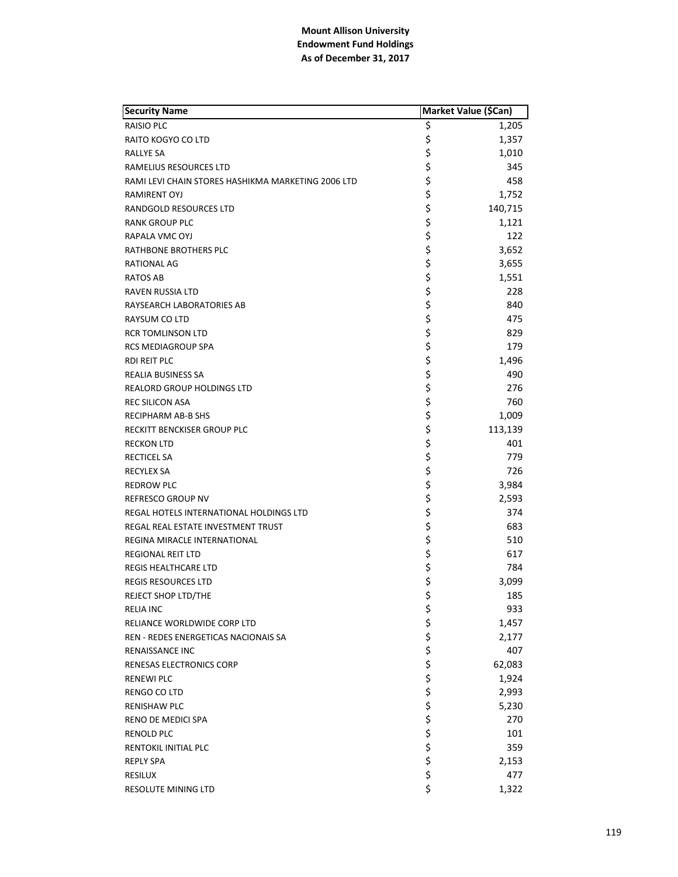| <b>Security Name</b>                               | Market Value (\$Can) |         |
|----------------------------------------------------|----------------------|---------|
| RAISIO PLC                                         | \$                   | 1,205   |
| RAITO KOGYO CO LTD                                 | \$                   | 1,357   |
| RALLYE SA                                          | \$                   | 1,010   |
| RAMELIUS RESOURCES LTD                             | \$                   | 345     |
| RAMI LEVI CHAIN STORES HASHIKMA MARKETING 2006 LTD | \$                   | 458     |
| RAMIRENT OYJ                                       | \$                   | 1,752   |
| RANDGOLD RESOURCES LTD                             | \$                   | 140,715 |
| RANK GROUP PLC                                     | \$                   | 1,121   |
| RAPALA VMC OYJ                                     | \$                   | 122     |
| <b>RATHBONE BROTHERS PLC</b>                       | \$                   | 3,652   |
| RATIONAL AG                                        | \$                   | 3,655   |
| <b>RATOS AB</b>                                    | \$                   | 1,551   |
| RAVEN RUSSIA LTD                                   | \$                   | 228     |
| RAYSEARCH LABORATORIES AB                          | \$                   | 840     |
| RAYSUM CO LTD                                      | \$                   | 475     |
| <b>RCR TOMLINSON LTD</b>                           | \$                   | 829     |
| <b>RCS MEDIAGROUP SPA</b>                          | \$                   | 179     |
| <b>RDI REIT PLC</b>                                | \$                   | 1,496   |
| REALIA BUSINESS SA                                 | \$                   | 490     |
| <b>REALORD GROUP HOLDINGS LTD</b>                  | \$                   | 276     |
| <b>REC SILICON ASA</b>                             | \$                   | 760     |
| <b>RECIPHARM AB-B SHS</b>                          | \$                   | 1,009   |
| RECKITT BENCKISER GROUP PLC                        | \$                   | 113,139 |
| <b>RECKON LTD</b>                                  | \$                   | 401     |
| RECTICEL SA                                        | \$                   | 779     |
| <b>RECYLEX SA</b>                                  | \$                   | 726     |
| <b>REDROW PLC</b>                                  | \$                   | 3,984   |
| REFRESCO GROUP NV                                  | \$                   | 2,593   |
| REGAL HOTELS INTERNATIONAL HOLDINGS LTD            | \$                   | 374     |
| REGAL REAL ESTATE INVESTMENT TRUST                 | \$                   | 683     |
| REGINA MIRACLE INTERNATIONAL                       | \$                   | 510     |
| REGIONAL REIT LTD                                  | \$                   | 617     |
| <b>REGIS HEALTHCARE LTD</b>                        | \$                   | 784     |
| <b>REGIS RESOURCES LTD</b>                         | \$                   | 3,099   |
| REJECT SHOP LTD/THE                                | \$                   | 185     |
| <b>RELIA INC</b>                                   | \$                   | 933     |
| RELIANCE WORLDWIDE CORP LTD                        |                      | 1,457   |
| REN - REDES ENERGETICAS NACIONAIS SA               |                      | 2,177   |
| RENAISSANCE INC                                    |                      | 407     |
| RENESAS ELECTRONICS CORP                           |                      | 62,083  |
| <b>RENEWI PLC</b>                                  |                      | 1,924   |
| RENGO CO LTD                                       |                      | 2,993   |
| <b>RENISHAW PLC</b>                                |                      | 5,230   |
| RENO DE MEDICI SPA                                 |                      | 270     |
| RENOLD PLC                                         |                      | 101     |
| RENTOKIL INITIAL PLC                               | やややややややや             | 359     |
| <b>REPLY SPA</b>                                   | \$                   | 2,153   |
| <b>RESILUX</b>                                     | \$                   | 477     |
| RESOLUTE MINING LTD                                | \$                   | 1,322   |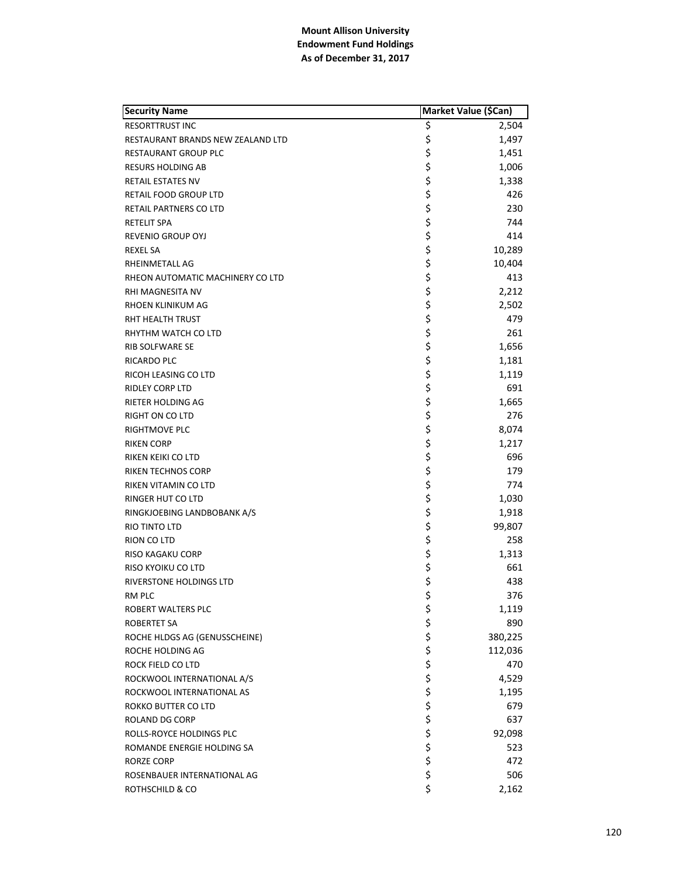| <b>Security Name</b>              | Market Value (\$Can) |         |
|-----------------------------------|----------------------|---------|
| <b>RESORTTRUST INC</b>            | \$                   | 2,504   |
| RESTAURANT BRANDS NEW ZEALAND LTD | \$                   | 1,497   |
| RESTAURANT GROUP PLC              | \$                   | 1,451   |
| <b>RESURS HOLDING AB</b>          | \$                   | 1,006   |
| <b>RETAIL ESTATES NV</b>          | \$                   | 1,338   |
| RETAIL FOOD GROUP LTD             | \$                   | 426     |
| RETAIL PARTNERS CO LTD            | \$                   | 230     |
| <b>RETELIT SPA</b>                | \$                   | 744     |
| REVENIO GROUP OYJ                 | \$                   | 414     |
| <b>REXEL SA</b>                   | \$                   | 10,289  |
| RHEINMETALL AG                    | \$                   | 10,404  |
| RHEON AUTOMATIC MACHINERY CO LTD  | \$                   | 413     |
| RHI MAGNESITA NV                  | \$                   | 2,212   |
| RHOEN KLINIKUM AG                 | \$                   | 2,502   |
| RHT HEALTH TRUST                  | \$                   | 479     |
| RHYTHM WATCH CO LTD               | \$                   | 261     |
| <b>RIB SOLFWARE SE</b>            | \$                   | 1,656   |
| <b>RICARDO PLC</b>                | \$                   | 1,181   |
| RICOH LEASING CO LTD              | \$                   | 1,119   |
| <b>RIDLEY CORP LTD</b>            | \$                   | 691     |
| RIETER HOLDING AG                 | \$                   | 1,665   |
| RIGHT ON CO LTD                   | \$                   | 276     |
| <b>RIGHTMOVE PLC</b>              | \$                   | 8,074   |
| <b>RIKEN CORP</b>                 | \$                   | 1,217   |
| RIKEN KEIKI CO LTD                | \$                   | 696     |
| <b>RIKEN TECHNOS CORP</b>         | \$                   | 179     |
| RIKEN VITAMIN CO LTD              | \$                   | 774     |
| RINGER HUT CO LTD                 | \$                   | 1,030   |
| RINGKJOEBING LANDBOBANK A/S       | \$                   | 1,918   |
| <b>RIO TINTO LTD</b>              | \$                   | 99,807  |
| RION CO LTD                       | \$                   | 258     |
| RISO KAGAKU CORP                  | \$                   | 1,313   |
| RISO KYOIKU CO LTD                | \$                   | 661     |
| RIVERSTONE HOLDINGS LTD           | \$                   | 438     |
| RM PLC                            | \$                   | 376     |
| ROBERT WALTERS PLC                | \$                   | 1,119   |
| ROBERTET SA                       |                      | 890     |
| ROCHE HLDGS AG (GENUSSCHEINE)     | ちゃくちょう               | 380,225 |
| ROCHE HOLDING AG                  |                      | 112,036 |
| ROCK FIELD CO LTD                 |                      | 470     |
| ROCKWOOL INTERNATIONAL A/S        |                      | 4,529   |
| ROCKWOOL INTERNATIONAL AS         |                      | 1,195   |
| <b>ROKKO BUTTER CO LTD</b>        |                      | 679     |
| <b>ROLAND DG CORP</b>             |                      | 637     |
| ROLLS-ROYCE HOLDINGS PLC          |                      | 92,098  |
| ROMANDE ENERGIE HOLDING SA        | \$\$\$\$             | 523     |
| RORZE CORP                        |                      | 472     |
| ROSENBAUER INTERNATIONAL AG       |                      | 506     |
| ROTHSCHILD & CO                   | \$                   | 2,162   |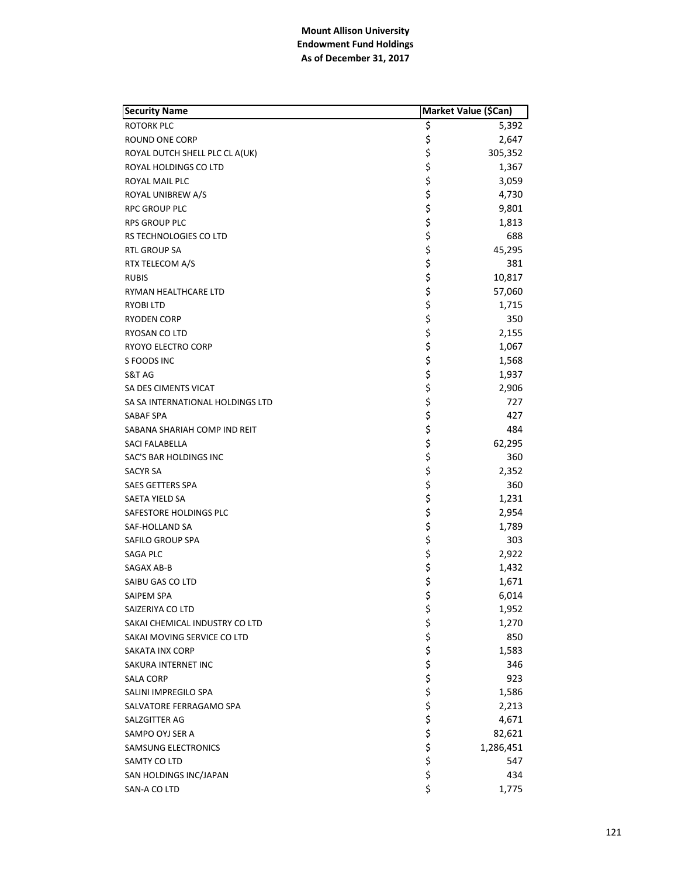| <b>Security Name</b>             | Market Value (\$Can) |           |
|----------------------------------|----------------------|-----------|
| <b>ROTORK PLC</b>                | \$                   | 5,392     |
| ROUND ONE CORP                   | \$                   | 2,647     |
| ROYAL DUTCH SHELL PLC CL A(UK)   | \$                   | 305,352   |
| ROYAL HOLDINGS CO LTD            | \$                   | 1,367     |
| ROYAL MAIL PLC                   | \$                   | 3,059     |
| ROYAL UNIBREW A/S                | \$                   | 4,730     |
| RPC GROUP PLC                    | \$                   | 9,801     |
| <b>RPS GROUP PLC</b>             | \$                   | 1,813     |
| RS TECHNOLOGIES CO LTD           | \$                   | 688       |
| <b>RTL GROUP SA</b>              | \$                   | 45,295    |
| RTX TELECOM A/S                  | \$                   | 381       |
| <b>RUBIS</b>                     | \$                   | 10,817    |
| RYMAN HEALTHCARE LTD             | \$                   | 57,060    |
| RYOBI LTD                        | \$                   | 1,715     |
| <b>RYODEN CORP</b>               | \$                   | 350       |
| RYOSAN CO LTD                    | \$                   | 2,155     |
| RYOYO ELECTRO CORP               | \$                   | 1,067     |
| S FOODS INC                      | \$                   | 1,568     |
| S&T AG                           | \$                   | 1,937     |
| SA DES CIMENTS VICAT             | \$                   | 2,906     |
| SA SA INTERNATIONAL HOLDINGS LTD | \$                   | 727       |
| SABAF SPA                        | \$                   | 427       |
| SABANA SHARIAH COMP IND REIT     | \$                   | 484       |
| SACI FALABELLA                   | \$                   | 62,295    |
| SAC'S BAR HOLDINGS INC           | \$                   | 360       |
| <b>SACYR SA</b>                  | \$                   | 2,352     |
| <b>SAES GETTERS SPA</b>          | \$                   | 360       |
| SAETA YIELD SA                   | \$                   | 1,231     |
| SAFESTORE HOLDINGS PLC           | \$                   | 2,954     |
| SAF-HOLLAND SA                   | \$                   | 1,789     |
| SAFILO GROUP SPA                 | \$                   | 303       |
| SAGA PLC                         | \$                   | 2,922     |
| SAGAX AB-B                       | \$                   | 1,432     |
| SAIBU GAS CO LTD                 | \$                   | 1,671     |
| SAIPEM SPA                       | \$                   | 6,014     |
| SAIZERIYA CO LTD                 | \$                   | 1,952     |
| SAKAI CHEMICAL INDUSTRY CO LTD   |                      | 1,270     |
| SAKAI MOVING SERVICE CO LTD      | ややや ややや              | 850       |
| <b>SAKATA INX CORP</b>           |                      | 1,583     |
| SAKURA INTERNET INC              |                      | 346       |
| <b>SALA CORP</b>                 |                      | 923       |
| SALINI IMPREGILO SPA             |                      | 1,586     |
| SALVATORE FERRAGAMO SPA          |                      | 2,213     |
| SALZGITTER AG                    |                      | 4,671     |
| SAMPO OYJ SER A                  |                      | 82,621    |
| <b>SAMSUNG ELECTRONICS</b>       | \$\$\$\$             | 1,286,451 |
| SAMTY CO LTD                     |                      | 547       |
| SAN HOLDINGS INC/JAPAN           | \$                   | 434       |
| SAN-A CO LTD                     | \$                   | 1,775     |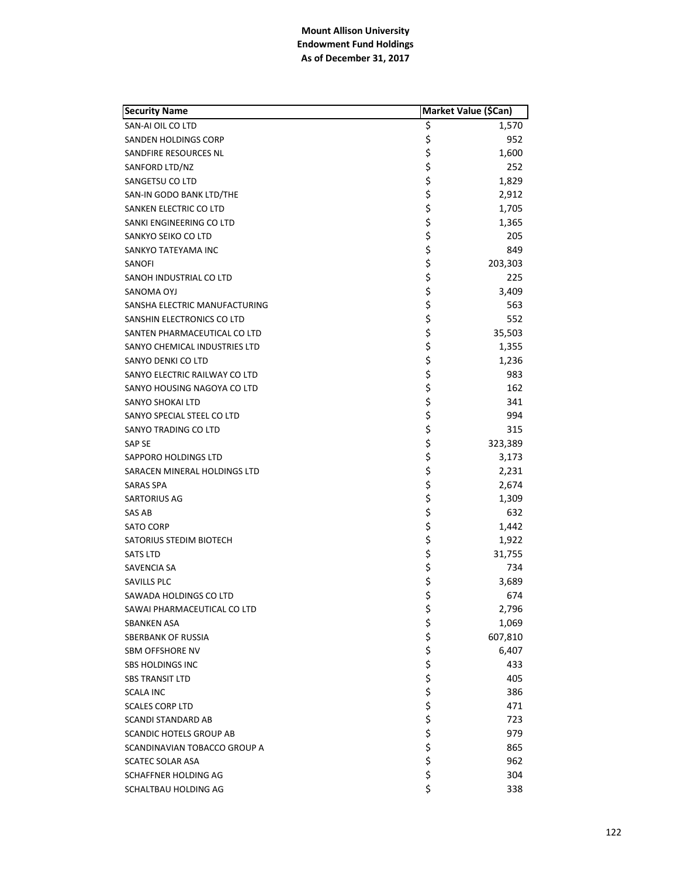| <b>Security Name</b>           | Market Value (\$Can) |         |
|--------------------------------|----------------------|---------|
| SAN-AI OIL CO LTD              | \$                   | 1,570   |
| SANDEN HOLDINGS CORP           | \$                   | 952     |
| SANDFIRE RESOURCES NL          | \$                   | 1,600   |
| SANFORD LTD/NZ                 | \$                   | 252     |
| SANGETSU CO LTD                | \$                   | 1,829   |
| SAN-IN GODO BANK LTD/THE       | \$                   | 2,912   |
| SANKEN ELECTRIC CO LTD         | \$                   | 1,705   |
| SANKI ENGINEERING CO LTD       | \$                   | 1,365   |
| SANKYO SEIKO CO LTD            | \$                   | 205     |
| SANKYO TATEYAMA INC            | \$                   | 849     |
| SANOFI                         | \$                   | 203,303 |
| SANOH INDUSTRIAL CO LTD        | \$                   | 225     |
| SANOMA OYJ                     | \$                   | 3,409   |
| SANSHA ELECTRIC MANUFACTURING  | \$                   | 563     |
| SANSHIN ELECTRONICS CO LTD     | \$                   | 552     |
| SANTEN PHARMACEUTICAL CO LTD   | \$                   | 35,503  |
| SANYO CHEMICAL INDUSTRIES LTD  | \$                   | 1,355   |
| SANYO DENKI CO LTD             | \$                   | 1,236   |
| SANYO ELECTRIC RAILWAY CO LTD  | \$                   | 983     |
| SANYO HOUSING NAGOYA CO LTD    | \$                   | 162     |
| <b>SANYO SHOKAI LTD</b>        | \$                   | 341     |
| SANYO SPECIAL STEEL CO LTD     | \$                   | 994     |
| SANYO TRADING CO LTD           | \$                   | 315     |
| <b>SAP SE</b>                  | \$                   | 323,389 |
| SAPPORO HOLDINGS LTD           | \$                   | 3,173   |
| SARACEN MINERAL HOLDINGS LTD   | \$                   | 2,231   |
| <b>SARAS SPA</b>               | \$                   | 2,674   |
| SARTORIUS AG                   | \$                   | 1,309   |
| SAS AB                         | \$                   | 632     |
| <b>SATO CORP</b>               | \$                   | 1,442   |
| SATORIUS STEDIM BIOTECH        | \$                   | 1,922   |
| <b>SATS LTD</b>                | \$                   | 31,755  |
| SAVENCIA SA                    | \$                   | 734     |
| SAVILLS PLC                    | \$                   | 3,689   |
| SAWADA HOLDINGS CO LTD         | \$                   | 674     |
| SAWAI PHARMACEUTICAL CO LTD    | \$                   | 2,796   |
| <b>SBANKEN ASA</b>             |                      | 1,069   |
| SBERBANK OF RUSSIA             |                      | 607,810 |
| SBM OFFSHORE NV                | ややや ややや              | 6,407   |
| <b>SBS HOLDINGS INC</b>        |                      | 433     |
| <b>SBS TRANSIT LTD</b>         |                      | 405     |
| <b>SCALA INC</b>               |                      | 386     |
| <b>SCALES CORP LTD</b>         |                      | 471     |
| SCANDI STANDARD AB             |                      | 723     |
| <b>SCANDIC HOTELS GROUP AB</b> |                      | 979     |
| SCANDINAVIAN TOBACCO GROUP A   | \$\$\$\$             | 865     |
| SCATEC SOLAR ASA               |                      | 962     |
| SCHAFFNER HOLDING AG           | \$                   | 304     |
| SCHALTBAU HOLDING AG           | \$                   | 338     |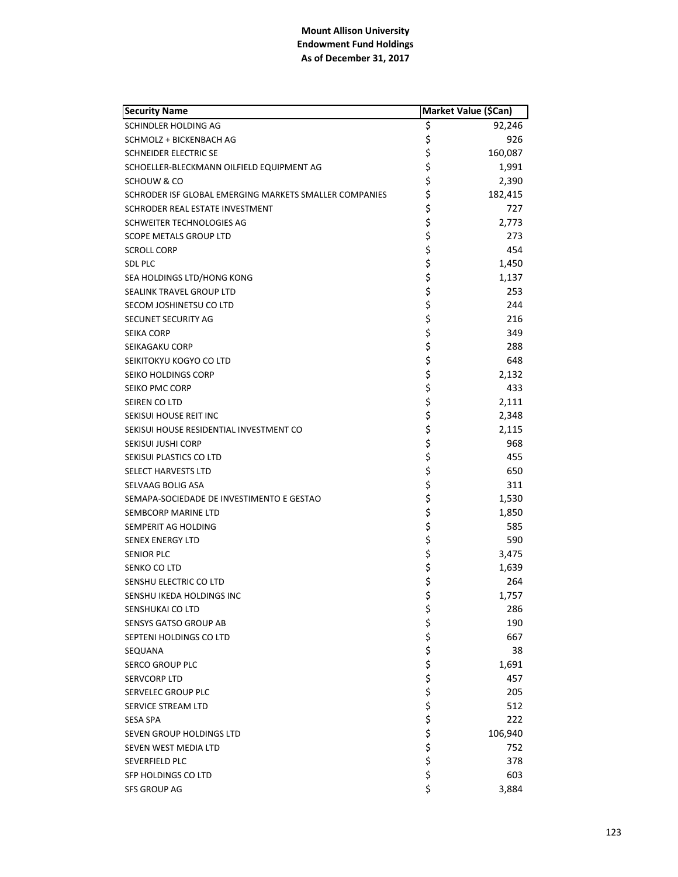| <b>Security Name</b>                                   | Market Value (\$Can) |         |
|--------------------------------------------------------|----------------------|---------|
| SCHINDLER HOLDING AG                                   | \$                   | 92,246  |
| SCHMOLZ + BICKENBACH AG                                | \$                   | 926     |
| SCHNEIDER ELECTRIC SE                                  | \$                   | 160,087 |
| SCHOELLER-BLECKMANN OILFIELD EQUIPMENT AG              | \$                   | 1,991   |
| SCHOUW & CO                                            | \$                   | 2,390   |
| SCHRODER ISF GLOBAL EMERGING MARKETS SMALLER COMPANIES | \$                   | 182,415 |
| SCHRODER REAL ESTATE INVESTMENT                        | \$                   | 727     |
| SCHWEITER TECHNOLOGIES AG                              | \$                   | 2,773   |
| SCOPE METALS GROUP LTD                                 | \$                   | 273     |
| <b>SCROLL CORP</b>                                     | \$                   | 454     |
| <b>SDL PLC</b>                                         | \$                   | 1,450   |
| SEA HOLDINGS LTD/HONG KONG                             | \$                   | 1,137   |
| SEALINK TRAVEL GROUP LTD                               | \$                   | 253     |
| SECOM JOSHINETSU CO LTD                                | \$                   | 244     |
| SECUNET SECURITY AG                                    |                      | 216     |
| <b>SEIKA CORP</b>                                      | \$<br>\$             | 349     |
| SEIKAGAKU CORP                                         | \$                   | 288     |
| SEIKITOKYU KOGYO CO LTD                                | \$                   | 648     |
| SEIKO HOLDINGS CORP                                    | \$                   | 2,132   |
| SEIKO PMC CORP                                         | \$                   | 433     |
| SEIREN CO LTD                                          | \$                   | 2,111   |
| SEKISUI HOUSE REIT INC                                 | \$                   | 2,348   |
| SEKISUI HOUSE RESIDENTIAL INVESTMENT CO                | \$                   | 2,115   |
| SEKISUI JUSHI CORP                                     | \$                   | 968     |
| SEKISUI PLASTICS CO LTD                                | \$                   | 455     |
| <b>SELECT HARVESTS LTD</b>                             |                      | 650     |
| SELVAAG BOLIG ASA                                      | \$<br>\$             | 311     |
| SEMAPA-SOCIEDADE DE INVESTIMENTO E GESTAO              | \$                   | 1,530   |
| SEMBCORP MARINE LTD                                    | \$                   | 1,850   |
| SEMPERIT AG HOLDING                                    | \$                   | 585     |
| <b>SENEX ENERGY LTD</b>                                | \$                   | 590     |
| <b>SENIOR PLC</b>                                      | \$                   | 3,475   |
| SENKO CO LTD                                           | \$                   | 1,639   |
| SENSHU ELECTRIC CO LTD                                 | \$                   | 264     |
| SENSHU IKEDA HOLDINGS INC                              | \$                   | 1.757   |
| SENSHUKAI CO LTD                                       |                      | 286     |
| <b>SENSYS GATSO GROUP AB</b>                           |                      | 190     |
| SEPTENI HOLDINGS CO LTD                                |                      | 667     |
| SEQUANA                                                |                      | 38      |
| <b>SERCO GROUP PLC</b>                                 |                      | 1,691   |
| <b>SERVCORP LTD</b>                                    |                      | 457     |
| SERVELEC GROUP PLC                                     |                      | 205     |
| SERVICE STREAM LTD                                     |                      | 512     |
| SESA SPA                                               |                      | 222     |
| SEVEN GROUP HOLDINGS LTD                               | やややややややややや           | 106,940 |
| SEVEN WEST MEDIA LTD                                   |                      | 752     |
| SEVERFIELD PLC                                         |                      | 378     |
| SFP HOLDINGS CO LTD                                    | \$                   | 603     |
| <b>SFS GROUP AG</b>                                    | \$                   | 3,884   |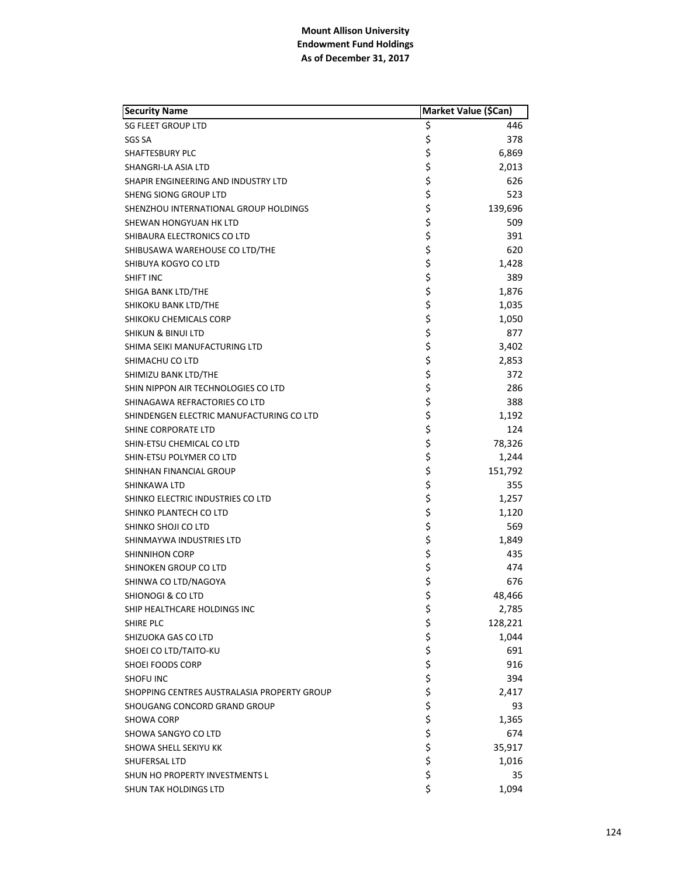| <b>Security Name</b>                        |           | Market Value (\$Can) |
|---------------------------------------------|-----------|----------------------|
| <b>SG FLEET GROUP LTD</b>                   | \$        | 446                  |
| SGS SA                                      | \$        | 378                  |
| SHAFTESBURY PLC                             | \$        | 6,869                |
| SHANGRI-LA ASIA LTD                         | \$        | 2,013                |
| SHAPIR ENGINEERING AND INDUSTRY LTD         | \$        | 626                  |
| SHENG SIONG GROUP LTD                       | \$        | 523                  |
| SHENZHOU INTERNATIONAL GROUP HOLDINGS       | \$        | 139,696              |
| SHEWAN HONGYUAN HK LTD                      | \$        | 509                  |
| SHIBAURA ELECTRONICS CO LTD                 | \$        | 391                  |
| SHIBUSAWA WAREHOUSE CO LTD/THE              | \$        | 620                  |
| SHIBUYA KOGYO CO LTD                        | \$        | 1,428                |
| SHIFT INC                                   | \$        | 389                  |
| SHIGA BANK LTD/THE                          | \$        | 1,876                |
| SHIKOKU BANK LTD/THE                        | \$        | 1,035                |
| SHIKOKU CHEMICALS CORP                      | \$        | 1,050                |
| <b>SHIKUN &amp; BINUI LTD</b>               | \$        | 877                  |
| SHIMA SEIKI MANUFACTURING LTD               | \$        | 3,402                |
| SHIMACHU CO LTD                             | \$        | 2,853                |
| SHIMIZU BANK LTD/THE                        | \$        | 372                  |
| SHIN NIPPON AIR TECHNOLOGIES CO LTD         | \$        | 286                  |
| SHINAGAWA REFRACTORIES CO LTD               | \$        | 388                  |
| SHINDENGEN ELECTRIC MANUFACTURING CO LTD    | \$        | 1,192                |
| SHINE CORPORATE LTD                         | \$        | 124                  |
| SHIN-ETSU CHEMICAL CO LTD                   | \$        | 78,326               |
| SHIN-ETSU POLYMER CO LTD                    | \$        | 1,244                |
| SHINHAN FINANCIAL GROUP                     | \$        | 151,792              |
| SHINKAWA LTD                                | \$        | 355                  |
| SHINKO ELECTRIC INDUSTRIES CO LTD           | \$        | 1,257                |
| SHINKO PLANTECH CO LTD                      | \$        | 1,120                |
| SHINKO SHOJI CO LTD                         | \$        | 569                  |
| SHINMAYWA INDUSTRIES LTD                    | \$        | 1,849                |
| <b>SHINNIHON CORP</b>                       | \$        | 435                  |
| SHINOKEN GROUP CO LTD                       | \$        | 474                  |
| SHINWA CO LTD/NAGOYA                        | \$        | 676                  |
| <b>SHIONOGI &amp; CO LTD</b>                | \$        | 48,466               |
| SHIP HEALTHCARE HOLDINGS INC                | \$        | 2,785                |
| SHIRE PLC                                   |           | 128,221              |
| SHIZUOKA GAS CO LTD                         |           | 1,044                |
| SHOEI CO LTD/TAITO-KU                       |           | 691                  |
| SHOEI FOODS CORP                            |           | 916                  |
| <b>SHOFU INC</b>                            |           | 394                  |
| SHOPPING CENTRES AUSTRALASIA PROPERTY GROUP |           | 2,417                |
| SHOUGANG CONCORD GRAND GROUP                |           | 93                   |
| SHOWA CORP                                  |           | 1,365                |
| SHOWA SANGYO CO LTD                         | ぐそうさ こうさい | 674                  |
| SHOWA SHELL SEKIYU KK                       |           | 35,917               |
| SHUFERSAL LTD                               |           | 1,016                |
| SHUN HO PROPERTY INVESTMENTS L              | \$        | 35                   |
| SHUN TAK HOLDINGS LTD                       | \$        | 1,094                |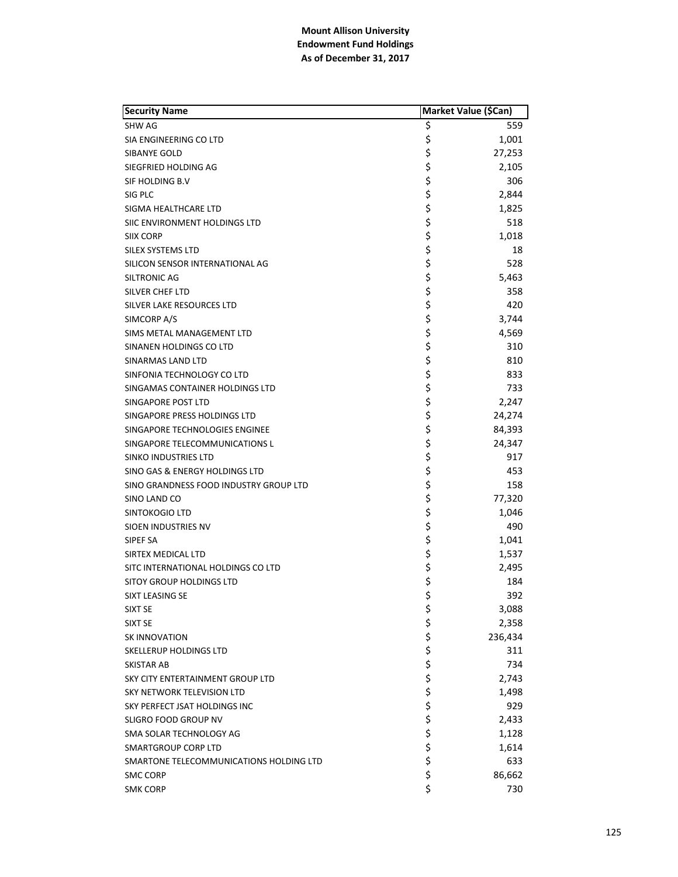| <b>Security Name</b>                    | Market Value (\$Can) |         |
|-----------------------------------------|----------------------|---------|
| <b>SHW AG</b>                           | \$                   | 559     |
| SIA ENGINEERING CO LTD                  | \$                   | 1,001   |
| SIBANYE GOLD                            | \$                   | 27,253  |
| SIEGFRIED HOLDING AG                    | \$                   | 2,105   |
| SIF HOLDING B.V                         | \$                   | 306     |
| SIG PLC                                 | \$                   | 2,844   |
| SIGMA HEALTHCARE LTD                    | \$                   | 1,825   |
| SIIC ENVIRONMENT HOLDINGS LTD           | \$                   | 518     |
| SIIX CORP                               | \$                   | 1,018   |
| SILEX SYSTEMS LTD                       | \$                   | 18      |
| SILICON SENSOR INTERNATIONAL AG         | \$                   | 528     |
| <b>SILTRONIC AG</b>                     | \$                   | 5,463   |
| <b>SILVER CHEF LTD</b>                  | \$                   | 358     |
| SILVER LAKE RESOURCES LTD               | \$                   | 420     |
| SIMCORP A/S                             | \$                   | 3,744   |
| <b>SIMS METAL MANAGEMENT LTD</b>        | \$                   | 4,569   |
| SINANEN HOLDINGS CO LTD                 | \$                   | 310     |
| SINARMAS LAND LTD                       | \$                   | 810     |
| SINFONIA TECHNOLOGY CO LTD              | \$                   | 833     |
| SINGAMAS CONTAINER HOLDINGS LTD         | \$                   | 733     |
| SINGAPORE POST LTD                      | \$                   | 2,247   |
| SINGAPORE PRESS HOLDINGS LTD            | \$                   | 24,274  |
| SINGAPORE TECHNOLOGIES ENGINEE          | \$                   | 84,393  |
| SINGAPORE TELECOMMUNICATIONS L          | \$                   | 24,347  |
| SINKO INDUSTRIES LTD                    | \$                   | 917     |
| SINO GAS & ENERGY HOLDINGS LTD          | \$                   | 453     |
| SINO GRANDNESS FOOD INDUSTRY GROUP LTD  | \$                   | 158     |
| SINO LAND CO                            | \$                   | 77,320  |
| SINTOKOGIO LTD                          | \$                   | 1,046   |
| SIOEN INDUSTRIES NV                     | \$                   | 490     |
| SIPEF SA                                | \$                   | 1,041   |
| SIRTEX MEDICAL LTD                      | \$                   | 1,537   |
| SITC INTERNATIONAL HOLDINGS CO LTD      | \$                   | 2,495   |
| <b>SITOY GROUP HOLDINGS LTD</b>         | \$                   | 184     |
| SIXT LEASING SE                         | \$                   | 392     |
| SIXT SE                                 | \$                   | 3,088   |
| <b>SIXT SE</b>                          |                      | 2,358   |
| <b>SK INNOVATION</b>                    |                      | 236,434 |
| SKELLERUP HOLDINGS LTD                  |                      | 311     |
| <b>SKISTAR AB</b>                       |                      | 734     |
| SKY CITY ENTERTAINMENT GROUP LTD        |                      | 2,743   |
| SKY NETWORK TELEVISION LTD              |                      | 1,498   |
| SKY PERFECT JSAT HOLDINGS INC           |                      | 929     |
| SLIGRO FOOD GROUP NV                    |                      | 2,433   |
| SMA SOLAR TECHNOLOGY AG                 | やややな ややや やや          | 1,128   |
| SMARTGROUP CORP LTD                     |                      | 1,614   |
| SMARTONE TELECOMMUNICATIONS HOLDING LTD | \$                   | 633     |
| SMC CORP                                | \$                   | 86,662  |
| <b>SMK CORP</b>                         | \$                   | 730     |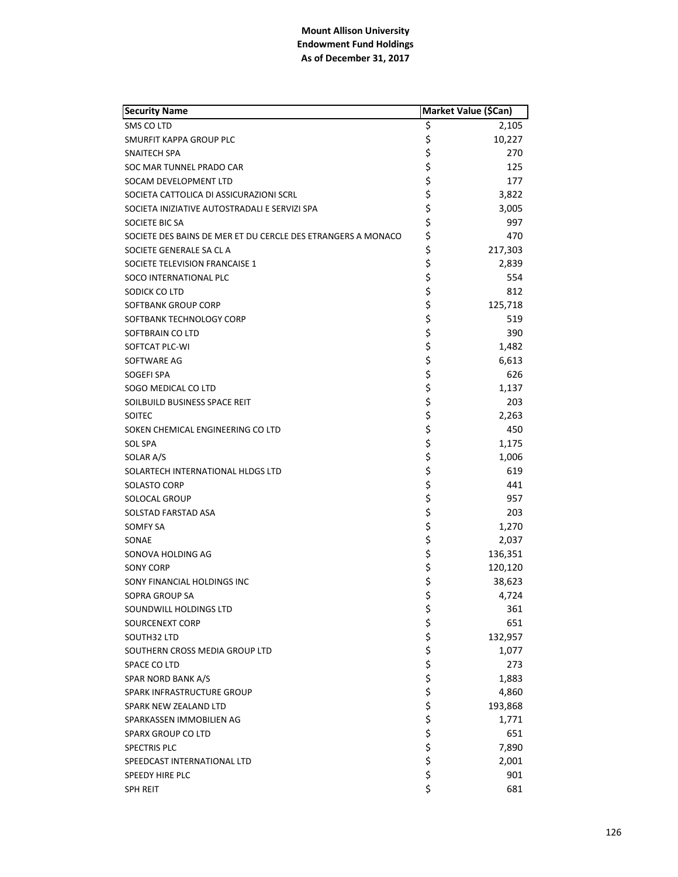| <b>Security Name</b>                                         | Market Value (\$Can) |         |
|--------------------------------------------------------------|----------------------|---------|
| SMS CO LTD                                                   | \$                   | 2,105   |
| <b>SMURFIT KAPPA GROUP PLC</b>                               | \$                   | 10,227  |
| SNAITECH SPA                                                 | \$                   | 270     |
| SOC MAR TUNNEL PRADO CAR                                     | \$                   | 125     |
| SOCAM DEVELOPMENT LTD                                        | \$                   | 177     |
| SOCIETA CATTOLICA DI ASSICURAZIONI SCRL                      | \$                   | 3,822   |
| SOCIETA INIZIATIVE AUTOSTRADALI E SERVIZI SPA                | \$                   | 3,005   |
| SOCIETE BIC SA                                               | \$                   | 997     |
| SOCIETE DES BAINS DE MER ET DU CERCLE DES ETRANGERS A MONACO | \$                   | 470     |
| SOCIETE GENERALE SA CL A                                     | \$                   | 217,303 |
| SOCIETE TELEVISION FRANCAISE 1                               | \$                   | 2,839   |
| SOCO INTERNATIONAL PLC                                       | \$                   | 554     |
| SODICK CO LTD                                                | \$                   | 812     |
| SOFTBANK GROUP CORP                                          | \$                   | 125,718 |
| SOFTBANK TECHNOLOGY CORP                                     | \$                   | 519     |
| SOFTBRAIN CO LTD                                             | \$                   | 390     |
| SOFTCAT PLC-WI                                               | \$                   | 1,482   |
| SOFTWARE AG                                                  | \$                   | 6,613   |
| SOGEFI SPA                                                   | \$                   | 626     |
| SOGO MEDICAL CO LTD                                          | \$                   | 1,137   |
| SOILBUILD BUSINESS SPACE REIT                                | \$                   | 203     |
| <b>SOITEC</b>                                                | \$                   | 2,263   |
| SOKEN CHEMICAL ENGINEERING CO LTD                            | \$                   | 450     |
| <b>SOL SPA</b>                                               | \$                   | 1,175   |
| SOLAR A/S                                                    | \$                   | 1,006   |
| SOLARTECH INTERNATIONAL HLDGS LTD                            | \$                   | 619     |
| <b>SOLASTO CORP</b>                                          | \$                   | 441     |
| SOLOCAL GROUP                                                | \$                   | 957     |
| SOLSTAD FARSTAD ASA                                          | \$                   | 203     |
| <b>SOMFY SA</b>                                              | \$                   | 1,270   |
| SONAE                                                        | \$                   | 2,037   |
| SONOVA HOLDING AG                                            | \$                   | 136,351 |
| <b>SONY CORP</b>                                             | \$                   | 120,120 |
| SONY FINANCIAL HOLDINGS INC                                  | \$                   | 38,623  |
| SOPRA GROUP SA                                               | \$                   | 4,724   |
| SOUNDWILL HOLDINGS LTD                                       | \$                   | 361     |
| <b>SOURCENEXT CORP</b>                                       |                      | 651     |
| SOUTH32 LTD                                                  |                      | 132,957 |
| SOUTHERN CROSS MEDIA GROUP LTD                               |                      | 1,077   |
| SPACE CO LTD                                                 |                      | 273     |
| SPAR NORD BANK A/S                                           |                      | 1,883   |
| <b>SPARK INFRASTRUCTURE GROUP</b>                            |                      | 4,860   |
| SPARK NEW ZEALAND LTD                                        |                      | 193,868 |
| SPARKASSEN IMMOBILIEN AG                                     |                      | 1,771   |
| SPARX GROUP CO LTD                                           | さらさん さんそう            | 651     |
| SPECTRIS PLC                                                 |                      | 7,890   |
| SPEEDCAST INTERNATIONAL LTD                                  | \$                   | 2,001   |
| <b>SPEEDY HIRE PLC</b>                                       | \$<br>\$             | 901     |
| <b>SPH REIT</b>                                              |                      | 681     |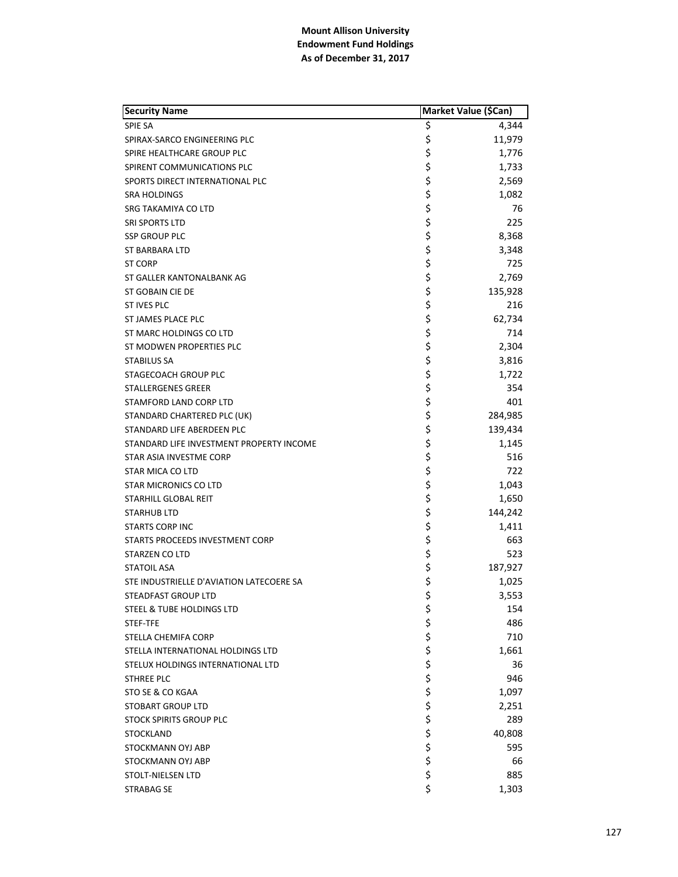| <b>Security Name</b>                     | Market Value (\$Can) |         |
|------------------------------------------|----------------------|---------|
| <b>SPIE SA</b>                           | \$                   | 4,344   |
| SPIRAX-SARCO ENGINEERING PLC             | \$                   | 11,979  |
| SPIRE HEALTHCARE GROUP PLC               | \$                   | 1,776   |
| SPIRENT COMMUNICATIONS PLC               | \$                   | 1,733   |
| SPORTS DIRECT INTERNATIONAL PLC          | \$                   | 2,569   |
| SRA HOLDINGS                             | \$                   | 1,082   |
| SRG TAKAMIYA CO LTD                      | \$                   | 76      |
| <b>SRI SPORTS LTD</b>                    | \$                   | 225     |
| <b>SSP GROUP PLC</b>                     | \$                   | 8,368   |
| ST BARBARA LTD                           | \$                   | 3,348   |
| <b>ST CORP</b>                           | \$                   | 725     |
| ST GALLER KANTONALBANK AG                | \$                   | 2,769   |
| ST GOBAIN CIE DE                         | \$                   | 135,928 |
| ST IVES PLC                              | \$                   | 216     |
| ST JAMES PLACE PLC                       | \$                   | 62,734  |
| ST MARC HOLDINGS CO LTD                  | \$                   | 714     |
| ST MODWEN PROPERTIES PLC                 | \$                   | 2,304   |
| <b>STABILUS SA</b>                       | \$                   | 3,816   |
| STAGECOACH GROUP PLC                     | \$                   | 1,722   |
| <b>STALLERGENES GREER</b>                | \$                   | 354     |
| STAMFORD LAND CORP LTD                   | \$                   | 401     |
| STANDARD CHARTERED PLC (UK)              | \$                   | 284,985 |
| STANDARD LIFE ABERDEEN PLC               | \$                   | 139,434 |
| STANDARD LIFE INVESTMENT PROPERTY INCOME | \$                   | 1,145   |
| STAR ASIA INVESTME CORP                  | \$                   | 516     |
| <b>STAR MICA CO LTD</b>                  | \$                   | 722     |
| STAR MICRONICS CO LTD                    | \$                   | 1,043   |
| STARHILL GLOBAL REIT                     | \$                   | 1,650   |
| <b>STARHUB LTD</b>                       | \$                   | 144,242 |
| <b>STARTS CORP INC</b>                   | \$                   | 1,411   |
| STARTS PROCEEDS INVESTMENT CORP          | \$                   | 663     |
| STARZEN CO LTD                           | \$                   | 523     |
| <b>STATOIL ASA</b>                       | \$                   | 187,927 |
| STE INDUSTRIELLE D'AVIATION LATECOERE SA | \$                   | 1,025   |
| STEADFAST GROUP LTD                      | \$                   | 3,553   |
| STEEL & TUBE HOLDINGS LTD                | \$                   | 154     |
| STEF-TFE                                 |                      | 486     |
| <b>STELLA CHEMIFA CORP</b>               |                      | 710     |
| STELLA INTERNATIONAL HOLDINGS LTD        |                      | 1,661   |
| STELUX HOLDINGS INTERNATIONAL LTD        |                      | 36      |
| <b>STHREE PLC</b>                        |                      | 946     |
| STO SE & CO KGAA                         |                      | 1,097   |
| <b>STOBART GROUP LTD</b>                 |                      | 2,251   |
| <b>STOCK SPIRITS GROUP PLC</b>           |                      | 289     |
| <b>STOCKLAND</b>                         |                      | 40,808  |
| STOCKMANN OYJ ABP                        | やややややややややや           | 595     |
| STOCKMANN OYJ ABP                        |                      | 66      |
| STOLT-NIELSEN LTD                        | \$                   | 885     |
| STRABAG SE                               | \$                   | 1,303   |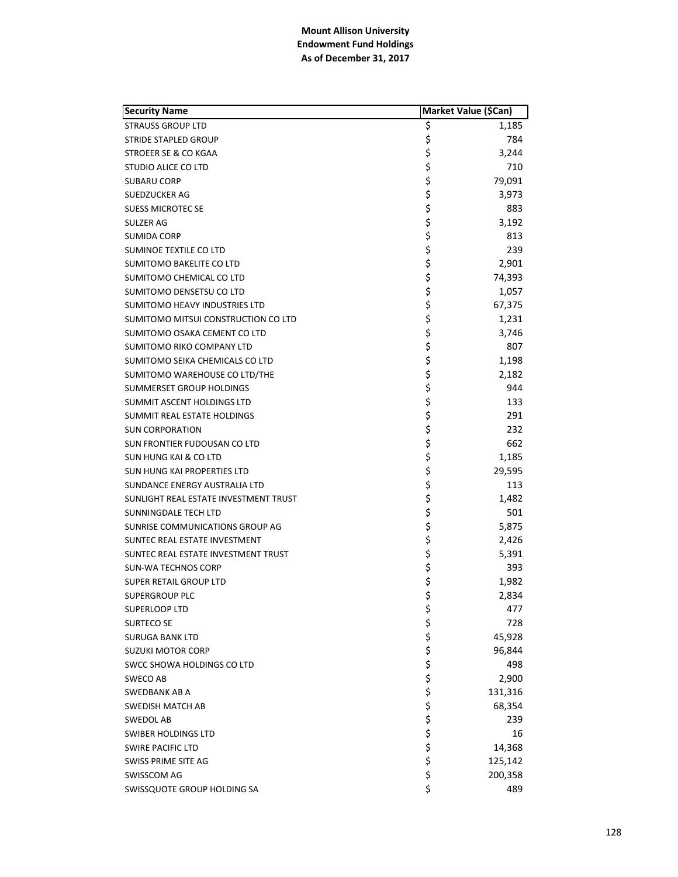| <b>Security Name</b>                  | Market Value (\$Can) |         |
|---------------------------------------|----------------------|---------|
| <b>STRAUSS GROUP LTD</b>              | \$                   | 1,185   |
| <b>STRIDE STAPLED GROUP</b>           | \$                   | 784     |
| STROEER SE & CO KGAA                  | \$                   | 3,244   |
| STUDIO ALICE CO LTD                   | \$                   | 710     |
| <b>SUBARU CORP</b>                    | \$                   | 79,091  |
| SUEDZUCKER AG                         | \$                   | 3,973   |
| <b>SUESS MICROTEC SE</b>              | \$                   | 883     |
| SULZER AG                             | \$                   | 3,192   |
| SUMIDA CORP                           | \$                   | 813     |
| SUMINOE TEXTILE CO LTD                | \$                   | 239     |
| SUMITOMO BAKELITE CO LTD              | \$                   | 2,901   |
| SUMITOMO CHEMICAL CO LTD              | \$                   | 74,393  |
| SUMITOMO DENSETSU CO LTD              | \$                   | 1,057   |
| <b>SUMITOMO HEAVY INDUSTRIES LTD</b>  | \$                   | 67,375  |
| SUMITOMO MITSUI CONSTRUCTION CO LTD   | \$                   | 1,231   |
| SUMITOMO OSAKA CEMENT CO LTD          | \$                   | 3,746   |
| SUMITOMO RIKO COMPANY LTD             | \$                   | 807     |
| SUMITOMO SEIKA CHEMICALS CO LTD       | \$                   | 1,198   |
| SUMITOMO WAREHOUSE CO LTD/THE         | \$                   | 2,182   |
| SUMMERSET GROUP HOLDINGS              | \$                   | 944     |
| SUMMIT ASCENT HOLDINGS LTD            | \$                   | 133     |
| SUMMIT REAL ESTATE HOLDINGS           | \$                   | 291     |
| <b>SUN CORPORATION</b>                | \$                   | 232     |
| SUN FRONTIER FUDOUSAN CO LTD          | \$                   | 662     |
| SUN HUNG KAI & CO LTD                 | \$                   | 1,185   |
| <b>SUN HUNG KAI PROPERTIES LTD</b>    | \$                   | 29,595  |
| SUNDANCE ENERGY AUSTRALIA LTD         | \$                   | 113     |
| SUNLIGHT REAL ESTATE INVESTMENT TRUST | \$                   | 1,482   |
| SUNNINGDALE TECH LTD                  | \$                   | 501     |
| SUNRISE COMMUNICATIONS GROUP AG       | \$                   | 5,875   |
| SUNTEC REAL ESTATE INVESTMENT         | \$                   | 2,426   |
| SUNTEC REAL ESTATE INVESTMENT TRUST   | \$                   | 5,391   |
| <b>SUN-WA TECHNOS CORP</b>            | \$                   | 393     |
| <b>SUPER RETAIL GROUP LTD</b>         | \$                   | 1,982   |
| SUPERGROUP PLC                        | \$                   | 2,834   |
| SUPERLOOP LTD                         | \$                   | 477     |
| SURTECO SE                            |                      | 728     |
| SURUGA BANK LTD                       | ややや ややや              | 45,928  |
| SUZUKI MOTOR CORP                     |                      | 96,844  |
| SWCC SHOWA HOLDINGS CO LTD            |                      | 498     |
| SWECO AB                              |                      | 2,900   |
| <b>SWEDBANK AB A</b>                  |                      | 131,316 |
| <b>SWEDISH MATCH AB</b>               |                      | 68,354  |
| <b>SWEDOL AB</b>                      |                      | 239     |
| SWIBER HOLDINGS LTD                   |                      | 16      |
| <b>SWIRE PACIFIC LTD</b>              | \$ \$ \$ \$          | 14,368  |
| SWISS PRIME SITE AG                   |                      | 125,142 |
| SWISSCOM AG                           | \$                   | 200,358 |
| SWISSQUOTE GROUP HOLDING SA           | \$                   | 489     |
|                                       |                      |         |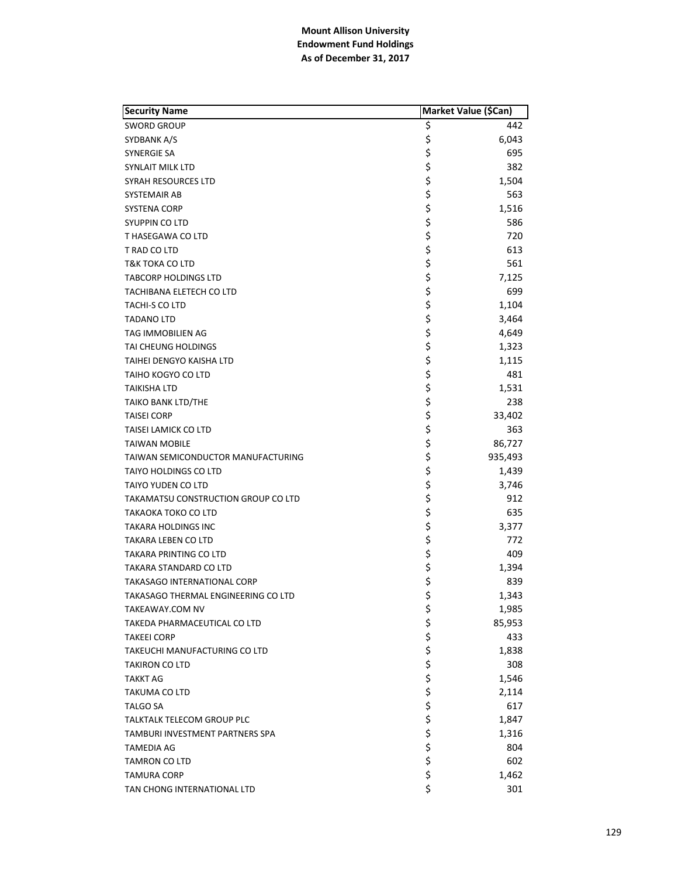| <b>Security Name</b>                   | Market Value (\$Can) |         |
|----------------------------------------|----------------------|---------|
| <b>SWORD GROUP</b>                     | \$                   | 442     |
| SYDBANK A/S                            | \$                   | 6,043   |
| SYNERGIE SA                            | \$                   | 695     |
| SYNLAIT MILK LTD                       | \$                   | 382     |
| SYRAH RESOURCES LTD                    | \$                   | 1,504   |
| SYSTEMAIR AB                           | \$                   | 563     |
| <b>SYSTENA CORP</b>                    | \$                   | 1,516   |
| SYUPPIN CO LTD                         | \$                   | 586     |
| T HASEGAWA CO LTD                      | \$                   | 720     |
| T RAD CO LTD                           | \$                   | 613     |
| <b>T&amp;K TOKA CO LTD</b>             | \$                   | 561     |
| <b>TABCORP HOLDINGS LTD</b>            | \$                   | 7,125   |
| TACHIBANA ELETECH CO LTD               | \$                   | 699     |
| TACHI-S CO LTD                         | \$                   | 1,104   |
| <b>TADANO LTD</b>                      | \$                   | 3,464   |
| TAG IMMOBILIEN AG                      | \$                   | 4,649   |
| <b>TAI CHEUNG HOLDINGS</b>             | \$                   | 1,323   |
| TAIHEI DENGYO KAISHA LTD               | \$                   | 1,115   |
| TAIHO KOGYO CO LTD                     |                      | 481     |
| <b>TAIKISHA LTD</b>                    | \$<br>\$             | 1,531   |
| <b>TAIKO BANK LTD/THE</b>              | \$                   | 238     |
| <b>TAISEI CORP</b>                     | \$                   | 33,402  |
| TAISEI LAMICK CO LTD                   | \$                   | 363     |
| <b>TAIWAN MOBILE</b>                   | \$                   | 86,727  |
| TAIWAN SEMICONDUCTOR MANUFACTURING     | \$                   | 935,493 |
| TAIYO HOLDINGS CO LTD                  | \$                   | 1,439   |
| TAIYO YUDEN CO LTD                     |                      | 3,746   |
| TAKAMATSU CONSTRUCTION GROUP CO LTD    | \$<br>\$             | 912     |
| TAKAOKA TOKO CO LTD                    | \$                   | 635     |
| <b>TAKARA HOLDINGS INC</b>             | \$                   | 3,377   |
| TAKARA LEBEN CO LTD                    | \$                   | 772     |
| TAKARA PRINTING CO LTD                 | \$                   | 409     |
| TAKARA STANDARD CO LTD                 | \$<br>\$             | 1,394   |
| <b>TAKASAGO INTERNATIONAL CORP</b>     |                      | 839     |
| TAKASAGO THERMAL ENGINEERING CO LTD    | \$                   | 1,343   |
| TAKEAWAY.COM NV                        | \$                   | 1,985   |
| TAKEDA PHARMACEUTICAL CO LTD           |                      | 85,953  |
| <b>TAKEEI CORP</b>                     |                      | 433     |
| TAKEUCHI MANUFACTURING CO LTD          |                      | 1,838   |
| <b>TAKIRON CO LTD</b>                  |                      | 308     |
| <b>TAKKT AG</b>                        |                      | 1,546   |
| <b>TAKUMA CO LTD</b>                   |                      | 2,114   |
| <b>TALGO SA</b>                        |                      | 617     |
| <b>TALKTALK TELECOM GROUP PLC</b>      |                      | 1,847   |
| <b>TAMBURI INVESTMENT PARTNERS SPA</b> | ぐぐろぐぐさか              | 1,316   |
| TAMEDIA AG                             |                      | 804     |
| <b>TAMRON CO LTD</b>                   |                      | 602     |
| <b>TAMURA CORP</b>                     | \$                   | 1,462   |
| TAN CHONG INTERNATIONAL LTD            | \$                   | 301     |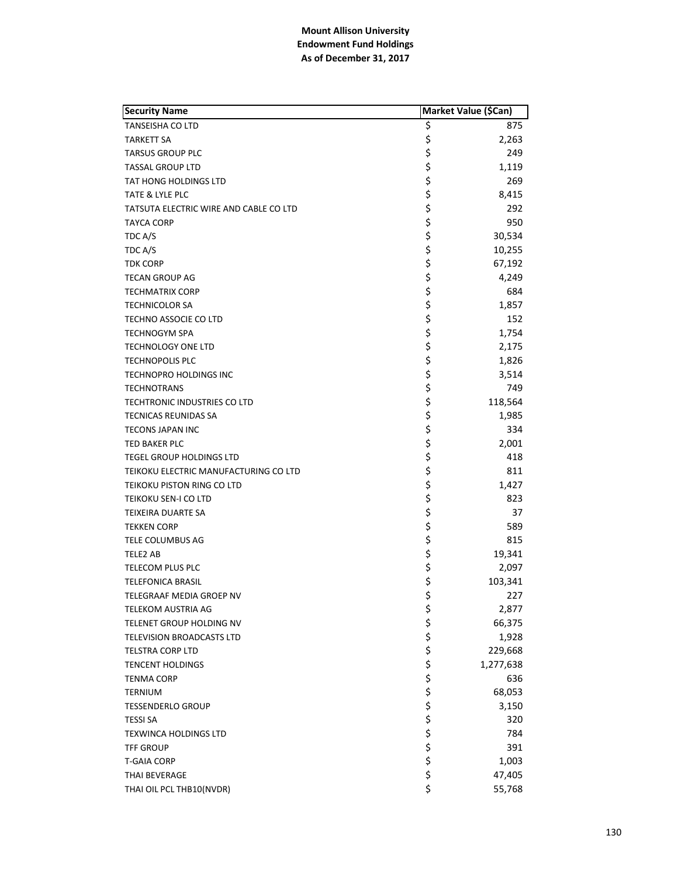| <b>Security Name</b>                   | Market Value (\$Can) |           |
|----------------------------------------|----------------------|-----------|
| <b>TANSEISHA CO LTD</b>                | \$                   | 875       |
| <b>TARKETT SA</b>                      | \$                   | 2,263     |
| <b>TARSUS GROUP PLC</b>                | \$                   | 249       |
| <b>TASSAL GROUP LTD</b>                | \$                   | 1,119     |
| <b>TAT HONG HOLDINGS LTD</b>           | \$                   | 269       |
| TATE & LYLE PLC                        | \$                   | 8,415     |
| TATSUTA ELECTRIC WIRE AND CABLE CO LTD | \$                   | 292       |
| <b>TAYCA CORP</b>                      | \$                   | 950       |
| TDC A/S                                | \$                   | 30,534    |
| TDC A/S                                | \$                   | 10,255    |
| <b>TDK CORP</b>                        | \$                   | 67,192    |
| <b>TECAN GROUP AG</b>                  | \$                   | 4,249     |
| <b>TECHMATRIX CORP</b>                 | \$                   | 684       |
| <b>TECHNICOLOR SA</b>                  | \$                   | 1,857     |
| TECHNO ASSOCIE CO LTD                  | \$                   | 152       |
| <b>TECHNOGYM SPA</b>                   | \$                   | 1,754     |
| <b>TECHNOLOGY ONE LTD</b>              | \$                   | 2,175     |
| <b>TECHNOPOLIS PLC</b>                 | \$                   | 1,826     |
| TECHNOPRO HOLDINGS INC                 | \$                   | 3,514     |
| <b>TECHNOTRANS</b>                     | \$                   | 749       |
| TECHTRONIC INDUSTRIES CO LTD           | \$                   | 118,564   |
| <b>TECNICAS REUNIDAS SA</b>            | \$                   | 1,985     |
| <b>TECONS JAPAN INC</b>                | \$                   | 334       |
| TED BAKER PLC                          | \$                   | 2,001     |
| TEGEL GROUP HOLDINGS LTD               |                      | 418       |
| TEIKOKU ELECTRIC MANUFACTURING CO LTD  | \$\$\$               | 811       |
| TEIKOKU PISTON RING CO LTD             |                      | 1,427     |
| TEIKOKU SEN-I CO LTD                   |                      | 823       |
| TEIXEIRA DUARTE SA                     | \$<br>\$             | 37        |
| <b>TEKKEN CORP</b>                     | \$                   | 589       |
| TELE COLUMBUS AG                       | \$                   | 815       |
| TELE2 AB                               | \$                   | 19,341    |
| TELECOM PLUS PLC                       | \$                   | 2,097     |
| <b>TELEFONICA BRASIL</b>               | \$                   | 103,341   |
| TELEGRAAF MEDIA GROEP NV               | \$                   | 227       |
| TELEKOM AUSTRIA AG                     | \$                   | 2,877     |
| TELENET GROUP HOLDING NV               |                      | 66,375    |
| TELEVISION BROADCASTS LTD              |                      | 1,928     |
| <b>TELSTRA CORP LTD</b>                |                      | 229,668   |
| <b>TENCENT HOLDINGS</b>                | ややや ややや              | 1,277,638 |
| <b>TENMA CORP</b>                      |                      | 636       |
| <b>TERNIUM</b>                         |                      | 68,053    |
| <b>TESSENDERLO GROUP</b>               |                      | 3,150     |
| <b>TESSI SA</b>                        |                      | 320       |
| TEXWINCA HOLDINGS LTD                  |                      | 784       |
| TFF GROUP                              | \$\$\$\$             | 391       |
| T-GAIA CORP                            |                      | 1,003     |
| THAI BEVERAGE                          | \$                   | 47,405    |
| THAI OIL PCL THB10(NVDR)               | \$                   | 55,768    |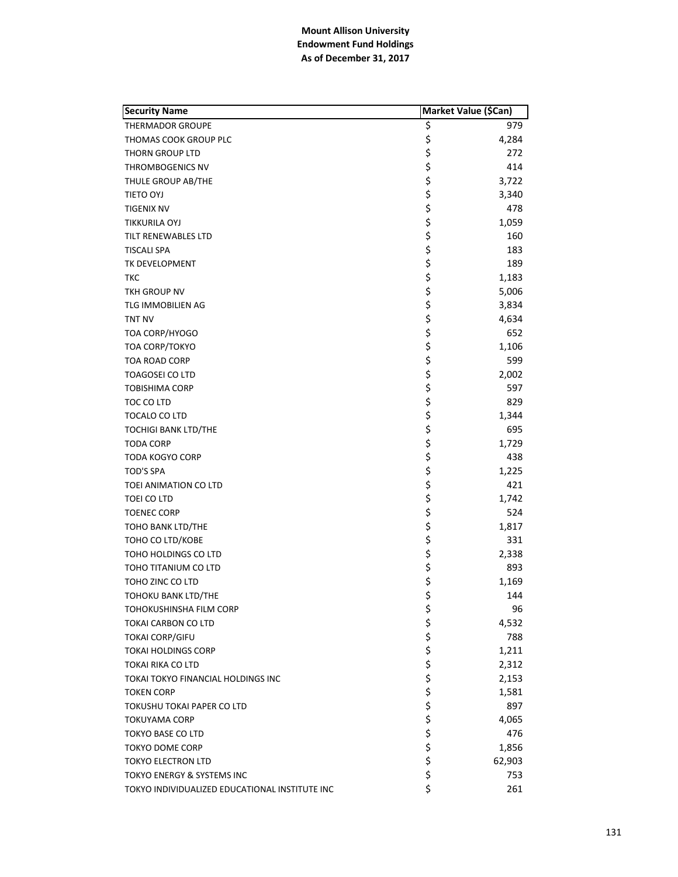| \$<br>979<br>THERMADOR GROUPE<br>\$<br>4,284<br>THOMAS COOK GROUP PLC<br>\$<br>272<br>THORN GROUP LTD<br>\$<br>414<br>THROMBOGENICS NV<br>\$<br>3,722<br>THULE GROUP AB/THE<br>\$<br>3,340<br>TIETO OYJ<br>\$<br>478<br>TIGENIX NV<br>\$<br>1,059<br>TIKKURILA OYJ<br>\$<br>160<br>TILT RENEWABLES LTD<br>\$<br>\$<br>183<br>TISCALI SPA<br>189<br>TK DEVELOPMENT<br>\$<br>1,183<br>ткс<br>\$<br>TKH GROUP NV<br>5,006<br>\$<br>TLG IMMOBILIEN AG<br>3,834<br>\$<br><b>TNT NV</b><br>4,634<br>\$<br>\$<br>652<br>TOA CORP/HYOGO<br>1,106<br>TOA CORP/TOKYO<br>\$<br>599<br>TOA ROAD CORP<br>\$<br>TOAGOSEI CO LTD<br>2,002<br>\$<br>597<br><b>TOBISHIMA CORP</b><br>\$<br>829<br>TOC CO LTD<br>\$<br>\$<br>1,344<br>TOCALO CO LTD<br>695<br><b>TOCHIGI BANK LTD/THE</b><br>\$<br>1,729<br>TODA CORP<br>\$<br>438<br>TODA KOGYO CORP<br>\$<br><b>TOD'S SPA</b><br>1,225<br>ららら<br>421<br>TOEI ANIMATION CO LTD<br>1,742<br>TOEI CO LTD<br>524<br>TOENEC CORP<br>\$<br>1,817<br>TOHO BANK LTD/THE<br>\$<br>331<br>TOHO CO LTD/KOBE<br>\$<br>2,338<br>TOHO HOLDINGS CO LTD<br>\$<br>\$<br>893<br>TOHO TITANIUM CO LTD<br>TOHO ZINC CO LTD<br>1,169<br>\$<br>144<br><b>TOHOKU BANK LTD/THE</b><br>\$<br>96<br>TOHOKUSHINSHA FILM CORP<br>\$<br>4,532<br>TOKAI CARBON CO LTD<br>\$<br>\$<br>788<br><b>TOKAI CORP/GIFU</b><br>1,211<br><b>TOKAI HOLDINGS CORP</b><br>\$\$\$\$\$<br>2,312<br>TOKAI RIKA CO LTD<br>2,153<br>TOKAI TOKYO FINANCIAL HOLDINGS INC<br>1,581<br>TOKEN CORP<br>897<br>TOKUSHU TOKAI PAPER CO LTD<br>4,065<br>TOKUYAMA CORP<br>\$<br>476<br><b>TOKYO BASE CO LTD</b><br>\$<br>1,856<br>TOKYO DOME CORP<br>\$<br>62,903<br>TOKYO ELECTRON LTD<br>\$<br>753<br>TOKYO ENERGY & SYSTEMS INC | <b>Security Name</b>                           | Market Value (\$Can) |     |
|----------------------------------------------------------------------------------------------------------------------------------------------------------------------------------------------------------------------------------------------------------------------------------------------------------------------------------------------------------------------------------------------------------------------------------------------------------------------------------------------------------------------------------------------------------------------------------------------------------------------------------------------------------------------------------------------------------------------------------------------------------------------------------------------------------------------------------------------------------------------------------------------------------------------------------------------------------------------------------------------------------------------------------------------------------------------------------------------------------------------------------------------------------------------------------------------------------------------------------------------------------------------------------------------------------------------------------------------------------------------------------------------------------------------------------------------------------------------------------------------------------------------------------------------------------------------------------------------------------------------------------------------------------------------------------------------------------|------------------------------------------------|----------------------|-----|
|                                                                                                                                                                                                                                                                                                                                                                                                                                                                                                                                                                                                                                                                                                                                                                                                                                                                                                                                                                                                                                                                                                                                                                                                                                                                                                                                                                                                                                                                                                                                                                                                                                                                                                          |                                                |                      |     |
|                                                                                                                                                                                                                                                                                                                                                                                                                                                                                                                                                                                                                                                                                                                                                                                                                                                                                                                                                                                                                                                                                                                                                                                                                                                                                                                                                                                                                                                                                                                                                                                                                                                                                                          |                                                |                      |     |
|                                                                                                                                                                                                                                                                                                                                                                                                                                                                                                                                                                                                                                                                                                                                                                                                                                                                                                                                                                                                                                                                                                                                                                                                                                                                                                                                                                                                                                                                                                                                                                                                                                                                                                          |                                                |                      |     |
|                                                                                                                                                                                                                                                                                                                                                                                                                                                                                                                                                                                                                                                                                                                                                                                                                                                                                                                                                                                                                                                                                                                                                                                                                                                                                                                                                                                                                                                                                                                                                                                                                                                                                                          |                                                |                      |     |
|                                                                                                                                                                                                                                                                                                                                                                                                                                                                                                                                                                                                                                                                                                                                                                                                                                                                                                                                                                                                                                                                                                                                                                                                                                                                                                                                                                                                                                                                                                                                                                                                                                                                                                          |                                                |                      |     |
|                                                                                                                                                                                                                                                                                                                                                                                                                                                                                                                                                                                                                                                                                                                                                                                                                                                                                                                                                                                                                                                                                                                                                                                                                                                                                                                                                                                                                                                                                                                                                                                                                                                                                                          |                                                |                      |     |
|                                                                                                                                                                                                                                                                                                                                                                                                                                                                                                                                                                                                                                                                                                                                                                                                                                                                                                                                                                                                                                                                                                                                                                                                                                                                                                                                                                                                                                                                                                                                                                                                                                                                                                          |                                                |                      |     |
|                                                                                                                                                                                                                                                                                                                                                                                                                                                                                                                                                                                                                                                                                                                                                                                                                                                                                                                                                                                                                                                                                                                                                                                                                                                                                                                                                                                                                                                                                                                                                                                                                                                                                                          |                                                |                      |     |
|                                                                                                                                                                                                                                                                                                                                                                                                                                                                                                                                                                                                                                                                                                                                                                                                                                                                                                                                                                                                                                                                                                                                                                                                                                                                                                                                                                                                                                                                                                                                                                                                                                                                                                          |                                                |                      |     |
|                                                                                                                                                                                                                                                                                                                                                                                                                                                                                                                                                                                                                                                                                                                                                                                                                                                                                                                                                                                                                                                                                                                                                                                                                                                                                                                                                                                                                                                                                                                                                                                                                                                                                                          |                                                |                      |     |
|                                                                                                                                                                                                                                                                                                                                                                                                                                                                                                                                                                                                                                                                                                                                                                                                                                                                                                                                                                                                                                                                                                                                                                                                                                                                                                                                                                                                                                                                                                                                                                                                                                                                                                          |                                                |                      |     |
|                                                                                                                                                                                                                                                                                                                                                                                                                                                                                                                                                                                                                                                                                                                                                                                                                                                                                                                                                                                                                                                                                                                                                                                                                                                                                                                                                                                                                                                                                                                                                                                                                                                                                                          |                                                |                      |     |
|                                                                                                                                                                                                                                                                                                                                                                                                                                                                                                                                                                                                                                                                                                                                                                                                                                                                                                                                                                                                                                                                                                                                                                                                                                                                                                                                                                                                                                                                                                                                                                                                                                                                                                          |                                                |                      |     |
|                                                                                                                                                                                                                                                                                                                                                                                                                                                                                                                                                                                                                                                                                                                                                                                                                                                                                                                                                                                                                                                                                                                                                                                                                                                                                                                                                                                                                                                                                                                                                                                                                                                                                                          |                                                |                      |     |
|                                                                                                                                                                                                                                                                                                                                                                                                                                                                                                                                                                                                                                                                                                                                                                                                                                                                                                                                                                                                                                                                                                                                                                                                                                                                                                                                                                                                                                                                                                                                                                                                                                                                                                          |                                                |                      |     |
|                                                                                                                                                                                                                                                                                                                                                                                                                                                                                                                                                                                                                                                                                                                                                                                                                                                                                                                                                                                                                                                                                                                                                                                                                                                                                                                                                                                                                                                                                                                                                                                                                                                                                                          |                                                |                      |     |
|                                                                                                                                                                                                                                                                                                                                                                                                                                                                                                                                                                                                                                                                                                                                                                                                                                                                                                                                                                                                                                                                                                                                                                                                                                                                                                                                                                                                                                                                                                                                                                                                                                                                                                          |                                                |                      |     |
|                                                                                                                                                                                                                                                                                                                                                                                                                                                                                                                                                                                                                                                                                                                                                                                                                                                                                                                                                                                                                                                                                                                                                                                                                                                                                                                                                                                                                                                                                                                                                                                                                                                                                                          |                                                |                      |     |
|                                                                                                                                                                                                                                                                                                                                                                                                                                                                                                                                                                                                                                                                                                                                                                                                                                                                                                                                                                                                                                                                                                                                                                                                                                                                                                                                                                                                                                                                                                                                                                                                                                                                                                          |                                                |                      |     |
|                                                                                                                                                                                                                                                                                                                                                                                                                                                                                                                                                                                                                                                                                                                                                                                                                                                                                                                                                                                                                                                                                                                                                                                                                                                                                                                                                                                                                                                                                                                                                                                                                                                                                                          |                                                |                      |     |
|                                                                                                                                                                                                                                                                                                                                                                                                                                                                                                                                                                                                                                                                                                                                                                                                                                                                                                                                                                                                                                                                                                                                                                                                                                                                                                                                                                                                                                                                                                                                                                                                                                                                                                          |                                                |                      |     |
|                                                                                                                                                                                                                                                                                                                                                                                                                                                                                                                                                                                                                                                                                                                                                                                                                                                                                                                                                                                                                                                                                                                                                                                                                                                                                                                                                                                                                                                                                                                                                                                                                                                                                                          |                                                |                      |     |
|                                                                                                                                                                                                                                                                                                                                                                                                                                                                                                                                                                                                                                                                                                                                                                                                                                                                                                                                                                                                                                                                                                                                                                                                                                                                                                                                                                                                                                                                                                                                                                                                                                                                                                          |                                                |                      |     |
|                                                                                                                                                                                                                                                                                                                                                                                                                                                                                                                                                                                                                                                                                                                                                                                                                                                                                                                                                                                                                                                                                                                                                                                                                                                                                                                                                                                                                                                                                                                                                                                                                                                                                                          |                                                |                      |     |
|                                                                                                                                                                                                                                                                                                                                                                                                                                                                                                                                                                                                                                                                                                                                                                                                                                                                                                                                                                                                                                                                                                                                                                                                                                                                                                                                                                                                                                                                                                                                                                                                                                                                                                          |                                                |                      |     |
|                                                                                                                                                                                                                                                                                                                                                                                                                                                                                                                                                                                                                                                                                                                                                                                                                                                                                                                                                                                                                                                                                                                                                                                                                                                                                                                                                                                                                                                                                                                                                                                                                                                                                                          |                                                |                      |     |
|                                                                                                                                                                                                                                                                                                                                                                                                                                                                                                                                                                                                                                                                                                                                                                                                                                                                                                                                                                                                                                                                                                                                                                                                                                                                                                                                                                                                                                                                                                                                                                                                                                                                                                          |                                                |                      |     |
|                                                                                                                                                                                                                                                                                                                                                                                                                                                                                                                                                                                                                                                                                                                                                                                                                                                                                                                                                                                                                                                                                                                                                                                                                                                                                                                                                                                                                                                                                                                                                                                                                                                                                                          |                                                |                      |     |
|                                                                                                                                                                                                                                                                                                                                                                                                                                                                                                                                                                                                                                                                                                                                                                                                                                                                                                                                                                                                                                                                                                                                                                                                                                                                                                                                                                                                                                                                                                                                                                                                                                                                                                          |                                                |                      |     |
|                                                                                                                                                                                                                                                                                                                                                                                                                                                                                                                                                                                                                                                                                                                                                                                                                                                                                                                                                                                                                                                                                                                                                                                                                                                                                                                                                                                                                                                                                                                                                                                                                                                                                                          |                                                |                      |     |
|                                                                                                                                                                                                                                                                                                                                                                                                                                                                                                                                                                                                                                                                                                                                                                                                                                                                                                                                                                                                                                                                                                                                                                                                                                                                                                                                                                                                                                                                                                                                                                                                                                                                                                          |                                                |                      |     |
|                                                                                                                                                                                                                                                                                                                                                                                                                                                                                                                                                                                                                                                                                                                                                                                                                                                                                                                                                                                                                                                                                                                                                                                                                                                                                                                                                                                                                                                                                                                                                                                                                                                                                                          |                                                |                      |     |
|                                                                                                                                                                                                                                                                                                                                                                                                                                                                                                                                                                                                                                                                                                                                                                                                                                                                                                                                                                                                                                                                                                                                                                                                                                                                                                                                                                                                                                                                                                                                                                                                                                                                                                          |                                                |                      |     |
|                                                                                                                                                                                                                                                                                                                                                                                                                                                                                                                                                                                                                                                                                                                                                                                                                                                                                                                                                                                                                                                                                                                                                                                                                                                                                                                                                                                                                                                                                                                                                                                                                                                                                                          |                                                |                      |     |
|                                                                                                                                                                                                                                                                                                                                                                                                                                                                                                                                                                                                                                                                                                                                                                                                                                                                                                                                                                                                                                                                                                                                                                                                                                                                                                                                                                                                                                                                                                                                                                                                                                                                                                          |                                                |                      |     |
|                                                                                                                                                                                                                                                                                                                                                                                                                                                                                                                                                                                                                                                                                                                                                                                                                                                                                                                                                                                                                                                                                                                                                                                                                                                                                                                                                                                                                                                                                                                                                                                                                                                                                                          |                                                |                      |     |
|                                                                                                                                                                                                                                                                                                                                                                                                                                                                                                                                                                                                                                                                                                                                                                                                                                                                                                                                                                                                                                                                                                                                                                                                                                                                                                                                                                                                                                                                                                                                                                                                                                                                                                          |                                                |                      |     |
|                                                                                                                                                                                                                                                                                                                                                                                                                                                                                                                                                                                                                                                                                                                                                                                                                                                                                                                                                                                                                                                                                                                                                                                                                                                                                                                                                                                                                                                                                                                                                                                                                                                                                                          |                                                |                      |     |
|                                                                                                                                                                                                                                                                                                                                                                                                                                                                                                                                                                                                                                                                                                                                                                                                                                                                                                                                                                                                                                                                                                                                                                                                                                                                                                                                                                                                                                                                                                                                                                                                                                                                                                          |                                                |                      |     |
|                                                                                                                                                                                                                                                                                                                                                                                                                                                                                                                                                                                                                                                                                                                                                                                                                                                                                                                                                                                                                                                                                                                                                                                                                                                                                                                                                                                                                                                                                                                                                                                                                                                                                                          |                                                |                      |     |
|                                                                                                                                                                                                                                                                                                                                                                                                                                                                                                                                                                                                                                                                                                                                                                                                                                                                                                                                                                                                                                                                                                                                                                                                                                                                                                                                                                                                                                                                                                                                                                                                                                                                                                          |                                                |                      |     |
|                                                                                                                                                                                                                                                                                                                                                                                                                                                                                                                                                                                                                                                                                                                                                                                                                                                                                                                                                                                                                                                                                                                                                                                                                                                                                                                                                                                                                                                                                                                                                                                                                                                                                                          |                                                |                      |     |
|                                                                                                                                                                                                                                                                                                                                                                                                                                                                                                                                                                                                                                                                                                                                                                                                                                                                                                                                                                                                                                                                                                                                                                                                                                                                                                                                                                                                                                                                                                                                                                                                                                                                                                          |                                                |                      |     |
|                                                                                                                                                                                                                                                                                                                                                                                                                                                                                                                                                                                                                                                                                                                                                                                                                                                                                                                                                                                                                                                                                                                                                                                                                                                                                                                                                                                                                                                                                                                                                                                                                                                                                                          |                                                |                      |     |
|                                                                                                                                                                                                                                                                                                                                                                                                                                                                                                                                                                                                                                                                                                                                                                                                                                                                                                                                                                                                                                                                                                                                                                                                                                                                                                                                                                                                                                                                                                                                                                                                                                                                                                          |                                                |                      |     |
|                                                                                                                                                                                                                                                                                                                                                                                                                                                                                                                                                                                                                                                                                                                                                                                                                                                                                                                                                                                                                                                                                                                                                                                                                                                                                                                                                                                                                                                                                                                                                                                                                                                                                                          |                                                |                      |     |
|                                                                                                                                                                                                                                                                                                                                                                                                                                                                                                                                                                                                                                                                                                                                                                                                                                                                                                                                                                                                                                                                                                                                                                                                                                                                                                                                                                                                                                                                                                                                                                                                                                                                                                          |                                                |                      |     |
|                                                                                                                                                                                                                                                                                                                                                                                                                                                                                                                                                                                                                                                                                                                                                                                                                                                                                                                                                                                                                                                                                                                                                                                                                                                                                                                                                                                                                                                                                                                                                                                                                                                                                                          |                                                |                      |     |
|                                                                                                                                                                                                                                                                                                                                                                                                                                                                                                                                                                                                                                                                                                                                                                                                                                                                                                                                                                                                                                                                                                                                                                                                                                                                                                                                                                                                                                                                                                                                                                                                                                                                                                          | TOKYO INDIVIDUALIZED EDUCATIONAL INSTITUTE INC | \$                   | 261 |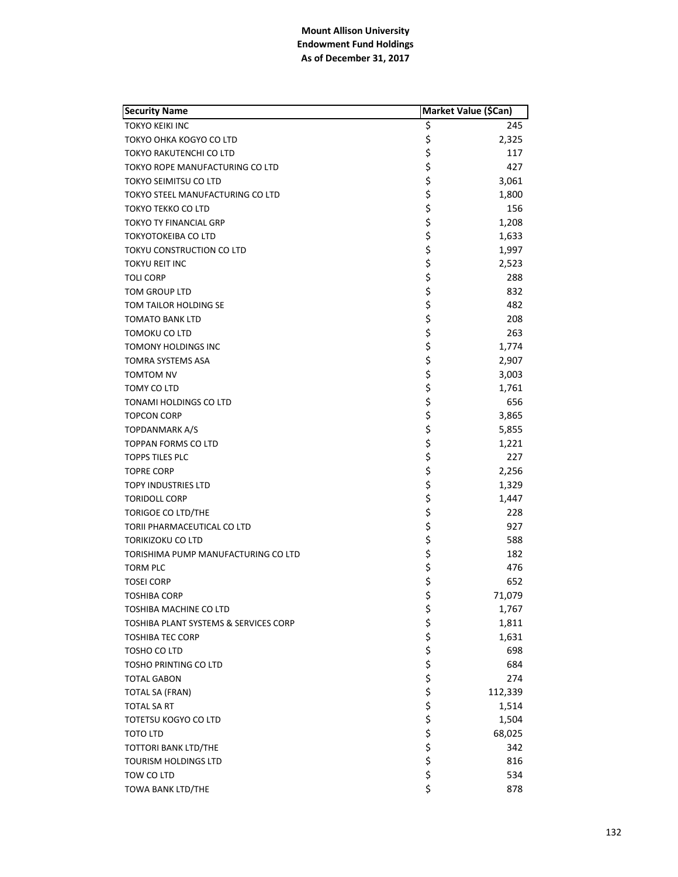| <b>Security Name</b>                  | Market Value (\$Can) |         |
|---------------------------------------|----------------------|---------|
| <b>TOKYO KEIKI INC</b>                | \$                   | 245     |
| TOKYO OHKA KOGYO CO LTD               | \$                   | 2,325   |
| TOKYO RAKUTENCHI CO LTD               | \$                   | 117     |
| TOKYO ROPE MANUFACTURING CO LTD       | \$                   | 427     |
| TOKYO SEIMITSU CO LTD                 | \$                   | 3,061   |
| TOKYO STEEL MANUFACTURING CO LTD      | \$                   | 1,800   |
| TOKYO TEKKO CO LTD                    | \$                   | 156     |
| TOKYO TY FINANCIAL GRP                | \$                   | 1,208   |
| <b>TOKYOTOKEIBA CO LTD</b>            | \$                   | 1,633   |
| TOKYU CONSTRUCTION CO LTD             | \$                   | 1,997   |
| <b>TOKYU REIT INC</b>                 | \$                   | 2,523   |
| TOLI CORP                             | \$                   | 288     |
| TOM GROUP LTD                         | \$                   | 832     |
| TOM TAILOR HOLDING SE                 | \$                   | 482     |
| <b>TOMATO BANK LTD</b>                | \$                   | 208     |
| TOMOKU CO LTD                         | \$                   | 263     |
| <b>TOMONY HOLDINGS INC</b>            | \$                   | 1,774   |
| TOMRA SYSTEMS ASA                     | \$                   | 2,907   |
| TOMTOM NV                             | \$                   | 3,003   |
| TOMY CO LTD                           | \$                   | 1,761   |
| TONAMI HOLDINGS CO LTD                | \$                   | 656     |
| <b>TOPCON CORP</b>                    | \$                   | 3,865   |
| TOPDANMARK A/S                        | \$                   | 5,855   |
| TOPPAN FORMS CO LTD                   | \$                   | 1,221   |
| <b>TOPPS TILES PLC</b>                | \$                   | 227     |
| <b>TOPRE CORP</b>                     | \$                   | 2,256   |
| <b>TOPY INDUSTRIES LTD</b>            | \$                   | 1,329   |
| <b>TORIDOLL CORP</b>                  | \$                   | 1,447   |
| TORIGOE CO LTD/THE                    | \$                   | 228     |
| TORII PHARMACEUTICAL CO LTD           | \$                   | 927     |
| TORIKIZOKU CO LTD                     | \$                   | 588     |
| TORISHIMA PUMP MANUFACTURING CO LTD   | \$                   | 182     |
| <b>TORM PLC</b>                       | \$                   | 476     |
| <b>TOSEI CORP</b>                     | \$                   | 652     |
| <b>TOSHIBA CORP</b>                   | \$                   | 71,079  |
| TOSHIBA MACHINE CO LTD                | \$                   | 1,767   |
| TOSHIBA PLANT SYSTEMS & SERVICES CORP |                      | 1,811   |
| <b>TOSHIBA TEC CORP</b>               |                      | 1,631   |
| TOSHO CO LTD                          |                      | 698     |
| TOSHO PRINTING CO LTD                 |                      | 684     |
| <b>TOTAL GABON</b>                    |                      | 274     |
| <b>TOTAL SA (FRAN)</b>                |                      | 112,339 |
| TOTAL SA RT                           |                      | 1,514   |
| TOTETSU KOGYO CO LTD                  |                      | 1,504   |
| TOTO LTD                              | やややややややや             | 68,025  |
| TOTTORI BANK LTD/THE                  |                      | 342     |
| TOURISM HOLDINGS LTD                  | \$                   | 816     |
| TOW CO LTD                            | \$                   | 534     |
| TOWA BANK LTD/THE                     | \$                   | 878     |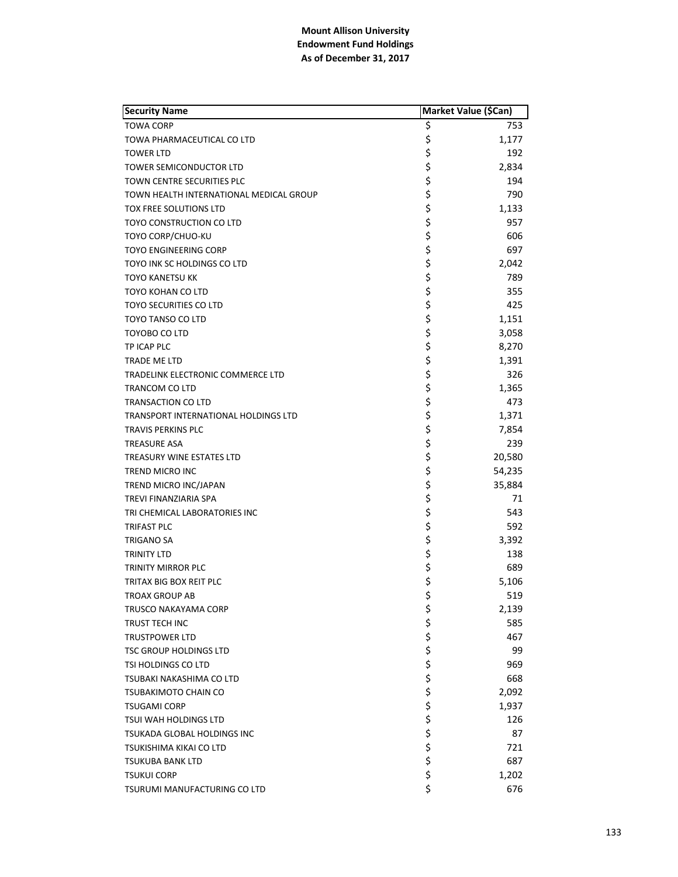| <b>Security Name</b>                                   | Market Value (\$Can) |        |
|--------------------------------------------------------|----------------------|--------|
| <b>TOWA CORP</b>                                       | \$                   | 753    |
| TOWA PHARMACEUTICAL CO LTD                             | \$                   | 1,177  |
| <b>TOWER LTD</b>                                       | \$                   | 192    |
| TOWER SEMICONDUCTOR LTD                                | \$                   | 2,834  |
| TOWN CENTRE SECURITIES PLC                             | \$                   | 194    |
| TOWN HEALTH INTERNATIONAL MEDICAL GROUP                | \$                   | 790    |
| TOX FREE SOLUTIONS LTD                                 | \$                   | 1,133  |
| TOYO CONSTRUCTION CO LTD                               | \$                   | 957    |
| TOYO CORP/CHUO-KU                                      | \$                   | 606    |
| TOYO ENGINEERING CORP                                  | \$                   | 697    |
| TOYO INK SC HOLDINGS CO LTD                            | \$                   | 2,042  |
| <b>TOYO KANETSU KK</b>                                 | \$                   | 789    |
| TOYO KOHAN CO LTD                                      | \$                   | 355    |
| TOYO SECURITIES CO LTD                                 | \$                   | 425    |
| TOYO TANSO CO LTD                                      | \$                   | 1,151  |
| TOYOBO CO LTD                                          | \$                   | 3,058  |
| TP ICAP PLC                                            | \$                   | 8,270  |
| TRADE ME LTD                                           | \$                   | 1,391  |
| TRADELINK ELECTRONIC COMMERCE LTD                      | \$                   | 326    |
| TRANCOM CO LTD                                         | \$                   | 1,365  |
| TRANSACTION CO LTD                                     | \$                   | 473    |
| TRANSPORT INTERNATIONAL HOLDINGS LTD                   | \$                   | 1,371  |
| TRAVIS PERKINS PLC                                     | \$                   | 7,854  |
| <b>TREASURE ASA</b>                                    | \$                   | 239    |
| <b>TREASURY WINE ESTATES LTD</b>                       | \$                   | 20,580 |
| TREND MICRO INC                                        | \$                   | 54,235 |
| TREND MICRO INC/JAPAN                                  | \$                   | 35,884 |
| TREVI FINANZIARIA SPA                                  | \$                   | 71     |
| TRI CHEMICAL LABORATORIES INC                          | \$                   | 543    |
| TRIFAST PLC                                            | \$                   | 592    |
| TRIGANO SA                                             | \$                   | 3,392  |
| TRINITY LTD                                            | \$                   | 138    |
| TRINITY MIRROR PLC                                     | \$                   | 689    |
| TRITAX BIG BOX REIT PLC                                | \$                   | 5,106  |
| <b>TROAX GROUP AB</b>                                  | \$                   | 519    |
| TRUSCO NAKAYAMA CORP                                   | \$                   | 2,139  |
| TRUST TECH INC                                         |                      | 585    |
|                                                        |                      | 467    |
| <b>TRUSTPOWER LTD</b><br><b>TSC GROUP HOLDINGS LTD</b> |                      |        |
|                                                        |                      | 99     |
| TSI HOLDINGS CO LTD                                    |                      | 969    |
| TSUBAKI NAKASHIMA CO LTD                               |                      | 668    |
| TSUBAKIMOTO CHAIN CO                                   |                      | 2,092  |
| <b>TSUGAMI CORP</b>                                    |                      | 1,937  |
| TSUI WAH HOLDINGS LTD                                  | ややややややややや            | 126    |
| TSUKADA GLOBAL HOLDINGS INC                            |                      | 87     |
| TSUKISHIMA KIKAI CO LTD                                |                      | 721    |
| TSUKUBA BANK LTD                                       | \$                   | 687    |
| <b>TSUKUI CORP</b>                                     | \$                   | 1,202  |
| TSURUMI MANUFACTURING CO LTD                           | \$                   | 676    |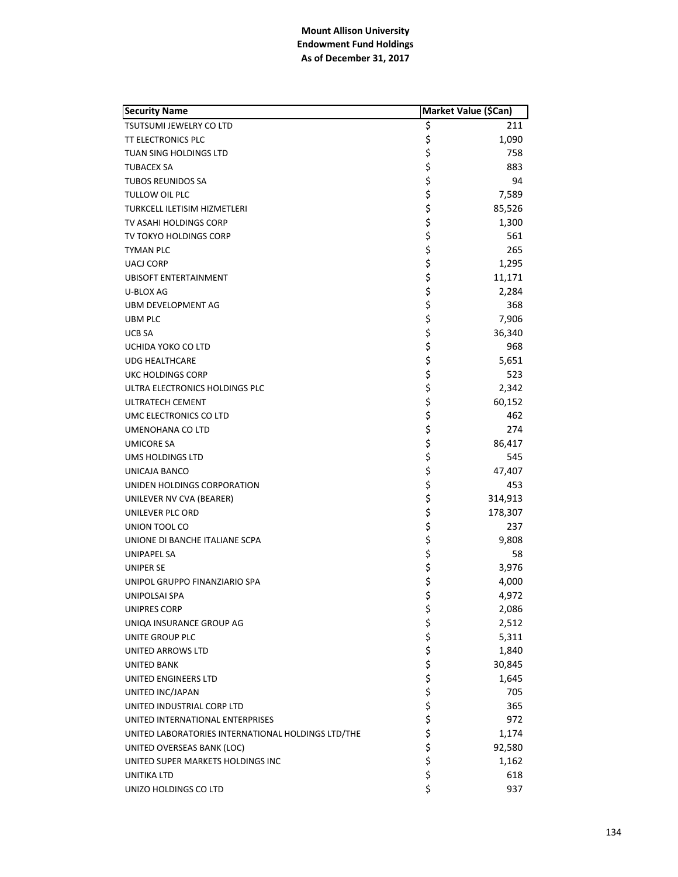| <b>Security Name</b>                               | Market Value (\$Can) |         |
|----------------------------------------------------|----------------------|---------|
| <b>TSUTSUMI JEWELRY CO LTD</b>                     | \$                   | 211     |
| <b>TT ELECTRONICS PLC</b>                          | \$                   | 1,090   |
| TUAN SING HOLDINGS LTD                             | \$                   | 758     |
| <b>TUBACEX SA</b>                                  | \$                   | 883     |
| <b>TUBOS REUNIDOS SA</b>                           | \$                   | 94      |
| TULLOW OIL PLC                                     | \$                   | 7,589   |
| TURKCELL ILETISIM HIZMETLERI                       | \$                   | 85,526  |
| TV ASAHI HOLDINGS CORP                             | \$                   | 1,300   |
| TV TOKYO HOLDINGS CORP                             | \$                   | 561     |
| TYMAN PLC                                          | \$                   | 265     |
| <b>UACJ CORP</b>                                   | \$                   | 1,295   |
| <b>UBISOFT ENTERTAINMENT</b>                       | \$                   | 11,171  |
| U-BLOX AG                                          | \$                   | 2,284   |
| UBM DEVELOPMENT AG                                 | \$                   | 368     |
| UBM PLC                                            | \$                   | 7,906   |
| <b>UCB SA</b>                                      | \$                   | 36,340  |
| UCHIDA YOKO CO LTD                                 | \$                   | 968     |
| <b>UDG HEALTHCARE</b>                              | \$                   | 5,651   |
| UKC HOLDINGS CORP                                  | \$                   | 523     |
| ULTRA ELECTRONICS HOLDINGS PLC                     | \$                   | 2,342   |
| <b>ULTRATECH CEMENT</b>                            | \$                   | 60,152  |
| UMC ELECTRONICS CO LTD                             | \$                   | 462     |
| UMENOHANA CO LTD                                   | \$                   | 274     |
| <b>UMICORE SA</b>                                  | \$                   | 86,417  |
| UMS HOLDINGS LTD                                   | \$                   | 545     |
| UNICAJA BANCO                                      | \$                   | 47,407  |
| UNIDEN HOLDINGS CORPORATION                        | \$                   | 453     |
| UNILEVER NV CVA (BEARER)                           | \$                   | 314,913 |
| UNILEVER PLC ORD                                   | \$                   | 178,307 |
| UNION TOOL CO                                      | \$                   | 237     |
| UNIONE DI BANCHE ITALIANE SCPA                     | \$                   | 9,808   |
| UNIPAPEL SA                                        | \$                   | 58      |
| UNIPER SE                                          | \$                   | 3,976   |
| UNIPOL GRUPPO FINANZIARIO SPA                      | \$                   | 4,000   |
| UNIPOLSAI SPA                                      | \$                   | 4,972   |
| UNIPRES CORP                                       | \$                   | 2,086   |
| UNIQA INSURANCE GROUP AG                           |                      | 2,512   |
| UNITE GROUP PLC                                    |                      | 5,311   |
| UNITED ARROWS LTD                                  | ややややや                | 1,840   |
| UNITED BANK                                        |                      | 30,845  |
| UNITED ENGINEERS LTD                               |                      | 1,645   |
| UNITED INC/JAPAN                                   |                      | 705     |
| UNITED INDUSTRIAL CORP LTD                         |                      | 365     |
| UNITED INTERNATIONAL ENTERPRISES                   |                      | 972     |
| UNITED LABORATORIES INTERNATIONAL HOLDINGS LTD/THE |                      | 1,174   |
| UNITED OVERSEAS BANK (LOC)                         | \$\$\$               | 92,580  |
| UNITED SUPER MARKETS HOLDINGS INC                  | \$                   | 1,162   |
| UNITIKA LTD                                        | \$                   | 618     |
| UNIZO HOLDINGS CO LTD                              | \$                   | 937     |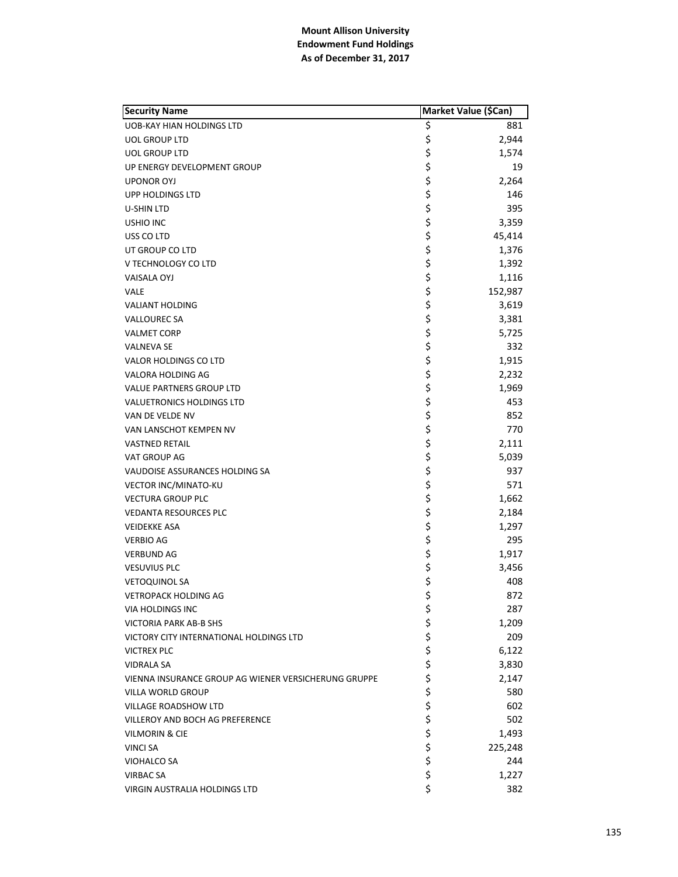| <b>Security Name</b>                                 |          | Market Value (\$Can) |
|------------------------------------------------------|----------|----------------------|
| UOB-KAY HIAN HOLDINGS LTD                            | \$       | 881                  |
| <b>UOL GROUP LTD</b>                                 | \$       | 2,944                |
| <b>UOL GROUP LTD</b>                                 | \$       | 1,574                |
| UP ENERGY DEVELOPMENT GROUP                          | \$       | 19                   |
| <b>UPONOR OYJ</b>                                    | \$       | 2,264                |
| UPP HOLDINGS LTD                                     | \$       | 146                  |
| U-SHIN LTD                                           | \$       | 395                  |
| <b>USHIO INC</b>                                     | \$       | 3,359                |
| USS CO LTD                                           | \$       | 45,414               |
| UT GROUP CO LTD                                      | \$       | 1,376                |
| V TECHNOLOGY CO LTD                                  | \$       | 1,392                |
| <b>VAISALA OYJ</b>                                   | \$       | 1,116                |
| <b>VALE</b>                                          | \$       | 152,987              |
| <b>VALIANT HOLDING</b>                               | \$       | 3,619                |
| <b>VALLOUREC SA</b>                                  | \$       | 3,381                |
| <b>VALMET CORP</b>                                   | \$       | 5,725                |
| <b>VALNEVA SE</b>                                    | \$       | 332                  |
| VALOR HOLDINGS CO LTD                                | \$       | 1,915                |
| VALORA HOLDING AG                                    | \$       | 2,232                |
| <b>VALUE PARTNERS GROUP LTD</b>                      | \$       | 1,969                |
| <b>VALUETRONICS HOLDINGS LTD</b>                     | \$       | 453                  |
| VAN DE VELDE NV                                      | \$       | 852                  |
| VAN LANSCHOT KEMPEN NV                               | \$       | 770                  |
| <b>VASTNED RETAIL</b>                                | \$       | 2,111                |
| VAT GROUP AG                                         | \$       | 5,039                |
| VAUDOISE ASSURANCES HOLDING SA                       | \$       | 937                  |
| VECTOR INC/MINATO-KU                                 | \$       | 571                  |
| <b>VECTURA GROUP PLC</b>                             | \$       | 1,662                |
| <b>VEDANTA RESOURCES PLC</b>                         | \$       | 2,184                |
| <b>VEIDEKKE ASA</b>                                  | \$       | 1,297                |
| <b>VERBIO AG</b>                                     | \$       | 295                  |
| <b>VERBUND AG</b>                                    | \$       | 1,917                |
| <b>VESUVIUS PLC</b>                                  | \$       | 3,456                |
| <b>VETOQUINOL SA</b>                                 | \$       | 408                  |
| <b>VETROPACK HOLDING AG</b>                          | \$       | 872                  |
| <b>VIA HOLDINGS INC</b>                              | \$       | 287                  |
| VICTORIA PARK AB-B SHS                               |          | 1,209                |
| VICTORY CITY INTERNATIONAL HOLDINGS LTD              |          | 209                  |
| <b>VICTREX PLC</b>                                   | \$\$\$   | 6,122                |
| <b>VIDRALA SA</b>                                    | \$       | 3,830                |
| VIENNA INSURANCE GROUP AG WIENER VERSICHERUNG GRUPPE | \$       | 2,147                |
| VILLA WORLD GROUP                                    |          | 580                  |
| <b>VILLAGE ROADSHOW LTD</b>                          | \$<br>\$ | 602                  |
| <b>VILLEROY AND BOCH AG PREFERENCE</b>               | \$       | 502                  |
| <b>VILMORIN &amp; CIE</b>                            | \$       | 1,493                |
| <b>VINCI SA</b>                                      | \$       | 225,248              |
| VIOHALCO SA                                          | \$       | 244                  |
| VIRBAC SA                                            | \$       | 1,227                |
| VIRGIN AUSTRALIA HOLDINGS LTD                        | \$       | 382                  |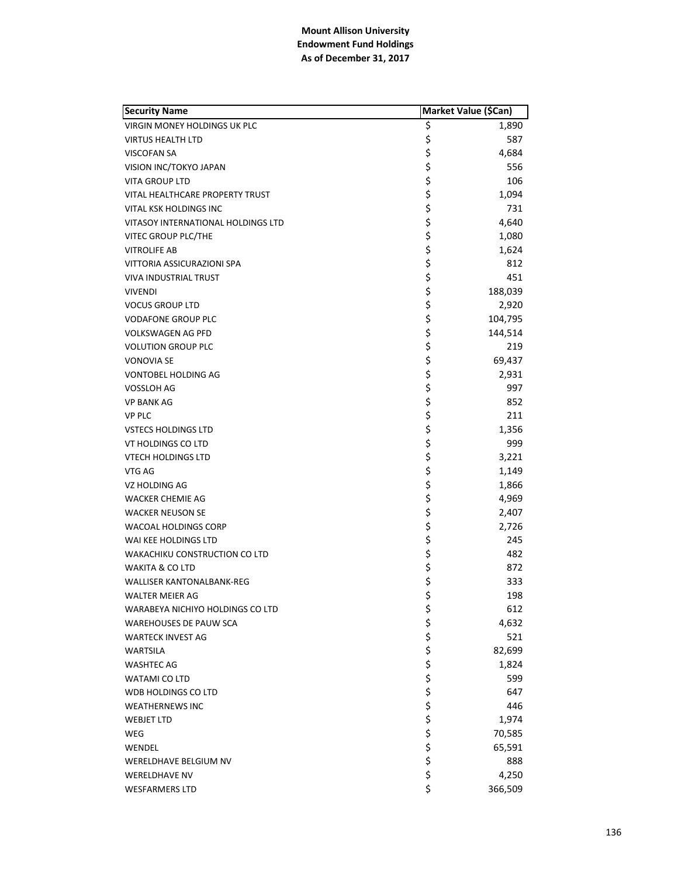| <b>Security Name</b>                 | Market Value (\$Can) |         |
|--------------------------------------|----------------------|---------|
| <b>VIRGIN MONEY HOLDINGS UK PLC</b>  | \$                   | 1,890   |
| <b>VIRTUS HEALTH LTD</b>             | \$                   | 587     |
| <b>VISCOFAN SA</b>                   | \$                   | 4,684   |
| VISION INC/TOKYO JAPAN               | \$                   | 556     |
| <b>VITA GROUP LTD</b>                | \$                   | 106     |
| VITAL HEALTHCARE PROPERTY TRUST      | \$                   | 1,094   |
| VITAL KSK HOLDINGS INC               | \$                   | 731     |
| VITASOY INTERNATIONAL HOLDINGS LTD   | \$                   | 4,640   |
| VITEC GROUP PLC/THE                  | \$                   | 1,080   |
| <b>VITROLIFE AB</b>                  | \$                   | 1,624   |
| VITTORIA ASSICURAZIONI SPA           | \$                   | 812     |
| VIVA INDUSTRIAL TRUST                | \$                   | 451     |
| <b>VIVENDI</b>                       | \$                   | 188,039 |
| <b>VOCUS GROUP LTD</b>               | \$                   | 2,920   |
| <b>VODAFONE GROUP PLC</b>            | \$                   | 104,795 |
| <b>VOLKSWAGEN AG PFD</b>             | \$                   | 144,514 |
| <b>VOLUTION GROUP PLC</b>            | \$                   | 219     |
| <b>VONOVIA SE</b>                    | \$                   | 69,437  |
| VONTOBEL HOLDING AG                  | \$                   | 2,931   |
| VOSSLOH AG                           | \$                   | 997     |
| <b>VP BANK AG</b>                    | \$                   | 852     |
| <b>VP PLC</b>                        | \$                   | 211     |
| <b>VSTECS HOLDINGS LTD</b>           | \$                   | 1,356   |
| VT HOLDINGS CO LTD                   | \$                   | 999     |
| <b>VTECH HOLDINGS LTD</b>            | \$                   | 3,221   |
| VTG AG                               | \$                   | 1,149   |
| VZ HOLDING AG                        | \$                   | 1,866   |
| <b>WACKER CHEMIE AG</b>              | \$                   | 4,969   |
| <b>WACKER NEUSON SE</b>              | \$                   | 2,407   |
| WACOAL HOLDINGS CORP                 | \$                   | 2,726   |
| WAI KEE HOLDINGS LTD                 | \$                   | 245     |
| <b>WAKACHIKU CONSTRUCTION CO LTD</b> | \$                   | 482     |
| <b>WAKITA &amp; CO LTD</b>           | \$                   | 872     |
| <b>WALLISER KANTONALBANK-REG</b>     | \$                   | 333     |
| <b>WALTER MEIER AG</b>               | \$                   | 198     |
| WARABEYA NICHIYO HOLDINGS CO LTD     | \$                   | 612     |
| <b>WAREHOUSES DE PAUW SCA</b>        |                      | 4,632   |
| <b>WARTECK INVEST AG</b>             | \$\$\$               | 521     |
| <b>WARTSILA</b>                      |                      | 82,699  |
| <b>WASHTEC AG</b>                    | \$\$\$\$             | 1,824   |
| WATAMI CO LTD                        |                      | 599     |
| WDB HOLDINGS CO LTD                  |                      | 647     |
| <b>WEATHERNEWS INC</b>               |                      | 446     |
| <b>WEBJET LTD</b>                    | \$                   | 1,974   |
| <b>WEG</b>                           | \$                   | 70,585  |
| WENDEL                               | \$                   | 65,591  |
| WERELDHAVE BELGIUM NV                | \$                   | 888     |
| <b>WERELDHAVE NV</b>                 | \$                   | 4,250   |
| <b>WESFARMERS LTD</b>                | \$                   | 366,509 |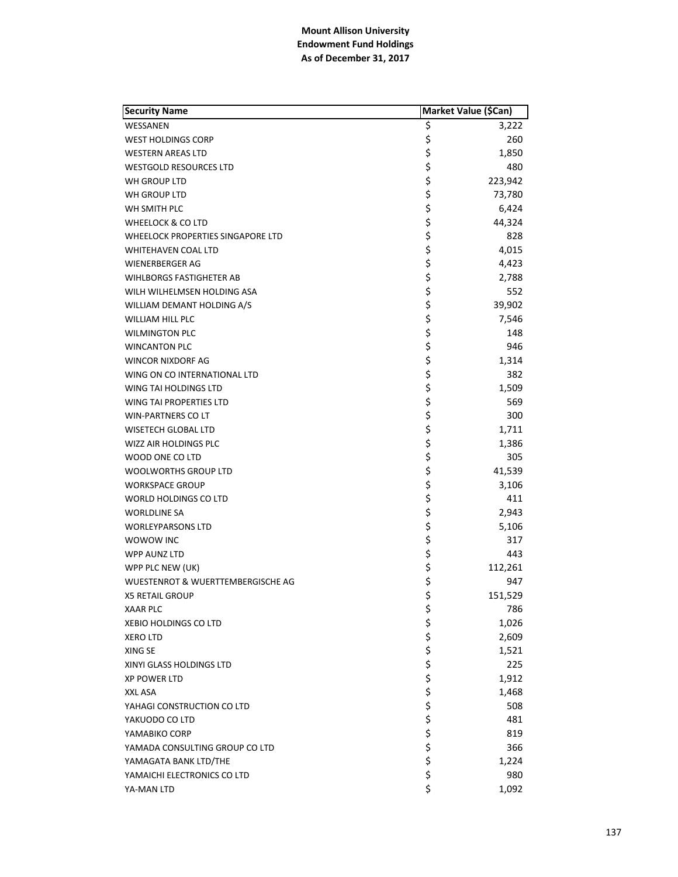| <b>Security Name</b>              |        | Market Value (\$Can) |
|-----------------------------------|--------|----------------------|
| WESSANEN                          | \$     | 3,222                |
| <b>WEST HOLDINGS CORP</b>         | \$     | 260                  |
| <b>WESTERN AREAS LTD</b>          | \$     | 1,850                |
| <b>WESTGOLD RESOURCES LTD</b>     | \$     | 480                  |
| WH GROUP LTD                      | \$     | 223,942              |
| WH GROUP LTD                      | \$     | 73,780               |
| WH SMITH PLC                      | \$     | 6,424                |
| WHEELOCK & CO LTD                 | \$     | 44,324               |
| WHEELOCK PROPERTIES SINGAPORE LTD | \$     | 828                  |
| WHITEHAVEN COAL LTD               | \$     | 4,015                |
| WIENERBERGER AG                   | \$     | 4,423                |
| <b>WIHLBORGS FASTIGHETER AB</b>   | \$     | 2,788                |
| WILH WILHELMSEN HOLDING ASA       | \$     | 552                  |
| WILLIAM DEMANT HOLDING A/S        | \$     | 39,902               |
| WILLIAM HILL PLC                  | \$     | 7,546                |
| <b>WILMINGTON PLC</b>             | \$     | 148                  |
| <b>WINCANTON PLC</b>              | \$     | 946                  |
| WINCOR NIXDORF AG                 | \$     | 1,314                |
| WING ON CO INTERNATIONAL LTD      | \$     | 382                  |
| WING TAI HOLDINGS LTD             | \$     | 1,509                |
| WING TAI PROPERTIES LTD           | \$     | 569                  |
| <b>WIN-PARTNERS CO LT</b>         | \$     | 300                  |
| WISETECH GLOBAL LTD               | \$     | 1,711                |
| WIZZ AIR HOLDINGS PLC             | \$     | 1,386                |
| WOOD ONE CO LTD                   | \$     | 305                  |
| WOOLWORTHS GROUP LTD              | \$     | 41,539               |
| WORKSPACE GROUP                   | \$     | 3,106                |
| WORLD HOLDINGS CO LTD             | \$     | 411                  |
| <b>WORLDLINE SA</b>               | \$     | 2,943                |
| <b>WORLEYPARSONS LTD</b>          | \$     | 5,106                |
| WOWOW INC                         | \$     | 317                  |
| WPP AUNZ LTD                      | \$     | 443                  |
| WPP PLC NEW (UK)                  | \$     | 112,261              |
| WUESTENROT & WUERTTEMBERGISCHE AG | \$     | 947                  |
| <b>X5 RETAIL GROUP</b>            | \$     | 151,529              |
| <b>XAAR PLC</b>                   | \$     | 786                  |
| <b>XEBIO HOLDINGS CO LTD</b>      |        | 1,026                |
| <b>XERO LTD</b>                   |        | 2,609                |
| XING SE                           | ややややや  | 1,521                |
| XINYI GLASS HOLDINGS LTD          |        | 225                  |
| <b>XP POWER LTD</b>               |        | 1,912                |
| XXL ASA                           |        | 1,468                |
| YAHAGI CONSTRUCTION CO LTD        |        | 508                  |
| YAKUODO CO LTD                    |        | 481                  |
| YAMABIKO CORP                     |        | 819                  |
| YAMADA CONSULTING GROUP CO LTD    | \$\$\$ | 366                  |
| YAMAGATA BANK LTD/THE             | \$     | 1,224                |
| YAMAICHI ELECTRONICS CO LTD       | \$     | 980                  |
| YA-MAN LTD                        | \$     | 1,092                |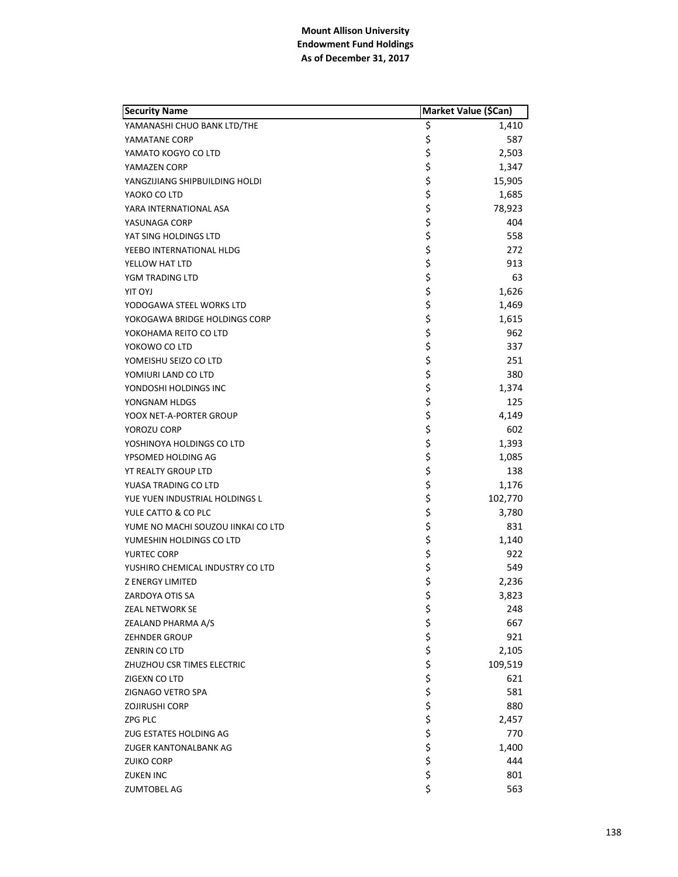| <b>Security Name</b>               | Market Value (\$Can) |         |
|------------------------------------|----------------------|---------|
| YAMANASHI CHUO BANK LTD/THE        | \$                   | 1,410   |
| YAMATANE CORP                      | \$                   | 587     |
| YAMATO KOGYO CO LTD                | \$                   | 2,503   |
| YAMAZEN CORP                       | \$                   | 1,347   |
| YANGZIJIANG SHIPBUILDING HOLDI     | \$                   | 15,905  |
| YAOKO CO LTD                       | \$                   | 1,685   |
| YARA INTERNATIONAL ASA             | \$                   | 78,923  |
| YASUNAGA CORP                      | \$                   | 404     |
| YAT SING HOLDINGS LTD              | \$                   | 558     |
| YEEBO INTERNATIONAL HLDG           | \$                   | 272     |
| YELLOW HAT LTD                     | \$                   | 913     |
| YGM TRADING LTD                    | \$                   | 63      |
| LYO TIY                            | \$                   | 1,626   |
| YODOGAWA STEEL WORKS LTD           | \$                   | 1,469   |
| YOKOGAWA BRIDGE HOLDINGS CORP      | \$                   | 1,615   |
| YOKOHAMA REITO CO LTD              | \$                   | 962     |
| YOKOWO CO LTD                      | \$                   | 337     |
| YOMEISHU SEIZO CO LTD              | \$                   | 251     |
| YOMIURI LAND CO LTD                | \$                   | 380     |
| YONDOSHI HOLDINGS INC              | \$                   | 1,374   |
| YONGNAM HLDGS                      | \$                   | 125     |
| YOOX NET-A-PORTER GROUP            | \$                   | 4,149   |
| YOROZU CORP                        | \$                   | 602     |
| YOSHINOYA HOLDINGS CO LTD          | \$                   | 1,393   |
| YPSOMED HOLDING AG                 | \$                   | 1,085   |
| <b>YT REALTY GROUP LTD</b>         | \$                   | 138     |
| YUASA TRADING CO LTD               | \$                   | 1,176   |
| YUE YUEN INDUSTRIAL HOLDINGS L     | \$                   | 102,770 |
| YULE CATTO & CO PLC                | \$                   | 3,780   |
| YUME NO MACHI SOUZOU IINKAI CO LTD | \$                   | 831     |
| YUMESHIN HOLDINGS CO LTD           | \$                   | 1,140   |
| YURTEC CORP                        | \$                   | 922     |
| YUSHIRO CHEMICAL INDUSTRY CO LTD   | \$                   | 549     |
| <b>Z ENERGY LIMITED</b>            | \$                   | 2,236   |
| ZARDOYA OTIS SA                    | \$                   | 3,823   |
| ZEAL NETWORK SE                    | \$                   | 248     |
| ZEALAND PHARMA A/S                 |                      | 667     |
| <b>ZEHNDER GROUP</b>               |                      | 921     |
| ZENRIN CO LTD                      |                      | 2,105   |
| ZHUZHOU CSR TIMES ELECTRIC         |                      | 109,519 |
| ZIGEXN CO LTD                      |                      | 621     |
| ZIGNAGO VETRO SPA                  |                      | 581     |
| ZOJIRUSHI CORP                     |                      | 880     |
| ZPG PLC                            |                      | 2,457   |
| ZUG ESTATES HOLDING AG             |                      | 770     |
| ZUGER KANTONALBANK AG              |                      | 1,400   |
| <b>ZUIKO CORP</b>                  |                      | 444     |
| <b>ZUKEN INC</b>                   | ぐろうさ こうさ こうさ         | 801     |
| <b>ZUMTOBEL AG</b>                 | \$                   | 563     |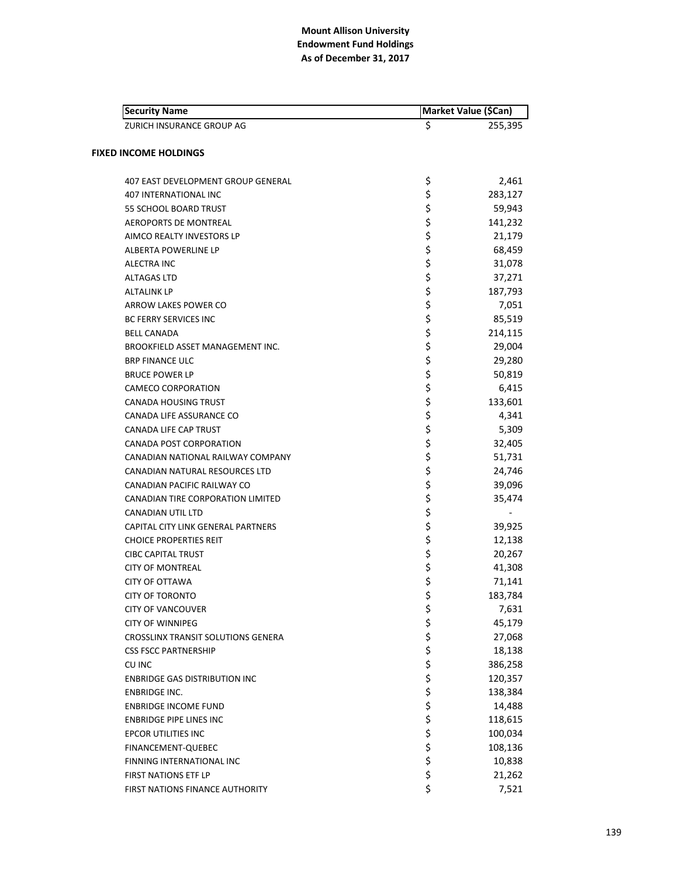| <b>Security Name</b>                    | Market Value (\$Can) |
|-----------------------------------------|----------------------|
| ZURICH INSURANCE GROUP AG               | \$<br>255,395        |
| <b>FIXED INCOME HOLDINGS</b>            |                      |
|                                         |                      |
| 407 EAST DEVELOPMENT GROUP GENERAL      | \$<br>2,461          |
| <b>407 INTERNATIONAL INC</b>            | \$<br>283,127        |
| 55 SCHOOL BOARD TRUST                   | \$<br>59,943         |
| <b>AEROPORTS DE MONTREAL</b>            | \$<br>141,232        |
| AIMCO REALTY INVESTORS LP               | \$<br>21,179         |
| ALBERTA POWERLINE LP                    | \$<br>68,459         |
| ALECTRA INC                             | \$<br>31,078         |
| <b>ALTAGAS LTD</b>                      | \$<br>37,271         |
| <b>ALTALINK LP</b>                      | \$<br>187,793        |
| ARROW LAKES POWER CO                    | \$<br>7,051          |
| <b>BC FERRY SERVICES INC</b>            | \$<br>85,519         |
| <b>BELL CANADA</b>                      | \$<br>214,115        |
| <b>BROOKFIELD ASSET MANAGEMENT INC.</b> | \$<br>29,004         |
| <b>BRP FINANCE ULC</b>                  | \$<br>29,280         |
| <b>BRUCE POWER LP</b>                   | \$<br>50,819         |
| CAMECO CORPORATION                      | \$<br>6,415          |
| <b>CANADA HOUSING TRUST</b>             | \$<br>133,601        |
| CANADA LIFE ASSURANCE CO                | \$<br>4,341          |
| CANADA LIFE CAP TRUST                   | \$<br>5,309          |
| CANADA POST CORPORATION                 | \$<br>32,405         |
| CANADIAN NATIONAL RAILWAY COMPANY       | \$<br>51,731         |
| CANADIAN NATURAL RESOURCES LTD          | \$<br>24,746         |
| CANADIAN PACIFIC RAILWAY CO             | \$<br>39,096         |
| CANADIAN TIRE CORPORATION LIMITED       | \$<br>35,474         |
| CANADIAN UTIL LTD                       | \$                   |
| CAPITAL CITY LINK GENERAL PARTNERS      | \$<br>39,925         |
| <b>CHOICE PROPERTIES REIT</b>           | \$<br>12,138         |
| <b>CIBC CAPITAL TRUST</b>               | \$<br>20,267         |
| <b>CITY OF MONTREAL</b>                 | \$<br>41,308         |
| <b>CITY OF OTTAWA</b>                   | \$<br>71,141         |
| <b>CITY OF TORONTO</b>                  | \$<br>183,784        |
| <b>CITY OF VANCOUVER</b>                | \$<br>7,631          |
| <b>CITY OF WINNIPEG</b>                 | \$<br>45,179         |
| CROSSLINX TRANSIT SOLUTIONS GENERA      | \$<br>27,068         |
| <b>CSS FSCC PARTNERSHIP</b>             | \$<br>18,138         |
| CU INC                                  | \$<br>386,258        |
| <b>ENBRIDGE GAS DISTRIBUTION INC</b>    | \$<br>120,357        |
| <b>ENBRIDGE INC.</b>                    | \$<br>138,384        |
| <b>ENBRIDGE INCOME FUND</b>             | \$<br>14,488         |
| <b>ENBRIDGE PIPE LINES INC</b>          | \$<br>118,615        |
| EPCOR UTILITIES INC                     | \$<br>100,034        |
| <b>FINANCEMENT-QUEBEC</b>               | \$<br>108,136        |
| FINNING INTERNATIONAL INC               | \$<br>10,838         |
| <b>FIRST NATIONS ETF LP</b>             | \$<br>21,262         |
| <b>FIRST NATIONS FINANCE AUTHORITY</b>  | \$<br>7,521          |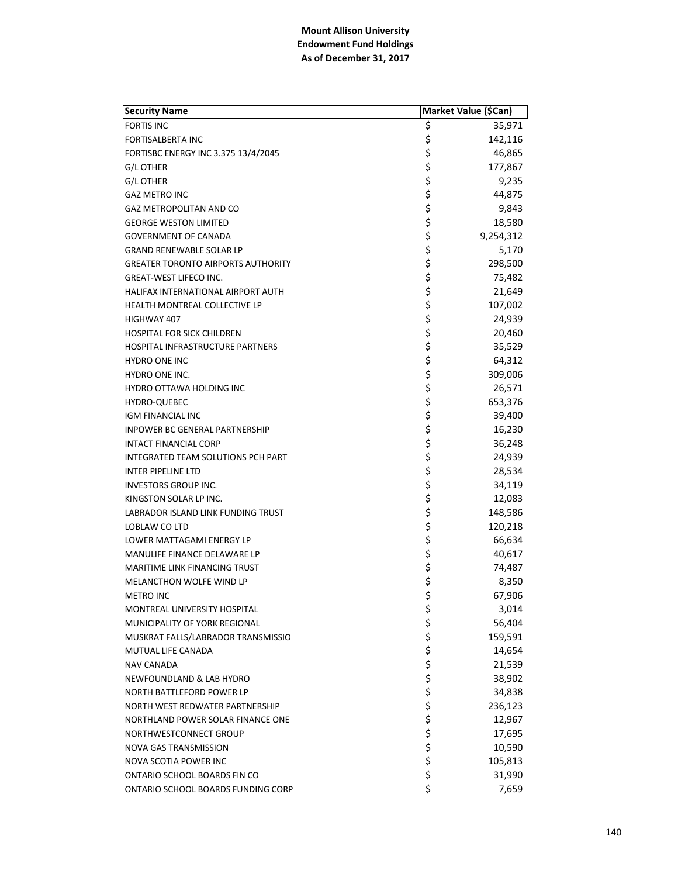| <b>Security Name</b>                      | Market Value (\$Can) |           |
|-------------------------------------------|----------------------|-----------|
| <b>FORTIS INC</b>                         | \$                   | 35,971    |
| <b>FORTISALBERTA INC</b>                  | \$                   | 142,116   |
| FORTISBC ENERGY INC 3.375 13/4/2045       | \$                   | 46,865    |
| G/L OTHER                                 | \$                   | 177,867   |
| <b>G/L OTHER</b>                          | \$                   | 9,235     |
| <b>GAZ METRO INC</b>                      | \$                   | 44,875    |
| GAZ METROPOLITAN AND CO                   | \$                   | 9,843     |
| GEORGE WESTON LIMITED                     | \$                   | 18,580    |
| <b>GOVERNMENT OF CANADA</b>               | \$                   | 9,254,312 |
| <b>GRAND RENEWABLE SOLAR LP</b>           | \$                   | 5,170     |
| <b>GREATER TORONTO AIRPORTS AUTHORITY</b> | \$                   | 298,500   |
| <b>GREAT-WEST LIFECO INC.</b>             | \$                   | 75,482    |
| HALIFAX INTERNATIONAL AIRPORT AUTH        | \$                   | 21,649    |
| HEALTH MONTREAL COLLECTIVE LP             | \$                   | 107,002   |
| HIGHWAY 407                               | \$                   | 24,939    |
| <b>HOSPITAL FOR SICK CHILDREN</b>         | \$                   | 20,460    |
| <b>HOSPITAL INFRASTRUCTURE PARTNERS</b>   | \$                   | 35,529    |
| <b>HYDRO ONE INC</b>                      | \$                   | 64,312    |
| <b>HYDRO ONE INC.</b>                     | \$                   | 309,006   |
| HYDRO OTTAWA HOLDING INC                  | \$                   | 26,571    |
| HYDRO-QUEBEC                              | \$                   | 653,376   |
| IGM FINANCIAL INC                         | \$                   | 39,400    |
| <b>INPOWER BC GENERAL PARTNERSHIP</b>     | \$                   | 16,230    |
| INTACT FINANCIAL CORP                     | \$                   | 36,248    |
| INTEGRATED TEAM SOLUTIONS PCH PART        | \$                   | 24,939    |
| INTER PIPELINE LTD                        | \$                   | 28,534    |
| <b>INVESTORS GROUP INC.</b>               | \$                   | 34,119    |
| KINGSTON SOLAR LP INC.                    | \$                   | 12,083    |
| LABRADOR ISLAND LINK FUNDING TRUST        | \$                   | 148,586   |
| LOBLAW CO LTD                             | \$                   | 120,218   |
| <b>LOWER MATTAGAMI ENERGY LP</b>          | \$                   | 66,634    |
| MANULIFE FINANCE DELAWARE LP              | \$                   | 40,617    |
| <b>MARITIME LINK FINANCING TRUST</b>      | \$                   | 74,487    |
| MELANCTHON WOLFE WIND LP                  | \$                   | 8,350     |
| <b>METRO INC</b>                          | \$                   | 67,906    |
| MONTREAL UNIVERSITY HOSPITAL              | \$                   | 3,014     |
| MUNICIPALITY OF YORK REGIONAL             | \$                   | 56,404    |
| MUSKRAT FALLS/LABRADOR TRANSMISSIO        | \$                   | 159,591   |
| MUTUAL LIFE CANADA                        | \$                   | 14,654    |
| NAV CANADA                                | \$                   | 21,539    |
| NEWFOUNDLAND & LAB HYDRO                  | \$                   | 38,902    |
| NORTH BATTLEFORD POWER LP                 | \$                   | 34,838    |
| NORTH WEST REDWATER PARTNERSHIP           | \$                   | 236,123   |
| NORTHLAND POWER SOLAR FINANCE ONE         | \$                   | 12,967    |
| NORTHWESTCONNECT GROUP                    | \$                   | 17,695    |
| NOVA GAS TRANSMISSION                     | \$                   | 10,590    |
| NOVA SCOTIA POWER INC                     | \$                   | 105,813   |
| ONTARIO SCHOOL BOARDS FIN CO              | \$                   | 31,990    |
| ONTARIO SCHOOL BOARDS FUNDING CORP        | \$                   | 7,659     |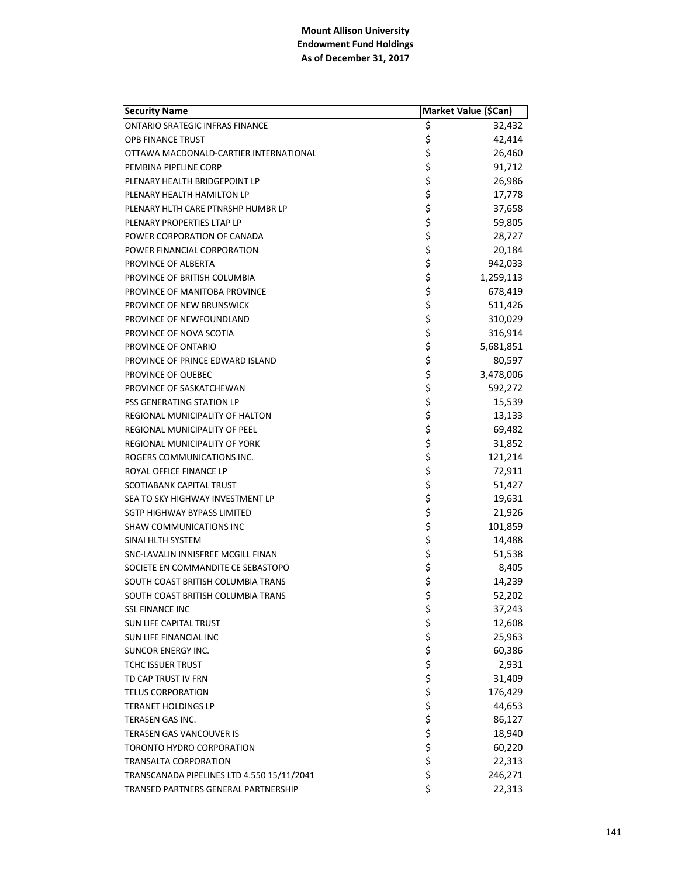| <b>Security Name</b>                       | Market Value (\$Can) |           |
|--------------------------------------------|----------------------|-----------|
| <b>ONTARIO SRATEGIC INFRAS FINANCE</b>     | \$                   | 32,432    |
| <b>OPB FINANCE TRUST</b>                   | \$                   | 42,414    |
| OTTAWA MACDONALD-CARTIER INTERNATIONAL     | \$                   | 26,460    |
| PEMBINA PIPELINE CORP                      | \$                   | 91,712    |
| PLENARY HEALTH BRIDGEPOINT LP              | \$                   | 26,986    |
| PLENARY HEALTH HAMILTON LP                 | \$                   | 17,778    |
| PLENARY HLTH CARE PTNRSHP HUMBR LP         | \$                   | 37,658    |
| PLENARY PROPERTIES LTAP LP                 | \$                   | 59,805    |
| POWER CORPORATION OF CANADA                | \$                   | 28,727    |
| POWER FINANCIAL CORPORATION                | \$                   | 20,184    |
| PROVINCE OF ALBERTA                        | \$                   | 942,033   |
| PROVINCE OF BRITISH COLUMBIA               | \$                   | 1,259,113 |
| PROVINCE OF MANITOBA PROVINCE              | \$                   | 678,419   |
| PROVINCE OF NEW BRUNSWICK                  | \$                   | 511,426   |
| PROVINCE OF NEWFOUNDLAND                   | \$                   | 310,029   |
| PROVINCE OF NOVA SCOTIA                    | \$                   | 316,914   |
| PROVINCE OF ONTARIO                        | \$                   | 5,681,851 |
| PROVINCE OF PRINCE EDWARD ISLAND           | \$                   | 80,597    |
| PROVINCE OF QUEBEC                         | \$                   | 3,478,006 |
| PROVINCE OF SASKATCHEWAN                   | \$                   | 592,272   |
| PSS GENERATING STATION LP                  | \$                   | 15,539    |
| REGIONAL MUNICIPALITY OF HALTON            | \$                   | 13,133    |
| REGIONAL MUNICIPALITY OF PEEL              | \$                   | 69,482    |
| REGIONAL MUNICIPALITY OF YORK              | \$                   | 31,852    |
| ROGERS COMMUNICATIONS INC.                 | \$                   | 121,214   |
| ROYAL OFFICE FINANCE LP                    | \$                   | 72,911    |
| SCOTIABANK CAPITAL TRUST                   | \$                   | 51,427    |
| SEA TO SKY HIGHWAY INVESTMENT LP           | \$                   | 19,631    |
| SGTP HIGHWAY BYPASS LIMITED                | \$                   | 21,926    |
| SHAW COMMUNICATIONS INC                    | \$                   | 101,859   |
| SINAI HLTH SYSTEM                          | \$                   | 14,488    |
| SNC-LAVALIN INNISFREE MCGILL FINAN         | \$                   | 51,538    |
| SOCIETE EN COMMANDITE CE SEBASTOPO         | \$                   | 8,405     |
| SOUTH COAST BRITISH COLUMBIA TRANS         | \$                   | 14,239    |
| SOUTH COAST BRITISH COLUMBIA TRANS         | \$                   | 52,202    |
| <b>SSL FINANCE INC</b>                     | \$                   | 37,243    |
| <b>SUN LIFE CAPITAL TRUST</b>              | ちらさささ                | 12,608    |
| SUN LIFE FINANCIAL INC                     |                      | 25,963    |
| SUNCOR ENERGY INC.                         |                      | 60,386    |
| <b>TCHC ISSUER TRUST</b>                   |                      | 2,931     |
| TD CAP TRUST IV FRN                        |                      | 31,409    |
| <b>TELUS CORPORATION</b>                   |                      | 176,429   |
| TERANET HOLDINGS LP                        |                      | 44,653    |
| TERASEN GAS INC.                           |                      | 86,127    |
| <b>TERASEN GAS VANCOUVER IS</b>            | \$\$\$\$             | 18,940    |
| TORONTO HYDRO CORPORATION                  |                      | 60,220    |
| TRANSALTA CORPORATION                      |                      | 22,313    |
| TRANSCANADA PIPELINES LTD 4.550 15/11/2041 | \$                   | 246,271   |
| TRANSED PARTNERS GENERAL PARTNERSHIP       | \$                   | 22,313    |